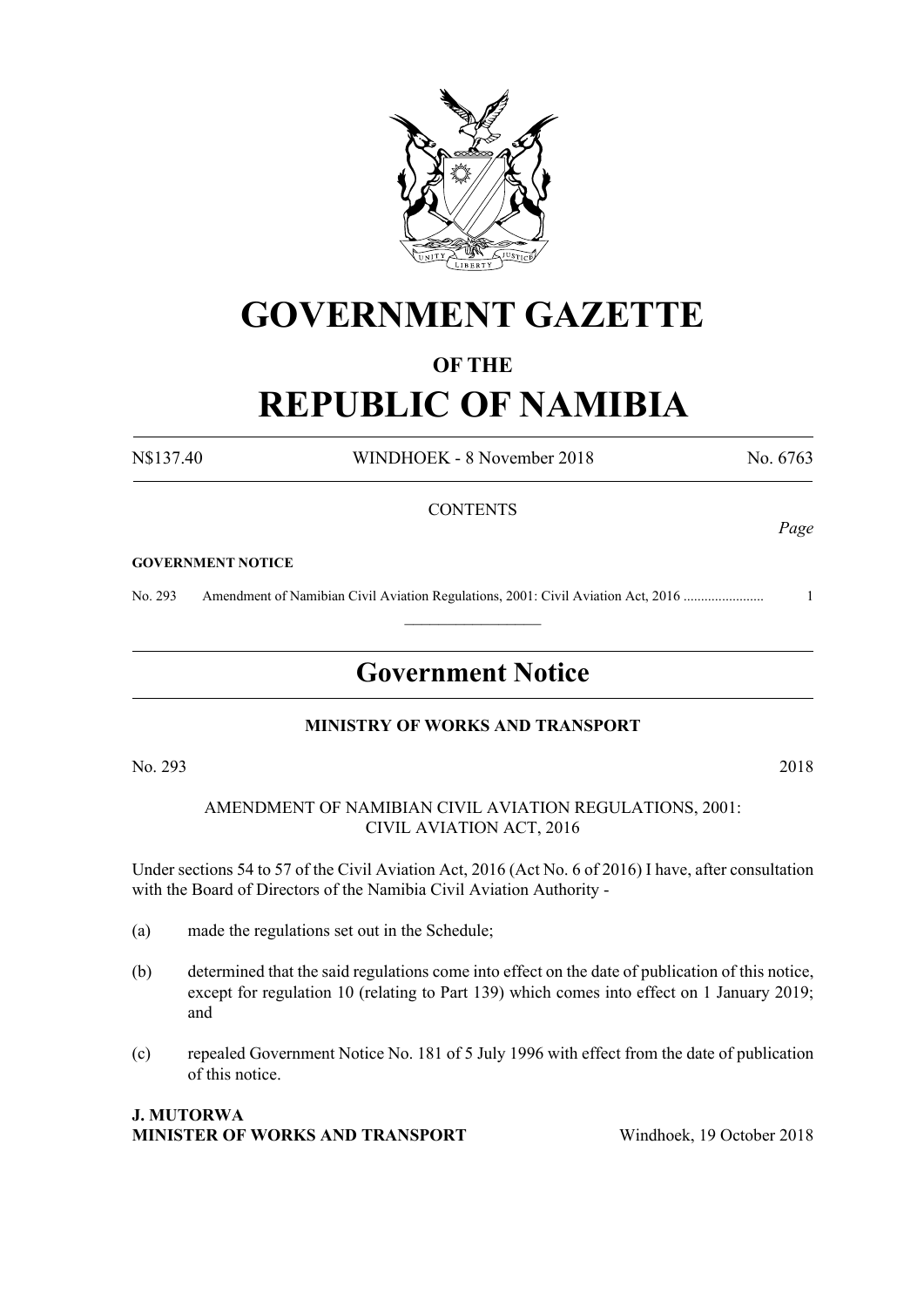

# **GOVERNMENT GAZETTE**

#### **OF THE**

# **REPUBLIC OF NAMIBIA**

N\$137.40 WINDHOEK - 8 November 2018 No. 6763

#### **CONTENTS**

#### **GOVERNMENT NOTICE**

No. 293 Amendment of Namibian Civil Aviation Regulations, 2001: Civil Aviation Act, 2016 ....................... 1

## **Government Notice**

 $\frac{1}{2}$ 

#### **MINISTRY OF WORKS AND TRANSPORT**

No. 293 2018

AMENDMENT OF NAMIBIAN CIVIL AVIATION REGULATIONS, 2001: CIVIL AVIATION ACT, 2016

Under sections 54 to 57 of the Civil Aviation Act, 2016 (Act No. 6 of 2016) I have, after consultation with the Board of Directors of the Namibia Civil Aviation Authority -

- (a) made the regulations set out in the Schedule;
- (b) determined that the said regulations come into effect on the date of publication of this notice, except for regulation 10 (relating to Part 139) which comes into effect on 1 January 2019; and
- (c) repealed Government Notice No. 181 of 5 July 1996 with effect from the date of publication of this notice.

#### **J. MUTORWA MINISTER OF WORKS AND TRANSPORT** Windhoek, 19 October 2018

*Page*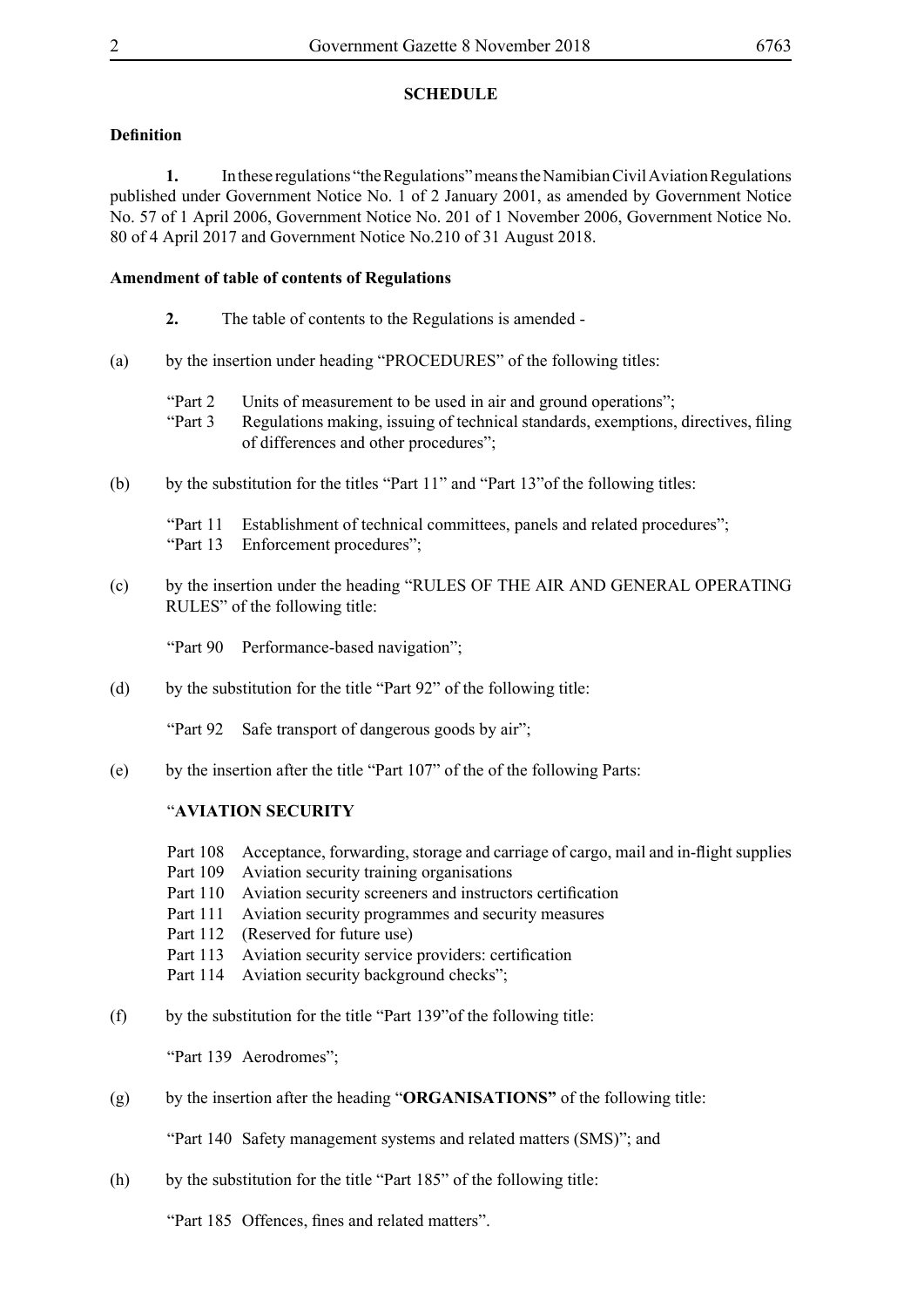#### **SCHEDULE**

#### **Definition**

**1.** In these regulations "the Regulations" means the Namibian Civil Aviation Regulations published under Government Notice No. 1 of 2 January 2001, as amended by Government Notice No. 57 of 1 April 2006, Government Notice No. 201 of 1 November 2006, Government Notice No. 80 of 4 April 2017 and Government Notice No.210 of 31 August 2018.

#### **Amendment of table of contents of Regulations**

- **2.** The table of contents to the Regulations is amended -
- (a) by the insertion under heading "PROCEDURES" of the following titles:
	- "Part 2 Units of measurement to be used in air and ground operations";
	- "Part 3 Regulations making, issuing of technical standards, exemptions, directives, filing of differences and other procedures";
- (b) by the substitution for the titles "Part 11" and "Part 13"of the following titles:

"Part 11 Establishment of technical committees, panels and related procedures"; "Part 13 Enforcement procedures";

(c) by the insertion under the heading "RULES OF THE AIR AND GENERAL OPERATING RULES" of the following title:

"Part 90 Performance-based navigation";

(d) by the substitution for the title "Part 92" of the following title:

"Part 92 Safe transport of dangerous goods by air":

(e) by the insertion after the title "Part 107" of the of the following Parts:

#### "**AVIATION SECURITY**

- Part 108 Acceptance, forwarding, storage and carriage of cargo, mail and in-flight supplies
- Part 109 Aviation security training organisations
- Part 110 Aviation security screeners and instructors certification
- Part 111 Aviation security programmes and security measures
- Part 112 (Reserved for future use)
- Part 113 Aviation security service providers: certification
- Part 114 Aviation security background checks";
- (f) by the substitution for the title "Part 139"of the following title:

"Part 139 Aerodromes";

(g) by the insertion after the heading "**ORGANISATIONS"** of the following title:

"Part 140 Safety management systems and related matters (SMS)"; and

(h) by the substitution for the title "Part 185" of the following title:

"Part 185 Offences, fines and related matters".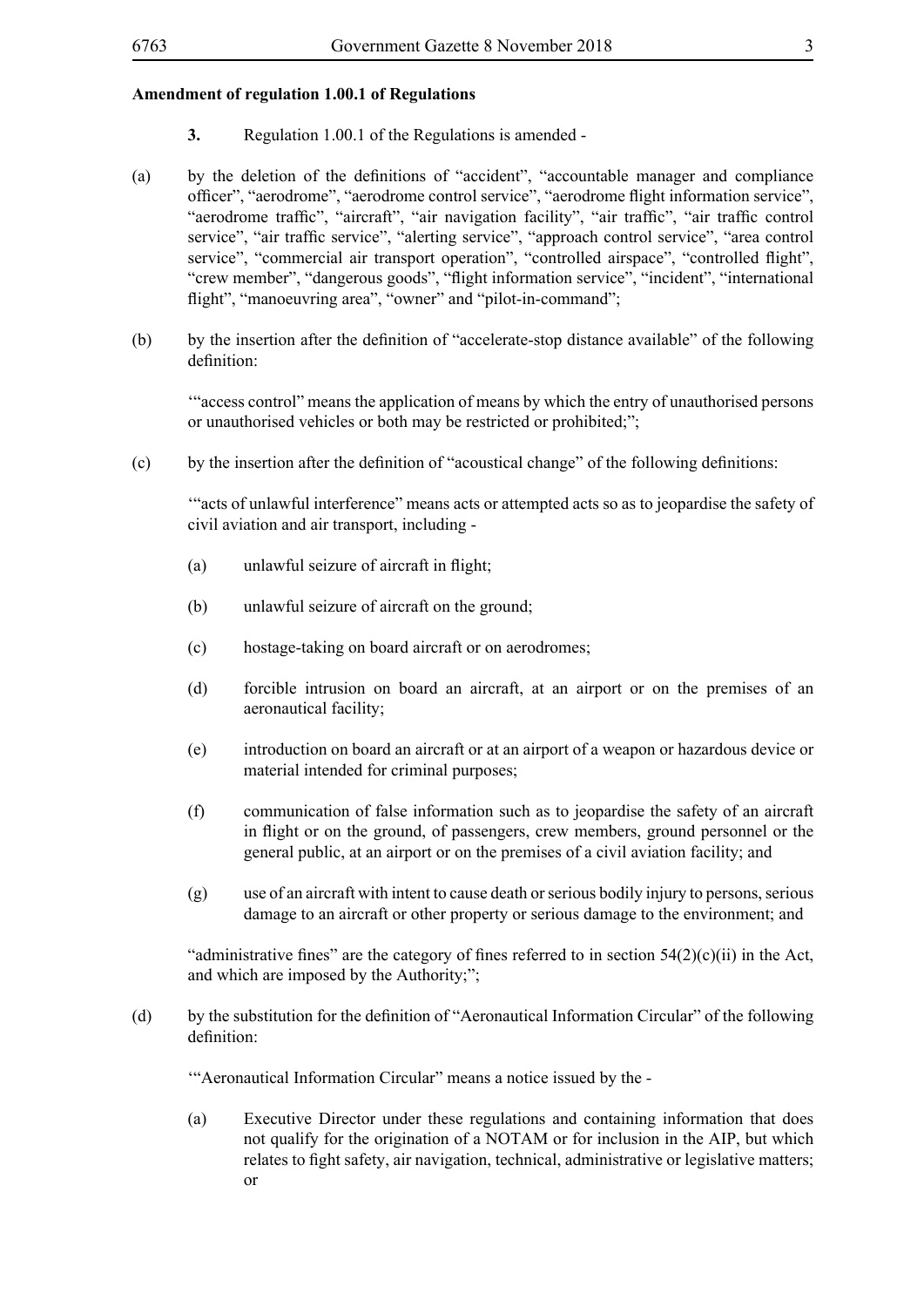- **3.** Regulation 1.00.1 of the Regulations is amended -
- (a) by the deletion of the definitions of "accident", "accountable manager and compliance officer", "aerodrome", "aerodrome control service", "aerodrome flight information service", "aerodrome traffic", "aircraft", "air navigation facility", "air traffic", "air traffic control service", "air traffic service", "alerting service", "approach control service", "area control service", "commercial air transport operation", "controlled airspace", "controlled flight", "crew member", "dangerous goods", "flight information service", "incident", "international flight", "manoeuvring area", "owner" and "pilot-in-command";
- (b) by the insertion after the definition of "accelerate-stop distance available" of the following definition:

'"access control" means the application of means by which the entry of unauthorised persons or unauthorised vehicles or both may be restricted or prohibited;";

(c) by the insertion after the definition of "acoustical change" of the following definitions:

'"acts of unlawful interference" means acts or attempted acts so as to jeopardise the safety of civil aviation and air transport, including -

- (a) unlawful seizure of aircraft in flight;
- (b) unlawful seizure of aircraft on the ground;
- (c) hostage-taking on board aircraft or on aerodromes;
- (d) forcible intrusion on board an aircraft, at an airport or on the premises of an aeronautical facility;
- (e) introduction on board an aircraft or at an airport of a weapon or hazardous device or material intended for criminal purposes;
- (f) communication of false information such as to jeopardise the safety of an aircraft in flight or on the ground, of passengers, crew members, ground personnel or the general public, at an airport or on the premises of a civil aviation facility; and
- (g) use of an aircraft with intent to cause death or serious bodily injury to persons, serious damage to an aircraft or other property or serious damage to the environment; and

"administrative fines" are the category of fines referred to in section  $54(2)(c)(ii)$  in the Act, and which are imposed by the Authority;";

(d) by the substitution for the definition of "Aeronautical Information Circular" of the following definition:

'"Aeronautical Information Circular" means a notice issued by the -

(a) Executive Director under these regulations and containing information that does not qualify for the origination of a NOTAM or for inclusion in the AIP, but which relates to fight safety, air navigation, technical, administrative or legislative matters; or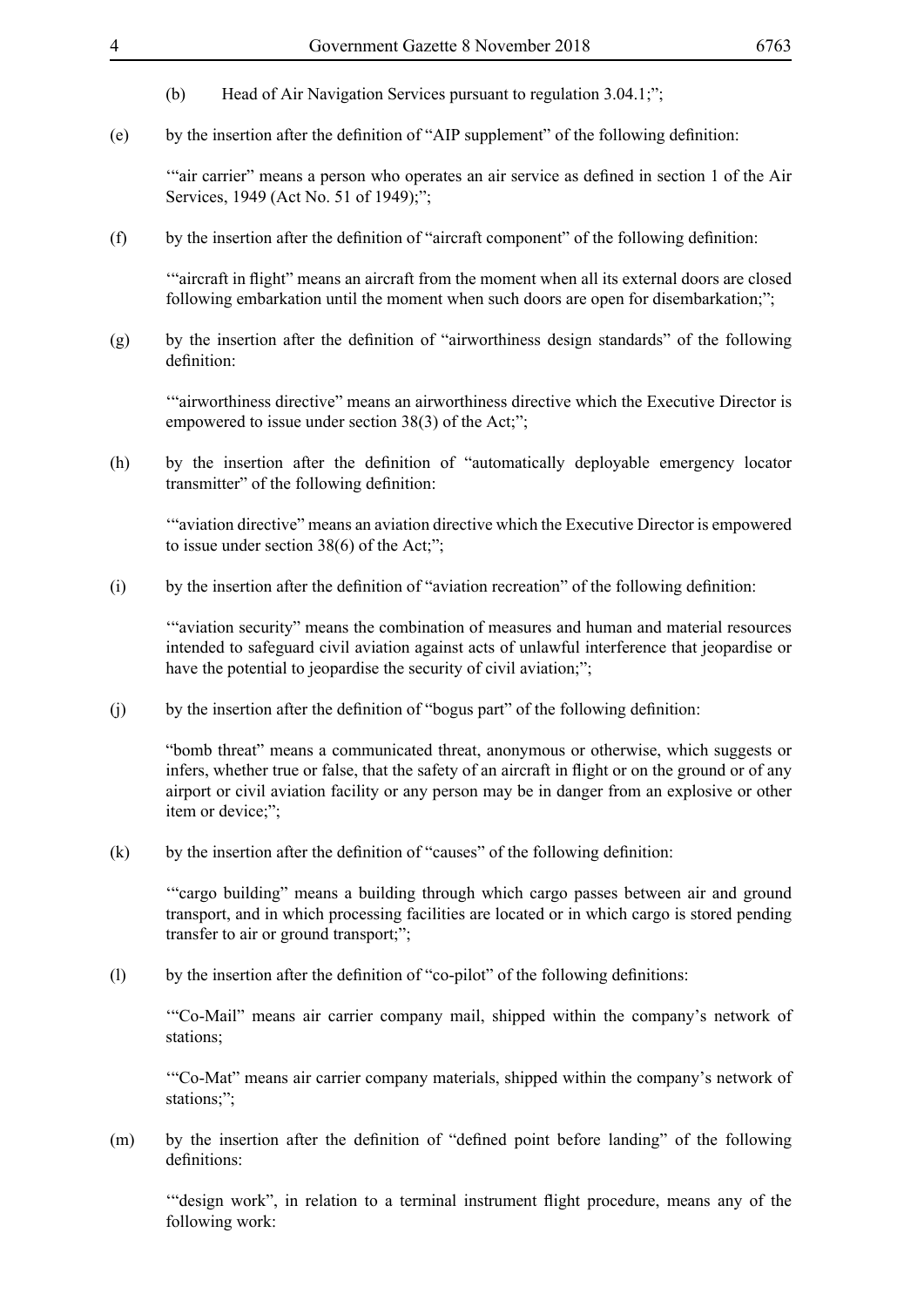- (b) Head of Air Navigation Services pursuant to regulation 3.04.1;";
- (e) by the insertion after the definition of "AIP supplement" of the following definition:

'"air carrier" means a person who operates an air service as defined in section 1 of the Air Services, 1949 (Act No. 51 of 1949);";

(f) by the insertion after the definition of "aircraft component" of the following definition:

'"aircraft in flight" means an aircraft from the moment when all its external doors are closed following embarkation until the moment when such doors are open for disembarkation;";

(g) by the insertion after the definition of "airworthiness design standards" of the following definition:

'"airworthiness directive" means an airworthiness directive which the Executive Director is empowered to issue under section 38(3) of the Act;";

(h) by the insertion after the definition of "automatically deployable emergency locator transmitter" of the following definition:

'"aviation directive" means an aviation directive which the Executive Director is empowered to issue under section 38(6) of the Act;";

(i) by the insertion after the definition of "aviation recreation" of the following definition:

'"aviation security" means the combination of measures and human and material resources intended to safeguard civil aviation against acts of unlawful interference that jeopardise or have the potential to jeopardise the security of civil aviation;";

(j) by the insertion after the definition of "bogus part" of the following definition:

"bomb threat" means a communicated threat, anonymous or otherwise, which suggests or infers, whether true or false, that the safety of an aircraft in flight or on the ground or of any airport or civil aviation facility or any person may be in danger from an explosive or other item or device;";

(k) by the insertion after the definition of "causes" of the following definition:

'"cargo building" means a building through which cargo passes between air and ground transport, and in which processing facilities are located or in which cargo is stored pending transfer to air or ground transport;";

(l) by the insertion after the definition of "co-pilot" of the following definitions:

'"Co-Mail" means air carrier company mail, shipped within the company's network of stations;

'"Co-Mat" means air carrier company materials, shipped within the company's network of stations;";

(m) by the insertion after the definition of "defined point before landing" of the following definitions:

'"design work", in relation to a terminal instrument flight procedure, means any of the following work: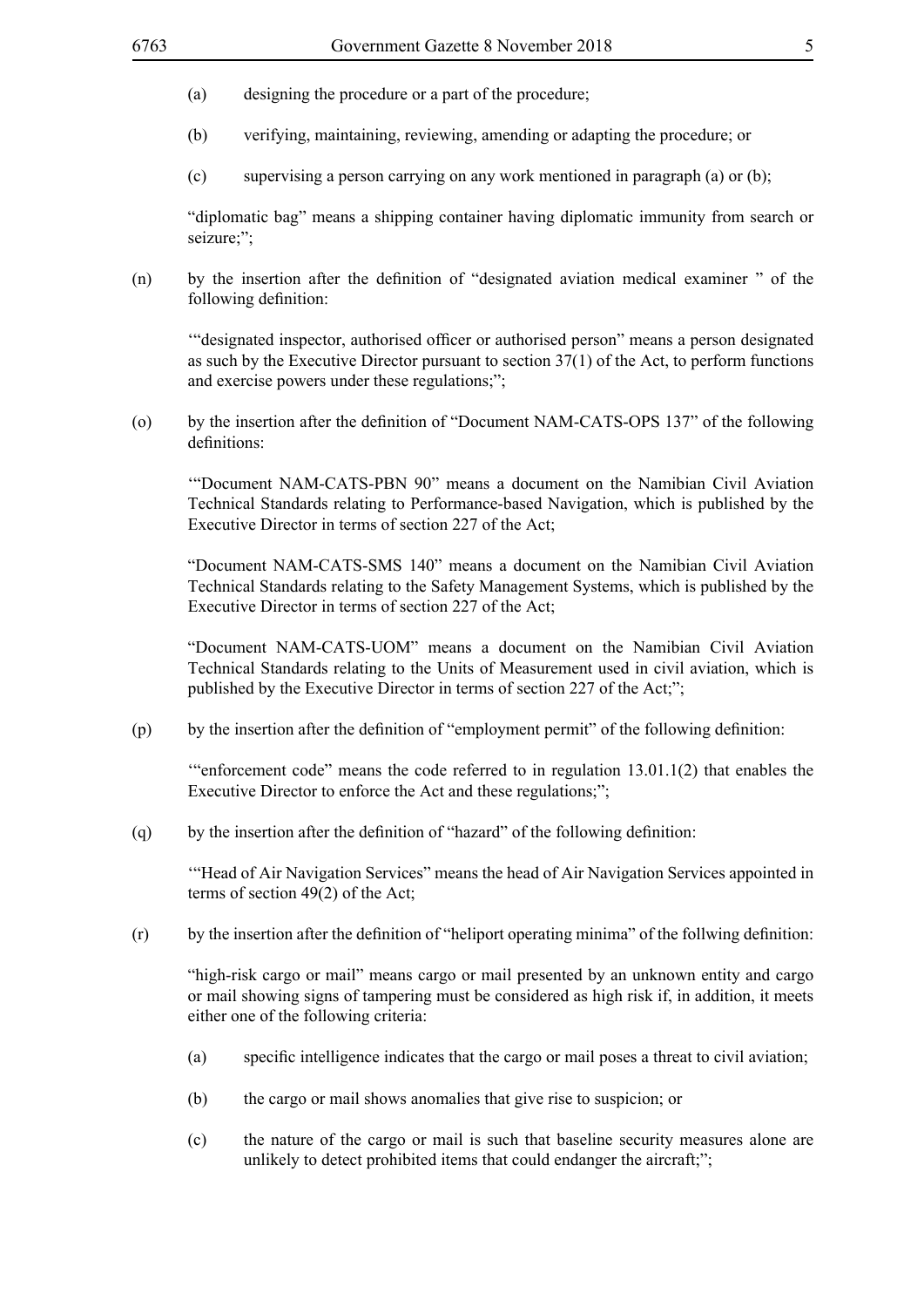- (a) designing the procedure or a part of the procedure;
- (b) verifying, maintaining, reviewing, amending or adapting the procedure; or
- (c) supervising a person carrying on any work mentioned in paragraph (a) or (b);

"diplomatic bag" means a shipping container having diplomatic immunity from search or seizure;";

(n) by the insertion after the definition of "designated aviation medical examiner " of the following definition:

'"designated inspector, authorised officer or authorised person" means a person designated as such by the Executive Director pursuant to section 37(1) of the Act, to perform functions and exercise powers under these regulations;";

(o) by the insertion after the definition of "Document NAM-CATS-OPS 137" of the following definitions:

'"Document NAM-CATS-PBN 90" means a document on the Namibian Civil Aviation Technical Standards relating to Performance-based Navigation, which is published by the Executive Director in terms of section 227 of the Act;

"Document NAM-CATS-SMS 140" means a document on the Namibian Civil Aviation Technical Standards relating to the Safety Management Systems, which is published by the Executive Director in terms of section 227 of the Act;

"Document NAM-CATS-UOM" means a document on the Namibian Civil Aviation Technical Standards relating to the Units of Measurement used in civil aviation, which is published by the Executive Director in terms of section 227 of the Act;";

(p) by the insertion after the definition of "employment permit" of the following definition:

'"enforcement code" means the code referred to in regulation 13.01.1(2) that enables the Executive Director to enforce the Act and these regulations;";

(q) by the insertion after the definition of "hazard" of the following definition:

'"Head of Air Navigation Services" means the head of Air Navigation Services appointed in terms of section 49(2) of the Act;

(r) by the insertion after the definition of "heliport operating minima" of the follwing definition:

"high-risk cargo or mail" means cargo or mail presented by an unknown entity and cargo or mail showing signs of tampering must be considered as high risk if, in addition, it meets either one of the following criteria:

- (a) specific intelligence indicates that the cargo or mail poses a threat to civil aviation;
- (b) the cargo or mail shows anomalies that give rise to suspicion; or
- (c) the nature of the cargo or mail is such that baseline security measures alone are unlikely to detect prohibited items that could endanger the aircraft;";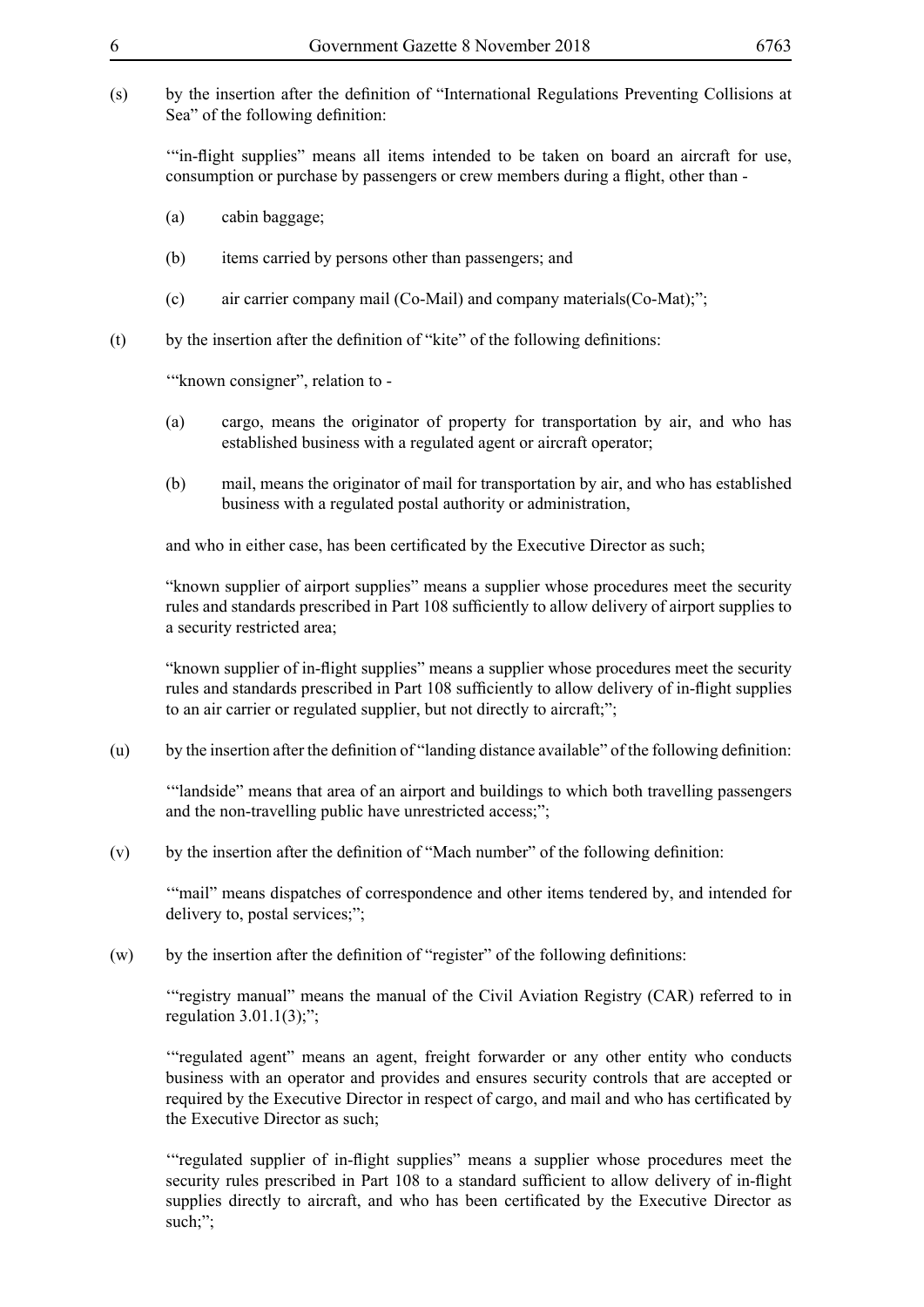(s) by the insertion after the definition of "International Regulations Preventing Collisions at Sea" of the following definition:

'"in-flight supplies" means all items intended to be taken on board an aircraft for use, consumption or purchase by passengers or crew members during a flight, other than -

- (a) cabin baggage;
- (b) items carried by persons other than passengers; and
- (c) air carrier company mail (Co-Mail) and company materials(Co-Mat);";
- (t) by the insertion after the definition of "kite" of the following definitions:

'"known consigner", relation to -

- (a) cargo, means the originator of property for transportation by air, and who has established business with a regulated agent or aircraft operator;
- (b) mail, means the originator of mail for transportation by air, and who has established business with a regulated postal authority or administration,

and who in either case, has been certificated by the Executive Director as such;

"known supplier of airport supplies" means a supplier whose procedures meet the security rules and standards prescribed in Part 108 sufficiently to allow delivery of airport supplies to a security restricted area;

"known supplier of in-flight supplies" means a supplier whose procedures meet the security rules and standards prescribed in Part 108 sufficiently to allow delivery of in-flight supplies to an air carrier or regulated supplier, but not directly to aircraft;";

(u) by the insertion after the definition of "landing distance available" of the following definition:

'"landside" means that area of an airport and buildings to which both travelling passengers and the non-travelling public have unrestricted access;";

(v) by the insertion after the definition of "Mach number" of the following definition:

'"mail" means dispatches of correspondence and other items tendered by, and intended for delivery to, postal services;";

(w) by the insertion after the definition of "register" of the following definitions:

'"registry manual" means the manual of the Civil Aviation Registry (CAR) referred to in regulation  $3.01.1(3)$ ;";

'"regulated agent" means an agent, freight forwarder or any other entity who conducts business with an operator and provides and ensures security controls that are accepted or required by the Executive Director in respect of cargo, and mail and who has certificated by the Executive Director as such;

'"regulated supplier of in-flight supplies" means a supplier whose procedures meet the security rules prescribed in Part 108 to a standard sufficient to allow delivery of in-flight supplies directly to aircraft, and who has been certificated by the Executive Director as such;";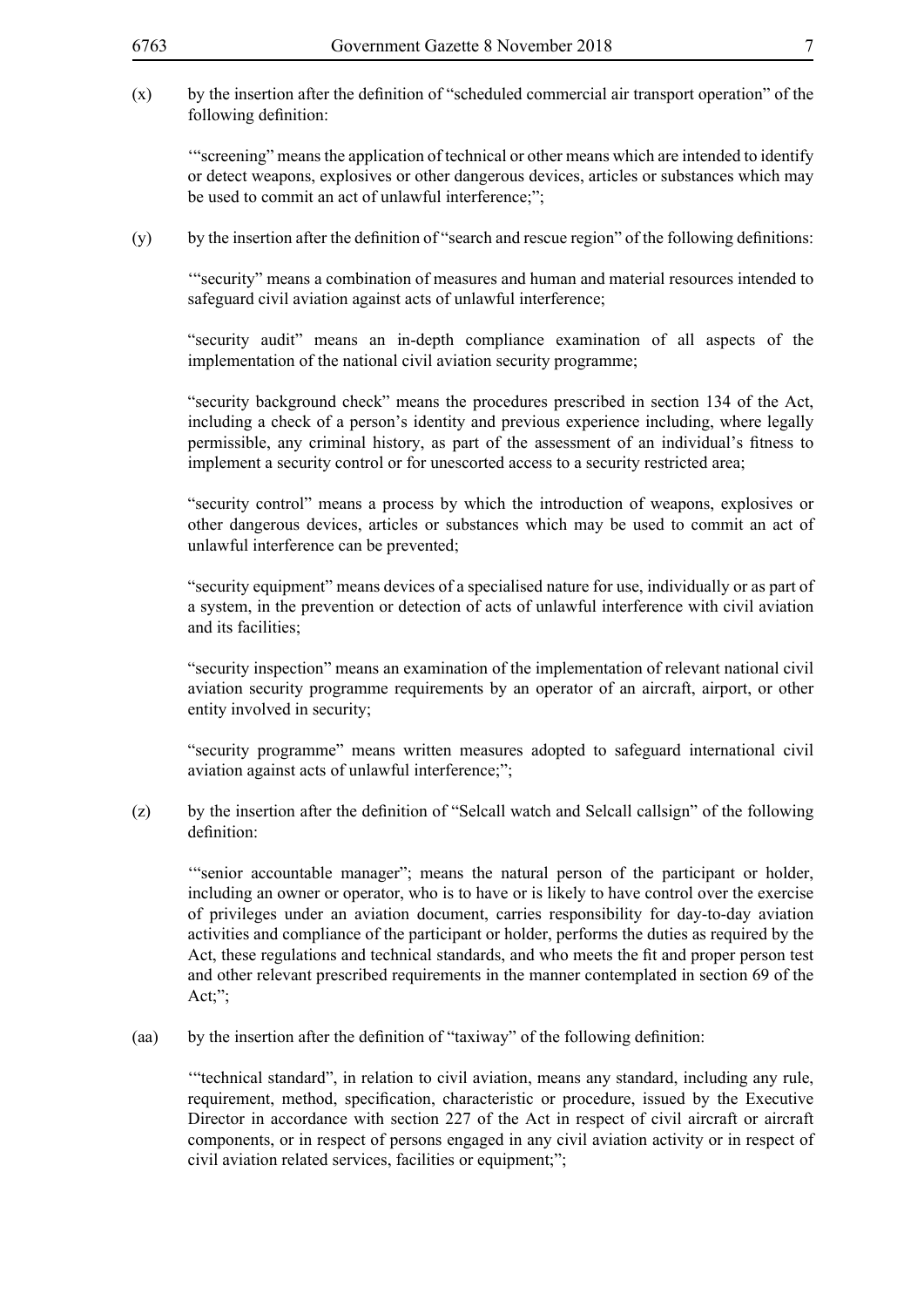(x) by the insertion after the definition of "scheduled commercial air transport operation" of the following definition:

'"screening" means the application of technical or other means which are intended to identify or detect weapons, explosives or other dangerous devices, articles or substances which may be used to commit an act of unlawful interference;";

(y) by the insertion after the definition of "search and rescue region" of the following definitions:

'"security" means a combination of measures and human and material resources intended to safeguard civil aviation against acts of unlawful interference;

"security audit" means an in-depth compliance examination of all aspects of the implementation of the national civil aviation security programme;

"security background check" means the procedures prescribed in section 134 of the Act, including a check of a person's identity and previous experience including, where legally permissible, any criminal history, as part of the assessment of an individual's fitness to implement a security control or for unescorted access to a security restricted area;

"security control" means a process by which the introduction of weapons, explosives or other dangerous devices, articles or substances which may be used to commit an act of unlawful interference can be prevented;

"security equipment" means devices of a specialised nature for use, individually or as part of a system, in the prevention or detection of acts of unlawful interference with civil aviation and its facilities;

"security inspection" means an examination of the implementation of relevant national civil aviation security programme requirements by an operator of an aircraft, airport, or other entity involved in security;

"security programme" means written measures adopted to safeguard international civil aviation against acts of unlawful interference;";

(z) by the insertion after the definition of "Selcall watch and Selcall callsign" of the following definition:

'"senior accountable manager"; means the natural person of the participant or holder, including an owner or operator, who is to have or is likely to have control over the exercise of privileges under an aviation document, carries responsibility for day-to-day aviation activities and compliance of the participant or holder, performs the duties as required by the Act, these regulations and technical standards, and who meets the fit and proper person test and other relevant prescribed requirements in the manner contemplated in section 69 of the Act;";

(aa) by the insertion after the definition of "taxiway" of the following definition:

'"technical standard", in relation to civil aviation, means any standard, including any rule, requirement, method, specification, characteristic or procedure, issued by the Executive Director in accordance with section 227 of the Act in respect of civil aircraft or aircraft components, or in respect of persons engaged in any civil aviation activity or in respect of civil aviation related services, facilities or equipment;";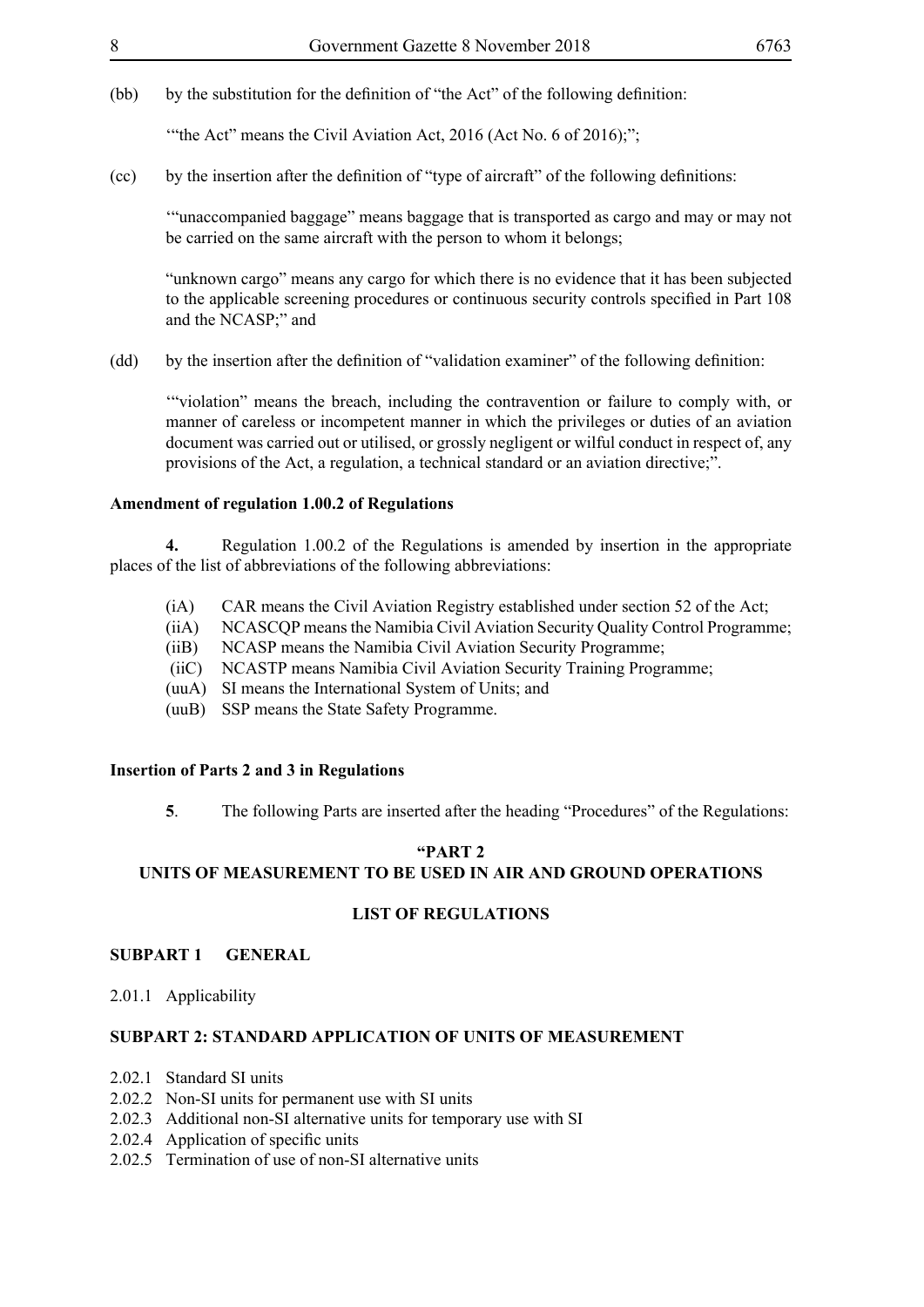(bb) by the substitution for the definition of "the Act" of the following definition:

"the Act" means the Civil Aviation Act,  $2016$  (Act No. 6 of  $2016$ );";

(cc) by the insertion after the definition of "type of aircraft" of the following definitions:

'"unaccompanied baggage" means baggage that is transported as cargo and may or may not be carried on the same aircraft with the person to whom it belongs;

"unknown cargo" means any cargo for which there is no evidence that it has been subjected to the applicable screening procedures or continuous security controls specified in Part 108 and the NCASP;" and

(dd) by the insertion after the definition of "validation examiner" of the following definition:

'"violation" means the breach, including the contravention or failure to comply with, or manner of careless or incompetent manner in which the privileges or duties of an aviation document was carried out or utilised, or grossly negligent or wilful conduct in respect of, any provisions of the Act, a regulation, a technical standard or an aviation directive;".

#### **Amendment of regulation 1.00.2 of Regulations**

**4.** Regulation 1.00.2 of the Regulations is amended by insertion in the appropriate places of the list of abbreviations of the following abbreviations:

- (iA) CAR means the Civil Aviation Registry established under section 52 of the Act;
- (iiA) NCASCQP means the Namibia Civil Aviation Security Quality Control Programme;
- (iiB) NCASP means the Namibia Civil Aviation Security Programme;
- (iiC) NCASTP means Namibia Civil Aviation Security Training Programme;
- (uuA) SI means the International System of Units; and
- (uuB) SSP means the State Safety Programme.

#### **Insertion of Parts 2 and 3 in Regulations**

**5**. The following Parts are inserted after the heading "Procedures" of the Regulations:

### **"PART 2**

#### **UNITS OF MEASUREMENT TO BE USED IN AIR AND GROUND OPERATIONS**

#### **LIST OF REGULATIONS**

#### **SUBPART 1 GENERAL**

2.01.1 Applicability

#### **SUBPART 2: STANDARD APPLICATION OF UNITS OF MEASUREMENT**

- 2.02.1 Standard SI units
- 2.02.2 Non-SI units for permanent use with SI units
- 2.02.3 Additional non-SI alternative units for temporary use with SI
- 2.02.4 Application of specific units
- 2.02.5 Termination of use of non-SI alternative units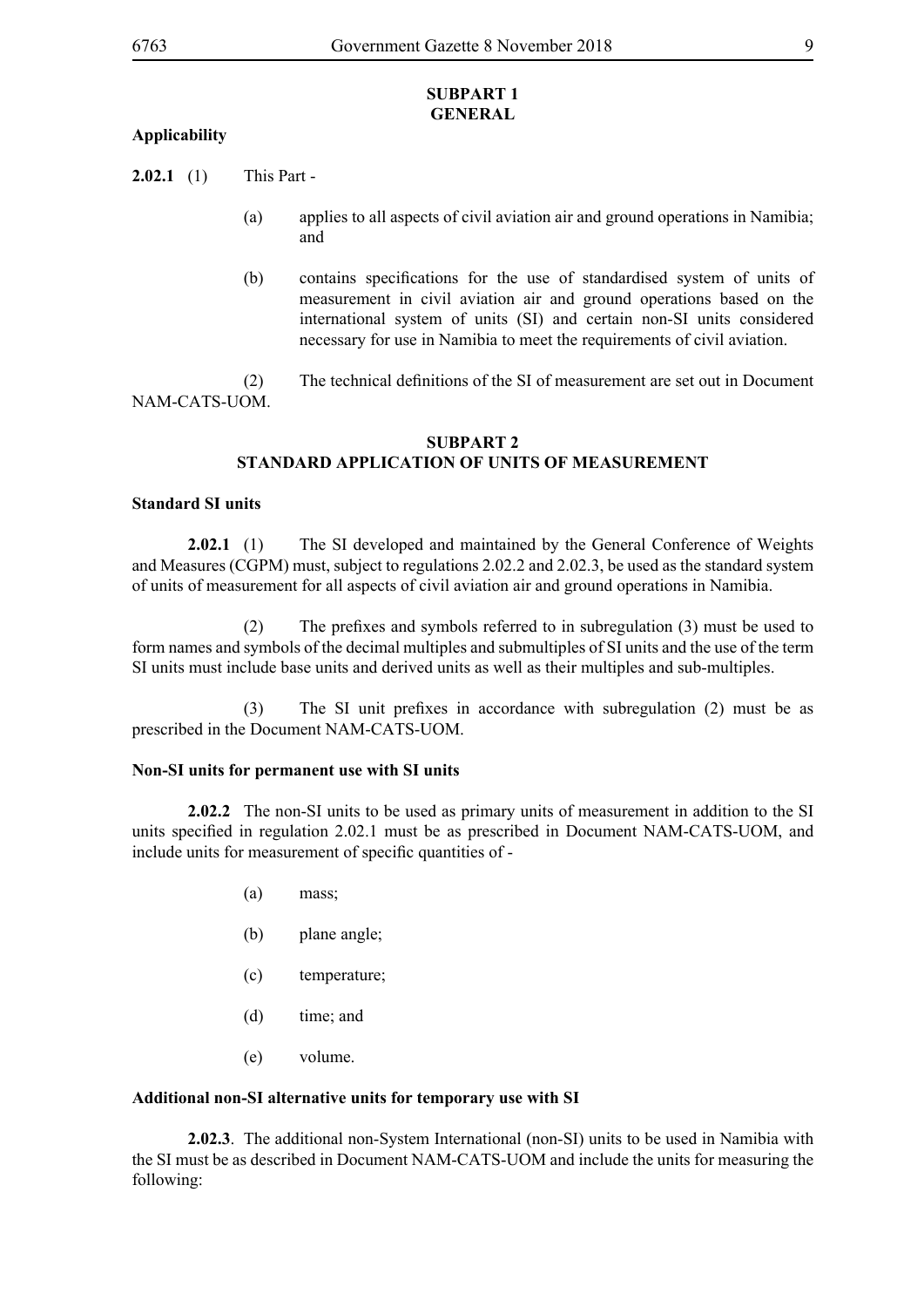#### **SUBPART 1 GENERAL**

#### **Applicability**

**2.02.1** (1) This Part -

- (a) applies to all aspects of civil aviation air and ground operations in Namibia; and
- (b) contains specifications for the use of standardised system of units of measurement in civil aviation air and ground operations based on the international system of units (SI) and certain non-SI units considered necessary for use in Namibia to meet the requirements of civil aviation.
- (2) The technical definitions of the SI of measurement are set out in Document NAM-CATS-UOM.

#### **SUBPART 2 STANDARD APPLICATION OF UNITS OF MEASUREMENT**

#### **Standard SI units**

**2.02.1** (1) The SI developed and maintained by the General Conference of Weights and Measures (CGPM) must, subject to regulations 2.02.2 and 2.02.3, be used as the standard system of units of measurement for all aspects of civil aviation air and ground operations in Namibia.

(2) The prefixes and symbols referred to in subregulation (3) must be used to form names and symbols of the decimal multiples and submultiples of SI units and the use of the term SI units must include base units and derived units as well as their multiples and sub-multiples.

(3) The SI unit prefixes in accordance with subregulation (2) must be as prescribed in the Document NAM-CATS-UOM.

#### **Non-SI units for permanent use with SI units**

**2.02.2** The non-SI units to be used as primary units of measurement in addition to the SI units specified in regulation 2.02.1 must be as prescribed in Document NAM-CATS-UOM, and include units for measurement of specific quantities of -

- (a) mass;
- (b) plane angle;
- (c) temperature;
- (d) time; and
- (e) volume.

#### **Additional non-SI alternative units for temporary use with SI**

**2.02.3**. The additional non-System International (non-SI) units to be used in Namibia with the SI must be as described in Document NAM-CATS-UOM and include the units for measuring the following: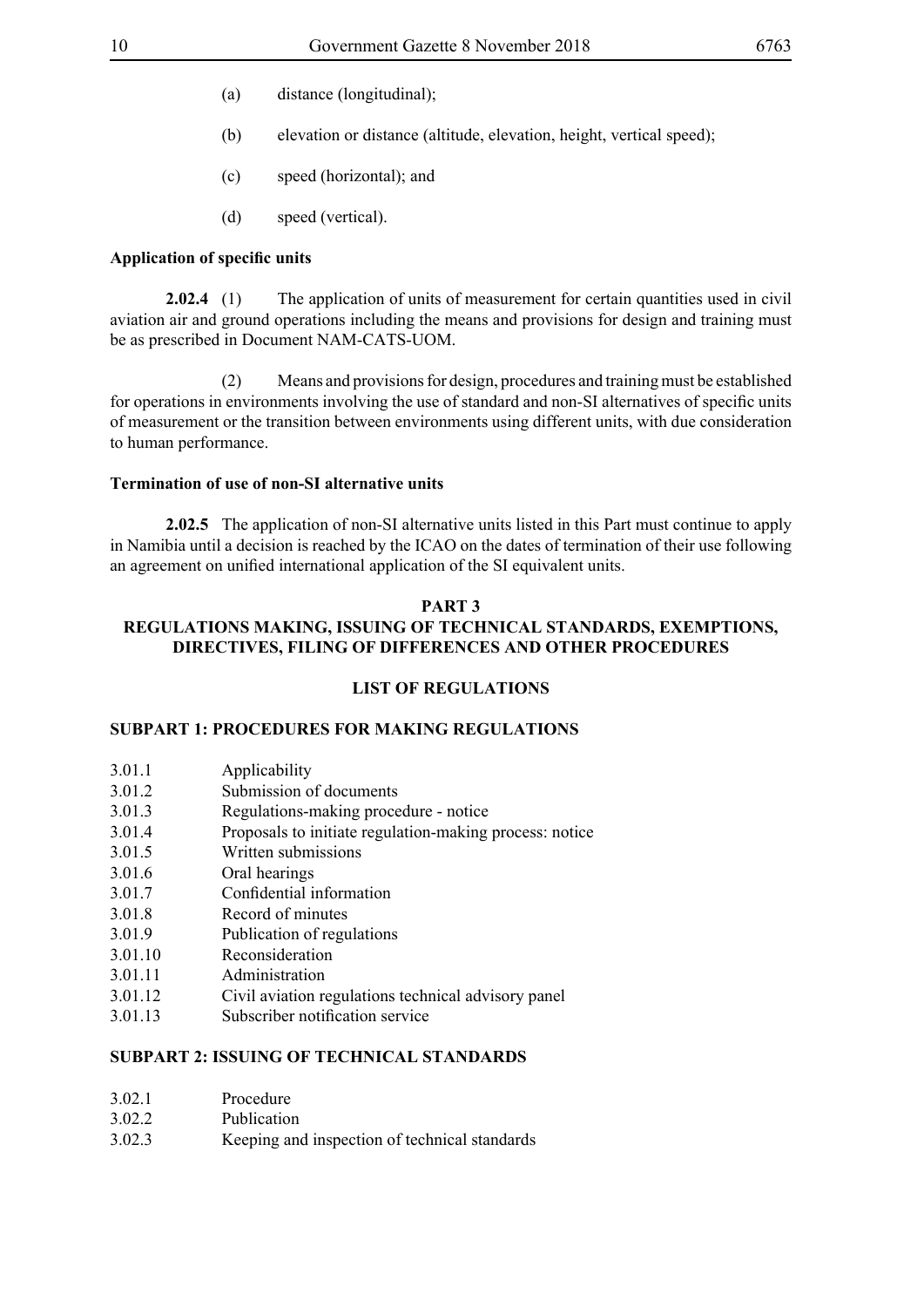- (a) distance (longitudinal);
- (b) elevation or distance (altitude, elevation, height, vertical speed);
- (c) speed (horizontal); and
- (d) speed (vertical).

#### **Application of specific units**

**2.02.4** (1) The application of units of measurement for certain quantities used in civil aviation air and ground operations including the means and provisions for design and training must be as prescribed in Document NAM-CATS-UOM.

 (2) Means and provisions for design, procedures and training must be established for operations in environments involving the use of standard and non-SI alternatives of specific units of measurement or the transition between environments using different units, with due consideration to human performance.

#### **Termination of use of non-SI alternative units**

**2.02.5** The application of non-SI alternative units listed in this Part must continue to apply in Namibia until a decision is reached by the ICAO on the dates of termination of their use following an agreement on unified international application of the SI equivalent units.

#### **PART 3**

#### **REGULATIONS MAKING, ISSUING OF TECHNICAL STANDARDS, EXEMPTIONS, DIRECTIVES, FILING OF DIFFERENCES AND OTHER PROCEDURES**

#### **LIST OF REGULATIONS**

#### **SUBPART 1: PROCEDURES FOR MAKING REGULATIONS**

| 3.01.1 | Applicability |
|--------|---------------|
|        |               |

- 3.01.2 Submission of documents
- 3.01.3 Regulations-making procedure notice
- 3.01.4 Proposals to initiate regulation-making process: notice
- 3.01.5 Written submissions
- 3.01.6 Oral hearings
- 3.01.7 Confidential information
- 3.01.8 Record of minutes
- 3.01.9 Publication of regulations
- 3.01.10 Reconsideration
- 3.01.11 Administration
- 3.01.12 Civil aviation regulations technical advisory panel
- 3.01.13 Subscriber notification service

#### **SUBPART 2: ISSUING OF TECHNICAL STANDARDS**

| 3.02.1 | Procedure |
|--------|-----------|
|        |           |

- 3.02.2 Publication
- 3.02.3 Keeping and inspection of technical standards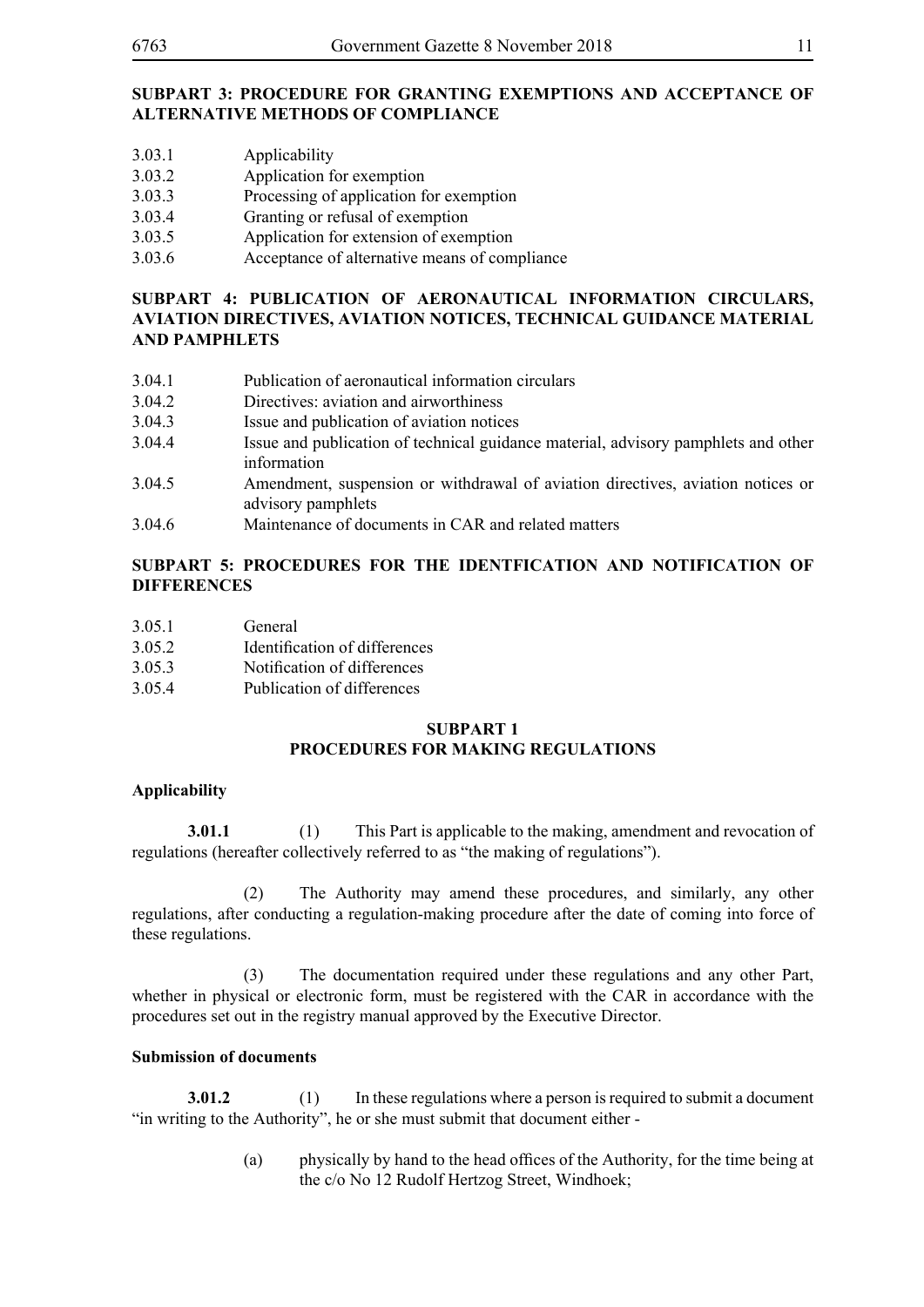#### **SUBPART 3: PROCEDURE FOR GRANTING EXEMPTIONS AND ACCEPTANCE OF ALTERNATIVE METHODS OF COMPLIANCE**

- 3.03.1 Applicability
- 3.03.2 Application for exemption
- 3.03.3 Processing of application for exemption
- 3.03.4 Granting or refusal of exemption
- 3.03.5 Application for extension of exemption
- 3.03.6 Acceptance of alternative means of compliance

#### **SUBPART 4: PUBLICATION OF AERONAUTICAL INFORMATION CIRCULARS, AVIATION DIRECTIVES, AVIATION NOTICES, TECHNICAL GUIDANCE MATERIAL AND PAMPHLETS**

- 3.04.1 Publication of aeronautical information circulars
- 3.04.2 Directives: aviation and airworthiness
- 3.04.3 Issue and publication of aviation notices
- 3.04.4 Issue and publication of technical guidance material, advisory pamphlets and other information
- 3.04.5 Amendment, suspension or withdrawal of aviation directives, aviation notices or advisory pamphlets
- 3.04.6 Maintenance of documents in CAR and related matters

#### **SUBPART 5: PROCEDURES FOR THE IDENTFICATION AND NOTIFICATION OF DIFFERENCES**

- 3.05.1 General
- 3.05.2 Identification of differences
- 3.05.3 Notification of differences
- 3.05.4 Publication of differences

#### **SUBPART 1 PROCEDURES FOR MAKING REGULATIONS**

#### **Applicability**

**3.01.1** (1) This Part is applicable to the making, amendment and revocation of regulations (hereafter collectively referred to as "the making of regulations").

 (2) The Authority may amend these procedures, and similarly, any other regulations, after conducting a regulation-making procedure after the date of coming into force of these regulations.

 (3) The documentation required under these regulations and any other Part, whether in physical or electronic form, must be registered with the CAR in accordance with the procedures set out in the registry manual approved by the Executive Director.

#### **Submission of documents**

**3.01.2** (1) In these regulations where a person is required to submit a document "in writing to the Authority", he or she must submit that document either -

> (a) physically by hand to the head offices of the Authority, for the time being at the c/o No 12 Rudolf Hertzog Street, Windhoek;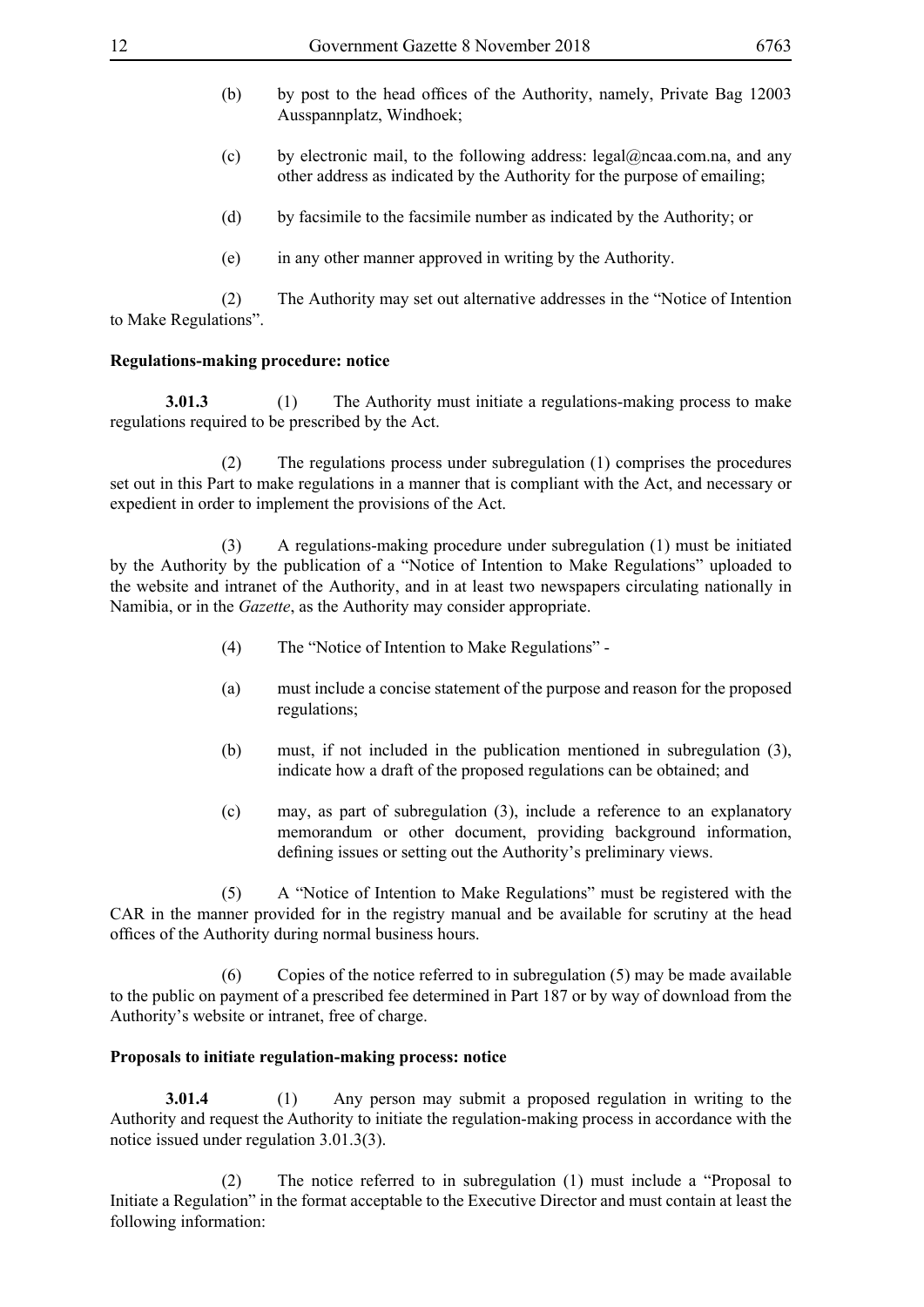- (b) by post to the head offices of the Authority, namely, Private Bag 12003 Ausspannplatz, Windhoek;
- (c) by electronic mail, to the following address: legal@ncaa.com.na, and any other address as indicated by the Authority for the purpose of emailing;
- (d) by facsimile to the facsimile number as indicated by the Authority; or
- (e) in any other manner approved in writing by the Authority.

 (2) The Authority may set out alternative addresses in the "Notice of Intention to Make Regulations".

#### **Regulations-making procedure: notice**

**3.01.3** (1) The Authority must initiate a regulations-making process to make regulations required to be prescribed by the Act.

 (2) The regulations process under subregulation (1) comprises the procedures set out in this Part to make regulations in a manner that is compliant with the Act, and necessary or expedient in order to implement the provisions of the Act.

 (3) A regulations-making procedure under subregulation (1) must be initiated by the Authority by the publication of a "Notice of Intention to Make Regulations" uploaded to the website and intranet of the Authority, and in at least two newspapers circulating nationally in Namibia, or in the *Gazette*, as the Authority may consider appropriate.

- (4) The "Notice of Intention to Make Regulations" -
- (a) must include a concise statement of the purpose and reason for the proposed regulations;
- (b) must, if not included in the publication mentioned in subregulation (3), indicate how a draft of the proposed regulations can be obtained; and
- (c) may, as part of subregulation (3), include a reference to an explanatory memorandum or other document, providing background information, defining issues or setting out the Authority's preliminary views.

 (5) A "Notice of Intention to Make Regulations" must be registered with the CAR in the manner provided for in the registry manual and be available for scrutiny at the head offices of the Authority during normal business hours.

 (6) Copies of the notice referred to in subregulation (5) may be made available to the public on payment of a prescribed fee determined in Part 187 or by way of download from the Authority's website or intranet, free of charge.

#### **Proposals to initiate regulation-making process: notice**

**3.01.4** (1) Any person may submit a proposed regulation in writing to the Authority and request the Authority to initiate the regulation-making process in accordance with the notice issued under regulation 3.01.3(3).

The notice referred to in subregulation (1) must include a "Proposal to Initiate a Regulation" in the format acceptable to the Executive Director and must contain at least the following information: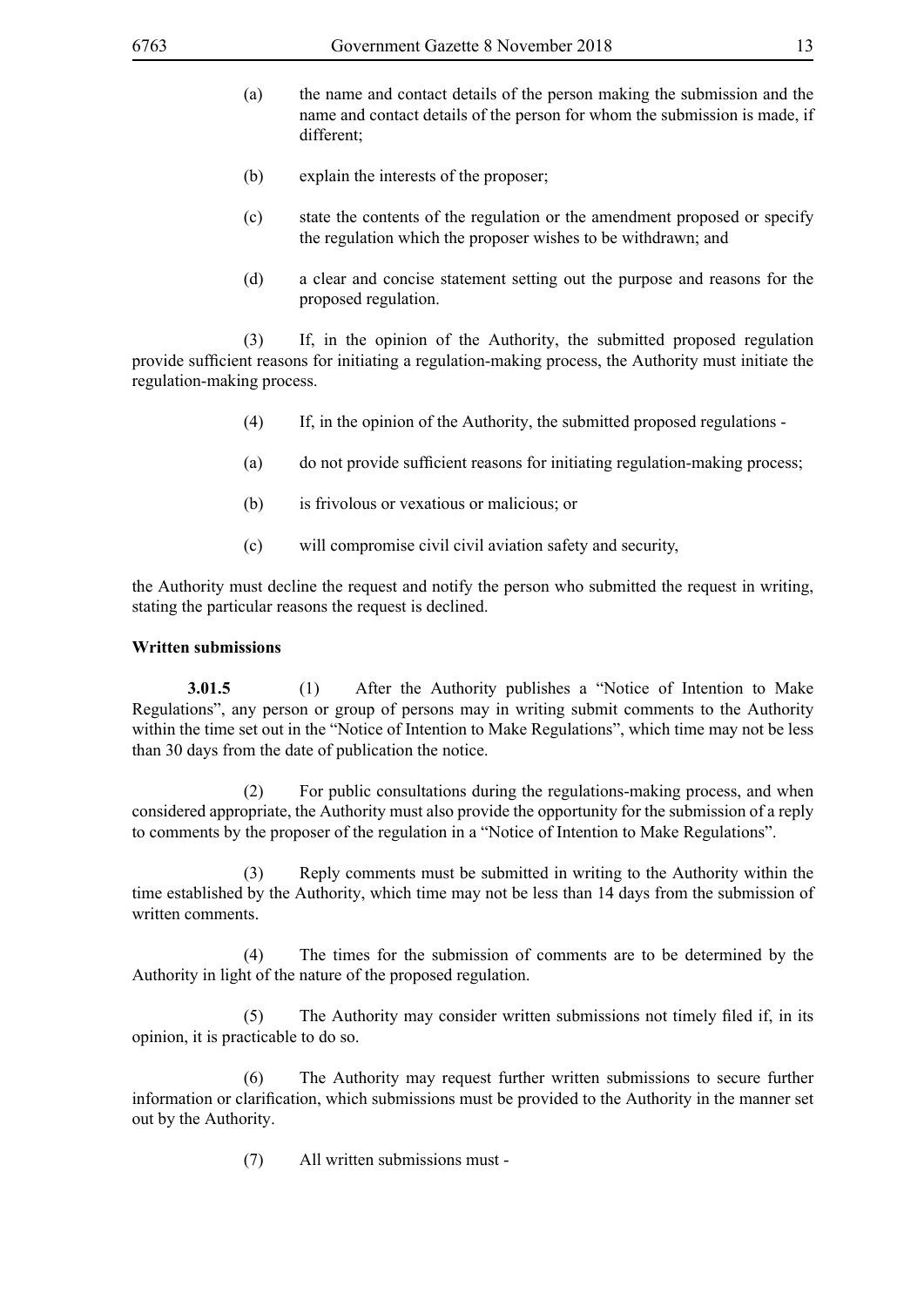- (a) the name and contact details of the person making the submission and the name and contact details of the person for whom the submission is made, if different;
- (b) explain the interests of the proposer;
- (c) state the contents of the regulation or the amendment proposed or specify the regulation which the proposer wishes to be withdrawn; and
- (d) a clear and concise statement setting out the purpose and reasons for the proposed regulation.

 (3) If, in the opinion of the Authority, the submitted proposed regulation provide sufficient reasons for initiating a regulation-making process, the Authority must initiate the regulation-making process.

- (4) If, in the opinion of the Authority, the submitted proposed regulations -
- (a) do not provide sufficient reasons for initiating regulation-making process;
- (b) is frivolous or vexatious or malicious; or
- (c) will compromise civil civil aviation safety and security,

the Authority must decline the request and notify the person who submitted the request in writing, stating the particular reasons the request is declined.

#### **Written submissions**

**3.01.5** (1) After the Authority publishes a "Notice of Intention to Make Regulations", any person or group of persons may in writing submit comments to the Authority within the time set out in the "Notice of Intention to Make Regulations", which time may not be less than 30 days from the date of publication the notice.

 (2) For public consultations during the regulations-making process, and when considered appropriate, the Authority must also provide the opportunity for the submission of a reply to comments by the proposer of the regulation in a "Notice of Intention to Make Regulations".

 (3) Reply comments must be submitted in writing to the Authority within the time established by the Authority, which time may not be less than 14 days from the submission of written comments.

 (4) The times for the submission of comments are to be determined by the Authority in light of the nature of the proposed regulation.

(5) The Authority may consider written submissions not timely filed if, in its opinion, it is practicable to do so.

 (6) The Authority may request further written submissions to secure further information or clarification, which submissions must be provided to the Authority in the manner set out by the Authority.

(7) All written submissions must -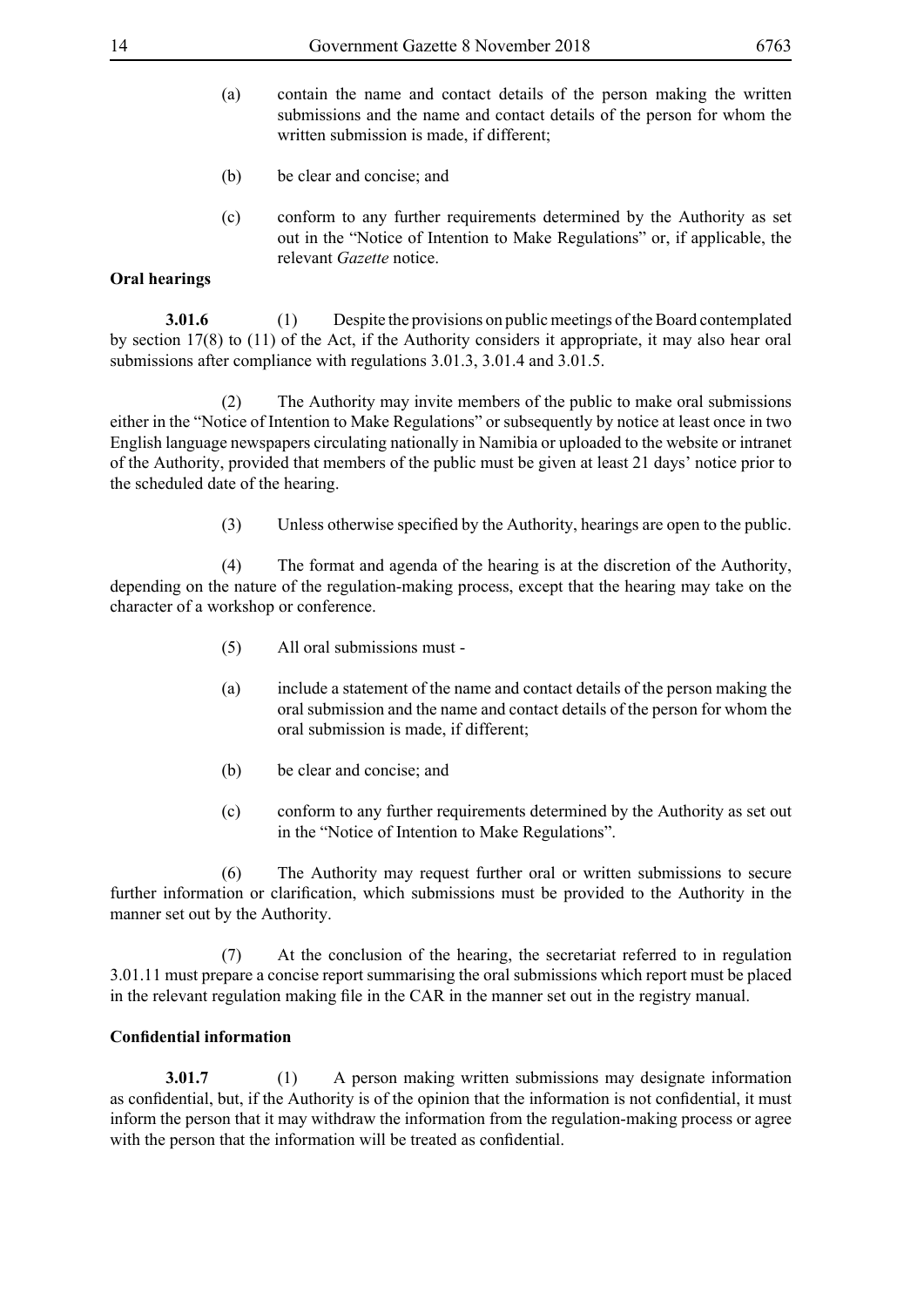- (a) contain the name and contact details of the person making the written submissions and the name and contact details of the person for whom the written submission is made, if different;
- (b) be clear and concise; and
- (c) conform to any further requirements determined by the Authority as set out in the "Notice of Intention to Make Regulations" or, if applicable, the relevant *Gazette* notice.

#### **Oral hearings**

**3.01.6** (1) Despite the provisions on public meetings of the Board contemplated by section 17(8) to (11) of the Act, if the Authority considers it appropriate, it may also hear oral submissions after compliance with regulations 3.01.3, 3.01.4 and 3.01.5.

 (2) The Authority may invite members of the public to make oral submissions either in the "Notice of Intention to Make Regulations" or subsequently by notice at least once in two English language newspapers circulating nationally in Namibia or uploaded to the website or intranet of the Authority, provided that members of the public must be given at least 21 days' notice prior to the scheduled date of the hearing.

(3) Unless otherwise specified by the Authority, hearings are open to the public.

 (4) The format and agenda of the hearing is at the discretion of the Authority, depending on the nature of the regulation-making process, except that the hearing may take on the character of a workshop or conference.

- (5) All oral submissions must -
- (a) include a statement of the name and contact details of the person making the oral submission and the name and contact details of the person for whom the oral submission is made, if different;
- (b) be clear and concise; and
- (c) conform to any further requirements determined by the Authority as set out in the "Notice of Intention to Make Regulations".

 (6) The Authority may request further oral or written submissions to secure further information or clarification, which submissions must be provided to the Authority in the manner set out by the Authority.

 (7) At the conclusion of the hearing, the secretariat referred to in regulation 3.01.11 must prepare a concise report summarising the oral submissions which report must be placed in the relevant regulation making file in the CAR in the manner set out in the registry manual.

#### **Confidential information**

**3.01.7** (1) A person making written submissions may designate information as confidential, but, if the Authority is of the opinion that the information is not confidential, it must inform the person that it may withdraw the information from the regulation-making process or agree with the person that the information will be treated as confidential.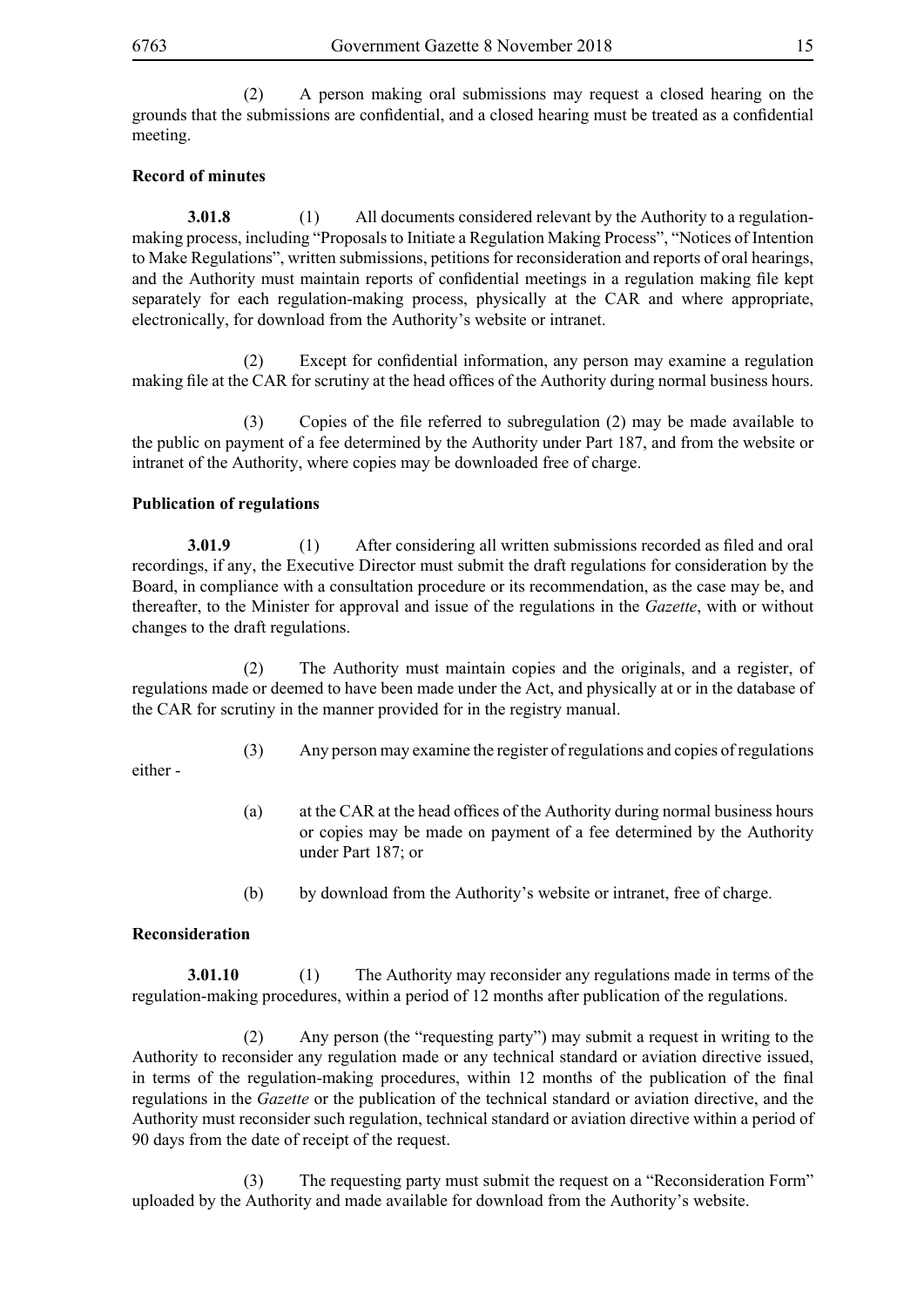(2) A person making oral submissions may request a closed hearing on the grounds that the submissions are confidential, and a closed hearing must be treated as a confidential meeting.

#### **Record of minutes**

**3.01.8** (1) All documents considered relevant by the Authority to a regulationmaking process, including "Proposals to Initiate a Regulation Making Process", "Notices of Intention to Make Regulations", written submissions, petitions for reconsideration and reports of oral hearings, and the Authority must maintain reports of confidential meetings in a regulation making file kept separately for each regulation-making process, physically at the CAR and where appropriate, electronically, for download from the Authority's website or intranet.

(2) Except for confidential information, any person may examine a regulation making file at the CAR for scrutiny at the head offices of the Authority during normal business hours.

(3) Copies of the file referred to subregulation (2) may be made available to the public on payment of a fee determined by the Authority under Part 187, and from the website or intranet of the Authority, where copies may be downloaded free of charge.

#### **Publication of regulations**

**3.01.9** (1) After considering all written submissions recorded as filed and oral recordings, if any, the Executive Director must submit the draft regulations for consideration by the Board, in compliance with a consultation procedure or its recommendation, as the case may be, and thereafter, to the Minister for approval and issue of the regulations in the *Gazette*, with or without changes to the draft regulations.

 (2) The Authority must maintain copies and the originals, and a register, of regulations made or deemed to have been made under the Act, and physically at or in the database of the CAR for scrutiny in the manner provided for in the registry manual.

(3) Any person may examine the register of regulations and copies of regulations

either -

- (a) at the CAR at the head offices of the Authority during normal business hours or copies may be made on payment of a fee determined by the Authority under Part 187; or
- (b) by download from the Authority's website or intranet, free of charge.

#### **Reconsideration**

**3.01.10** (1) The Authority may reconsider any regulations made in terms of the regulation-making procedures, within a period of 12 months after publication of the regulations.

 (2) Any person (the "requesting party") may submit a request in writing to the Authority to reconsider any regulation made or any technical standard or aviation directive issued, in terms of the regulation-making procedures, within 12 months of the publication of the final regulations in the *Gazette* or the publication of the technical standard or aviation directive, and the Authority must reconsider such regulation, technical standard or aviation directive within a period of 90 days from the date of receipt of the request.

 (3) The requesting party must submit the request on a "Reconsideration Form" uploaded by the Authority and made available for download from the Authority's website.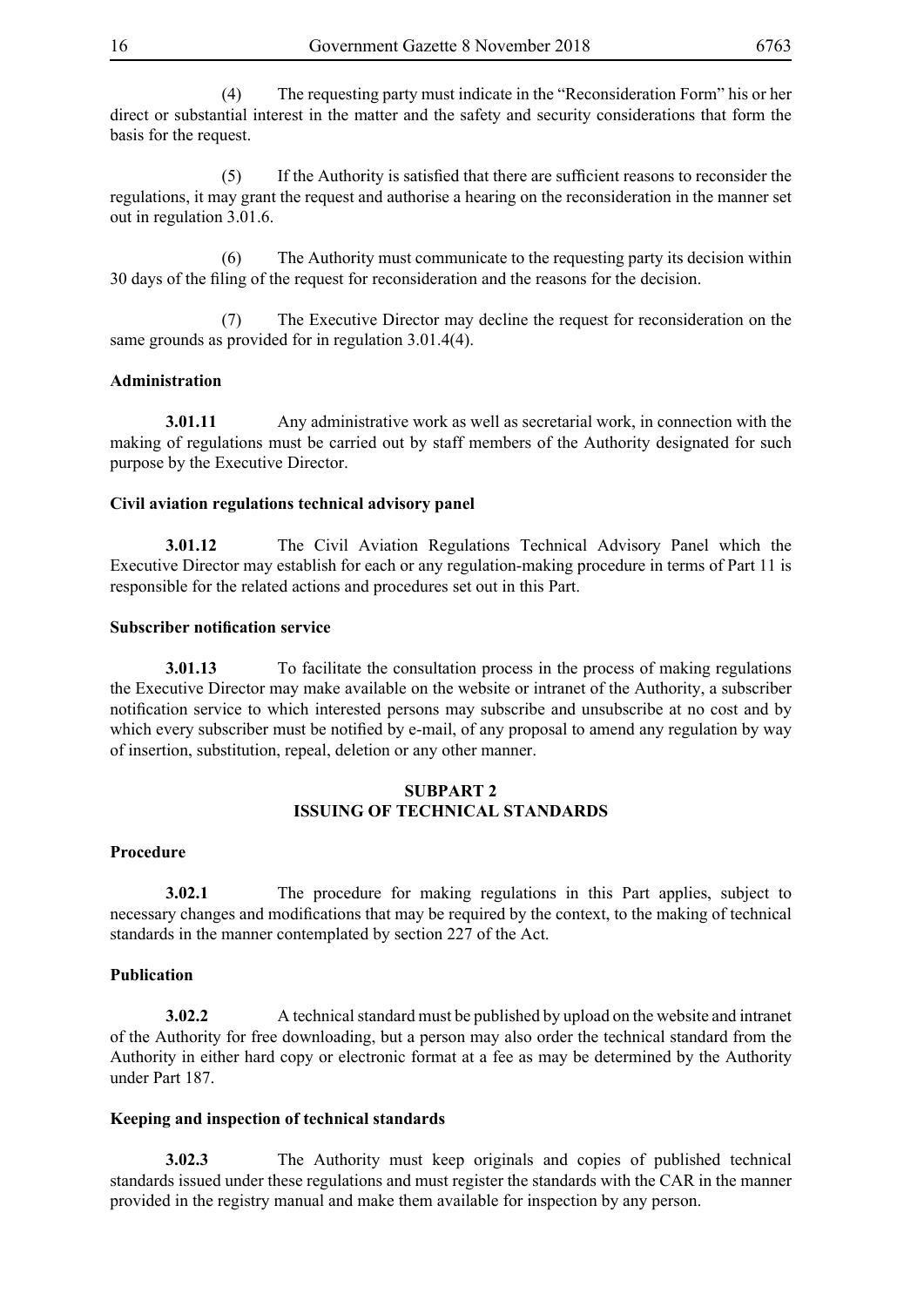(4) The requesting party must indicate in the "Reconsideration Form" his or her direct or substantial interest in the matter and the safety and security considerations that form the basis for the request.

(5) If the Authority is satisfied that there are sufficient reasons to reconsider the regulations, it may grant the request and authorise a hearing on the reconsideration in the manner set out in regulation 3.01.6.

 (6) The Authority must communicate to the requesting party its decision within 30 days of the filing of the request for reconsideration and the reasons for the decision.

 (7) The Executive Director may decline the request for reconsideration on the same grounds as provided for in regulation 3.01.4(4).

#### **Administration**

**3.01.11** Any administrative work as well as secretarial work, in connection with the making of regulations must be carried out by staff members of the Authority designated for such purpose by the Executive Director.

#### **Civil aviation regulations technical advisory panel**

**3.01.12** The Civil Aviation Regulations Technical Advisory Panel which the Executive Director may establish for each or any regulation-making procedure in terms of Part 11 is responsible for the related actions and procedures set out in this Part.

#### **Subscriber notification service**

**3.01.13** To facilitate the consultation process in the process of making regulations the Executive Director may make available on the website or intranet of the Authority, a subscriber notification service to which interested persons may subscribe and unsubscribe at no cost and by which every subscriber must be notified by e-mail, of any proposal to amend any regulation by way of insertion, substitution, repeal, deletion or any other manner.

#### **SUBPART 2 ISSUING OF TECHNICAL STANDARDS**

#### **Procedure**

**3.02.1** The procedure for making regulations in this Part applies, subject to necessary changes and modifications that may be required by the context, to the making of technical standards in the manner contemplated by section 227 of the Act.

#### **Publication**

**3.02.2** A technical standard must be published by upload on the website and intranet of the Authority for free downloading, but a person may also order the technical standard from the Authority in either hard copy or electronic format at a fee as may be determined by the Authority under Part 187.

#### **Keeping and inspection of technical standards**

**3.02.3** The Authority must keep originals and copies of published technical standards issued under these regulations and must register the standards with the CAR in the manner provided in the registry manual and make them available for inspection by any person.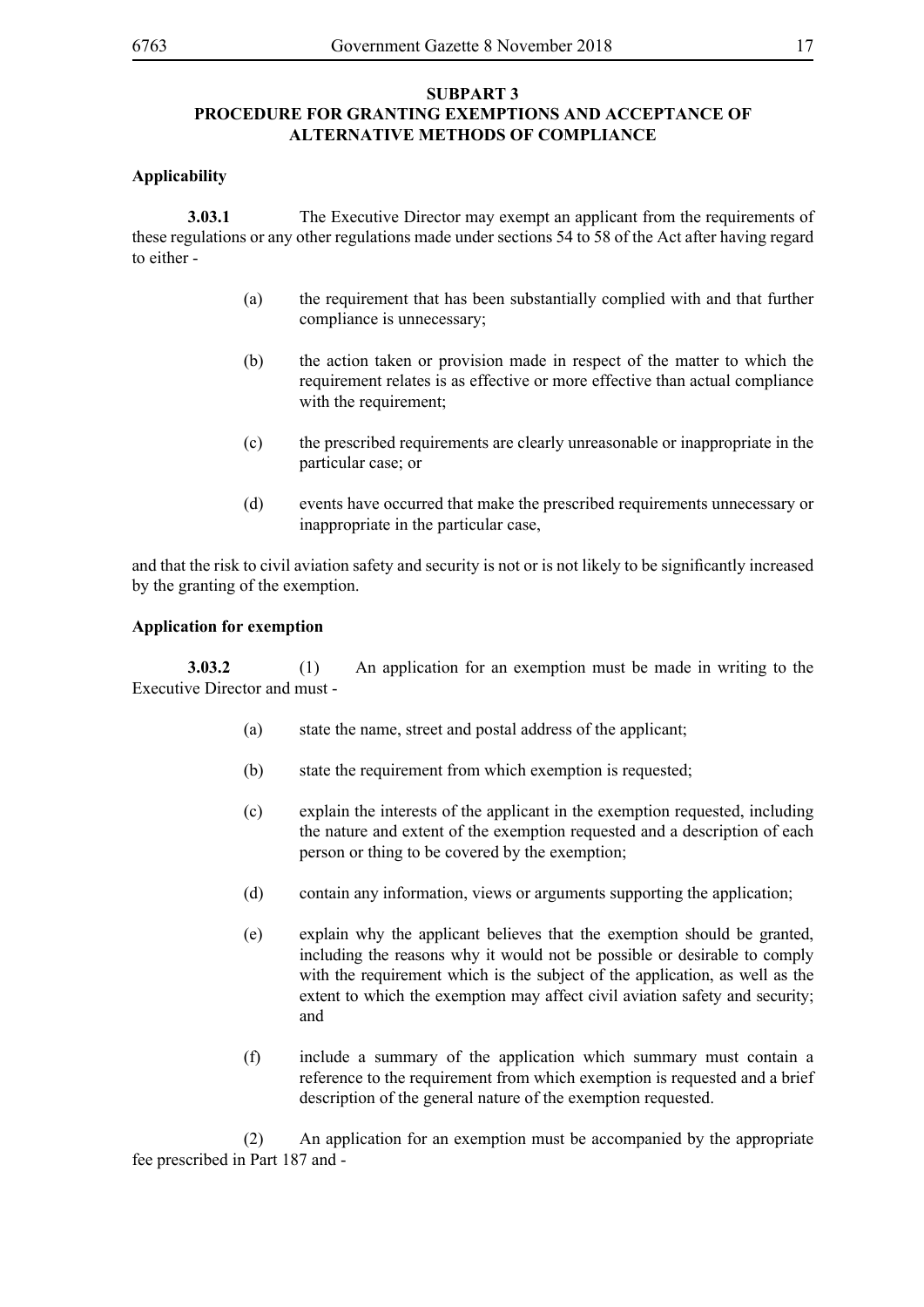#### **SUBPART 3 PROCEDURE FOR GRANTING EXEMPTIONS AND ACCEPTANCE OF ALTERNATIVE METHODS OF COMPLIANCE**

#### **Applicability**

**3.03.1** The Executive Director may exempt an applicant from the requirements of these regulations or any other regulations made under sections 54 to 58 of the Act after having regard to either -

- (a) the requirement that has been substantially complied with and that further compliance is unnecessary;
- (b) the action taken or provision made in respect of the matter to which the requirement relates is as effective or more effective than actual compliance with the requirement:
- (c) the prescribed requirements are clearly unreasonable or inappropriate in the particular case; or
- (d) events have occurred that make the prescribed requirements unnecessary or inappropriate in the particular case,

and that the risk to civil aviation safety and security is not or is not likely to be significantly increased by the granting of the exemption.

#### **Application for exemption**

**3.03.2** (1) An application for an exemption must be made in writing to the Executive Director and must -

- (a) state the name, street and postal address of the applicant;
- (b) state the requirement from which exemption is requested;
- (c) explain the interests of the applicant in the exemption requested, including the nature and extent of the exemption requested and a description of each person or thing to be covered by the exemption;
- (d) contain any information, views or arguments supporting the application;
- (e) explain why the applicant believes that the exemption should be granted, including the reasons why it would not be possible or desirable to comply with the requirement which is the subject of the application, as well as the extent to which the exemption may affect civil aviation safety and security; and
- (f) include a summary of the application which summary must contain a reference to the requirement from which exemption is requested and a brief description of the general nature of the exemption requested.

 (2) An application for an exemption must be accompanied by the appropriate fee prescribed in Part 187 and -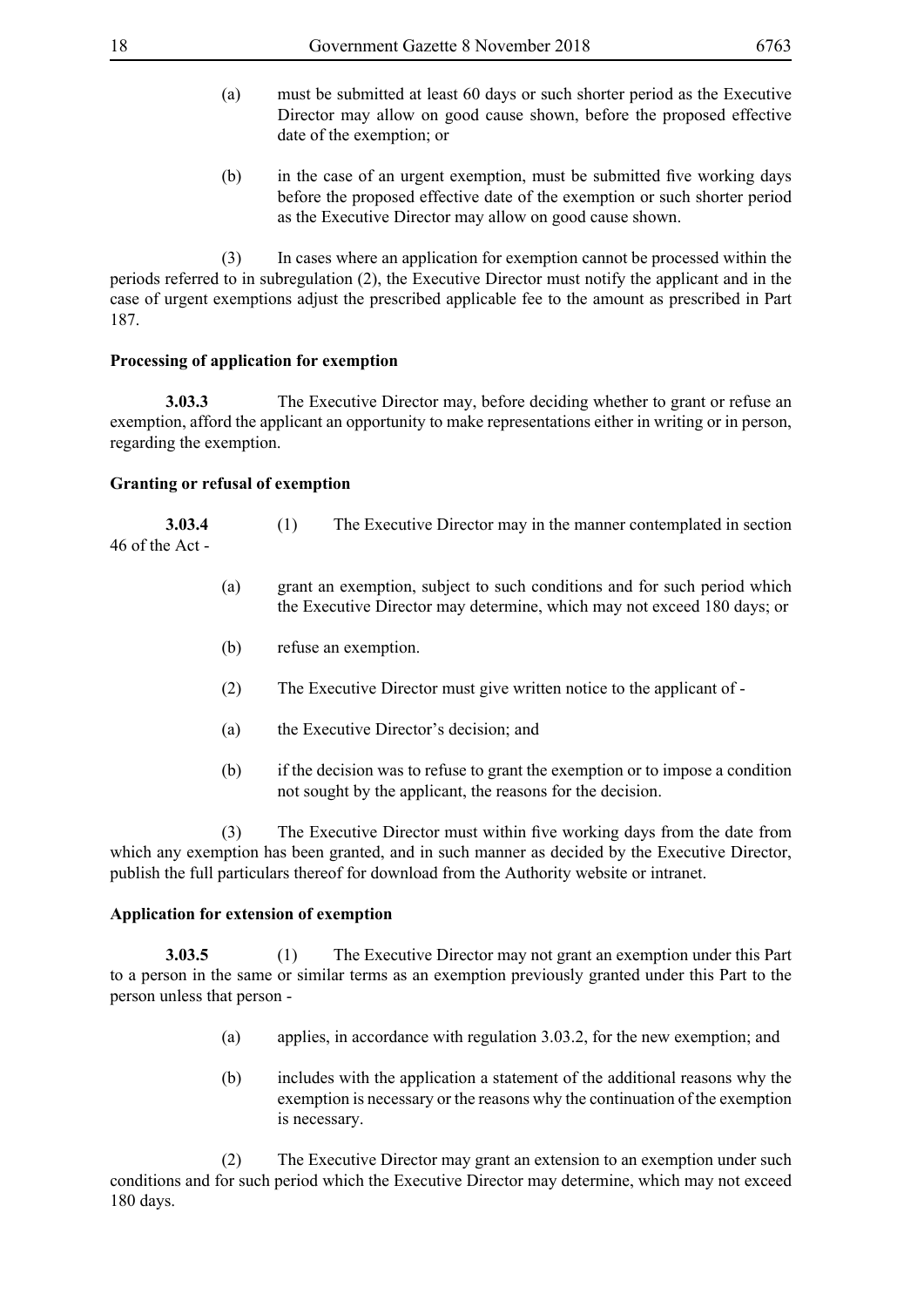- (a) must be submitted at least 60 days or such shorter period as the Executive Director may allow on good cause shown, before the proposed effective date of the exemption; or
- (b) in the case of an urgent exemption, must be submitted five working days before the proposed effective date of the exemption or such shorter period as the Executive Director may allow on good cause shown.

 (3) In cases where an application for exemption cannot be processed within the periods referred to in subregulation (2), the Executive Director must notify the applicant and in the case of urgent exemptions adjust the prescribed applicable fee to the amount as prescribed in Part 187.

#### **Processing of application for exemption**

**3.03.3** The Executive Director may, before deciding whether to grant or refuse an exemption, afford the applicant an opportunity to make representations either in writing or in person, regarding the exemption.

#### **Granting or refusal of exemption**

**3.03.4** (1) The Executive Director may in the manner contemplated in section 46 of the Act -

- (a) grant an exemption, subject to such conditions and for such period which the Executive Director may determine, which may not exceed 180 days; or
- (b) refuse an exemption.
- (2) The Executive Director must give written notice to the applicant of -
- (a) the Executive Director's decision; and
- (b) if the decision was to refuse to grant the exemption or to impose a condition not sought by the applicant, the reasons for the decision.

(3) The Executive Director must within five working days from the date from which any exemption has been granted, and in such manner as decided by the Executive Director, publish the full particulars thereof for download from the Authority website or intranet.

#### **Application for extension of exemption**

**3.03.5** (1) The Executive Director may not grant an exemption under this Part to a person in the same or similar terms as an exemption previously granted under this Part to the person unless that person -

- (a) applies, in accordance with regulation 3.03.2, for the new exemption; and
- (b) includes with the application a statement of the additional reasons why the exemption is necessary or the reasons why the continuation of the exemption is necessary.

 (2) The Executive Director may grant an extension to an exemption under such conditions and for such period which the Executive Director may determine, which may not exceed 180 days.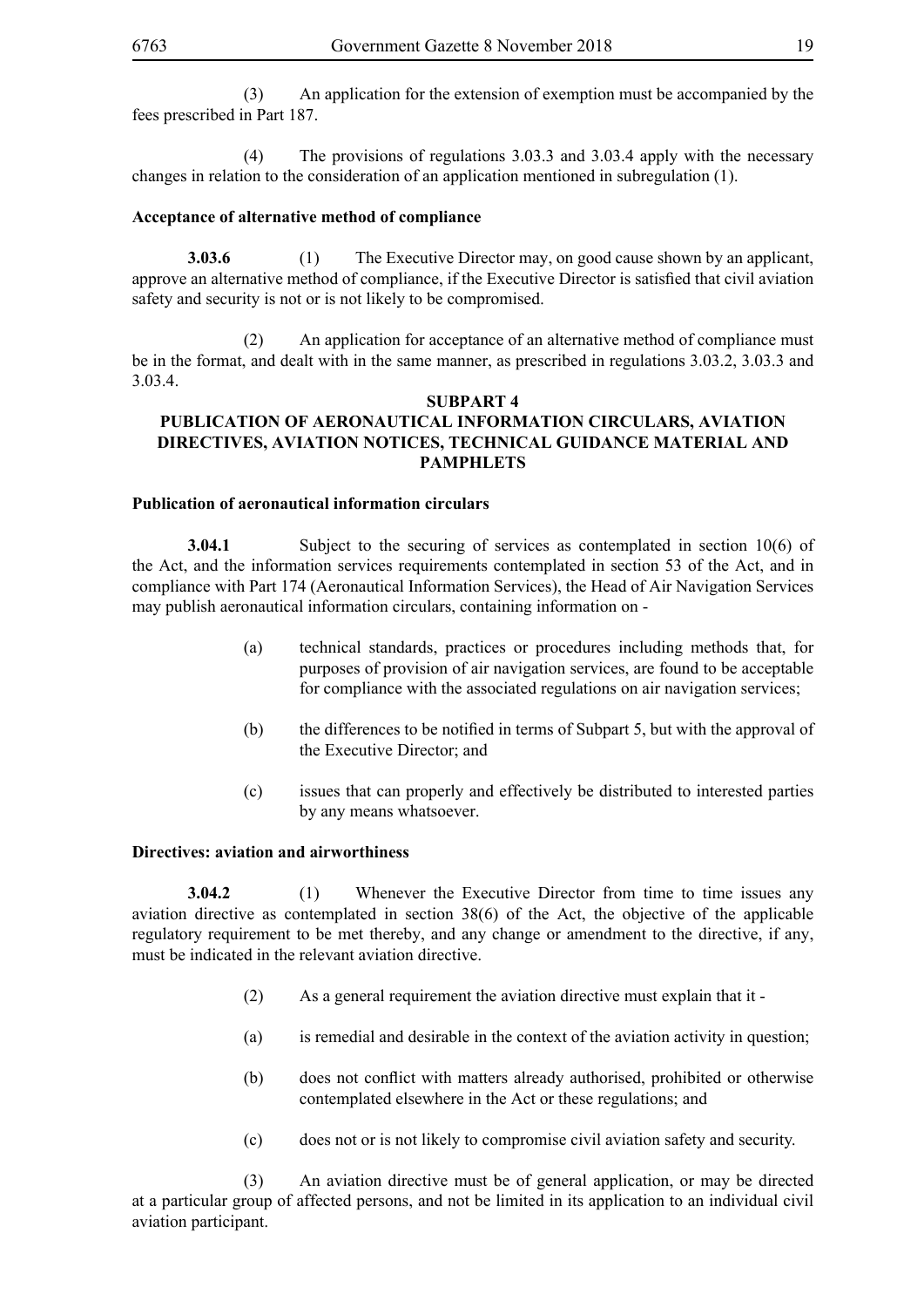(3) An application for the extension of exemption must be accompanied by the fees prescribed in Part 187.

 (4) The provisions of regulations 3.03.3 and 3.03.4 apply with the necessary changes in relation to the consideration of an application mentioned in subregulation (1).

#### **Acceptance of alternative method of compliance**

**3.03.6** (1) The Executive Director may, on good cause shown by an applicant, approve an alternative method of compliance, if the Executive Director is satisfied that civil aviation safety and security is not or is not likely to be compromised.

 (2) An application for acceptance of an alternative method of compliance must be in the format, and dealt with in the same manner, as prescribed in regulations 3.03.2, 3.03.3 and 3.03.4.

#### **SUBPART 4 PUBLICATION OF AERONAUTICAL INFORMATION CIRCULARS, AVIATION DIRECTIVES, AVIATION NOTICES, TECHNICAL GUIDANCE MATERIAL AND PAMPHLETS**

#### **Publication of aeronautical information circulars**

**3.04.1** Subject to the securing of services as contemplated in section 10(6) of the Act, and the information services requirements contemplated in section 53 of the Act, and in compliance with Part 174 (Aeronautical Information Services), the Head of Air Navigation Services may publish aeronautical information circulars, containing information on -

- (a) technical standards, practices or procedures including methods that, for purposes of provision of air navigation services, are found to be acceptable for compliance with the associated regulations on air navigation services;
- (b) the differences to be notified in terms of Subpart 5, but with the approval of the Executive Director; and
- (c) issues that can properly and effectively be distributed to interested parties by any means whatsoever.

#### **Directives: aviation and airworthiness**

**3.04.2** (1) Whenever the Executive Director from time to time issues any aviation directive as contemplated in section 38(6) of the Act, the objective of the applicable regulatory requirement to be met thereby, and any change or amendment to the directive, if any, must be indicated in the relevant aviation directive.

- (2) As a general requirement the aviation directive must explain that it -
- (a) is remedial and desirable in the context of the aviation activity in question;
- (b) does not conflict with matters already authorised, prohibited or otherwise contemplated elsewhere in the Act or these regulations; and
- (c) does not or is not likely to compromise civil aviation safety and security.

 (3) An aviation directive must be of general application, or may be directed at a particular group of affected persons, and not be limited in its application to an individual civil aviation participant.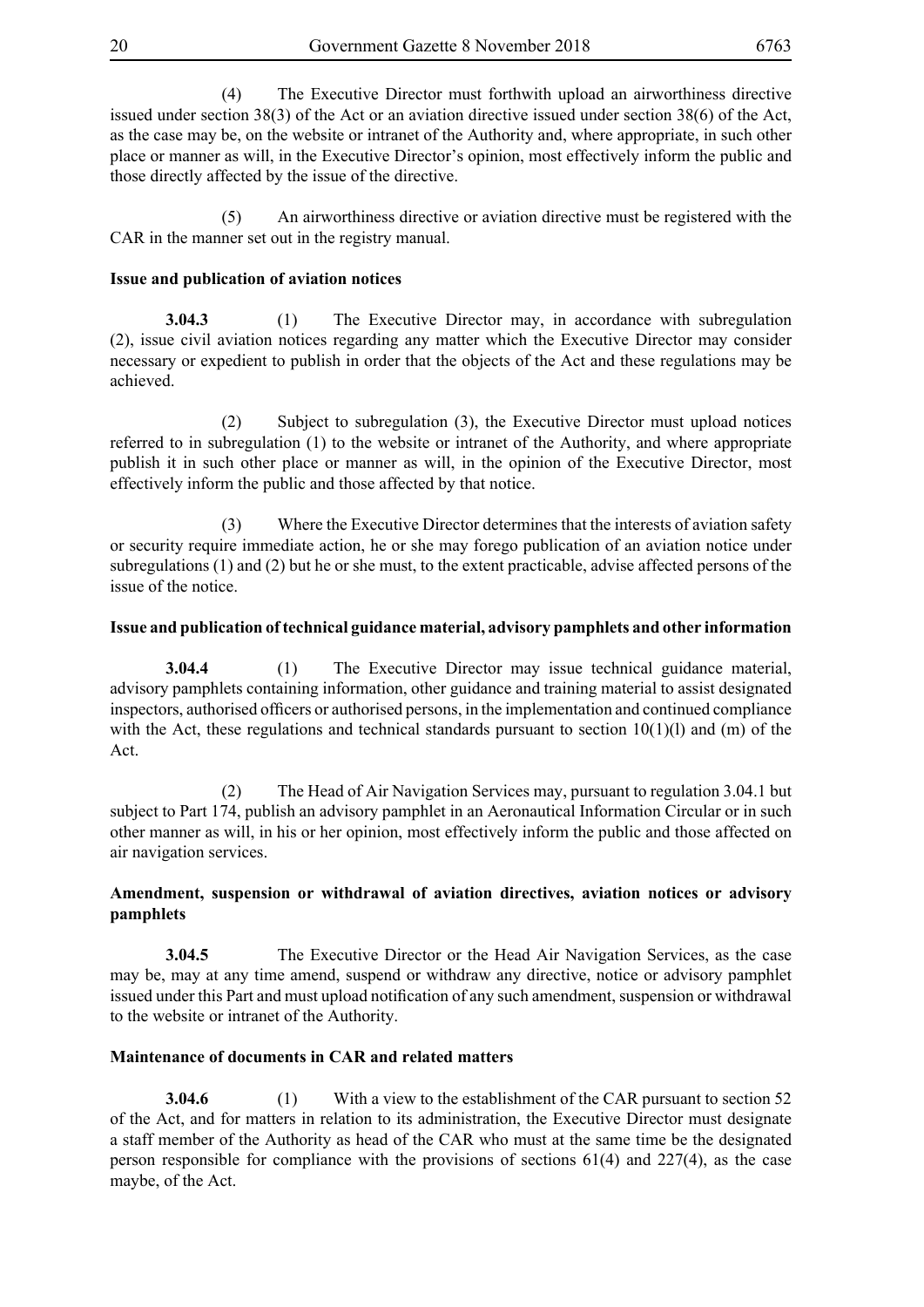(4) The Executive Director must forthwith upload an airworthiness directive issued under section 38(3) of the Act or an aviation directive issued under section 38(6) of the Act, as the case may be, on the website or intranet of the Authority and, where appropriate, in such other place or manner as will, in the Executive Director's opinion, most effectively inform the public and those directly affected by the issue of the directive.

 (5) An airworthiness directive or aviation directive must be registered with the CAR in the manner set out in the registry manual.

#### **Issue and publication of aviation notices**

**3.04.3** (1) The Executive Director may, in accordance with subregulation (2), issue civil aviation notices regarding any matter which the Executive Director may consider necessary or expedient to publish in order that the objects of the Act and these regulations may be achieved.

 (2) Subject to subregulation (3), the Executive Director must upload notices referred to in subregulation (1) to the website or intranet of the Authority, and where appropriate publish it in such other place or manner as will, in the opinion of the Executive Director, most effectively inform the public and those affected by that notice.

 (3) Where the Executive Director determines that the interests of aviation safety or security require immediate action, he or she may forego publication of an aviation notice under subregulations (1) and (2) but he or she must, to the extent practicable, advise affected persons of the issue of the notice.

#### **Issue and publication of technical guidance material, advisory pamphlets and other information**

**3.04.4** (1) The Executive Director may issue technical guidance material, advisory pamphlets containing information, other guidance and training material to assist designated inspectors, authorised officers or authorised persons, in the implementation and continued compliance with the Act, these regulations and technical standards pursuant to section  $10(1)(l)$  and (m) of the Act.

 (2) The Head of Air Navigation Services may, pursuant to regulation 3.04.1 but subject to Part 174, publish an advisory pamphlet in an Aeronautical Information Circular or in such other manner as will, in his or her opinion, most effectively inform the public and those affected on air navigation services.

#### **Amendment, suspension or withdrawal of aviation directives, aviation notices or advisory pamphlets**

**3.04.5** The Executive Director or the Head Air Navigation Services, as the case may be, may at any time amend, suspend or withdraw any directive, notice or advisory pamphlet issued under this Part and must upload notification of any such amendment, suspension or withdrawal to the website or intranet of the Authority.

#### **Maintenance of documents in CAR and related matters**

**3.04.6** (1) With a view to the establishment of the CAR pursuant to section 52 of the Act, and for matters in relation to its administration, the Executive Director must designate a staff member of the Authority as head of the CAR who must at the same time be the designated person responsible for compliance with the provisions of sections 61(4) and 227(4), as the case maybe, of the Act.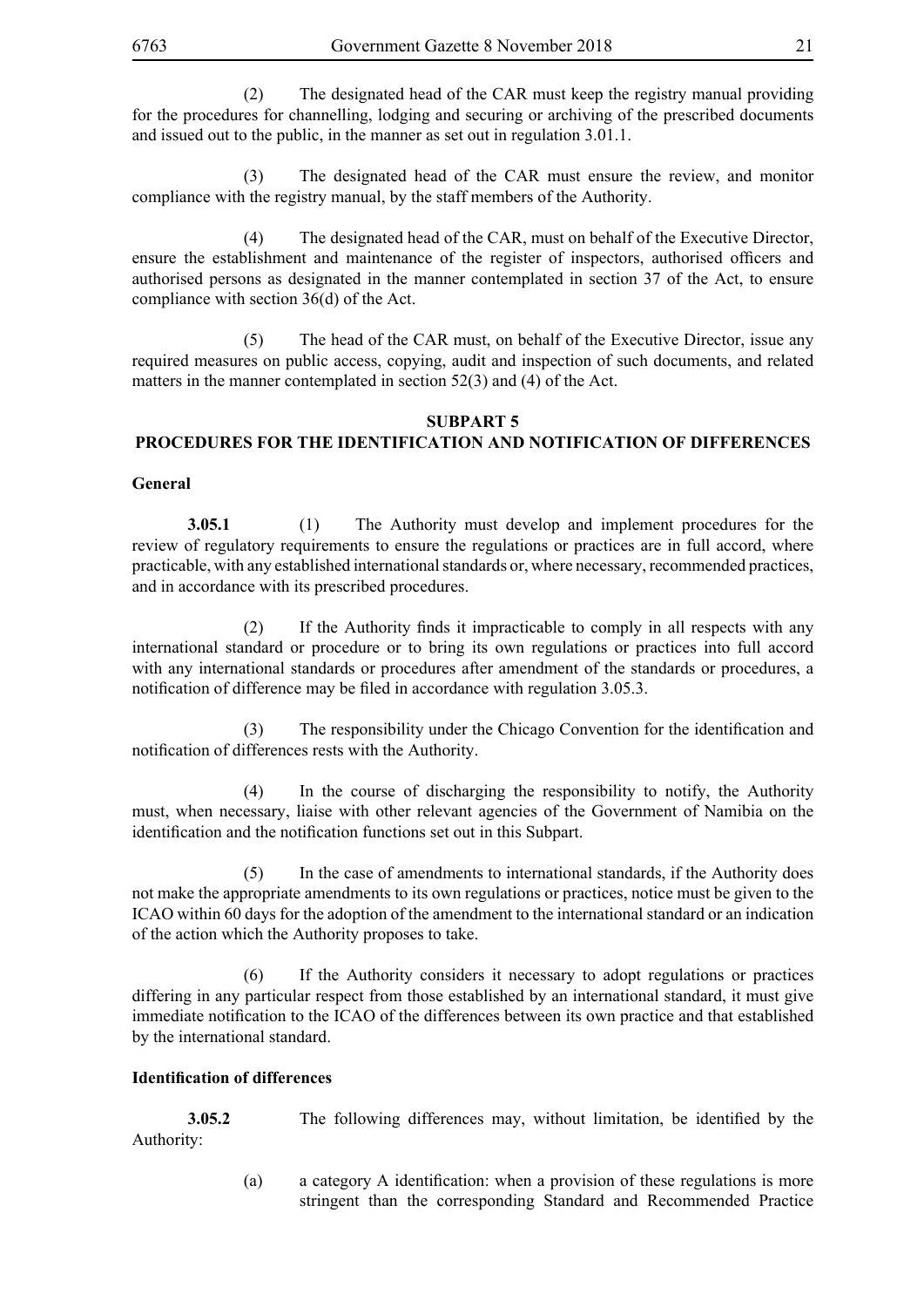(2) The designated head of the CAR must keep the registry manual providing for the procedures for channelling, lodging and securing or archiving of the prescribed documents and issued out to the public, in the manner as set out in regulation 3.01.1.

 (3) The designated head of the CAR must ensure the review, and monitor compliance with the registry manual, by the staff members of the Authority.

 (4) The designated head of the CAR, must on behalf of the Executive Director, ensure the establishment and maintenance of the register of inspectors, authorised officers and authorised persons as designated in the manner contemplated in section 37 of the Act, to ensure compliance with section 36(d) of the Act.

 (5) The head of the CAR must, on behalf of the Executive Director, issue any required measures on public access, copying, audit and inspection of such documents, and related matters in the manner contemplated in section 52(3) and (4) of the Act.

#### **SUBPART 5 PROCEDURES FOR THE IDENTIFICATION AND NOTIFICATION OF DIFFERENCES**

#### **General**

**3.05.1** (1) The Authority must develop and implement procedures for the review of regulatory requirements to ensure the regulations or practices are in full accord, where practicable, with any established international standards or, where necessary, recommended practices, and in accordance with its prescribed procedures.

(2) If the Authority finds it impracticable to comply in all respects with any international standard or procedure or to bring its own regulations or practices into full accord with any international standards or procedures after amendment of the standards or procedures, a notification of difference may be filed in accordance with regulation 3.05.3.

(3) The responsibility under the Chicago Convention for the identification and notification of differences rests with the Authority.

 (4) In the course of discharging the responsibility to notify, the Authority must, when necessary, liaise with other relevant agencies of the Government of Namibia on the identification and the notification functions set out in this Subpart.

 (5) In the case of amendments to international standards, if the Authority does not make the appropriate amendments to its own regulations or practices, notice must be given to the ICAO within 60 days for the adoption of the amendment to the international standard or an indication of the action which the Authority proposes to take.

 (6) If the Authority considers it necessary to adopt regulations or practices differing in any particular respect from those established by an international standard, it must give immediate notification to the ICAO of the differences between its own practice and that established by the international standard.

#### **Identification of differences**

**3.05.2** The following differences may, without limitation, be identified by the Authority:

> (a) a category A identification: when a provision of these regulations is more stringent than the corresponding Standard and Recommended Practice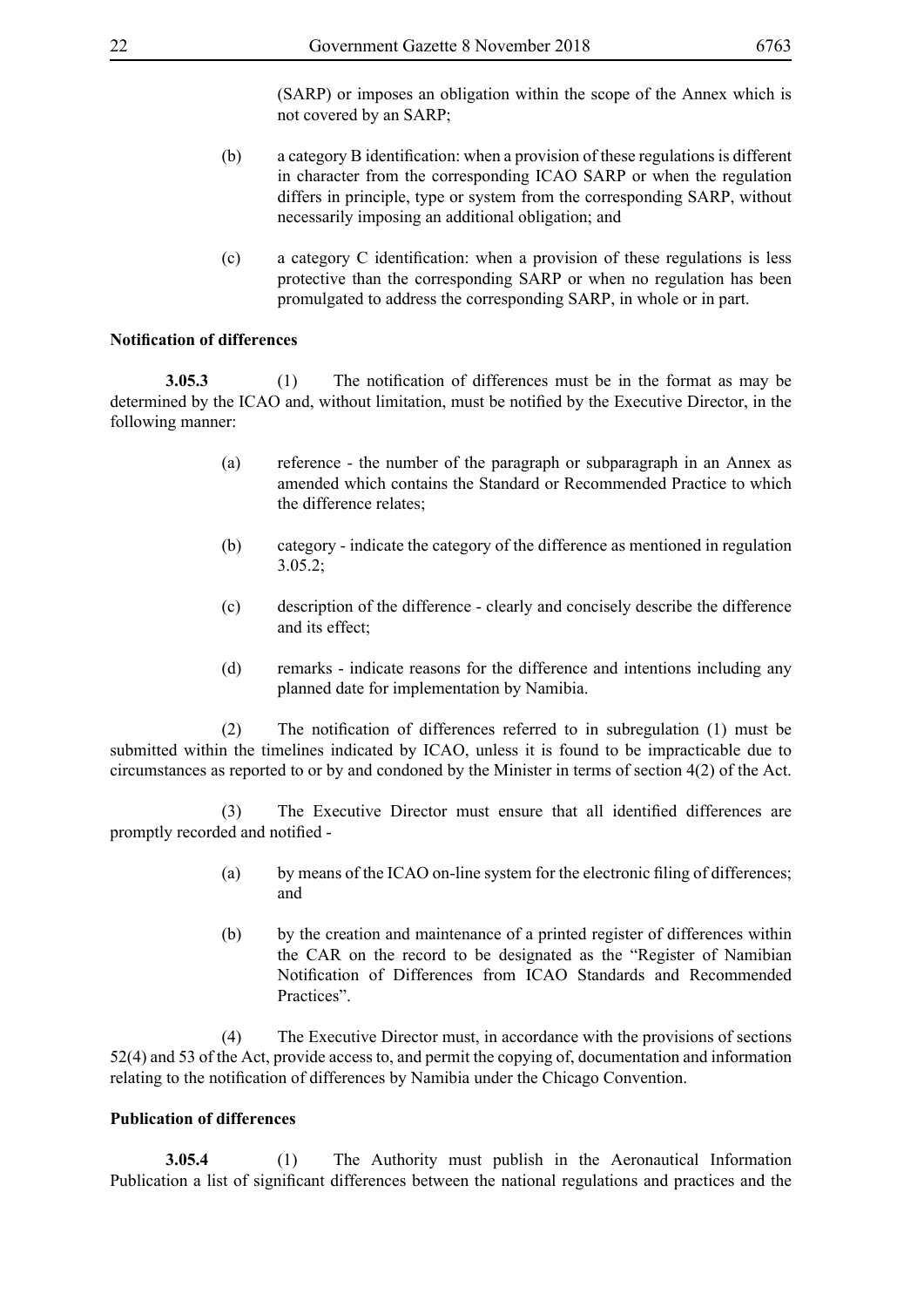(SARP) or imposes an obligation within the scope of the Annex which is not covered by an SARP;

- (b) a category B identification: when a provision of these regulations is different in character from the corresponding ICAO SARP or when the regulation differs in principle, type or system from the corresponding SARP, without necessarily imposing an additional obligation; and
- (c) a category C identification: when a provision of these regulations is less protective than the corresponding SARP or when no regulation has been promulgated to address the corresponding SARP, in whole or in part.

#### **Notification of differences**

**3.05.3** (1) The notification of differences must be in the format as may be determined by the ICAO and, without limitation, must be notified by the Executive Director, in the following manner:

- (a) reference the number of the paragraph or subparagraph in an Annex as amended which contains the Standard or Recommended Practice to which the difference relates;
- (b) category indicate the category of the difference as mentioned in regulation 3.05.2;
- (c) description of the difference clearly and concisely describe the difference and its effect;
- (d) remarks indicate reasons for the difference and intentions including any planned date for implementation by Namibia.

(2) The notification of differences referred to in subregulation (1) must be submitted within the timelines indicated by ICAO, unless it is found to be impracticable due to circumstances as reported to or by and condoned by the Minister in terms of section 4(2) of the Act.

(3) The Executive Director must ensure that all identified differences are promptly recorded and notified -

- (a) by means of the ICAO on-line system for the electronic filing of differences; and
- (b) by the creation and maintenance of a printed register of differences within the CAR on the record to be designated as the "Register of Namibian Notification of Differences from ICAO Standards and Recommended Practices".

 (4) The Executive Director must, in accordance with the provisions of sections 52(4) and 53 of the Act, provide access to, and permit the copying of, documentation and information relating to the notification of differences by Namibia under the Chicago Convention.

#### **Publication of differences**

**3.05.4** (1) The Authority must publish in the Aeronautical Information Publication a list of significant differences between the national regulations and practices and the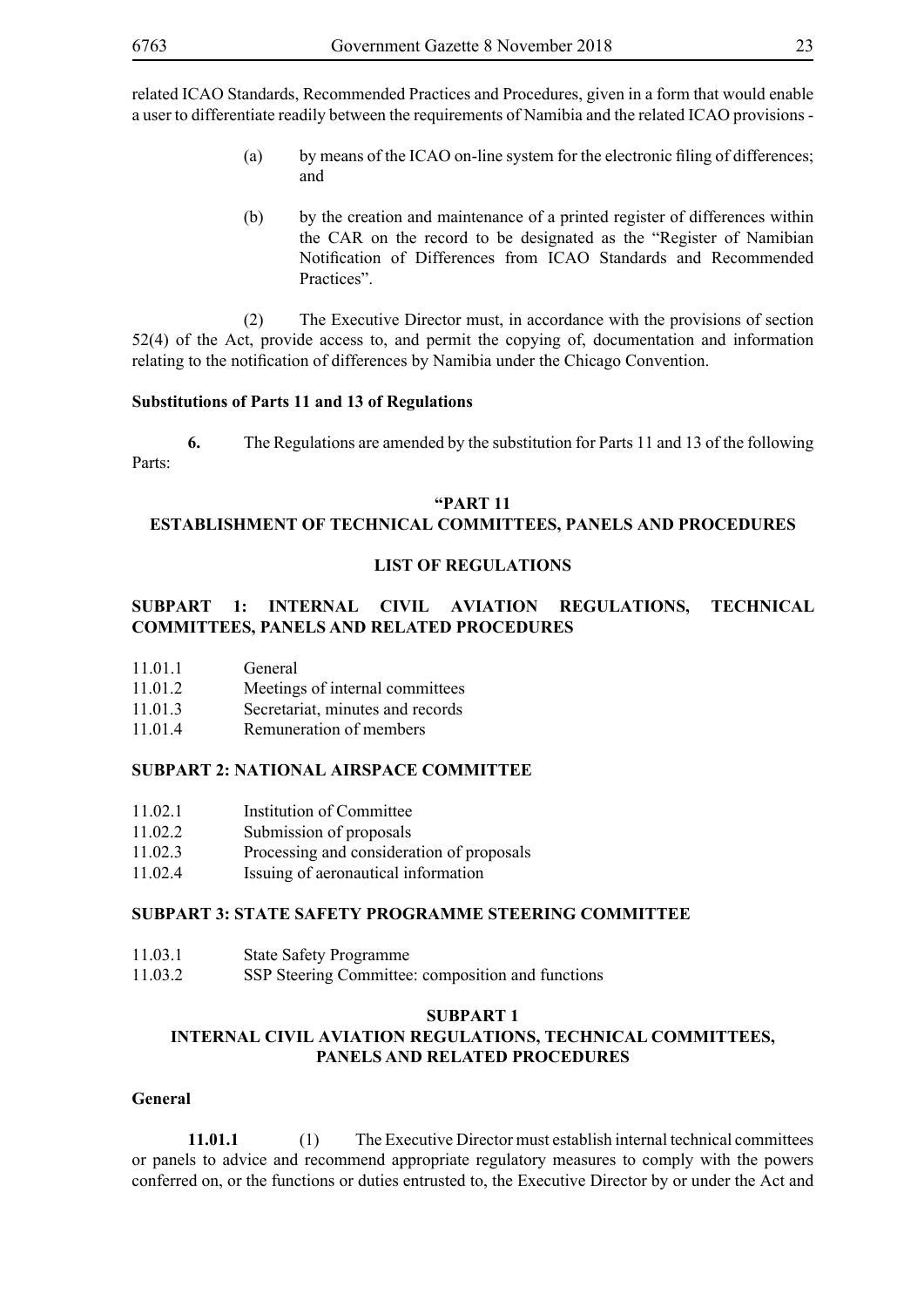related ICAO Standards, Recommended Practices and Procedures, given in a form that would enable a user to differentiate readily between the requirements of Namibia and the related ICAO provisions -

- (a) by means of the ICAO on-line system for the electronic filing of differences; and
- (b) by the creation and maintenance of a printed register of differences within the CAR on the record to be designated as the "Register of Namibian Notification of Differences from ICAO Standards and Recommended Practices".

 (2) The Executive Director must, in accordance with the provisions of section 52(4) of the Act, provide access to, and permit the copying of, documentation and information relating to the notification of differences by Namibia under the Chicago Convention.

#### **Substitutions of Parts 11 and 13 of Regulations**

**6.** The Regulations are amended by the substitution for Parts 11 and 13 of the following Parts:

#### **"PART 11**

#### **ESTABLISHMENT OF TECHNICAL COMMITTEES, PANELS AND PROCEDURES**

#### **LIST OF REGULATIONS**

#### **SUBPART 1: INTERNAL CIVIL AVIATION REGULATIONS, TECHNICAL COMMITTEES, PANELS AND RELATED PROCEDURES**

| 11.01.1 | General |
|---------|---------|
|---------|---------|

- 11.01.2 Meetings of internal committees
- 11.01.3 Secretariat, minutes and records
- 11.01.4 Remuneration of members

#### **SUBPART 2: NATIONAL AIRSPACE COMMITTEE**

- 11.02.1 Institution of Committee
- 11.02.2 Submission of proposals
- 11.02.3 Processing and consideration of proposals
- 11.02.4 Issuing of aeronautical information

#### **SUBPART 3: STATE SAFETY PROGRAMME STEERING COMMITTEE**

- 11.03.1 State Safety Programme
- 11.03.2 SSP Steering Committee: composition and functions

#### **SUBPART 1**

#### **INTERNAL CIVIL AVIATION REGULATIONS, TECHNICAL COMMITTEES, PANELS AND RELATED PROCEDURES**

#### **General**

**11.01.1** (1) The Executive Director must establish internal technical committees or panels to advice and recommend appropriate regulatory measures to comply with the powers conferred on, or the functions or duties entrusted to, the Executive Director by or under the Act and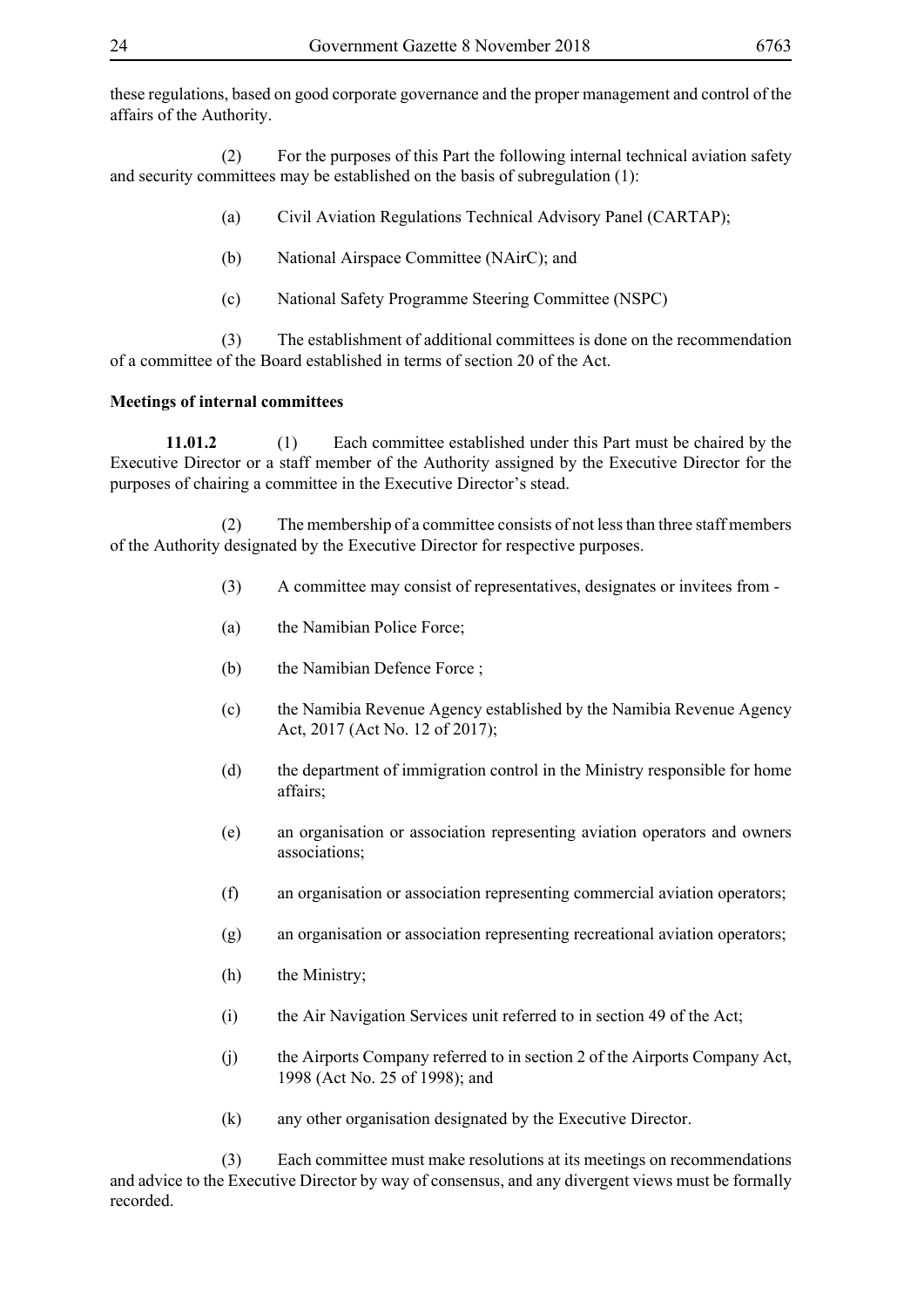these regulations, based on good corporate governance and the proper management and control of the affairs of the Authority.

 (2) For the purposes of this Part the following internal technical aviation safety and security committees may be established on the basis of subregulation (1):

(a) Civil Aviation Regulations Technical Advisory Panel (CARTAP);

- (b) National Airspace Committee (NAirC); and
- (c) National Safety Programme Steering Committee (NSPC)

 (3) The establishment of additional committees is done on the recommendation of a committee of the Board established in terms of section 20 of the Act.

#### **Meetings of internal committees**

**11.01.2** (1) Each committee established under this Part must be chaired by the Executive Director or a staff member of the Authority assigned by the Executive Director for the purposes of chairing a committee in the Executive Director's stead.

 (2) The membership of a committee consists of not less than three staff members of the Authority designated by the Executive Director for respective purposes.

- (3) A committee may consist of representatives, designates or invitees from -
- (a) the Namibian Police Force;
- (b) the Namibian Defence Force ;
- (c) the Namibia Revenue Agency established by the Namibia Revenue Agency Act, 2017 (Act No. 12 of 2017);
- (d) the department of immigration control in the Ministry responsible for home affairs;
- (e) an organisation or association representing aviation operators and owners associations;
- (f) an organisation or association representing commercial aviation operators;
- (g) an organisation or association representing recreational aviation operators;
- (h) the Ministry;
- (i) the Air Navigation Services unit referred to in section 49 of the Act;
- (j) the Airports Company referred to in section 2 of the Airports Company Act, 1998 (Act No. 25 of 1998); and
- (k) any other organisation designated by the Executive Director.

 (3) Each committee must make resolutions at its meetings on recommendations and advice to the Executive Director by way of consensus, and any divergent views must be formally recorded.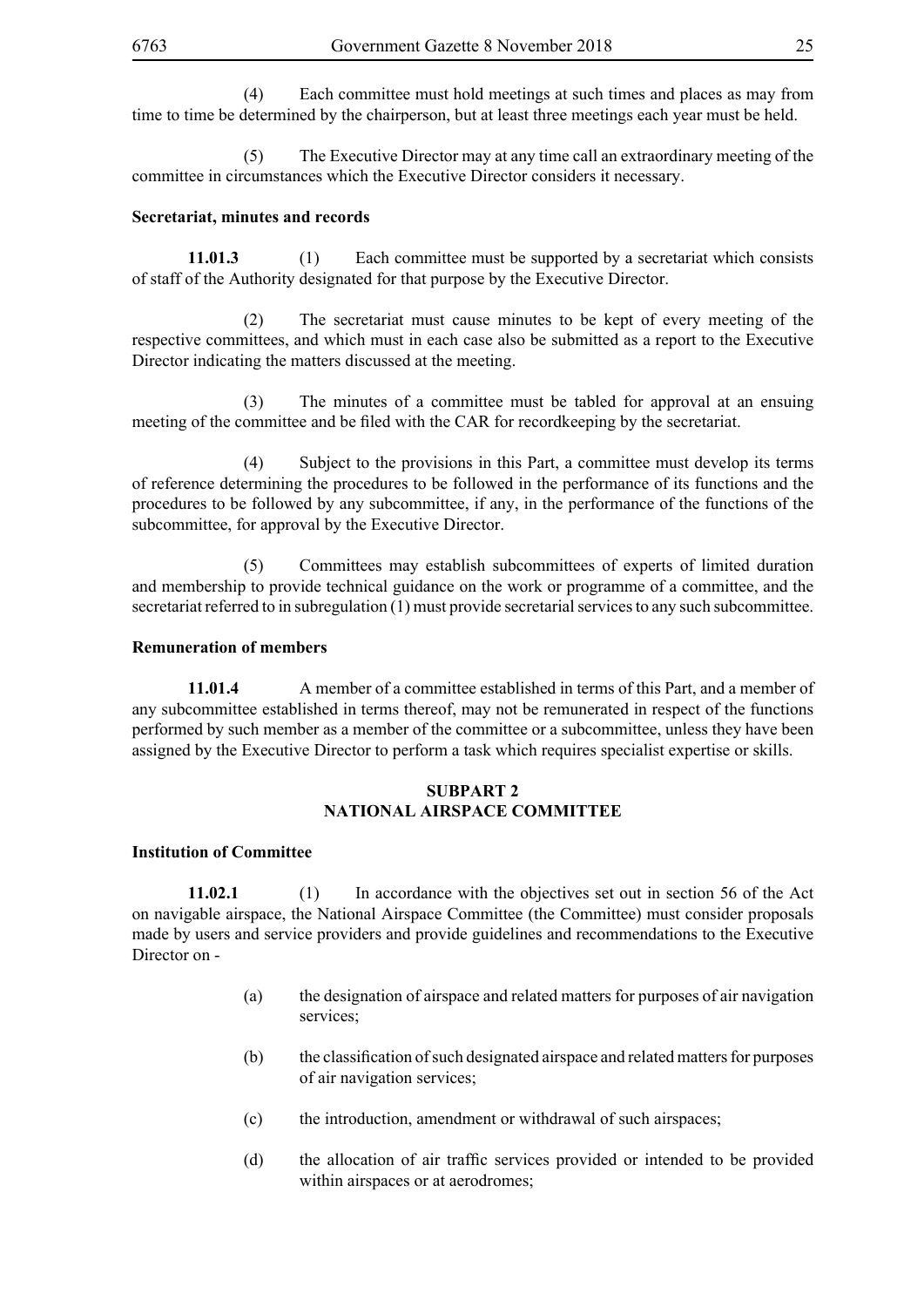(4) Each committee must hold meetings at such times and places as may from time to time be determined by the chairperson, but at least three meetings each year must be held.

 (5) The Executive Director may at any time call an extraordinary meeting of the committee in circumstances which the Executive Director considers it necessary.

#### **Secretariat, minutes and records**

**11.01.3** (1) Each committee must be supported by a secretariat which consists of staff of the Authority designated for that purpose by the Executive Director.

 (2) The secretariat must cause minutes to be kept of every meeting of the respective committees, and which must in each case also be submitted as a report to the Executive Director indicating the matters discussed at the meeting.

 (3) The minutes of a committee must be tabled for approval at an ensuing meeting of the committee and be filed with the CAR for recordkeeping by the secretariat.

 (4) Subject to the provisions in this Part, a committee must develop its terms of reference determining the procedures to be followed in the performance of its functions and the procedures to be followed by any subcommittee, if any, in the performance of the functions of the subcommittee, for approval by the Executive Director.

 (5) Committees may establish subcommittees of experts of limited duration and membership to provide technical guidance on the work or programme of a committee, and the secretariat referred to in subregulation (1) must provide secretarial services to any such subcommittee.

#### **Remuneration of members**

**11.01.4** A member of a committee established in terms of this Part, and a member of any subcommittee established in terms thereof, may not be remunerated in respect of the functions performed by such member as a member of the committee or a subcommittee, unless they have been assigned by the Executive Director to perform a task which requires specialist expertise or skills.

#### **SUBPART 2 NATIONAL AIRSPACE COMMITTEE**

#### **Institution of Committee**

**11.02.1** (1) In accordance with the objectives set out in section 56 of the Act on navigable airspace, the National Airspace Committee (the Committee) must consider proposals made by users and service providers and provide guidelines and recommendations to the Executive Director on -

- (a) the designation of airspace and related matters for purposes of air navigation services;
- (b) the classification of such designated airspace and related matters for purposes of air navigation services;
- (c) the introduction, amendment or withdrawal of such airspaces;
- (d) the allocation of air traffic services provided or intended to be provided within airspaces or at aerodromes;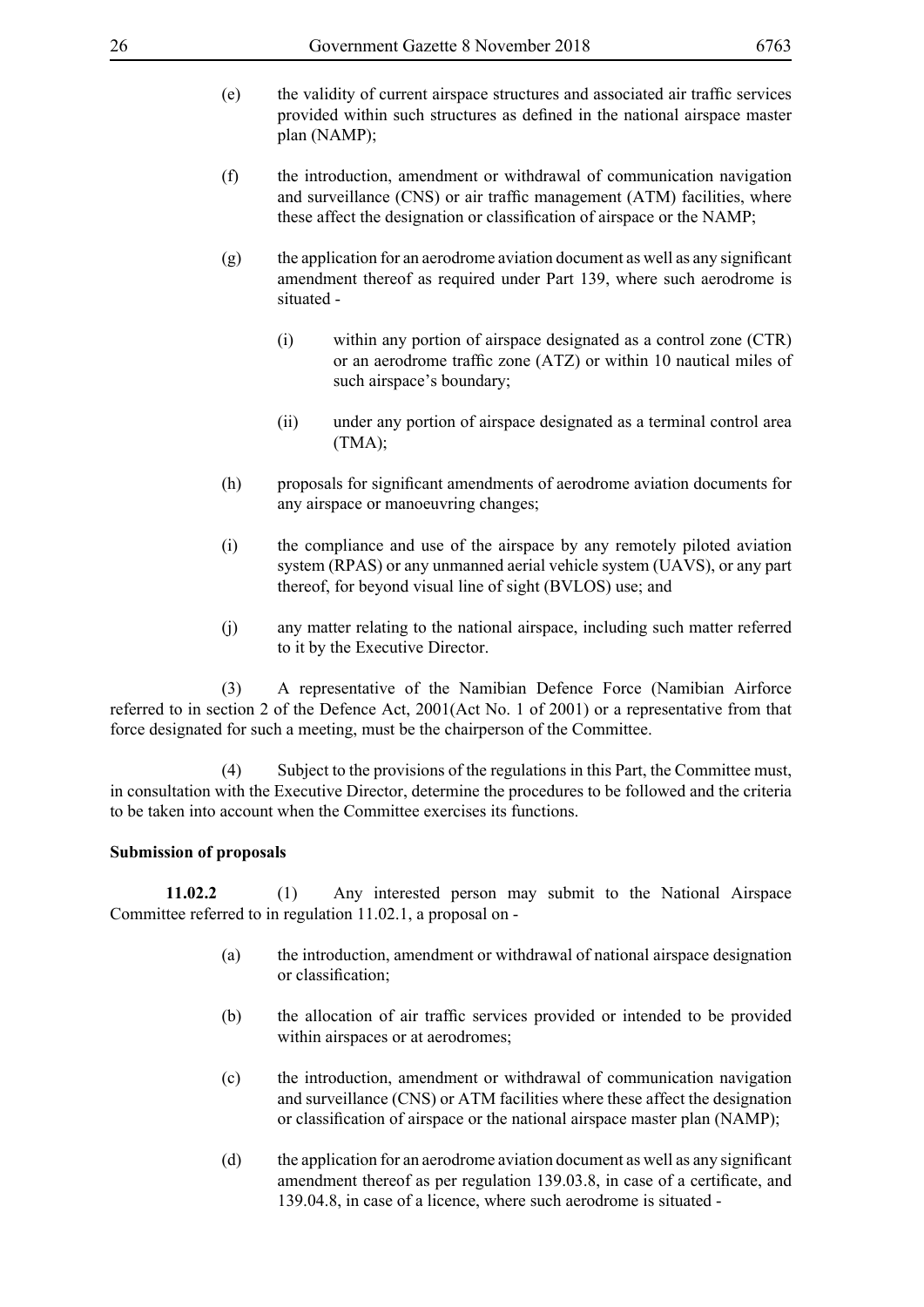- (e) the validity of current airspace structures and associated air traffic services provided within such structures as defined in the national airspace master plan (NAMP);
- (f) the introduction, amendment or withdrawal of communication navigation and surveillance (CNS) or air traffic management (ATM) facilities, where these affect the designation or classification of airspace or the NAMP;
- (g) the application for an aerodrome aviation document as well as any significant amendment thereof as required under Part 139, where such aerodrome is situated -
	- (i) within any portion of airspace designated as a control zone (CTR) or an aerodrome traffic zone (ATZ) or within 10 nautical miles of such airspace's boundary;
	- (ii) under any portion of airspace designated as a terminal control area (TMA);
- (h) proposals for significant amendments of aerodrome aviation documents for any airspace or manoeuvring changes;
- (i) the compliance and use of the airspace by any remotely piloted aviation system (RPAS) or any unmanned aerial vehicle system (UAVS), or any part thereof, for beyond visual line of sight (BVLOS) use; and
- (j) any matter relating to the national airspace, including such matter referred to it by the Executive Director.

 (3) A representative of the Namibian Defence Force (Namibian Airforce referred to in section 2 of the Defence Act, 2001(Act No. 1 of 2001) or a representative from that force designated for such a meeting, must be the chairperson of the Committee.

 (4) Subject to the provisions of the regulations in this Part, the Committee must, in consultation with the Executive Director, determine the procedures to be followed and the criteria to be taken into account when the Committee exercises its functions.

#### **Submission of proposals**

**11.02.2** (1) Any interested person may submit to the National Airspace Committee referred to in regulation 11.02.1, a proposal on -

- (a) the introduction, amendment or withdrawal of national airspace designation or classification;
- (b) the allocation of air traffic services provided or intended to be provided within airspaces or at aerodromes;
- (c) the introduction, amendment or withdrawal of communication navigation and surveillance (CNS) or ATM facilities where these affect the designation or classification of airspace or the national airspace master plan (NAMP);
- (d) the application for an aerodrome aviation document as well as any significant amendment thereof as per regulation 139.03.8, in case of a certificate, and 139.04.8, in case of a licence, where such aerodrome is situated -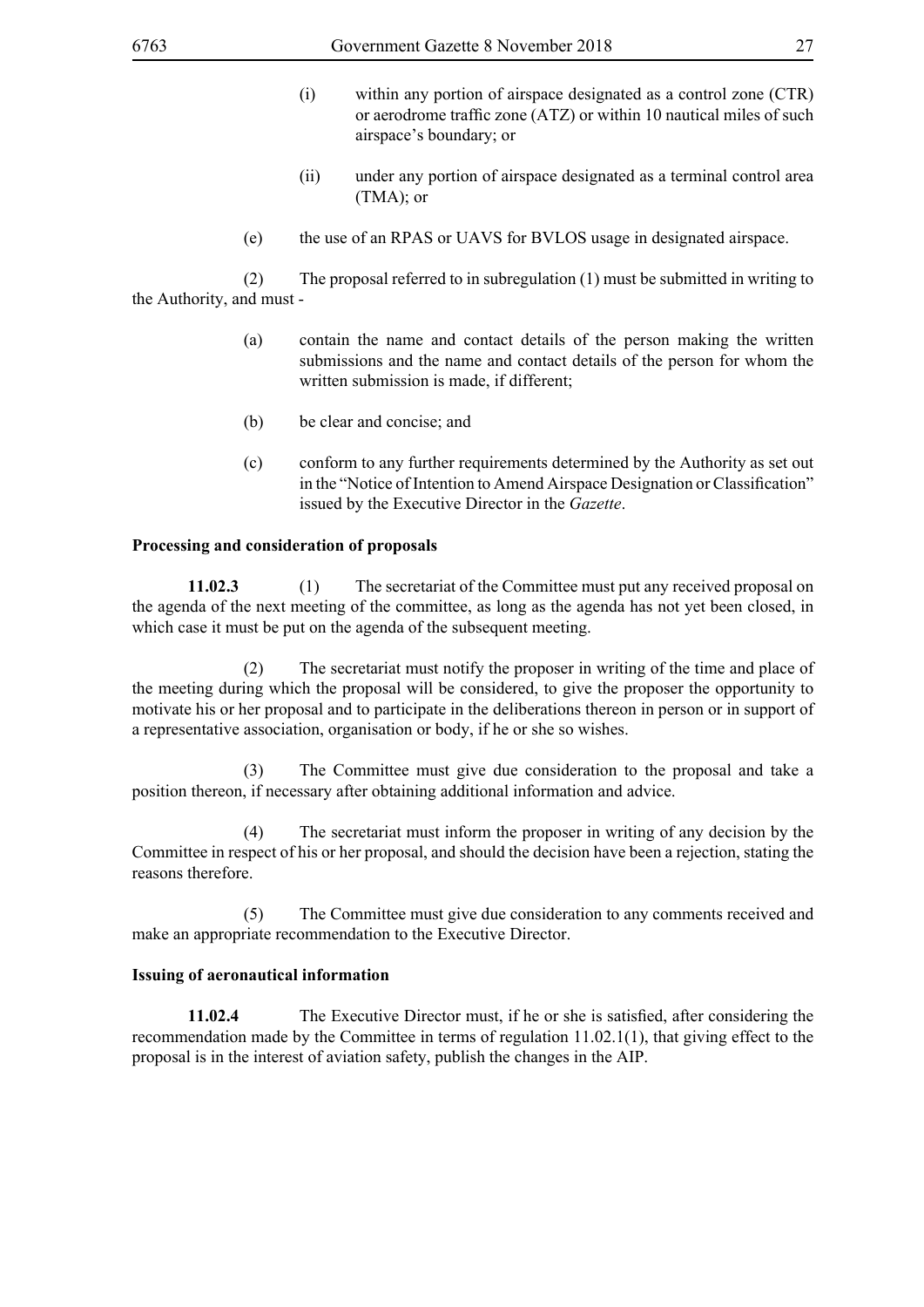- (i) within any portion of airspace designated as a control zone (CTR) or aerodrome traffic zone (ATZ) or within 10 nautical miles of such airspace's boundary; or
- (ii) under any portion of airspace designated as a terminal control area (TMA); or
- (e) the use of an RPAS or UAVS for BVLOS usage in designated airspace.

 (2) The proposal referred to in subregulation (1) must be submitted in writing to the Authority, and must -

- (a) contain the name and contact details of the person making the written submissions and the name and contact details of the person for whom the written submission is made, if different;
- (b) be clear and concise; and
- (c) conform to any further requirements determined by the Authority as set out in the "Notice of Intention to Amend Airspace Designation or Classification" issued by the Executive Director in the *Gazette*.

#### **Processing and consideration of proposals**

**11.02.3** (1) The secretariat of the Committee must put any received proposal on the agenda of the next meeting of the committee, as long as the agenda has not yet been closed, in which case it must be put on the agenda of the subsequent meeting.

 (2) The secretariat must notify the proposer in writing of the time and place of the meeting during which the proposal will be considered, to give the proposer the opportunity to motivate his or her proposal and to participate in the deliberations thereon in person or in support of a representative association, organisation or body, if he or she so wishes.

 (3) The Committee must give due consideration to the proposal and take a position thereon, if necessary after obtaining additional information and advice.

 (4) The secretariat must inform the proposer in writing of any decision by the Committee in respect of his or her proposal, and should the decision have been a rejection, stating the reasons therefore.

 (5) The Committee must give due consideration to any comments received and make an appropriate recommendation to the Executive Director.

#### **Issuing of aeronautical information**

**11.02.4** The Executive Director must, if he or she is satisfied, after considering the recommendation made by the Committee in terms of regulation 11.02.1(1), that giving effect to the proposal is in the interest of aviation safety, publish the changes in the AIP.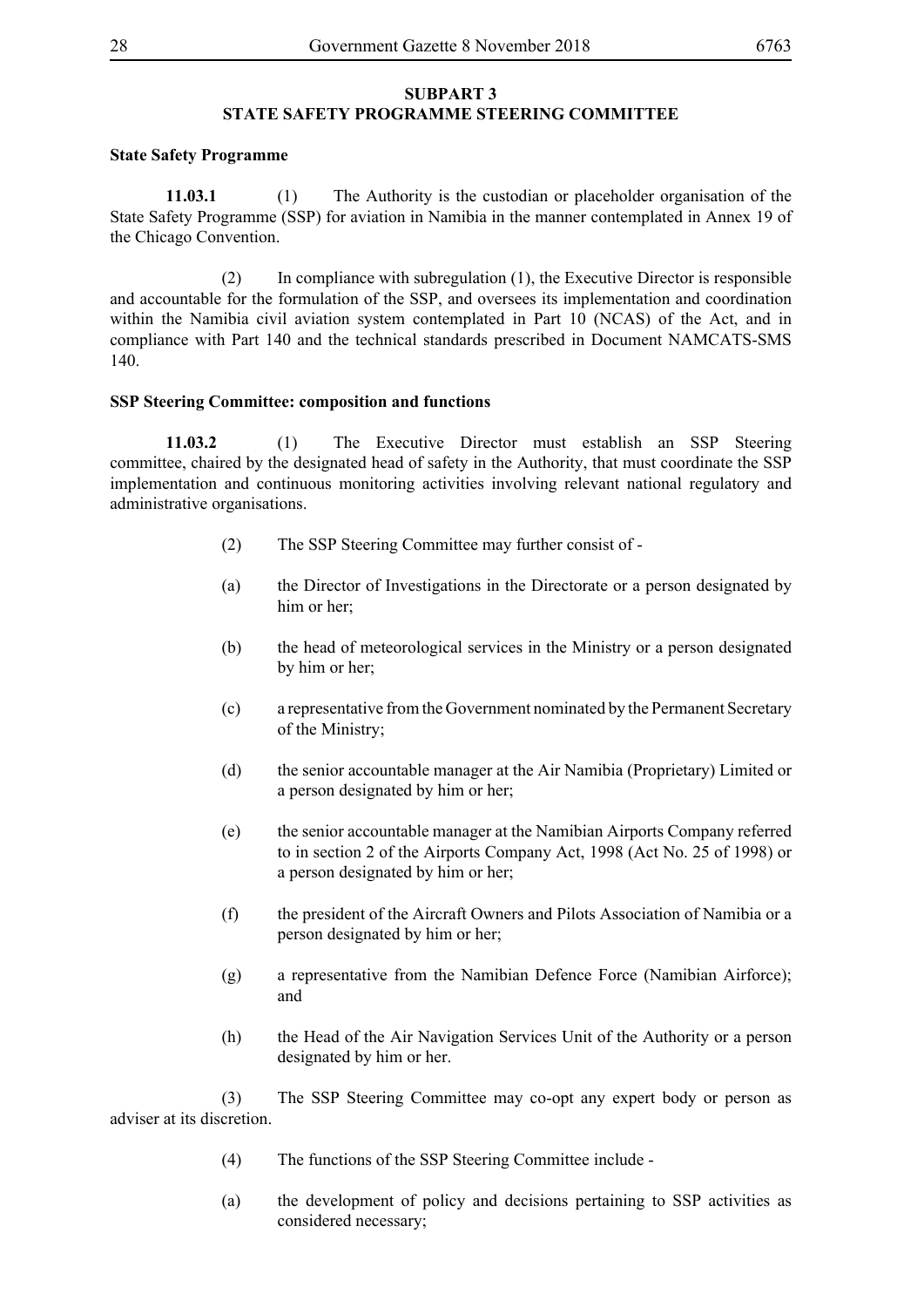#### **SUBPART 3 STATE SAFETY PROGRAMME STEERING COMMITTEE**

#### **State Safety Programme**

**11.03.1** (1) The Authority is the custodian or placeholder organisation of the State Safety Programme (SSP) for aviation in Namibia in the manner contemplated in Annex 19 of the Chicago Convention.

 (2) In compliance with subregulation (1), the Executive Director is responsible and accountable for the formulation of the SSP, and oversees its implementation and coordination within the Namibia civil aviation system contemplated in Part 10 (NCAS) of the Act, and in compliance with Part 140 and the technical standards prescribed in Document NAMCATS-SMS 140.

#### **SSP Steering Committee: composition and functions**

**11.03.2** (1) The Executive Director must establish an SSP Steering committee, chaired by the designated head of safety in the Authority, that must coordinate the SSP implementation and continuous monitoring activities involving relevant national regulatory and administrative organisations.

- (2) The SSP Steering Committee may further consist of -
- (a) the Director of Investigations in the Directorate or a person designated by him or her;
- (b) the head of meteorological services in the Ministry or a person designated by him or her;
- (c) a representative from the Government nominated by the Permanent Secretary of the Ministry;
- (d) the senior accountable manager at the Air Namibia (Proprietary) Limited or a person designated by him or her;
- (e) the senior accountable manager at the Namibian Airports Company referred to in section 2 of the Airports Company Act, 1998 (Act No. 25 of 1998) or a person designated by him or her;
- (f) the president of the Aircraft Owners and Pilots Association of Namibia or a person designated by him or her;
- (g) a representative from the Namibian Defence Force (Namibian Airforce); and
- (h) the Head of the Air Navigation Services Unit of the Authority or a person designated by him or her.

 (3) The SSP Steering Committee may co-opt any expert body or person as adviser at its discretion.

- (4) The functions of the SSP Steering Committee include -
- (a) the development of policy and decisions pertaining to SSP activities as considered necessary;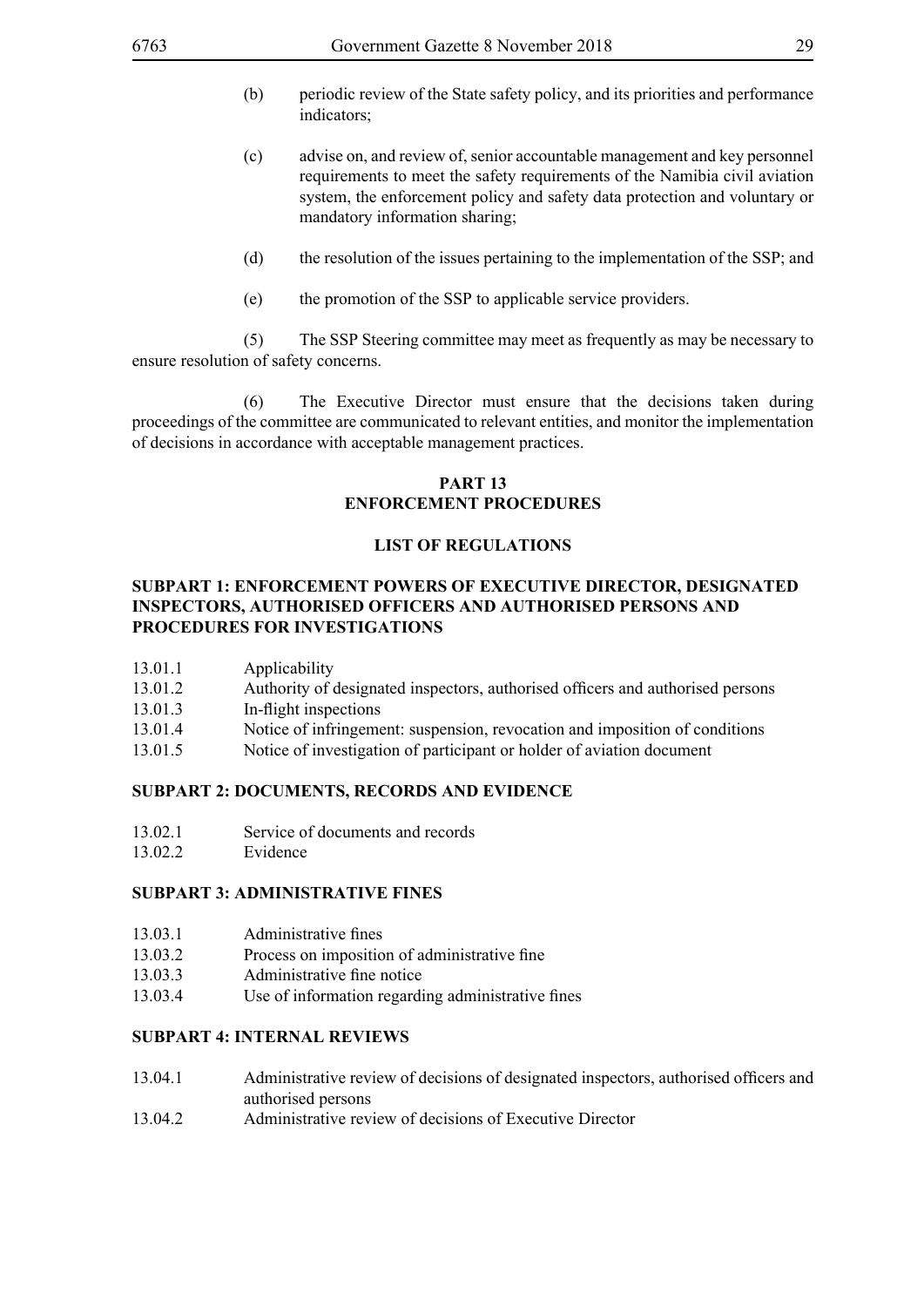- (b) periodic review of the State safety policy, and its priorities and performance indicators;
- (c) advise on, and review of, senior accountable management and key personnel requirements to meet the safety requirements of the Namibia civil aviation system, the enforcement policy and safety data protection and voluntary or mandatory information sharing;
- (d) the resolution of the issues pertaining to the implementation of the SSP; and
- (e) the promotion of the SSP to applicable service providers.

 (5) The SSP Steering committee may meet as frequently as may be necessary to ensure resolution of safety concerns.

 (6) The Executive Director must ensure that the decisions taken during proceedings of the committee are communicated to relevant entities, and monitor the implementation of decisions in accordance with acceptable management practices.

#### **PART 13 ENFORCEMENT PROCEDURES**

#### **LIST OF REGULATIONS**

#### **SUBPART 1: ENFORCEMENT POWERS OF EXECUTIVE DIRECTOR, DESIGNATED INSPECTORS, AUTHORISED OFFICERS AND AUTHORISED PERSONS AND PROCEDURES FOR INVESTIGATIONS**

- 13.01.1 Applicability
- 13.01.2 Authority of designated inspectors, authorised officers and authorised persons
- 13.01.3 In-flight inspections
- 13.01.4 Notice of infringement: suspension, revocation and imposition of conditions
- 13.01.5 Notice of investigation of participant or holder of aviation document

#### **SUBPART 2: DOCUMENTS, RECORDS AND EVIDENCE**

- 13.02.1 Service of documents and records
- 13.02.2 Evidence

#### **SUBPART 3: ADMINISTRATIVE FINES**

- 13.03.1 Administrative fines
- 13.03.2 Process on imposition of administrative fine
- 13.03.3 Administrative fine notice
- 13.03.4 Use of information regarding administrative fines

#### **SUBPART 4: INTERNAL REVIEWS**

- 13.04.1 Administrative review of decisions of designated inspectors, authorised officers and authorised persons
- 13.04.2 Administrative review of decisions of Executive Director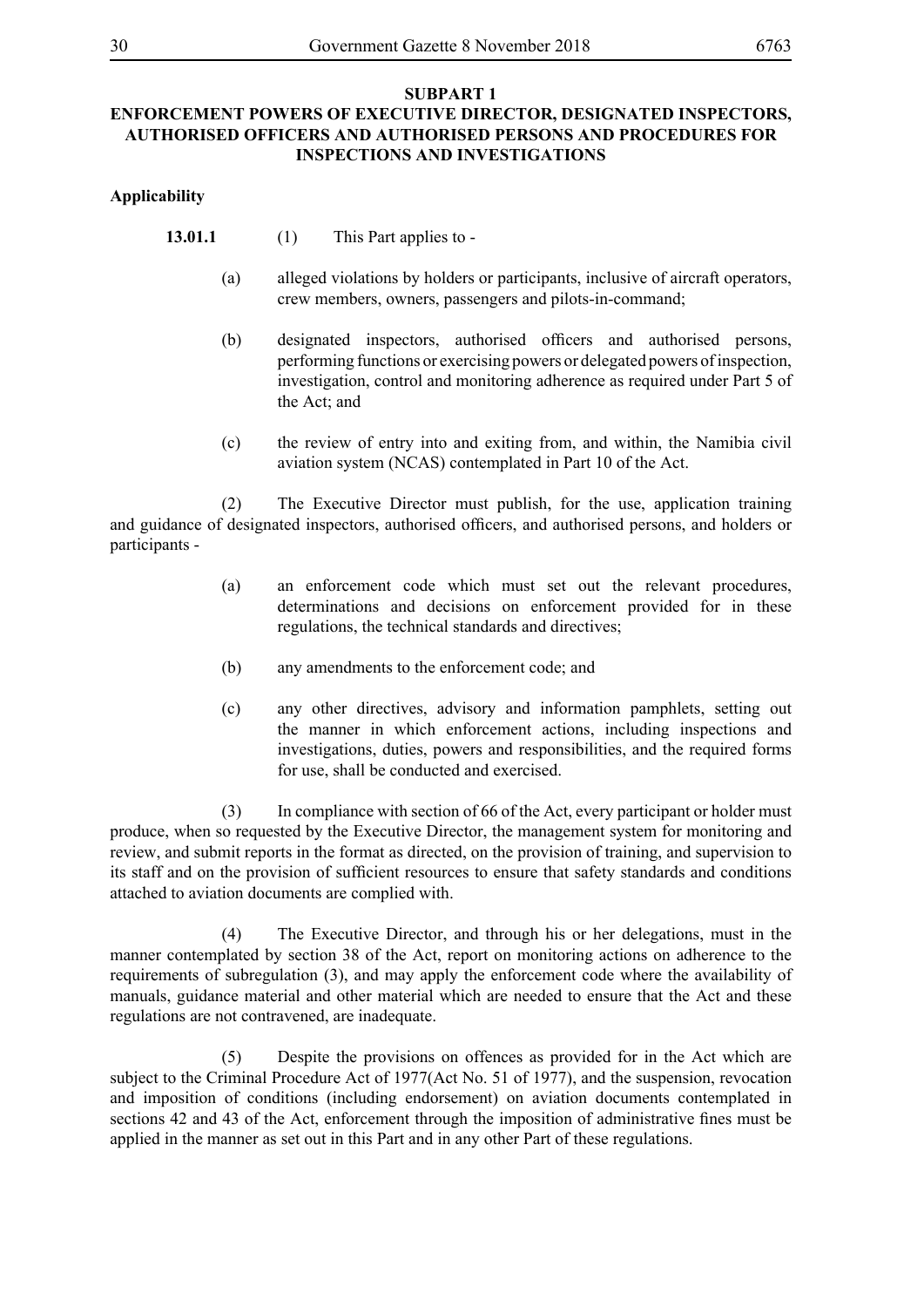#### **SUBPART 1 ENFORCEMENT POWERS OF EXECUTIVE DIRECTOR, DESIGNATED INSPECTORS, AUTHORISED OFFICERS AND AUTHORISED PERSONS AND PROCEDURES FOR INSPECTIONS AND INVESTIGATIONS**

#### **Applicability**

- **13.01.1** (1) This Part applies to -
	- (a) alleged violations by holders or participants, inclusive of aircraft operators, crew members, owners, passengers and pilots-in-command;
	- (b) designated inspectors, authorised officers and authorised persons, performing functions or exercising powers or delegated powers of inspection, investigation, control and monitoring adherence as required under Part 5 of the Act; and
	- (c) the review of entry into and exiting from, and within, the Namibia civil aviation system (NCAS) contemplated in Part 10 of the Act.

 (2) The Executive Director must publish, for the use, application training and guidance of designated inspectors, authorised officers, and authorised persons, and holders or participants -

- (a) an enforcement code which must set out the relevant procedures, determinations and decisions on enforcement provided for in these regulations, the technical standards and directives;
- (b) any amendments to the enforcement code; and
- (c) any other directives, advisory and information pamphlets, setting out the manner in which enforcement actions, including inspections and investigations, duties, powers and responsibilities, and the required forms for use, shall be conducted and exercised.

 (3) In compliance with section of 66 of the Act, every participant or holder must produce, when so requested by the Executive Director, the management system for monitoring and review, and submit reports in the format as directed, on the provision of training, and supervision to its staff and on the provision of sufficient resources to ensure that safety standards and conditions attached to aviation documents are complied with.

 (4) The Executive Director, and through his or her delegations, must in the manner contemplated by section 38 of the Act, report on monitoring actions on adherence to the requirements of subregulation (3), and may apply the enforcement code where the availability of manuals, guidance material and other material which are needed to ensure that the Act and these regulations are not contravened, are inadequate.

 (5) Despite the provisions on offences as provided for in the Act which are subject to the Criminal Procedure Act of 1977(Act No. 51 of 1977), and the suspension, revocation and imposition of conditions (including endorsement) on aviation documents contemplated in sections 42 and 43 of the Act, enforcement through the imposition of administrative fines must be applied in the manner as set out in this Part and in any other Part of these regulations.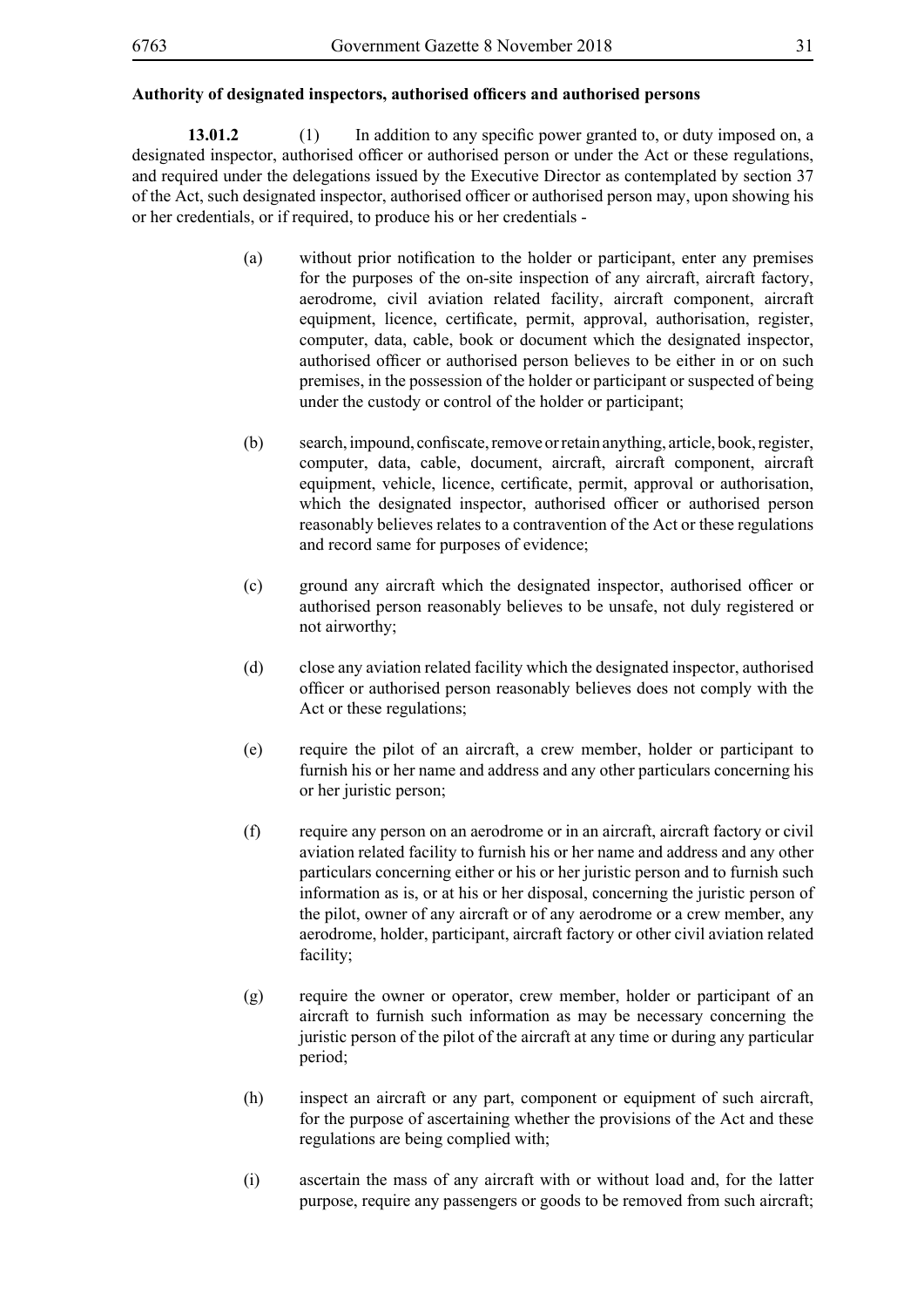**13.01.2** (1) In addition to any specific power granted to, or duty imposed on, a designated inspector, authorised officer or authorised person or under the Act or these regulations, and required under the delegations issued by the Executive Director as contemplated by section 37 of the Act, such designated inspector, authorised officer or authorised person may, upon showing his or her credentials, or if required, to produce his or her credentials -

- (a) without prior notification to the holder or participant, enter any premises for the purposes of the on-site inspection of any aircraft, aircraft factory, aerodrome, civil aviation related facility, aircraft component, aircraft equipment, licence, certificate, permit, approval, authorisation, register, computer, data, cable, book or document which the designated inspector, authorised officer or authorised person believes to be either in or on such premises, in the possession of the holder or participant or suspected of being under the custody or control of the holder or participant;
- (b) search, impound, confiscate, remove or retain anything, article, book, register, computer, data, cable, document, aircraft, aircraft component, aircraft equipment, vehicle, licence, certificate, permit, approval or authorisation, which the designated inspector, authorised officer or authorised person reasonably believes relates to a contravention of the Act or these regulations and record same for purposes of evidence;
- (c) ground any aircraft which the designated inspector, authorised officer or authorised person reasonably believes to be unsafe, not duly registered or not airworthy;
- (d) close any aviation related facility which the designated inspector, authorised officer or authorised person reasonably believes does not comply with the Act or these regulations;
- (e) require the pilot of an aircraft, a crew member, holder or participant to furnish his or her name and address and any other particulars concerning his or her juristic person;
- (f) require any person on an aerodrome or in an aircraft, aircraft factory or civil aviation related facility to furnish his or her name and address and any other particulars concerning either or his or her juristic person and to furnish such information as is, or at his or her disposal, concerning the juristic person of the pilot, owner of any aircraft or of any aerodrome or a crew member, any aerodrome, holder, participant, aircraft factory or other civil aviation related facility;
- (g) require the owner or operator, crew member, holder or participant of an aircraft to furnish such information as may be necessary concerning the juristic person of the pilot of the aircraft at any time or during any particular period;
- (h) inspect an aircraft or any part, component or equipment of such aircraft, for the purpose of ascertaining whether the provisions of the Act and these regulations are being complied with;
- (i) ascertain the mass of any aircraft with or without load and, for the latter purpose, require any passengers or goods to be removed from such aircraft;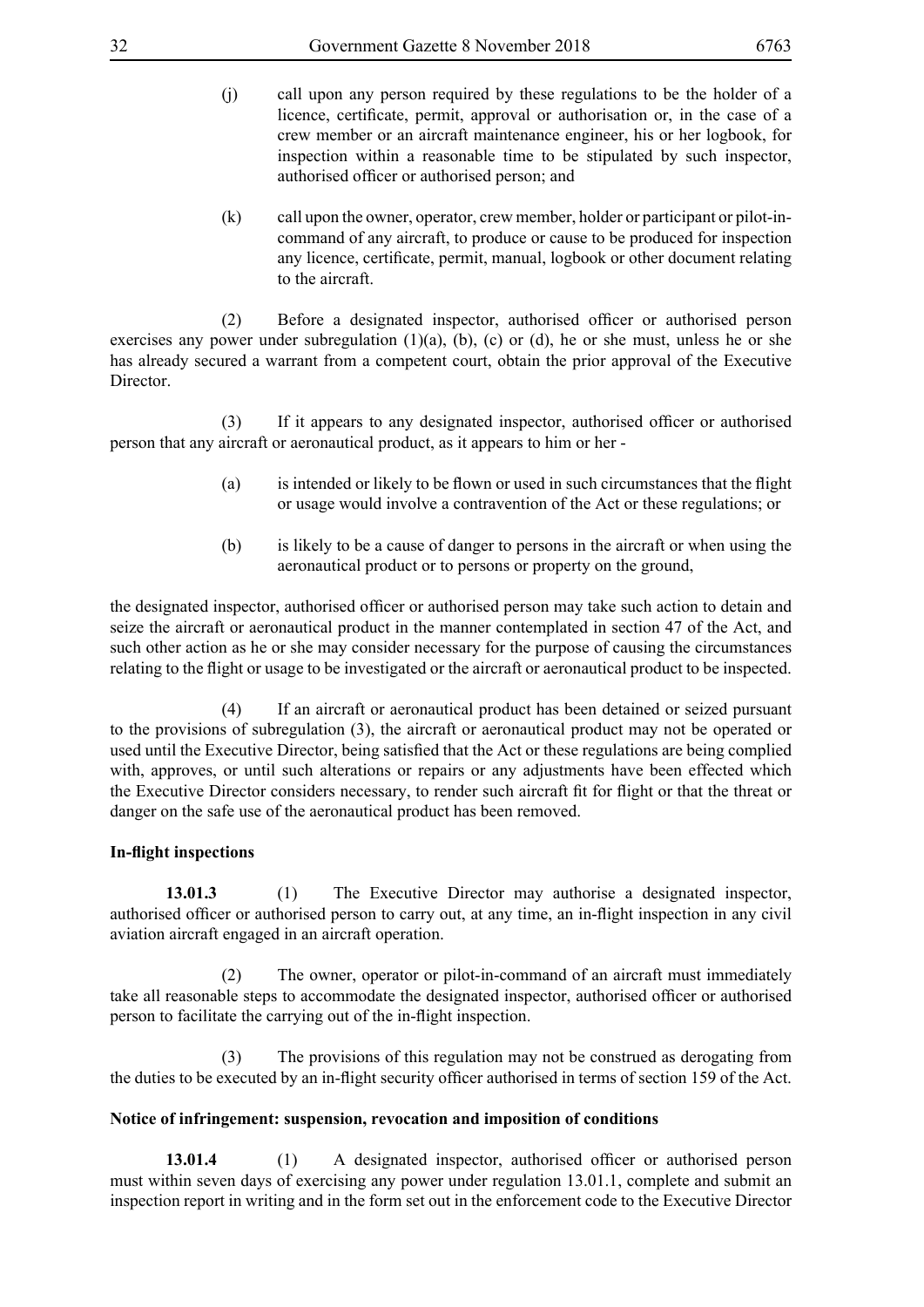- (j) call upon any person required by these regulations to be the holder of a licence, certificate, permit, approval or authorisation or, in the case of a crew member or an aircraft maintenance engineer, his or her logbook, for inspection within a reasonable time to be stipulated by such inspector, authorised officer or authorised person; and
- (k) call upon the owner, operator, crew member, holder or participant or pilot-incommand of any aircraft, to produce or cause to be produced for inspection any licence, certificate, permit, manual, logbook or other document relating to the aircraft.

(2) Before a designated inspector, authorised officer or authorised person exercises any power under subregulation  $(1)(a)$ ,  $(b)$ ,  $(c)$  or  $(d)$ , he or she must, unless he or she has already secured a warrant from a competent court, obtain the prior approval of the Executive **Director** 

(3) If it appears to any designated inspector, authorised officer or authorised person that any aircraft or aeronautical product, as it appears to him or her -

- (a) is intended or likely to be flown or used in such circumstances that the flight or usage would involve a contravention of the Act or these regulations; or
- (b) is likely to be a cause of danger to persons in the aircraft or when using the aeronautical product or to persons or property on the ground,

the designated inspector, authorised officer or authorised person may take such action to detain and seize the aircraft or aeronautical product in the manner contemplated in section 47 of the Act, and such other action as he or she may consider necessary for the purpose of causing the circumstances relating to the flight or usage to be investigated or the aircraft or aeronautical product to be inspected.

 (4) If an aircraft or aeronautical product has been detained or seized pursuant to the provisions of subregulation (3), the aircraft or aeronautical product may not be operated or used until the Executive Director, being satisfied that the Act or these regulations are being complied with, approves, or until such alterations or repairs or any adjustments have been effected which the Executive Director considers necessary, to render such aircraft fit for flight or that the threat or danger on the safe use of the aeronautical product has been removed.

#### **In-flight inspections**

**13.01.3** (1) The Executive Director may authorise a designated inspector, authorised officer or authorised person to carry out, at any time, an in-flight inspection in any civil aviation aircraft engaged in an aircraft operation.

 (2) The owner, operator or pilot-in-command of an aircraft must immediately take all reasonable steps to accommodate the designated inspector, authorised officer or authorised person to facilitate the carrying out of the in-flight inspection.

 (3) The provisions of this regulation may not be construed as derogating from the duties to be executed by an in-flight security officer authorised in terms of section 159 of the Act.

#### **Notice of infringement: suspension, revocation and imposition of conditions**

**13.01.4** (1) A designated inspector, authorised officer or authorised person must within seven days of exercising any power under regulation 13.01.1, complete and submit an inspection report in writing and in the form set out in the enforcement code to the Executive Director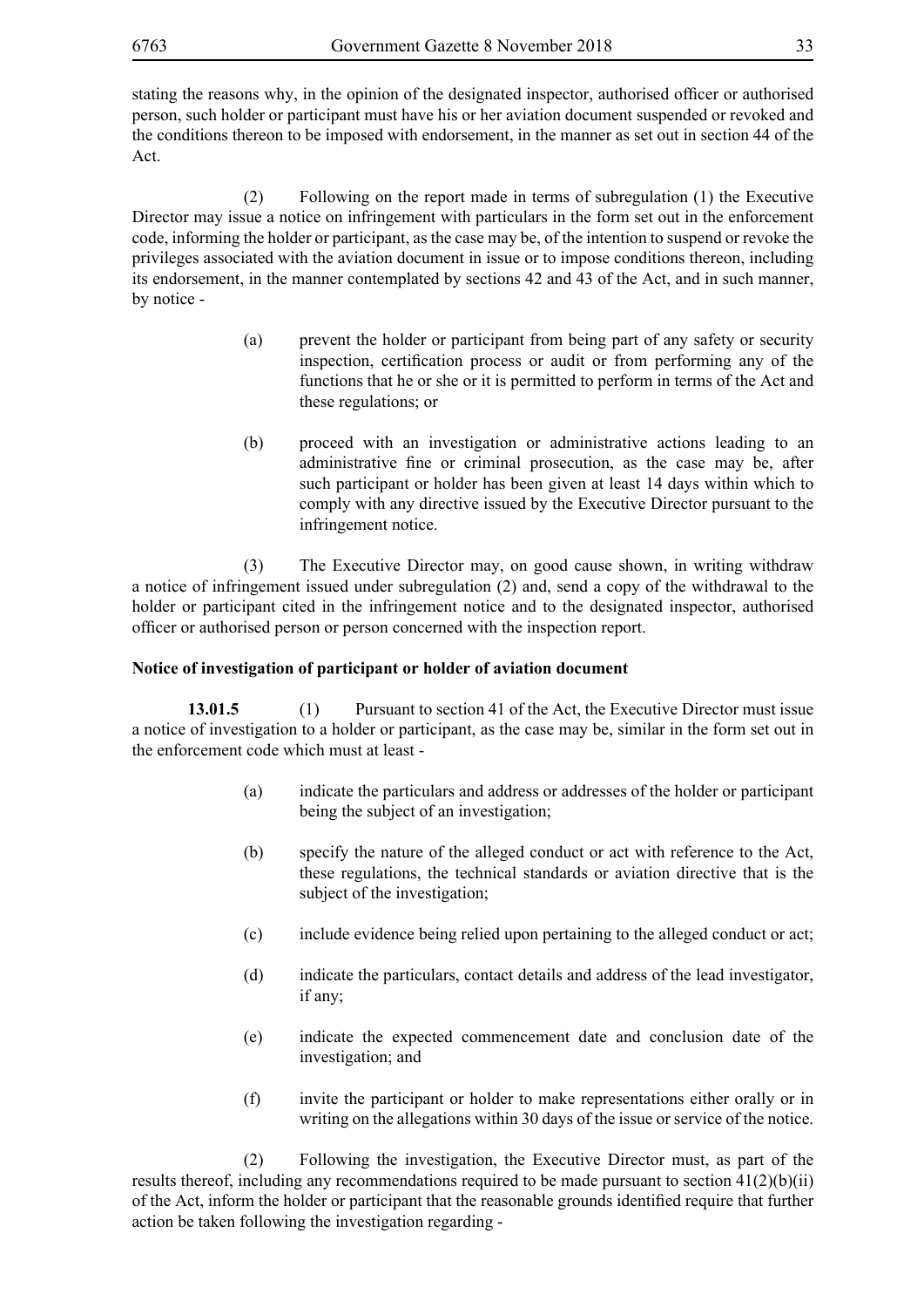stating the reasons why, in the opinion of the designated inspector, authorised officer or authorised person, such holder or participant must have his or her aviation document suspended or revoked and the conditions thereon to be imposed with endorsement, in the manner as set out in section 44 of the Act.

 (2) Following on the report made in terms of subregulation (1) the Executive Director may issue a notice on infringement with particulars in the form set out in the enforcement code, informing the holder or participant, as the case may be, of the intention to suspend or revoke the privileges associated with the aviation document in issue or to impose conditions thereon, including its endorsement, in the manner contemplated by sections 42 and 43 of the Act, and in such manner, by notice -

- (a) prevent the holder or participant from being part of any safety or security inspection, certification process or audit or from performing any of the functions that he or she or it is permitted to perform in terms of the Act and these regulations; or
- (b) proceed with an investigation or administrative actions leading to an administrative fine or criminal prosecution, as the case may be, after such participant or holder has been given at least 14 days within which to comply with any directive issued by the Executive Director pursuant to the infringement notice.

 (3) The Executive Director may, on good cause shown, in writing withdraw a notice of infringement issued under subregulation (2) and, send a copy of the withdrawal to the holder or participant cited in the infringement notice and to the designated inspector, authorised officer or authorised person or person concerned with the inspection report.

#### **Notice of investigation of participant or holder of aviation document**

**13.01.5** (1) Pursuant to section 41 of the Act, the Executive Director must issue a notice of investigation to a holder or participant, as the case may be, similar in the form set out in the enforcement code which must at least -

- (a) indicate the particulars and address or addresses of the holder or participant being the subject of an investigation;
- (b) specify the nature of the alleged conduct or act with reference to the Act, these regulations, the technical standards or aviation directive that is the subject of the investigation;
- (c) include evidence being relied upon pertaining to the alleged conduct or act;
- (d) indicate the particulars, contact details and address of the lead investigator, if any;
- (e) indicate the expected commencement date and conclusion date of the investigation; and
- (f) invite the participant or holder to make representations either orally or in writing on the allegations within 30 days of the issue or service of the notice.

 (2) Following the investigation, the Executive Director must, as part of the results thereof, including any recommendations required to be made pursuant to section 41(2)(b)(ii) of the Act, inform the holder or participant that the reasonable grounds identified require that further action be taken following the investigation regarding -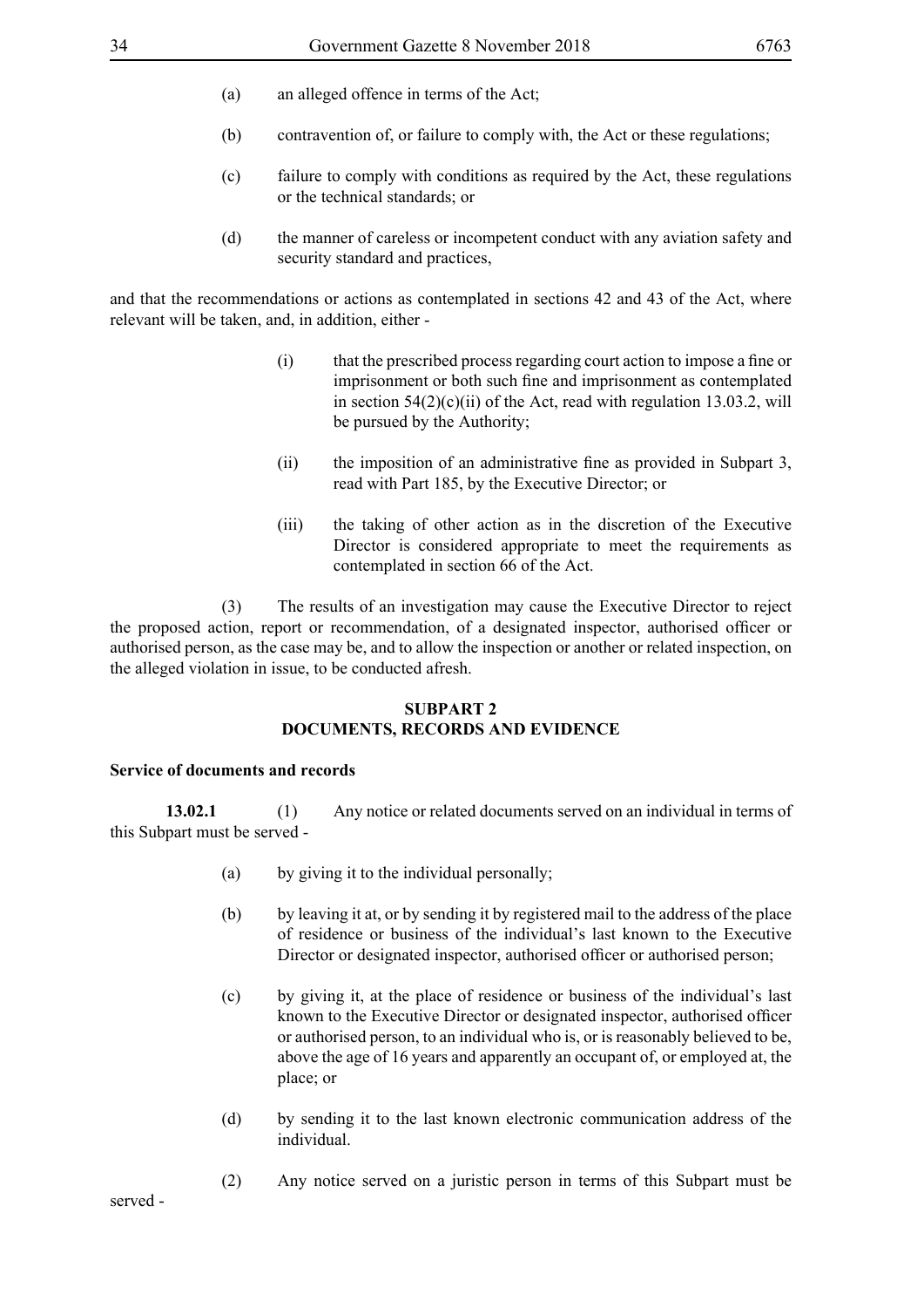- (a) an alleged offence in terms of the Act;
- (b) contravention of, or failure to comply with, the Act or these regulations;
- (c) failure to comply with conditions as required by the Act, these regulations or the technical standards; or
- (d) the manner of careless or incompetent conduct with any aviation safety and security standard and practices,

and that the recommendations or actions as contemplated in sections 42 and 43 of the Act, where relevant will be taken, and, in addition, either -

- (i) that the prescribed process regarding court action to impose a fine or imprisonment or both such fine and imprisonment as contemplated in section  $54(2)(c)(ii)$  of the Act, read with regulation 13.03.2, will be pursued by the Authority;
- (ii) the imposition of an administrative fine as provided in Subpart 3, read with Part 185, by the Executive Director; or
- (iii) the taking of other action as in the discretion of the Executive Director is considered appropriate to meet the requirements as contemplated in section 66 of the Act.

 (3) The results of an investigation may cause the Executive Director to reject the proposed action, report or recommendation, of a designated inspector, authorised officer or authorised person, as the case may be, and to allow the inspection or another or related inspection, on the alleged violation in issue, to be conducted afresh.

#### **SUBPART 2 DOCUMENTS, RECORDS AND EVIDENCE**

#### **Service of documents and records**

**13.02.1** (1) Any notice or related documents served on an individual in terms of this Subpart must be served -

- (a) by giving it to the individual personally;
- (b) by leaving it at, or by sending it by registered mail to the address of the place of residence or business of the individual's last known to the Executive Director or designated inspector, authorised officer or authorised person;
- (c) by giving it, at the place of residence or business of the individual's last known to the Executive Director or designated inspector, authorised officer or authorised person, to an individual who is, or is reasonably believed to be, above the age of 16 years and apparently an occupant of, or employed at, the place; or
- (d) by sending it to the last known electronic communication address of the individual.
- (2) Any notice served on a juristic person in terms of this Subpart must be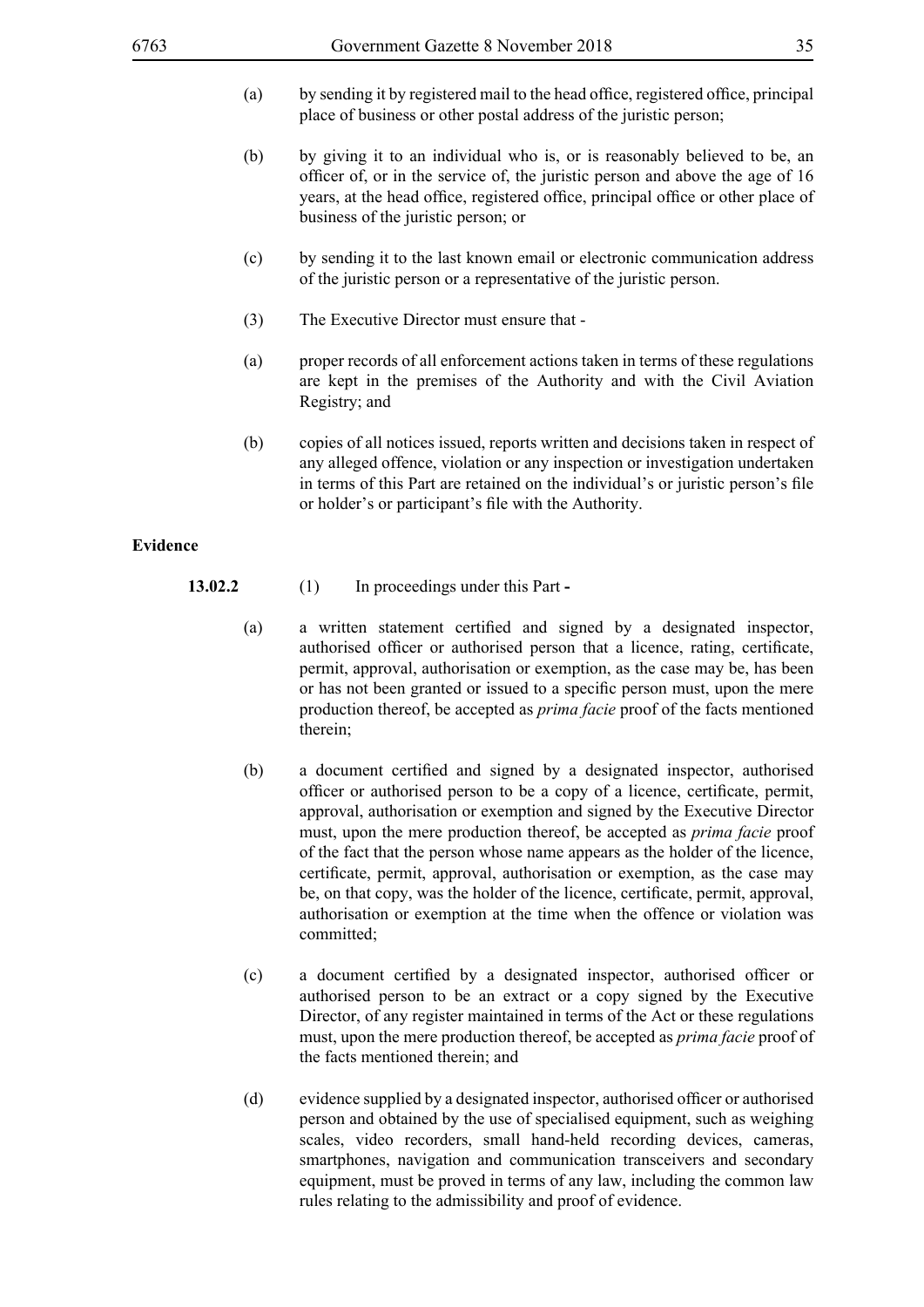- (a) by sending it by registered mail to the head office, registered office, principal place of business or other postal address of the juristic person;
- (b) by giving it to an individual who is, or is reasonably believed to be, an officer of, or in the service of, the juristic person and above the age of 16 years, at the head office, registered office, principal office or other place of business of the juristic person; or
- (c) by sending it to the last known email or electronic communication address of the juristic person or a representative of the juristic person.
- (3) The Executive Director must ensure that -
- (a) proper records of all enforcement actions taken in terms of these regulations are kept in the premises of the Authority and with the Civil Aviation Registry; and
- (b) copies of all notices issued, reports written and decisions taken in respect of any alleged offence, violation or any inspection or investigation undertaken in terms of this Part are retained on the individual's or juristic person's file or holder's or participant's file with the Authority.

#### **Evidence**

- **13.02.2** (1) In proceedings under this Part **-**
	- (a) a written statement certified and signed by a designated inspector, authorised officer or authorised person that a licence, rating, certificate, permit, approval, authorisation or exemption, as the case may be, has been or has not been granted or issued to a specific person must, upon the mere production thereof, be accepted as *prima facie* proof of the facts mentioned therein;
	- (b) a document certified and signed by a designated inspector, authorised officer or authorised person to be a copy of a licence, certificate, permit, approval, authorisation or exemption and signed by the Executive Director must, upon the mere production thereof, be accepted as *prima facie* proof of the fact that the person whose name appears as the holder of the licence, certificate, permit, approval, authorisation or exemption, as the case may be, on that copy, was the holder of the licence, certificate, permit, approval, authorisation or exemption at the time when the offence or violation was committed;
	- (c) a document certified by a designated inspector, authorised officer or authorised person to be an extract or a copy signed by the Executive Director, of any register maintained in terms of the Act or these regulations must, upon the mere production thereof, be accepted as *prima facie* proof of the facts mentioned therein; and
	- (d) evidence supplied by a designated inspector, authorised officer or authorised person and obtained by the use of specialised equipment, such as weighing scales, video recorders, small hand-held recording devices, cameras, smartphones, navigation and communication transceivers and secondary equipment, must be proved in terms of any law, including the common law rules relating to the admissibility and proof of evidence.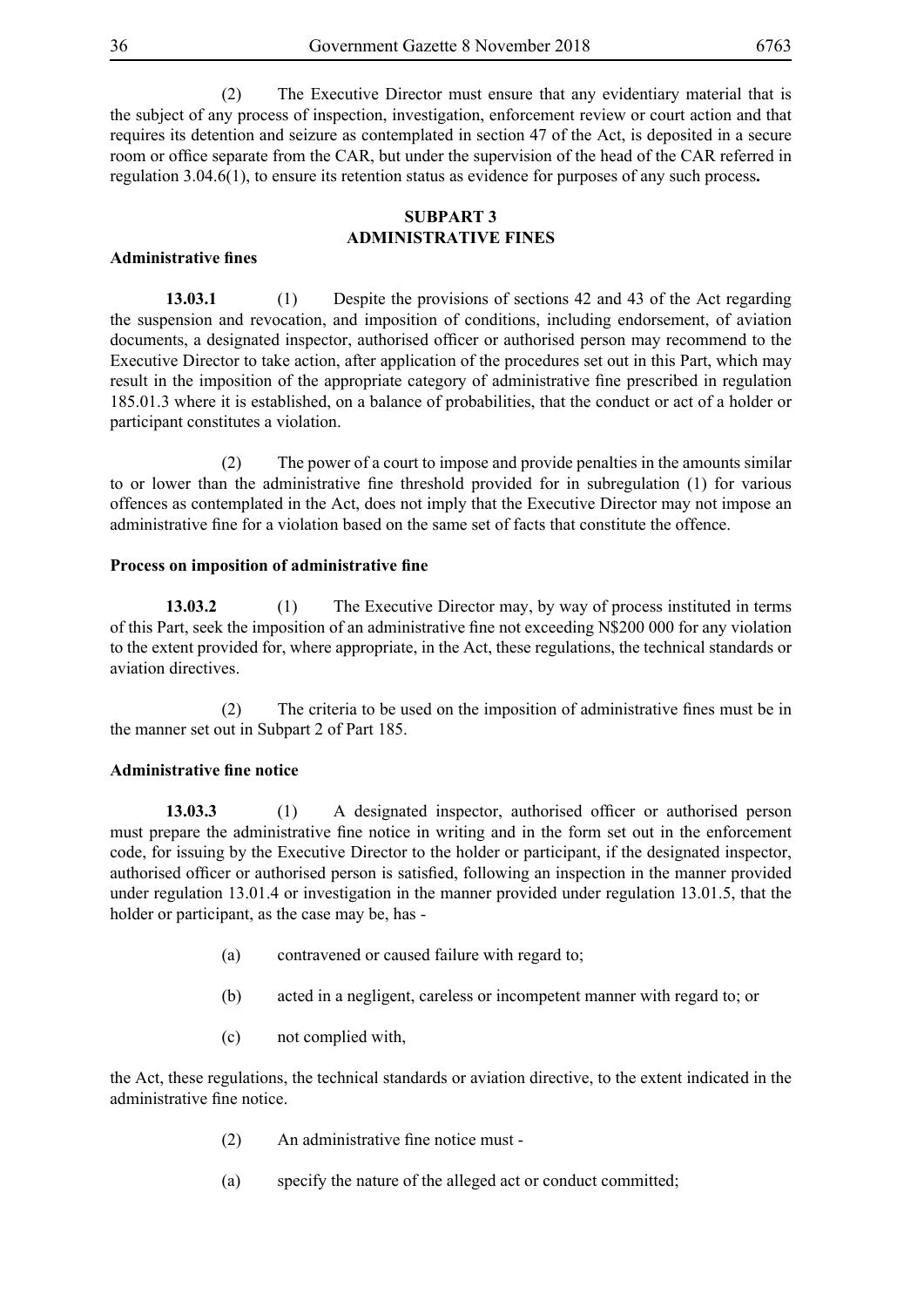(2) The Executive Director must ensure that any evidentiary material that is the subject of any process of inspection, investigation, enforcement review or court action and that requires its detention and seizure as contemplated in section 47 of the Act, is deposited in a secure room or office separate from the CAR, but under the supervision of the head of the CAR referred in regulation 3.04.6(1), to ensure its retention status as evidence for purposes of any such process**.**

#### **SUBPART 3 ADMINISTRATIVE FINES**

#### **Administrative fines**

**13.03.1** (1) Despite the provisions of sections 42 and 43 of the Act regarding the suspension and revocation, and imposition of conditions, including endorsement, of aviation documents, a designated inspector, authorised officer or authorised person may recommend to the Executive Director to take action, after application of the procedures set out in this Part, which may result in the imposition of the appropriate category of administrative fine prescribed in regulation 185.01.3 where it is established, on a balance of probabilities, that the conduct or act of a holder or participant constitutes a violation.

 (2) The power of a court to impose and provide penalties in the amounts similar to or lower than the administrative fine threshold provided for in subregulation (1) for various offences as contemplated in the Act, does not imply that the Executive Director may not impose an administrative fine for a violation based on the same set of facts that constitute the offence.

#### **Process on imposition of administrative fine**

**13.03.2** (1) The Executive Director may, by way of process instituted in terms of this Part, seek the imposition of an administrative fine not exceeding N\$200 000 for any violation to the extent provided for, where appropriate, in the Act, these regulations, the technical standards or aviation directives.

(2) The criteria to be used on the imposition of administrative fines must be in the manner set out in Subpart 2 of Part 185.

#### **Administrative fine notice**

**13.03.3** (1) A designated inspector, authorised officer or authorised person must prepare the administrative fine notice in writing and in the form set out in the enforcement code, for issuing by the Executive Director to the holder or participant, if the designated inspector, authorised officer or authorised person is satisfied, following an inspection in the manner provided under regulation 13.01.4 or investigation in the manner provided under regulation 13.01.5, that the holder or participant, as the case may be, has -

- (a) contravened or caused failure with regard to;
- (b) acted in a negligent, careless or incompetent manner with regard to; or
- (c) not complied with,

the Act, these regulations, the technical standards or aviation directive, to the extent indicated in the administrative fine notice.

- (2) An administrative fine notice must -
- (a) specify the nature of the alleged act or conduct committed;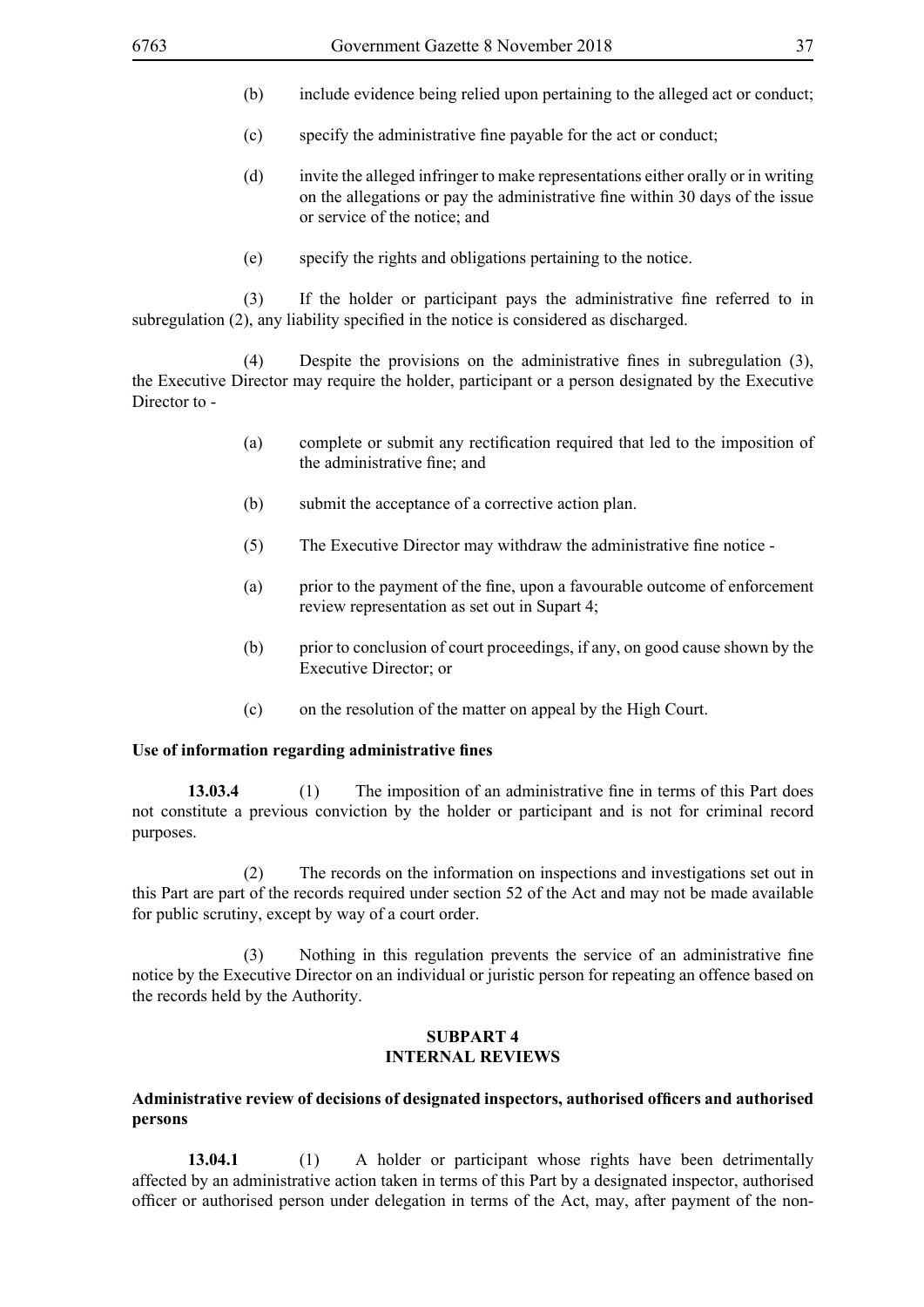- (b) include evidence being relied upon pertaining to the alleged act or conduct;
- (c) specify the administrative fine payable for the act or conduct;
- (d) invite the alleged infringer to make representations either orally or in writing on the allegations or pay the administrative fine within 30 days of the issue or service of the notice; and
- (e) specify the rights and obligations pertaining to the notice.

(3) If the holder or participant pays the administrative fine referred to in subregulation (2), any liability specified in the notice is considered as discharged.

(4) Despite the provisions on the administrative fines in subregulation (3), the Executive Director may require the holder, participant or a person designated by the Executive Director to -

- (a) complete or submit any rectification required that led to the imposition of the administrative fine; and
- (b) submit the acceptance of a corrective action plan.
- (5) The Executive Director may withdraw the administrative fine notice -
- (a) prior to the payment of the fine, upon a favourable outcome of enforcement review representation as set out in Supart 4;
- (b) prior to conclusion of court proceedings, if any, on good cause shown by the Executive Director; or
- (c) on the resolution of the matter on appeal by the High Court.

#### **Use of information regarding administrative fines**

**13.03.4** (1) The imposition of an administrative fine in terms of this Part does not constitute a previous conviction by the holder or participant and is not for criminal record purposes.

 (2) The records on the information on inspections and investigations set out in this Part are part of the records required under section 52 of the Act and may not be made available for public scrutiny, except by way of a court order.

(3) Nothing in this regulation prevents the service of an administrative fine notice by the Executive Director on an individual or juristic person for repeating an offence based on the records held by the Authority.

#### **SUBPART 4 INTERNAL REVIEWS**

### **Administrative review of decisions of designated inspectors, authorised officers and authorised persons**

**13.04.1** (1) A holder or participant whose rights have been detrimentally affected by an administrative action taken in terms of this Part by a designated inspector, authorised officer or authorised person under delegation in terms of the Act, may, after payment of the non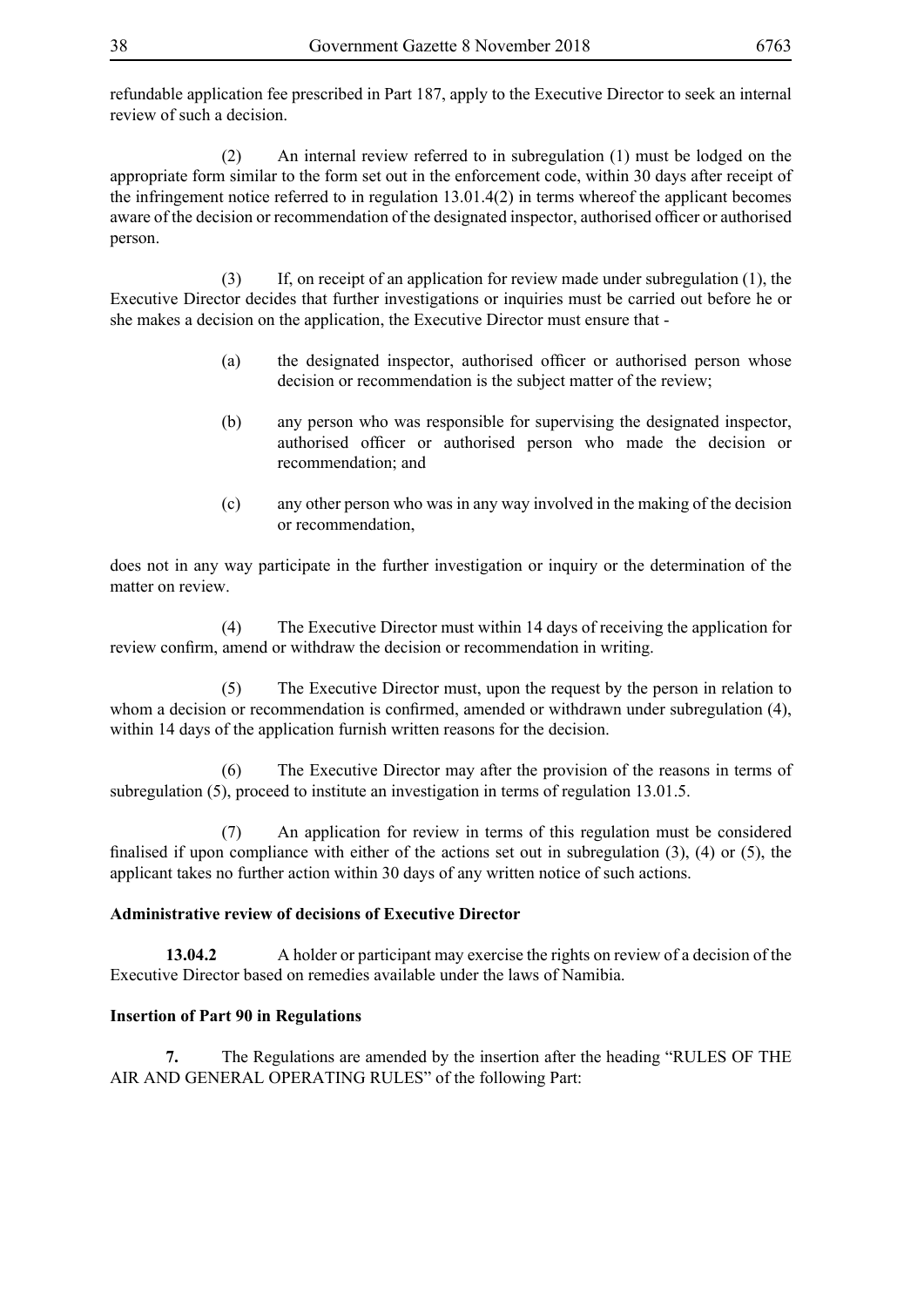refundable application fee prescribed in Part 187, apply to the Executive Director to seek an internal review of such a decision.

 (2) An internal review referred to in subregulation (1) must be lodged on the appropriate form similar to the form set out in the enforcement code, within 30 days after receipt of the infringement notice referred to in regulation 13.01.4(2) in terms whereof the applicant becomes aware of the decision or recommendation of the designated inspector, authorised officer or authorised person.

 (3) If, on receipt of an application for review made under subregulation (1), the Executive Director decides that further investigations or inquiries must be carried out before he or she makes a decision on the application, the Executive Director must ensure that -

- (a) the designated inspector, authorised officer or authorised person whose decision or recommendation is the subject matter of the review;
- (b) any person who was responsible for supervising the designated inspector, authorised officer or authorised person who made the decision or recommendation; and
- (c) any other person who was in any way involved in the making of the decision or recommendation,

does not in any way participate in the further investigation or inquiry or the determination of the matter on review.

 (4) The Executive Director must within 14 days of receiving the application for review confirm, amend or withdraw the decision or recommendation in writing.

 (5) The Executive Director must, upon the request by the person in relation to whom a decision or recommendation is confirmed, amended or withdrawn under subregulation (4), within 14 days of the application furnish written reasons for the decision.

 (6) The Executive Director may after the provision of the reasons in terms of subregulation (5), proceed to institute an investigation in terms of regulation 13.01.5.

An application for review in terms of this regulation must be considered finalised if upon compliance with either of the actions set out in subregulation (3), (4) or (5), the applicant takes no further action within 30 days of any written notice of such actions.

# **Administrative review of decisions of Executive Director**

**13.04.2** A holder or participant may exercise the rights on review of a decision of the Executive Director based on remedies available under the laws of Namibia.

### **Insertion of Part 90 in Regulations**

**7.** The Regulations are amended by the insertion after the heading "RULES OF THE AIR AND GENERAL OPERATING RULES" of the following Part: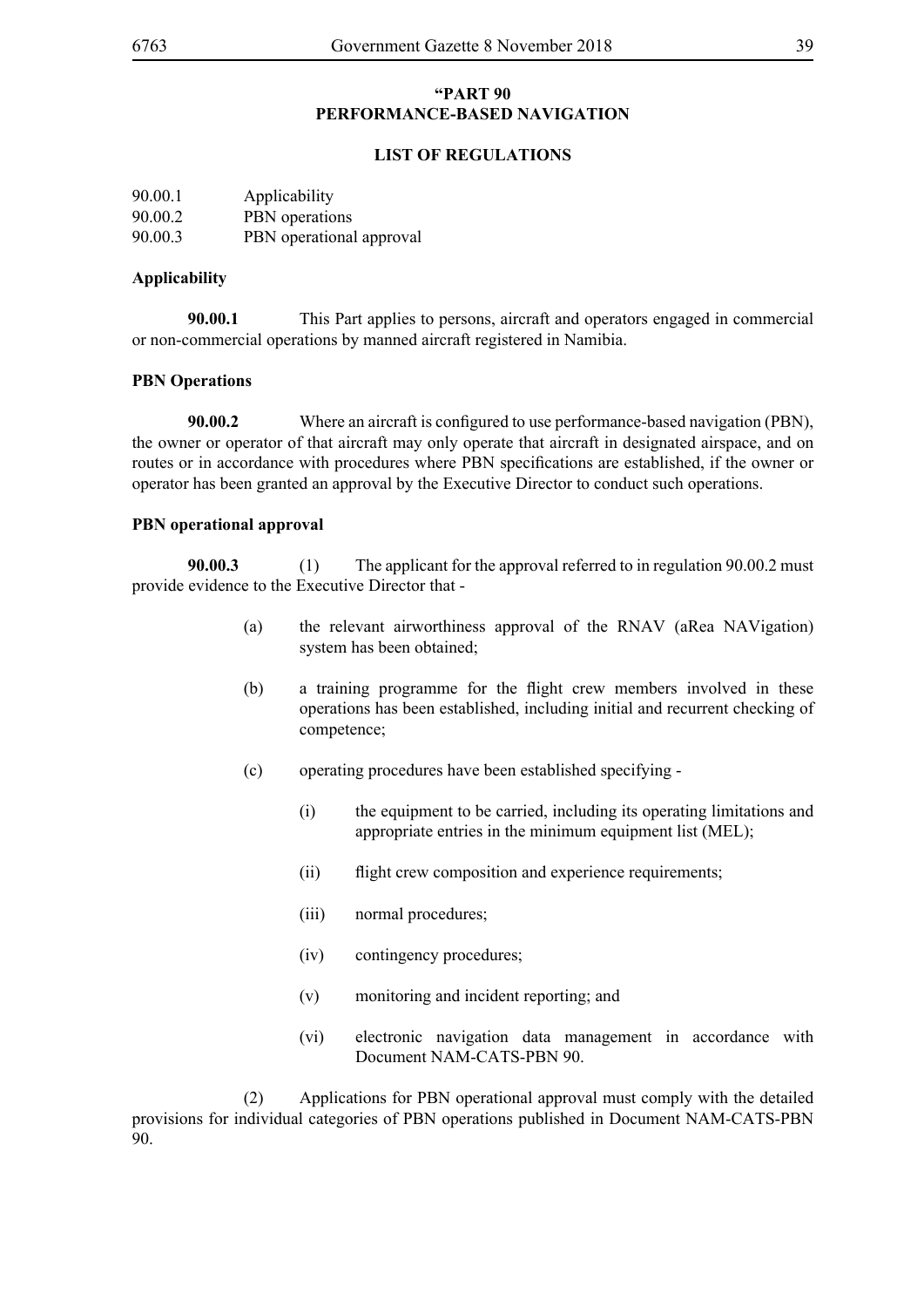## **"PART 90 PERFORMANCE-BASED NAVIGATION**

### **LIST OF REGULATIONS**

| 90.00.1 | Applicability            |
|---------|--------------------------|
| 90.00.2 | PBN operations           |
| 90.00.3 | PBN operational approval |

### **Applicability**

**90.00.1** This Part applies to persons, aircraft and operators engaged in commercial or non-commercial operations by manned aircraft registered in Namibia.

### **PBN Operations**

**90.00.2** Where an aircraft is configured to use performance-based navigation (PBN), the owner or operator of that aircraft may only operate that aircraft in designated airspace, and on routes or in accordance with procedures where PBN specifications are established, if the owner or operator has been granted an approval by the Executive Director to conduct such operations.

## **PBN operational approval**

**90.00.3** (1) The applicant for the approval referred to in regulation 90.00.2 must provide evidence to the Executive Director that -

- (a) the relevant airworthiness approval of the RNAV (aRea NAVigation) system has been obtained;
- (b) a training programme for the flight crew members involved in these operations has been established, including initial and recurrent checking of competence;
- (c) operating procedures have been established specifying
	- (i) the equipment to be carried, including its operating limitations and appropriate entries in the minimum equipment list (MEL);
	- (ii) flight crew composition and experience requirements;
	- (iii) normal procedures;
	- (iv) contingency procedures;
	- (v) monitoring and incident reporting; and
	- (vi) electronic navigation data management in accordance with Document NAM-CATS-PBN 90.

 (2) Applications for PBN operational approval must comply with the detailed provisions for individual categories of PBN operations published in Document NAM-CATS-PBN 90.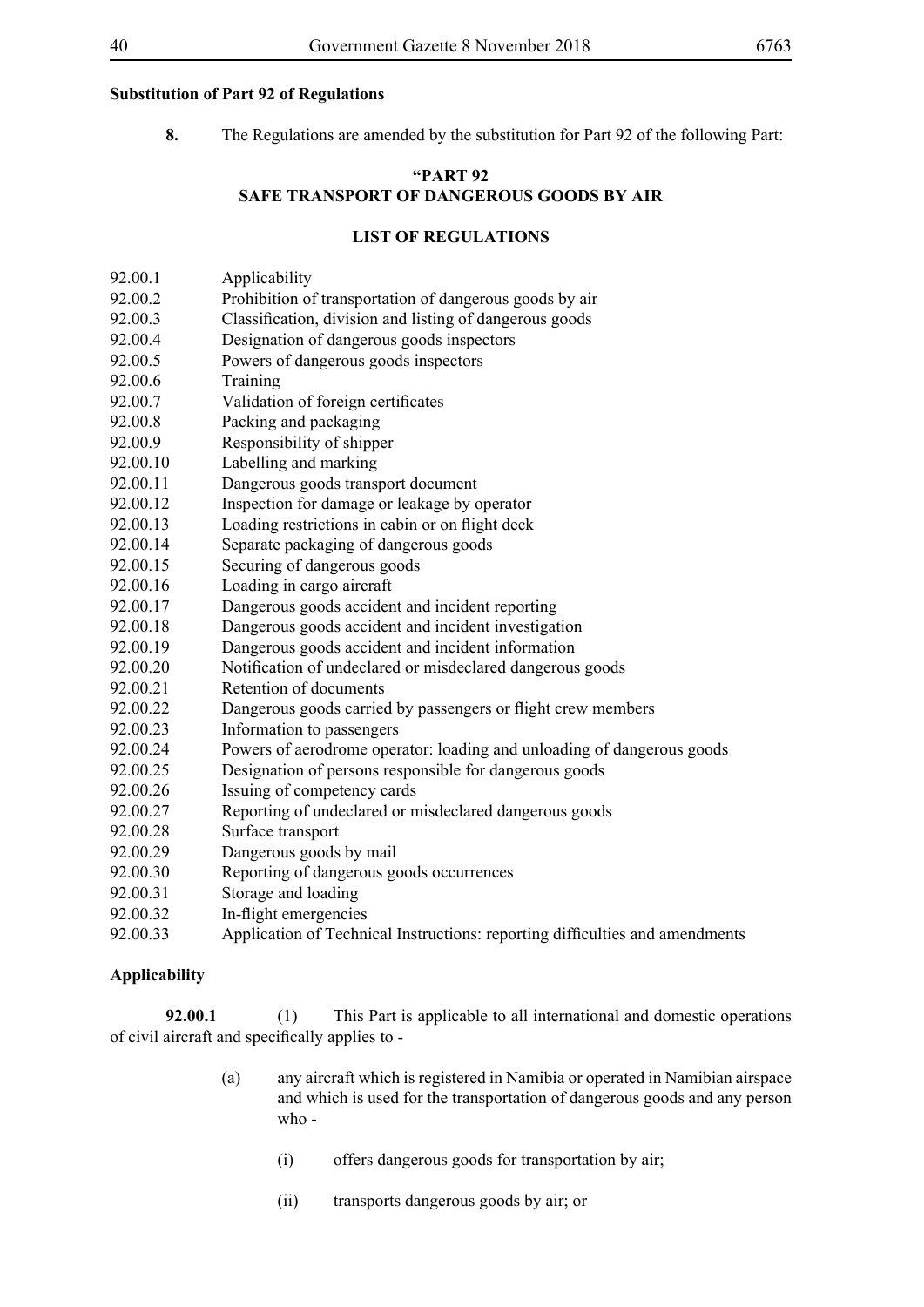## **Substitution of Part 92 of Regulations**

**8.** The Regulations are amended by the substitution for Part 92 of the following Part:

# **"PART 92 SAFE TRANSPORT OF DANGEROUS GOODS BY AIR**

### **LIST OF REGULATIONS**

- 92.00.1 Applicability
- 92.00.2 Prohibition of transportation of dangerous goods by air
- 92.00.3 Classification, division and listing of dangerous goods
- 92.00.4 Designation of dangerous goods inspectors
- 92.00.5 Powers of dangerous goods inspectors
- 92.00.6 Training
- 92.00.7 Validation of foreign certificates
- 92.00.8 Packing and packaging
- 92.00.9 Responsibility of shipper
- 92.00.10 Labelling and marking
- 92.00.11 Dangerous goods transport document
- 92.00.12 Inspection for damage or leakage by operator
- 92.00.13 Loading restrictions in cabin or on flight deck
- 92.00.14 Separate packaging of dangerous goods
- 92.00.15 Securing of dangerous goods
- 92.00.16 Loading in cargo aircraft
- 92.00.17 Dangerous goods accident and incident reporting
- 92.00.18 Dangerous goods accident and incident investigation
- 92.00.19 Dangerous goods accident and incident information
- 92.00.20 Notification of undeclared or misdeclared dangerous goods
- 92.00.21 Retention of documents
- 92.00.22 Dangerous goods carried by passengers or flight crew members
- 92.00.23 Information to passengers
- 92.00.24 Powers of aerodrome operator: loading and unloading of dangerous goods
- 92.00.25 Designation of persons responsible for dangerous goods
- 92.00.26 Issuing of competency cards
- 92.00.27 Reporting of undeclared or misdeclared dangerous goods
- 92.00.28 Surface transport
- 92.00.29 Dangerous goods by mail
- 92.00.30 Reporting of dangerous goods occurrences
- 92.00.31 Storage and loading
- 92.00.32 In-flight emergencies
- 92.00.33 Application of Technical Instructions: reporting difficulties and amendments

# **Applicability**

**92.00.1** (1) This Part is applicable to all international and domestic operations of civil aircraft and specifically applies to -

- (a) any aircraft which is registered in Namibia or operated in Namibian airspace and which is used for the transportation of dangerous goods and any person who -
	- (i) offers dangerous goods for transportation by air;
	- (ii) transports dangerous goods by air; or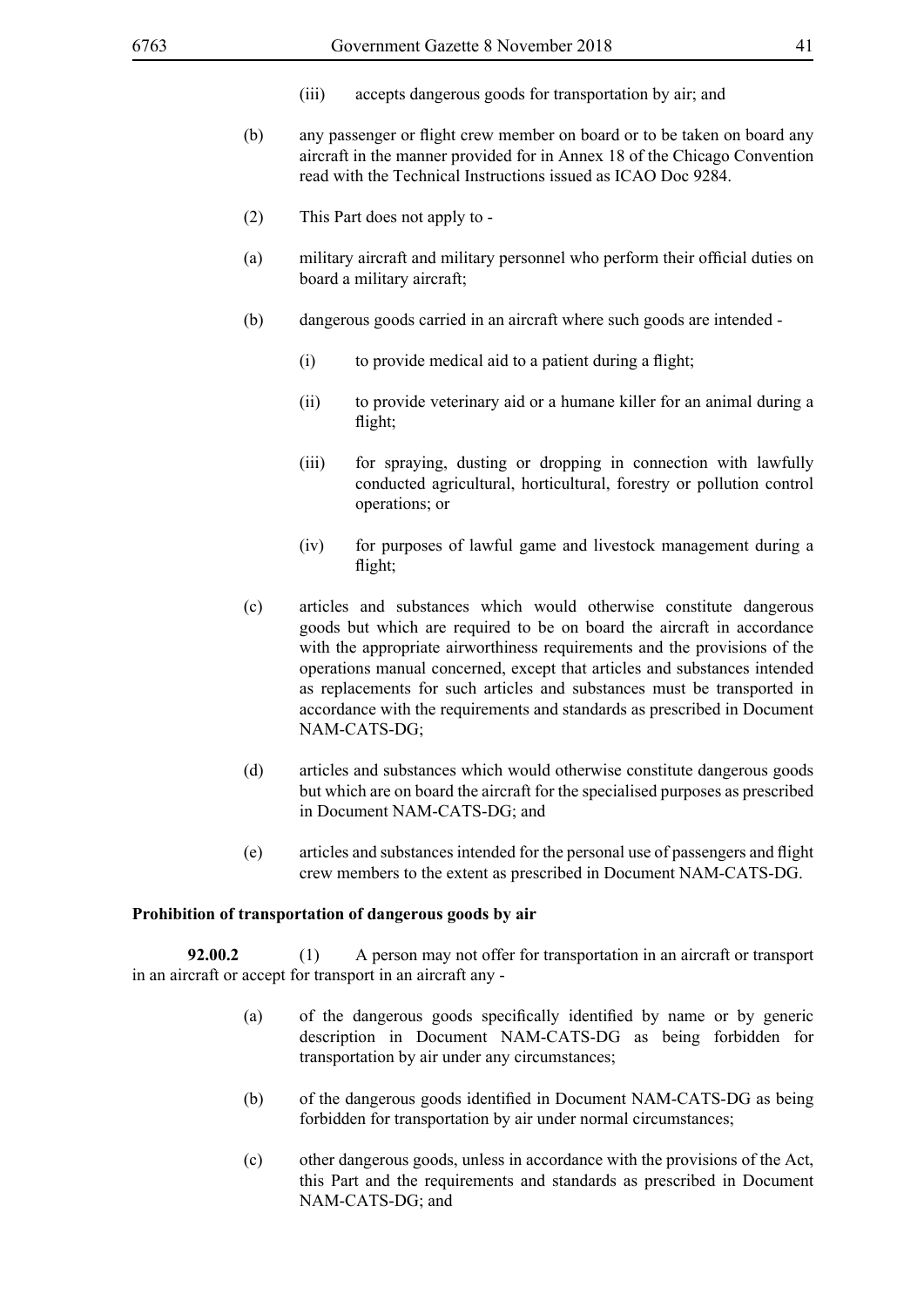- (iii) accepts dangerous goods for transportation by air; and
- (b) any passenger or flight crew member on board or to be taken on board any aircraft in the manner provided for in Annex 18 of the Chicago Convention read with the Technical Instructions issued as ICAO Doc 9284.
- (2) This Part does not apply to -
- (a) military aircraft and military personnel who perform their official duties on board a military aircraft;
- (b) dangerous goods carried in an aircraft where such goods are intended
	- (i) to provide medical aid to a patient during a flight;
	- (ii) to provide veterinary aid or a humane killer for an animal during a flight;
	- (iii) for spraying, dusting or dropping in connection with lawfully conducted agricultural, horticultural, forestry or pollution control operations; or
	- (iv) for purposes of lawful game and livestock management during a flight;
- (c) articles and substances which would otherwise constitute dangerous goods but which are required to be on board the aircraft in accordance with the appropriate airworthiness requirements and the provisions of the operations manual concerned, except that articles and substances intended as replacements for such articles and substances must be transported in accordance with the requirements and standards as prescribed in Document NAM-CATS-DG;
- (d) articles and substances which would otherwise constitute dangerous goods but which are on board the aircraft for the specialised purposes as prescribed in Document NAM-CATS-DG; and
- (e) articles and substances intended for the personal use of passengers and flight crew members to the extent as prescribed in Document NAM-CATS-DG.

#### **Prohibition of transportation of dangerous goods by air**

**92.00.2** (1) A person may not offer for transportation in an aircraft or transport in an aircraft or accept for transport in an aircraft any -

- (a) of the dangerous goods specifically identified by name or by generic description in Document NAM-CATS-DG as being forbidden for transportation by air under any circumstances;
- (b) of the dangerous goods identified in Document NAM-CATS-DG as being forbidden for transportation by air under normal circumstances;
- (c) other dangerous goods, unless in accordance with the provisions of the Act, this Part and the requirements and standards as prescribed in Document NAM-CATS-DG; and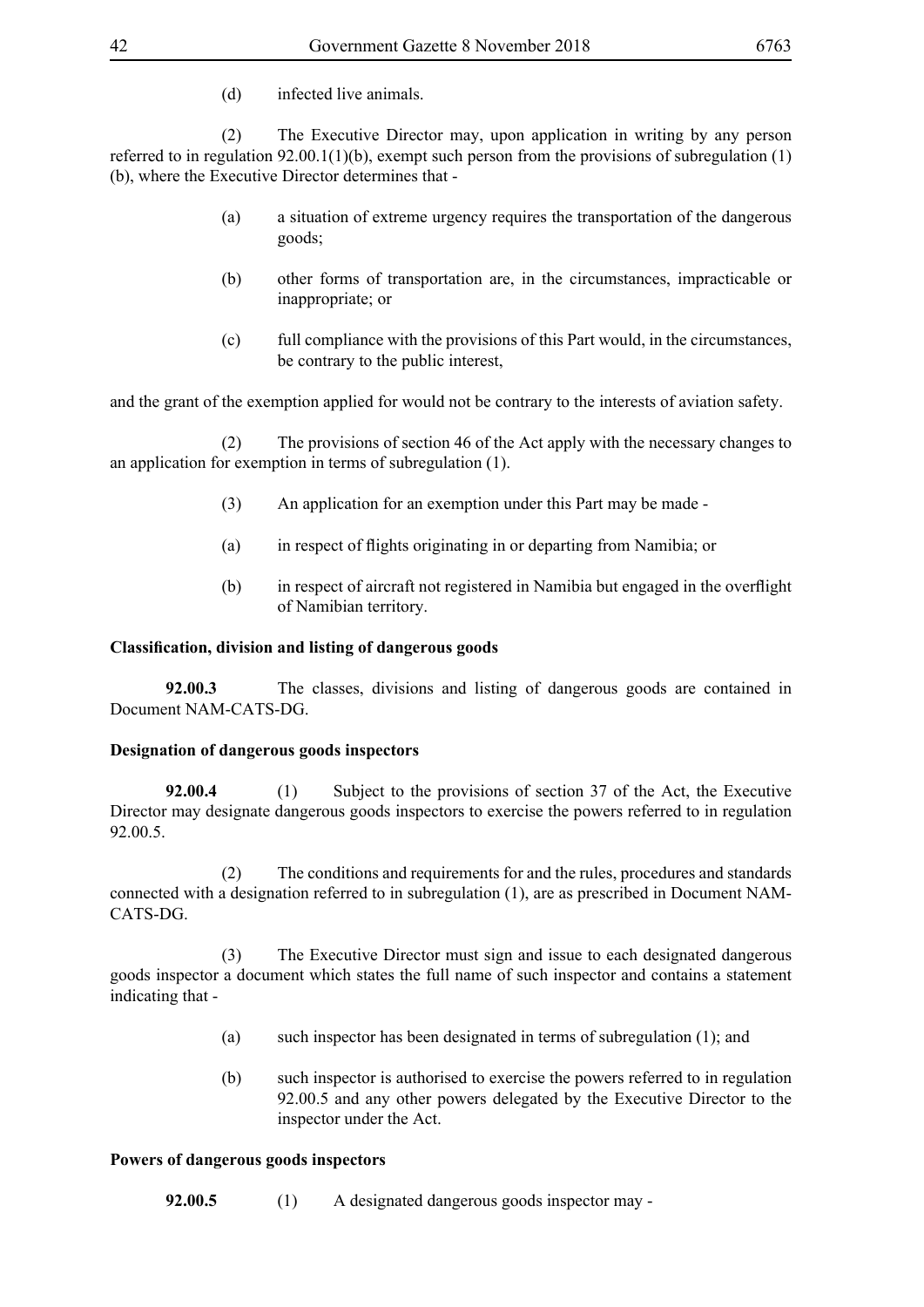(d) infected live animals.

 (2) The Executive Director may, upon application in writing by any person referred to in regulation  $92.00.1(1)(b)$ , exempt such person from the provisions of subregulation (1) (b), where the Executive Director determines that -

- (a) a situation of extreme urgency requires the transportation of the dangerous goods;
- (b) other forms of transportation are, in the circumstances, impracticable or inappropriate; or
- (c) full compliance with the provisions of this Part would, in the circumstances, be contrary to the public interest,

and the grant of the exemption applied for would not be contrary to the interests of aviation safety.

 (2) The provisions of section 46 of the Act apply with the necessary changes to an application for exemption in terms of subregulation (1).

- (3) An application for an exemption under this Part may be made -
- (a) in respect of flights originating in or departing from Namibia; or
- (b) in respect of aircraft not registered in Namibia but engaged in the overflight of Namibian territory.

### **Classification, division and listing of dangerous goods**

**92.00.3** The classes, divisions and listing of dangerous goods are contained in Document NAM-CATS-DG.

### **Designation of dangerous goods inspectors**

**92.00.4** (1) Subject to the provisions of section 37 of the Act, the Executive Director may designate dangerous goods inspectors to exercise the powers referred to in regulation 92.00.5.

 (2) The conditions and requirements for and the rules, procedures and standards connected with a designation referred to in subregulation (1), are as prescribed in Document NAM-CATS-DG.

 (3) The Executive Director must sign and issue to each designated dangerous goods inspector a document which states the full name of such inspector and contains a statement indicating that -

- (a) such inspector has been designated in terms of subregulation (1); and
- (b) such inspector is authorised to exercise the powers referred to in regulation 92.00.5 and any other powers delegated by the Executive Director to the inspector under the Act.

### **Powers of dangerous goods inspectors**

**92.00.5** (1) A designated dangerous goods inspector may -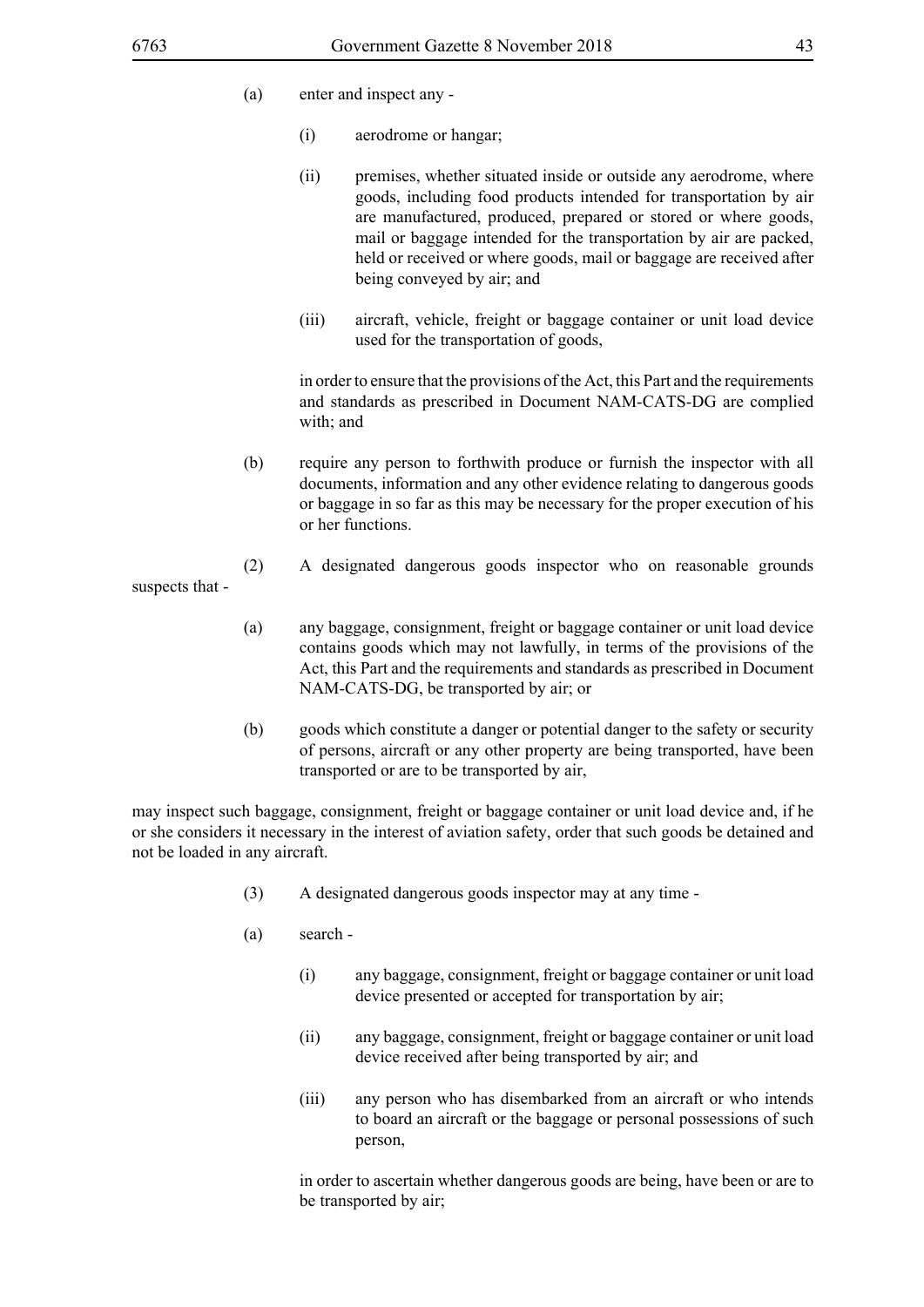suspects that -

- (a) enter and inspect any
	- (i) aerodrome or hangar;
	- (ii) premises, whether situated inside or outside any aerodrome, where goods, including food products intended for transportation by air are manufactured, produced, prepared or stored or where goods, mail or baggage intended for the transportation by air are packed, held or received or where goods, mail or baggage are received after being conveyed by air; and
	- (iii) aircraft, vehicle, freight or baggage container or unit load device used for the transportation of goods,

in order to ensure that the provisions of the Act, this Part and the requirements and standards as prescribed in Document NAM-CATS-DG are complied with; and

- (b) require any person to forthwith produce or furnish the inspector with all documents, information and any other evidence relating to dangerous goods or baggage in so far as this may be necessary for the proper execution of his or her functions.
- (2) A designated dangerous goods inspector who on reasonable grounds
- (a) any baggage, consignment, freight or baggage container or unit load device contains goods which may not lawfully, in terms of the provisions of the Act, this Part and the requirements and standards as prescribed in Document NAM-CATS-DG, be transported by air; or
- (b) goods which constitute a danger or potential danger to the safety or security of persons, aircraft or any other property are being transported, have been transported or are to be transported by air,

may inspect such baggage, consignment, freight or baggage container or unit load device and, if he or she considers it necessary in the interest of aviation safety, order that such goods be detained and not be loaded in any aircraft.

- (3) A designated dangerous goods inspector may at any time -
- (a) search
	- (i) any baggage, consignment, freight or baggage container or unit load device presented or accepted for transportation by air;
	- (ii) any baggage, consignment, freight or baggage container or unit load device received after being transported by air; and
	- (iii) any person who has disembarked from an aircraft or who intends to board an aircraft or the baggage or personal possessions of such person,

in order to ascertain whether dangerous goods are being, have been or are to be transported by air;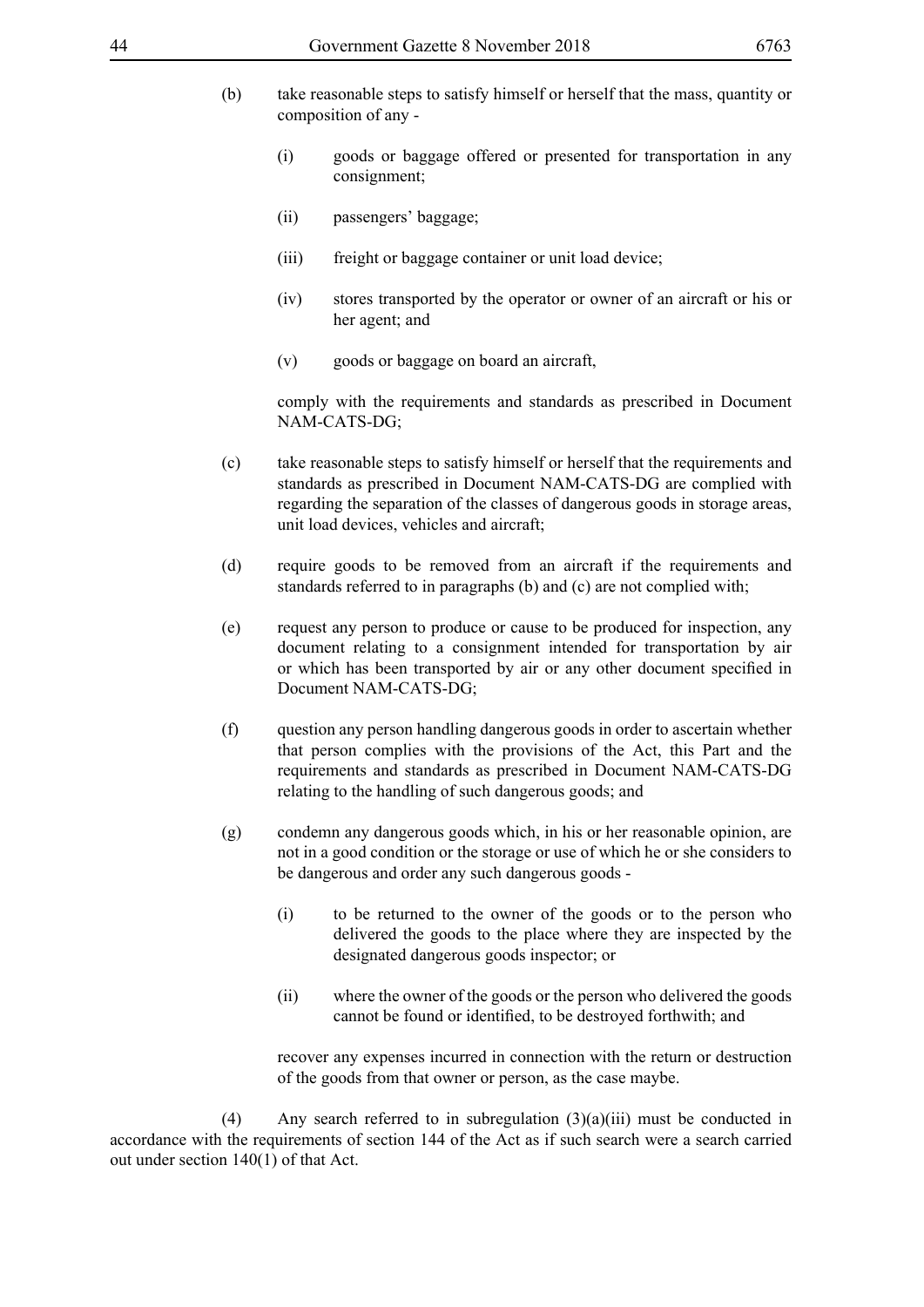- (b) take reasonable steps to satisfy himself or herself that the mass, quantity or composition of any -
	- (i) goods or baggage offered or presented for transportation in any consignment;
	- (ii) passengers' baggage;
	- (iii) freight or baggage container or unit load device;
	- (iv) stores transported by the operator or owner of an aircraft or his or her agent; and
	- (v) goods or baggage on board an aircraft,

comply with the requirements and standards as prescribed in Document NAM-CATS-DG;

- (c) take reasonable steps to satisfy himself or herself that the requirements and standards as prescribed in Document NAM-CATS-DG are complied with regarding the separation of the classes of dangerous goods in storage areas, unit load devices, vehicles and aircraft;
- (d) require goods to be removed from an aircraft if the requirements and standards referred to in paragraphs (b) and (c) are not complied with;
- (e) request any person to produce or cause to be produced for inspection, any document relating to a consignment intended for transportation by air or which has been transported by air or any other document specified in Document NAM-CATS-DG;
- (f) question any person handling dangerous goods in order to ascertain whether that person complies with the provisions of the Act, this Part and the requirements and standards as prescribed in Document NAM-CATS-DG relating to the handling of such dangerous goods; and
- (g) condemn any dangerous goods which, in his or her reasonable opinion, are not in a good condition or the storage or use of which he or she considers to be dangerous and order any such dangerous goods -
	- (i) to be returned to the owner of the goods or to the person who delivered the goods to the place where they are inspected by the designated dangerous goods inspector; or
	- (ii) where the owner of the goods or the person who delivered the goods cannot be found or identified, to be destroyed forthwith; and

recover any expenses incurred in connection with the return or destruction of the goods from that owner or person, as the case maybe.

(4) Any search referred to in subregulation  $(3)(a)(iii)$  must be conducted in accordance with the requirements of section 144 of the Act as if such search were a search carried out under section 140(1) of that Act.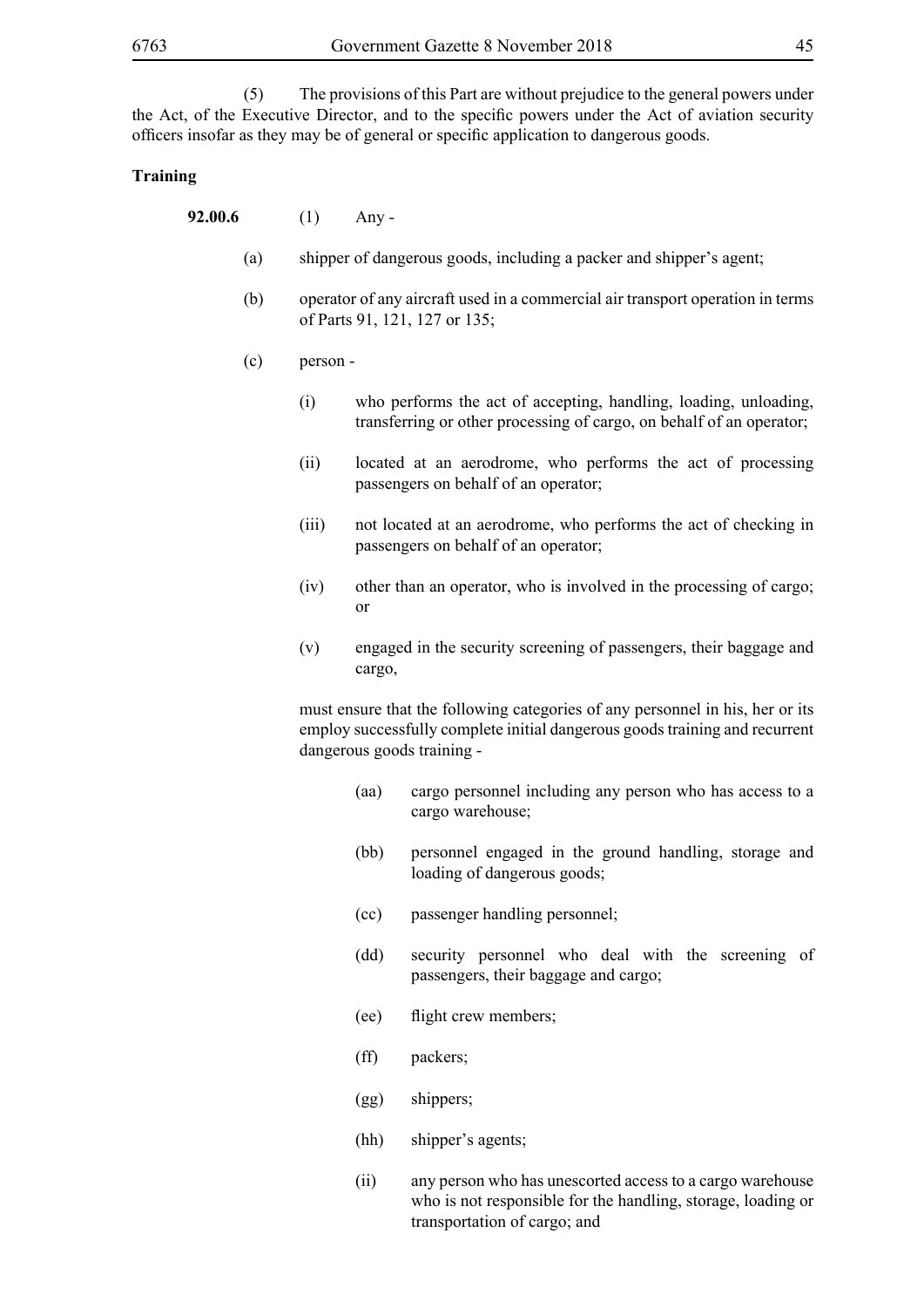(5) The provisions of this Part are without prejudice to the general powers under the Act, of the Executive Director, and to the specific powers under the Act of aviation security officers insofar as they may be of general or specific application to dangerous goods.

#### **Training**

- **92.00.6** (1) Any
	- (a) shipper of dangerous goods, including a packer and shipper's agent;
	- (b) operator of any aircraft used in a commercial air transport operation in terms of Parts 91, 121, 127 or 135;
	- (c) person
		- (i) who performs the act of accepting, handling, loading, unloading, transferring or other processing of cargo, on behalf of an operator;
		- (ii) located at an aerodrome, who performs the act of processing passengers on behalf of an operator;
		- (iii) not located at an aerodrome, who performs the act of checking in passengers on behalf of an operator;
		- (iv) other than an operator, who is involved in the processing of cargo; or
		- (v) engaged in the security screening of passengers, their baggage and cargo,

must ensure that the following categories of any personnel in his, her or its employ successfully complete initial dangerous goods training and recurrent dangerous goods training -

- (aa) cargo personnel including any person who has access to a cargo warehouse;
- (bb) personnel engaged in the ground handling, storage and loading of dangerous goods;
- (cc) passenger handling personnel;
- (dd) security personnel who deal with the screening of passengers, their baggage and cargo;
- (ee) flight crew members;
- (ff) packers;
- (gg) shippers;
- (hh) shipper's agents;
- (ii) any person who has unescorted access to a cargo warehouse who is not responsible for the handling, storage, loading or transportation of cargo; and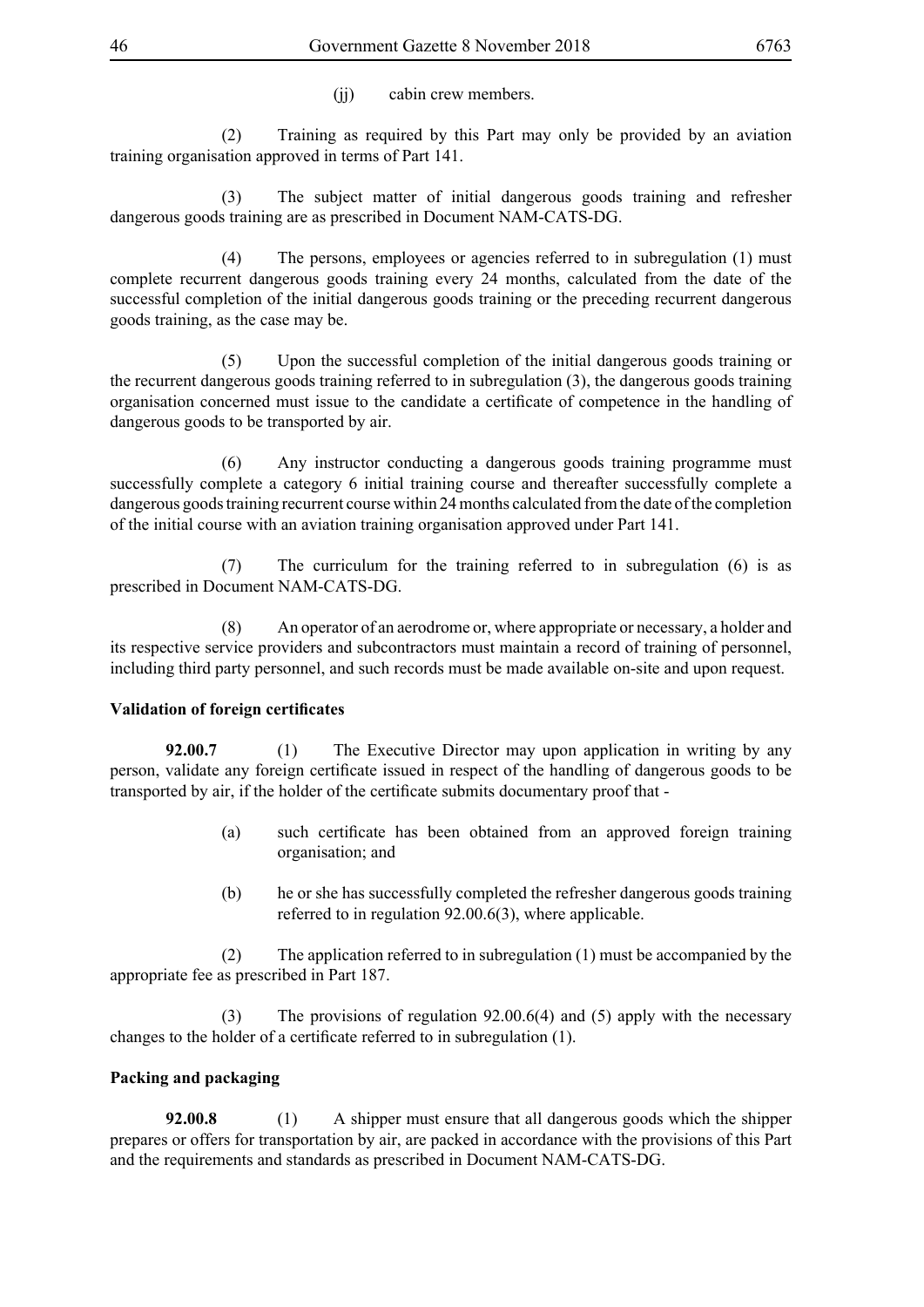(ii) cabin crew members.

 (2) Training as required by this Part may only be provided by an aviation training organisation approved in terms of Part 141.

 (3) The subject matter of initial dangerous goods training and refresher dangerous goods training are as prescribed in Document NAM-CATS-DG.

 (4) The persons, employees or agencies referred to in subregulation (1) must complete recurrent dangerous goods training every 24 months, calculated from the date of the successful completion of the initial dangerous goods training or the preceding recurrent dangerous goods training, as the case may be.

 (5) Upon the successful completion of the initial dangerous goods training or the recurrent dangerous goods training referred to in subregulation (3), the dangerous goods training organisation concerned must issue to the candidate a certificate of competence in the handling of dangerous goods to be transported by air.

 (6) Any instructor conducting a dangerous goods training programme must successfully complete a category 6 initial training course and thereafter successfully complete a dangerous goods training recurrent course within 24 months calculated from the date of the completion of the initial course with an aviation training organisation approved under Part 141.

 (7) The curriculum for the training referred to in subregulation (6) is as prescribed in Document NAM-CATS-DG.

 (8) An operator of an aerodrome or, where appropriate or necessary, a holder and its respective service providers and subcontractors must maintain a record of training of personnel, including third party personnel, and such records must be made available on-site and upon request.

# **Validation of foreign certificates**

**92.00.7** (1) The Executive Director may upon application in writing by any person, validate any foreign certificate issued in respect of the handling of dangerous goods to be transported by air, if the holder of the certificate submits documentary proof that -

- (a) such certificate has been obtained from an approved foreign training organisation; and
- (b) he or she has successfully completed the refresher dangerous goods training referred to in regulation 92.00.6(3), where applicable.

 (2) The application referred to in subregulation (1) must be accompanied by the appropriate fee as prescribed in Part 187.

 (3) The provisions of regulation 92.00.6(4) and (5) apply with the necessary changes to the holder of a certificate referred to in subregulation (1).

# **Packing and packaging**

**92.00.8** (1) A shipper must ensure that all dangerous goods which the shipper prepares or offers for transportation by air, are packed in accordance with the provisions of this Part and the requirements and standards as prescribed in Document NAM-CATS-DG.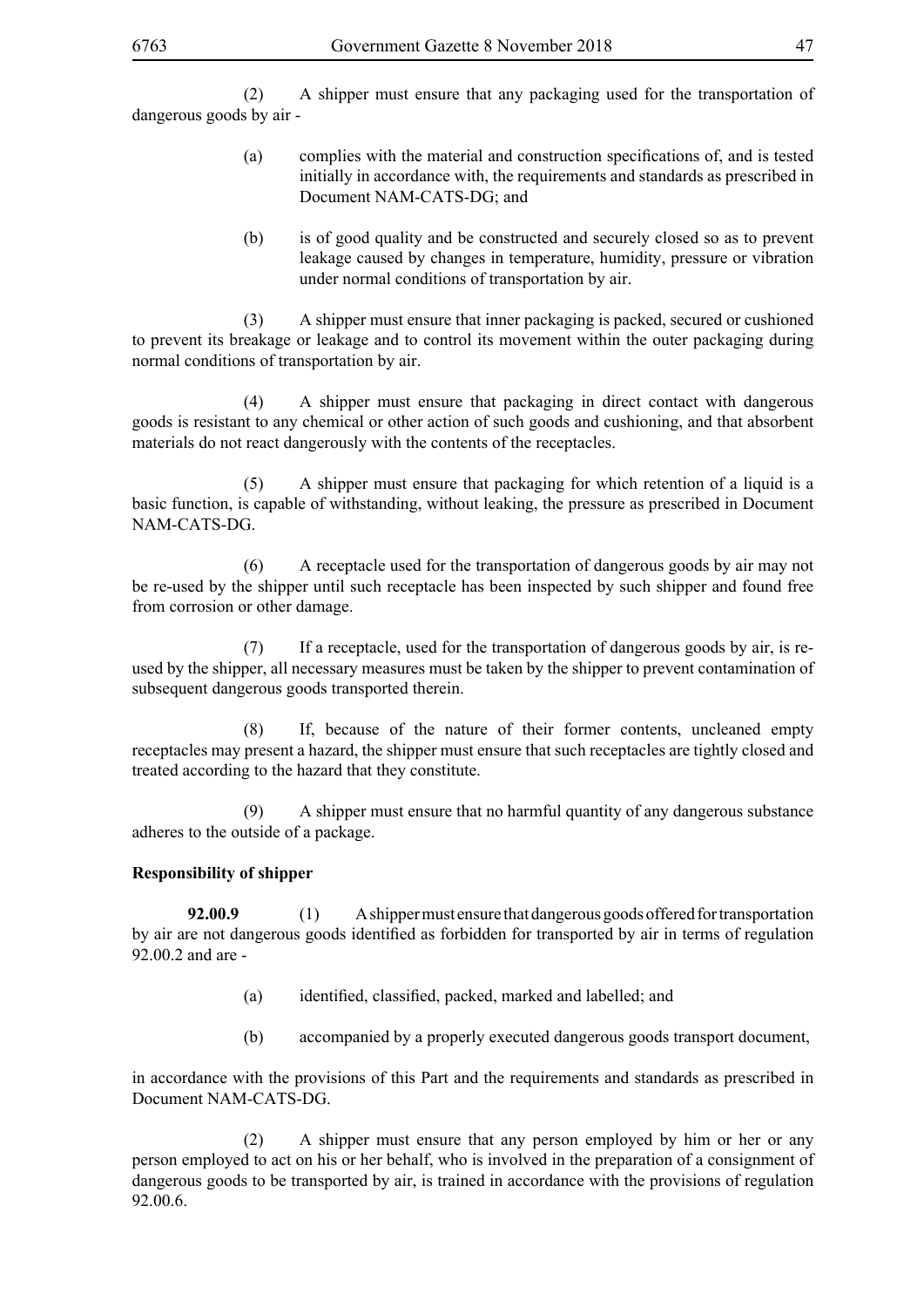(2) A shipper must ensure that any packaging used for the transportation of dangerous goods by air -

- (a) complies with the material and construction specifications of, and is tested initially in accordance with, the requirements and standards as prescribed in Document NAM-CATS-DG; and
- (b) is of good quality and be constructed and securely closed so as to prevent leakage caused by changes in temperature, humidity, pressure or vibration under normal conditions of transportation by air.

 (3) A shipper must ensure that inner packaging is packed, secured or cushioned to prevent its breakage or leakage and to control its movement within the outer packaging during normal conditions of transportation by air.

 (4) A shipper must ensure that packaging in direct contact with dangerous goods is resistant to any chemical or other action of such goods and cushioning, and that absorbent materials do not react dangerously with the contents of the receptacles.

 (5) A shipper must ensure that packaging for which retention of a liquid is a basic function, is capable of withstanding, without leaking, the pressure as prescribed in Document NAM-CATS-DG.

 (6) A receptacle used for the transportation of dangerous goods by air may not be re-used by the shipper until such receptacle has been inspected by such shipper and found free from corrosion or other damage.

 (7) If a receptacle, used for the transportation of dangerous goods by air, is reused by the shipper, all necessary measures must be taken by the shipper to prevent contamination of subsequent dangerous goods transported therein.

 (8) If, because of the nature of their former contents, uncleaned empty receptacles may present a hazard, the shipper must ensure that such receptacles are tightly closed and treated according to the hazard that they constitute.

 (9) A shipper must ensure that no harmful quantity of any dangerous substance adheres to the outside of a package.

# **Responsibility of shipper**

**92.00.9** (1) A shipper must ensure that dangerous goods offered for transportation by air are not dangerous goods identified as forbidden for transported by air in terms of regulation 92.00.2 and are -

- (a) identified, classified, packed, marked and labelled; and
- (b) accompanied by a properly executed dangerous goods transport document,

in accordance with the provisions of this Part and the requirements and standards as prescribed in Document NAM-CATS-DG.

 (2) A shipper must ensure that any person employed by him or her or any person employed to act on his or her behalf, who is involved in the preparation of a consignment of dangerous goods to be transported by air, is trained in accordance with the provisions of regulation 92.00.6.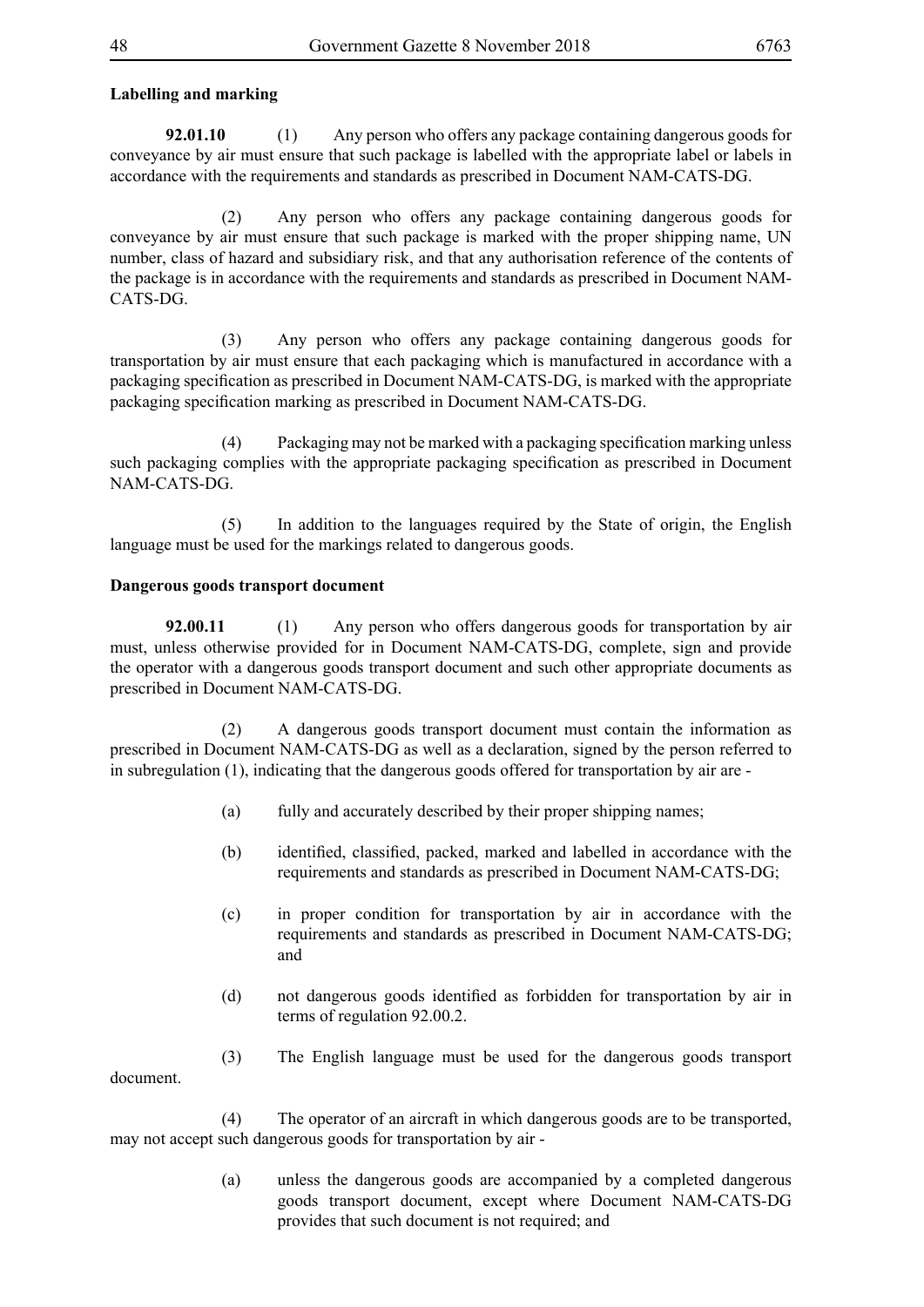## **Labelling and marking**

**92.01.10** (1) Any person who offers any package containing dangerous goods for conveyance by air must ensure that such package is labelled with the appropriate label or labels in accordance with the requirements and standards as prescribed in Document NAM-CATS-DG.

 (2) Any person who offers any package containing dangerous goods for conveyance by air must ensure that such package is marked with the proper shipping name, UN number, class of hazard and subsidiary risk, and that any authorisation reference of the contents of the package is in accordance with the requirements and standards as prescribed in Document NAM-CATS-DG.

 (3) Any person who offers any package containing dangerous goods for transportation by air must ensure that each packaging which is manufactured in accordance with a packaging specification as prescribed in Document NAM-CATS-DG, is marked with the appropriate packaging specification marking as prescribed in Document NAM-CATS-DG.

(4) Packaging may not be marked with a packaging specification marking unless such packaging complies with the appropriate packaging specification as prescribed in Document NAM-CATS-DG.

 (5) In addition to the languages required by the State of origin, the English language must be used for the markings related to dangerous goods.

### **Dangerous goods transport document**

**92.00.11** (1) Any person who offers dangerous goods for transportation by air must, unless otherwise provided for in Document NAM-CATS-DG, complete, sign and provide the operator with a dangerous goods transport document and such other appropriate documents as prescribed in Document NAM-CATS-DG.

 (2) A dangerous goods transport document must contain the information as prescribed in Document NAM-CATS-DG as well as a declaration, signed by the person referred to in subregulation (1), indicating that the dangerous goods offered for transportation by air are -

- (a) fully and accurately described by their proper shipping names;
- (b) identified, classified, packed, marked and labelled in accordance with the requirements and standards as prescribed in Document NAM-CATS-DG;
- (c) in proper condition for transportation by air in accordance with the requirements and standards as prescribed in Document NAM-CATS-DG; and
- (d) not dangerous goods identified as forbidden for transportation by air in terms of regulation 92.00.2.
- (3) The English language must be used for the dangerous goods transport document.

 (4) The operator of an aircraft in which dangerous goods are to be transported, may not accept such dangerous goods for transportation by air -

> (a) unless the dangerous goods are accompanied by a completed dangerous goods transport document, except where Document NAM-CATS-DG provides that such document is not required; and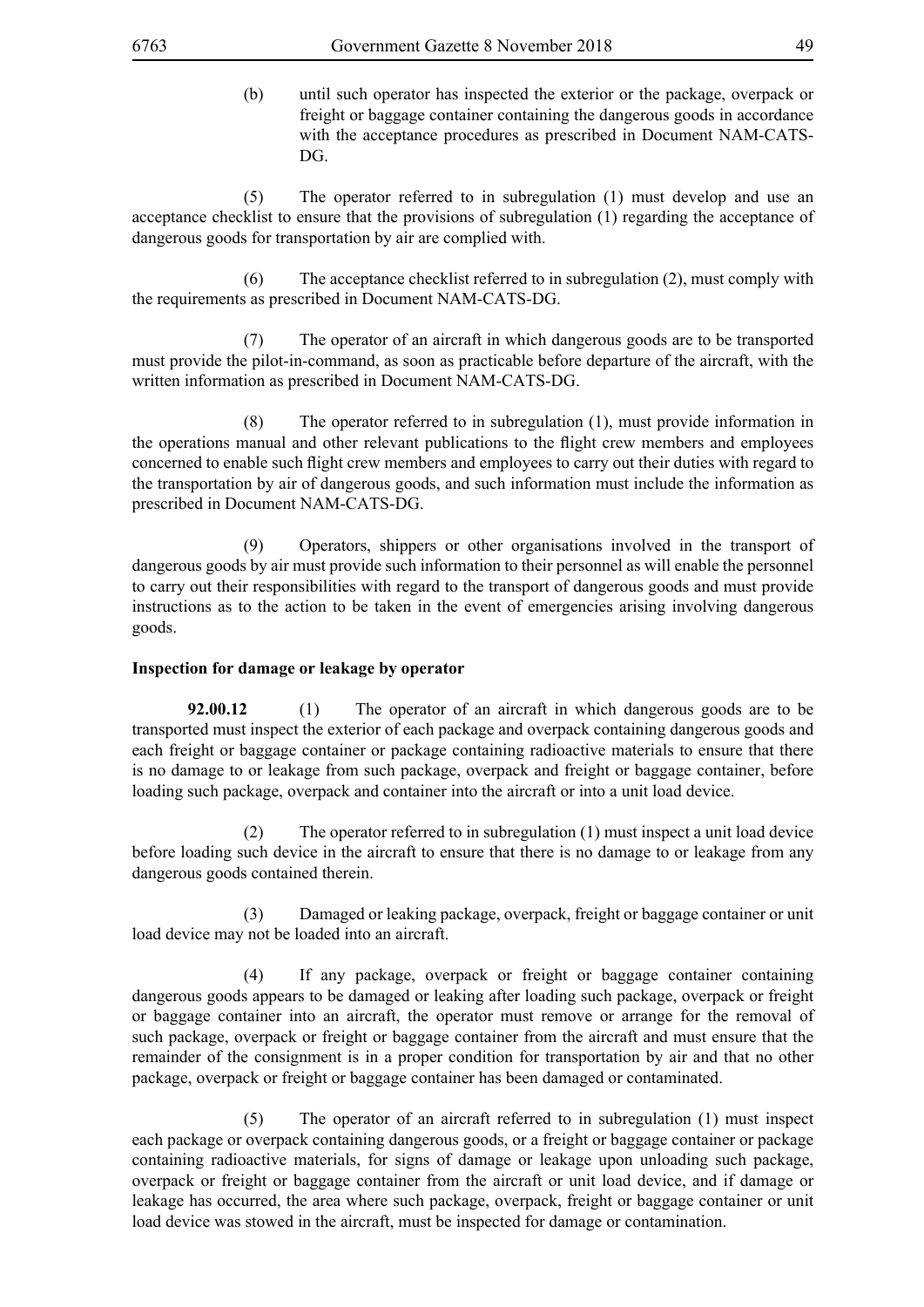(b) until such operator has inspected the exterior or the package, overpack or freight or baggage container containing the dangerous goods in accordance with the acceptance procedures as prescribed in Document NAM-CATS-DG.

 (5) The operator referred to in subregulation (1) must develop and use an acceptance checklist to ensure that the provisions of subregulation (1) regarding the acceptance of dangerous goods for transportation by air are complied with.

 (6) The acceptance checklist referred to in subregulation (2), must comply with the requirements as prescribed in Document NAM-CATS-DG.

 (7) The operator of an aircraft in which dangerous goods are to be transported must provide the pilot-in-command, as soon as practicable before departure of the aircraft, with the written information as prescribed in Document NAM-CATS-DG.

 (8) The operator referred to in subregulation (1), must provide information in the operations manual and other relevant publications to the flight crew members and employees concerned to enable such flight crew members and employees to carry out their duties with regard to the transportation by air of dangerous goods, and such information must include the information as prescribed in Document NAM-CATS-DG.

 (9) Operators, shippers or other organisations involved in the transport of dangerous goods by air must provide such information to their personnel as will enable the personnel to carry out their responsibilities with regard to the transport of dangerous goods and must provide instructions as to the action to be taken in the event of emergencies arising involving dangerous goods.

### **Inspection for damage or leakage by operator**

**92.00.12** (1) The operator of an aircraft in which dangerous goods are to be transported must inspect the exterior of each package and overpack containing dangerous goods and each freight or baggage container or package containing radioactive materials to ensure that there is no damage to or leakage from such package, overpack and freight or baggage container, before loading such package, overpack and container into the aircraft or into a unit load device.

 (2) The operator referred to in subregulation (1) must inspect a unit load device before loading such device in the aircraft to ensure that there is no damage to or leakage from any dangerous goods contained therein.

 (3) Damaged or leaking package, overpack, freight or baggage container or unit load device may not be loaded into an aircraft.

 (4) If any package, overpack or freight or baggage container containing dangerous goods appears to be damaged or leaking after loading such package, overpack or freight or baggage container into an aircraft, the operator must remove or arrange for the removal of such package, overpack or freight or baggage container from the aircraft and must ensure that the remainder of the consignment is in a proper condition for transportation by air and that no other package, overpack or freight or baggage container has been damaged or contaminated.

 (5) The operator of an aircraft referred to in subregulation (1) must inspect each package or overpack containing dangerous goods, or a freight or baggage container or package containing radioactive materials, for signs of damage or leakage upon unloading such package, overpack or freight or baggage container from the aircraft or unit load device, and if damage or leakage has occurred, the area where such package, overpack, freight or baggage container or unit load device was stowed in the aircraft, must be inspected for damage or contamination.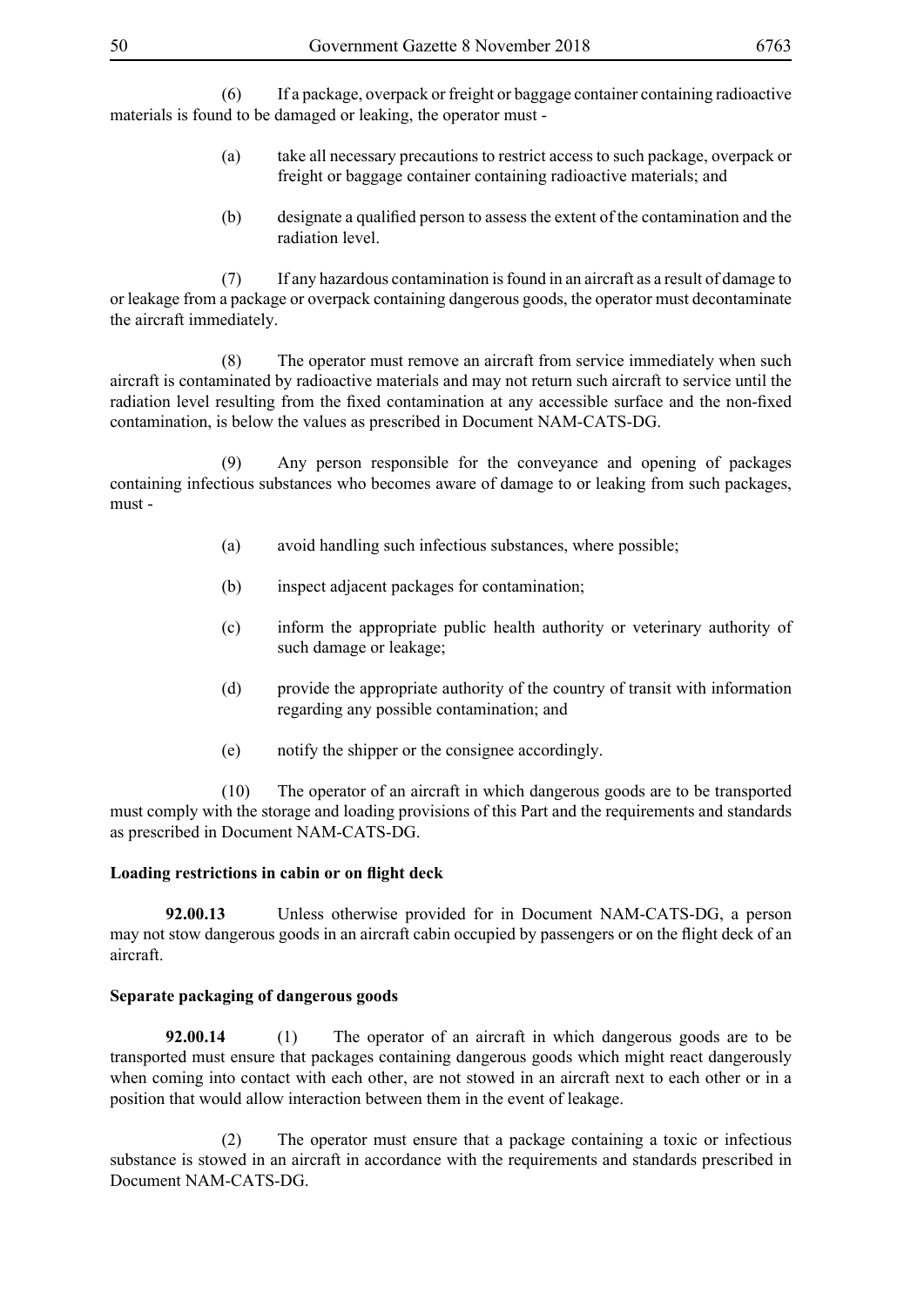(6) If a package, overpack or freight or baggage container containing radioactive materials is found to be damaged or leaking, the operator must -

- (a) take all necessary precautions to restrict access to such package, overpack or freight or baggage container containing radioactive materials; and
- (b) designate a qualified person to assess the extent of the contamination and the radiation level.

 (7) If any hazardous contamination is found in an aircraft as a result of damage to or leakage from a package or overpack containing dangerous goods, the operator must decontaminate the aircraft immediately.

 (8) The operator must remove an aircraft from service immediately when such aircraft is contaminated by radioactive materials and may not return such aircraft to service until the radiation level resulting from the fixed contamination at any accessible surface and the non-fixed contamination, is below the values as prescribed in Document NAM-CATS-DG.

 (9) Any person responsible for the conveyance and opening of packages containing infectious substances who becomes aware of damage to or leaking from such packages, must -

- (a) avoid handling such infectious substances, where possible;
- (b) inspect adjacent packages for contamination;
- (c) inform the appropriate public health authority or veterinary authority of such damage or leakage;
- (d) provide the appropriate authority of the country of transit with information regarding any possible contamination; and
- (e) notify the shipper or the consignee accordingly.

 (10) The operator of an aircraft in which dangerous goods are to be transported must comply with the storage and loading provisions of this Part and the requirements and standards as prescribed in Document NAM-CATS-DG.

#### **Loading restrictions in cabin or on flight deck**

**92.00.13** Unless otherwise provided for in Document NAM-CATS-DG, a person may not stow dangerous goods in an aircraft cabin occupied by passengers or on the flight deck of an aircraft.

#### **Separate packaging of dangerous goods**

**92.00.14** (1) The operator of an aircraft in which dangerous goods are to be transported must ensure that packages containing dangerous goods which might react dangerously when coming into contact with each other, are not stowed in an aircraft next to each other or in a position that would allow interaction between them in the event of leakage.

 (2) The operator must ensure that a package containing a toxic or infectious substance is stowed in an aircraft in accordance with the requirements and standards prescribed in Document NAM-CATS-DG.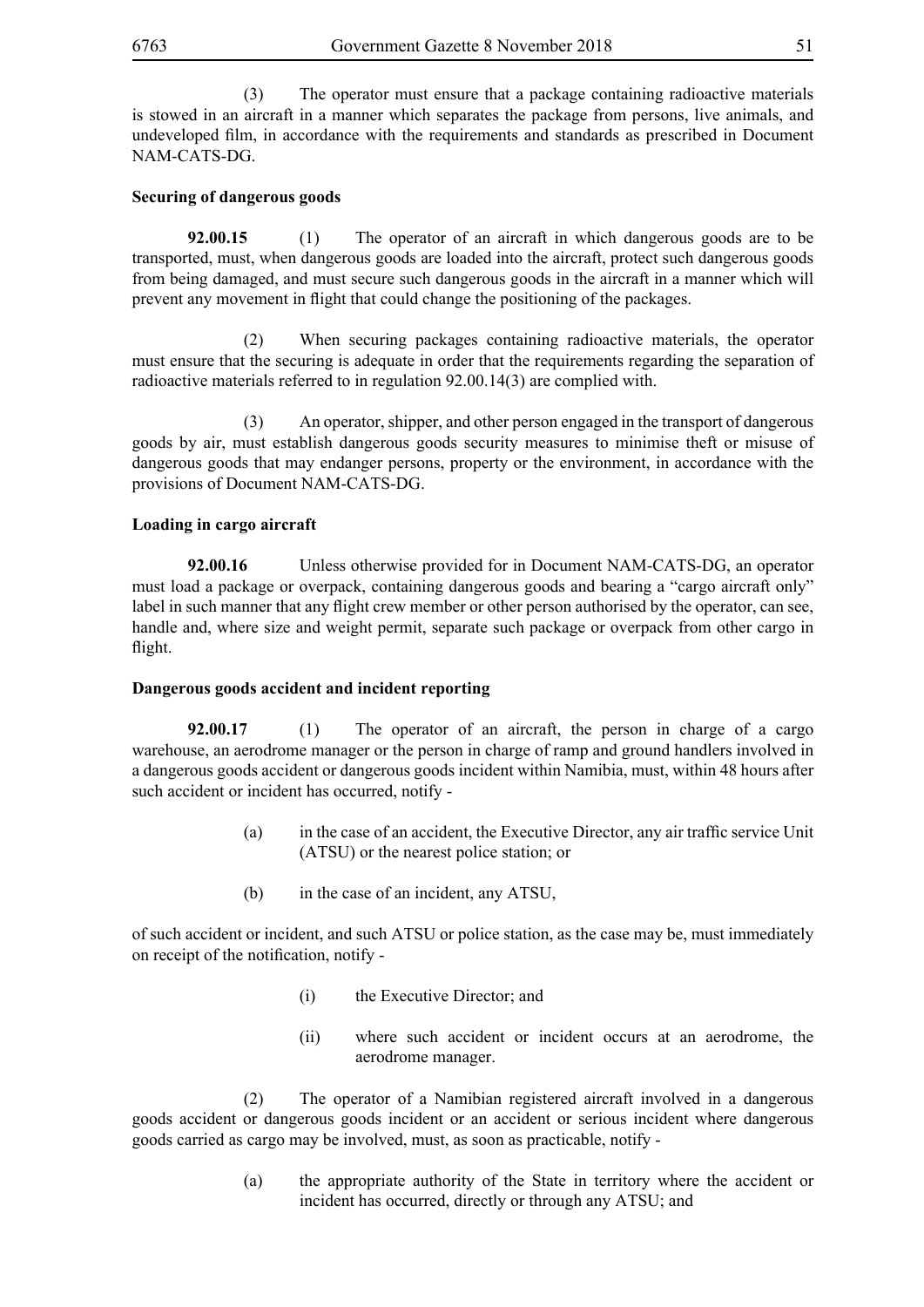(3) The operator must ensure that a package containing radioactive materials is stowed in an aircraft in a manner which separates the package from persons, live animals, and undeveloped film, in accordance with the requirements and standards as prescribed in Document NAM-CATS-DG.

## **Securing of dangerous goods**

**92.00.15** (1) The operator of an aircraft in which dangerous goods are to be transported, must, when dangerous goods are loaded into the aircraft, protect such dangerous goods from being damaged, and must secure such dangerous goods in the aircraft in a manner which will prevent any movement in flight that could change the positioning of the packages.

 (2) When securing packages containing radioactive materials, the operator must ensure that the securing is adequate in order that the requirements regarding the separation of radioactive materials referred to in regulation 92.00.14(3) are complied with.

 (3) An operator, shipper, and other person engaged in the transport of dangerous goods by air, must establish dangerous goods security measures to minimise theft or misuse of dangerous goods that may endanger persons, property or the environment, in accordance with the provisions of Document NAM-CATS-DG.

## **Loading in cargo aircraft**

**92.00.16** Unless otherwise provided for in Document NAM-CATS-DG, an operator must load a package or overpack, containing dangerous goods and bearing a "cargo aircraft only" label in such manner that any flight crew member or other person authorised by the operator, can see, handle and, where size and weight permit, separate such package or overpack from other cargo in flight.

### **Dangerous goods accident and incident reporting**

**92.00.17** (1) The operator of an aircraft, the person in charge of a cargo warehouse, an aerodrome manager or the person in charge of ramp and ground handlers involved in a dangerous goods accident or dangerous goods incident within Namibia, must, within 48 hours after such accident or incident has occurred, notify -

- (a) in the case of an accident, the Executive Director, any air traffic service Unit (ATSU) or the nearest police station; or
- (b) in the case of an incident, any ATSU,

of such accident or incident, and such ATSU or police station, as the case may be, must immediately on receipt of the notification, notify -

- (i) the Executive Director; and
- (ii) where such accident or incident occurs at an aerodrome, the aerodrome manager.

 (2) The operator of a Namibian registered aircraft involved in a dangerous goods accident or dangerous goods incident or an accident or serious incident where dangerous goods carried as cargo may be involved, must, as soon as practicable, notify -

> (a) the appropriate authority of the State in territory where the accident or incident has occurred, directly or through any ATSU; and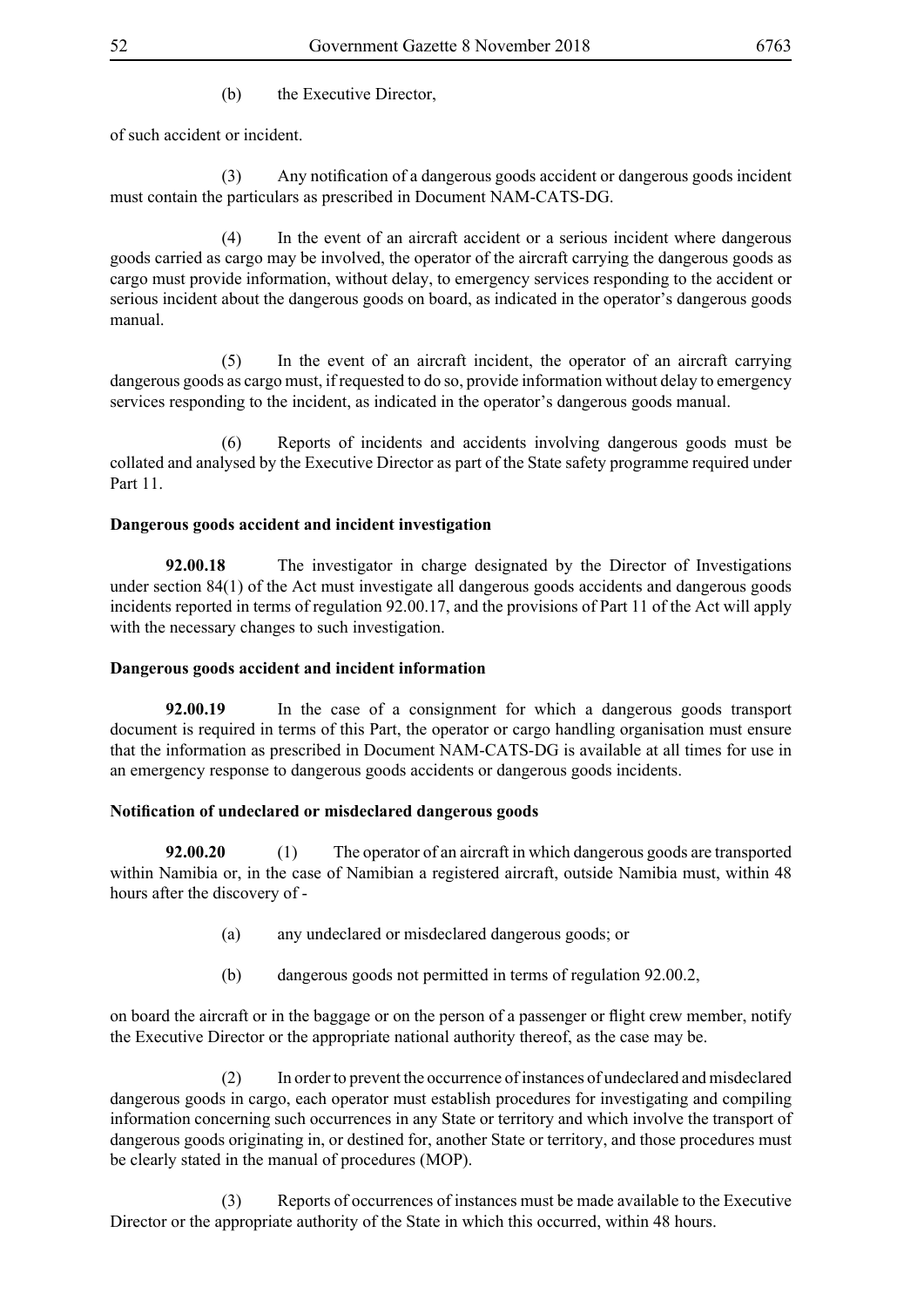of such accident or incident.

(3) Any notification of a dangerous goods accident or dangerous goods incident must contain the particulars as prescribed in Document NAM-CATS-DG.

 (4) In the event of an aircraft accident or a serious incident where dangerous goods carried as cargo may be involved, the operator of the aircraft carrying the dangerous goods as cargo must provide information, without delay, to emergency services responding to the accident or serious incident about the dangerous goods on board, as indicated in the operator's dangerous goods manual.

 (5) In the event of an aircraft incident, the operator of an aircraft carrying dangerous goods as cargo must, if requested to do so, provide information without delay to emergency services responding to the incident, as indicated in the operator's dangerous goods manual.

 (6) Reports of incidents and accidents involving dangerous goods must be collated and analysed by the Executive Director as part of the State safety programme required under Part 11

### **Dangerous goods accident and incident investigation**

**92.00.18** The investigator in charge designated by the Director of Investigations under section 84(1) of the Act must investigate all dangerous goods accidents and dangerous goods incidents reported in terms of regulation 92.00.17, and the provisions of Part 11 of the Act will apply with the necessary changes to such investigation.

### **Dangerous goods accident and incident information**

**92.00.19** In the case of a consignment for which a dangerous goods transport document is required in terms of this Part, the operator or cargo handling organisation must ensure that the information as prescribed in Document NAM-CATS-DG is available at all times for use in an emergency response to dangerous goods accidents or dangerous goods incidents.

### **Notification of undeclared or misdeclared dangerous goods**

**92.00.20** (1) The operator of an aircraft in which dangerous goods are transported within Namibia or, in the case of Namibian a registered aircraft, outside Namibia must, within 48 hours after the discovery of -

- (a) any undeclared or misdeclared dangerous goods; or
- (b) dangerous goods not permitted in terms of regulation 92.00.2,

on board the aircraft or in the baggage or on the person of a passenger or flight crew member, notify the Executive Director or the appropriate national authority thereof, as the case may be.

 (2) In order to prevent the occurrence of instances of undeclared and misdeclared dangerous goods in cargo, each operator must establish procedures for investigating and compiling information concerning such occurrences in any State or territory and which involve the transport of dangerous goods originating in, or destined for, another State or territory, and those procedures must be clearly stated in the manual of procedures (MOP).

 (3) Reports of occurrences of instances must be made available to the Executive Director or the appropriate authority of the State in which this occurred, within 48 hours.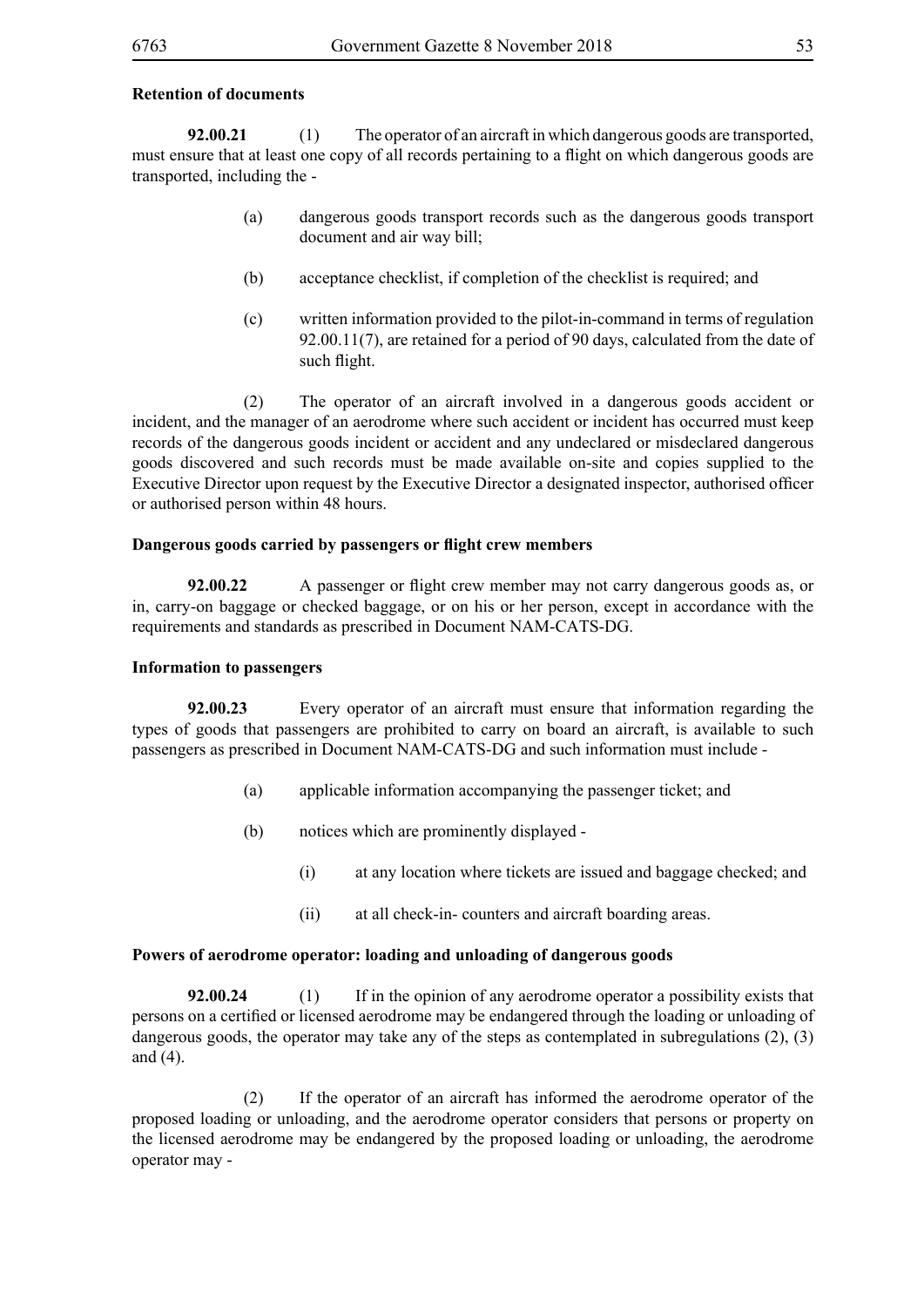#### **Retention of documents**

**92.00.21** (1) The operator of an aircraft in which dangerous goods are transported, must ensure that at least one copy of all records pertaining to a flight on which dangerous goods are transported, including the -

- (a) dangerous goods transport records such as the dangerous goods transport document and air way bill;
- (b) acceptance checklist, if completion of the checklist is required; and
- (c) written information provided to the pilot-in-command in terms of regulation 92.00.11(7), are retained for a period of 90 days, calculated from the date of such flight.

 (2) The operator of an aircraft involved in a dangerous goods accident or incident, and the manager of an aerodrome where such accident or incident has occurred must keep records of the dangerous goods incident or accident and any undeclared or misdeclared dangerous goods discovered and such records must be made available on-site and copies supplied to the Executive Director upon request by the Executive Director a designated inspector, authorised officer or authorised person within 48 hours.

#### **Dangerous goods carried by passengers or flight crew members**

**92.00.22** A passenger or flight crew member may not carry dangerous goods as, or in, carry-on baggage or checked baggage, or on his or her person, except in accordance with the requirements and standards as prescribed in Document NAM-CATS-DG.

#### **Information to passengers**

**92.00.23** Every operator of an aircraft must ensure that information regarding the types of goods that passengers are prohibited to carry on board an aircraft, is available to such passengers as prescribed in Document NAM-CATS-DG and such information must include -

- (a) applicable information accompanying the passenger ticket; and
- (b) notices which are prominently displayed
	- (i) at any location where tickets are issued and baggage checked; and
	- (ii) at all check-in- counters and aircraft boarding areas.

### **Powers of aerodrome operator: loading and unloading of dangerous goods**

**92.00.24** (1) If in the opinion of any aerodrome operator a possibility exists that persons on a certified or licensed aerodrome may be endangered through the loading or unloading of dangerous goods, the operator may take any of the steps as contemplated in subregulations (2), (3) and (4).

 (2) If the operator of an aircraft has informed the aerodrome operator of the proposed loading or unloading, and the aerodrome operator considers that persons or property on the licensed aerodrome may be endangered by the proposed loading or unloading, the aerodrome operator may -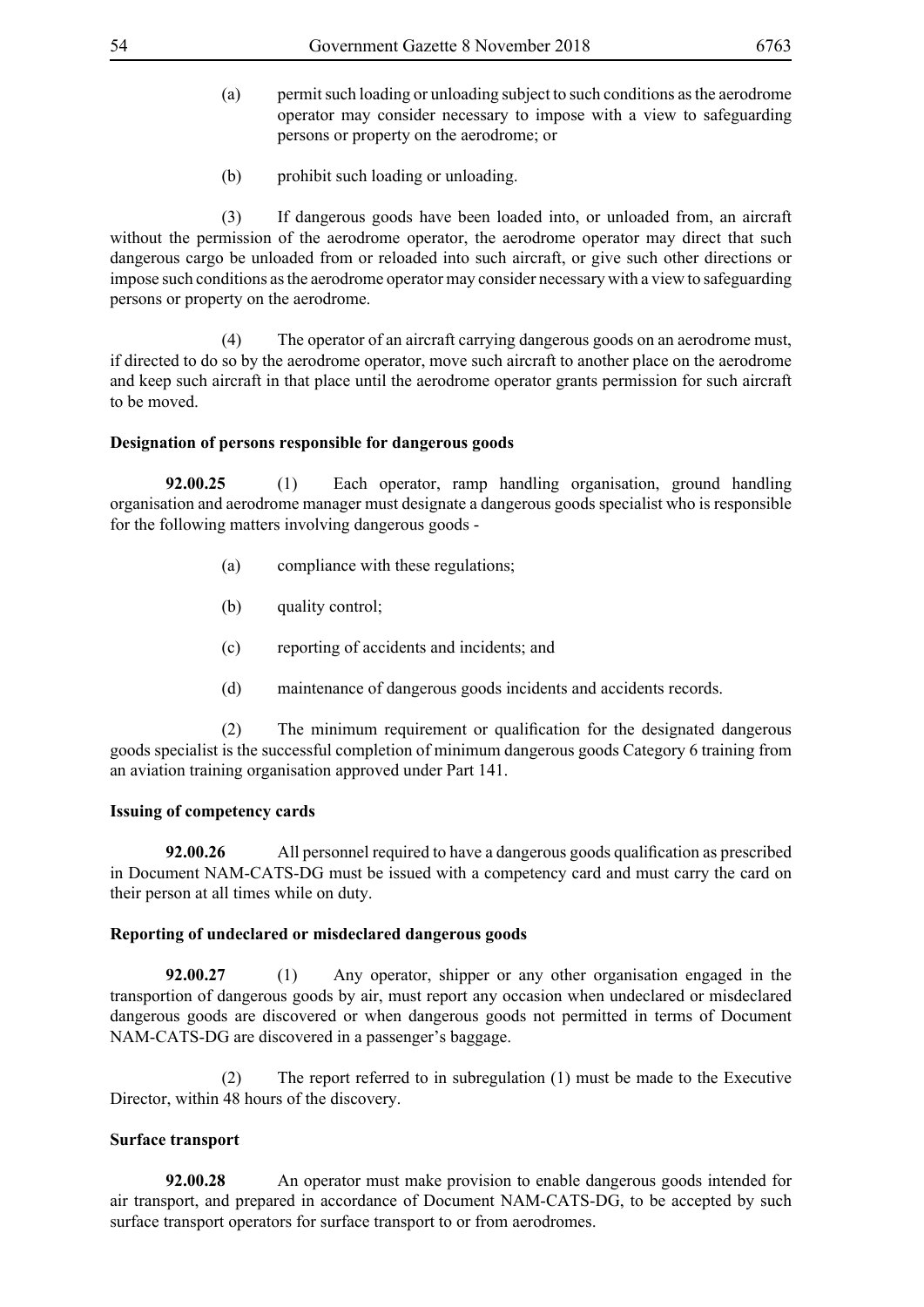- (a) permit such loading or unloading subject to such conditions as the aerodrome operator may consider necessary to impose with a view to safeguarding persons or property on the aerodrome; or
- (b) prohibit such loading or unloading.

 (3) If dangerous goods have been loaded into, or unloaded from, an aircraft without the permission of the aerodrome operator, the aerodrome operator may direct that such dangerous cargo be unloaded from or reloaded into such aircraft, or give such other directions or impose such conditions as the aerodrome operator may consider necessary with a view to safeguarding persons or property on the aerodrome.

 (4) The operator of an aircraft carrying dangerous goods on an aerodrome must, if directed to do so by the aerodrome operator, move such aircraft to another place on the aerodrome and keep such aircraft in that place until the aerodrome operator grants permission for such aircraft to be moved.

## **Designation of persons responsible for dangerous goods**

**92.00.25** (1) Each operator, ramp handling organisation, ground handling organisation and aerodrome manager must designate a dangerous goods specialist who is responsible for the following matters involving dangerous goods -

- (a) compliance with these regulations;
- (b) quality control;
- (c) reporting of accidents and incidents; and
- (d) maintenance of dangerous goods incidents and accidents records.

(2) The minimum requirement or qualification for the designated dangerous goods specialist is the successful completion of minimum dangerous goods Category 6 training from an aviation training organisation approved under Part 141.

# **Issuing of competency cards**

**92.00.26** All personnel required to have a dangerous goods qualification as prescribed in Document NAM-CATS-DG must be issued with a competency card and must carry the card on their person at all times while on duty.

# **Reporting of undeclared or misdeclared dangerous goods**

**92.00.27** (1) Any operator, shipper or any other organisation engaged in the transportion of dangerous goods by air, must report any occasion when undeclared or misdeclared dangerous goods are discovered or when dangerous goods not permitted in terms of Document NAM-CATS-DG are discovered in a passenger's baggage.

 (2) The report referred to in subregulation (1) must be made to the Executive Director, within 48 hours of the discovery.

# **Surface transport**

**92.00.28** An operator must make provision to enable dangerous goods intended for air transport, and prepared in accordance of Document NAM-CATS-DG, to be accepted by such surface transport operators for surface transport to or from aerodromes.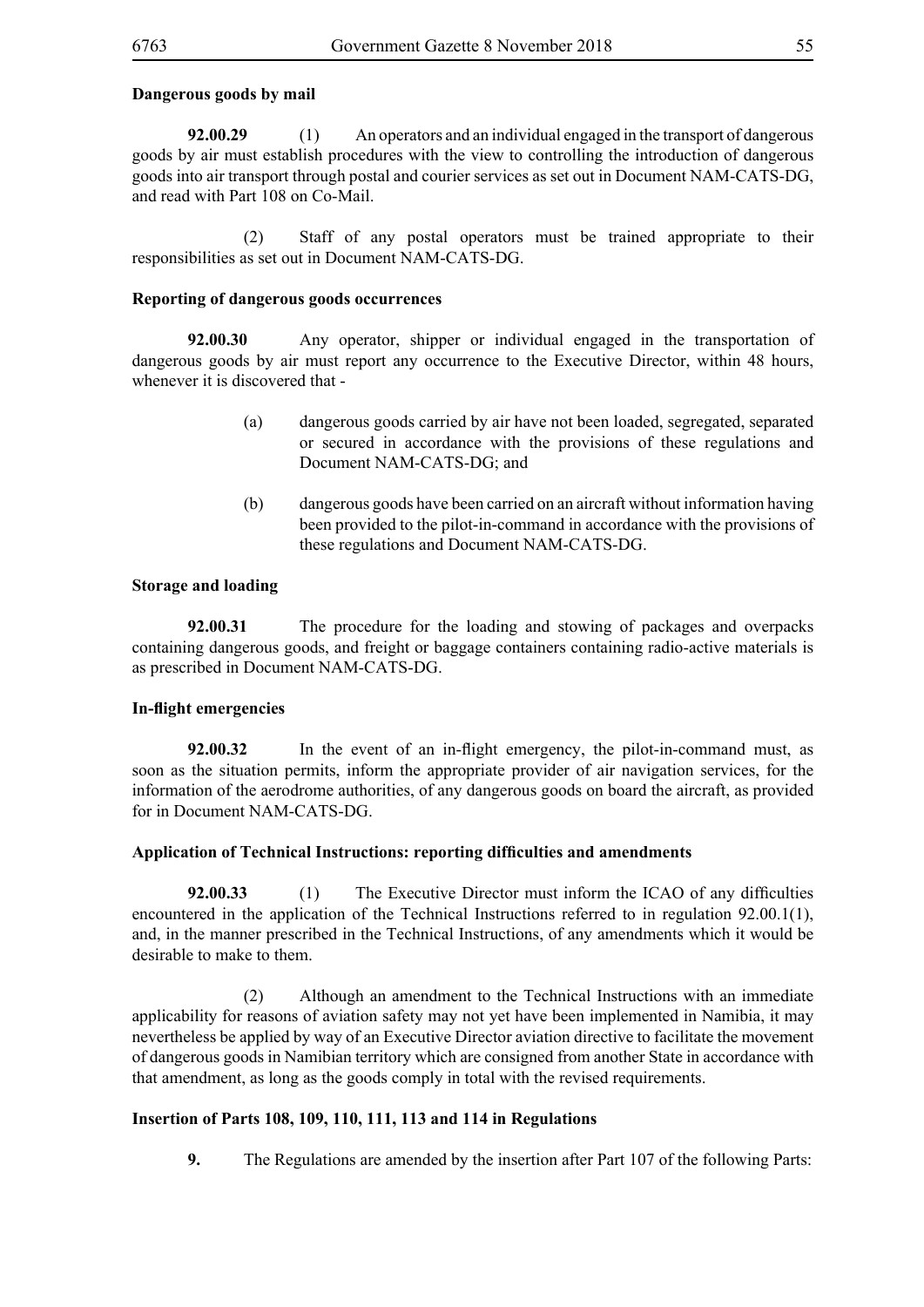## **Dangerous goods by mail**

**92.00.29** (1) An operators and an individual engaged in the transport of dangerous goods by air must establish procedures with the view to controlling the introduction of dangerous goods into air transport through postal and courier services as set out in Document NAM-CATS-DG, and read with Part 108 on Co-Mail.

 (2) Staff of any postal operators must be trained appropriate to their responsibilities as set out in Document NAM-CATS-DG.

### **Reporting of dangerous goods occurrences**

**92.00.30** Any operator, shipper or individual engaged in the transportation of dangerous goods by air must report any occurrence to the Executive Director, within 48 hours, whenever it is discovered that -

- (a) dangerous goods carried by air have not been loaded, segregated, separated or secured in accordance with the provisions of these regulations and Document NAM-CATS-DG; and
- (b) dangerous goods have been carried on an aircraft without information having been provided to the pilot-in-command in accordance with the provisions of these regulations and Document NAM-CATS-DG.

## **Storage and loading**

**92.00.31** The procedure for the loading and stowing of packages and overpacks containing dangerous goods, and freight or baggage containers containing radio-active materials is as prescribed in Document NAM-CATS-DG.

### **In-flight emergencies**

**92.00.32** In the event of an in-flight emergency, the pilot-in-command must, as soon as the situation permits, inform the appropriate provider of air navigation services, for the information of the aerodrome authorities, of any dangerous goods on board the aircraft, as provided for in Document NAM-CATS-DG.

### **Application of Technical Instructions: reporting difficulties and amendments**

**92.00.33** (1) The Executive Director must inform the ICAO of any difficulties encountered in the application of the Technical Instructions referred to in regulation 92.00.1(1), and, in the manner prescribed in the Technical Instructions, of any amendments which it would be desirable to make to them.

 (2) Although an amendment to the Technical Instructions with an immediate applicability for reasons of aviation safety may not yet have been implemented in Namibia, it may nevertheless be applied by way of an Executive Director aviation directive to facilitate the movement of dangerous goods in Namibian territory which are consigned from another State in accordance with that amendment, as long as the goods comply in total with the revised requirements.

### **Insertion of Parts 108, 109, 110, 111, 113 and 114 in Regulations**

**9.** The Regulations are amended by the insertion after Part 107 of the following Parts: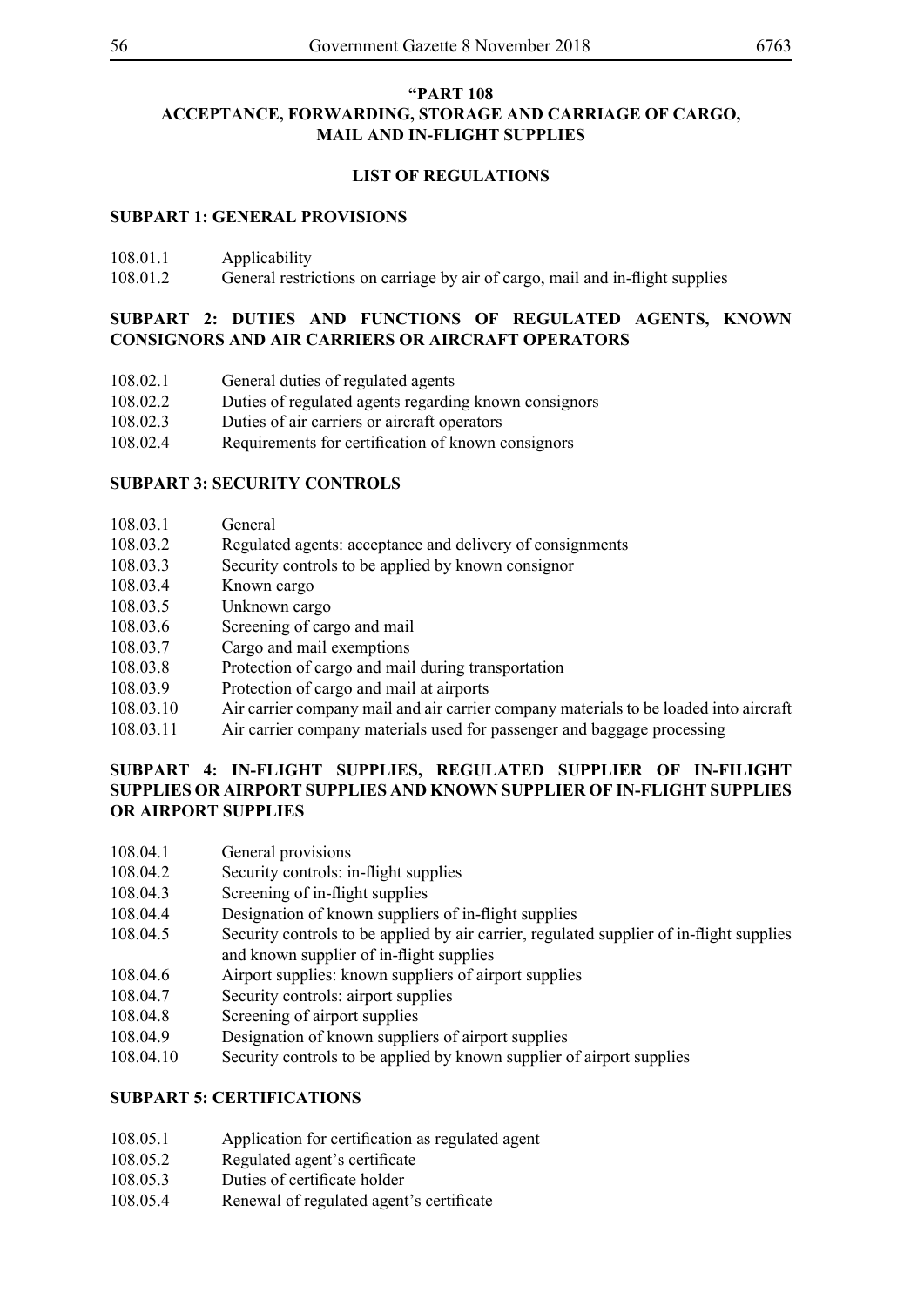# **"PART 108 ACCEPTANCE, FORWARDING, STORAGE AND CARRIAGE OF CARGO, MAIL AND IN-FLIGHT SUPPLIES**

# **LIST OF REGULATIONS**

# **SUBPART 1: GENERAL PROVISIONS**

| 108.01.1 | Applicability |
|----------|---------------|
|----------|---------------|

108.01.2 General restrictions on carriage by air of cargo, mail and in-flight supplies

# **SUBPART 2: DUTIES AND FUNCTIONS OF REGULATED AGENTS, KNOWN CONSIGNORS AND AIR CARRIERS OR AIRCRAFT OPERATORS**

- 108.02.1 General duties of regulated agents
- 108.02.2 Duties of regulated agents regarding known consignors
- 108.02.3 Duties of air carriers or aircraft operators
- 108.02.4 Requirements for certification of known consignors

# **SUBPART 3: SECURITY CONTROLS**

- 108.03.1 General
- 108.03.2 Regulated agents: acceptance and delivery of consignments
- 108.03.3 Security controls to be applied by known consignor
- 108.03.4 Known cargo
- 108.03.5 Unknown cargo
- 108.03.6 Screening of cargo and mail
- 108.03.7 Cargo and mail exemptions
- 108.03.8 Protection of cargo and mail during transportation
- 108.03.9 Protection of cargo and mail at airports
- 108.03.10 Air carrier company mail and air carrier company materials to be loaded into aircraft
- 108.03.11 Air carrier company materials used for passenger and baggage processing

# **SUBPART 4: IN-FLIGHT SUPPLIES, REGULATED SUPPLIER OF IN-FILIGHT SUPPLIES OR AIRPORT SUPPLIES AND KNOWN SUPPLIER OF IN-FLIGHT SUPPLIES OR AIRPORT SUPPLIES**

- 108.04.1 General provisions
- 108.04.2 Security controls: in-flight supplies
- 108.04.3 Screening of in-flight supplies
- 108.04.4 Designation of known suppliers of in-flight supplies
- 108.04.5 Security controls to be applied by air carrier, regulated supplier of in-flight supplies and known supplier of in-flight supplies
- 108.04.6 Airport supplies: known suppliers of airport supplies
- 108.04.7 Security controls: airport supplies
- 108.04.8 Screening of airport supplies
- 108.04.9 Designation of known suppliers of airport supplies
- 108.04.10 Security controls to be applied by known supplier of airport supplies

# **SUBPART 5: CERTIFICATIONS**

- 108.05.1 Application for certification as regulated agent
- 108.05.2 Regulated agent's certificate
- 108.05.3 Duties of certificate holder
- 108.05.4 Renewal of regulated agent's certificate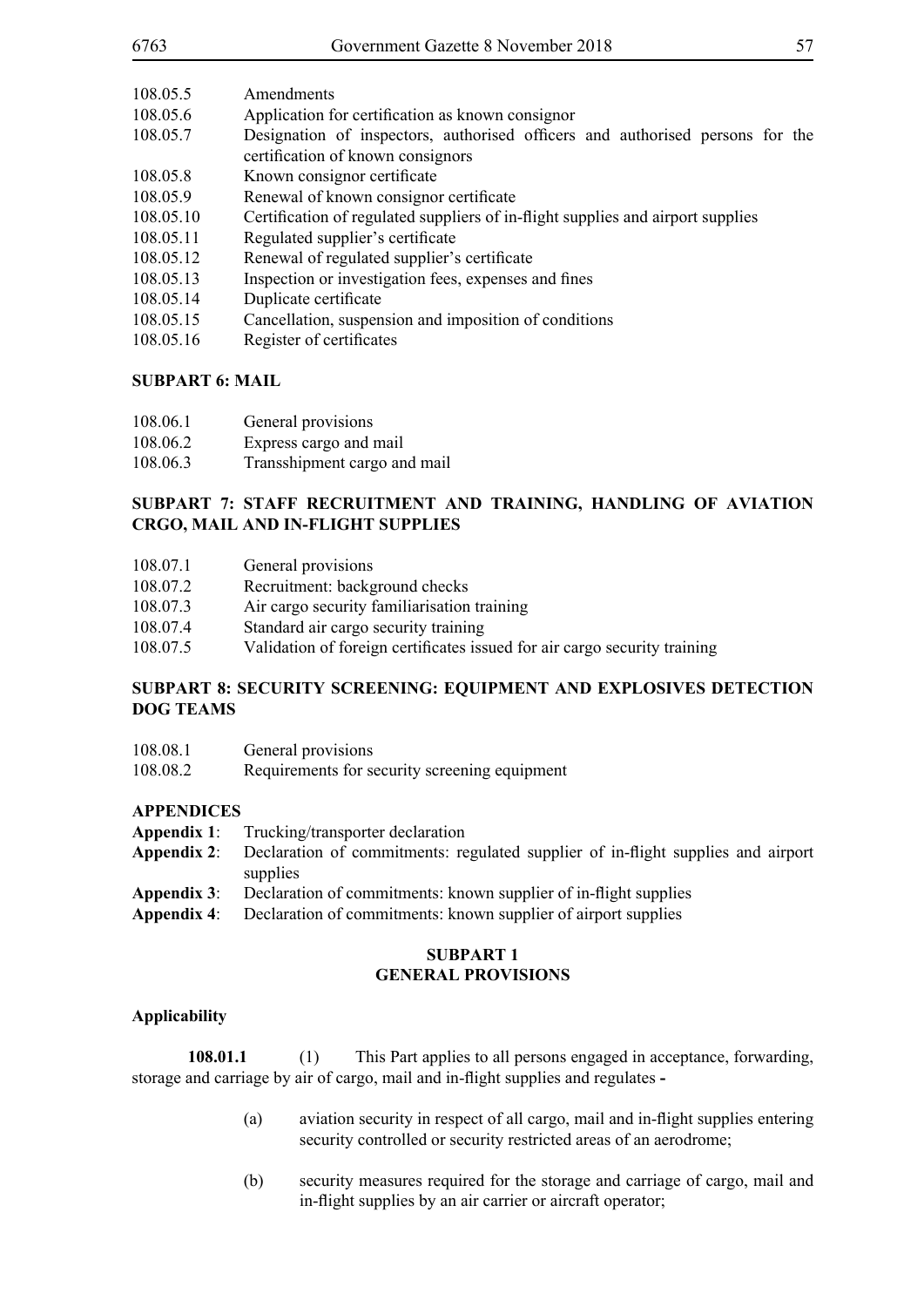| 6763      | Government Gazette 8 November 2018                                                                                 | 57 |
|-----------|--------------------------------------------------------------------------------------------------------------------|----|
| 108.05.5  | Amendments                                                                                                         |    |
| 108.05.6  | Application for certification as known consignor                                                                   |    |
| 108.05.7  | Designation of inspectors, authorised officers and authorised persons for the<br>certification of known consignors |    |
| 108.05.8  | Known consignor certificate                                                                                        |    |
| 108.05.9  | Renewal of known consignor certificate                                                                             |    |
| 108.05.10 | Certification of regulated suppliers of in-flight supplies and airport supplies                                    |    |
| 108.05.11 | Regulated supplier's certificate                                                                                   |    |
| 108.05.12 | Renewal of regulated supplier's certificate                                                                        |    |
| 108.05.13 | Inspection or investigation fees, expenses and fines                                                               |    |
| 108.05.14 | Duplicate certificate                                                                                              |    |
| 108.05.15 | Cancellation, suspension and imposition of conditions                                                              |    |
| 108.05.16 | Register of certificates                                                                                           |    |

# **SUBPART 6: MAIL**

| 108.06.1 | General provisions           |
|----------|------------------------------|
| 108.06.2 | Express cargo and mail       |
| 108.06.3 | Transshipment cargo and mail |

# **SUBPART 7: STAFF RECRUITMENT AND TRAINING, HANDLING OF AVIATION CRGO, MAIL AND IN-FLIGHT SUPPLIES**

| 108.07.1 | General provisions |
|----------|--------------------|
|----------|--------------------|

- 108.07.2 Recruitment: background checks
- 108.07.3 Air cargo security familiarisation training
- 108.07.4 Standard air cargo security training
- 108.07.5 Validation of foreign certificates issued for air cargo security training

# **SUBPART 8: SECURITY SCREENING: EQUIPMENT AND EXPLOSIVES DETECTION DOG TEAMS**

108.08.2 Requirements for security screening equipment

# **APPENDICES**

- **Appendix 1**: Trucking/transporter declaration
- **Appendix 2**: Declaration of commitments: regulated supplier of in-flight supplies and airport supplies
- **Appendix 3**: Declaration of commitments: known supplier of in-flight supplies
- **Appendix 4**: Declaration of commitments: known supplier of airport supplies

## **SUBPART 1 GENERAL PROVISIONS**

# **Applicability**

**108.01.1** (1) This Part applies to all persons engaged in acceptance, forwarding, storage and carriage by air of cargo, mail and in-flight supplies and regulates **-**

- (a) aviation security in respect of all cargo, mail and in-flight supplies entering security controlled or security restricted areas of an aerodrome;
- (b) security measures required for the storage and carriage of cargo, mail and in-flight supplies by an air carrier or aircraft operator;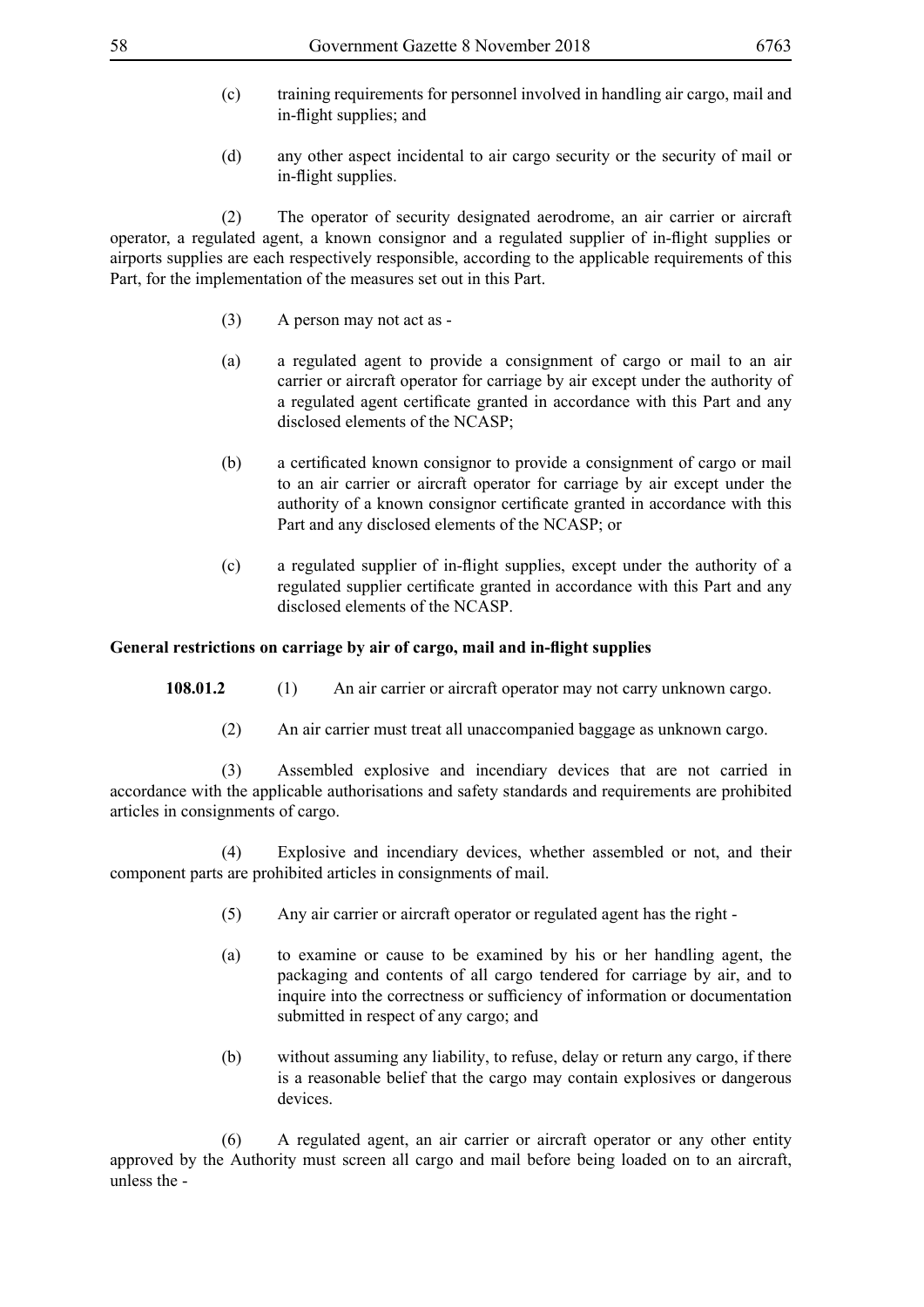- (c) training requirements for personnel involved in handling air cargo, mail and in-flight supplies; and
- (d) any other aspect incidental to air cargo security or the security of mail or in-flight supplies.

 (2) The operator of security designated aerodrome, an air carrier or aircraft operator, a regulated agent, a known consignor and a regulated supplier of in-flight supplies or airports supplies are each respectively responsible, according to the applicable requirements of this Part, for the implementation of the measures set out in this Part.

- (3) A person may not act as -
- (a) a regulated agent to provide a consignment of cargo or mail to an air carrier or aircraft operator for carriage by air except under the authority of a regulated agent certificate granted in accordance with this Part and any disclosed elements of the NCASP;
- (b) a certificated known consignor to provide a consignment of cargo or mail to an air carrier or aircraft operator for carriage by air except under the authority of a known consignor certificate granted in accordance with this Part and any disclosed elements of the NCASP; or
- (c) a regulated supplier of in-flight supplies, except under the authority of a regulated supplier certificate granted in accordance with this Part and any disclosed elements of the NCASP.

## **General restrictions on carriage by air of cargo, mail and in-flight supplies**

- **108.01.2** (1) An air carrier or aircraft operator may not carry unknown cargo.
	- (2) An air carrier must treat all unaccompanied baggage as unknown cargo.

 (3) Assembled explosive and incendiary devices that are not carried in accordance with the applicable authorisations and safety standards and requirements are prohibited articles in consignments of cargo.

 (4) Explosive and incendiary devices, whether assembled or not, and their component parts are prohibited articles in consignments of mail.

- (5) Any air carrier or aircraft operator or regulated agent has the right -
- (a) to examine or cause to be examined by his or her handling agent, the packaging and contents of all cargo tendered for carriage by air, and to inquire into the correctness or sufficiency of information or documentation submitted in respect of any cargo; and
- (b) without assuming any liability, to refuse, delay or return any cargo, if there is a reasonable belief that the cargo may contain explosives or dangerous devices.

 (6) A regulated agent, an air carrier or aircraft operator or any other entity approved by the Authority must screen all cargo and mail before being loaded on to an aircraft, unless the -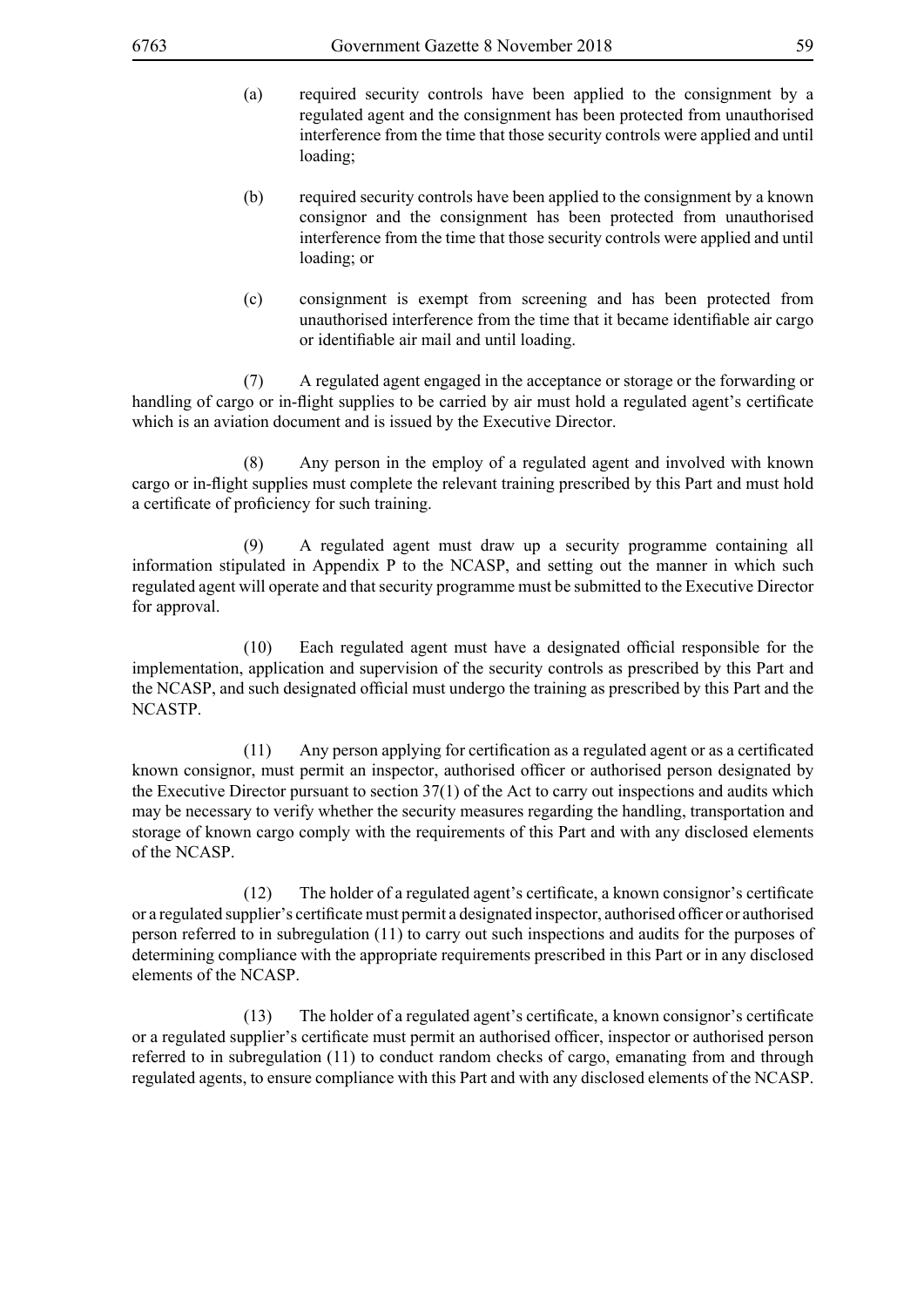- (a) required security controls have been applied to the consignment by a regulated agent and the consignment has been protected from unauthorised interference from the time that those security controls were applied and until loading;
- (b) required security controls have been applied to the consignment by a known consignor and the consignment has been protected from unauthorised interference from the time that those security controls were applied and until loading; or
- (c) consignment is exempt from screening and has been protected from unauthorised interference from the time that it became identifiable air cargo or identifiable air mail and until loading.

 (7) A regulated agent engaged in the acceptance or storage or the forwarding or handling of cargo or in-flight supplies to be carried by air must hold a regulated agent's certificate which is an aviation document and is issued by the Executive Director.

 (8) Any person in the employ of a regulated agent and involved with known cargo or in-flight supplies must complete the relevant training prescribed by this Part and must hold a certificate of proficiency for such training.

 (9) A regulated agent must draw up a security programme containing all information stipulated in Appendix P to the NCASP, and setting out the manner in which such regulated agent will operate and that security programme must be submitted to the Executive Director for approval.

(10) Each regulated agent must have a designated official responsible for the implementation, application and supervision of the security controls as prescribed by this Part and the NCASP, and such designated official must undergo the training as prescribed by this Part and the NCASTP.

(11) Any person applying for certification as a regulated agent or as a certificated known consignor, must permit an inspector, authorised officer or authorised person designated by the Executive Director pursuant to section 37(1) of the Act to carry out inspections and audits which may be necessary to verify whether the security measures regarding the handling, transportation and storage of known cargo comply with the requirements of this Part and with any disclosed elements of the NCASP.

(12) The holder of a regulated agent's certificate, a known consignor's certificate or a regulated supplier's certificate must permit a designated inspector, authorised officer or authorised person referred to in subregulation (11) to carry out such inspections and audits for the purposes of determining compliance with the appropriate requirements prescribed in this Part or in any disclosed elements of the NCASP.

(13) The holder of a regulated agent's certificate, a known consignor's certificate or a regulated supplier's certificate must permit an authorised officer, inspector or authorised person referred to in subregulation (11) to conduct random checks of cargo, emanating from and through regulated agents, to ensure compliance with this Part and with any disclosed elements of the NCASP.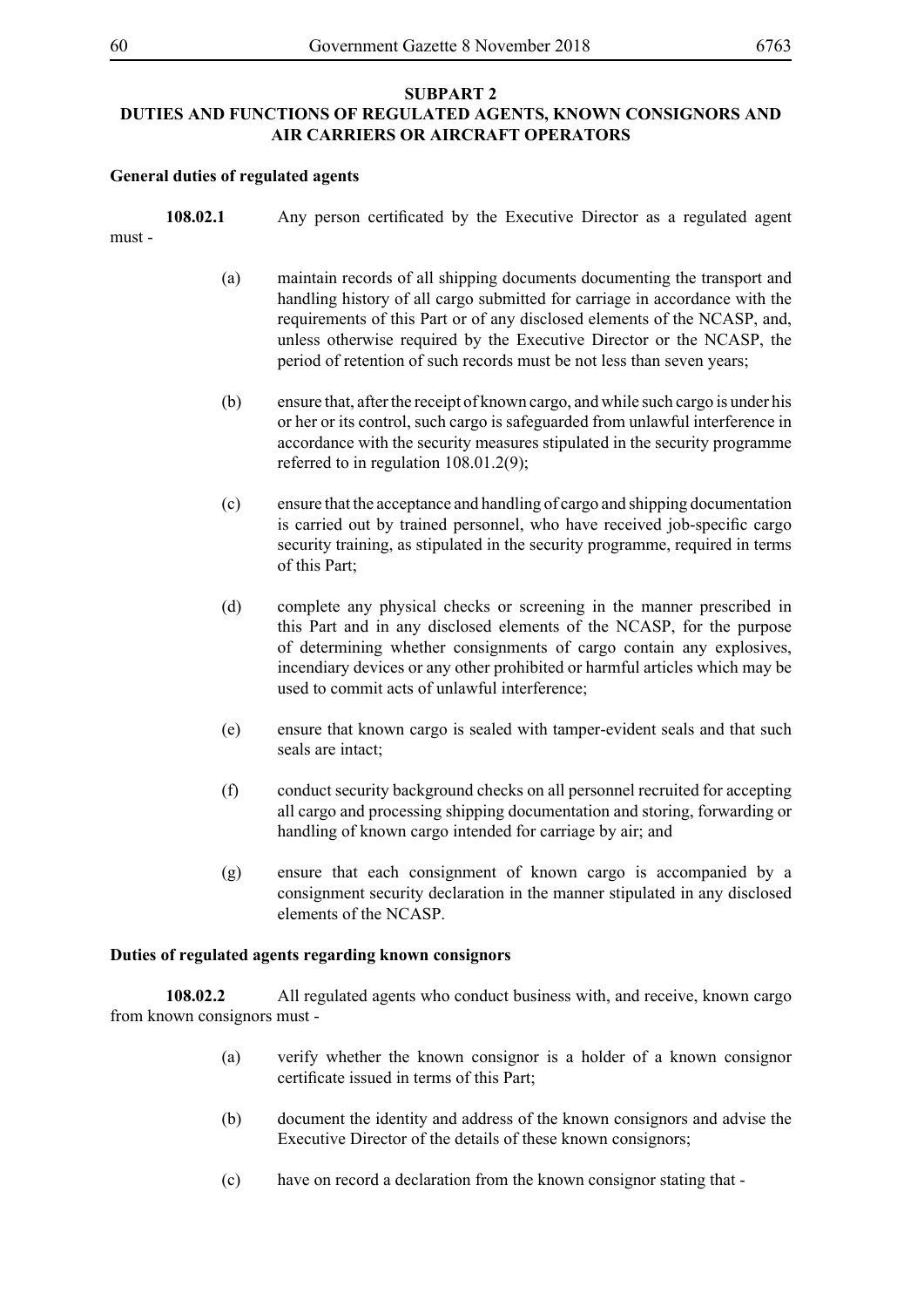# **SUBPART 2 DUTIES AND FUNCTIONS OF REGULATED AGENTS, KNOWN CONSIGNORS AND AIR CARRIERS OR AIRCRAFT OPERATORS**

### **General duties of regulated agents**

| must- | 108.02.1 | Any person certificated by the Executive Director as a regulated agent                                                                                                                                                                                                                                                                                                                  |
|-------|----------|-----------------------------------------------------------------------------------------------------------------------------------------------------------------------------------------------------------------------------------------------------------------------------------------------------------------------------------------------------------------------------------------|
|       | (a)      | maintain records of all shipping documents documenting the transport and<br>handling history of all cargo submitted for carriage in accordance with the<br>requirements of this Part or of any disclosed elements of the NCASP, and,<br>unless otherwise required by the Executive Director or the NCASP, the<br>period of retention of such records must be not less than seven years; |
|       | (b)      | ensure that, after the receipt of known cargo, and while such cargo is under his<br>or her or its control, such cargo is safeguarded from unlawful interference in<br>accordance with the security measures stipulated in the security programme<br>referred to in regulation $108.01.2(9)$ ;                                                                                           |
|       | (c)      | ensure that the acceptance and handling of cargo and shipping documentation<br>is carried out by trained personnel, who have received job-specific cargo<br>security training, as stipulated in the security programme, required in terms<br>of this Part;                                                                                                                              |
|       | (d)      | complete any physical checks or screening in the manner prescribed in<br>this Part and in any disclosed elements of the NCASP, for the purpose<br>of determining whether consignments of cargo contain any explosives,<br>incendiary devices or any other prohibited or harmful articles which may be<br>used to commit acts of unlawful interference;                                  |
|       | (e)      | ensure that known cargo is sealed with tamper-evident seals and that such                                                                                                                                                                                                                                                                                                               |

- (f) conduct security background checks on all personnel recruited for accepting all cargo and processing shipping documentation and storing, forwarding or handling of known cargo intended for carriage by air; and
- (g) ensure that each consignment of known cargo is accompanied by a consignment security declaration in the manner stipulated in any disclosed elements of the NCASP.

# **Duties of regulated agents regarding known consignors**

seals are intact;

**108.02.2** All regulated agents who conduct business with, and receive, known cargo from known consignors must -

- (a) verify whether the known consignor is a holder of a known consignor certificate issued in terms of this Part;
- (b) document the identity and address of the known consignors and advise the Executive Director of the details of these known consignors;
- (c) have on record a declaration from the known consignor stating that -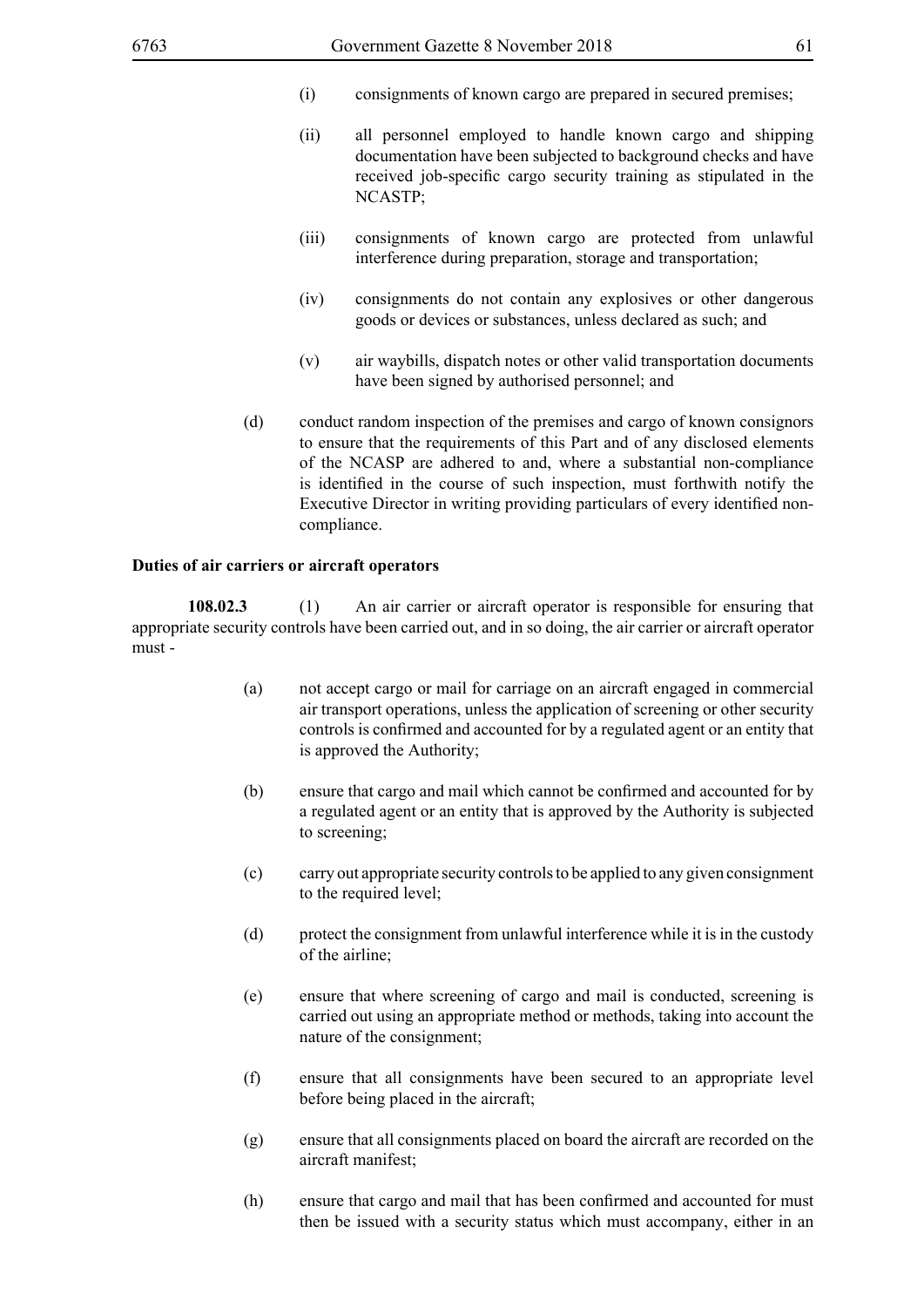- (i) consignments of known cargo are prepared in secured premises;
- (ii) all personnel employed to handle known cargo and shipping documentation have been subjected to background checks and have received job-specific cargo security training as stipulated in the NCASTP;
- (iii) consignments of known cargo are protected from unlawful interference during preparation, storage and transportation;
- (iv) consignments do not contain any explosives or other dangerous goods or devices or substances, unless declared as such; and
- (v) air waybills, dispatch notes or other valid transportation documents have been signed by authorised personnel; and
- (d) conduct random inspection of the premises and cargo of known consignors to ensure that the requirements of this Part and of any disclosed elements of the NCASP are adhered to and, where a substantial non-compliance is identified in the course of such inspection, must forthwith notify the Executive Director in writing providing particulars of every identified noncompliance.

#### **Duties of air carriers or aircraft operators**

**108.02.3** (1) An air carrier or aircraft operator is responsible for ensuring that appropriate security controls have been carried out, and in so doing, the air carrier or aircraft operator must -

- (a) not accept cargo or mail for carriage on an aircraft engaged in commercial air transport operations, unless the application of screening or other security controls is confirmed and accounted for by a regulated agent or an entity that is approved the Authority;
- (b) ensure that cargo and mail which cannot be confirmed and accounted for by a regulated agent or an entity that is approved by the Authority is subjected to screening;
- (c) carry out appropriate security controls to be applied to any given consignment to the required level;
- (d) protect the consignment from unlawful interference while it is in the custody of the airline;
- (e) ensure that where screening of cargo and mail is conducted, screening is carried out using an appropriate method or methods, taking into account the nature of the consignment;
- (f) ensure that all consignments have been secured to an appropriate level before being placed in the aircraft;
- (g) ensure that all consignments placed on board the aircraft are recorded on the aircraft manifest;
- (h) ensure that cargo and mail that has been confirmed and accounted for must then be issued with a security status which must accompany, either in an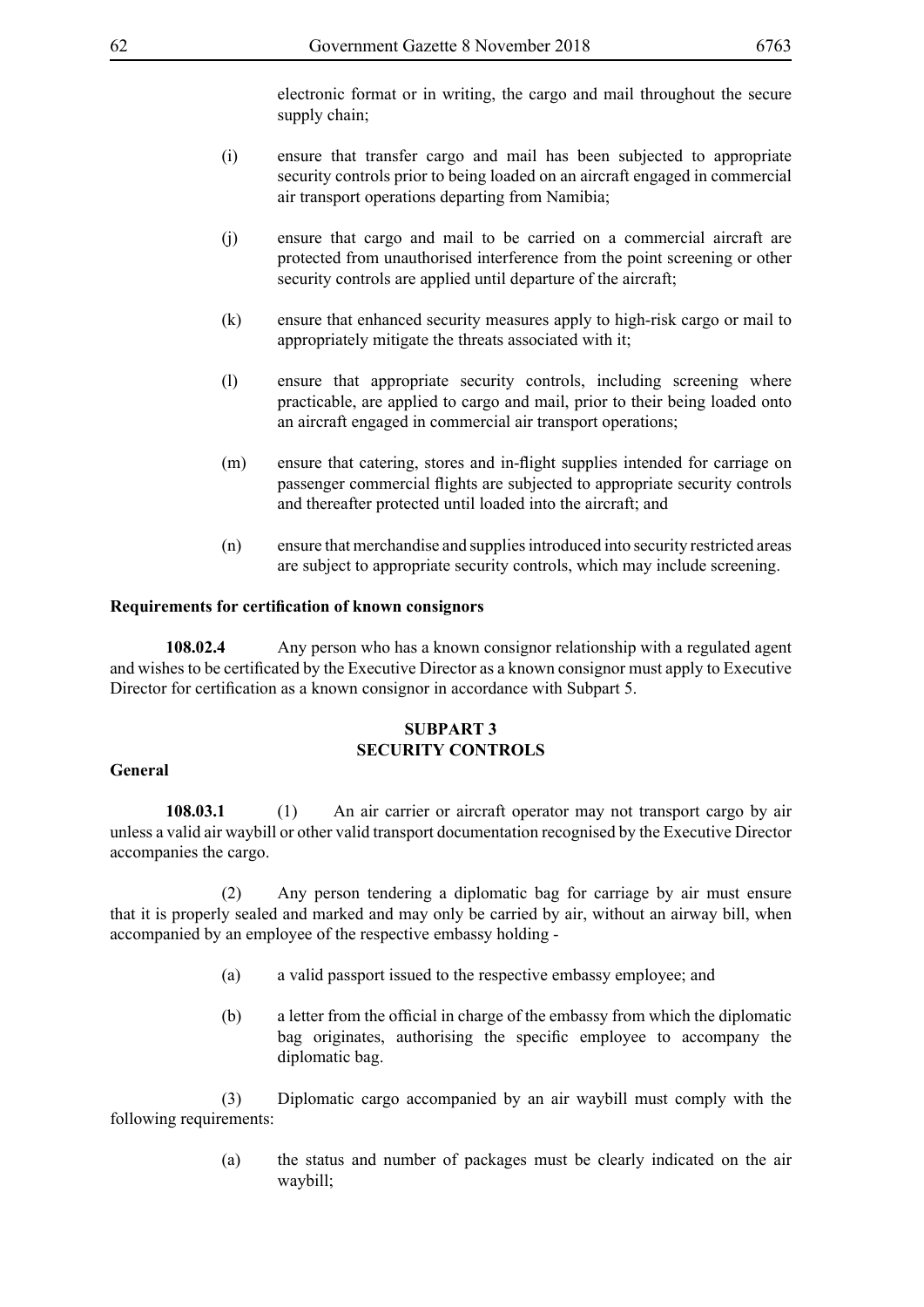electronic format or in writing, the cargo and mail throughout the secure supply chain:

- (i) ensure that transfer cargo and mail has been subjected to appropriate security controls prior to being loaded on an aircraft engaged in commercial air transport operations departing from Namibia;
- (j) ensure that cargo and mail to be carried on a commercial aircraft are protected from unauthorised interference from the point screening or other security controls are applied until departure of the aircraft;
- (k) ensure that enhanced security measures apply to high-risk cargo or mail to appropriately mitigate the threats associated with it;
- (l) ensure that appropriate security controls, including screening where practicable, are applied to cargo and mail, prior to their being loaded onto an aircraft engaged in commercial air transport operations;
- (m) ensure that catering, stores and in-flight supplies intended for carriage on passenger commercial flights are subjected to appropriate security controls and thereafter protected until loaded into the aircraft; and
- (n) ensure that merchandise and supplies introduced into security restricted areas are subject to appropriate security controls, which may include screening.

### **Requirements for certification of known consignors**

**108.02.4** Any person who has a known consignor relationship with a regulated agent and wishes to be certificated by the Executive Director as a known consignor must apply to Executive Director for certification as a known consignor in accordance with Subpart 5.

### **SUBPART 3 SECURITY CONTROLS**

#### **General**

**108.03.1** (1) An air carrier or aircraft operator may not transport cargo by air unless a valid air waybill or other valid transport documentation recognised by the Executive Director accompanies the cargo.

 (2) Any person tendering a diplomatic bag for carriage by air must ensure that it is properly sealed and marked and may only be carried by air, without an airway bill, when accompanied by an employee of the respective embassy holding -

- (a) a valid passport issued to the respective embassy employee; and
- (b) a letter from the official in charge of the embassy from which the diplomatic bag originates, authorising the specific employee to accompany the diplomatic bag.

 (3) Diplomatic cargo accompanied by an air waybill must comply with the following requirements:

> (a) the status and number of packages must be clearly indicated on the air waybill;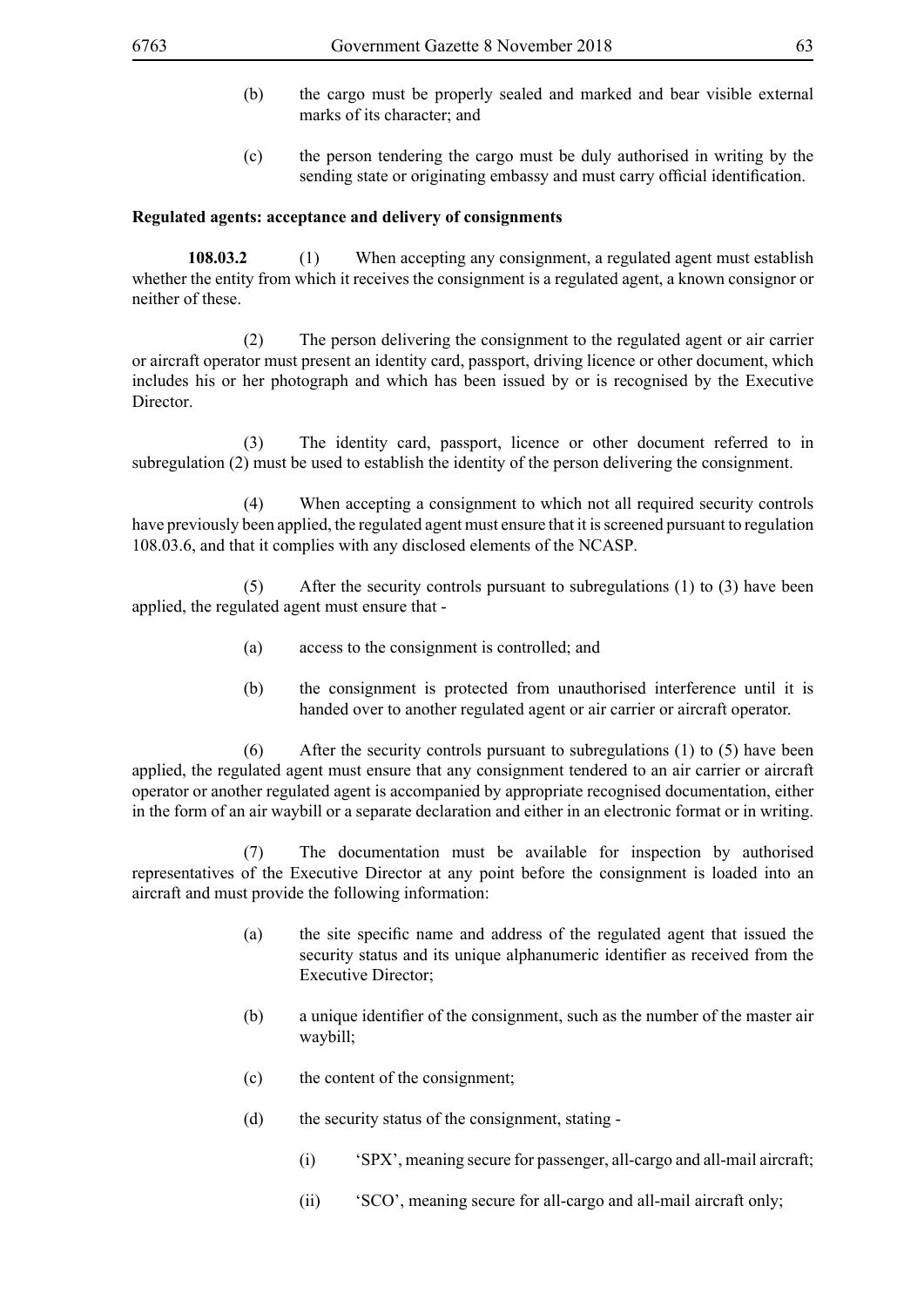- (b) the cargo must be properly sealed and marked and bear visible external marks of its character; and
- (c) the person tendering the cargo must be duly authorised in writing by the sending state or originating embassy and must carry official identification.

#### **Regulated agents: acceptance and delivery of consignments**

**108.03.2** (1) When accepting any consignment, a regulated agent must establish whether the entity from which it receives the consignment is a regulated agent, a known consignor or neither of these.

 (2) The person delivering the consignment to the regulated agent or air carrier or aircraft operator must present an identity card, passport, driving licence or other document, which includes his or her photograph and which has been issued by or is recognised by the Executive Director.

 (3) The identity card, passport, licence or other document referred to in subregulation (2) must be used to establish the identity of the person delivering the consignment.

 (4) When accepting a consignment to which not all required security controls have previously been applied, the regulated agent must ensure that it is screened pursuant to regulation 108.03.6, and that it complies with any disclosed elements of the NCASP.

 (5) After the security controls pursuant to subregulations (1) to (3) have been applied, the regulated agent must ensure that -

- (a) access to the consignment is controlled; and
- (b) the consignment is protected from unauthorised interference until it is handed over to another regulated agent or air carrier or aircraft operator.

 (6) After the security controls pursuant to subregulations (1) to (5) have been applied, the regulated agent must ensure that any consignment tendered to an air carrier or aircraft operator or another regulated agent is accompanied by appropriate recognised documentation, either in the form of an air waybill or a separate declaration and either in an electronic format or in writing.

 (7) The documentation must be available for inspection by authorised representatives of the Executive Director at any point before the consignment is loaded into an aircraft and must provide the following information:

- (a) the site specific name and address of the regulated agent that issued the security status and its unique alphanumeric identifier as received from the Executive Director;
- (b) a unique identifier of the consignment, such as the number of the master air waybill;
- (c) the content of the consignment;
- (d) the security status of the consignment, stating
	- (i) 'SPX', meaning secure for passenger, all-cargo and all-mail aircraft;
	- (ii) 'SCO', meaning secure for all-cargo and all-mail aircraft only;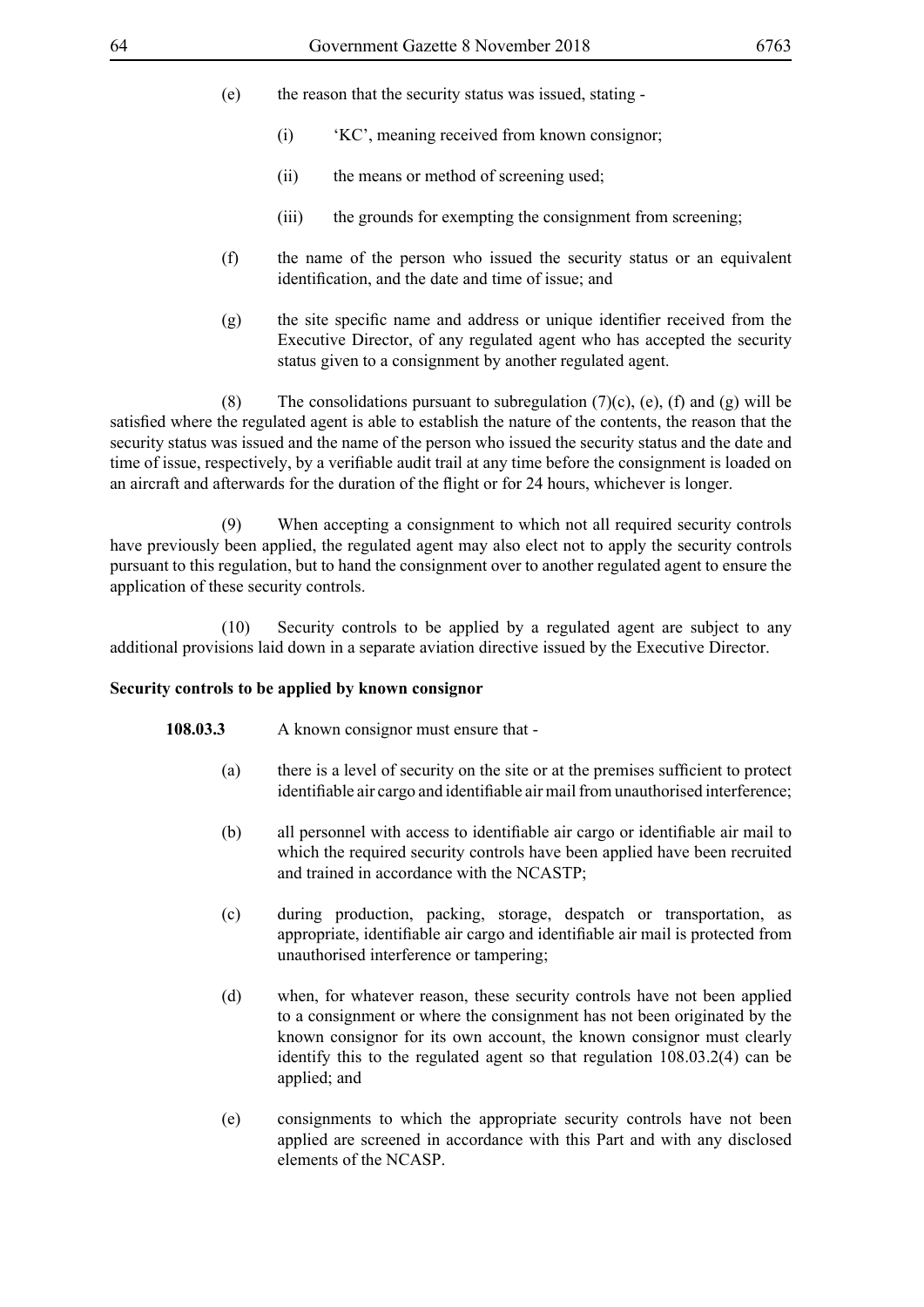- (e) the reason that the security status was issued, stating
	- (i) 'KC', meaning received from known consignor;
	- (ii) the means or method of screening used;
	- (iii) the grounds for exempting the consignment from screening:
- (f) the name of the person who issued the security status or an equivalent identification, and the date and time of issue; and
- (g) the site specific name and address or unique identifier received from the Executive Director, of any regulated agent who has accepted the security status given to a consignment by another regulated agent.

(8) The consolidations pursuant to subregulation  $(7)(c)$ ,  $(e)$ ,  $(f)$  and  $(g)$  will be satisfied where the regulated agent is able to establish the nature of the contents, the reason that the security status was issued and the name of the person who issued the security status and the date and time of issue, respectively, by a verifiable audit trail at any time before the consignment is loaded on an aircraft and afterwards for the duration of the flight or for 24 hours, whichever is longer.

 (9) When accepting a consignment to which not all required security controls have previously been applied, the regulated agent may also elect not to apply the security controls pursuant to this regulation, but to hand the consignment over to another regulated agent to ensure the application of these security controls.

 (10) Security controls to be applied by a regulated agent are subject to any additional provisions laid down in a separate aviation directive issued by the Executive Director.

### **Security controls to be applied by known consignor**

- **108.03.3** A known consignor must ensure that
	- (a) there is a level of security on the site or at the premises sufficient to protect identifiable air cargo and identifiable air mail from unauthorised interference;
	- (b) all personnel with access to identifiable air cargo or identifiable air mail to which the required security controls have been applied have been recruited and trained in accordance with the NCASTP;
	- (c) during production, packing, storage, despatch or transportation, as appropriate, identifiable air cargo and identifiable air mail is protected from unauthorised interference or tampering;
	- (d) when, for whatever reason, these security controls have not been applied to a consignment or where the consignment has not been originated by the known consignor for its own account, the known consignor must clearly identify this to the regulated agent so that regulation 108.03.2(4) can be applied; and
	- (e) consignments to which the appropriate security controls have not been applied are screened in accordance with this Part and with any disclosed elements of the NCASP.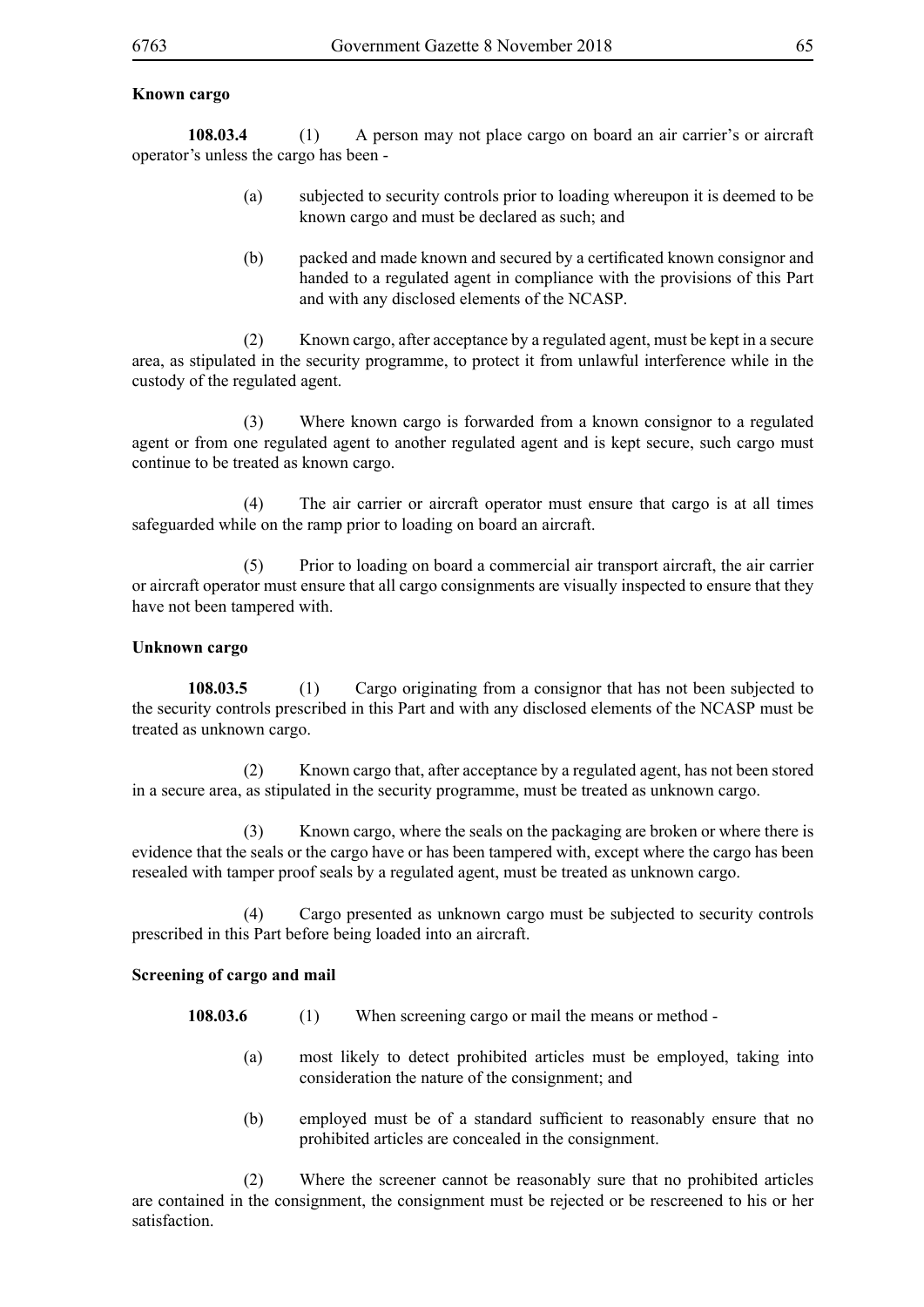## **Known cargo**

**108.03.4** (1) A person may not place cargo on board an air carrier's or aircraft operator's unless the cargo has been -

- (a) subjected to security controls prior to loading whereupon it is deemed to be known cargo and must be declared as such; and
- (b) packed and made known and secured by a certificated known consignor and handed to a regulated agent in compliance with the provisions of this Part and with any disclosed elements of the NCASP.

 (2) Known cargo, after acceptance by a regulated agent, must be kept in a secure area, as stipulated in the security programme, to protect it from unlawful interference while in the custody of the regulated agent.

 (3) Where known cargo is forwarded from a known consignor to a regulated agent or from one regulated agent to another regulated agent and is kept secure, such cargo must continue to be treated as known cargo.

 (4) The air carrier or aircraft operator must ensure that cargo is at all times safeguarded while on the ramp prior to loading on board an aircraft.

 (5) Prior to loading on board a commercial air transport aircraft, the air carrier or aircraft operator must ensure that all cargo consignments are visually inspected to ensure that they have not been tampered with.

#### **Unknown cargo**

**108.03.5** (1) Cargo originating from a consignor that has not been subjected to the security controls prescribed in this Part and with any disclosed elements of the NCASP must be treated as unknown cargo.

 (2) Known cargo that, after acceptance by a regulated agent, has not been stored in a secure area, as stipulated in the security programme, must be treated as unknown cargo.

 (3) Known cargo, where the seals on the packaging are broken or where there is evidence that the seals or the cargo have or has been tampered with, except where the cargo has been resealed with tamper proof seals by a regulated agent, must be treated as unknown cargo.

 (4) Cargo presented as unknown cargo must be subjected to security controls prescribed in this Part before being loaded into an aircraft.

### **Screening of cargo and mail**

**108.03.6** (1) When screening cargo or mail the means or method -

- (a) most likely to detect prohibited articles must be employed, taking into consideration the nature of the consignment; and
- (b) employed must be of a standard sufficient to reasonably ensure that no prohibited articles are concealed in the consignment.

 (2) Where the screener cannot be reasonably sure that no prohibited articles are contained in the consignment, the consignment must be rejected or be rescreened to his or her satisfaction.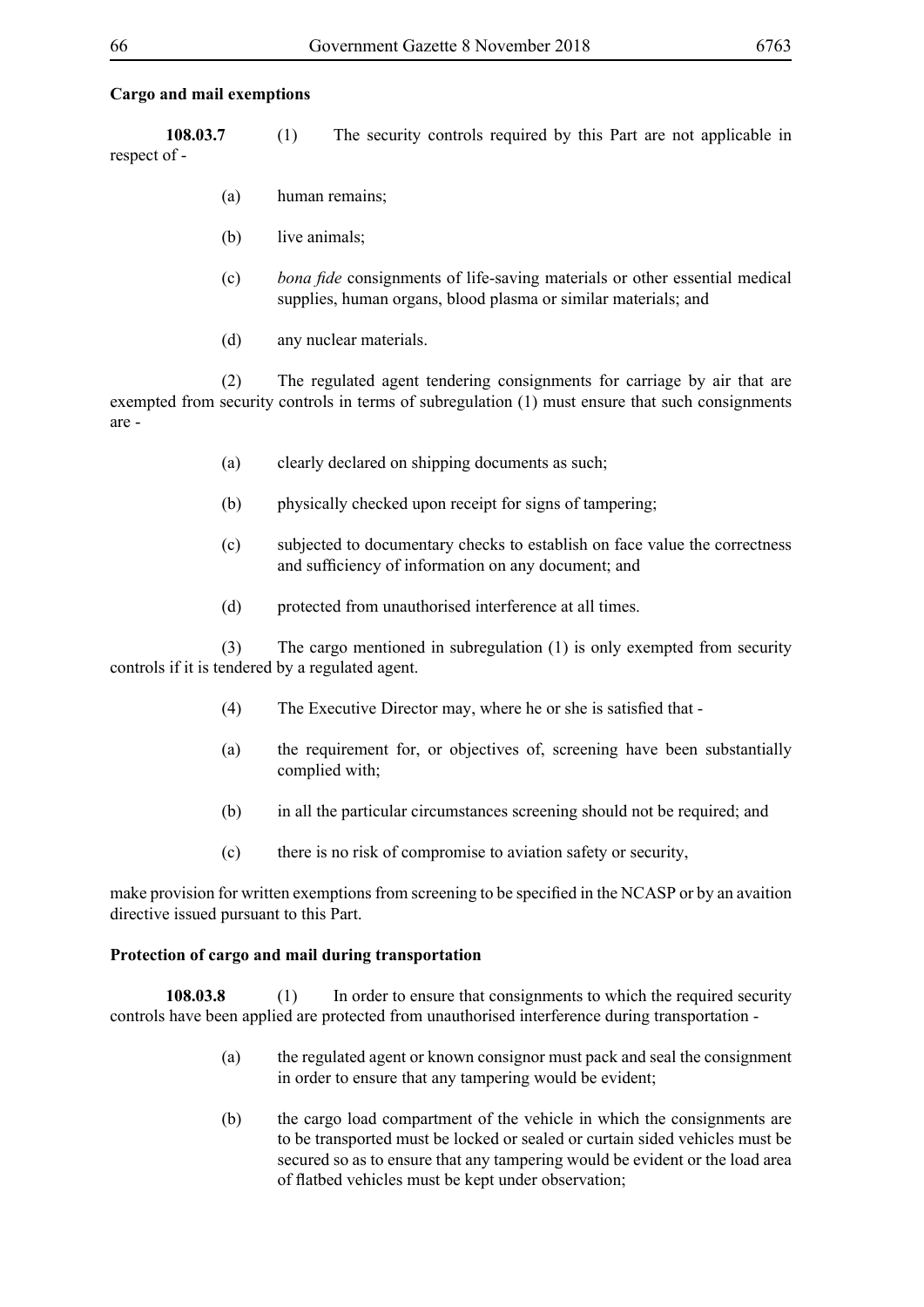### **Cargo and mail exemptions**

**108.03.7** (1) The security controls required by this Part are not applicable in respect of -

- (a) human remains;
- (b) live animals;
- (c) *bona fide* consignments of life-saving materials or other essential medical supplies, human organs, blood plasma or similar materials; and
- (d) any nuclear materials.

 (2) The regulated agent tendering consignments for carriage by air that are exempted from security controls in terms of subregulation (1) must ensure that such consignments are -

- (a) clearly declared on shipping documents as such;
- (b) physically checked upon receipt for signs of tampering;
- (c) subjected to documentary checks to establish on face value the correctness and sufficiency of information on any document; and
- (d) protected from unauthorised interference at all times.

 (3) The cargo mentioned in subregulation (1) is only exempted from security controls if it is tendered by a regulated agent.

- (4) The Executive Director may, where he or she is satisfied that -
- (a) the requirement for, or objectives of, screening have been substantially complied with;
- (b) in all the particular circumstances screening should not be required; and
- (c) there is no risk of compromise to aviation safety or security,

make provision for written exemptions from screening to be specified in the NCASP or by an avaition directive issued pursuant to this Part.

### **Protection of cargo and mail during transportation**

**108.03.8** (1) In order to ensure that consignments to which the required security controls have been applied are protected from unauthorised interference during transportation -

- (a) the regulated agent or known consignor must pack and seal the consignment in order to ensure that any tampering would be evident;
- (b) the cargo load compartment of the vehicle in which the consignments are to be transported must be locked or sealed or curtain sided vehicles must be secured so as to ensure that any tampering would be evident or the load area of flatbed vehicles must be kept under observation;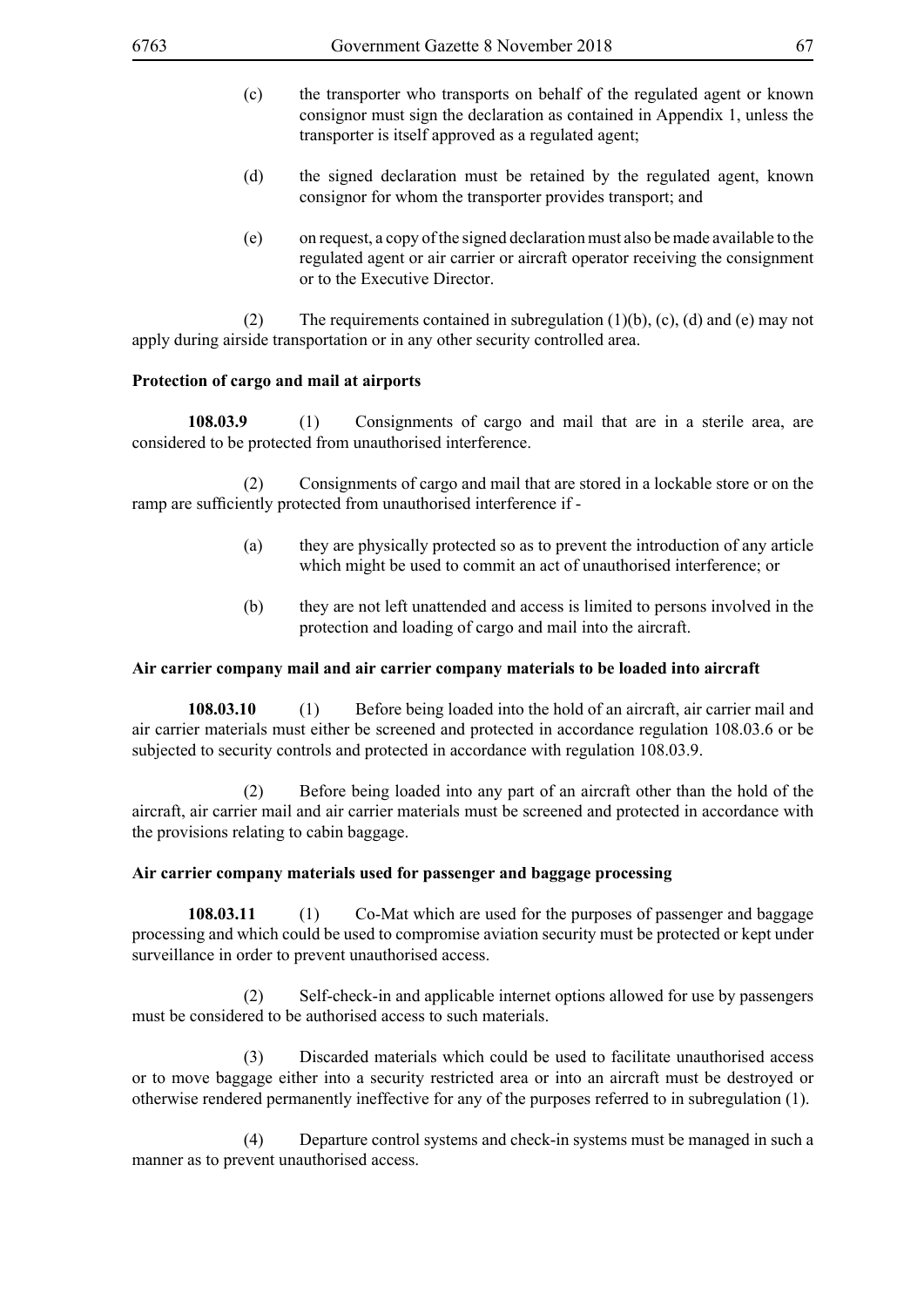- (c) the transporter who transports on behalf of the regulated agent or known consignor must sign the declaration as contained in Appendix 1, unless the transporter is itself approved as a regulated agent;
- (d) the signed declaration must be retained by the regulated agent, known consignor for whom the transporter provides transport; and
- (e) on request, a copy of the signed declaration must also be made available to the regulated agent or air carrier or aircraft operator receiving the consignment or to the Executive Director.

(2) The requirements contained in subregulation  $(1)(b)$ ,  $(c)$ ,  $(d)$  and  $(e)$  may not apply during airside transportation or in any other security controlled area.

### **Protection of cargo and mail at airports**

**108.03.9** (1) Consignments of cargo and mail that are in a sterile area, are considered to be protected from unauthorised interference.

 (2) Consignments of cargo and mail that are stored in a lockable store or on the ramp are sufficiently protected from unauthorised interference if -

- (a) they are physically protected so as to prevent the introduction of any article which might be used to commit an act of unauthorised interference; or
- (b) they are not left unattended and access is limited to persons involved in the protection and loading of cargo and mail into the aircraft.

### **Air carrier company mail and air carrier company materials to be loaded into aircraft**

**108.03.10** (1) Before being loaded into the hold of an aircraft, air carrier mail and air carrier materials must either be screened and protected in accordance regulation 108.03.6 or be subjected to security controls and protected in accordance with regulation 108.03.9.

 (2) Before being loaded into any part of an aircraft other than the hold of the aircraft, air carrier mail and air carrier materials must be screened and protected in accordance with the provisions relating to cabin baggage.

### **Air carrier company materials used for passenger and baggage processing**

**108.03.11** (1) Co-Mat which are used for the purposes of passenger and baggage processing and which could be used to compromise aviation security must be protected or kept under surveillance in order to prevent unauthorised access.

 (2) Self-check-in and applicable internet options allowed for use by passengers must be considered to be authorised access to such materials.

 (3) Discarded materials which could be used to facilitate unauthorised access or to move baggage either into a security restricted area or into an aircraft must be destroyed or otherwise rendered permanently ineffective for any of the purposes referred to in subregulation (1).

 (4) Departure control systems and check-in systems must be managed in such a manner as to prevent unauthorised access.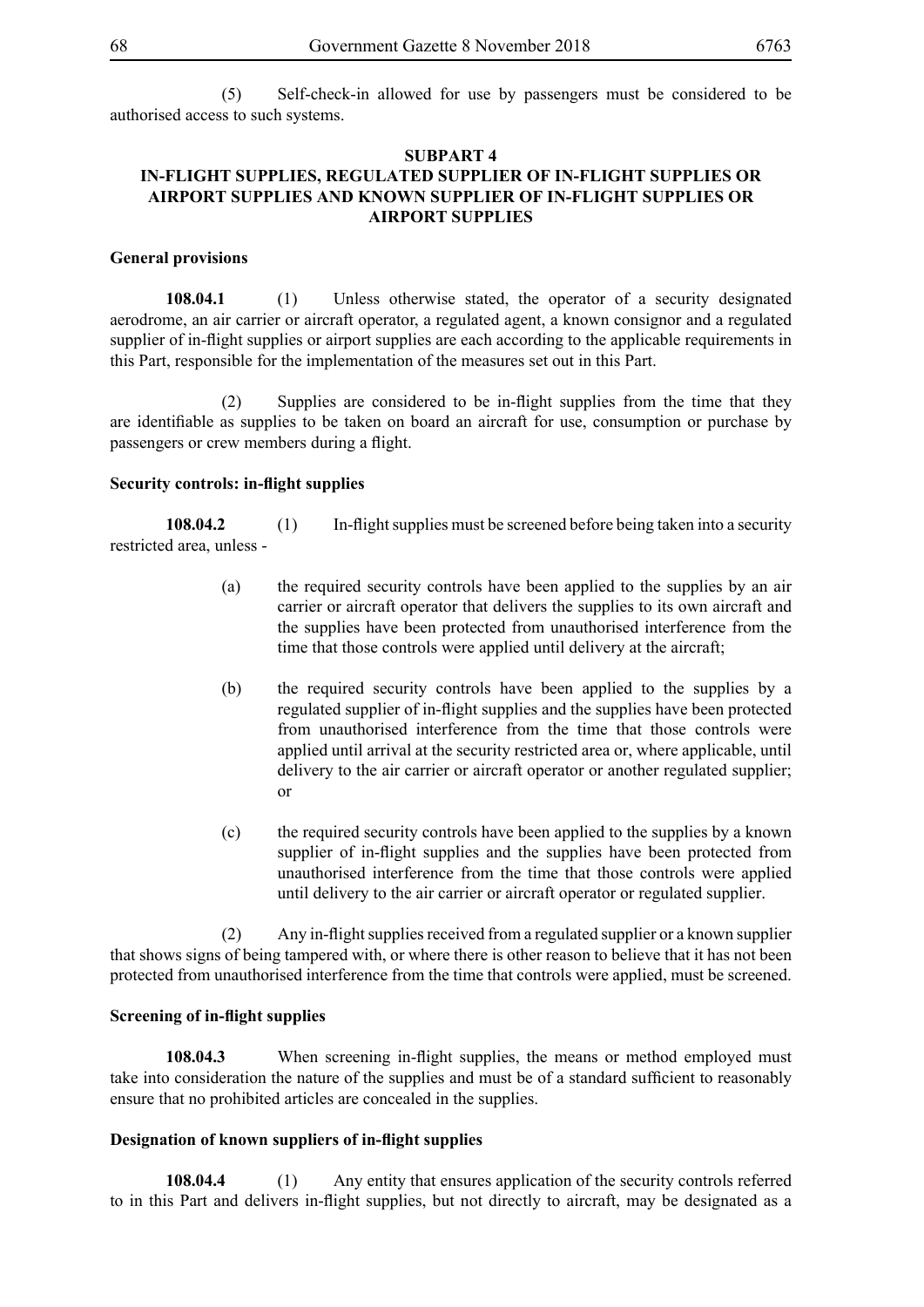(5) Self-check-in allowed for use by passengers must be considered to be authorised access to such systems.

### **SUBPART 4 IN-FLIGHT SUPPLIES, REGULATED SUPPLIER OF IN-FLIGHT SUPPLIES OR AIRPORT SUPPLIES AND KNOWN SUPPLIER OF IN-FLIGHT SUPPLIES OR AIRPORT SUPPLIES**

#### **General provisions**

**108.04.1** (1) Unless otherwise stated, the operator of a security designated aerodrome, an air carrier or aircraft operator, a regulated agent, a known consignor and a regulated supplier of in-flight supplies or airport supplies are each according to the applicable requirements in this Part, responsible for the implementation of the measures set out in this Part.

(2) Supplies are considered to be in-flight supplies from the time that they are identifiable as supplies to be taken on board an aircraft for use, consumption or purchase by passengers or crew members during a flight.

#### **Security controls: in-flight supplies**

**108.04.2** (1) In-flight supplies must be screened before being taken into a security restricted area, unless -

- (a) the required security controls have been applied to the supplies by an air carrier or aircraft operator that delivers the supplies to its own aircraft and the supplies have been protected from unauthorised interference from the time that those controls were applied until delivery at the aircraft;
- (b) the required security controls have been applied to the supplies by a regulated supplier of in-flight supplies and the supplies have been protected from unauthorised interference from the time that those controls were applied until arrival at the security restricted area or, where applicable, until delivery to the air carrier or aircraft operator or another regulated supplier; or
- (c) the required security controls have been applied to the supplies by a known supplier of in-flight supplies and the supplies have been protected from unauthorised interference from the time that those controls were applied until delivery to the air carrier or aircraft operator or regulated supplier.

(2) Any in-flight supplies received from a regulated supplier or a known supplier that shows signs of being tampered with, or where there is other reason to believe that it has not been protected from unauthorised interference from the time that controls were applied, must be screened.

#### **Screening of in-flight supplies**

**108.04.3** When screening in-flight supplies, the means or method employed must take into consideration the nature of the supplies and must be of a standard sufficient to reasonably ensure that no prohibited articles are concealed in the supplies.

### **Designation of known suppliers of in-flight supplies**

**108.04.4** (1) Any entity that ensures application of the security controls referred to in this Part and delivers in-flight supplies, but not directly to aircraft, may be designated as a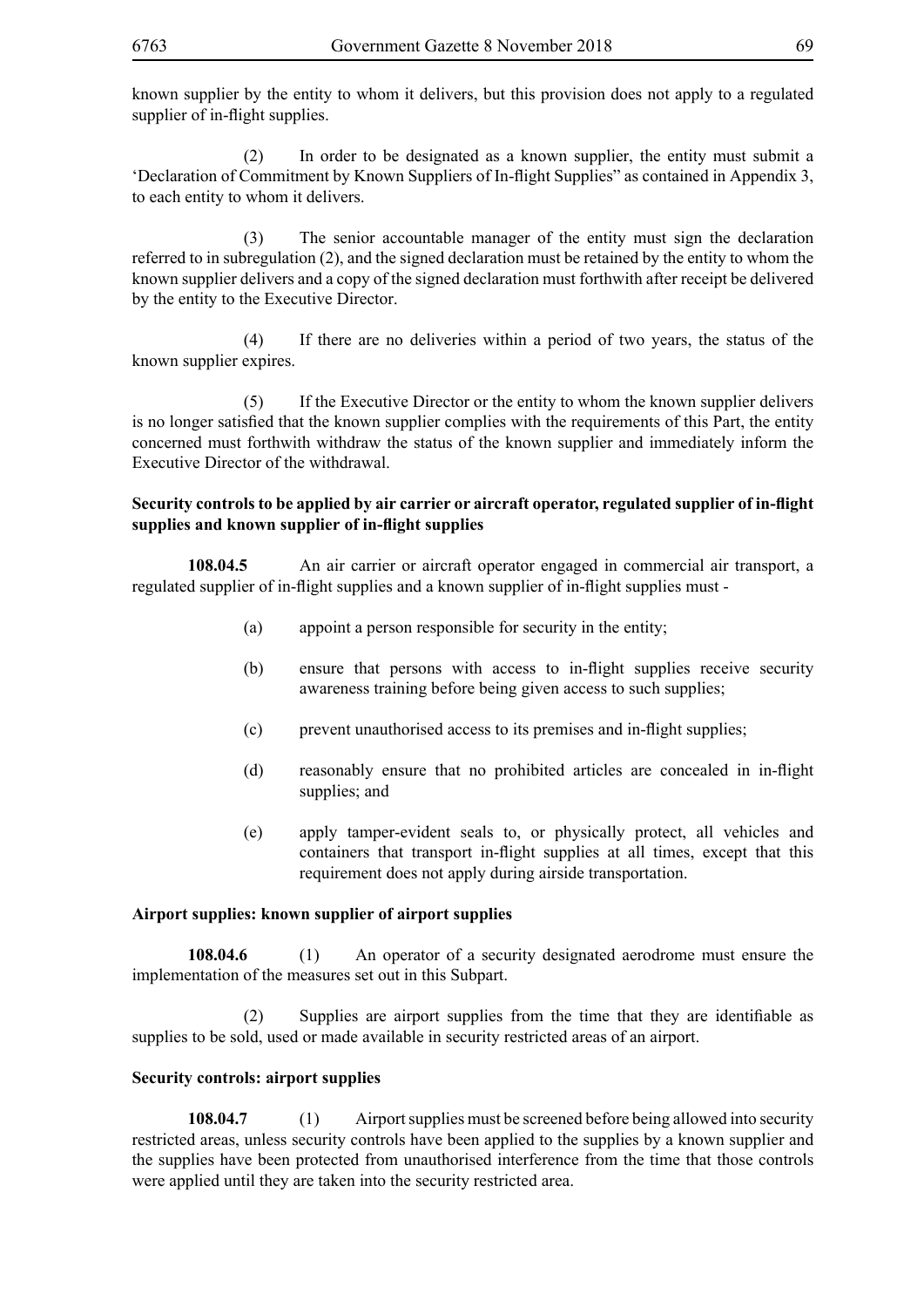known supplier by the entity to whom it delivers, but this provision does not apply to a regulated supplier of in-flight supplies.

 (2) In order to be designated as a known supplier, the entity must submit a 'Declaration of Commitment by Known Suppliers of In-flight Supplies" as contained in Appendix 3, to each entity to whom it delivers.

 (3) The senior accountable manager of the entity must sign the declaration referred to in subregulation (2), and the signed declaration must be retained by the entity to whom the known supplier delivers and a copy of the signed declaration must forthwith after receipt be delivered by the entity to the Executive Director.

 (4) If there are no deliveries within a period of two years, the status of the known supplier expires.

 (5) If the Executive Director or the entity to whom the known supplier delivers is no longer satisfied that the known supplier complies with the requirements of this Part, the entity concerned must forthwith withdraw the status of the known supplier and immediately inform the Executive Director of the withdrawal.

# **Security controls to be applied by air carrier or aircraft operator, regulated supplier of in-flight supplies and known supplier of in-flight supplies**

**108.04.5** An air carrier or aircraft operator engaged in commercial air transport, a regulated supplier of in-flight supplies and a known supplier of in-flight supplies must -

- (a) appoint a person responsible for security in the entity;
- (b) ensure that persons with access to in-flight supplies receive security awareness training before being given access to such supplies;
- (c) prevent unauthorised access to its premises and in-flight supplies;
- (d) reasonably ensure that no prohibited articles are concealed in in-flight supplies; and
- (e) apply tamper-evident seals to, or physically protect, all vehicles and containers that transport in-flight supplies at all times, except that this requirement does not apply during airside transportation.

# **Airport supplies: known supplier of airport supplies**

**108.04.6** (1) An operator of a security designated aerodrome must ensure the implementation of the measures set out in this Subpart.

(2) Supplies are airport supplies from the time that they are identifiable as supplies to be sold, used or made available in security restricted areas of an airport.

# **Security controls: airport supplies**

**108.04.7** (1) Airport supplies must be screened before being allowed into security restricted areas, unless security controls have been applied to the supplies by a known supplier and the supplies have been protected from unauthorised interference from the time that those controls were applied until they are taken into the security restricted area.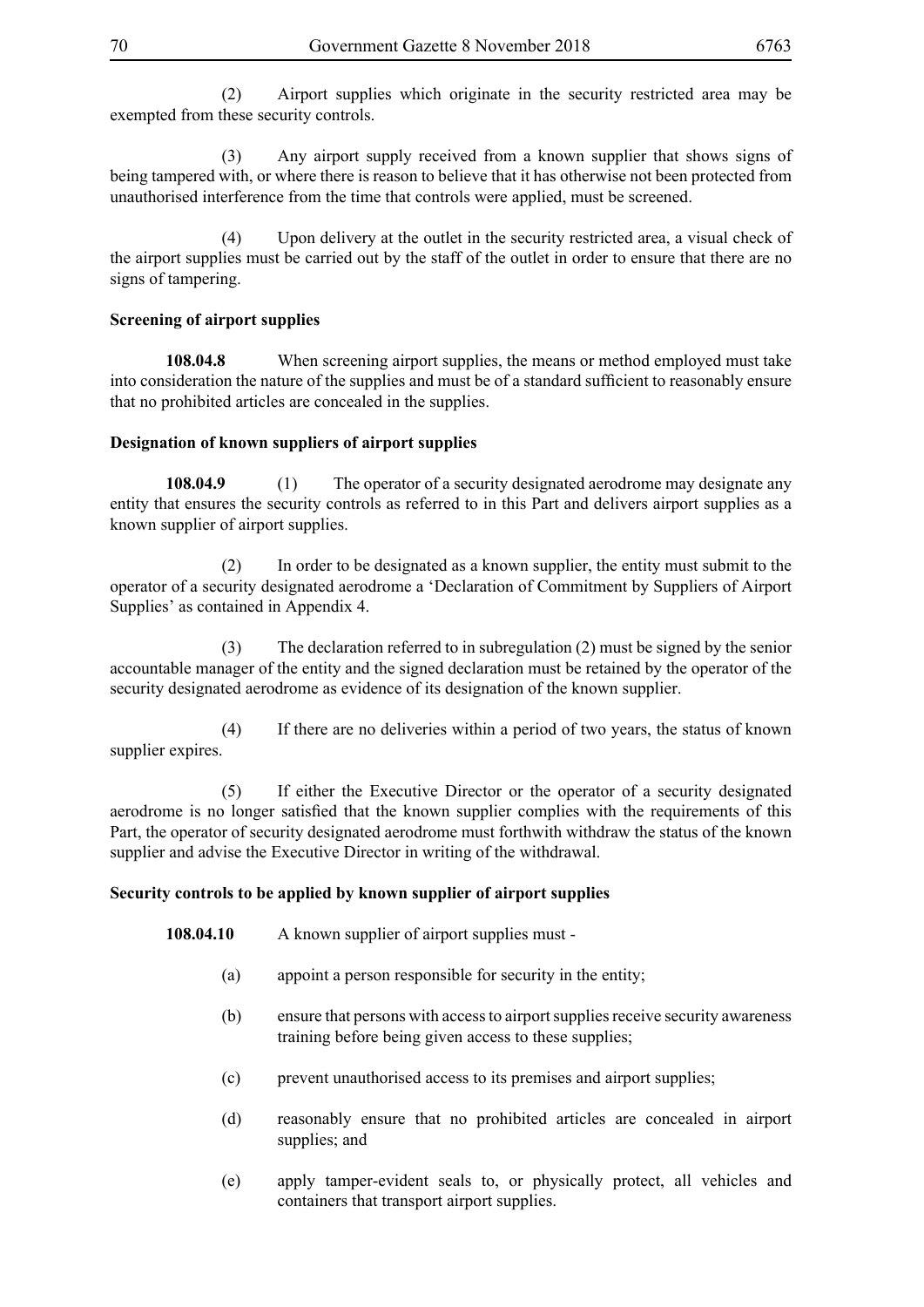(2) Airport supplies which originate in the security restricted area may be exempted from these security controls.

 (3) Any airport supply received from a known supplier that shows signs of being tampered with, or where there is reason to believe that it has otherwise not been protected from unauthorised interference from the time that controls were applied, must be screened.

 (4) Upon delivery at the outlet in the security restricted area, a visual check of the airport supplies must be carried out by the staff of the outlet in order to ensure that there are no signs of tampering.

### **Screening of airport supplies**

**108.04.8** When screening airport supplies, the means or method employed must take into consideration the nature of the supplies and must be of a standard sufficient to reasonably ensure that no prohibited articles are concealed in the supplies.

#### **Designation of known suppliers of airport supplies**

**108.04.9** (1) The operator of a security designated aerodrome may designate any entity that ensures the security controls as referred to in this Part and delivers airport supplies as a known supplier of airport supplies.

 (2) In order to be designated as a known supplier, the entity must submit to the operator of a security designated aerodrome a 'Declaration of Commitment by Suppliers of Airport Supplies' as contained in Appendix 4.

 (3) The declaration referred to in subregulation (2) must be signed by the senior accountable manager of the entity and the signed declaration must be retained by the operator of the security designated aerodrome as evidence of its designation of the known supplier.

 (4) If there are no deliveries within a period of two years, the status of known supplier expires.

 (5) If either the Executive Director or the operator of a security designated aerodrome is no longer satisfied that the known supplier complies with the requirements of this Part, the operator of security designated aerodrome must forthwith withdraw the status of the known supplier and advise the Executive Director in writing of the withdrawal.

### **Security controls to be applied by known supplier of airport supplies**

- 108.04.10 A known supplier of airport supplies must -
	- (a) appoint a person responsible for security in the entity;
	- (b) ensure that persons with access to airport supplies receive security awareness training before being given access to these supplies;
	- (c) prevent unauthorised access to its premises and airport supplies;
	- (d) reasonably ensure that no prohibited articles are concealed in airport supplies; and
	- (e) apply tamper-evident seals to, or physically protect, all vehicles and containers that transport airport supplies.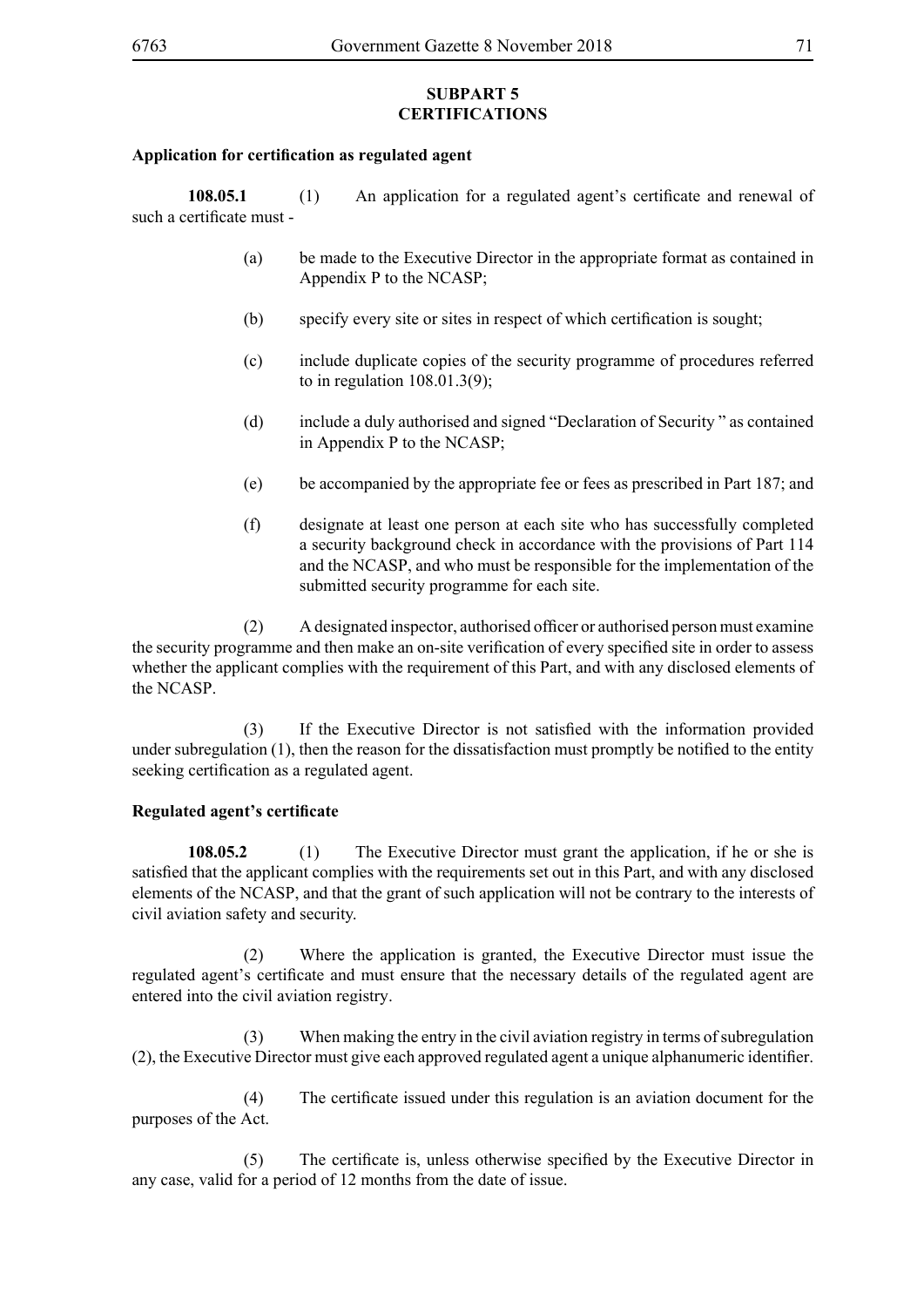### **SUBPART 5 CERTIFICATIONS**

### **Application for certification as regulated agent**

**108.05.1** (1) An application for a regulated agent's certificate and renewal of such a certificate must -

- (a) be made to the Executive Director in the appropriate format as contained in Appendix P to the NCASP;
- (b) specify every site or sites in respect of which certification is sought;
- (c) include duplicate copies of the security programme of procedures referred to in regulation 108.01.3(9);
- (d) include a duly authorised and signed "Declaration of Security " as contained in Appendix P to the NCASP;
- (e) be accompanied by the appropriate fee or fees as prescribed in Part 187; and
- (f) designate at least one person at each site who has successfully completed a security background check in accordance with the provisions of Part 114 and the NCASP, and who must be responsible for the implementation of the submitted security programme for each site.

(2) A designated inspector, authorised officer or authorised person must examine the security programme and then make an on-site verification of every specified site in order to assess whether the applicant complies with the requirement of this Part, and with any disclosed elements of the NCASP.

(3) If the Executive Director is not satisfied with the information provided under subregulation (1), then the reason for the dissatisfaction must promptly be notified to the entity seeking certification as a regulated agent.

# **Regulated agent's certificate**

**108.05.2** (1) The Executive Director must grant the application, if he or she is satisfied that the applicant complies with the requirements set out in this Part, and with any disclosed elements of the NCASP, and that the grant of such application will not be contrary to the interests of civil aviation safety and security.

 (2) Where the application is granted, the Executive Director must issue the regulated agent's certificate and must ensure that the necessary details of the regulated agent are entered into the civil aviation registry.

 (3) When making the entry in the civil aviation registry in terms of subregulation (2), the Executive Director must give each approved regulated agent a unique alphanumeric identifier.

(4) The certificate issued under this regulation is an aviation document for the purposes of the Act.

(5) The certificate is, unless otherwise specified by the Executive Director in any case, valid for a period of 12 months from the date of issue.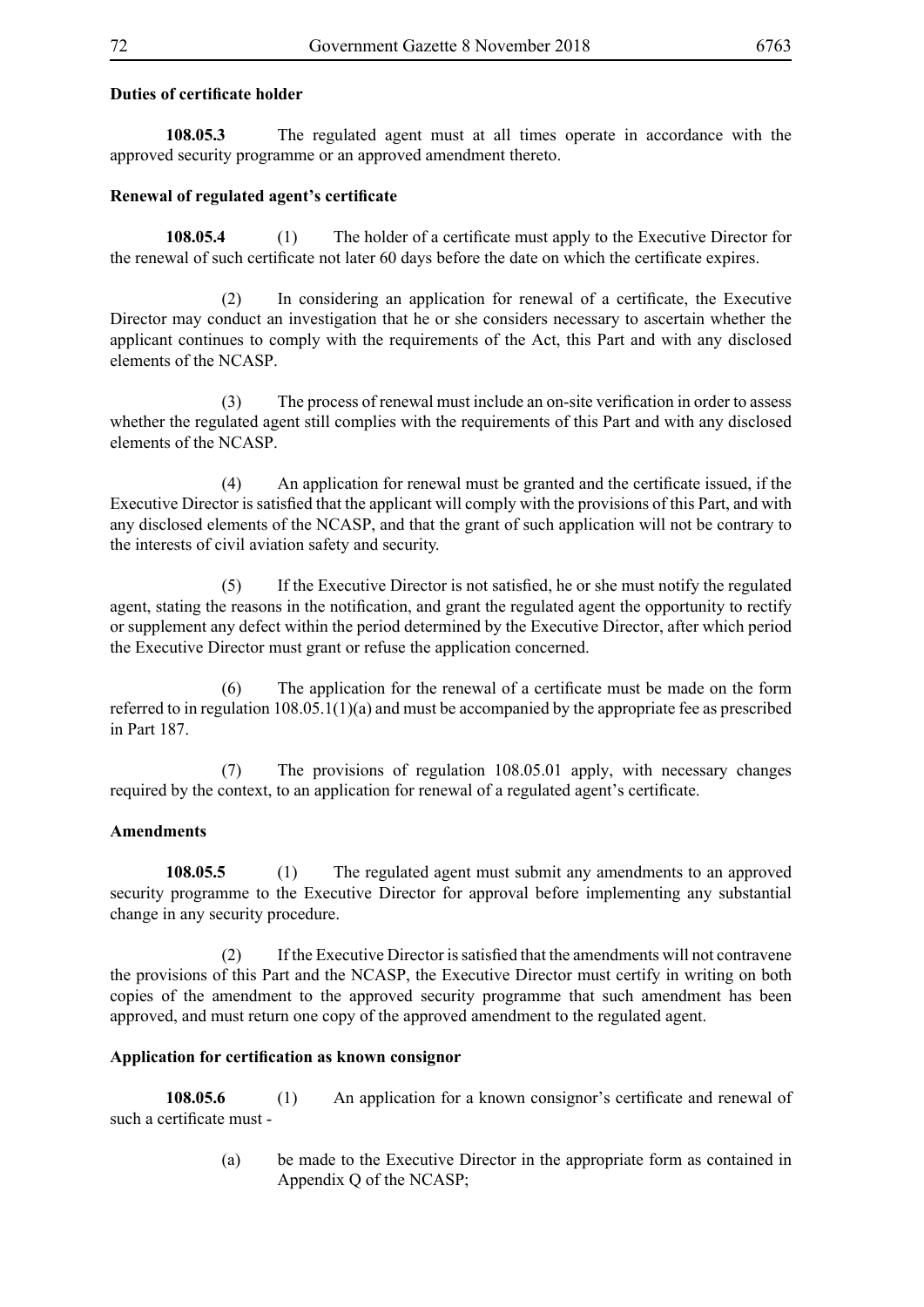## **Duties of certificate holder**

**108.05.3** The regulated agent must at all times operate in accordance with the approved security programme or an approved amendment thereto.

## **Renewal of regulated agent's certificate**

**108.05.4** (1) The holder of a certificate must apply to the Executive Director for the renewal of such certificate not later 60 days before the date on which the certificate expires.

(2) In considering an application for renewal of a certificate, the Executive Director may conduct an investigation that he or she considers necessary to ascertain whether the applicant continues to comply with the requirements of the Act, this Part and with any disclosed elements of the NCASP.

(3) The process of renewal must include an on-site verification in order to assess whether the regulated agent still complies with the requirements of this Part and with any disclosed elements of the NCASP.

(4) An application for renewal must be granted and the certificate issued, if the Executive Director is satisfied that the applicant will comply with the provisions of this Part, and with any disclosed elements of the NCASP, and that the grant of such application will not be contrary to the interests of civil aviation safety and security.

(5) If the Executive Director is not satisfied, he or she must notify the regulated agent, stating the reasons in the notification, and grant the regulated agent the opportunity to rectify or supplement any defect within the period determined by the Executive Director, after which period the Executive Director must grant or refuse the application concerned.

(6) The application for the renewal of a certificate must be made on the form referred to in regulation 108.05.1(1)(a) and must be accompanied by the appropriate fee as prescribed in Part 187.

 (7) The provisions of regulation 108.05.01 apply, with necessary changes required by the context, to an application for renewal of a regulated agent's certificate.

### **Amendments**

**108.05.5** (1) The regulated agent must submit any amendments to an approved security programme to the Executive Director for approval before implementing any substantial change in any security procedure.

(2) If the Executive Director is satisfied that the amendments will not contravene the provisions of this Part and the NCASP, the Executive Director must certify in writing on both copies of the amendment to the approved security programme that such amendment has been approved, and must return one copy of the approved amendment to the regulated agent.

### **Application for certification as known consignor**

**108.05.6** (1) An application for a known consignor's certificate and renewal of such a certificate must -

> (a) be made to the Executive Director in the appropriate form as contained in Appendix Q of the NCASP;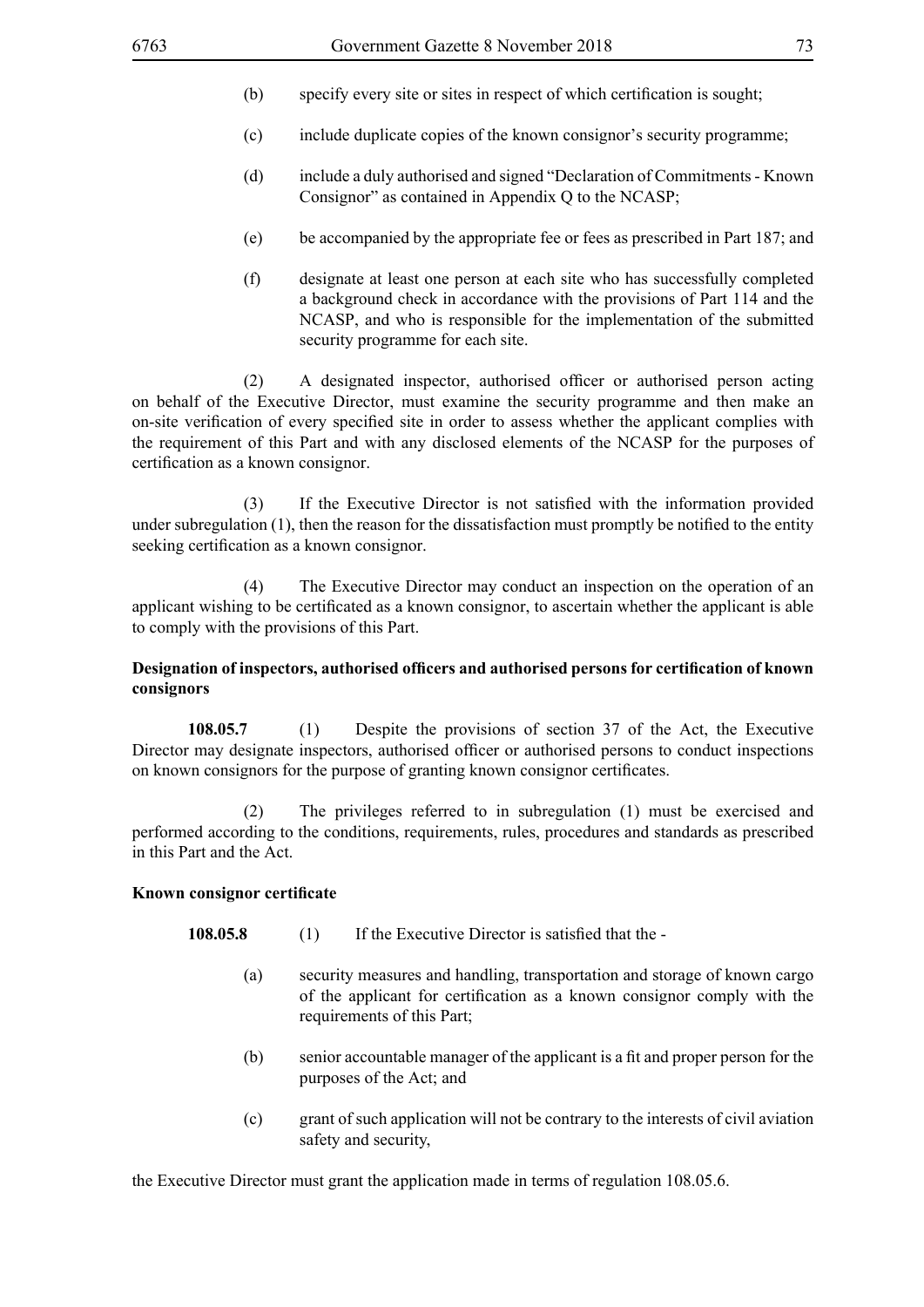- (b) specify every site or sites in respect of which certification is sought;
- (c) include duplicate copies of the known consignor's security programme;
- (d) include a duly authorised and signed "Declaration of Commitments Known Consignor" as contained in Appendix Q to the NCASP;
- (e) be accompanied by the appropriate fee or fees as prescribed in Part 187; and
- (f) designate at least one person at each site who has successfully completed a background check in accordance with the provisions of Part 114 and the NCASP, and who is responsible for the implementation of the submitted security programme for each site.

(2) A designated inspector, authorised officer or authorised person acting on behalf of the Executive Director, must examine the security programme and then make an on-site verification of every specified site in order to assess whether the applicant complies with the requirement of this Part and with any disclosed elements of the NCASP for the purposes of certification as a known consignor.

(3) If the Executive Director is not satisfied with the information provided under subregulation (1), then the reason for the dissatisfaction must promptly be notified to the entity seeking certification as a known consignor.

 (4) The Executive Director may conduct an inspection on the operation of an applicant wishing to be certificated as a known consignor, to ascertain whether the applicant is able to comply with the provisions of this Part.

# **Designation of inspectors, authorised officers and authorised persons for certification of known consignors**

**108.05.7** (1) Despite the provisions of section 37 of the Act, the Executive Director may designate inspectors, authorised officer or authorised persons to conduct inspections on known consignors for the purpose of granting known consignor certificates.

 (2) The privileges referred to in subregulation (1) must be exercised and performed according to the conditions, requirements, rules, procedures and standards as prescribed in this Part and the Act.

#### **Known consignor certificate**

- **108.05.8** (1) If the Executive Director is satisfied that the -
	- (a) security measures and handling, transportation and storage of known cargo of the applicant for certification as a known consignor comply with the requirements of this Part;
	- (b) senior accountable manager of the applicant is a fit and proper person for the purposes of the Act; and
	- (c) grant of such application will not be contrary to the interests of civil aviation safety and security,

the Executive Director must grant the application made in terms of regulation 108.05.6.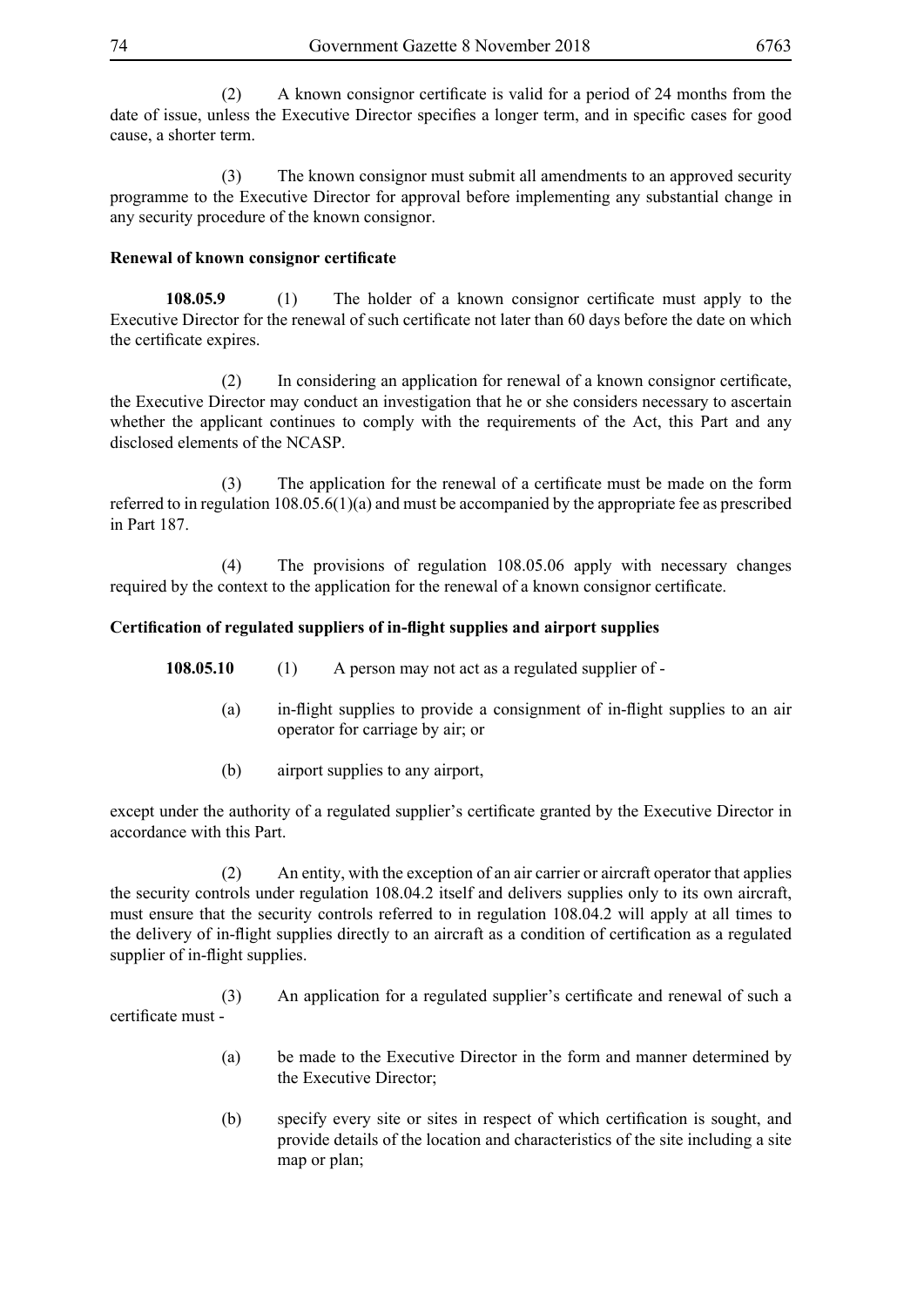(2) A known consignor certificate is valid for a period of 24 months from the date of issue, unless the Executive Director specifies a longer term, and in specific cases for good cause, a shorter term.

 (3) The known consignor must submit all amendments to an approved security programme to the Executive Director for approval before implementing any substantial change in any security procedure of the known consignor.

# **Renewal of known consignor certificate**

**108.05.9** (1) The holder of a known consignor certificate must apply to the Executive Director for the renewal of such certificate not later than 60 days before the date on which the certificate expires.

(2) In considering an application for renewal of a known consignor certificate, the Executive Director may conduct an investigation that he or she considers necessary to ascertain whether the applicant continues to comply with the requirements of the Act, this Part and any disclosed elements of the NCASP.

(3) The application for the renewal of a certificate must be made on the form referred to in regulation 108.05.6(1)(a) and must be accompanied by the appropriate fee as prescribed in Part 187.

 (4) The provisions of regulation 108.05.06 apply with necessary changes required by the context to the application for the renewal of a known consignor certificate.

# **Certification of regulated suppliers of in-flight supplies and airport supplies**

- **108.05.10** (1) A person may not act as a regulated supplier of
	- (a) in-flight supplies to provide a consignment of in-flight supplies to an air operator for carriage by air; or
	- (b) airport supplies to any airport,

except under the authority of a regulated supplier's certificate granted by the Executive Director in accordance with this Part.

 (2) An entity, with the exception of an air carrier or aircraft operator that applies the security controls under regulation 108.04.2 itself and delivers supplies only to its own aircraft, must ensure that the security controls referred to in regulation 108.04.2 will apply at all times to the delivery of in-flight supplies directly to an aircraft as a condition of certification as a regulated supplier of in-flight supplies.

(3) An application for a regulated supplier's certificate and renewal of such a certificate must -

- (a) be made to the Executive Director in the form and manner determined by the Executive Director;
- (b) specify every site or sites in respect of which certification is sought, and provide details of the location and characteristics of the site including a site map or plan;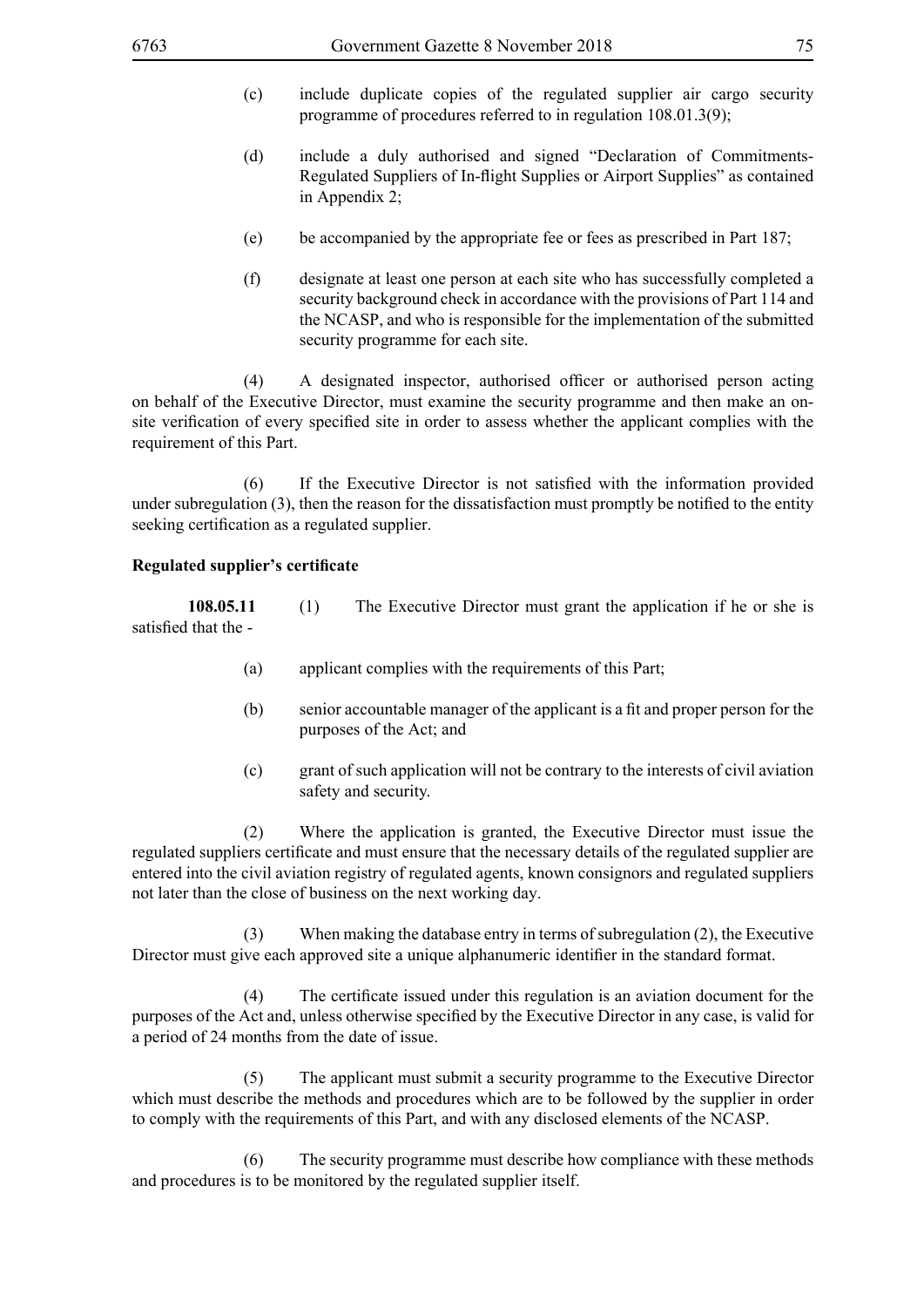- (c) include duplicate copies of the regulated supplier air cargo security programme of procedures referred to in regulation 108.01.3(9);
- (d) include a duly authorised and signed "Declaration of Commitments-Regulated Suppliers of In-flight Supplies or Airport Supplies" as contained in Appendix 2;
- (e) be accompanied by the appropriate fee or fees as prescribed in Part 187;
- (f) designate at least one person at each site who has successfully completed a security background check in accordance with the provisions of Part 114 and the NCASP, and who is responsible for the implementation of the submitted security programme for each site.

(4) A designated inspector, authorised officer or authorised person acting on behalf of the Executive Director, must examine the security programme and then make an onsite verification of every specified site in order to assess whether the applicant complies with the requirement of this Part.

(6) If the Executive Director is not satisfied with the information provided under subregulation (3), then the reason for the dissatisfaction must promptly be notified to the entity seeking certification as a regulated supplier.

#### **Regulated supplier's certificate**

**108.05.11** (1) The Executive Director must grant the application if he or she is satisfied that the -

- (a) applicant complies with the requirements of this Part;
- (b) senior accountable manager of the applicant is a fit and proper person for the purposes of the Act; and
- (c) grant of such application will not be contrary to the interests of civil aviation safety and security.

 (2) Where the application is granted, the Executive Director must issue the regulated suppliers certificate and must ensure that the necessary details of the regulated supplier are entered into the civil aviation registry of regulated agents, known consignors and regulated suppliers not later than the close of business on the next working day.

When making the database entry in terms of subregulation  $(2)$ , the Executive Director must give each approved site a unique alphanumeric identifier in the standard format.

(4) The certificate issued under this regulation is an aviation document for the purposes of the Act and, unless otherwise specified by the Executive Director in any case, is valid for a period of 24 months from the date of issue.

 (5) The applicant must submit a security programme to the Executive Director which must describe the methods and procedures which are to be followed by the supplier in order to comply with the requirements of this Part, and with any disclosed elements of the NCASP.

 (6) The security programme must describe how compliance with these methods and procedures is to be monitored by the regulated supplier itself.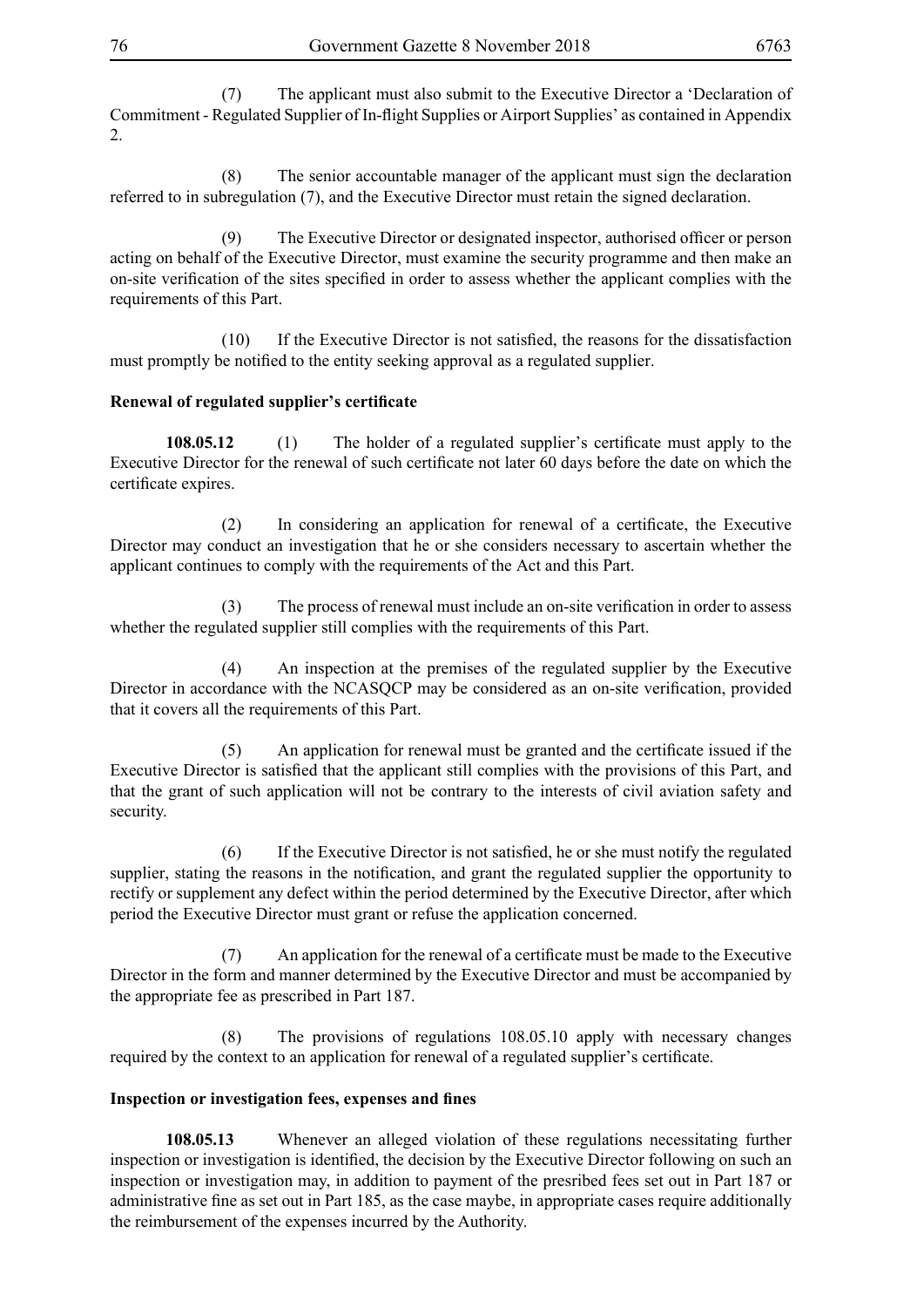(7) The applicant must also submit to the Executive Director a 'Declaration of Commitment - Regulated Supplier of In-flight Supplies or Airport Supplies' as contained in Appendix 2.

 (8) The senior accountable manager of the applicant must sign the declaration referred to in subregulation (7), and the Executive Director must retain the signed declaration.

(9) The Executive Director or designated inspector, authorised officer or person acting on behalf of the Executive Director, must examine the security programme and then make an on-site verification of the sites specified in order to assess whether the applicant complies with the requirements of this Part.

(10) If the Executive Director is not satisfied, the reasons for the dissatisfaction must promptly be notified to the entity seeking approval as a regulated supplier.

# **Renewal of regulated supplier's certificate**

**108.05.12** (1) The holder of a regulated supplier's certificate must apply to the Executive Director for the renewal of such certificate not later 60 days before the date on which the certificate expires.

(2) In considering an application for renewal of a certificate, the Executive Director may conduct an investigation that he or she considers necessary to ascertain whether the applicant continues to comply with the requirements of the Act and this Part.

(3) The process of renewal must include an on-site verification in order to assess whether the regulated supplier still complies with the requirements of this Part.

 (4) An inspection at the premises of the regulated supplier by the Executive Director in accordance with the NCASQCP may be considered as an on-site verification, provided that it covers all the requirements of this Part.

(5) An application for renewal must be granted and the certificate issued if the Executive Director is satisfied that the applicant still complies with the provisions of this Part, and that the grant of such application will not be contrary to the interests of civil aviation safety and security.

(6) If the Executive Director is not satisfied, he or she must notify the regulated supplier, stating the reasons in the notification, and grant the regulated supplier the opportunity to rectify or supplement any defect within the period determined by the Executive Director, after which period the Executive Director must grant or refuse the application concerned.

(7) An application for the renewal of a certificate must be made to the Executive Director in the form and manner determined by the Executive Director and must be accompanied by the appropriate fee as prescribed in Part 187.

 (8) The provisions of regulations 108.05.10 apply with necessary changes required by the context to an application for renewal of a regulated supplier's certificate.

#### **Inspection or investigation fees, expenses and fines**

**108.05.13** Whenever an alleged violation of these regulations necessitating further inspection or investigation is identified, the decision by the Executive Director following on such an inspection or investigation may, in addition to payment of the presribed fees set out in Part 187 or administrative fine as set out in Part 185, as the case maybe, in appropriate cases require additionally the reimbursement of the expenses incurred by the Authority.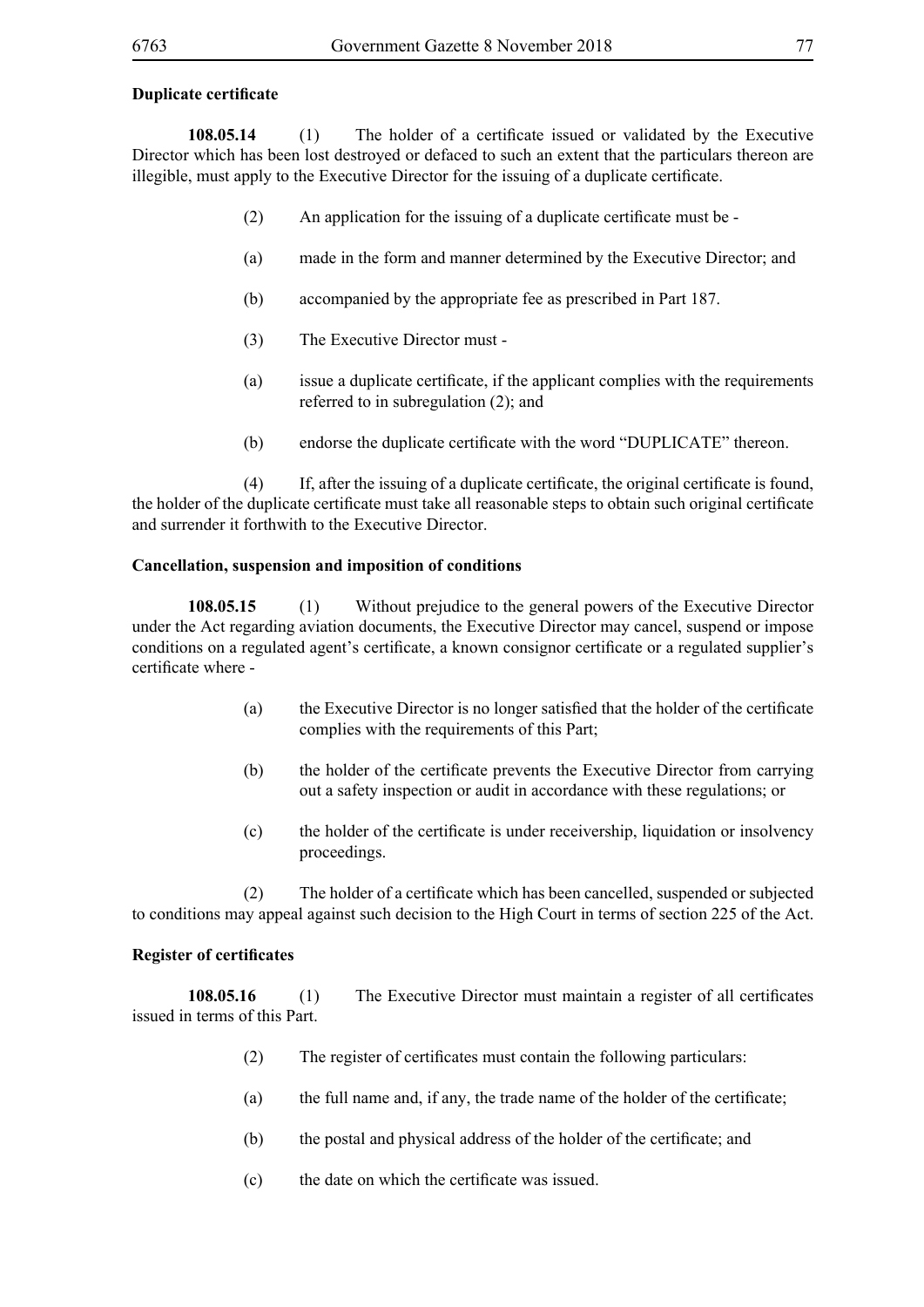### **Duplicate certificate**

**108.05.14** (1) The holder of a certificate issued or validated by the Executive Director which has been lost destroyed or defaced to such an extent that the particulars thereon are illegible, must apply to the Executive Director for the issuing of a duplicate certificate.

- (2) An application for the issuing of a duplicate certificate must be -
- (a) made in the form and manner determined by the Executive Director; and
- (b) accompanied by the appropriate fee as prescribed in Part 187.
- (3) The Executive Director must -
- (a) issue a duplicate certificate, if the applicant complies with the requirements referred to in subregulation (2); and
- (b) endorse the duplicate certificate with the word "DUPLICATE" thereon.

(4) If, after the issuing of a duplicate certificate, the original certificate is found, the holder of the duplicate certificate must take all reasonable steps to obtain such original certificate and surrender it forthwith to the Executive Director.

# **Cancellation, suspension and imposition of conditions**

**108.05.15** (1) Without prejudice to the general powers of the Executive Director under the Act regarding aviation documents, the Executive Director may cancel, suspend or impose conditions on a regulated agent's certificate, a known consignor certificate or a regulated supplier's certificate where -

- (a) the Executive Director is no longer satisfied that the holder of the certificate complies with the requirements of this Part;
- (b) the holder of the certificate prevents the Executive Director from carrying out a safety inspection or audit in accordance with these regulations; or
- (c) the holder of the certificate is under receivership, liquidation or insolvency proceedings.

(2) The holder of a certificate which has been cancelled, suspended or subjected to conditions may appeal against such decision to the High Court in terms of section 225 of the Act.

#### **Register of certificates**

**108.05.16** (1) The Executive Director must maintain a register of all certificates issued in terms of this Part.

- (2) The register of certificates must contain the following particulars:
- (a) the full name and, if any, the trade name of the holder of the certificate;
- (b) the postal and physical address of the holder of the certificate; and
- (c) the date on which the certificate was issued.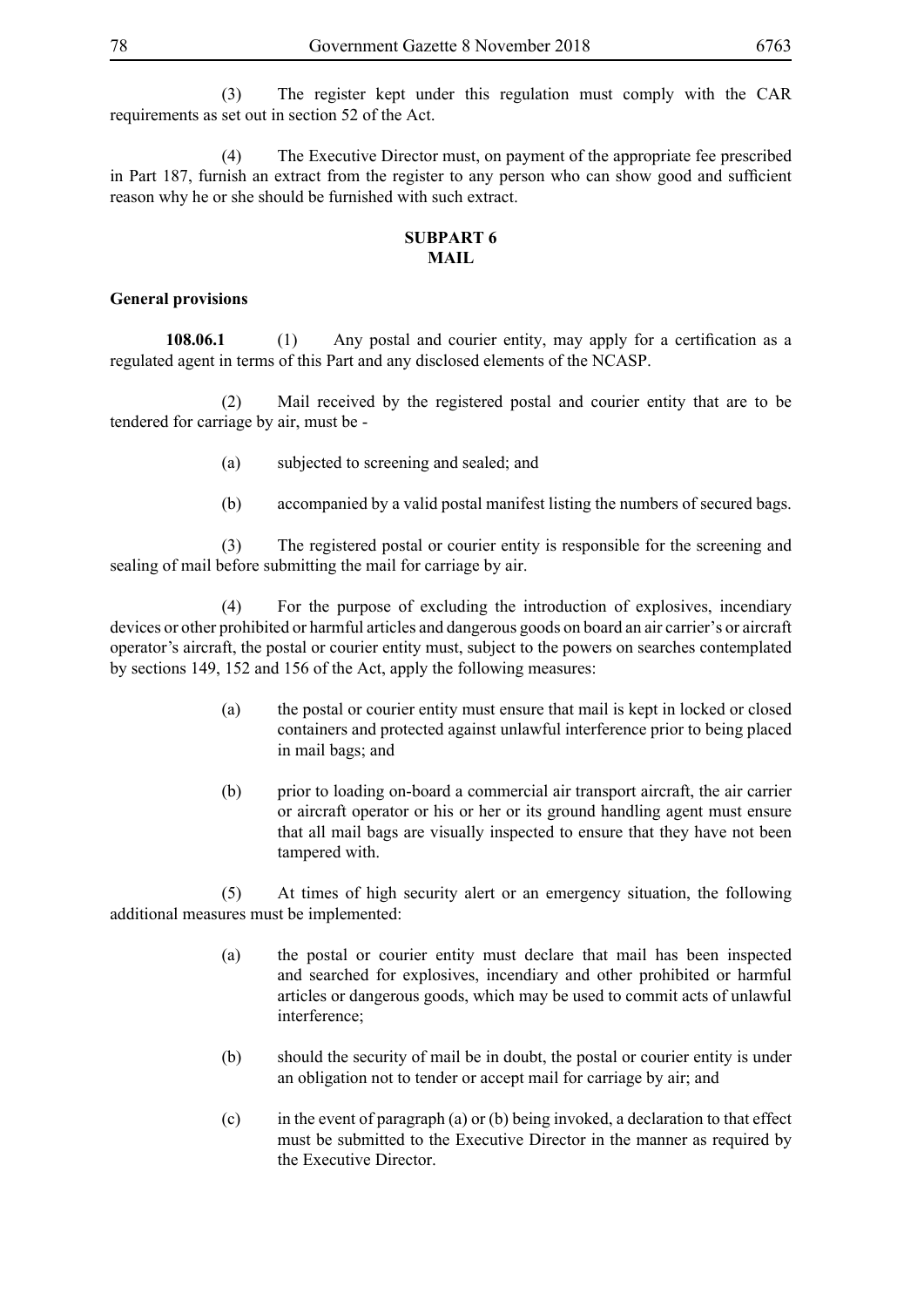(3) The register kept under this regulation must comply with the CAR requirements as set out in section 52 of the Act.

 (4) The Executive Director must, on payment of the appropriate fee prescribed in Part 187, furnish an extract from the register to any person who can show good and sufficient reason why he or she should be furnished with such extract.

#### **SUBPART 6 MAIL**

#### **General provisions**

**108.06.1** (1) Any postal and courier entity, may apply for a certification as a regulated agent in terms of this Part and any disclosed elements of the NCASP.

 (2) Mail received by the registered postal and courier entity that are to be tendered for carriage by air, must be -

- (a) subjected to screening and sealed; and
- (b) accompanied by a valid postal manifest listing the numbers of secured bags.

 (3) The registered postal or courier entity is responsible for the screening and sealing of mail before submitting the mail for carriage by air.

 (4) For the purpose of excluding the introduction of explosives, incendiary devices or other prohibited or harmful articles and dangerous goods on board an air carrier's or aircraft operator's aircraft, the postal or courier entity must, subject to the powers on searches contemplated by sections 149, 152 and 156 of the Act, apply the following measures:

- (a) the postal or courier entity must ensure that mail is kept in locked or closed containers and protected against unlawful interference prior to being placed in mail bags; and
- (b) prior to loading on-board a commercial air transport aircraft, the air carrier or aircraft operator or his or her or its ground handling agent must ensure that all mail bags are visually inspected to ensure that they have not been tampered with.

 (5) At times of high security alert or an emergency situation, the following additional measures must be implemented:

- (a) the postal or courier entity must declare that mail has been inspected and searched for explosives, incendiary and other prohibited or harmful articles or dangerous goods, which may be used to commit acts of unlawful interference;
- (b) should the security of mail be in doubt, the postal or courier entity is under an obligation not to tender or accept mail for carriage by air; and
- (c) in the event of paragraph (a) or (b) being invoked, a declaration to that effect must be submitted to the Executive Director in the manner as required by the Executive Director.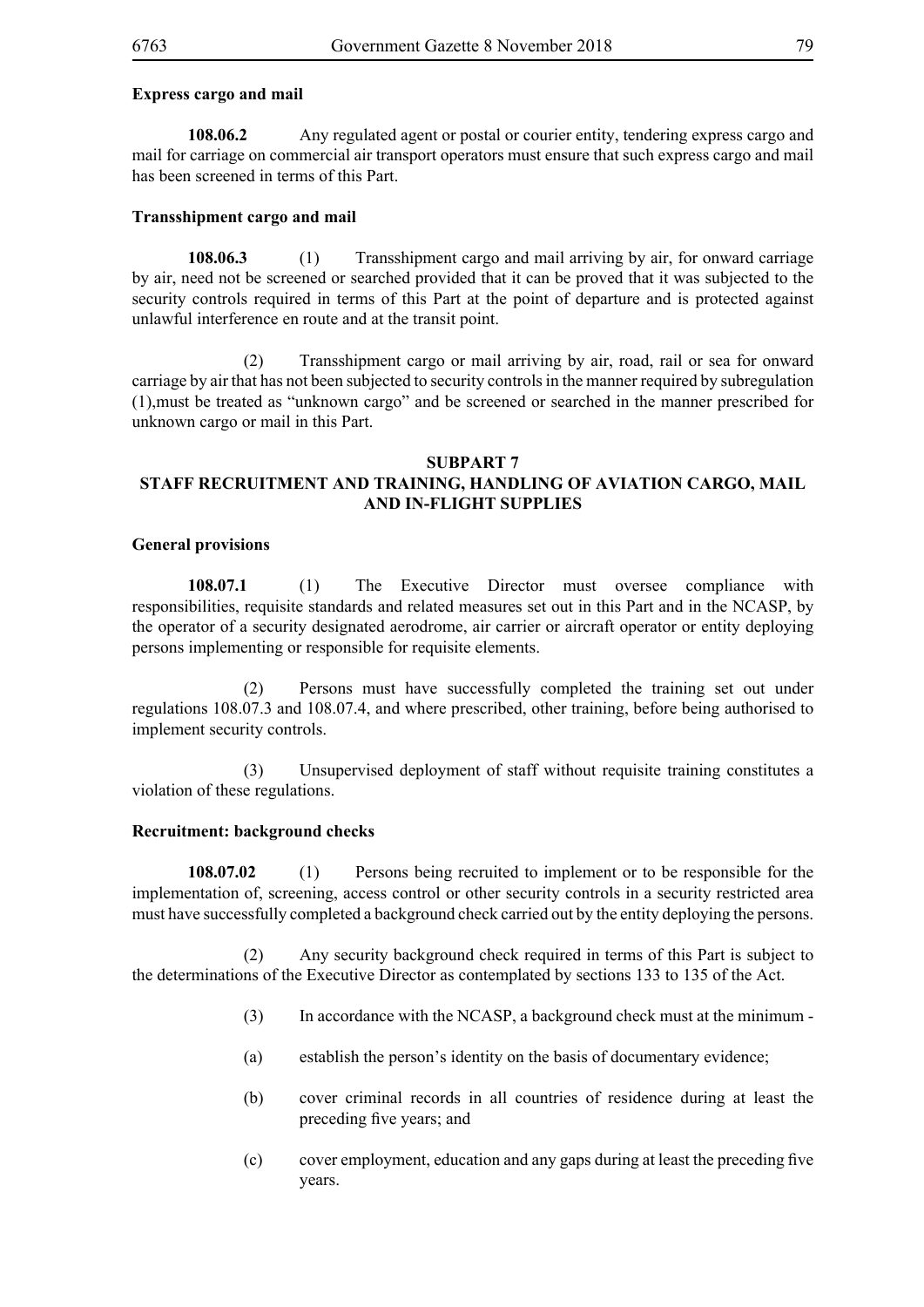#### **Express cargo and mail**

**108.06.2** Any regulated agent or postal or courier entity, tendering express cargo and mail for carriage on commercial air transport operators must ensure that such express cargo and mail has been screened in terms of this Part.

#### **Transshipment cargo and mail**

**108.06.3** (1) Transshipment cargo and mail arriving by air, for onward carriage by air, need not be screened or searched provided that it can be proved that it was subjected to the security controls required in terms of this Part at the point of departure and is protected against unlawful interference en route and at the transit point.

 (2) Transshipment cargo or mail arriving by air, road, rail or sea for onward carriage by air that has not been subjected to security controls in the manner required by subregulation (1),must be treated as "unknown cargo" and be screened or searched in the manner prescribed for unknown cargo or mail in this Part.

#### **SUBPART 7**

# **STAFF RECRUITMENT AND TRAINING, HANDLING OF AVIATION CARGO, MAIL AND IN-FLIGHT SUPPLIES**

#### **General provisions**

**108.07.1** (1) The Executive Director must oversee compliance with responsibilities, requisite standards and related measures set out in this Part and in the NCASP, by the operator of a security designated aerodrome, air carrier or aircraft operator or entity deploying persons implementing or responsible for requisite elements.

 (2) Persons must have successfully completed the training set out under regulations 108.07.3 and 108.07.4, and where prescribed, other training, before being authorised to implement security controls.

 (3) Unsupervised deployment of staff without requisite training constitutes a violation of these regulations.

#### **Recruitment: background checks**

**108.07.02** (1) Persons being recruited to implement or to be responsible for the implementation of, screening, access control or other security controls in a security restricted area must have successfully completed a background check carried out by the entity deploying the persons.

 (2) Any security background check required in terms of this Part is subject to the determinations of the Executive Director as contemplated by sections 133 to 135 of the Act.

- (3) In accordance with the NCASP, a background check must at the minimum -
- (a) establish the person's identity on the basis of documentary evidence;
- (b) cover criminal records in all countries of residence during at least the preceding five years; and
- (c) cover employment, education and any gaps during at least the preceding five years.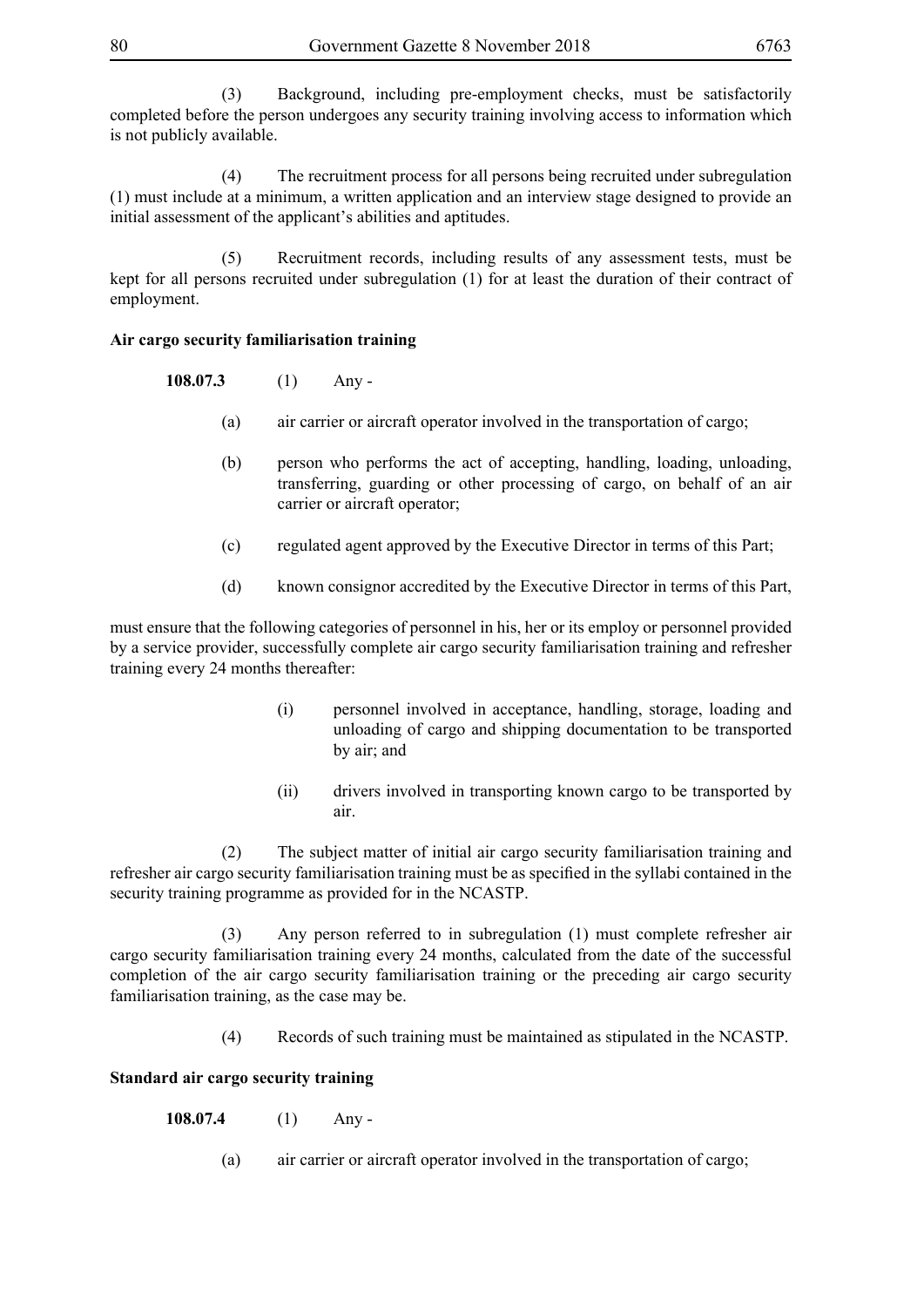(3) Background, including pre-employment checks, must be satisfactorily completed before the person undergoes any security training involving access to information which is not publicly available.

 (4) The recruitment process for all persons being recruited under subregulation (1) must include at a minimum, a written application and an interview stage designed to provide an initial assessment of the applicant's abilities and aptitudes.

 (5) Recruitment records, including results of any assessment tests, must be kept for all persons recruited under subregulation (1) for at least the duration of their contract of employment.

# **Air cargo security familiarisation training**

**108.07.3** (1) Any -

- (a) air carrier or aircraft operator involved in the transportation of cargo;
- (b) person who performs the act of accepting, handling, loading, unloading, transferring, guarding or other processing of cargo, on behalf of an air carrier or aircraft operator;
- (c) regulated agent approved by the Executive Director in terms of this Part;
- (d) known consignor accredited by the Executive Director in terms of this Part,

must ensure that the following categories of personnel in his, her or its employ or personnel provided by a service provider, successfully complete air cargo security familiarisation training and refresher training every 24 months thereafter:

- (i) personnel involved in acceptance, handling, storage, loading and unloading of cargo and shipping documentation to be transported by air; and
- (ii) drivers involved in transporting known cargo to be transported by air.

 (2) The subject matter of initial air cargo security familiarisation training and refresher air cargo security familiarisation training must be as specified in the syllabi contained in the security training programme as provided for in the NCASTP.

Any person referred to in subregulation (1) must complete refresher air cargo security familiarisation training every 24 months, calculated from the date of the successful completion of the air cargo security familiarisation training or the preceding air cargo security familiarisation training, as the case may be.

(4) Records of such training must be maintained as stipulated in the NCASTP.

#### **Standard air cargo security training**

**108.07.4** (1) Any -

(a) air carrier or aircraft operator involved in the transportation of cargo;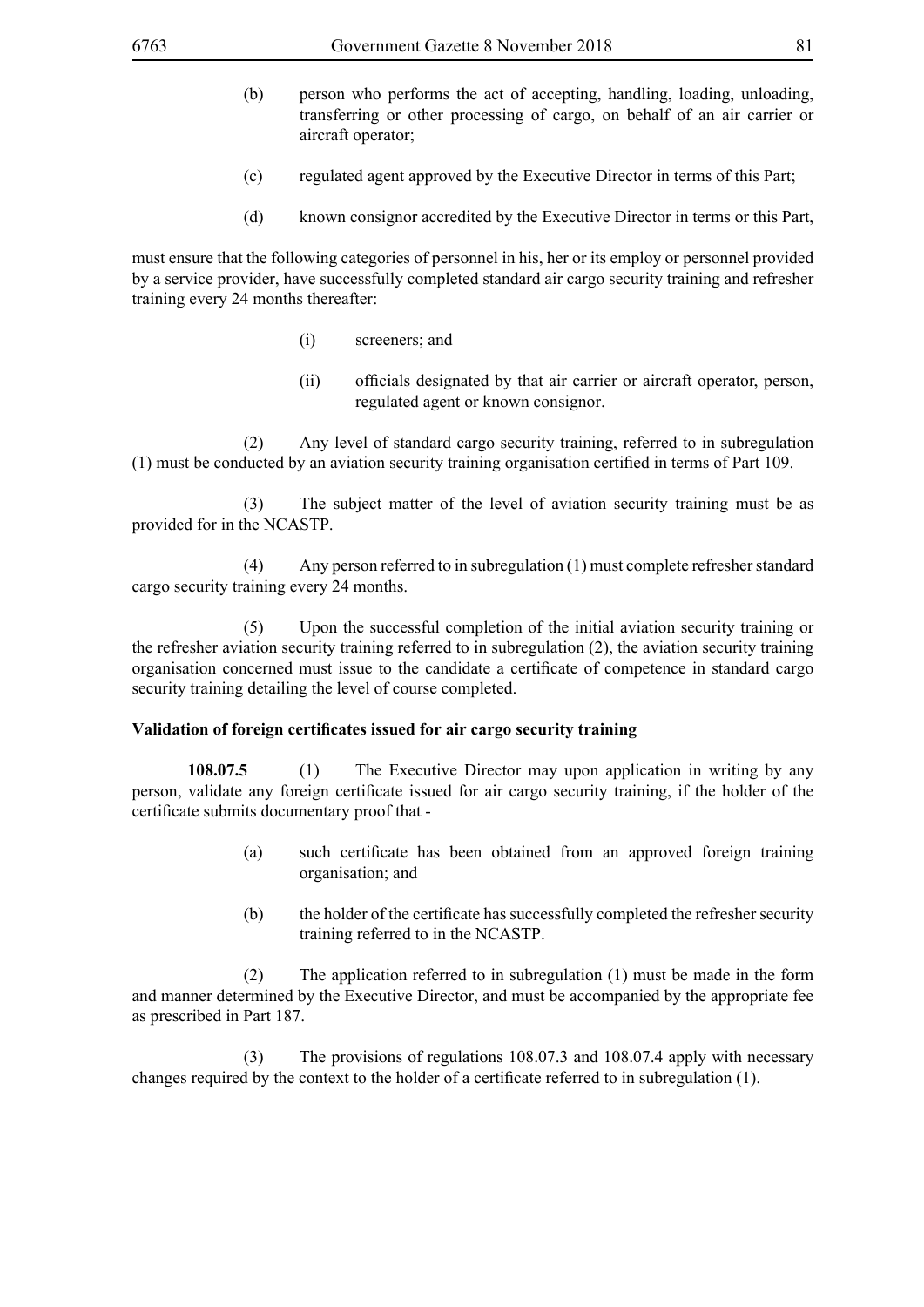- (b) person who performs the act of accepting, handling, loading, unloading, transferring or other processing of cargo, on behalf of an air carrier or aircraft operator;
- (c) regulated agent approved by the Executive Director in terms of this Part;
- (d) known consignor accredited by the Executive Director in terms or this Part,

must ensure that the following categories of personnel in his, her or its employ or personnel provided by a service provider, have successfully completed standard air cargo security training and refresher training every 24 months thereafter:

- (i) screeners; and
- (ii) officials designated by that air carrier or aircraft operator, person, regulated agent or known consignor.

 (2) Any level of standard cargo security training, referred to in subregulation (1) must be conducted by an aviation security training organisation certified in terms of Part 109.

 (3) The subject matter of the level of aviation security training must be as provided for in the NCASTP.

 (4) Any person referred to in subregulation (1) must complete refresher standard cargo security training every 24 months.

 (5) Upon the successful completion of the initial aviation security training or the refresher aviation security training referred to in subregulation (2), the aviation security training organisation concerned must issue to the candidate a certificate of competence in standard cargo security training detailing the level of course completed.

#### **Validation of foreign certificates issued for air cargo security training**

**108.07.5** (1) The Executive Director may upon application in writing by any person, validate any foreign certificate issued for air cargo security training, if the holder of the certificate submits documentary proof that -

- (a) such certificate has been obtained from an approved foreign training organisation; and
- (b) the holder of the certificate has successfully completed the refresher security training referred to in the NCASTP.

 (2) The application referred to in subregulation (1) must be made in the form and manner determined by the Executive Director, and must be accompanied by the appropriate fee as prescribed in Part 187.

 (3) The provisions of regulations 108.07.3 and 108.07.4 apply with necessary changes required by the context to the holder of a certificate referred to in subregulation (1).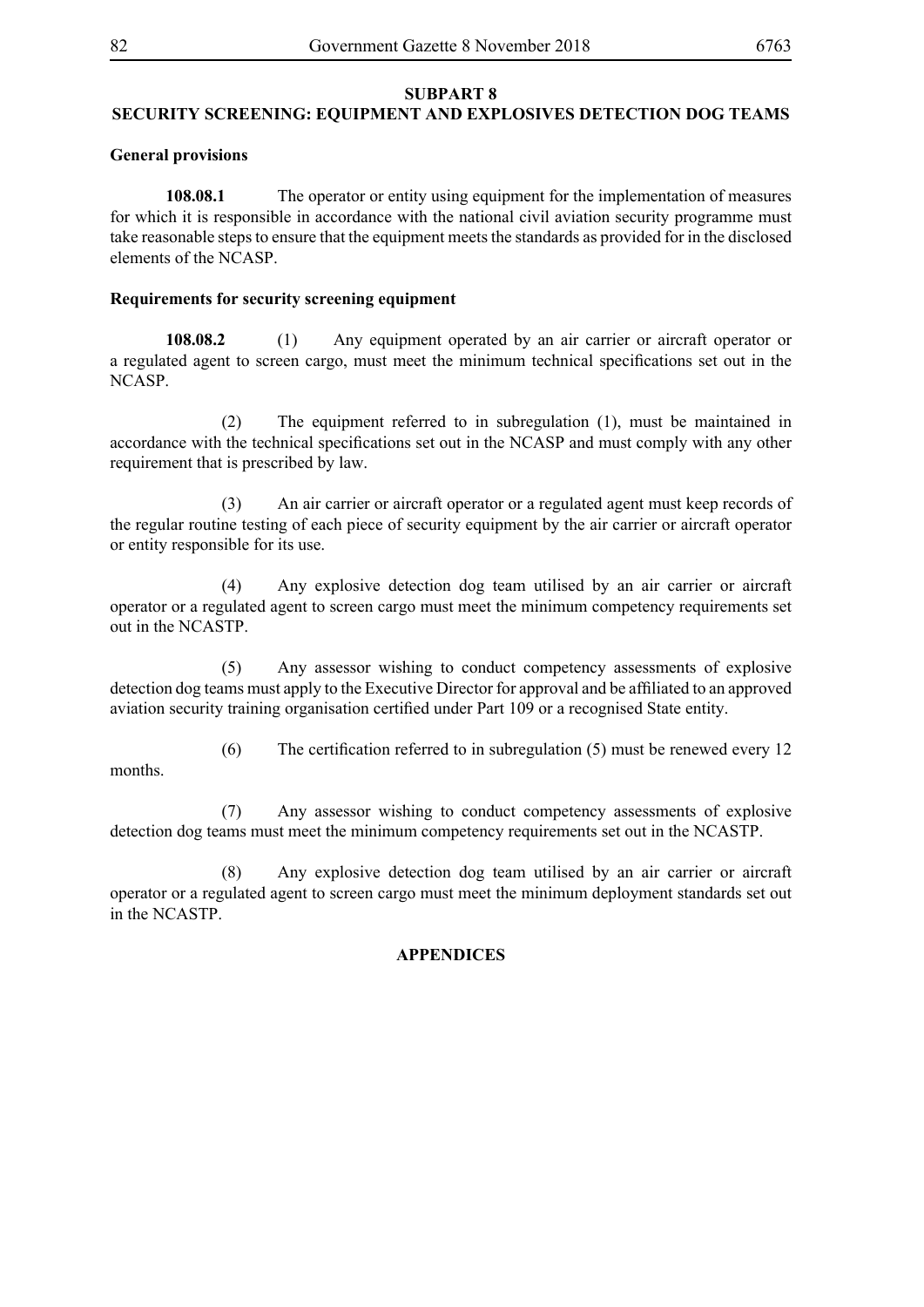#### **SUBPART 8**

## **SECURITY SCREENING: EQUIPMENT AND EXPLOSIVES DETECTION DOG TEAMS**

#### **General provisions**

**108.08.1** The operator or entity using equipment for the implementation of measures for which it is responsible in accordance with the national civil aviation security programme must take reasonable steps to ensure that the equipment meets the standards as provided for in the disclosed elements of the NCASP.

#### **Requirements for security screening equipment**

**108.08.2** (1) Any equipment operated by an air carrier or aircraft operator or a regulated agent to screen cargo, must meet the minimum technical specifications set out in the NCASP.

 (2) The equipment referred to in subregulation (1), must be maintained in accordance with the technical specifications set out in the NCASP and must comply with any other requirement that is prescribed by law.

 (3) An air carrier or aircraft operator or a regulated agent must keep records of the regular routine testing of each piece of security equipment by the air carrier or aircraft operator or entity responsible for its use.

 (4) Any explosive detection dog team utilised by an air carrier or aircraft operator or a regulated agent to screen cargo must meet the minimum competency requirements set out in the NCASTP.

 (5) Any assessor wishing to conduct competency assessments of explosive detection dog teams must apply to the Executive Director for approval and be affiliated to an approved aviation security training organisation certified under Part 109 or a recognised State entity.

(6) The certification referred to in subregulation (5) must be renewed every 12

 (7) Any assessor wishing to conduct competency assessments of explosive detection dog teams must meet the minimum competency requirements set out in the NCASTP.

 (8) Any explosive detection dog team utilised by an air carrier or aircraft operator or a regulated agent to screen cargo must meet the minimum deployment standards set out in the NCASTP.

#### **APPENDICES**

months.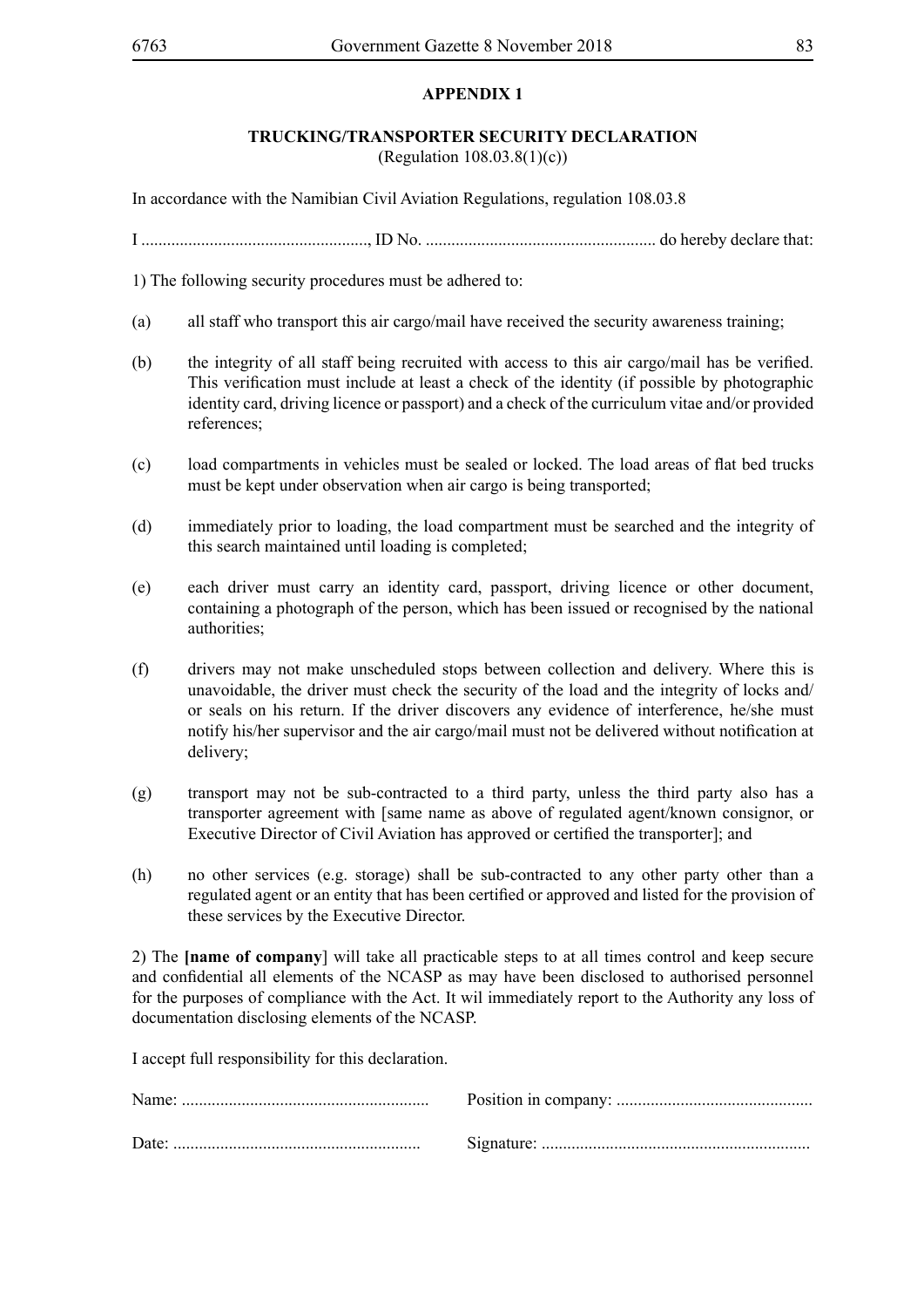# **APPENDIX 1**

# **TRUCKING/TRANSPORTER SECURITY DECLARATION**

(Regulation 108.03.8(1)(c))

In accordance with the Namibian Civil Aviation Regulations, regulation 108.03.8

I ....................................................., ID No. ...................................................... do hereby declare that:

1) The following security procedures must be adhered to:

- (a) all staff who transport this air cargo/mail have received the security awareness training;
- (b) the integrity of all staff being recruited with access to this air cargo/mail has be verified. This verification must include at least a check of the identity (if possible by photographic identity card, driving licence or passport) and a check of the curriculum vitae and/or provided references;
- (c) load compartments in vehicles must be sealed or locked. The load areas of flat bed trucks must be kept under observation when air cargo is being transported;
- (d) immediately prior to loading, the load compartment must be searched and the integrity of this search maintained until loading is completed;
- (e) each driver must carry an identity card, passport, driving licence or other document, containing a photograph of the person, which has been issued or recognised by the national authorities;
- (f) drivers may not make unscheduled stops between collection and delivery. Where this is unavoidable, the driver must check the security of the load and the integrity of locks and/ or seals on his return. If the driver discovers any evidence of interference, he/she must notify his/her supervisor and the air cargo/mail must not be delivered without notification at delivery;
- (g) transport may not be sub-contracted to a third party, unless the third party also has a transporter agreement with [same name as above of regulated agent/known consignor, or Executive Director of Civil Aviation has approved or certified the transporter]; and
- (h) no other services (e.g. storage) shall be sub-contracted to any other party other than a regulated agent or an entity that has been certified or approved and listed for the provision of these services by the Executive Director.

2) The **[name of company**] will take all practicable steps to at all times control and keep secure and confidential all elements of the NCASP as may have been disclosed to authorised personnel for the purposes of compliance with the Act. It wil immediately report to the Authority any loss of documentation disclosing elements of the NCASP.

I accept full responsibility for this declaration.

| Date: |  |
|-------|--|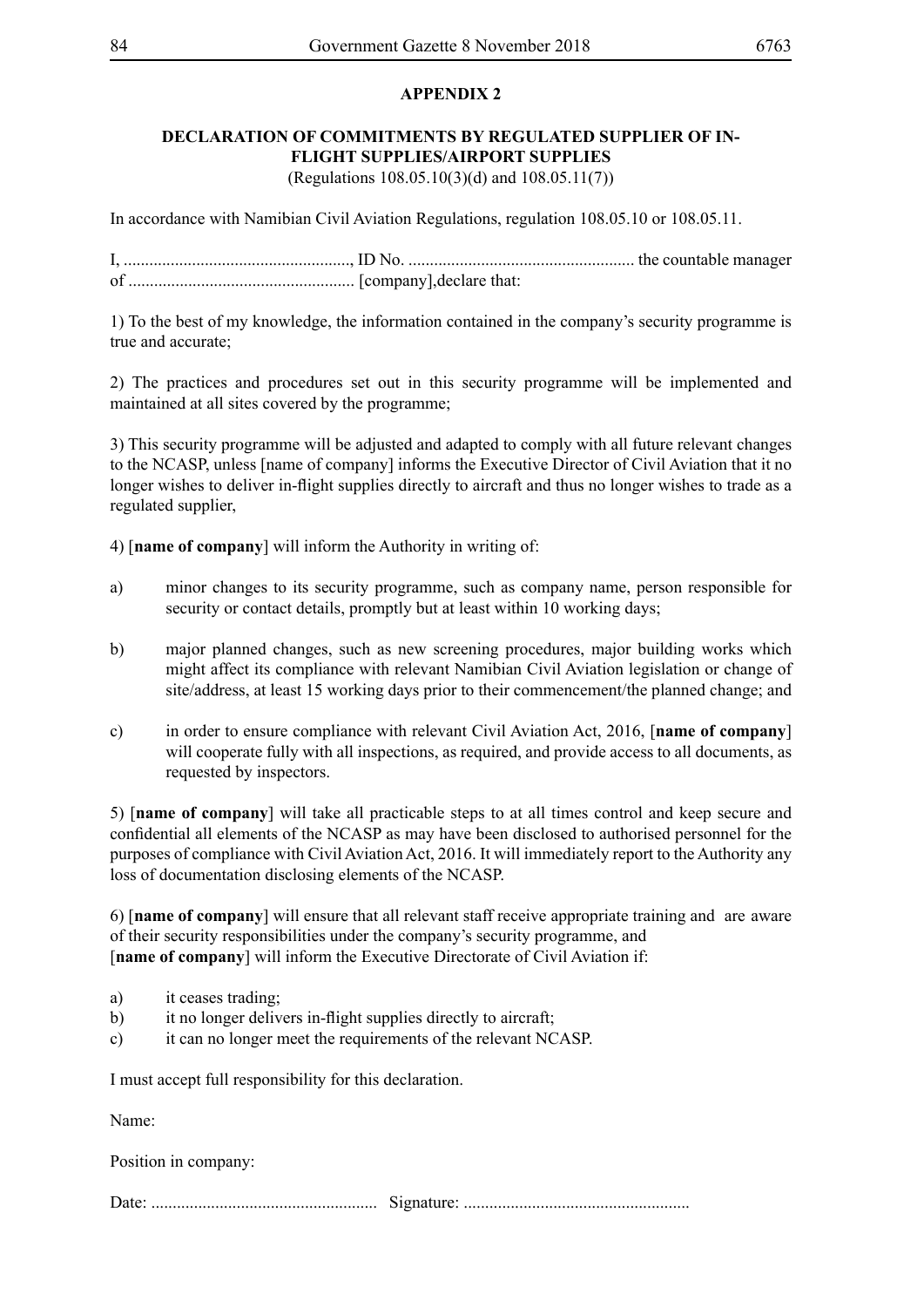# **APPENDIX 2**

# **DECLARATION OF COMMITMENTS BY REGULATED SUPPLIER OF IN-FLIGHT SUPPLIES/AIRPORT SUPPLIES** (Regulations 108.05.10(3)(d) and 108.05.11(7))

In accordance with Namibian Civil Aviation Regulations, regulation 108.05.10 or 108.05.11.

I, ....................................................., ID No. ..................................................... the countable manager of ..................................................... [company],declare that:

1) To the best of my knowledge, the information contained in the company's security programme is true and accurate;

2) The practices and procedures set out in this security programme will be implemented and maintained at all sites covered by the programme;

3) This security programme will be adjusted and adapted to comply with all future relevant changes to the NCASP, unless [name of company] informs the Executive Director of Civil Aviation that it no longer wishes to deliver in-flight supplies directly to aircraft and thus no longer wishes to trade as a regulated supplier,

4) [**name of company**] will inform the Authority in writing of:

- a) minor changes to its security programme, such as company name, person responsible for security or contact details, promptly but at least within 10 working days;
- b) major planned changes, such as new screening procedures, major building works which might affect its compliance with relevant Namibian Civil Aviation legislation or change of site/address, at least 15 working days prior to their commencement/the planned change; and
- c) in order to ensure compliance with relevant Civil Aviation Act, 2016, [**name of company**] will cooperate fully with all inspections, as required, and provide access to all documents, as requested by inspectors.

5) [**name of company**] will take all practicable steps to at all times control and keep secure and confidential all elements of the NCASP as may have been disclosed to authorised personnel for the purposes of compliance with Civil Aviation Act, 2016. It will immediately report to the Authority any loss of documentation disclosing elements of the NCASP.

6) [**name of company**] will ensure that all relevant staff receive appropriate training and are aware of their security responsibilities under the company's security programme, and [**name of company**] will inform the Executive Directorate of Civil Aviation if:

- a) it ceases trading;
- b) it no longer delivers in-flight supplies directly to aircraft;
- c) it can no longer meet the requirements of the relevant NCASP.

I must accept full responsibility for this declaration.

Name:

Position in company:

Date: ..................................................... Signature: .....................................................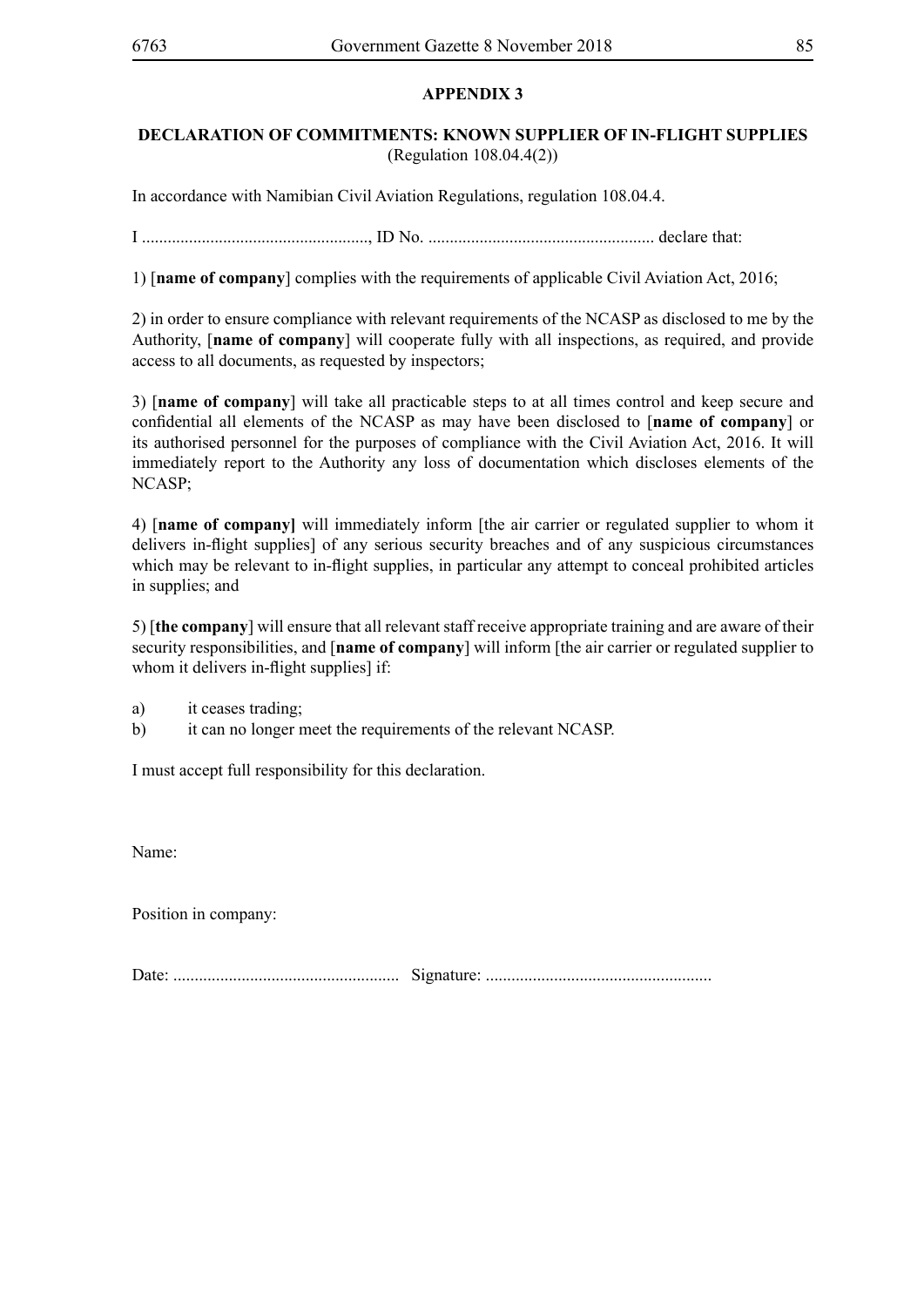# **APPENDIX 3**

# **DECLARATION OF COMMITMENTS: KNOWN SUPPLIER OF IN-FLIGHT SUPPLIES** (Regulation 108.04.4(2))

In accordance with Namibian Civil Aviation Regulations, regulation 108.04.4.

I ....................................................., ID No. ..................................................... declare that:

1) [**name of company**] complies with the requirements of applicable Civil Aviation Act, 2016;

2) in order to ensure compliance with relevant requirements of the NCASP as disclosed to me by the Authority, [**name of company**] will cooperate fully with all inspections, as required, and provide access to all documents, as requested by inspectors;

3) [**name of company**] will take all practicable steps to at all times control and keep secure and confidential all elements of the NCASP as may have been disclosed to [**name of company**] or its authorised personnel for the purposes of compliance with the Civil Aviation Act, 2016. It will immediately report to the Authority any loss of documentation which discloses elements of the NCASP;

4) [**name of company]** will immediately inform [the air carrier or regulated supplier to whom it delivers in-flight supplies] of any serious security breaches and of any suspicious circumstances which may be relevant to in-flight supplies, in particular any attempt to conceal prohibited articles in supplies; and

5) [**the company**] will ensure that all relevant staff receive appropriate training and are aware of their security responsibilities, and [**name of company**] will inform [the air carrier or regulated supplier to whom it delivers in-flight supplies] if:

a) it ceases trading;

b) it can no longer meet the requirements of the relevant NCASP.

I must accept full responsibility for this declaration.

Name:

Position in company:

Date: ..................................................... Signature: .....................................................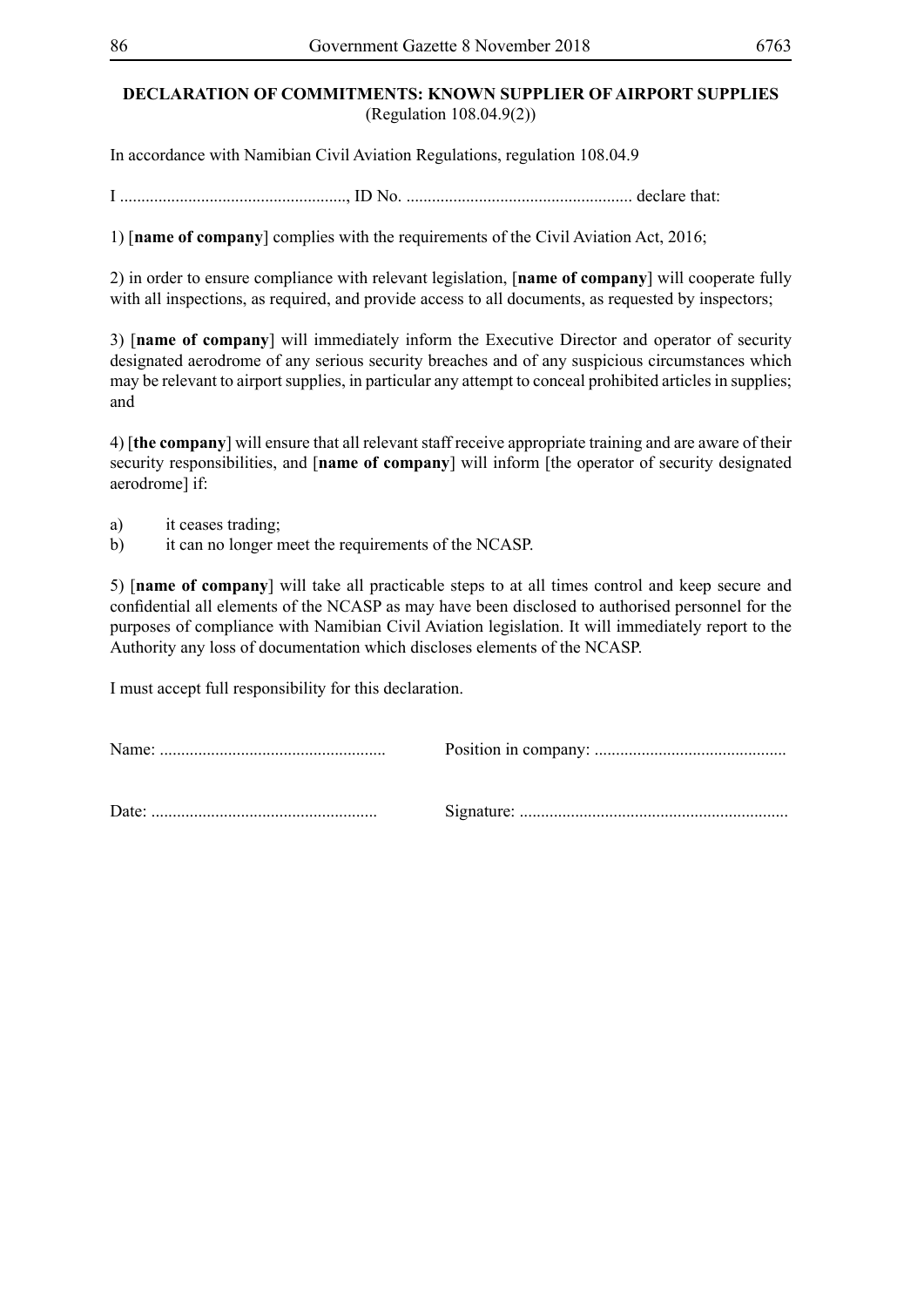# **DECLARATION OF COMMITMENTS: KNOWN SUPPLIER OF AIRPORT SUPPLIES** (Regulation 108.04.9(2))

In accordance with Namibian Civil Aviation Regulations, regulation 108.04.9

I ....................................................., ID No. ..................................................... declare that:

1) [**name of company**] complies with the requirements of the Civil Aviation Act, 2016;

2) in order to ensure compliance with relevant legislation, [**name of company**] will cooperate fully with all inspections, as required, and provide access to all documents, as requested by inspectors;

3) [**name of company**] will immediately inform the Executive Director and operator of security designated aerodrome of any serious security breaches and of any suspicious circumstances which may be relevant to airport supplies, in particular any attempt to conceal prohibited articles in supplies; and

4) [**the company**] will ensure that all relevant staff receive appropriate training and are aware of their security responsibilities, and [**name of company**] will inform [the operator of security designated aerodrome] if:

- a) it ceases trading;
- b) it can no longer meet the requirements of the NCASP.

5) [**name of company**] will take all practicable steps to at all times control and keep secure and confidential all elements of the NCASP as may have been disclosed to authorised personnel for the purposes of compliance with Namibian Civil Aviation legislation. It will immediately report to the Authority any loss of documentation which discloses elements of the NCASP.

I must accept full responsibility for this declaration.

Name: ..................................................... Position in company: ............................................. Date: ..................................................... Signature: ...............................................................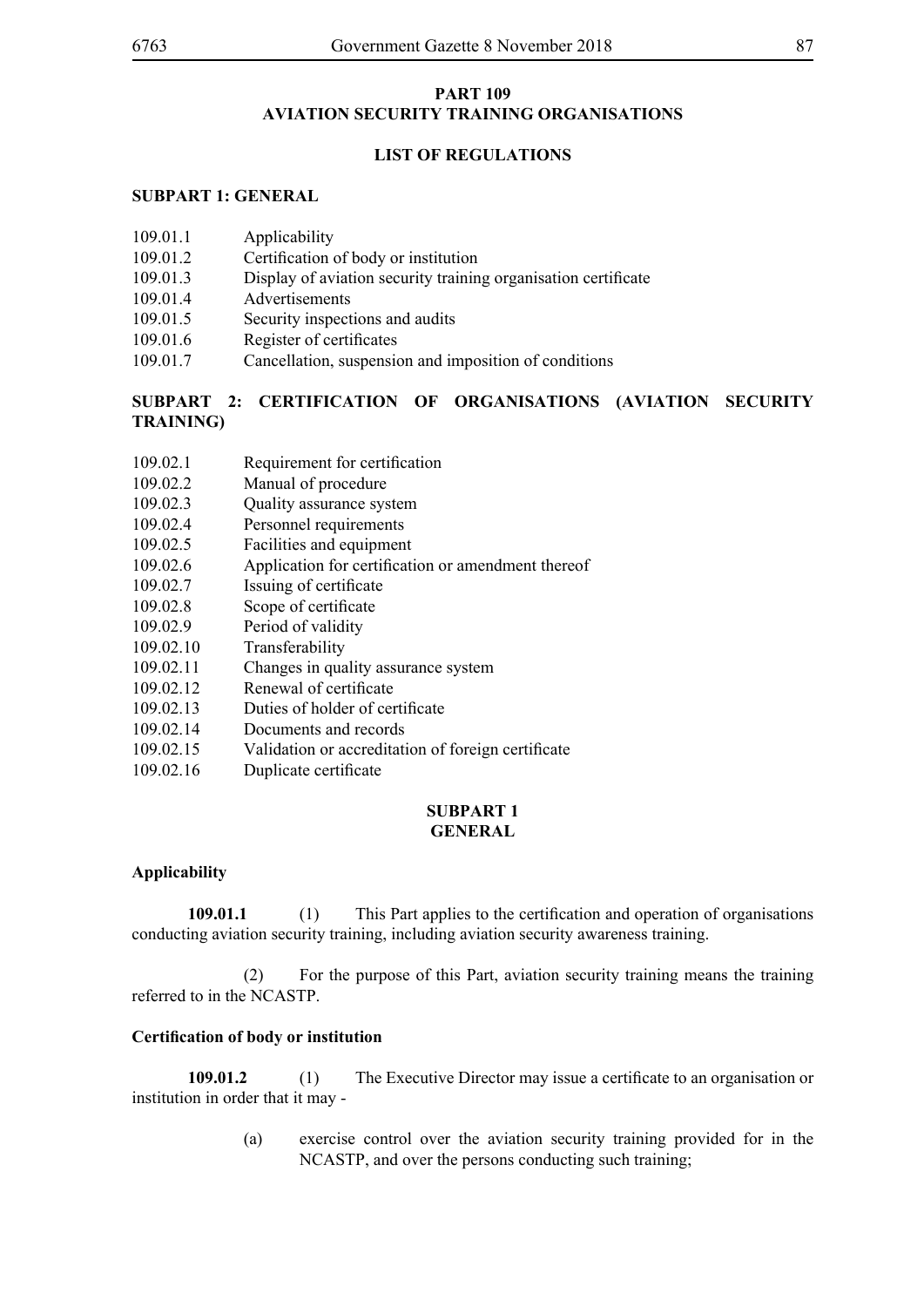# **PART 109 AVIATION SECURITY TRAINING ORGANISATIONS**

# **LIST OF REGULATIONS**

### **SUBPART 1: GENERAL**

| 109.01.1 | Applicability |
|----------|---------------|
|          |               |

- 109.01.2 Certification of body or institution
- 109.01.3 Display of aviation security training organisation certificate
- 109.01.4 Advertisements
- 109.01.5 Security inspections and audits
- 109.01.6 Register of certificates
- 109.01.7 Cancellation, suspension and imposition of conditions

# **SUBPART 2: CERTIFICATION OF ORGANISATIONS (AVIATION SECURITY TRAINING)**

- 109.02.1 Requirement for certification
- 109.02.2 Manual of procedure
- 109.02.3 Quality assurance system
- 109.02.4 Personnel requirements
- 109.02.5 Facilities and equipment
- 109.02.6 Application for certification or amendment thereof
- 109.02.7 Issuing of certificate
- 109.02.8 Scope of certificate
- 109.02.9 Period of validity
- 109.02.10 Transferability
- 109.02.11 Changes in quality assurance system
- 109.02.12 Renewal of certificate
- 109.02.13 Duties of holder of certificate
- 109.02.14 Documents and records
- 109.02.15 Validation or accreditation of foreign certificate
- 109.02.16 Duplicate certificate

#### **SUBPART 1 GENERAL**

#### **Applicability**

**109.01.1** (1) This Part applies to the certification and operation of organisations conducting aviation security training, including aviation security awareness training.

 (2) For the purpose of this Part, aviation security training means the training referred to in the NCASTP.

#### **Certification of body or institution**

**109.01.2** (1) The Executive Director may issue a certificate to an organisation or institution in order that it may -

> (a) exercise control over the aviation security training provided for in the NCASTP, and over the persons conducting such training;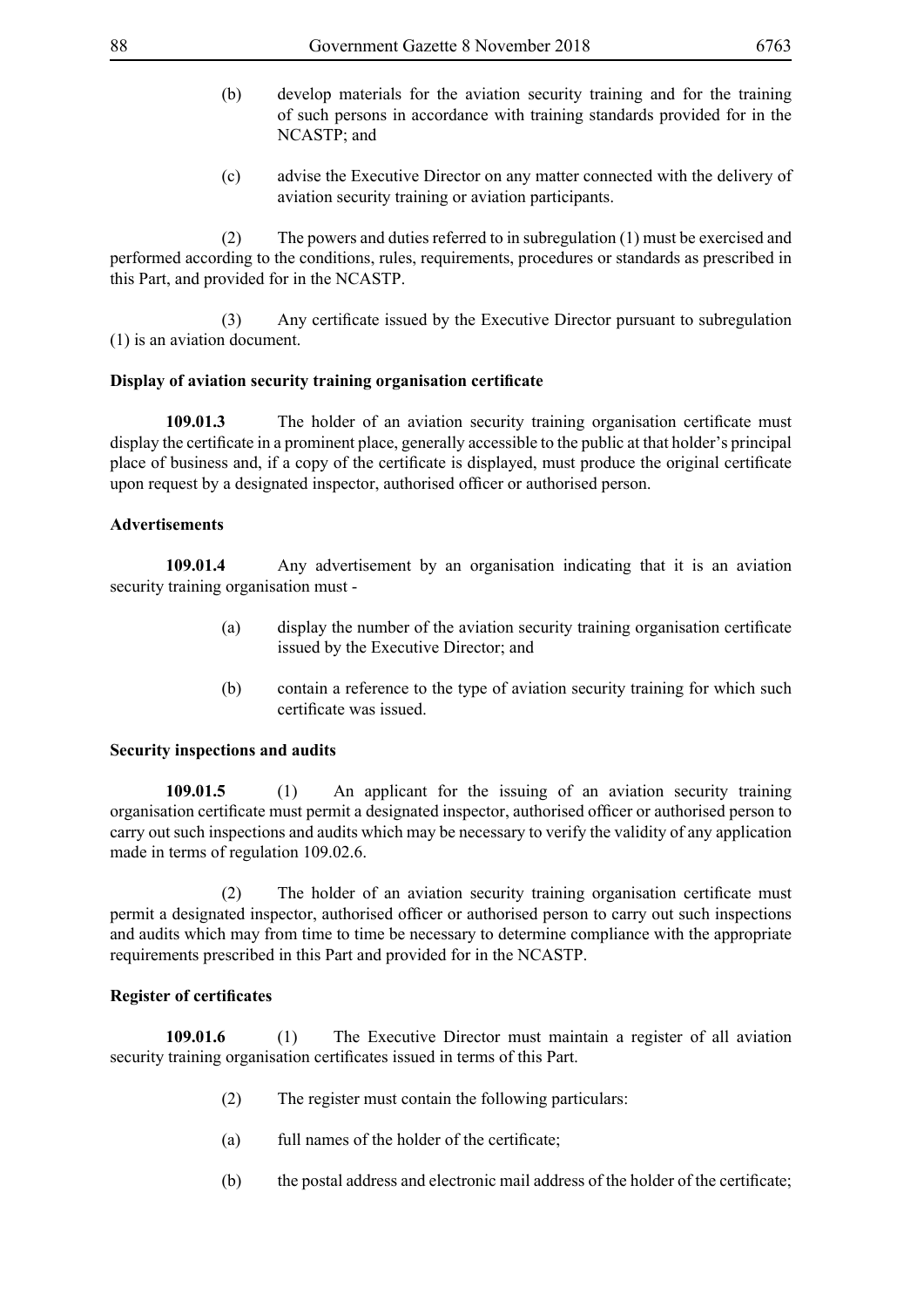- (b) develop materials for the aviation security training and for the training of such persons in accordance with training standards provided for in the NCASTP; and
- (c) advise the Executive Director on any matter connected with the delivery of aviation security training or aviation participants.

 (2) The powers and duties referred to in subregulation (1) must be exercised and performed according to the conditions, rules, requirements, procedures or standards as prescribed in this Part, and provided for in the NCASTP.

(3) Any certificate issued by the Executive Director pursuant to subregulation (1) is an aviation document.

# **Display of aviation security training organisation certificate**

**109.01.3** The holder of an aviation security training organisation certificate must display the certificate in a prominent place, generally accessible to the public at that holder's principal place of business and, if a copy of the certificate is displayed, must produce the original certificate upon request by a designated inspector, authorised officer or authorised person.

# **Advertisements**

**109.01.4** Any advertisement by an organisation indicating that it is an aviation security training organisation must -

- (a) display the number of the aviation security training organisation certificate issued by the Executive Director; and
- (b) contain a reference to the type of aviation security training for which such certificate was issued.

# **Security inspections and audits**

**109.01.5** (1) An applicant for the issuing of an aviation security training organisation certificate must permit a designated inspector, authorised officer or authorised person to carry out such inspections and audits which may be necessary to verify the validity of any application made in terms of regulation 109.02.6.

(2) The holder of an aviation security training organisation certificate must permit a designated inspector, authorised officer or authorised person to carry out such inspections and audits which may from time to time be necessary to determine compliance with the appropriate requirements prescribed in this Part and provided for in the NCASTP.

#### **Register of certificates**

**109.01.6** (1) The Executive Director must maintain a register of all aviation security training organisation certificates issued in terms of this Part.

- (2) The register must contain the following particulars:
- (a) full names of the holder of the certificate;
- (b) the postal address and electronic mail address of the holder of the certificate;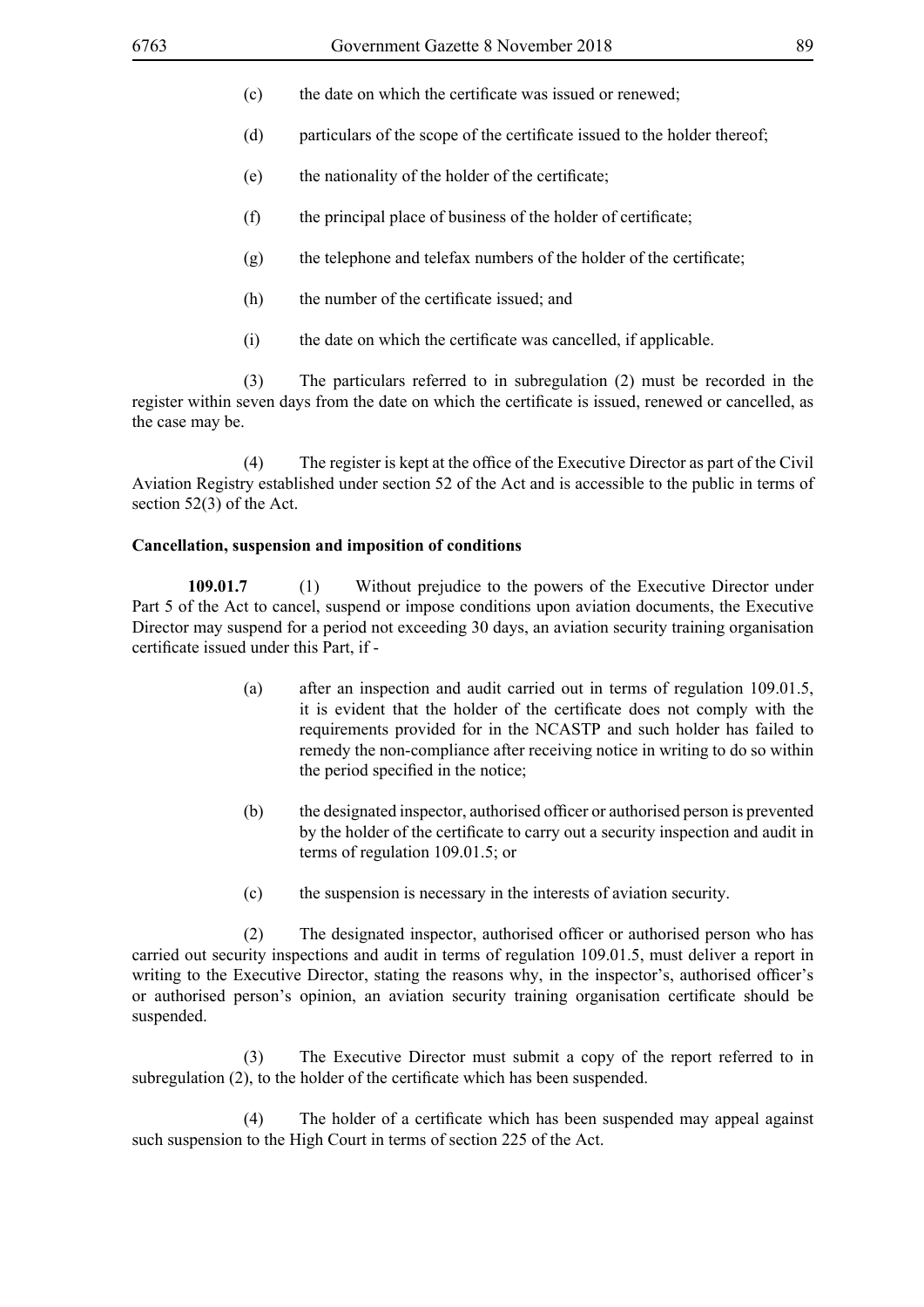- (c) the date on which the certificate was issued or renewed;
- (d) particulars of the scope of the certificate issued to the holder thereof;
- (e) the nationality of the holder of the certificate;
- (f) the principal place of business of the holder of certificate;
- (g) the telephone and telefax numbers of the holder of the certificate;
- (h) the number of the certificate issued; and
- (i) the date on which the certificate was cancelled, if applicable.

 (3) The particulars referred to in subregulation (2) must be recorded in the register within seven days from the date on which the certificate is issued, renewed or cancelled, as the case may be.

(4) The register is kept at the office of the Executive Director as part of the Civil Aviation Registry established under section 52 of the Act and is accessible to the public in terms of section 52(3) of the Act.

#### **Cancellation, suspension and imposition of conditions**

**109.01.7** (1) Without prejudice to the powers of the Executive Director under Part 5 of the Act to cancel, suspend or impose conditions upon aviation documents, the Executive Director may suspend for a period not exceeding 30 days, an aviation security training organisation certificate issued under this Part, if -

- (a) after an inspection and audit carried out in terms of regulation 109.01.5, it is evident that the holder of the certificate does not comply with the requirements provided for in the NCASTP and such holder has failed to remedy the non-compliance after receiving notice in writing to do so within the period specified in the notice;
- (b) the designated inspector, authorised officer or authorised person is prevented by the holder of the certificate to carry out a security inspection and audit in terms of regulation 109.01.5; or
- (c) the suspension is necessary in the interests of aviation security.

(2) The designated inspector, authorised officer or authorised person who has carried out security inspections and audit in terms of regulation 109.01.5, must deliver a report in writing to the Executive Director, stating the reasons why, in the inspector's, authorised officer's or authorised person's opinion, an aviation security training organisation certificate should be suspended.

 (3) The Executive Director must submit a copy of the report referred to in subregulation (2), to the holder of the certificate which has been suspended.

(4) The holder of a certificate which has been suspended may appeal against such suspension to the High Court in terms of section 225 of the Act.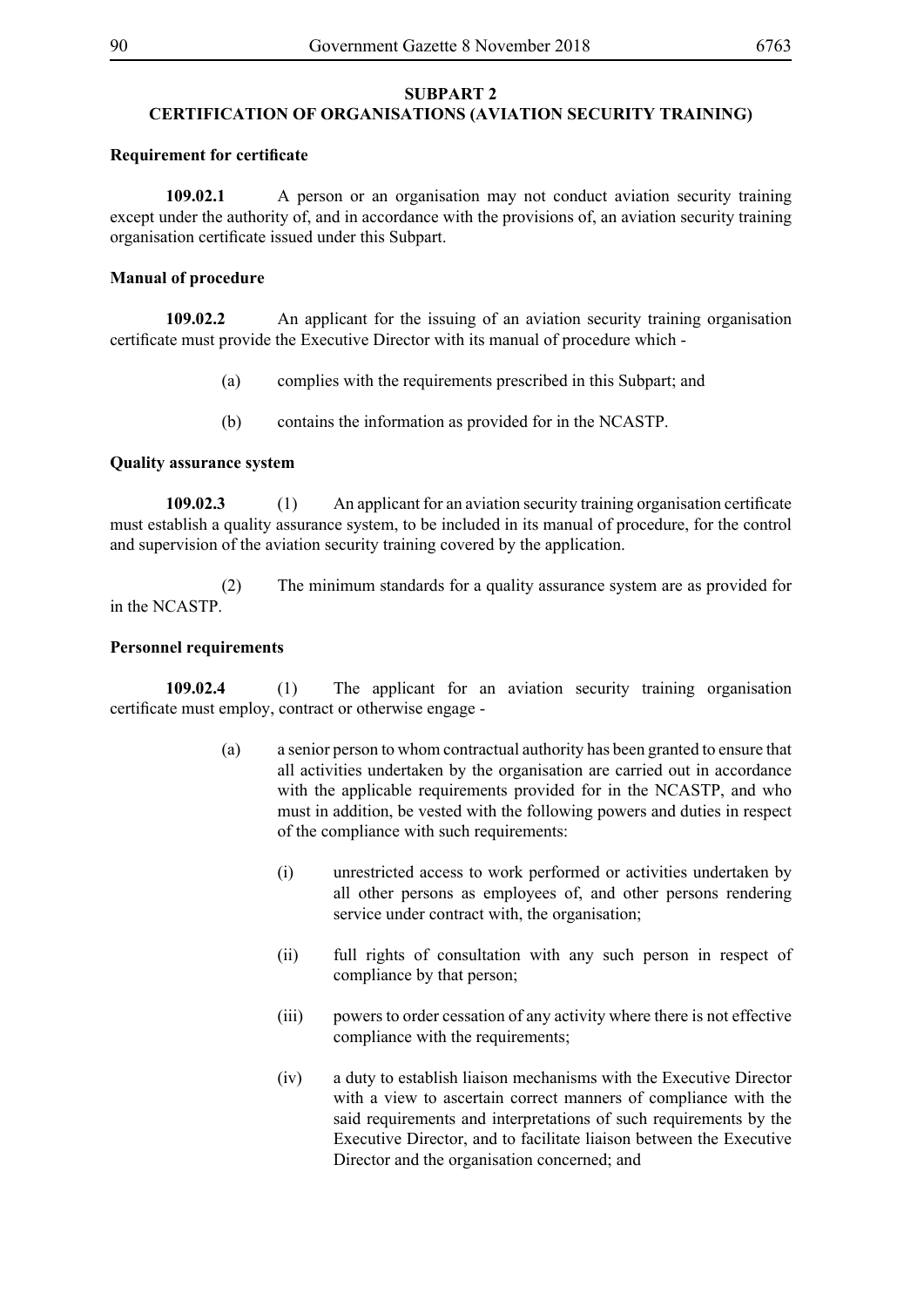#### **SUBPART 2 CERTIFICATION OF ORGANISATIONS (AVIATION SECURITY TRAINING)**

#### **Requirement for certificate**

**109.02.1** A person or an organisation may not conduct aviation security training except under the authority of, and in accordance with the provisions of, an aviation security training organisation certificate issued under this Subpart.

#### **Manual of procedure**

**109.02.2** An applicant for the issuing of an aviation security training organisation certificate must provide the Executive Director with its manual of procedure which -

- (a) complies with the requirements prescribed in this Subpart; and
- (b) contains the information as provided for in the NCASTP.

#### **Quality assurance system**

**109.02.3** (1) An applicant for an aviation security training organisation certificate must establish a quality assurance system, to be included in its manual of procedure, for the control and supervision of the aviation security training covered by the application.

 (2) The minimum standards for a quality assurance system are as provided for in the NCASTP.

#### **Personnel requirements**

**109.02.4** (1) The applicant for an aviation security training organisation certificate must employ, contract or otherwise engage -

- (a) a senior person to whom contractual authority has been granted to ensure that all activities undertaken by the organisation are carried out in accordance with the applicable requirements provided for in the NCASTP, and who must in addition, be vested with the following powers and duties in respect of the compliance with such requirements:
	- (i) unrestricted access to work performed or activities undertaken by all other persons as employees of, and other persons rendering service under contract with, the organisation;
	- (ii) full rights of consultation with any such person in respect of compliance by that person;
	- (iii) powers to order cessation of any activity where there is not effective compliance with the requirements;
	- (iv) a duty to establish liaison mechanisms with the Executive Director with a view to ascertain correct manners of compliance with the said requirements and interpretations of such requirements by the Executive Director, and to facilitate liaison between the Executive Director and the organisation concerned; and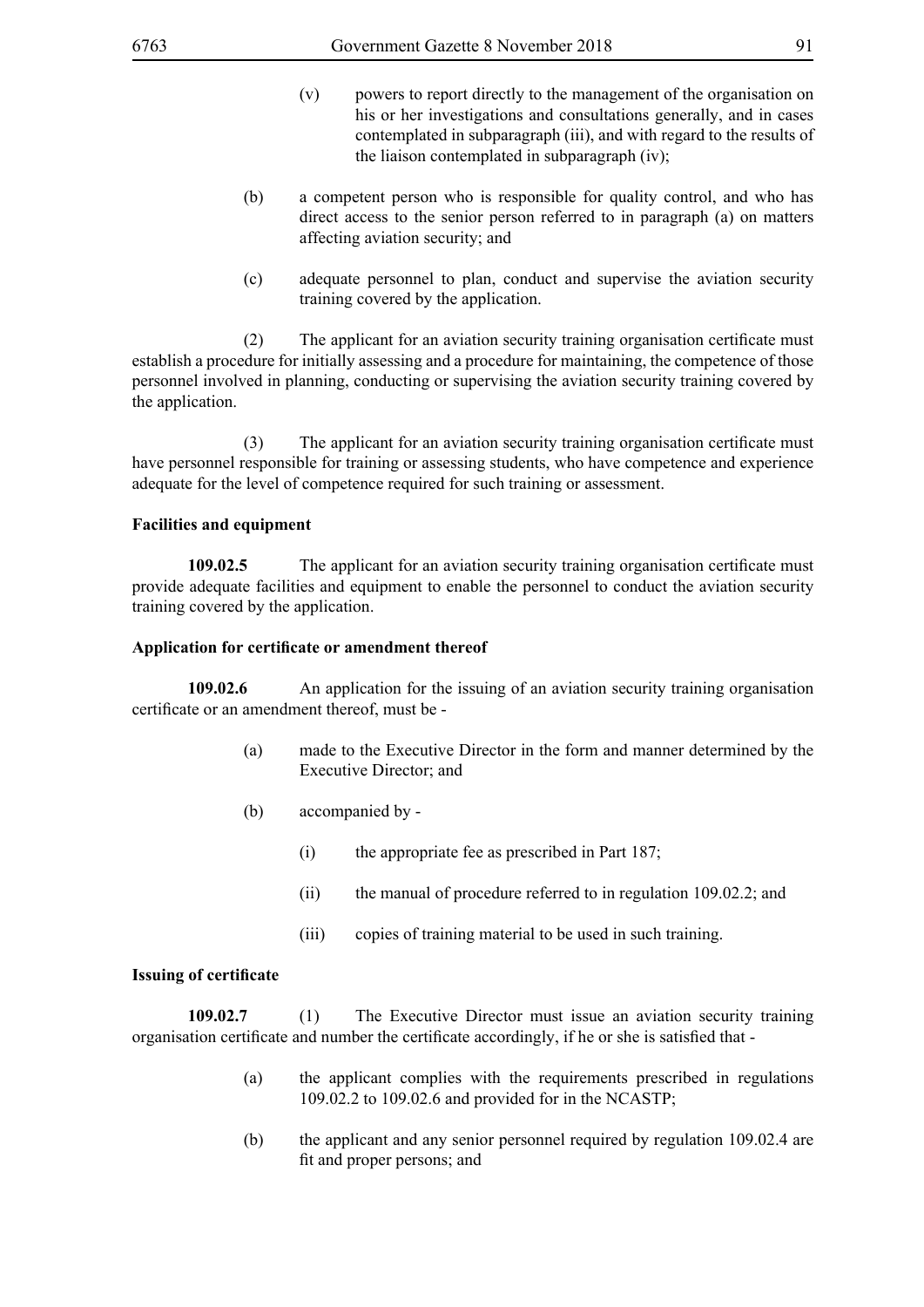- (v) powers to report directly to the management of the organisation on his or her investigations and consultations generally, and in cases contemplated in subparagraph (iii), and with regard to the results of the liaison contemplated in subparagraph (iv);
- (b) a competent person who is responsible for quality control, and who has direct access to the senior person referred to in paragraph (a) on matters affecting aviation security; and
- (c) adequate personnel to plan, conduct and supervise the aviation security training covered by the application.

(2) The applicant for an aviation security training organisation certificate must establish a procedure for initially assessing and a procedure for maintaining, the competence of those personnel involved in planning, conducting or supervising the aviation security training covered by the application.

(3) The applicant for an aviation security training organisation certificate must have personnel responsible for training or assessing students, who have competence and experience adequate for the level of competence required for such training or assessment.

#### **Facilities and equipment**

**109.02.5** The applicant for an aviation security training organisation certificate must provide adequate facilities and equipment to enable the personnel to conduct the aviation security training covered by the application.

#### **Application for certificate or amendment thereof**

**109.02.6** An application for the issuing of an aviation security training organisation certificate or an amendment thereof, must be -

- (a) made to the Executive Director in the form and manner determined by the Executive Director; and
- (b) accompanied by
	- (i) the appropriate fee as prescribed in Part 187;
	- (ii) the manual of procedure referred to in regulation 109.02.2; and
	- (iii) copies of training material to be used in such training.

#### **Issuing of certificate**

**109.02.7** (1) The Executive Director must issue an aviation security training organisation certificate and number the certificate accordingly, if he or she is satisfied that -

- (a) the applicant complies with the requirements prescribed in regulations 109.02.2 to 109.02.6 and provided for in the NCASTP;
- (b) the applicant and any senior personnel required by regulation 109.02.4 are fit and proper persons; and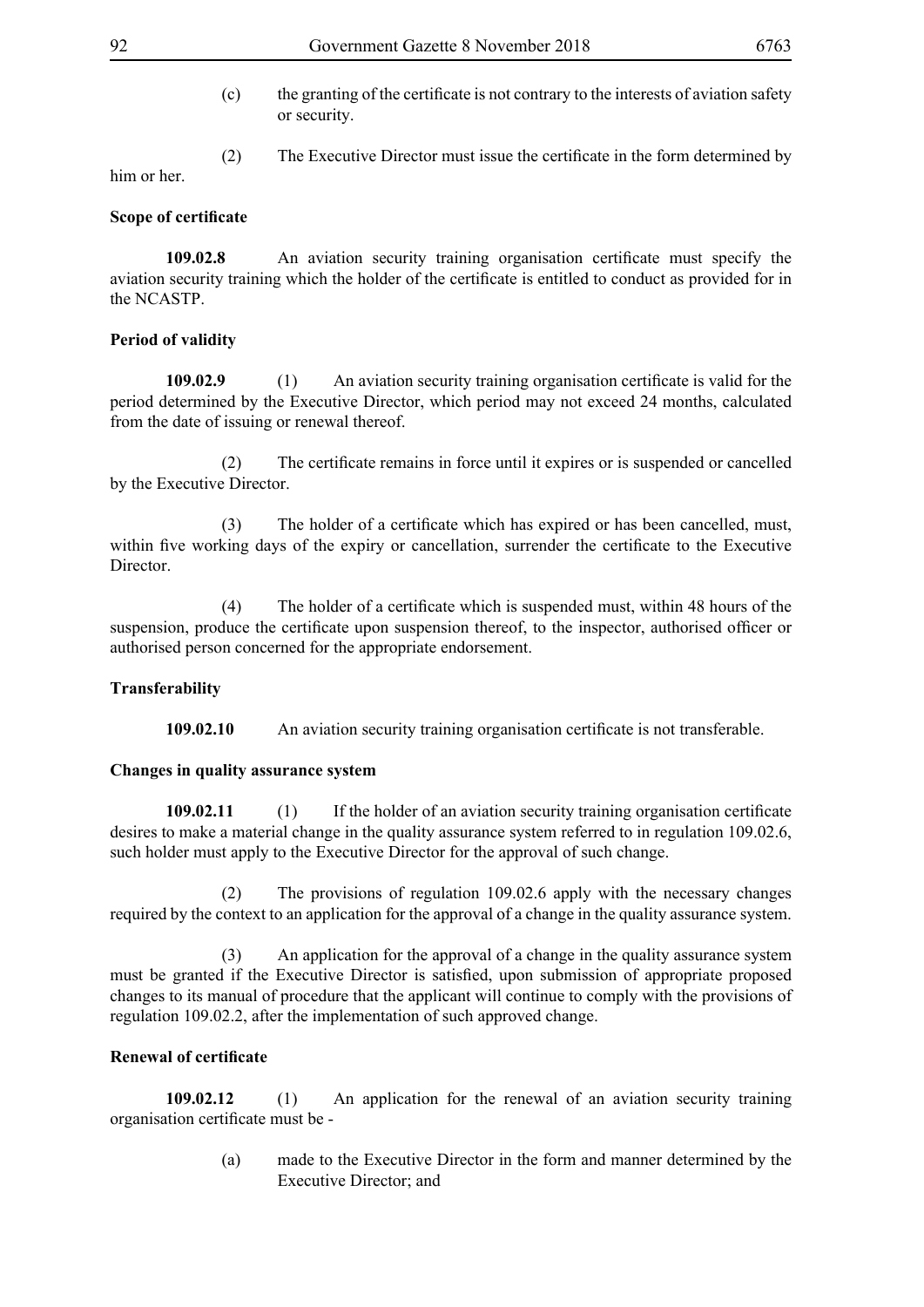- (c) the granting of the certificate is not contrary to the interests of aviation safety or security.
- (2) The Executive Director must issue the certificate in the form determined by

### **Scope of certificate**

him or her.

**109.02.8** An aviation security training organisation certificate must specify the aviation security training which the holder of the certificate is entitled to conduct as provided for in the NCASTP.

# **Period of validity**

**109.02.9** (1) An aviation security training organisation certificate is valid for the period determined by the Executive Director, which period may not exceed 24 months, calculated from the date of issuing or renewal thereof.

(2) The certificate remains in force until it expires or is suspended or cancelled by the Executive Director.

(3) The holder of a certificate which has expired or has been cancelled, must, within five working days of the expiry or cancellation, surrender the certificate to the Executive Director.

(4) The holder of a certificate which is suspended must, within 48 hours of the suspension, produce the certificate upon suspension thereof, to the inspector, authorised officer or authorised person concerned for the appropriate endorsement.

#### **Transferability**

**109.02.10** An aviation security training organisation certificate is not transferable.

#### **Changes in quality assurance system**

**109.02.11** (1) If the holder of an aviation security training organisation certificate desires to make a material change in the quality assurance system referred to in regulation 109.02.6, such holder must apply to the Executive Director for the approval of such change.

 (2) The provisions of regulation 109.02.6 apply with the necessary changes required by the context to an application for the approval of a change in the quality assurance system.

 (3) An application for the approval of a change in the quality assurance system must be granted if the Executive Director is satisfied, upon submission of appropriate proposed changes to its manual of procedure that the applicant will continue to comply with the provisions of regulation 109.02.2, after the implementation of such approved change.

# **Renewal of certificate**

**109.02.12** (1) An application for the renewal of an aviation security training organisation certificate must be -

> (a) made to the Executive Director in the form and manner determined by the Executive Director; and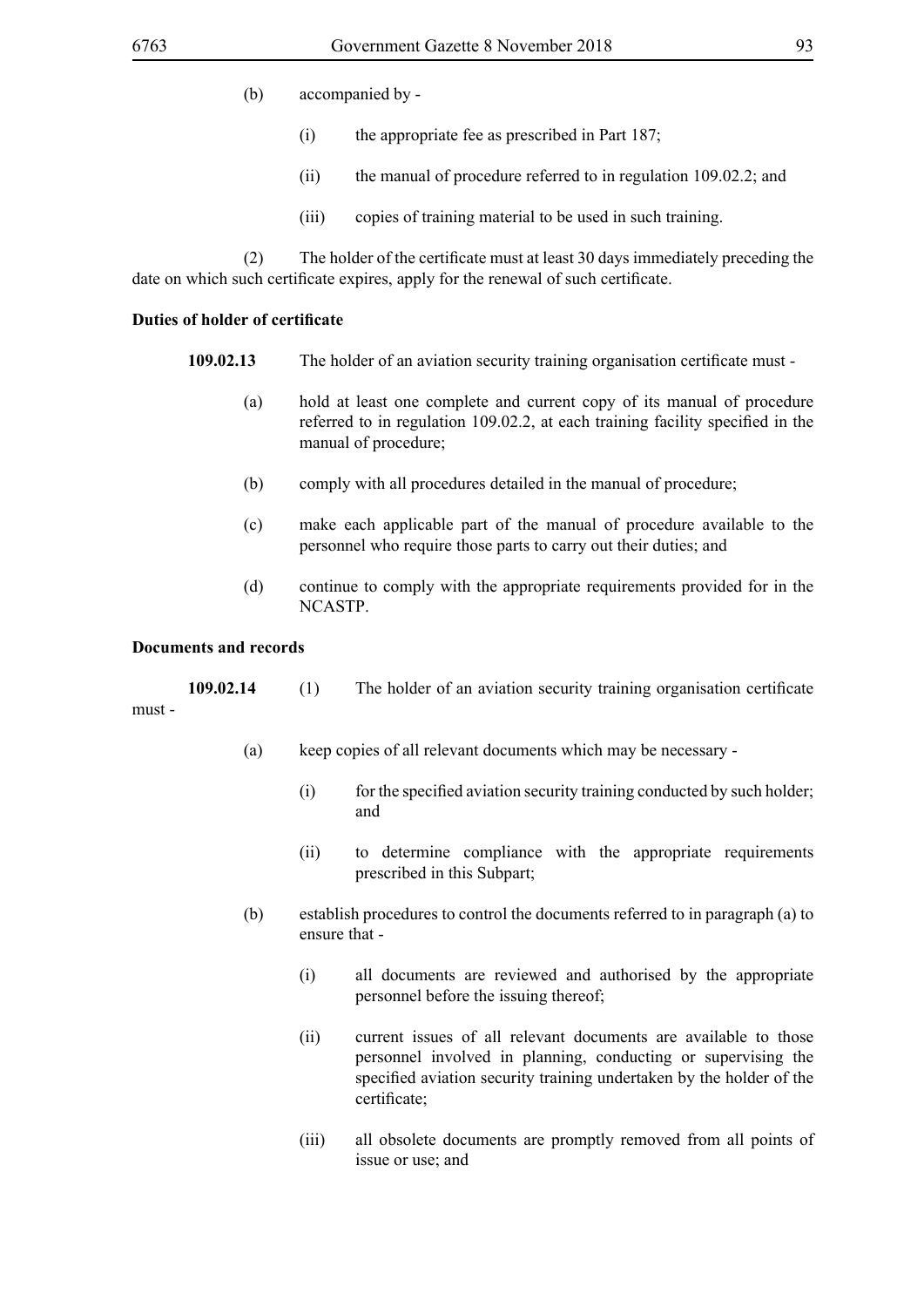- (b) accompanied by
	- (i) the appropriate fee as prescribed in Part 187;
	- (ii) the manual of procedure referred to in regulation 109.02.2; and
	- (iii) copies of training material to be used in such training.

(2) The holder of the certificate must at least 30 days immediately preceding the date on which such certificate expires, apply for the renewal of such certificate.

#### **Duties of holder of certificate**

- **109.02.13** The holder of an aviation security training organisation certificate must
	- (a) hold at least one complete and current copy of its manual of procedure referred to in regulation 109.02.2, at each training facility specified in the manual of procedure;
	- (b) comply with all procedures detailed in the manual of procedure;
	- (c) make each applicable part of the manual of procedure available to the personnel who require those parts to carry out their duties; and
	- (d) continue to comply with the appropriate requirements provided for in the NCASTP.

#### **Documents and records**

|        | 109.02.14 | The holder of an aviation security training organisation certificate |
|--------|-----------|----------------------------------------------------------------------|
| must - |           |                                                                      |

- (a) keep copies of all relevant documents which may be necessary
	- (i) for the specified aviation security training conducted by such holder; and
	- (ii) to determine compliance with the appropriate requirements prescribed in this Subpart;
- (b) establish procedures to control the documents referred to in paragraph (a) to ensure that -
	- (i) all documents are reviewed and authorised by the appropriate personnel before the issuing thereof;
	- (ii) current issues of all relevant documents are available to those personnel involved in planning, conducting or supervising the specified aviation security training undertaken by the holder of the certificate;
	- (iii) all obsolete documents are promptly removed from all points of issue or use; and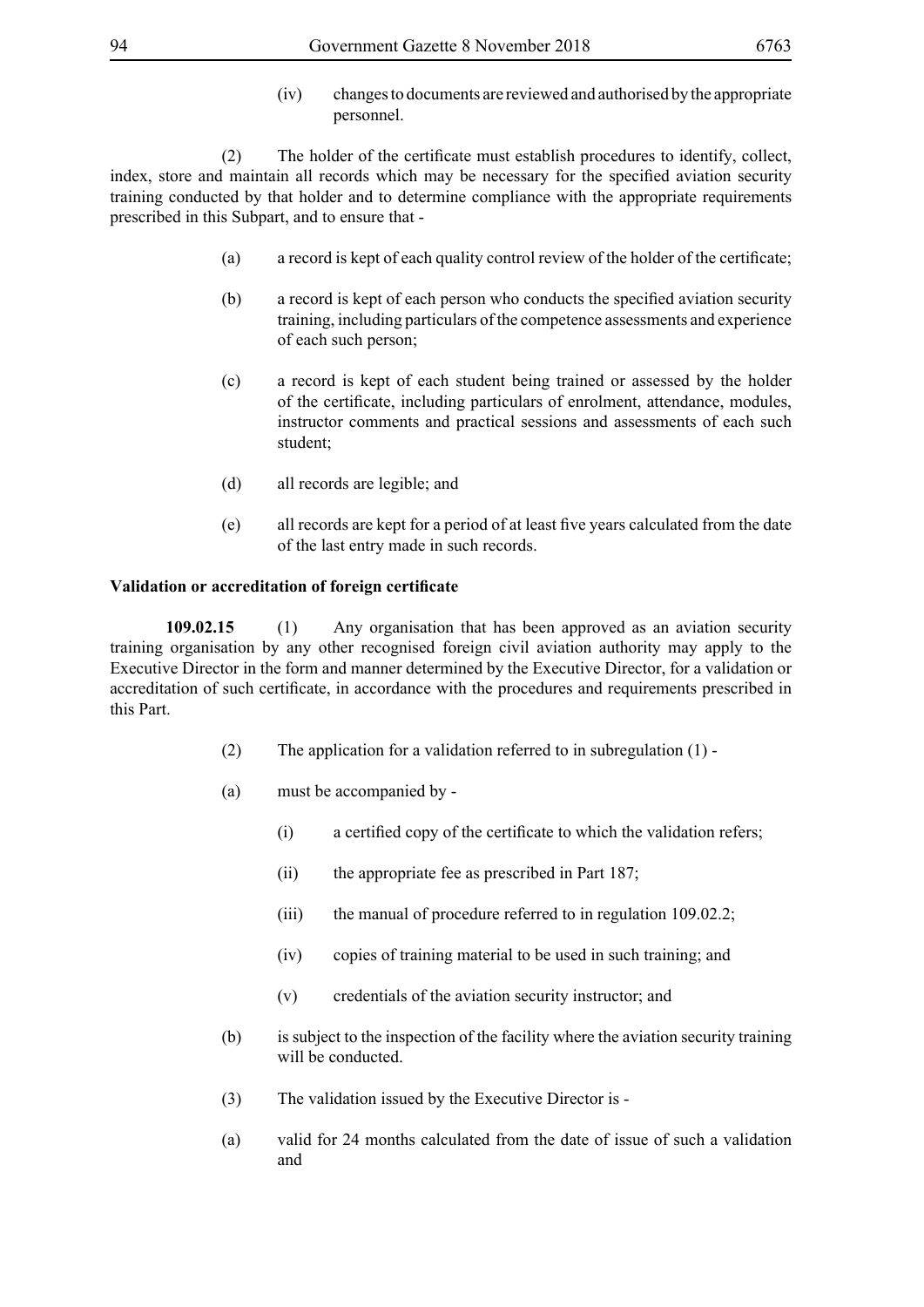(iv) changes to documents are reviewed and authorised by the appropriate personnel.

(2) The holder of the certificate must establish procedures to identify, collect, index, store and maintain all records which may be necessary for the specified aviation security training conducted by that holder and to determine compliance with the appropriate requirements prescribed in this Subpart, and to ensure that -

- (a) a record is kept of each quality control review of the holder of the certificate;
- (b) a record is kept of each person who conducts the specified aviation security training, including particulars of the competence assessments and experience of each such person;
- (c) a record is kept of each student being trained or assessed by the holder of the certificate, including particulars of enrolment, attendance, modules, instructor comments and practical sessions and assessments of each such student;
- (d) all records are legible; and
- (e) all records are kept for a period of at least five years calculated from the date of the last entry made in such records.

#### **Validation or accreditation of foreign certificate**

**109.02.15** (1) Any organisation that has been approved as an aviation security training organisation by any other recognised foreign civil aviation authority may apply to the Executive Director in the form and manner determined by the Executive Director, for a validation or accreditation of such certificate, in accordance with the procedures and requirements prescribed in this Part.

- (2) The application for a validation referred to in subregulation (1) -
- (a) must be accompanied by
	- (i) a certified copy of the certificate to which the validation refers;
	- (ii) the appropriate fee as prescribed in Part 187;
	- (iii) the manual of procedure referred to in regulation 109.02.2;
	- (iv) copies of training material to be used in such training; and
	- (v) credentials of the aviation security instructor; and
- (b) is subject to the inspection of the facility where the aviation security training will be conducted.
- (3) The validation issued by the Executive Director is -
- (a) valid for 24 months calculated from the date of issue of such a validation and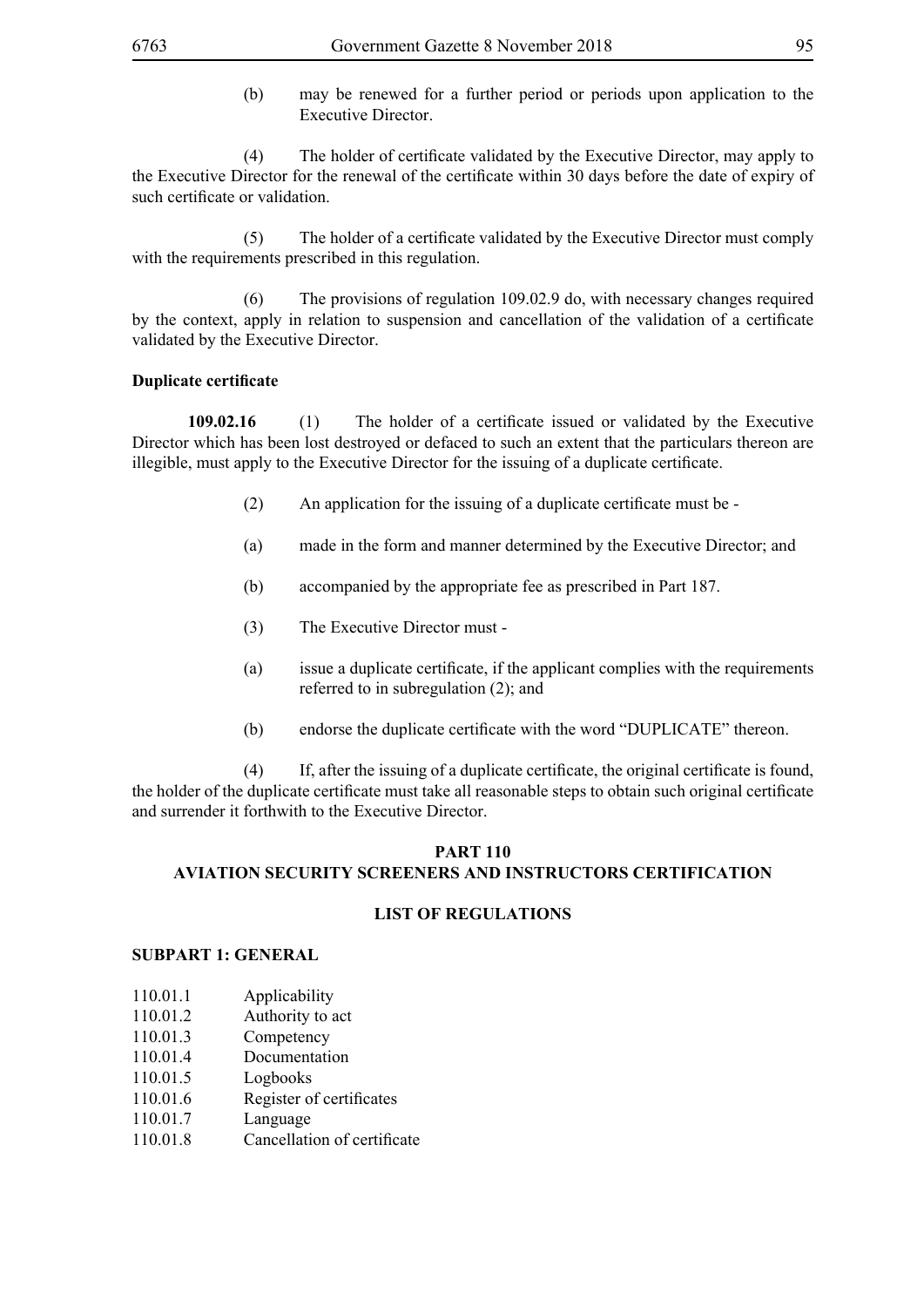(b) may be renewed for a further period or periods upon application to the Executive Director.

(4) The holder of certificate validated by the Executive Director, may apply to the Executive Director for the renewal of the certificate within 30 days before the date of expiry of such certificate or validation.

(5) The holder of a certificate validated by the Executive Director must comply with the requirements prescribed in this regulation.

 (6) The provisions of regulation 109.02.9 do, with necessary changes required by the context, apply in relation to suspension and cancellation of the validation of a certificate validated by the Executive Director.

# **Duplicate certificate**

**109.02.16** (1) The holder of a certificate issued or validated by the Executive Director which has been lost destroyed or defaced to such an extent that the particulars thereon are illegible, must apply to the Executive Director for the issuing of a duplicate certificate.

- (2) An application for the issuing of a duplicate certificate must be -
- (a) made in the form and manner determined by the Executive Director; and
- (b) accompanied by the appropriate fee as prescribed in Part 187.
- (3) The Executive Director must -
- (a) issue a duplicate certificate, if the applicant complies with the requirements referred to in subregulation (2); and
- (b) endorse the duplicate certificate with the word "DUPLICATE" thereon.

(4) If, after the issuing of a duplicate certificate, the original certificate is found, the holder of the duplicate certificate must take all reasonable steps to obtain such original certificate and surrender it forthwith to the Executive Director.

# **Part 110 AVIATION SECURITY SCREENERS AND INSTRUCTORS CERTIFICATION**

#### **LIST OF REGULATIONS**

#### **SUBPART 1: GENERAL**

- 110.01.1 Applicability
- 110.01.2 Authority to act
- 110.01.3 Competency
- 110.01.4 Documentation
- 110.01.5 Logbooks
- 110.01.6 Register of certificates
- 110.01.7 Language
- 110.01.8 Cancellation of certificate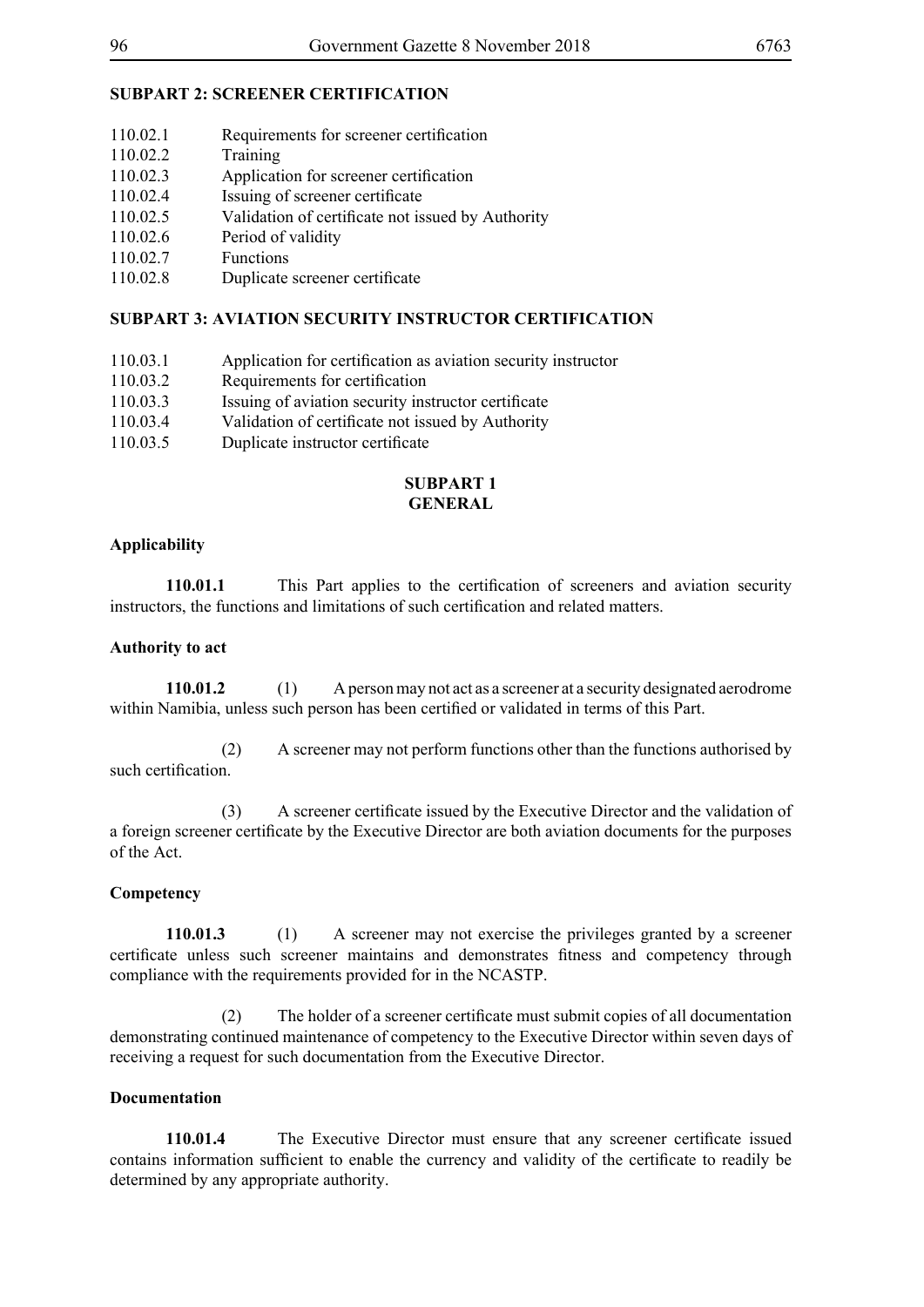# **SUBPART 2: SCREENER CERTIFICATION**

| 110.02.1            | Requirements for screener certification           |
|---------------------|---------------------------------------------------|
| 110.02.2            | Training                                          |
| 110.02.3            | Application for screener certification            |
| 110.02.4            | Issuing of screener certificate                   |
| 110.02.5            | Validation of certificate not issued by Authority |
| 110.02.6            | Period of validity                                |
| 110.02.7            | Functions                                         |
| 110.00 $^{\circ}$ 0 | Druliache conconon contificato                    |

# 110.02.8 Duplicate screener certificate

# **SUBPART 3: AVIATION SECURITY INSTRUCTOR CERTIFICATION**

- 110.03.1 Application for certification as aviation security instructor
- 110.03.2 Requirements for certification
- 110.03.3 Issuing of aviation security instructor certificate
- 110.03.4 Validation of certificate not issued by Authority
- 110.03.5 Duplicate instructor certificate

#### **SUBPART 1 GENERAL**

#### **Applicability**

**110.01.1** This Part applies to the certification of screeners and aviation security instructors, the functions and limitations of such certification and related matters.

#### **Authority to act**

**110.01.2** (1) A person may not act as a screener at a security designated aerodrome within Namibia, unless such person has been certified or validated in terms of this Part.

 (2) A screener may not perform functions other than the functions authorised by such certification.

(3) A screener certificate issued by the Executive Director and the validation of a foreign screener certificate by the Executive Director are both aviation documents for the purposes of the Act.

#### **Competency**

**110.01.3** (1) A screener may not exercise the privileges granted by a screener certificate unless such screener maintains and demonstrates fitness and competency through compliance with the requirements provided for in the NCASTP.

(2) The holder of a screener certificate must submit copies of all documentation demonstrating continued maintenance of competency to the Executive Director within seven days of receiving a request for such documentation from the Executive Director.

#### **Documentation**

**110.01.4** The Executive Director must ensure that any screener certificate issued contains information sufficient to enable the currency and validity of the certificate to readily be determined by any appropriate authority.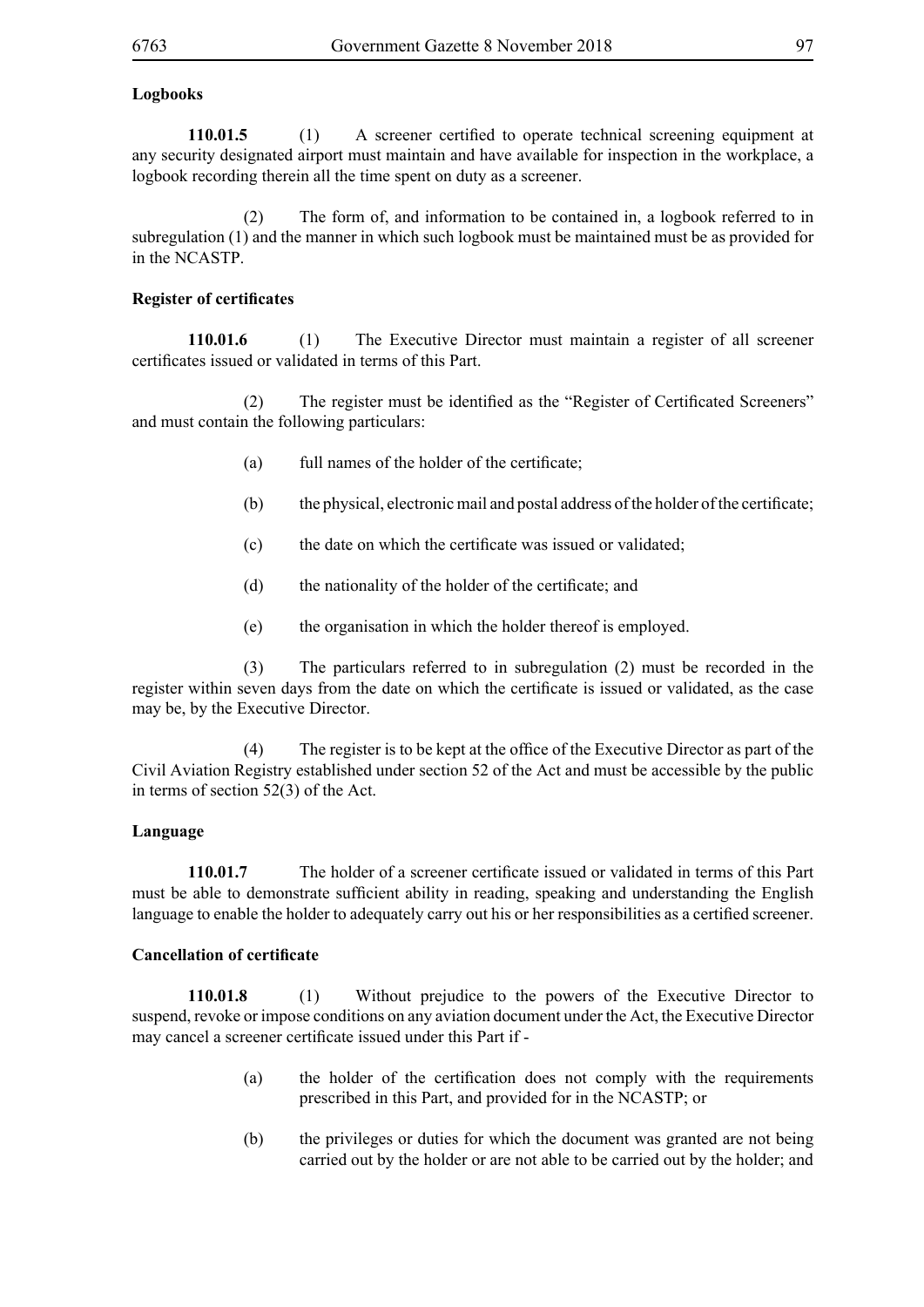# **Logbooks**

**110.01.5** (1) A screener certified to operate technical screening equipment at any security designated airport must maintain and have available for inspection in the workplace, a logbook recording therein all the time spent on duty as a screener.

 (2) The form of, and information to be contained in, a logbook referred to in subregulation (1) and the manner in which such logbook must be maintained must be as provided for in the NCASTP.

### **Register of certificates**

**110.01.6** (1) The Executive Director must maintain a register of all screener certificates issued or validated in terms of this Part.

(2) The register must be identified as the "Register of Certificated Screeners" and must contain the following particulars:

- (a) full names of the holder of the certificate;
- (b) the physical, electronic mail and postal address of the holder of the certificate;
- (c) the date on which the certificate was issued or validated;
- (d) the nationality of the holder of the certificate; and
- (e) the organisation in which the holder thereof is employed.

 (3) The particulars referred to in subregulation (2) must be recorded in the register within seven days from the date on which the certificate is issued or validated, as the case may be, by the Executive Director.

(4) The register is to be kept at the office of the Executive Director as part of the Civil Aviation Registry established under section 52 of the Act and must be accessible by the public in terms of section 52(3) of the Act.

# **Language**

**110.01.7** The holder of a screener certificate issued or validated in terms of this Part must be able to demonstrate sufficient ability in reading, speaking and understanding the English language to enable the holder to adequately carry out his or her responsibilities as a certified screener.

#### **Cancellation of certificate**

**110.01.8** (1) Without prejudice to the powers of the Executive Director to suspend, revoke or impose conditions on any aviation document under the Act, the Executive Director may cancel a screener certificate issued under this Part if -

- (a) the holder of the certification does not comply with the requirements prescribed in this Part, and provided for in the NCASTP; or
- (b) the privileges or duties for which the document was granted are not being carried out by the holder or are not able to be carried out by the holder; and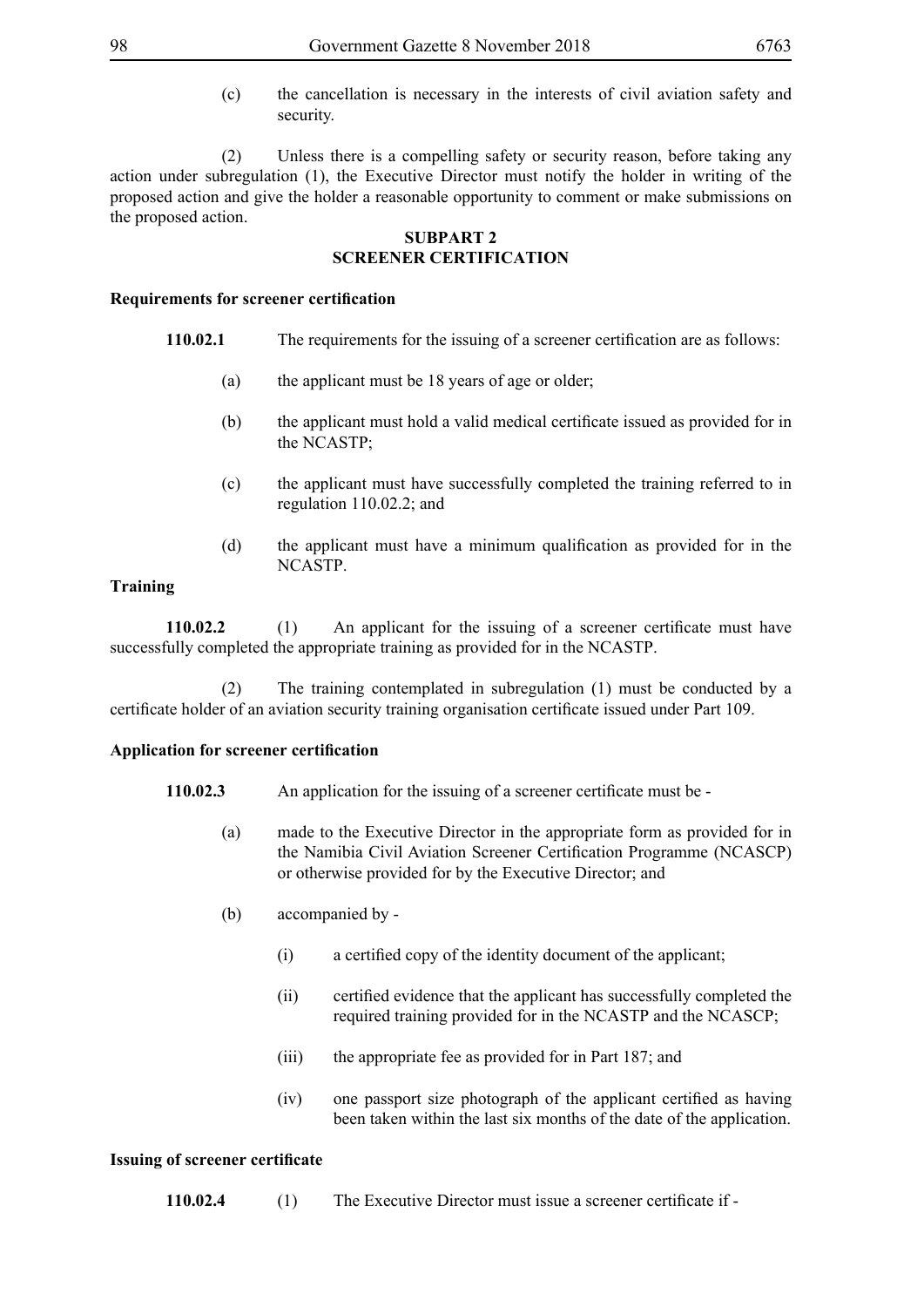(c) the cancellation is necessary in the interests of civil aviation safety and security.

 (2) Unless there is a compelling safety or security reason, before taking any action under subregulation (1), the Executive Director must notify the holder in writing of the proposed action and give the holder a reasonable opportunity to comment or make submissions on the proposed action.

# **SUBPART 2 SCREENER CERTIFICATION**

#### **Requirements for screener certification**

- **110.02.1** The requirements for the issuing of a screener certification are as follows:
	- (a) the applicant must be 18 years of age or older;
	- (b) the applicant must hold a valid medical certificate issued as provided for in the NCASTP;
	- (c) the applicant must have successfully completed the training referred to in regulation 110.02.2; and
	- (d) the applicant must have a minimum qualification as provided for in the NCASTP.

### **Training**

**110.02.2** (1) An applicant for the issuing of a screener certificate must have successfully completed the appropriate training as provided for in the NCASTP.

 (2) The training contemplated in subregulation (1) must be conducted by a certificate holder of an aviation security training organisation certificate issued under Part 109.

#### **Application for screener certification**

- **110.02.3** An application for the issuing of a screener certificate must be
	- (a) made to the Executive Director in the appropriate form as provided for in the Namibia Civil Aviation Screener Certification Programme (NCASCP) or otherwise provided for by the Executive Director; and
	- (b) accompanied by
		- (i) a certified copy of the identity document of the applicant;
		- (ii) certified evidence that the applicant has successfully completed the required training provided for in the NCASTP and the NCASCP;
		- (iii) the appropriate fee as provided for in Part 187; and
		- (iv) one passport size photograph of the applicant certified as having been taken within the last six months of the date of the application.

#### **Issuing of screener certificate**

**110.02.4** (1) The Executive Director must issue a screener certificate if -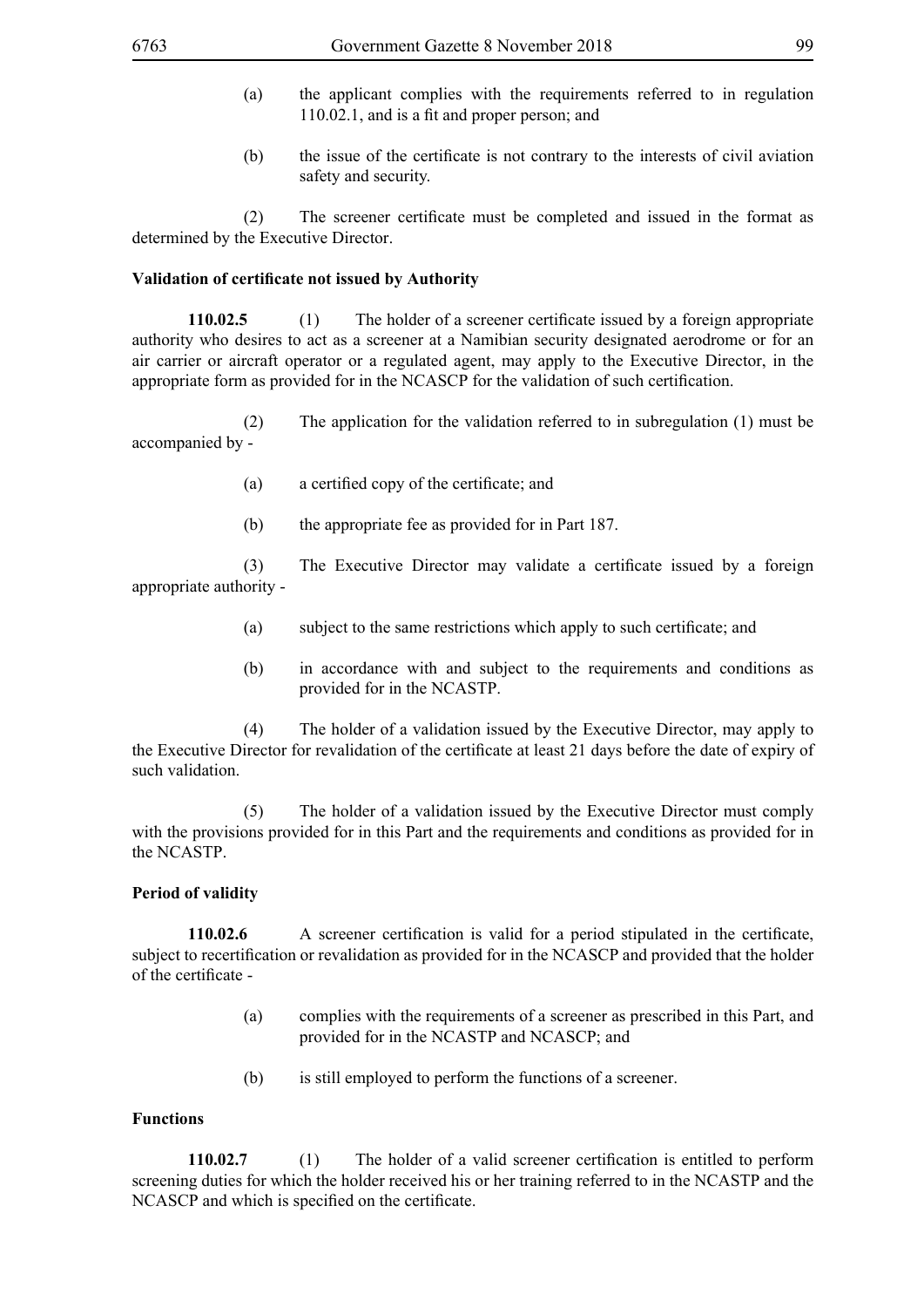- (a) the applicant complies with the requirements referred to in regulation 110.02.1, and is a fit and proper person; and
- (b) the issue of the certificate is not contrary to the interests of civil aviation safety and security.

(2) The screener certificate must be completed and issued in the format as determined by the Executive Director.

#### **Validation of certificate not issued by Authority**

**110.02.5** (1) The holder of a screener certificate issued by a foreign appropriate authority who desires to act as a screener at a Namibian security designated aerodrome or for an air carrier or aircraft operator or a regulated agent, may apply to the Executive Director, in the appropriate form as provided for in the NCASCP for the validation of such certification.

 (2) The application for the validation referred to in subregulation (1) must be accompanied by -

- (a) a certified copy of the certificate; and
- (b) the appropriate fee as provided for in Part 187.

(3) The Executive Director may validate a certificate issued by a foreign appropriate authority -

- (a) subject to the same restrictions which apply to such certificate; and
- (b) in accordance with and subject to the requirements and conditions as provided for in the NCASTP.

 (4) The holder of a validation issued by the Executive Director, may apply to the Executive Director for revalidation of the certificate at least 21 days before the date of expiry of such validation.

 (5) The holder of a validation issued by the Executive Director must comply with the provisions provided for in this Part and the requirements and conditions as provided for in the NCASTP.

#### **Period of validity**

**110.02.6** A screener certification is valid for a period stipulated in the certificate, subject to recertification or revalidation as provided for in the NCASCP and provided that the holder of the certificate -

- (a) complies with the requirements of a screener as prescribed in this Part, and provided for in the NCASTP and NCASCP; and
- (b) is still employed to perform the functions of a screener.

#### **Functions**

**110.02.7** (1) The holder of a valid screener certification is entitled to perform screening duties for which the holder received his or her training referred to in the NCASTP and the NCASCP and which is specified on the certificate.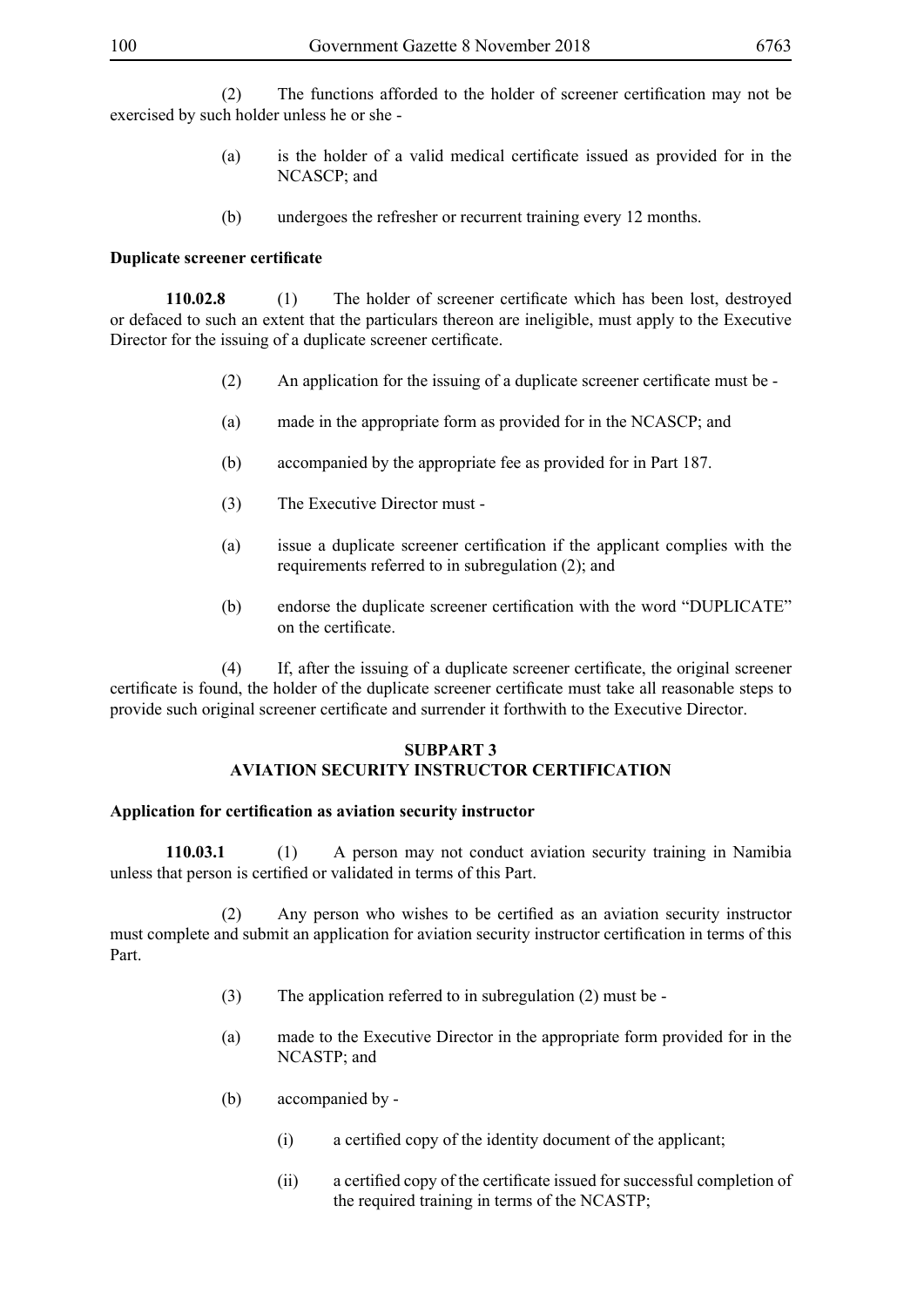(2) The functions afforded to the holder of screener certification may not be exercised by such holder unless he or she -

- (a) is the holder of a valid medical certificate issued as provided for in the NCASCP; and
- (b) undergoes the refresher or recurrent training every 12 months.

#### **Duplicate screener certificate**

**110.02.8** (1) The holder of screener certificate which has been lost, destroyed or defaced to such an extent that the particulars thereon are ineligible, must apply to the Executive Director for the issuing of a duplicate screener certificate.

- (2) An application for the issuing of a duplicate screener certificate must be -
- (a) made in the appropriate form as provided for in the NCASCP; and
- (b) accompanied by the appropriate fee as provided for in Part 187.
- (3) The Executive Director must -
- (a) issue a duplicate screener certification if the applicant complies with the requirements referred to in subregulation (2); and
- (b) endorse the duplicate screener certification with the word "DUPLICATE" on the certificate.

(4) If, after the issuing of a duplicate screener certificate, the original screener certificate is found, the holder of the duplicate screener certificate must take all reasonable steps to provide such original screener certificate and surrender it forthwith to the Executive Director.

#### **SUBPART 3 AVIATION SECURITY INSTRUCTOR CERTIFICATION**

#### **Application for certification as aviation security instructor**

**110.03.1** (1) A person may not conduct aviation security training in Namibia unless that person is certified or validated in terms of this Part.

(2) Any person who wishes to be certified as an aviation security instructor must complete and submit an application for aviation security instructor certification in terms of this Part.

- (3) The application referred to in subregulation (2) must be -
- (a) made to the Executive Director in the appropriate form provided for in the NCASTP; and
- (b) accompanied by
	- (i) a certified copy of the identity document of the applicant;
	- (ii) a certified copy of the certificate issued for successful completion of the required training in terms of the NCASTP;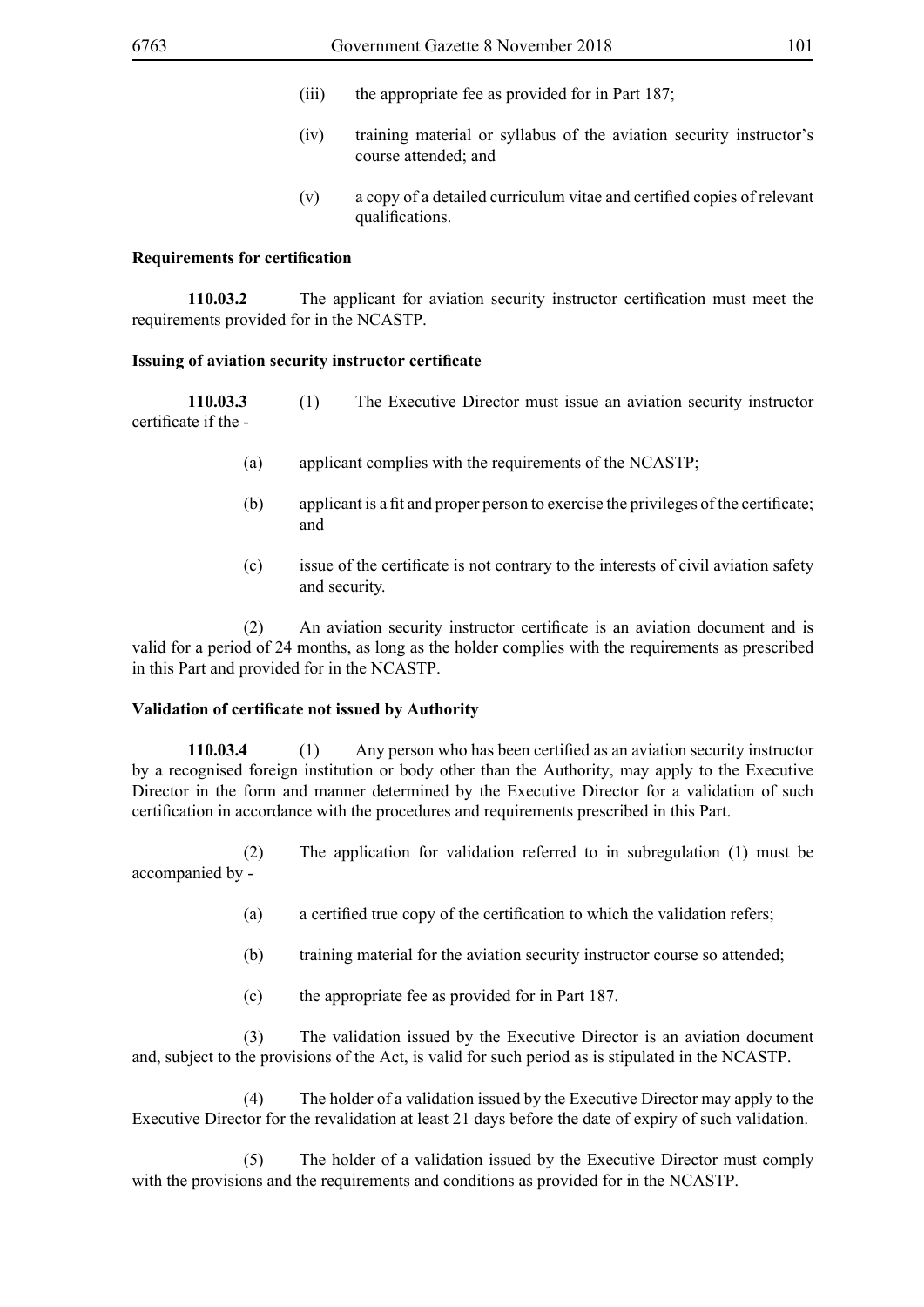- (iii) the appropriate fee as provided for in Part 187;
- (iv) training material or syllabus of the aviation security instructor's course attended; and
- (v) a copy of a detailed curriculum vitae and certified copies of relevant qualifications.

#### **Requirements for certification**

**110.03.2** The applicant for aviation security instructor certification must meet the requirements provided for in the NCASTP.

#### **Issuing of aviation security instructor certificate**

**110.03.3** (1) The Executive Director must issue an aviation security instructor certificate if the -

- (a) applicant complies with the requirements of the NCASTP;
- (b) applicant is a fit and proper person to exercise the privileges of the certificate; and
- (c) issue of the certificate is not contrary to the interests of civil aviation safety and security.

(2) An aviation security instructor certificate is an aviation document and is valid for a period of 24 months, as long as the holder complies with the requirements as prescribed in this Part and provided for in the NCASTP.

#### **Validation of certificate not issued by Authority**

**110.03.4** (1) Any person who has been certified as an aviation security instructor by a recognised foreign institution or body other than the Authority, may apply to the Executive Director in the form and manner determined by the Executive Director for a validation of such certification in accordance with the procedures and requirements prescribed in this Part.

 (2) The application for validation referred to in subregulation (1) must be accompanied by -

- (a) a certified true copy of the certification to which the validation refers;
- (b) training material for the aviation security instructor course so attended;
- (c) the appropriate fee as provided for in Part 187.

 (3) The validation issued by the Executive Director is an aviation document and, subject to the provisions of the Act, is valid for such period as is stipulated in the NCASTP.

 (4) The holder of a validation issued by the Executive Director may apply to the Executive Director for the revalidation at least 21 days before the date of expiry of such validation.

 (5) The holder of a validation issued by the Executive Director must comply with the provisions and the requirements and conditions as provided for in the NCASTP.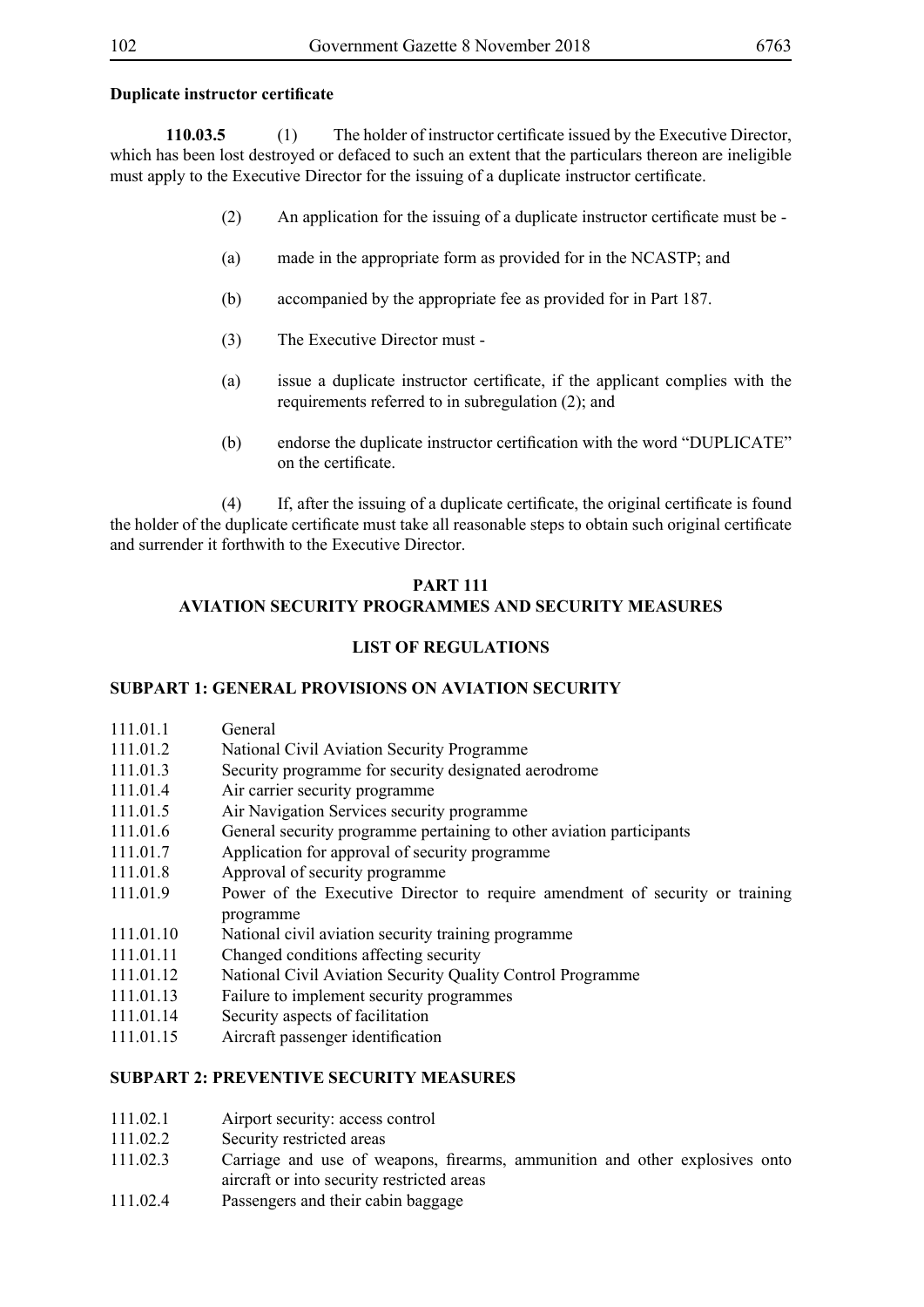### **Duplicate instructor certificate**

**110.03.5** (1) The holder of instructor certificate issued by the Executive Director, which has been lost destroyed or defaced to such an extent that the particulars thereon are ineligible must apply to the Executive Director for the issuing of a duplicate instructor certificate.

- (2) An application for the issuing of a duplicate instructor certificate must be -
- (a) made in the appropriate form as provided for in the NCASTP; and
- (b) accompanied by the appropriate fee as provided for in Part 187.
- (3) The Executive Director must -
- (a) issue a duplicate instructor certificate, if the applicant complies with the requirements referred to in subregulation (2); and
- (b) endorse the duplicate instructor certification with the word "DUPLICATE" on the certificate.

(4) If, after the issuing of a duplicate certificate, the original certificate is found the holder of the duplicate certificate must take all reasonable steps to obtain such original certificate and surrender it forthwith to the Executive Director.

# **PART 111**

# **AVIATION SECURITY PROGRAMMES AND SECURITY MEASURES**

# **LIST OF REGULATIONS**

# **SUBPART 1: GENERAL PROVISIONS ON AVIATION SECURITY**

- 111.01.1 General
- 111.01.2 National Civil Aviation Security Programme
- 111.01.3 Security programme for security designated aerodrome
- 111.01.4 Air carrier security programme
- 111.01.5 Air Navigation Services security programme
- 111.01.6 General security programme pertaining to other aviation participants
- 111.01.7 Application for approval of security programme
- 111.01.8 Approval of security programme
- 111.01.9 Power of the Executive Director to require amendment of security or training programme
- 111.01.10 National civil aviation security training programme
- 111.01.11 Changed conditions affecting security
- 111.01.12 National Civil Aviation Security Quality Control Programme
- 111.01.13 Failure to implement security programmes
- 111.01.14 Security aspects of facilitation
- 111.01.15 Aircraft passenger identification

# **SUBPART 2: PREVENTIVE SECURITY MEASURES**

- 111.02.1 Airport security: access control
- 111.02.2 Security restricted areas
- 111.02.3 Carriage and use of weapons, firearms, ammunition and other explosives onto aircraft or into security restricted areas
- 111.02.4 Passengers and their cabin baggage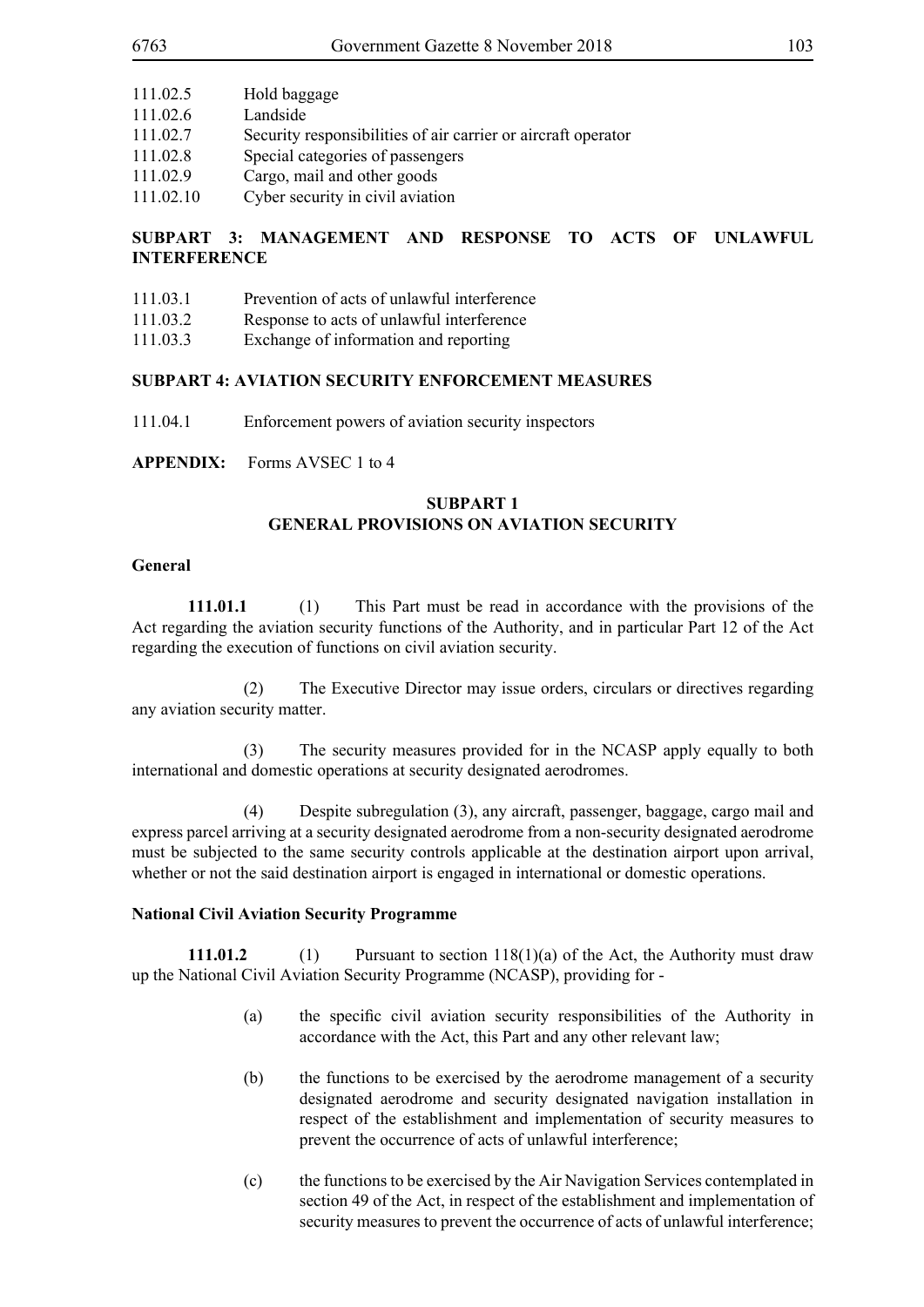- 111.02.5 Hold baggage
- 111.02.6 Landside
- 111.02.7 Security responsibilities of air carrier or aircraft operator
- 111.02.8 Special categories of passengers
- 111.02.9 Cargo, mail and other goods
- 111.02.10 Cyber security in civil aviation

# **SUBPART 3: MANAGEMENT AND RESPONSE TO ACTS OF UNLAWFUL INTERFERENCE**

- 111.03.1 Prevention of acts of unlawful interference
- 111.03.2 Response to acts of unlawful interference
- 111.03.3 Exchange of information and reporting

#### **SUBPART 4: AVIATION SECURITY ENFORCEMENT MEASURES**

111.04.1 Enforcement powers of aviation security inspectors

**APPENDIX:** Forms AVSEC 1 to 4

# **SUBPART 1 GENERAL PROVISIONS ON AVIATION SECURITY**

#### **General**

**111.01.1** (1) This Part must be read in accordance with the provisions of the Act regarding the aviation security functions of the Authority, and in particular Part 12 of the Act regarding the execution of functions on civil aviation security.

 (2) The Executive Director may issue orders, circulars or directives regarding any aviation security matter.

 (3) The security measures provided for in the NCASP apply equally to both international and domestic operations at security designated aerodromes.

 (4) Despite subregulation (3), any aircraft, passenger, baggage, cargo mail and express parcel arriving at a security designated aerodrome from a non-security designated aerodrome must be subjected to the same security controls applicable at the destination airport upon arrival, whether or not the said destination airport is engaged in international or domestic operations.

#### **National Civil Aviation Security Programme**

**111.01.2** (1) Pursuant to section 118(1)(a) of the Act, the Authority must draw up the National Civil Aviation Security Programme (NCASP), providing for -

- (a) the specific civil aviation security responsibilities of the Authority in accordance with the Act, this Part and any other relevant law;
- (b) the functions to be exercised by the aerodrome management of a security designated aerodrome and security designated navigation installation in respect of the establishment and implementation of security measures to prevent the occurrence of acts of unlawful interference;
- (c) the functions to be exercised by the Air Navigation Services contemplated in section 49 of the Act, in respect of the establishment and implementation of security measures to prevent the occurrence of acts of unlawful interference;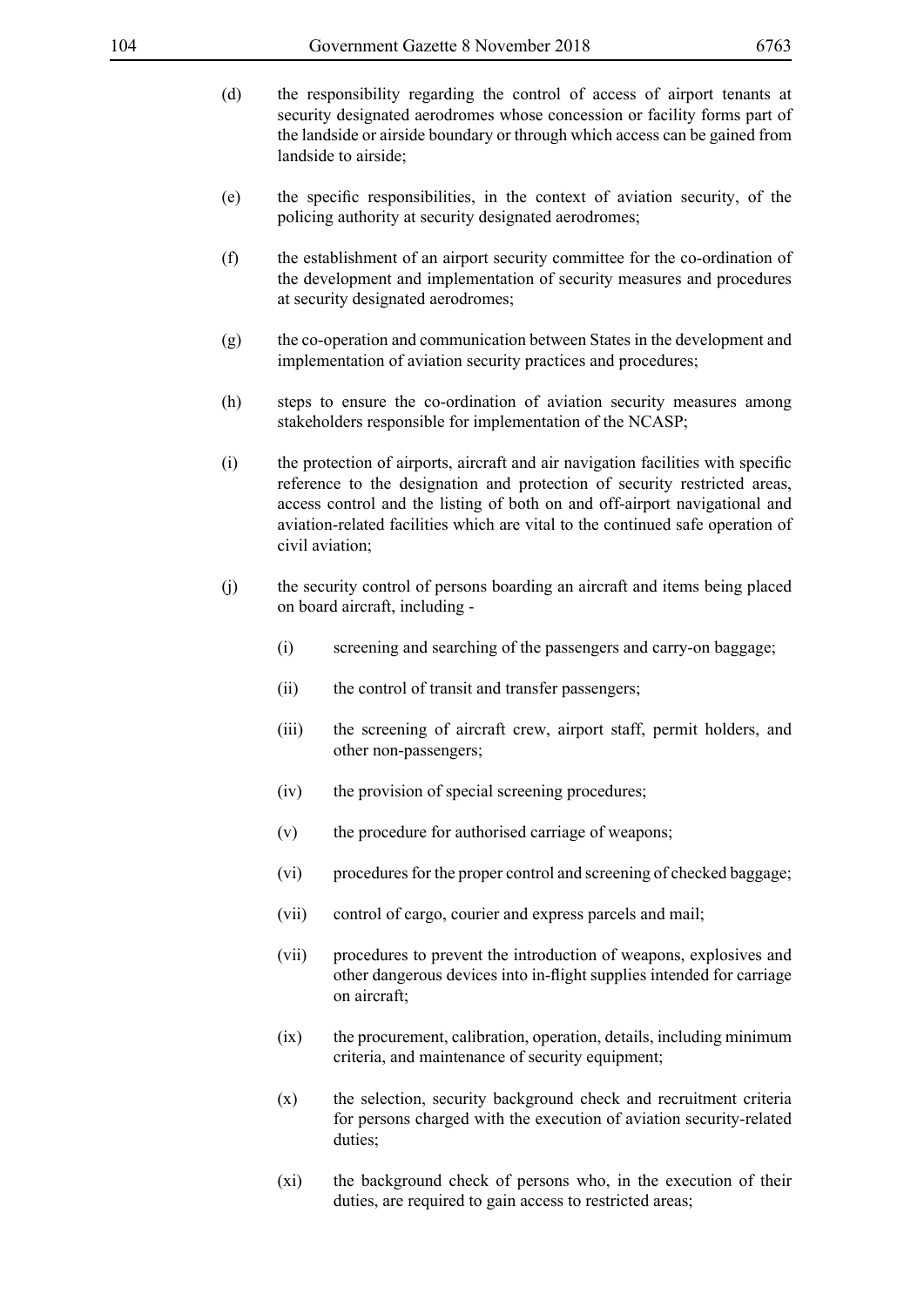- (d) the responsibility regarding the control of access of airport tenants at security designated aerodromes whose concession or facility forms part of the landside or airside boundary or through which access can be gained from landside to airside;
- (e) the specific responsibilities, in the context of aviation security, of the policing authority at security designated aerodromes;
- (f) the establishment of an airport security committee for the co-ordination of the development and implementation of security measures and procedures at security designated aerodromes;
- (g) the co-operation and communication between States in the development and implementation of aviation security practices and procedures;
- (h) steps to ensure the co-ordination of aviation security measures among stakeholders responsible for implementation of the NCASP;
- (i) the protection of airports, aircraft and air navigation facilities with specific reference to the designation and protection of security restricted areas, access control and the listing of both on and off-airport navigational and aviation-related facilities which are vital to the continued safe operation of civil aviation;
- (j) the security control of persons boarding an aircraft and items being placed on board aircraft, including -
	- (i) screening and searching of the passengers and carry-on baggage;
	- (ii) the control of transit and transfer passengers;
	- (iii) the screening of aircraft crew, airport staff, permit holders, and other non-passengers;
	- (iv) the provision of special screening procedures;
	- (v) the procedure for authorised carriage of weapons;
	- (vi) procedures for the proper control and screening of checked baggage;
	- (vii) control of cargo, courier and express parcels and mail;
	- (vii) procedures to prevent the introduction of weapons, explosives and other dangerous devices into in-flight supplies intended for carriage on aircraft;
	- (ix) the procurement, calibration, operation, details, including minimum criteria, and maintenance of security equipment;
	- (x) the selection, security background check and recruitment criteria for persons charged with the execution of aviation security-related duties;
	- (xi) the background check of persons who, in the execution of their duties, are required to gain access to restricted areas;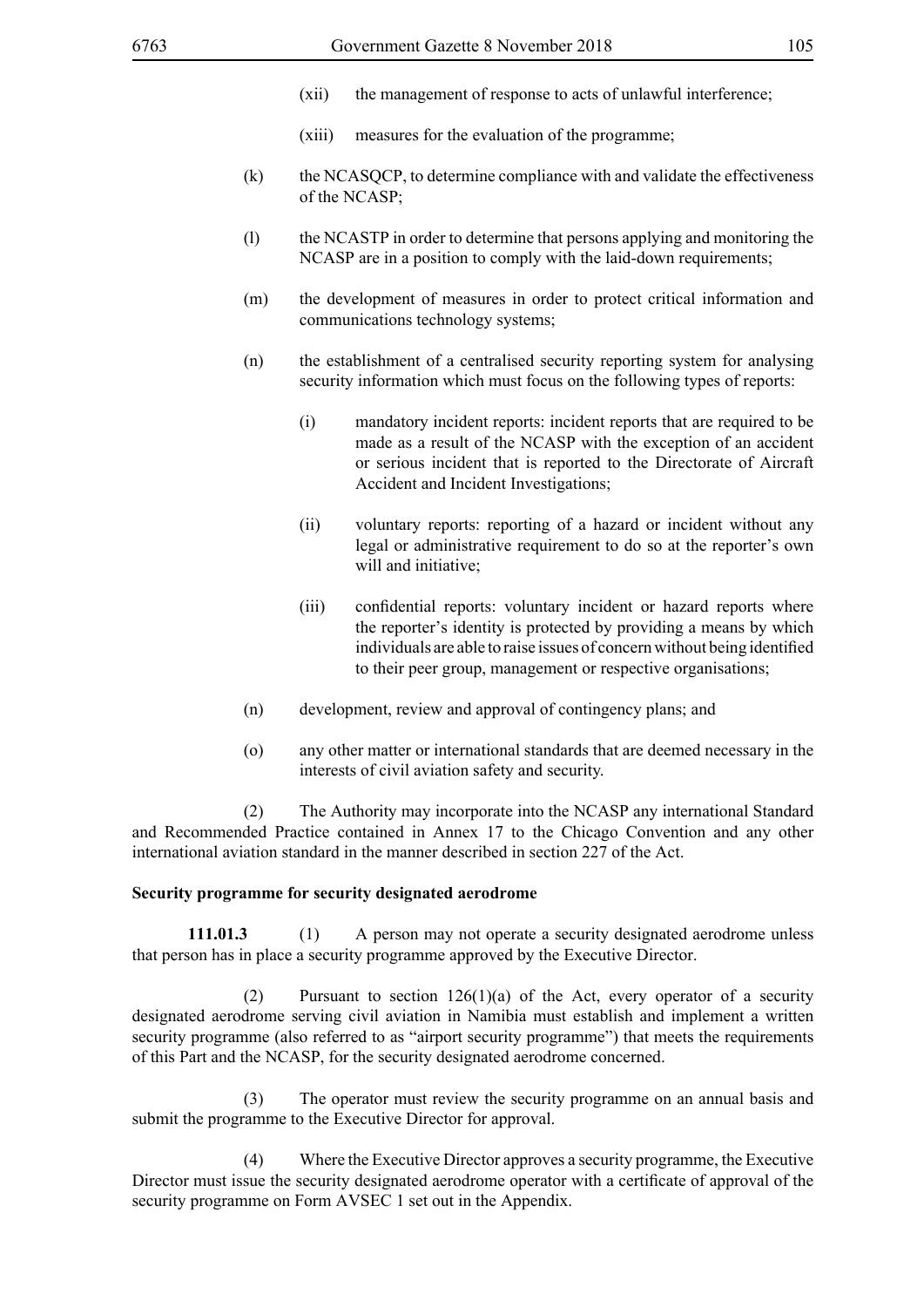- (xii) the management of response to acts of unlawful interference;
- (xiii) measures for the evaluation of the programme;
- (k) the NCASQCP, to determine compliance with and validate the effectiveness of the NCASP;
- (l) the NCASTP in order to determine that persons applying and monitoring the NCASP are in a position to comply with the laid-down requirements;
- (m) the development of measures in order to protect critical information and communications technology systems;
- (n) the establishment of a centralised security reporting system for analysing security information which must focus on the following types of reports:
	- (i) mandatory incident reports: incident reports that are required to be made as a result of the NCASP with the exception of an accident or serious incident that is reported to the Directorate of Aircraft Accident and Incident Investigations;
	- (ii) voluntary reports: reporting of a hazard or incident without any legal or administrative requirement to do so at the reporter's own will and initiative;
	- (iii) confidential reports: voluntary incident or hazard reports where the reporter's identity is protected by providing a means by which individuals are able to raise issues of concern without being identified to their peer group, management or respective organisations;
- (n) development, review and approval of contingency plans; and
- (o) any other matter or international standards that are deemed necessary in the interests of civil aviation safety and security.

 (2) The Authority may incorporate into the NCASP any international Standard and Recommended Practice contained in Annex 17 to the Chicago Convention and any other international aviation standard in the manner described in section 227 of the Act.

#### **Security programme for security designated aerodrome**

**111.01.3** (1) A person may not operate a security designated aerodrome unless that person has in place a security programme approved by the Executive Director.

 (2) Pursuant to section 126(1)(a) of the Act, every operator of a security designated aerodrome serving civil aviation in Namibia must establish and implement a written security programme (also referred to as "airport security programme") that meets the requirements of this Part and the NCASP, for the security designated aerodrome concerned.

 (3) The operator must review the security programme on an annual basis and submit the programme to the Executive Director for approval.

 (4) Where the Executive Director approves a security programme, the Executive Director must issue the security designated aerodrome operator with a certificate of approval of the security programme on Form AVSEC 1 set out in the Appendix.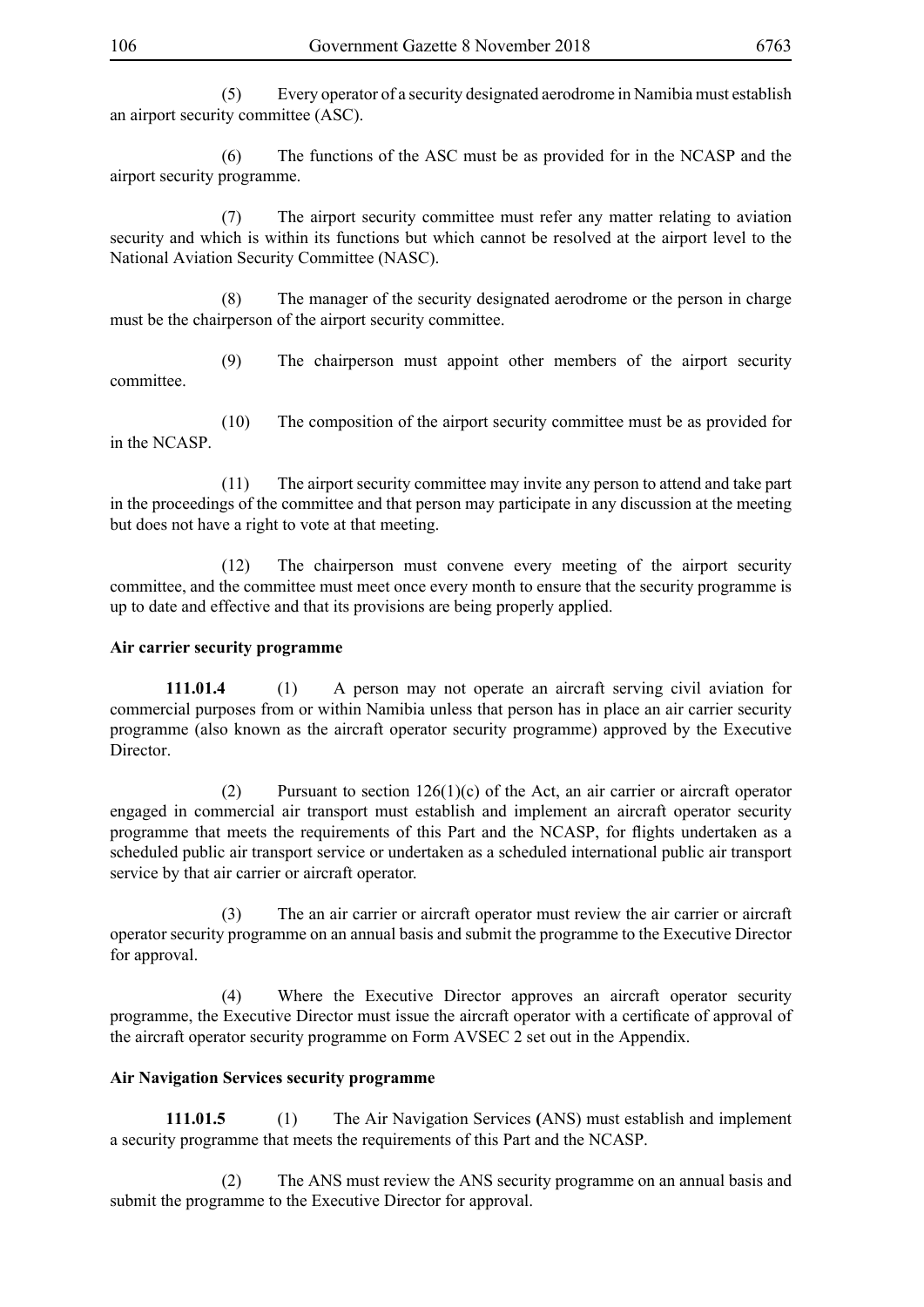(5) Every operator of a security designated aerodrome in Namibia must establish an airport security committee (ASC).

 (6) The functions of the ASC must be as provided for in the NCASP and the airport security programme.

 (7) The airport security committee must refer any matter relating to aviation security and which is within its functions but which cannot be resolved at the airport level to the National Aviation Security Committee (NASC).

 (8) The manager of the security designated aerodrome or the person in charge must be the chairperson of the airport security committee.

 (9) The chairperson must appoint other members of the airport security committee.

 (10) The composition of the airport security committee must be as provided for in the NCASP.

 (11) The airport security committee may invite any person to attend and take part in the proceedings of the committee and that person may participate in any discussion at the meeting but does not have a right to vote at that meeting.

 (12) The chairperson must convene every meeting of the airport security committee, and the committee must meet once every month to ensure that the security programme is up to date and effective and that its provisions are being properly applied.

### **Air carrier security programme**

**111.01.4** (1) A person may not operate an aircraft serving civil aviation for commercial purposes from or within Namibia unless that person has in place an air carrier security programme (also known as the aircraft operator security programme) approved by the Executive Director.

 (2) Pursuant to section 126(1)(c) of the Act, an air carrier or aircraft operator engaged in commercial air transport must establish and implement an aircraft operator security programme that meets the requirements of this Part and the NCASP, for flights undertaken as a scheduled public air transport service or undertaken as a scheduled international public air transport service by that air carrier or aircraft operator.

 (3) The an air carrier or aircraft operator must review the air carrier or aircraft operator security programme on an annual basis and submit the programme to the Executive Director for approval.

 (4) Where the Executive Director approves an aircraft operator security programme, the Executive Director must issue the aircraft operator with a certificate of approval of the aircraft operator security programme on Form AVSEC 2 set out in the Appendix.

## **Air Navigation Services security programme**

**111.01.5** (1) The Air Navigation Services **(**ANS) must establish and implement a security programme that meets the requirements of this Part and the NCASP.

 (2) The ANS must review the ANS security programme on an annual basis and submit the programme to the Executive Director for approval.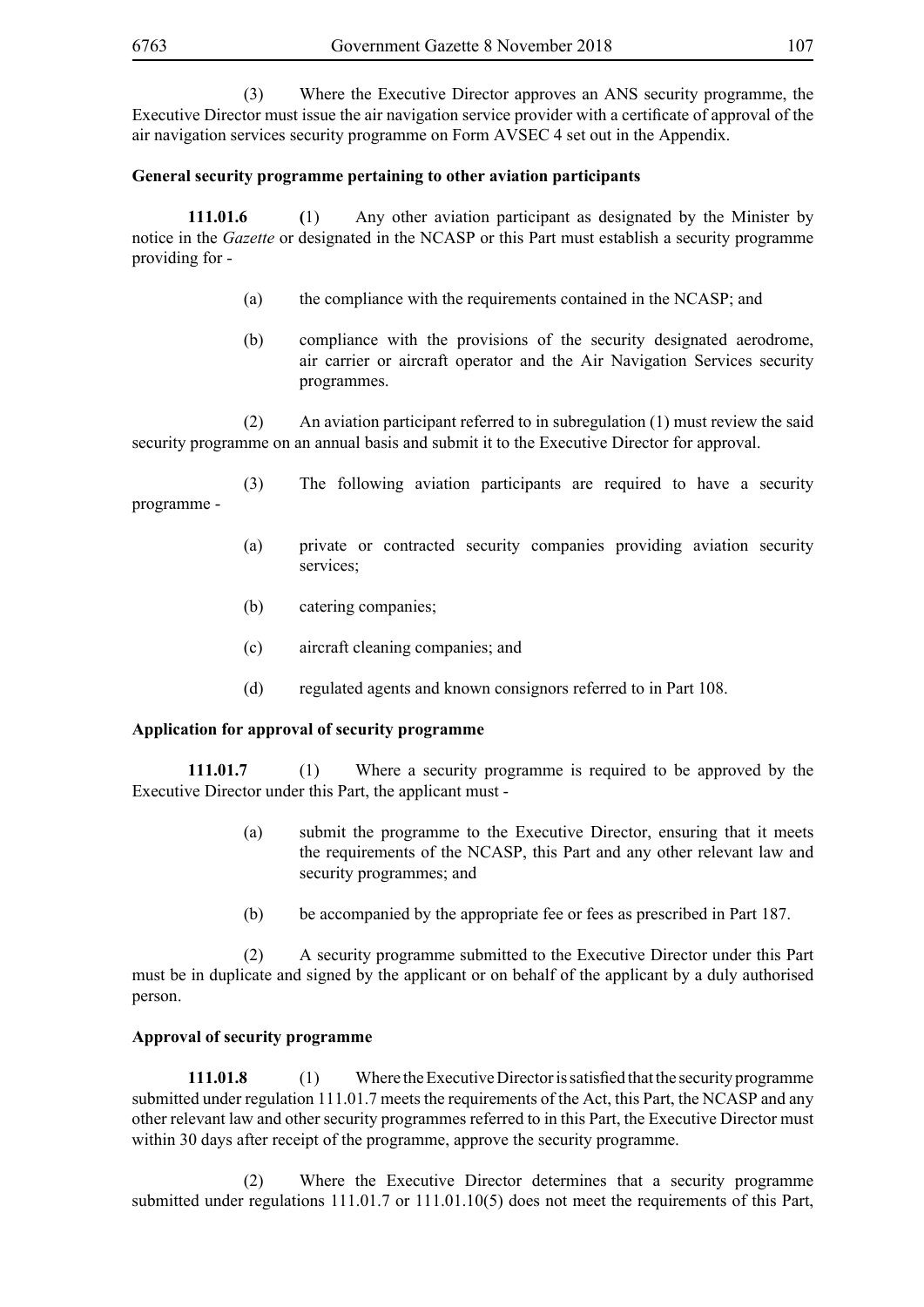(3) Where the Executive Director approves an ANS security programme, the Executive Director must issue the air navigation service provider with a certificate of approval of the air navigation services security programme on Form AVSEC 4 set out in the Appendix.

# **General security programme pertaining to other aviation participants**

**111.01.6 (**1) Any other aviation participant as designated by the Minister by notice in the *Gazette* or designated in the NCASP or this Part must establish a security programme providing for -

- (a) the compliance with the requirements contained in the NCASP; and
- (b) compliance with the provisions of the security designated aerodrome, air carrier or aircraft operator and the Air Navigation Services security programmes.

 (2) An aviation participant referred to in subregulation (1) must review the said security programme on an annual basis and submit it to the Executive Director for approval.

- (3) The following aviation participants are required to have a security programme -
	- (a) private or contracted security companies providing aviation security services;
	- (b) catering companies;
	- (c) aircraft cleaning companies; and
	- (d) regulated agents and known consignors referred to in Part 108.

#### **Application for approval of security programme**

**111.01.7** (1) Where a security programme is required to be approved by the Executive Director under this Part, the applicant must -

- (a) submit the programme to the Executive Director, ensuring that it meets the requirements of the NCASP, this Part and any other relevant law and security programmes; and
- (b) be accompanied by the appropriate fee or fees as prescribed in Part 187.

 (2) A security programme submitted to the Executive Director under this Part must be in duplicate and signed by the applicant or on behalf of the applicant by a duly authorised person.

#### **Approval of security programme**

**111.01.8** (1) Where the Executive Director is satisfied that the security programme submitted under regulation 111.01.7 meets the requirements of the Act, this Part, the NCASP and any other relevant law and other security programmes referred to in this Part, the Executive Director must within 30 days after receipt of the programme, approve the security programme.

 (2) Where the Executive Director determines that a security programme submitted under regulations 111.01.7 or 111.01.10(5) does not meet the requirements of this Part,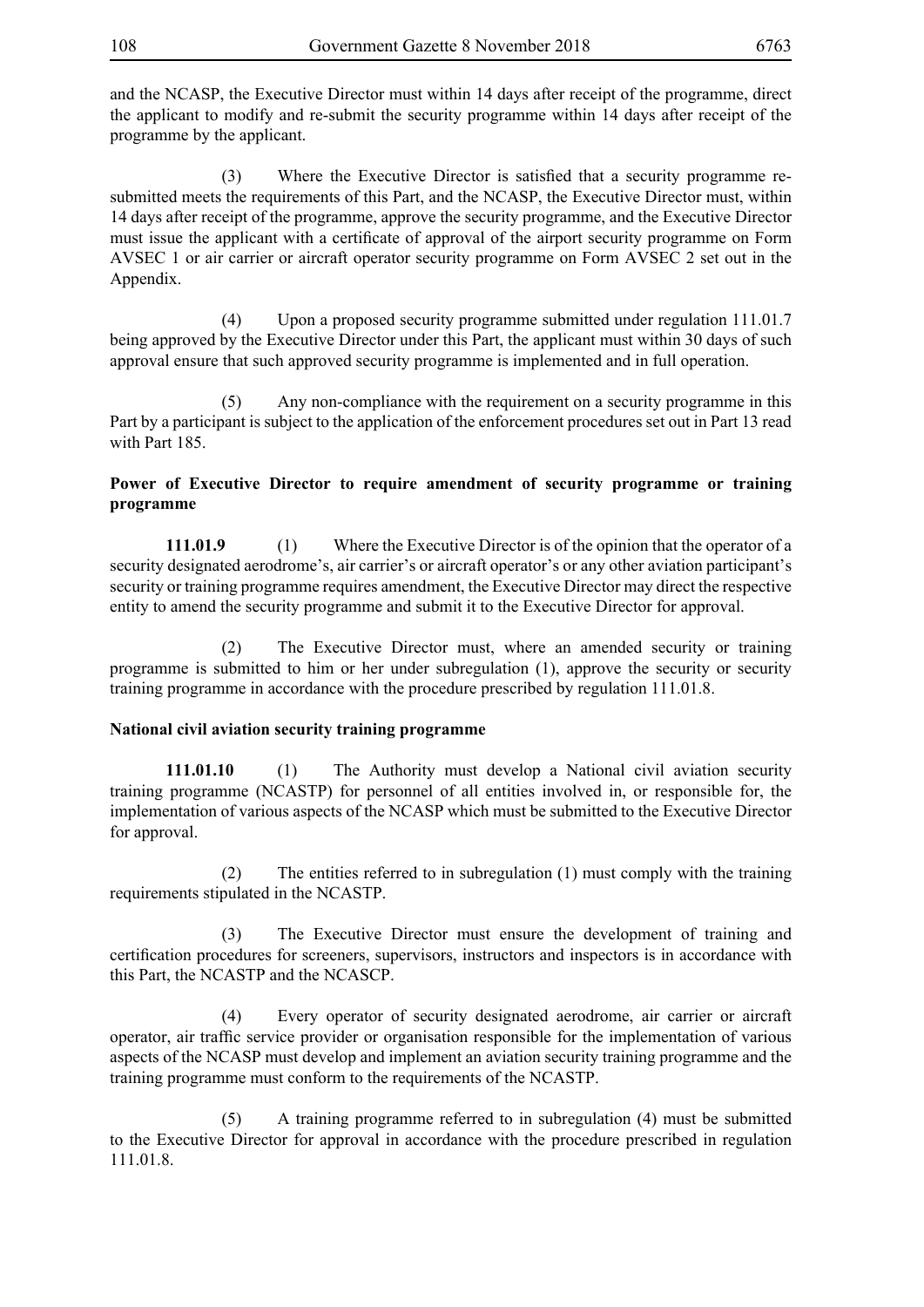and the NCASP, the Executive Director must within 14 days after receipt of the programme, direct the applicant to modify and re-submit the security programme within 14 days after receipt of the programme by the applicant.

(3) Where the Executive Director is satisfied that a security programme resubmitted meets the requirements of this Part, and the NCASP, the Executive Director must, within 14 days after receipt of the programme, approve the security programme, and the Executive Director must issue the applicant with a certificate of approval of the airport security programme on Form AVSEC 1 or air carrier or aircraft operator security programme on Form AVSEC 2 set out in the Appendix.

 (4) Upon a proposed security programme submitted under regulation 111.01.7 being approved by the Executive Director under this Part, the applicant must within 30 days of such approval ensure that such approved security programme is implemented and in full operation.

 (5) Any non-compliance with the requirement on a security programme in this Part by a participant is subject to the application of the enforcement procedures set out in Part 13 read with Part 185.

# **Power of Executive Director to require amendment of security programme or training programme**

**111.01.9** (1) Where the Executive Director is of the opinion that the operator of a security designated aerodrome's, air carrier's or aircraft operator's or any other aviation participant's security or training programme requires amendment, the Executive Director may direct the respective entity to amend the security programme and submit it to the Executive Director for approval.

 (2) The Executive Director must, where an amended security or training programme is submitted to him or her under subregulation (1), approve the security or security training programme in accordance with the procedure prescribed by regulation 111.01.8.

# **National civil aviation security training programme**

**111.01.10** (1) The Authority must develop a National civil aviation security training programme (NCASTP) for personnel of all entities involved in, or responsible for, the implementation of various aspects of the NCASP which must be submitted to the Executive Director for approval.

 (2) The entities referred to in subregulation (1) must comply with the training requirements stipulated in the NCASTP.

 (3) The Executive Director must ensure the development of training and certification procedures for screeners, supervisors, instructors and inspectors is in accordance with this Part, the NCASTP and the NCASCP.

 (4) Every operator of security designated aerodrome, air carrier or aircraft operator, air traffic service provider or organisation responsible for the implementation of various aspects of the NCASP must develop and implement an aviation security training programme and the training programme must conform to the requirements of the NCASTP.

 (5) A training programme referred to in subregulation (4) must be submitted to the Executive Director for approval in accordance with the procedure prescribed in regulation 111.01.8.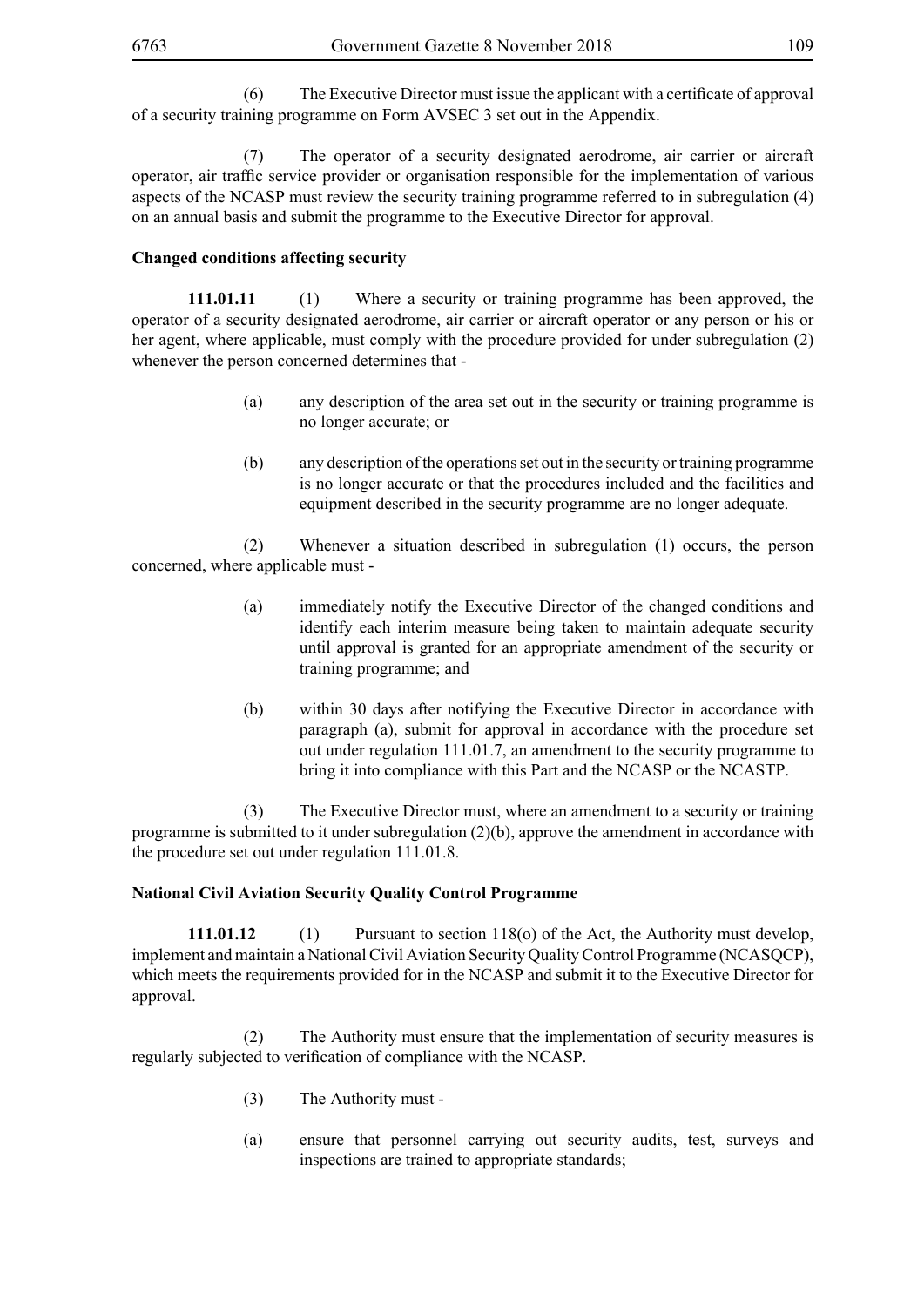(6) The Executive Director must issue the applicant with a certificate of approval of a security training programme on Form AVSEC 3 set out in the Appendix.

 (7) The operator of a security designated aerodrome, air carrier or aircraft operator, air traffic service provider or organisation responsible for the implementation of various aspects of the NCASP must review the security training programme referred to in subregulation (4) on an annual basis and submit the programme to the Executive Director for approval.

## **Changed conditions affecting security**

**111.01.11** (1) Where a security or training programme has been approved, the operator of a security designated aerodrome, air carrier or aircraft operator or any person or his or her agent, where applicable, must comply with the procedure provided for under subregulation (2) whenever the person concerned determines that -

- (a) any description of the area set out in the security or training programme is no longer accurate; or
- (b) any description of the operations set out in the security or training programme is no longer accurate or that the procedures included and the facilities and equipment described in the security programme are no longer adequate.

 (2) Whenever a situation described in subregulation (1) occurs, the person concerned, where applicable must -

- (a) immediately notify the Executive Director of the changed conditions and identify each interim measure being taken to maintain adequate security until approval is granted for an appropriate amendment of the security or training programme; and
- (b) within 30 days after notifying the Executive Director in accordance with paragraph (a), submit for approval in accordance with the procedure set out under regulation 111.01.7, an amendment to the security programme to bring it into compliance with this Part and the NCASP or the NCASTP.

 (3) The Executive Director must, where an amendment to a security or training programme is submitted to it under subregulation (2)(b), approve the amendment in accordance with the procedure set out under regulation 111.01.8.

#### **National Civil Aviation Security Quality Control Programme**

**111.01.12** (1) Pursuant to section 118(o) of the Act, the Authority must develop, implement and maintain a National Civil Aviation Security Quality Control Programme (NCASQCP), which meets the requirements provided for in the NCASP and submit it to the Executive Director for approval.

 (2) The Authority must ensure that the implementation of security measures is regularly subjected to verification of compliance with the NCASP.

- (3) The Authority must -
- (a) ensure that personnel carrying out security audits, test, surveys and inspections are trained to appropriate standards;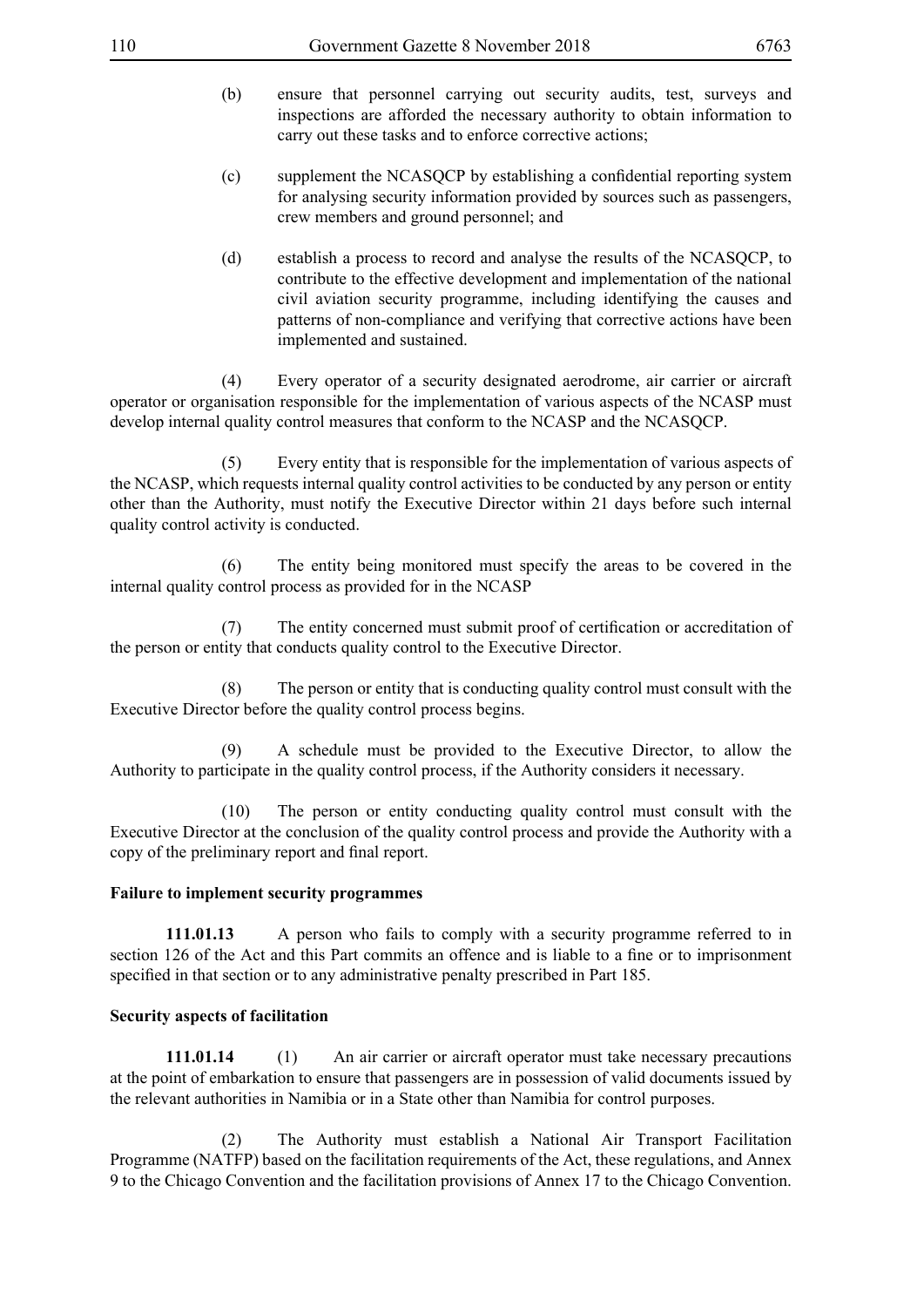- (b) ensure that personnel carrying out security audits, test, surveys and inspections are afforded the necessary authority to obtain information to carry out these tasks and to enforce corrective actions;
- (c) supplement the NCASQCP by establishing a confidential reporting system for analysing security information provided by sources such as passengers, crew members and ground personnel; and
- (d) establish a process to record and analyse the results of the NCASQCP, to contribute to the effective development and implementation of the national civil aviation security programme, including identifying the causes and patterns of non-compliance and verifying that corrective actions have been implemented and sustained.

 (4) Every operator of a security designated aerodrome, air carrier or aircraft operator or organisation responsible for the implementation of various aspects of the NCASP must develop internal quality control measures that conform to the NCASP and the NCASQCP.

 (5) Every entity that is responsible for the implementation of various aspects of the NCASP, which requests internal quality control activities to be conducted by any person or entity other than the Authority, must notify the Executive Director within 21 days before such internal quality control activity is conducted.

 (6) The entity being monitored must specify the areas to be covered in the internal quality control process as provided for in the NCASP

(7) The entity concerned must submit proof of certification or accreditation of the person or entity that conducts quality control to the Executive Director.

 (8) The person or entity that is conducting quality control must consult with the Executive Director before the quality control process begins.

 (9) A schedule must be provided to the Executive Director, to allow the Authority to participate in the quality control process, if the Authority considers it necessary.

 (10) The person or entity conducting quality control must consult with the Executive Director at the conclusion of the quality control process and provide the Authority with a copy of the preliminary report and final report.

#### **Failure to implement security programmes**

**111.01.13** A person who fails to comply with a security programme referred to in section 126 of the Act and this Part commits an offence and is liable to a fine or to imprisonment specified in that section or to any administrative penalty prescribed in Part 185.

#### **Security aspects of facilitation**

**111.01.14** (1) An air carrier or aircraft operator must take necessary precautions at the point of embarkation to ensure that passengers are in possession of valid documents issued by the relevant authorities in Namibia or in a State other than Namibia for control purposes.

 (2) The Authority must establish a National Air Transport Facilitation Programme (NATFP) based on the facilitation requirements of the Act, these regulations, and Annex 9 to the Chicago Convention and the facilitation provisions of Annex 17 to the Chicago Convention.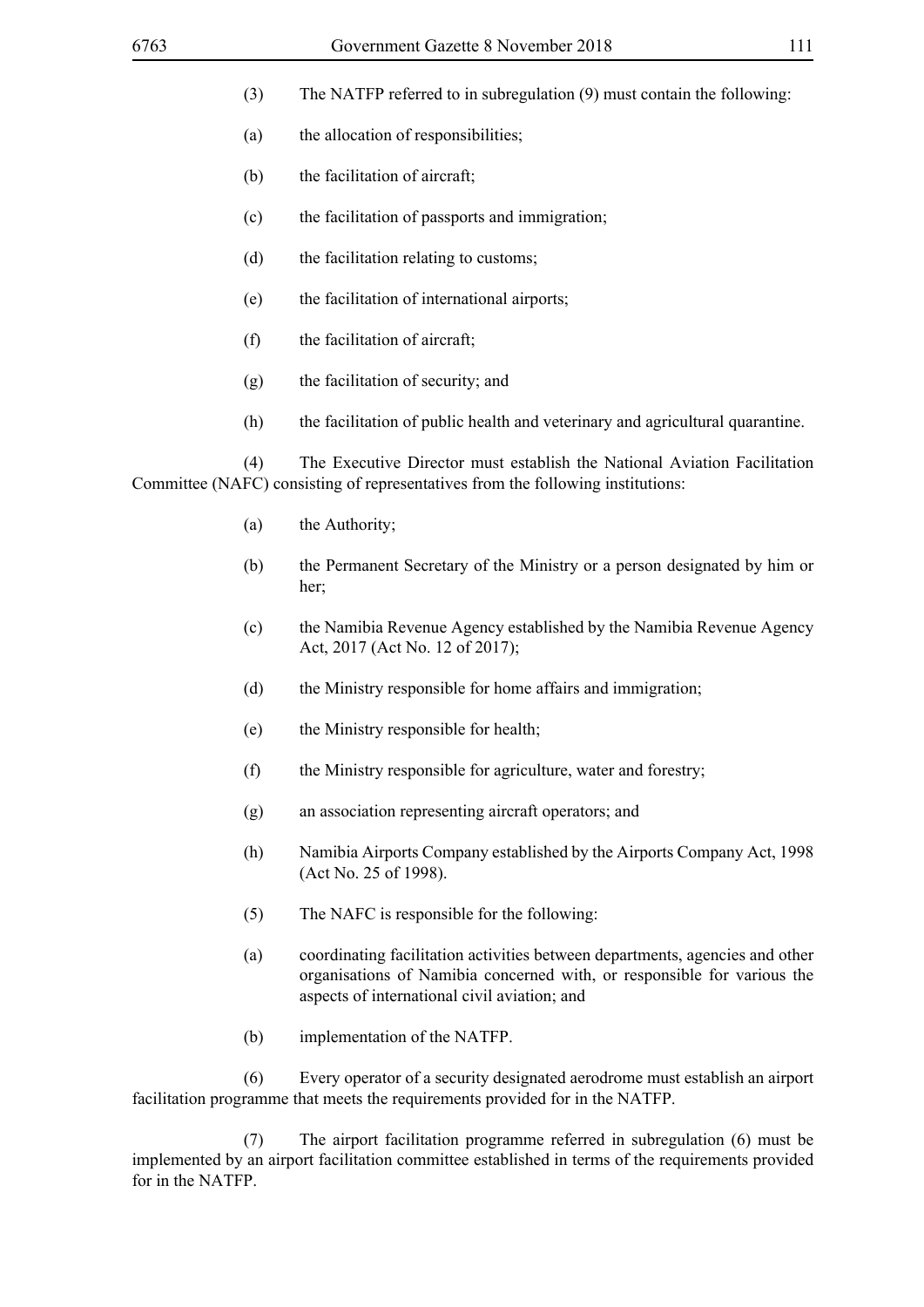- (3) The NATFP referred to in subregulation (9) must contain the following:
- (a) the allocation of responsibilities;
- (b) the facilitation of aircraft;
- (c) the facilitation of passports and immigration;
- (d) the facilitation relating to customs;
- (e) the facilitation of international airports;
- (f) the facilitation of aircraft;
- (g) the facilitation of security; and
- (h) the facilitation of public health and veterinary and agricultural quarantine.

 (4) The Executive Director must establish the National Aviation Facilitation Committee (NAFC) consisting of representatives from the following institutions:

- (a) the Authority;
- (b) the Permanent Secretary of the Ministry or a person designated by him or her;
- (c) the Namibia Revenue Agency established by the Namibia Revenue Agency Act, 2017 (Act No. 12 of 2017);
- (d) the Ministry responsible for home affairs and immigration;
- (e) the Ministry responsible for health;
- (f) the Ministry responsible for agriculture, water and forestry;
- (g) an association representing aircraft operators; and
- (h) Namibia Airports Company established by the Airports Company Act, 1998 (Act No. 25 of 1998).
- (5) The NAFC is responsible for the following:
- (a) coordinating facilitation activities between departments, agencies and other organisations of Namibia concerned with, or responsible for various the aspects of international civil aviation; and
- (b) implementation of the NATFP.

 (6) Every operator of a security designated aerodrome must establish an airport facilitation programme that meets the requirements provided for in the NATFP.

 (7) The airport facilitation programme referred in subregulation (6) must be implemented by an airport facilitation committee established in terms of the requirements provided for in the NATFP.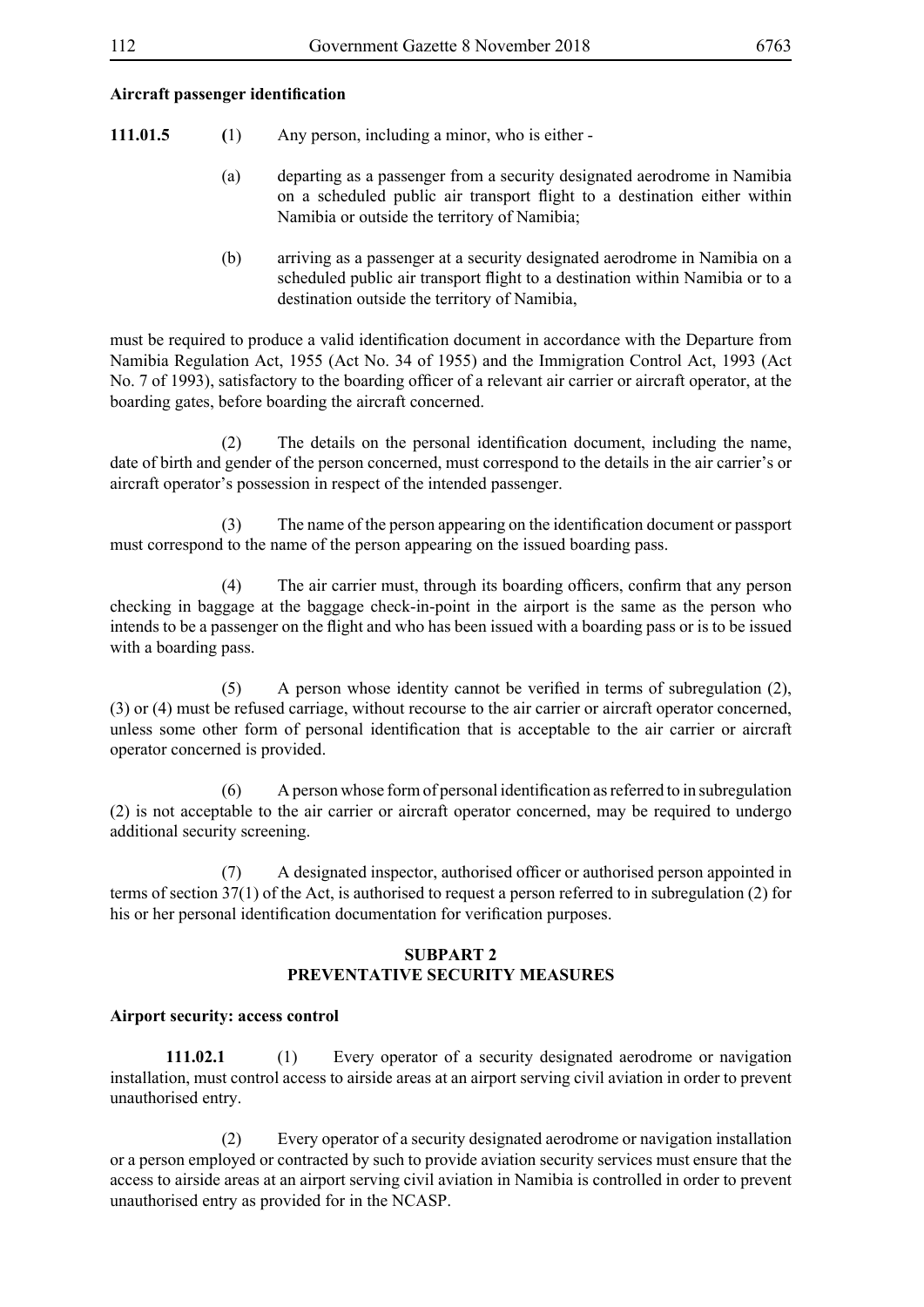#### **Aircraft passenger identification**

- **111.01.5 (**1) Any person, including a minor, who is either
	- (a) departing as a passenger from a security designated aerodrome in Namibia on a scheduled public air transport flight to a destination either within Namibia or outside the territory of Namibia;
	- (b) arriving as a passenger at a security designated aerodrome in Namibia on a scheduled public air transport flight to a destination within Namibia or to a destination outside the territory of Namibia,

must be required to produce a valid identification document in accordance with the Departure from Namibia Regulation Act, 1955 (Act No. 34 of 1955) and the Immigration Control Act, 1993 (Act No. 7 of 1993), satisfactory to the boarding officer of a relevant air carrier or aircraft operator, at the boarding gates, before boarding the aircraft concerned.

(2) The details on the personal identification document, including the name, date of birth and gender of the person concerned, must correspond to the details in the air carrier's or aircraft operator's possession in respect of the intended passenger.

(3) The name of the person appearing on the identification document or passport must correspond to the name of the person appearing on the issued boarding pass.

(4) The air carrier must, through its boarding officers, confirm that any person checking in baggage at the baggage check-in-point in the airport is the same as the person who intends to be a passenger on the flight and who has been issued with a boarding pass or is to be issued with a boarding pass.

(5) A person whose identity cannot be verified in terms of subregulation (2), (3) or (4) must be refused carriage, without recourse to the air carrier or aircraft operator concerned, unless some other form of personal identification that is acceptable to the air carrier or aircraft operator concerned is provided.

(6) A person whose form of personal identification as referred to in subregulation (2) is not acceptable to the air carrier or aircraft operator concerned, may be required to undergo additional security screening.

(7) A designated inspector, authorised officer or authorised person appointed in terms of section 37(1) of the Act, is authorised to request a person referred to in subregulation (2) for his or her personal identification documentation for verification purposes.

### **SUBPART 2 PREVENTATIVE SECURITY MEASURES**

#### **Airport security: access control**

**111.02.1** (1) Every operator of a security designated aerodrome or navigation installation, must control access to airside areas at an airport serving civil aviation in order to prevent unauthorised entry.

 (2) Every operator of a security designated aerodrome or navigation installation or a person employed or contracted by such to provide aviation security services must ensure that the access to airside areas at an airport serving civil aviation in Namibia is controlled in order to prevent unauthorised entry as provided for in the NCASP.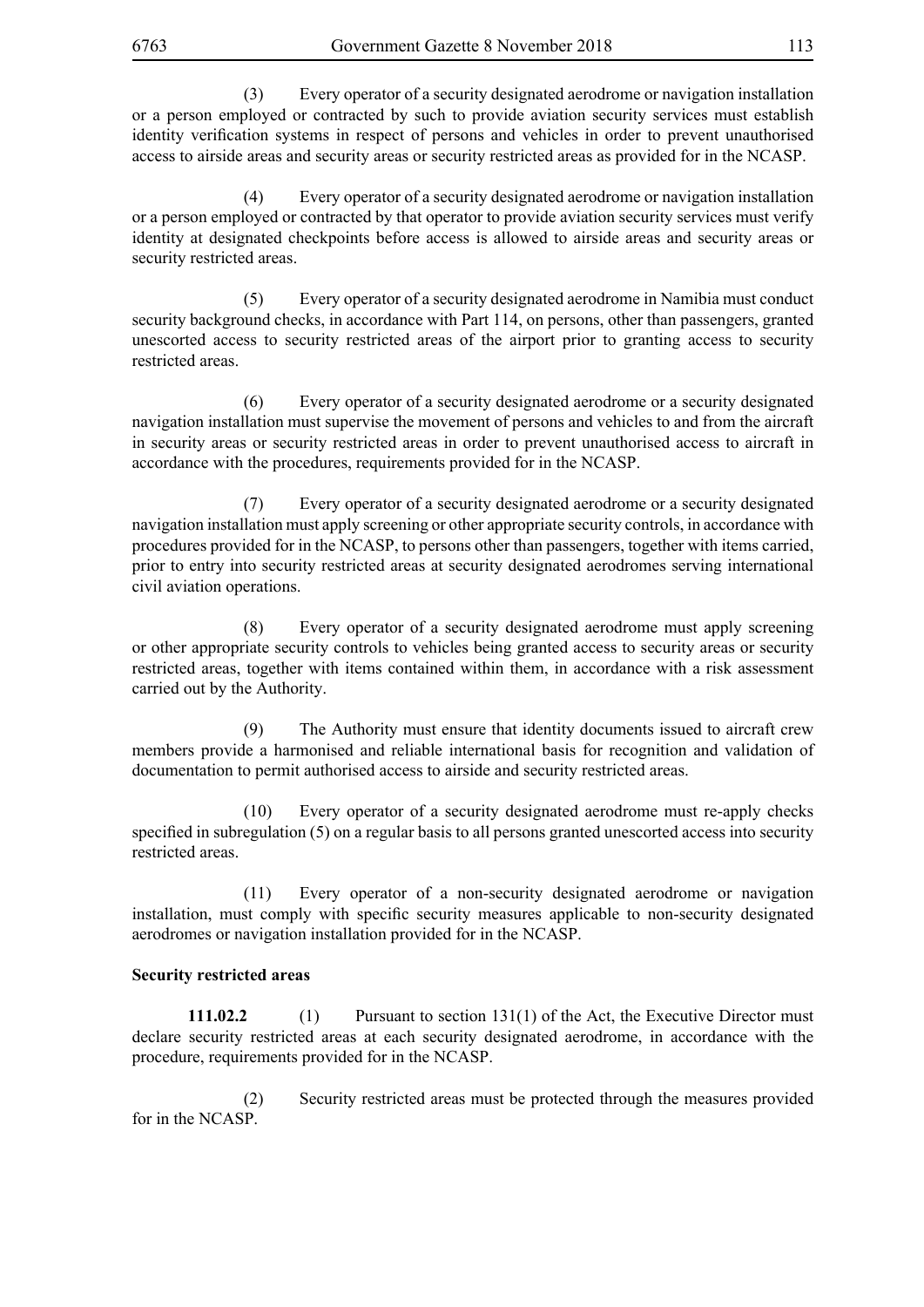(3) Every operator of a security designated aerodrome or navigation installation or a person employed or contracted by such to provide aviation security services must establish identity verification systems in respect of persons and vehicles in order to prevent unauthorised access to airside areas and security areas or security restricted areas as provided for in the NCASP.

 (4) Every operator of a security designated aerodrome or navigation installation or a person employed or contracted by that operator to provide aviation security services must verify identity at designated checkpoints before access is allowed to airside areas and security areas or security restricted areas.

 (5) Every operator of a security designated aerodrome in Namibia must conduct security background checks, in accordance with Part 114, on persons, other than passengers, granted unescorted access to security restricted areas of the airport prior to granting access to security restricted areas.

 (6) Every operator of a security designated aerodrome or a security designated navigation installation must supervise the movement of persons and vehicles to and from the aircraft in security areas or security restricted areas in order to prevent unauthorised access to aircraft in accordance with the procedures, requirements provided for in the NCASP.

 (7) Every operator of a security designated aerodrome or a security designated navigation installation must apply screening or other appropriate security controls, in accordance with procedures provided for in the NCASP, to persons other than passengers, together with items carried, prior to entry into security restricted areas at security designated aerodromes serving international civil aviation operations.

 (8) Every operator of a security designated aerodrome must apply screening or other appropriate security controls to vehicles being granted access to security areas or security restricted areas, together with items contained within them, in accordance with a risk assessment carried out by the Authority.

 (9) The Authority must ensure that identity documents issued to aircraft crew members provide a harmonised and reliable international basis for recognition and validation of documentation to permit authorised access to airside and security restricted areas.

 (10) Every operator of a security designated aerodrome must re-apply checks specified in subregulation (5) on a regular basis to all persons granted unescorted access into security restricted areas.

 (11) Every operator of a non-security designated aerodrome or navigation installation, must comply with specific security measures applicable to non-security designated aerodromes or navigation installation provided for in the NCASP.

#### **Security restricted areas**

**111.02.2** (1) Pursuant to section 131(1) of the Act, the Executive Director must declare security restricted areas at each security designated aerodrome, in accordance with the procedure, requirements provided for in the NCASP.

 (2) Security restricted areas must be protected through the measures provided for in the NCASP.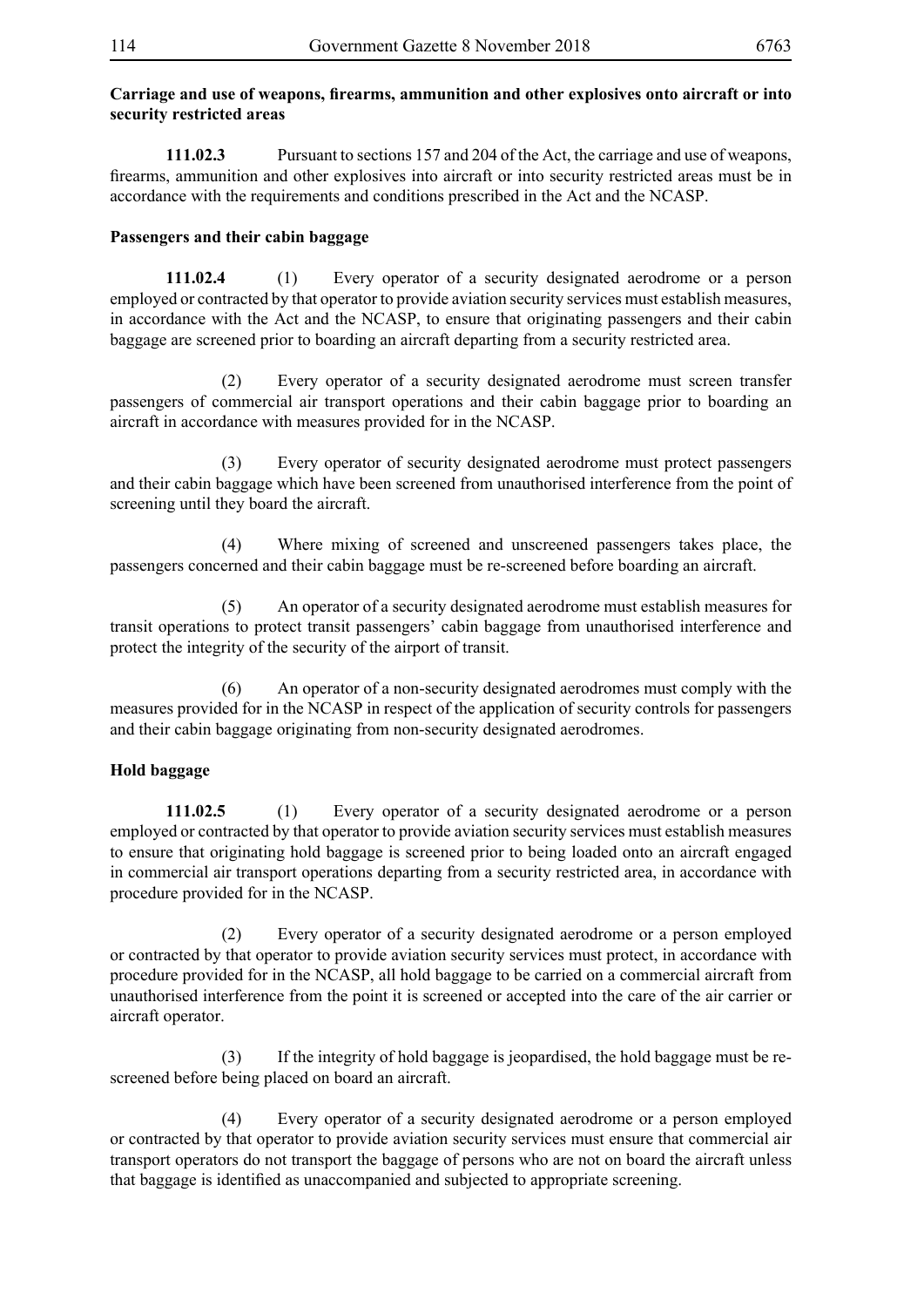### **Carriage and use of weapons, firearms, ammunition and other explosives onto aircraft or into security restricted areas**

**111.02.3** Pursuant to sections 157 and 204 of the Act, the carriage and use of weapons, firearms, ammunition and other explosives into aircraft or into security restricted areas must be in accordance with the requirements and conditions prescribed in the Act and the NCASP.

## **Passengers and their cabin baggage**

**111.02.4** (1) Every operator of a security designated aerodrome or a person employed or contracted by that operator to provide aviation security services must establish measures, in accordance with the Act and the NCASP, to ensure that originating passengers and their cabin baggage are screened prior to boarding an aircraft departing from a security restricted area.

 (2) Every operator of a security designated aerodrome must screen transfer passengers of commercial air transport operations and their cabin baggage prior to boarding an aircraft in accordance with measures provided for in the NCASP.

 (3) Every operator of security designated aerodrome must protect passengers and their cabin baggage which have been screened from unauthorised interference from the point of screening until they board the aircraft.

 (4) Where mixing of screened and unscreened passengers takes place, the passengers concerned and their cabin baggage must be re-screened before boarding an aircraft.

 (5) An operator of a security designated aerodrome must establish measures for transit operations to protect transit passengers' cabin baggage from unauthorised interference and protect the integrity of the security of the airport of transit.

 (6) An operator of a non-security designated aerodromes must comply with the measures provided for in the NCASP in respect of the application of security controls for passengers and their cabin baggage originating from non-security designated aerodromes.

## **Hold baggage**

**111.02.5** (1) Every operator of a security designated aerodrome or a person employed or contracted by that operator to provide aviation security services must establish measures to ensure that originating hold baggage is screened prior to being loaded onto an aircraft engaged in commercial air transport operations departing from a security restricted area, in accordance with procedure provided for in the NCASP.

 (2) Every operator of a security designated aerodrome or a person employed or contracted by that operator to provide aviation security services must protect, in accordance with procedure provided for in the NCASP, all hold baggage to be carried on a commercial aircraft from unauthorised interference from the point it is screened or accepted into the care of the air carrier or aircraft operator.

 (3) If the integrity of hold baggage is jeopardised, the hold baggage must be rescreened before being placed on board an aircraft.

 (4) Every operator of a security designated aerodrome or a person employed or contracted by that operator to provide aviation security services must ensure that commercial air transport operators do not transport the baggage of persons who are not on board the aircraft unless that baggage is identified as unaccompanied and subjected to appropriate screening.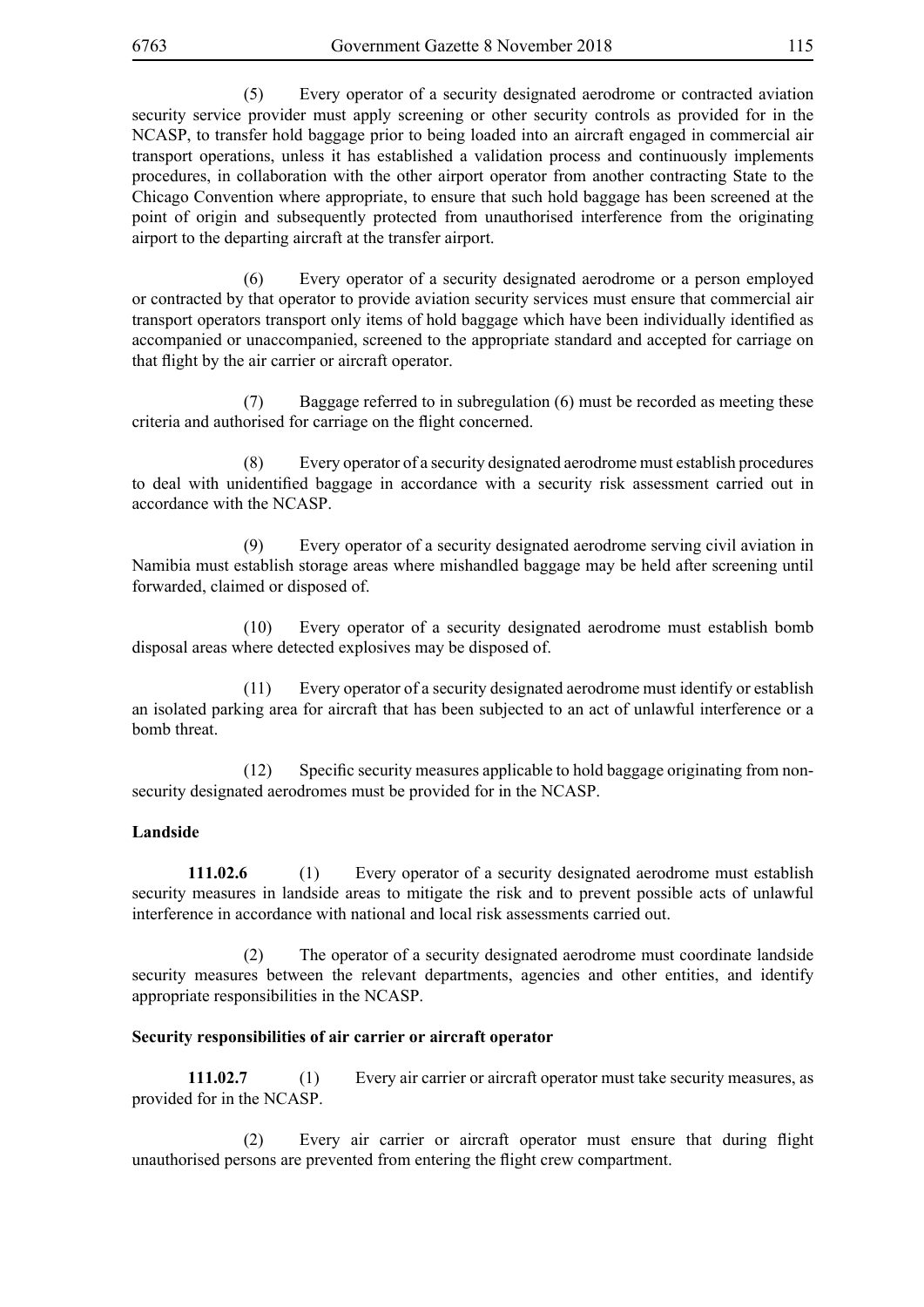(5) Every operator of a security designated aerodrome or contracted aviation security service provider must apply screening or other security controls as provided for in the NCASP, to transfer hold baggage prior to being loaded into an aircraft engaged in commercial air transport operations, unless it has established a validation process and continuously implements procedures, in collaboration with the other airport operator from another contracting State to the Chicago Convention where appropriate, to ensure that such hold baggage has been screened at the point of origin and subsequently protected from unauthorised interference from the originating airport to the departing aircraft at the transfer airport.

 (6) Every operator of a security designated aerodrome or a person employed or contracted by that operator to provide aviation security services must ensure that commercial air transport operators transport only items of hold baggage which have been individually identified as accompanied or unaccompanied, screened to the appropriate standard and accepted for carriage on that flight by the air carrier or aircraft operator.

 (7) Baggage referred to in subregulation (6) must be recorded as meeting these criteria and authorised for carriage on the flight concerned.

 (8) Every operator of a security designated aerodrome must establish procedures to deal with unidentified baggage in accordance with a security risk assessment carried out in accordance with the NCASP.

 (9) Every operator of a security designated aerodrome serving civil aviation in Namibia must establish storage areas where mishandled baggage may be held after screening until forwarded, claimed or disposed of.

 (10) Every operator of a security designated aerodrome must establish bomb disposal areas where detected explosives may be disposed of.

 (11) Every operator of a security designated aerodrome must identify or establish an isolated parking area for aircraft that has been subjected to an act of unlawful interference or a bomb threat.

(12) Specific security measures applicable to hold baggage originating from nonsecurity designated aerodromes must be provided for in the NCASP.

#### **Landside**

**111.02.6** (1) Every operator of a security designated aerodrome must establish security measures in landside areas to mitigate the risk and to prevent possible acts of unlawful interference in accordance with national and local risk assessments carried out.

 (2) The operator of a security designated aerodrome must coordinate landside security measures between the relevant departments, agencies and other entities, and identify appropriate responsibilities in the NCASP.

#### **Security responsibilities of air carrier or aircraft operator**

**111.02.7** (1) Every air carrier or aircraft operator must take security measures, as provided for in the NCASP.

(2) Every air carrier or aircraft operator must ensure that during flight unauthorised persons are prevented from entering the flight crew compartment.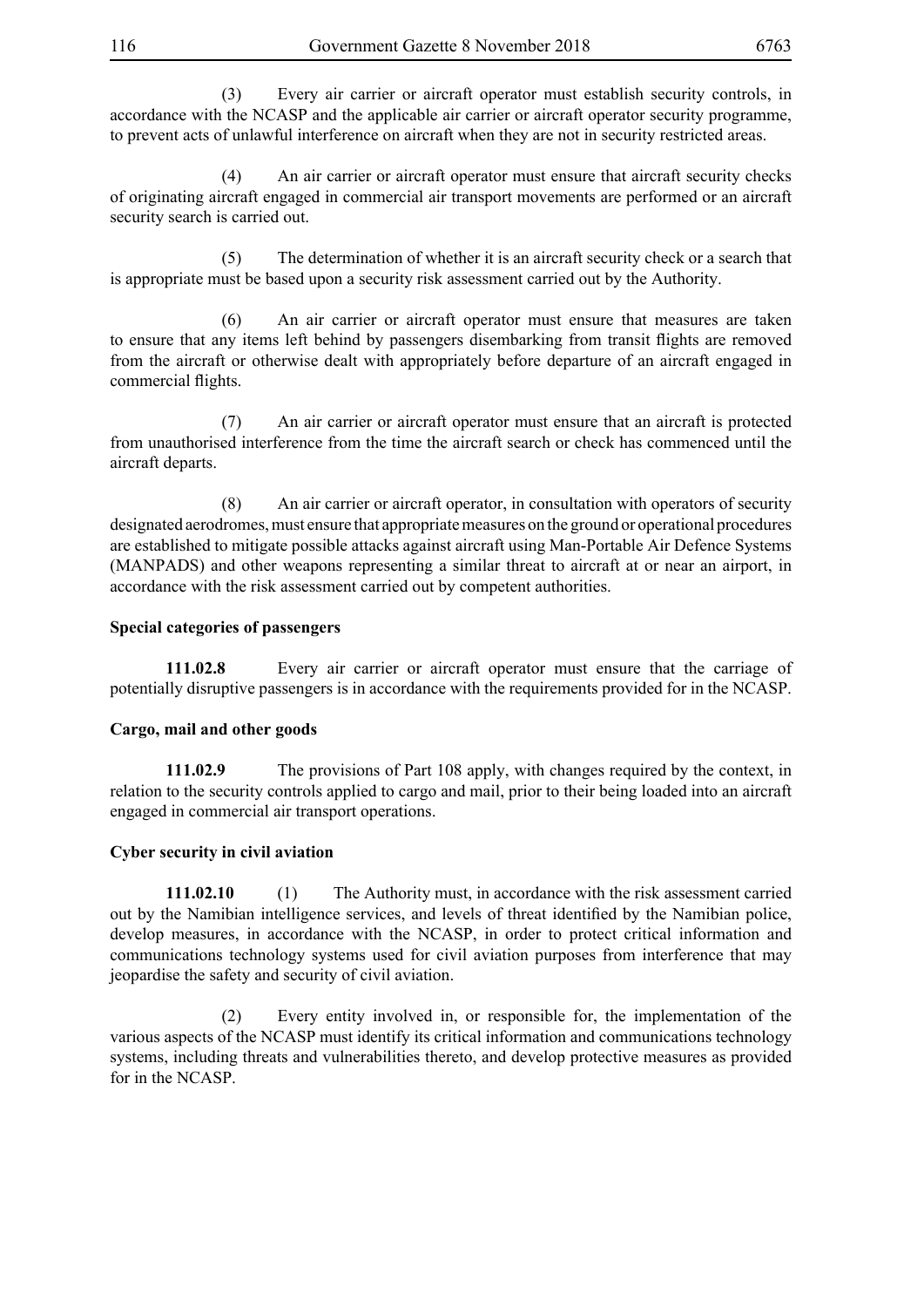(3) Every air carrier or aircraft operator must establish security controls, in accordance with the NCASP and the applicable air carrier or aircraft operator security programme, to prevent acts of unlawful interference on aircraft when they are not in security restricted areas.

 (4) An air carrier or aircraft operator must ensure that aircraft security checks of originating aircraft engaged in commercial air transport movements are performed or an aircraft security search is carried out.

 (5) The determination of whether it is an aircraft security check or a search that is appropriate must be based upon a security risk assessment carried out by the Authority.

 (6) An air carrier or aircraft operator must ensure that measures are taken to ensure that any items left behind by passengers disembarking from transit flights are removed from the aircraft or otherwise dealt with appropriately before departure of an aircraft engaged in commercial flights.

 (7) An air carrier or aircraft operator must ensure that an aircraft is protected from unauthorised interference from the time the aircraft search or check has commenced until the aircraft departs.

 (8) An air carrier or aircraft operator, in consultation with operators of security designated aerodromes, must ensure that appropriate measures on the ground or operational procedures are established to mitigate possible attacks against aircraft using Man-Portable Air Defence Systems (MANPADS) and other weapons representing a similar threat to aircraft at or near an airport, in accordance with the risk assessment carried out by competent authorities.

### **Special categories of passengers**

**111.02.8** Every air carrier or aircraft operator must ensure that the carriage of potentially disruptive passengers is in accordance with the requirements provided for in the NCASP.

#### **Cargo, mail and other goods**

**111.02.9** The provisions of Part 108 apply, with changes required by the context, in relation to the security controls applied to cargo and mail, prior to their being loaded into an aircraft engaged in commercial air transport operations.

#### **Cyber security in civil aviation**

**111.02.10** (1) The Authority must, in accordance with the risk assessment carried out by the Namibian intelligence services, and levels of threat identified by the Namibian police, develop measures, in accordance with the NCASP, in order to protect critical information and communications technology systems used for civil aviation purposes from interference that may jeopardise the safety and security of civil aviation.

 (2) Every entity involved in, or responsible for, the implementation of the various aspects of the NCASP must identify its critical information and communications technology systems, including threats and vulnerabilities thereto, and develop protective measures as provided for in the NCASP.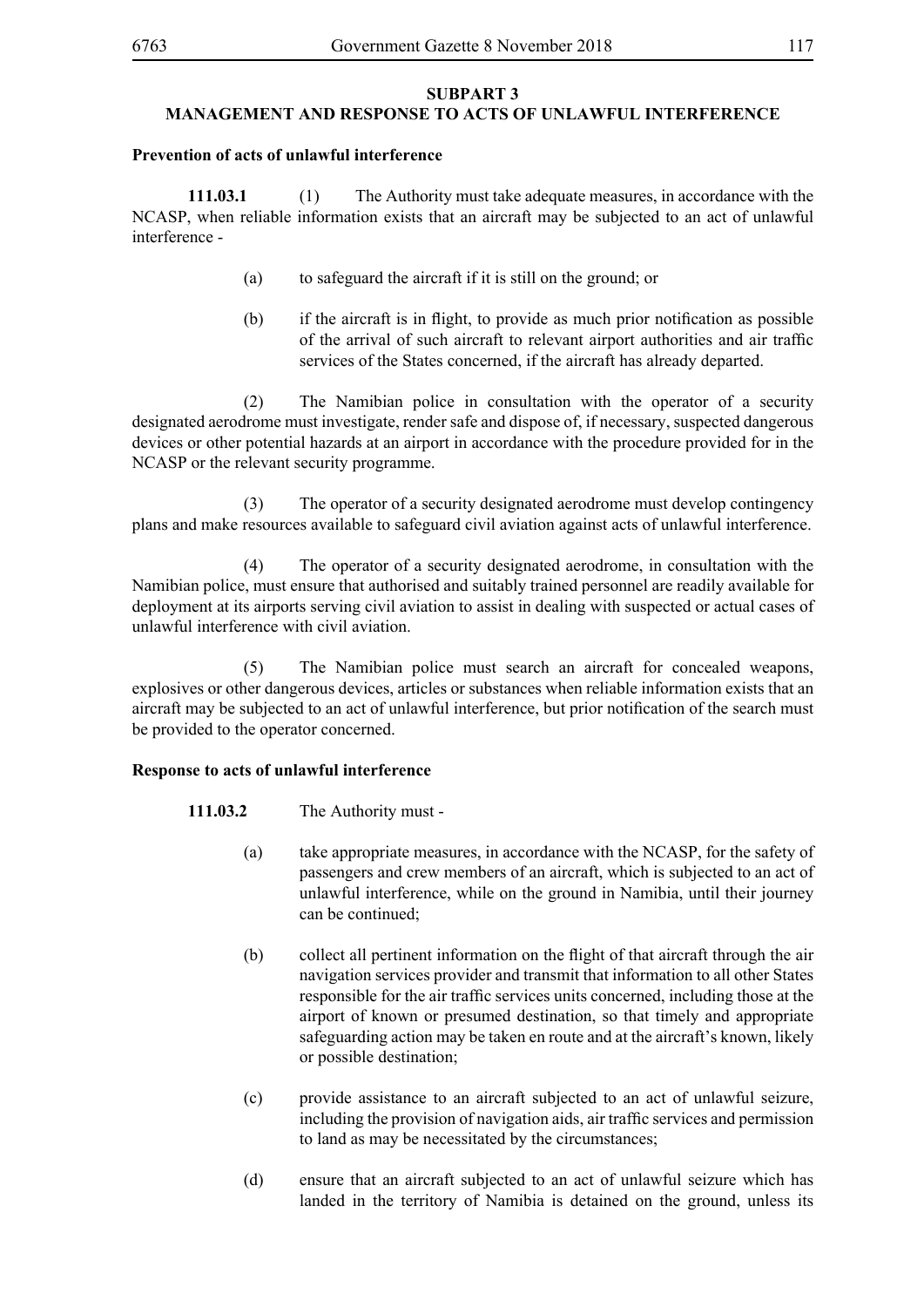#### **SUBPART 3 MANAGEMENT AND RESPONSE TO ACTS OF UNLAWFUL INTERFERENCE**

#### **Prevention of acts of unlawful interference**

**111.03.1** (1) The Authority must take adequate measures, in accordance with the NCASP, when reliable information exists that an aircraft may be subjected to an act of unlawful interference -

- (a) to safeguard the aircraft if it is still on the ground; or
- (b) if the aircraft is in flight, to provide as much prior notification as possible of the arrival of such aircraft to relevant airport authorities and air traffic services of the States concerned, if the aircraft has already departed.

 (2) The Namibian police in consultation with the operator of a security designated aerodrome must investigate, render safe and dispose of, if necessary, suspected dangerous devices or other potential hazards at an airport in accordance with the procedure provided for in the NCASP or the relevant security programme.

 (3) The operator of a security designated aerodrome must develop contingency plans and make resources available to safeguard civil aviation against acts of unlawful interference.

 (4) The operator of a security designated aerodrome, in consultation with the Namibian police, must ensure that authorised and suitably trained personnel are readily available for deployment at its airports serving civil aviation to assist in dealing with suspected or actual cases of unlawful interference with civil aviation.

 (5) The Namibian police must search an aircraft for concealed weapons, explosives or other dangerous devices, articles or substances when reliable information exists that an aircraft may be subjected to an act of unlawful interference, but prior notification of the search must be provided to the operator concerned.

#### **Response to acts of unlawful interference**

- **111.03.2** The Authority must
	- (a) take appropriate measures, in accordance with the NCASP, for the safety of passengers and crew members of an aircraft, which is subjected to an act of unlawful interference, while on the ground in Namibia, until their journey can be continued;
	- (b) collect all pertinent information on the flight of that aircraft through the air navigation services provider and transmit that information to all other States responsible for the air traffic services units concerned, including those at the airport of known or presumed destination, so that timely and appropriate safeguarding action may be taken en route and at the aircraft's known, likely or possible destination;
	- (c) provide assistance to an aircraft subjected to an act of unlawful seizure, including the provision of navigation aids, air traffic services and permission to land as may be necessitated by the circumstances;
	- (d) ensure that an aircraft subjected to an act of unlawful seizure which has landed in the territory of Namibia is detained on the ground, unless its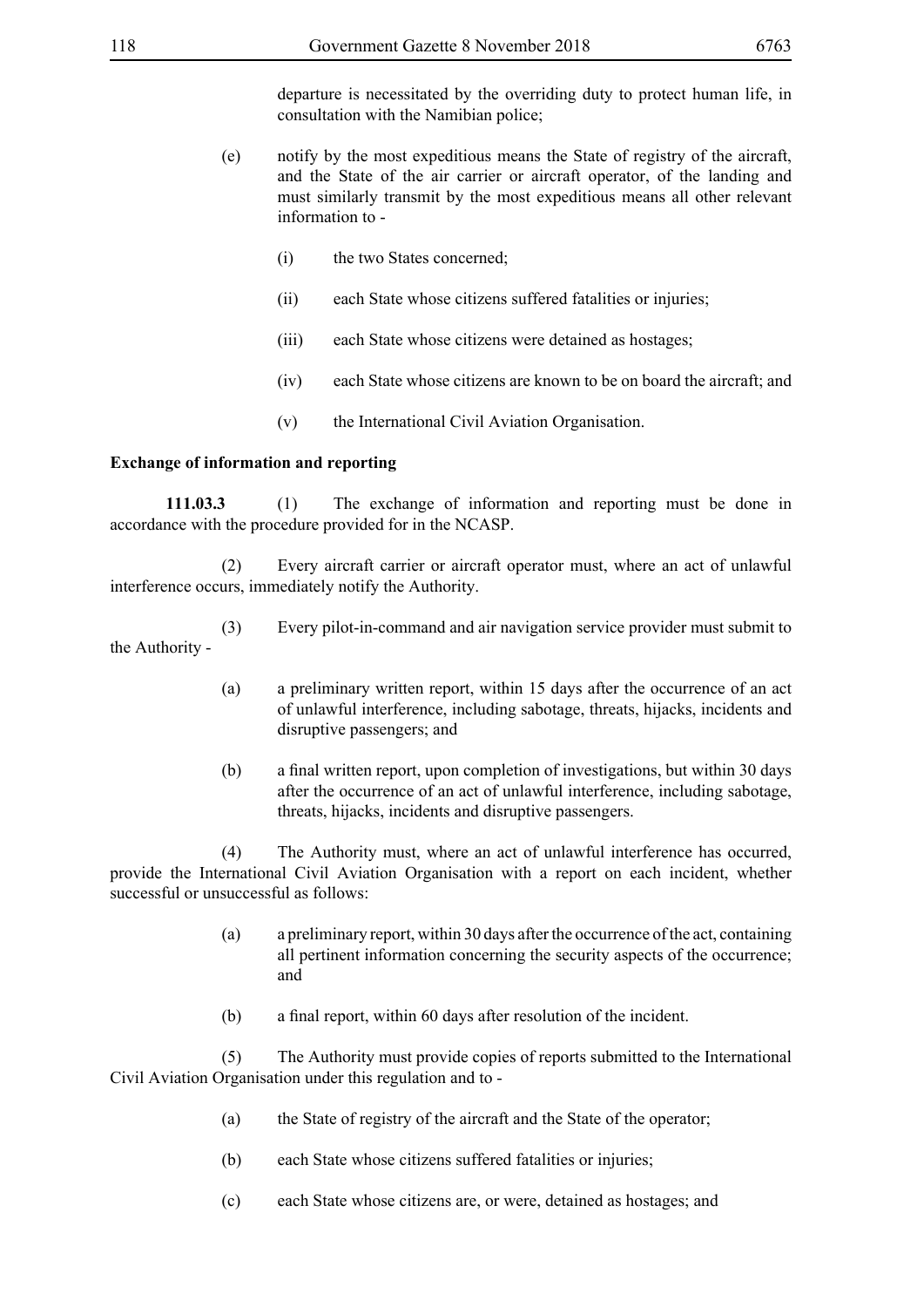departure is necessitated by the overriding duty to protect human life, in consultation with the Namibian police;

- (e) notify by the most expeditious means the State of registry of the aircraft, and the State of the air carrier or aircraft operator, of the landing and must similarly transmit by the most expeditious means all other relevant information to -
	- (i) the two States concerned;
	- (ii) each State whose citizens suffered fatalities or injuries;
	- (iii) each State whose citizens were detained as hostages;
	- (iv) each State whose citizens are known to be on board the aircraft; and
	- (v) the International Civil Aviation Organisation.

#### **Exchange of information and reporting**

**111.03.3** (1) The exchange of information and reporting must be done in accordance with the procedure provided for in the NCASP.

 (2) Every aircraft carrier or aircraft operator must, where an act of unlawful interference occurs, immediately notify the Authority.

 (3) Every pilot-in-command and air navigation service provider must submit to the Authority -

- (a) a preliminary written report, within 15 days after the occurrence of an act of unlawful interference, including sabotage, threats, hijacks, incidents and disruptive passengers; and
- (b) a final written report, upon completion of investigations, but within 30 days after the occurrence of an act of unlawful interference, including sabotage, threats, hijacks, incidents and disruptive passengers.

 (4) The Authority must, where an act of unlawful interference has occurred, provide the International Civil Aviation Organisation with a report on each incident, whether successful or unsuccessful as follows:

- (a) a preliminary report, within 30 days after the occurrence of the act, containing all pertinent information concerning the security aspects of the occurrence; and
- (b) a final report, within 60 days after resolution of the incident.

 (5) The Authority must provide copies of reports submitted to the International Civil Aviation Organisation under this regulation and to -

- (a) the State of registry of the aircraft and the State of the operator;
- (b) each State whose citizens suffered fatalities or injuries;
- (c) each State whose citizens are, or were, detained as hostages; and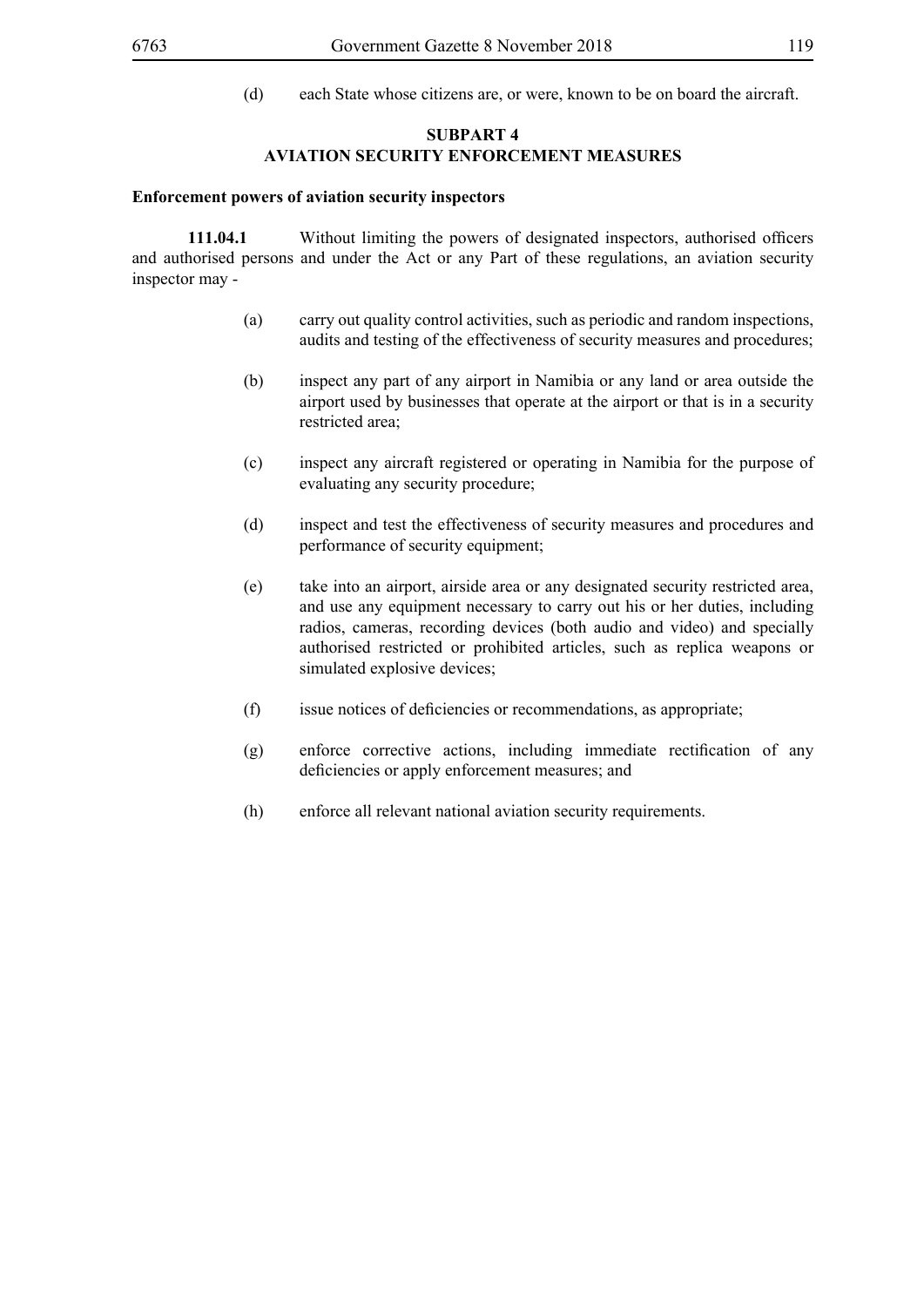(d) each State whose citizens are, or were, known to be on board the aircraft.

### **SUBPART 4 AVIATION SECURITY ENFORCEMENT MEASURES**

### **Enforcement powers of aviation security inspectors**

**111.04.1** Without limiting the powers of designated inspectors, authorised officers and authorised persons and under the Act or any Part of these regulations, an aviation security inspector may -

- (a) carry out quality control activities, such as periodic and random inspections, audits and testing of the effectiveness of security measures and procedures;
- (b) inspect any part of any airport in Namibia or any land or area outside the airport used by businesses that operate at the airport or that is in a security restricted area;
- (c) inspect any aircraft registered or operating in Namibia for the purpose of evaluating any security procedure;
- (d) inspect and test the effectiveness of security measures and procedures and performance of security equipment;
- (e) take into an airport, airside area or any designated security restricted area, and use any equipment necessary to carry out his or her duties, including radios, cameras, recording devices (both audio and video) and specially authorised restricted or prohibited articles, such as replica weapons or simulated explosive devices;
- (f) issue notices of deficiencies or recommendations, as appropriate;
- (g) enforce corrective actions, including immediate rectification of any deficiencies or apply enforcement measures; and
- (h) enforce all relevant national aviation security requirements.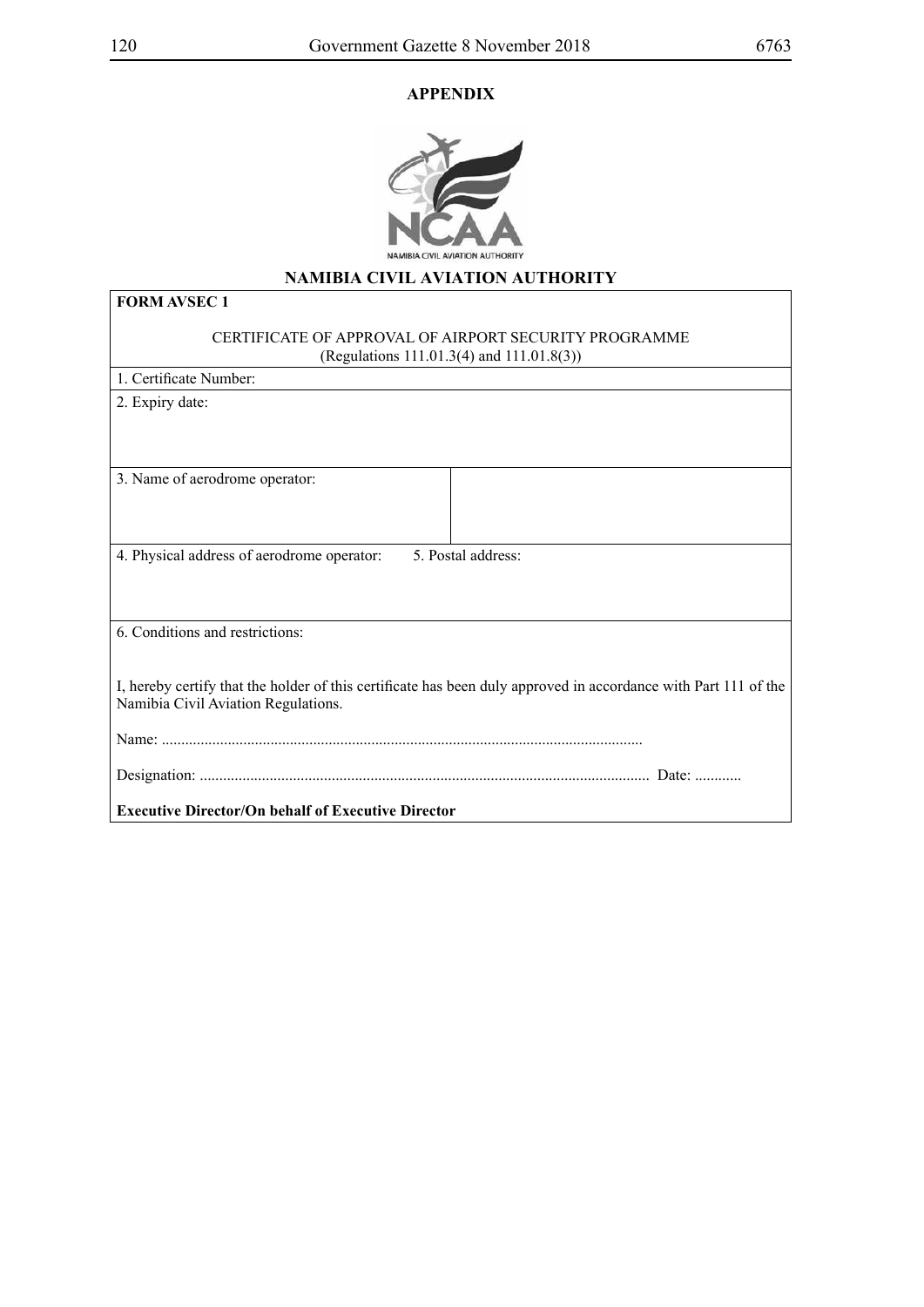## **APPENDIX**



## **NAMIBIA CIVIL AVIATION AUTHORITY**

| <b>FORM AVSEC 1</b>                                                                                                                                    |
|--------------------------------------------------------------------------------------------------------------------------------------------------------|
| CERTIFICATE OF APPROVAL OF AIRPORT SECURITY PROGRAMME<br>(Regulations 111.01.3(4) and 111.01.8(3))                                                     |
| 1. Certificate Number:                                                                                                                                 |
| 2. Expiry date:                                                                                                                                        |
| 3. Name of aerodrome operator:                                                                                                                         |
| 4. Physical address of aerodrome operator:<br>5. Postal address:                                                                                       |
| 6. Conditions and restrictions:                                                                                                                        |
| I, hereby certify that the holder of this certificate has been duly approved in accordance with Part 111 of the<br>Namibia Civil Aviation Regulations. |
|                                                                                                                                                        |
|                                                                                                                                                        |
| <b>Executive Director/On behalf of Executive Director</b>                                                                                              |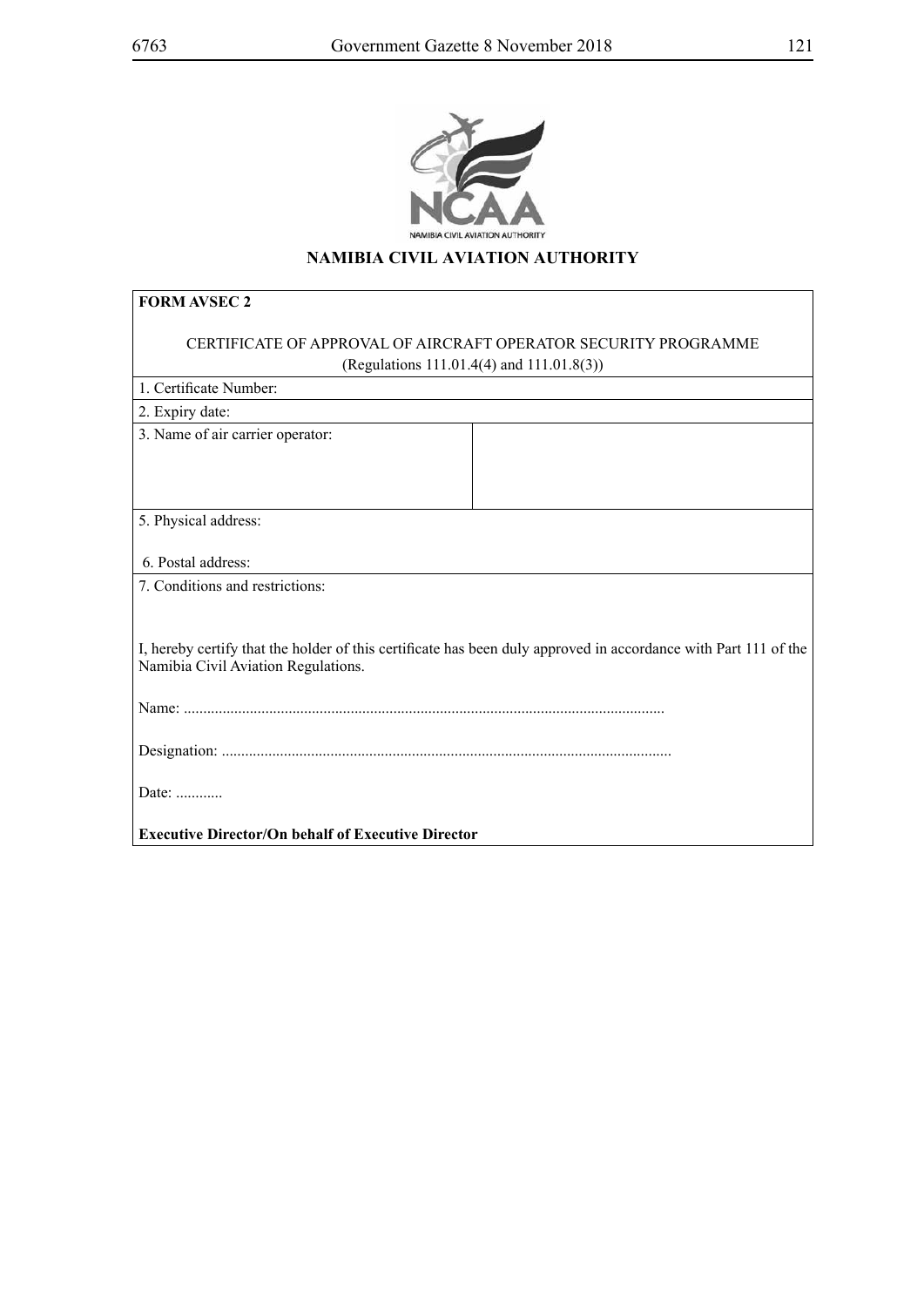

## **NAMIBIA CIVIL AVIATION AUTHORITY**

| <b>FORM AVSEC 2</b>                                                                                                                                    |                                           |  |  |  |  |
|--------------------------------------------------------------------------------------------------------------------------------------------------------|-------------------------------------------|--|--|--|--|
| CERTIFICATE OF APPROVAL OF AIRCRAFT OPERATOR SECURITY PROGRAMME                                                                                        |                                           |  |  |  |  |
|                                                                                                                                                        | (Regulations 111.01.4(4) and 111.01.8(3)) |  |  |  |  |
| 1. Certificate Number:                                                                                                                                 |                                           |  |  |  |  |
| 2. Expiry date:                                                                                                                                        |                                           |  |  |  |  |
| 3. Name of air carrier operator:                                                                                                                       |                                           |  |  |  |  |
| 5. Physical address:                                                                                                                                   |                                           |  |  |  |  |
| 6. Postal address:                                                                                                                                     |                                           |  |  |  |  |
| 7. Conditions and restrictions:                                                                                                                        |                                           |  |  |  |  |
| I, hereby certify that the holder of this certificate has been duly approved in accordance with Part 111 of the<br>Namibia Civil Aviation Regulations. |                                           |  |  |  |  |
|                                                                                                                                                        |                                           |  |  |  |  |
|                                                                                                                                                        |                                           |  |  |  |  |
| Date:                                                                                                                                                  |                                           |  |  |  |  |
| <b>Executive Director/On behalf of Executive Director</b>                                                                                              |                                           |  |  |  |  |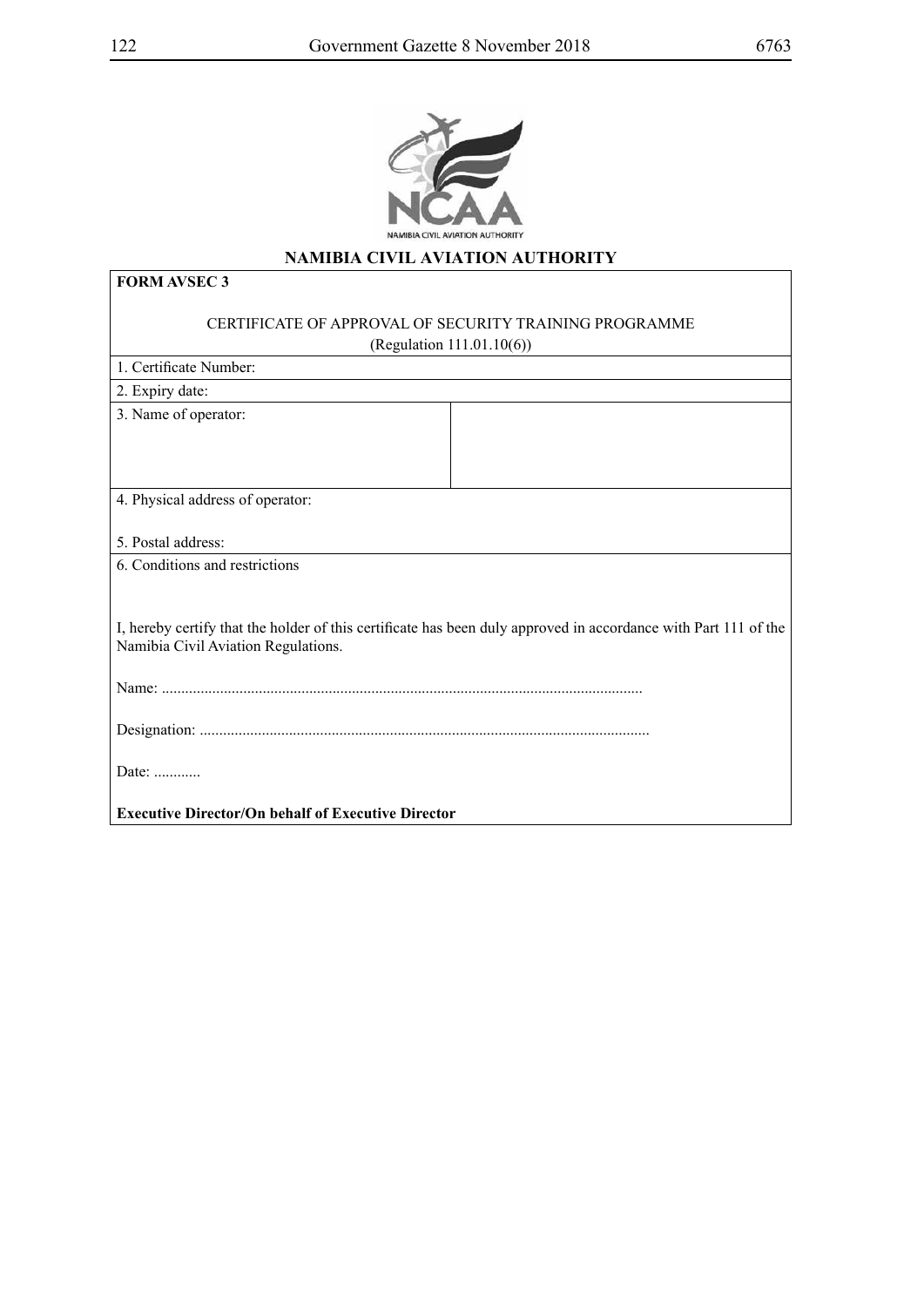

## **NAMIBIA CIVIL AVIATION AUTHORITY**

| <b>FORM AVSEC 3</b>                                                                                                                                    |  |  |  |  |
|--------------------------------------------------------------------------------------------------------------------------------------------------------|--|--|--|--|
| CERTIFICATE OF APPROVAL OF SECURITY TRAINING PROGRAMME                                                                                                 |  |  |  |  |
| (Regulation 111.01.10(6))                                                                                                                              |  |  |  |  |
| 1. Certificate Number:                                                                                                                                 |  |  |  |  |
| 2. Expiry date:                                                                                                                                        |  |  |  |  |
| 3. Name of operator:                                                                                                                                   |  |  |  |  |
| 4. Physical address of operator:                                                                                                                       |  |  |  |  |
| 5. Postal address:                                                                                                                                     |  |  |  |  |
| 6. Conditions and restrictions                                                                                                                         |  |  |  |  |
| I, hereby certify that the holder of this certificate has been duly approved in accordance with Part 111 of the<br>Namibia Civil Aviation Regulations. |  |  |  |  |
|                                                                                                                                                        |  |  |  |  |
|                                                                                                                                                        |  |  |  |  |
| Date: $\dots$                                                                                                                                          |  |  |  |  |
| <b>Executive Director/On behalf of Executive Director</b>                                                                                              |  |  |  |  |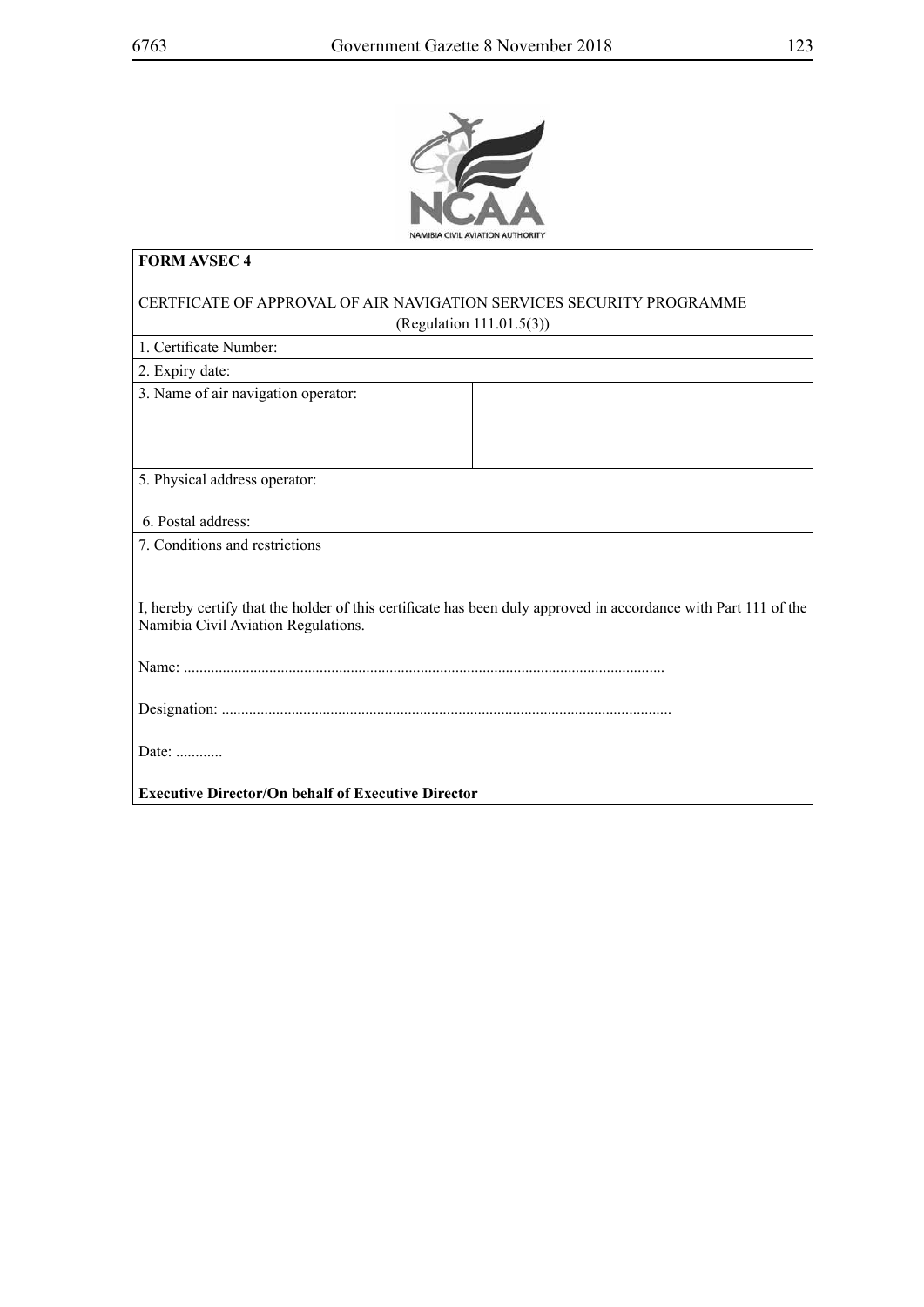

| <b>FORM AVSEC 4</b>                                                                                                                                    |  |  |  |  |
|--------------------------------------------------------------------------------------------------------------------------------------------------------|--|--|--|--|
| CERTFICATE OF APPROVAL OF AIR NAVIGATION SERVICES SECURITY PROGRAMME                                                                                   |  |  |  |  |
| (Regulation $111.01.5(3)$ )                                                                                                                            |  |  |  |  |
| 1. Certificate Number:                                                                                                                                 |  |  |  |  |
| 2. Expiry date:                                                                                                                                        |  |  |  |  |
| 3. Name of air navigation operator:                                                                                                                    |  |  |  |  |
| 5. Physical address operator:                                                                                                                          |  |  |  |  |
| 6. Postal address:                                                                                                                                     |  |  |  |  |
| 7. Conditions and restrictions                                                                                                                         |  |  |  |  |
|                                                                                                                                                        |  |  |  |  |
| I, hereby certify that the holder of this certificate has been duly approved in accordance with Part 111 of the<br>Namibia Civil Aviation Regulations. |  |  |  |  |
|                                                                                                                                                        |  |  |  |  |
|                                                                                                                                                        |  |  |  |  |
| Date: $\ldots$                                                                                                                                         |  |  |  |  |
| <b>Executive Director/On behalf of Executive Director</b>                                                                                              |  |  |  |  |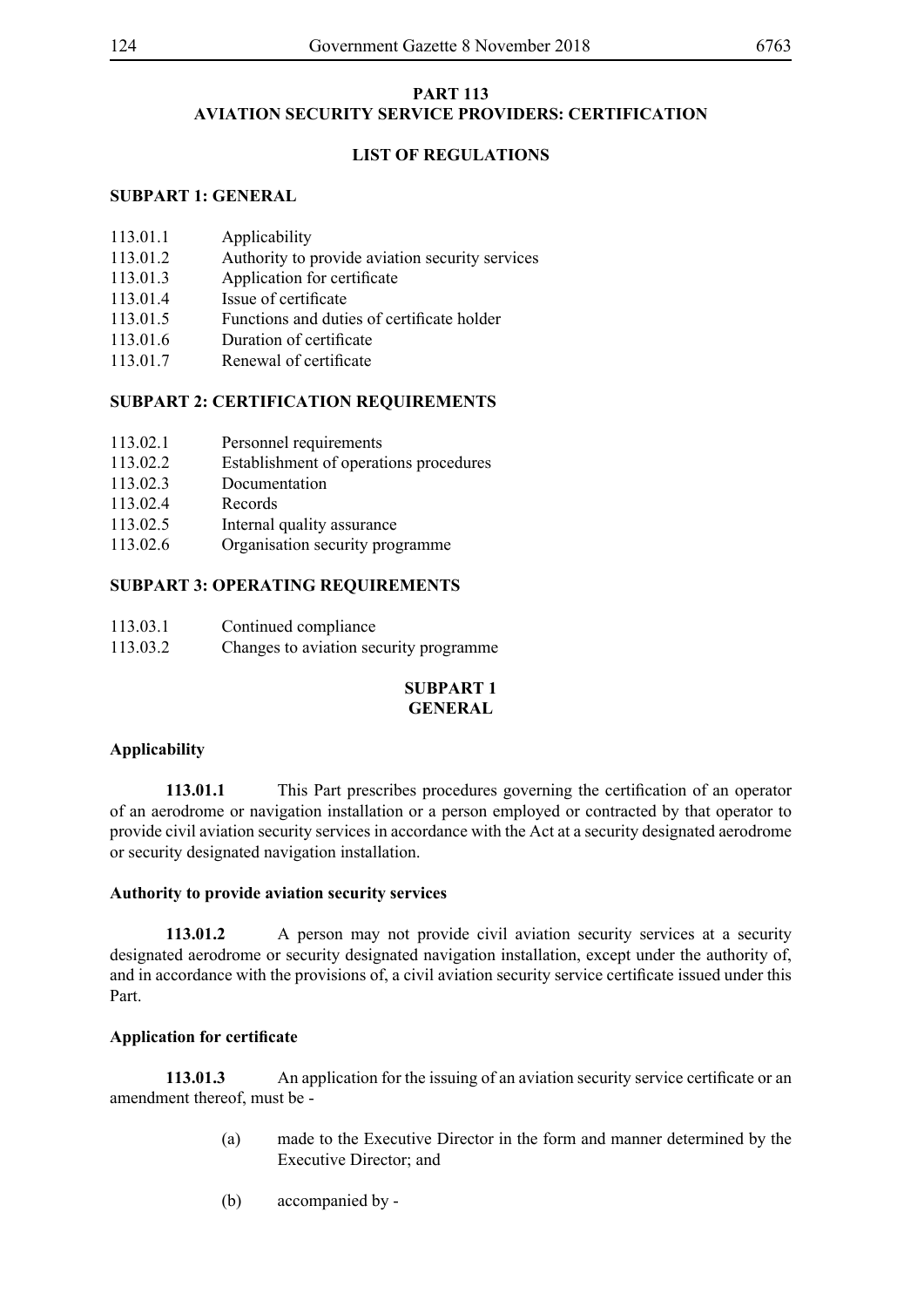## **PART 113 AVIATION SECURITY SERVICE PROVIDERS: CERTIFICATION**

## **LIST OF REGULATIONS**

## **SUBPART 1: GENERAL**

- 113.01.1 Applicability
- 113.01.2 Authority to provide aviation security services
- 113.01.3 Application for certificate
- 113.01.4 Issue of certificate
- 113.01.5 Functions and duties of certificate holder
- 113.01.6 Duration of certificate
- 113.01.7 Renewal of certificate

## **SUBPART 2: CERTIFICATION REQUIREMENTS**

- 113.02.1 Personnel requirements
- 113.02.2 Establishment of operations procedures
- 113.02.3 Documentation
- 113.02.4 Records
- 113.02.5 Internal quality assurance
- 113.02.6 Organisation security programme

### **SUBPART 3: OPERATING REQUIREMENTS**

- 113.03.1 Continued compliance
- 113.03.2 Changes to aviation security programme

## **SUBPART 1 GENERAL**

## **Applicability**

**113.01.1** This Part prescribes procedures governing the certification of an operator of an aerodrome or navigation installation or a person employed or contracted by that operator to provide civil aviation security services in accordance with the Act at a security designated aerodrome or security designated navigation installation.

#### **Authority to provide aviation security services**

**113.01.2** A person may not provide civil aviation security services at a security designated aerodrome or security designated navigation installation, except under the authority of, and in accordance with the provisions of, a civil aviation security service certificate issued under this Part.

#### **Application for certificate**

**113.01.3** An application for the issuing of an aviation security service certificate or an amendment thereof, must be -

- (a) made to the Executive Director in the form and manner determined by the Executive Director; and
- (b) accompanied by -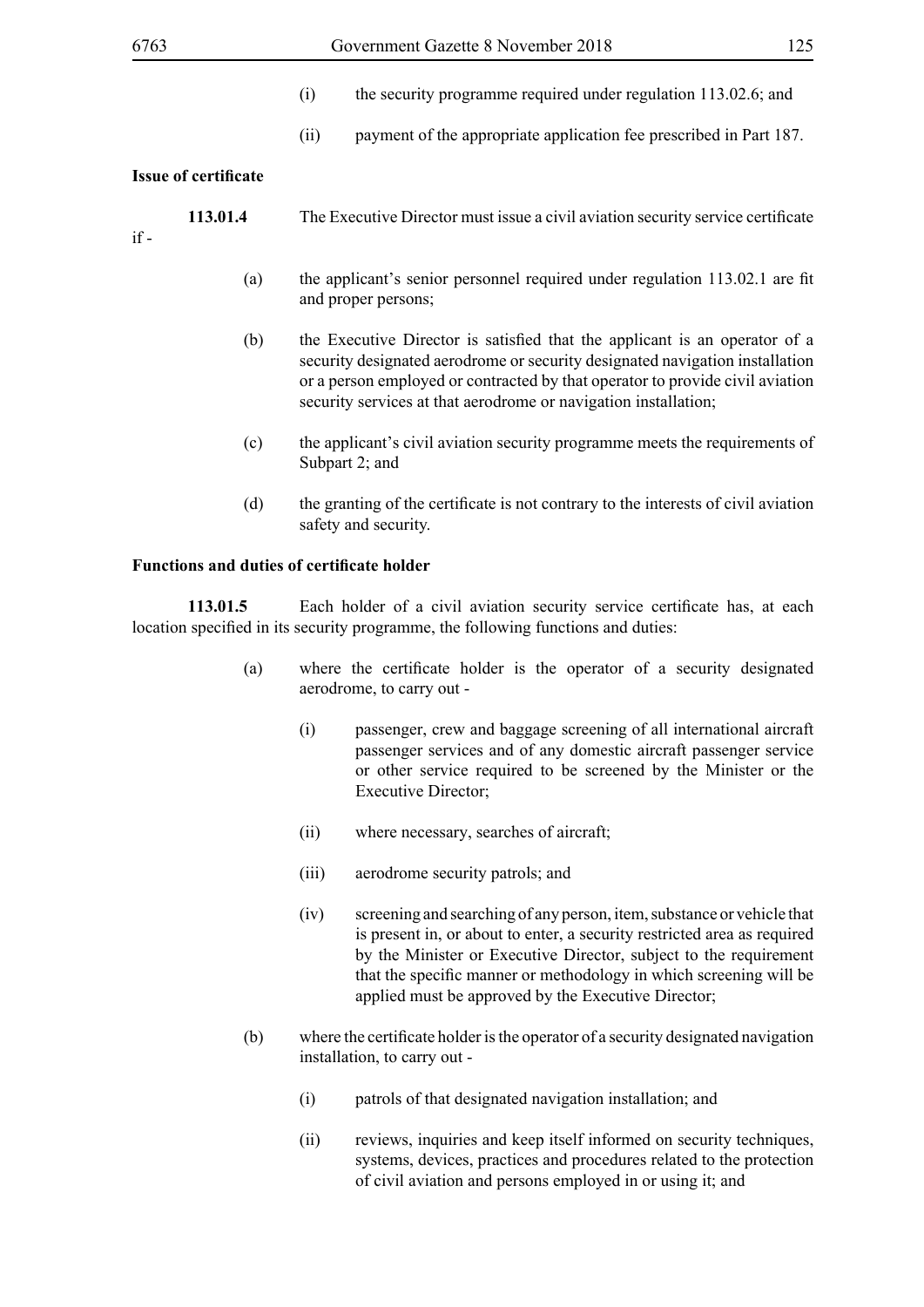- (i) the security programme required under regulation 113.02.6; and
- (ii) payment of the appropriate application fee prescribed in Part 187.

### **Issue of certificate**

| 113.01.4 | The Executive Director must issue a civil aviation security service certificate |
|----------|---------------------------------------------------------------------------------|
|----------|---------------------------------------------------------------------------------|

if -

- (a) the applicant's senior personnel required under regulation 113.02.1 are fit and proper persons;
- (b) the Executive Director is satisfied that the applicant is an operator of a security designated aerodrome or security designated navigation installation or a person employed or contracted by that operator to provide civil aviation security services at that aerodrome or navigation installation:
- (c) the applicant's civil aviation security programme meets the requirements of Subpart 2; and
- (d) the granting of the certificate is not contrary to the interests of civil aviation safety and security.

### **Functions and duties of certificate holder**

**113.01.5** Each holder of a civil aviation security service certificate has, at each location specified in its security programme, the following functions and duties:

- (a) where the certificate holder is the operator of a security designated aerodrome, to carry out -
	- (i) passenger, crew and baggage screening of all international aircraft passenger services and of any domestic aircraft passenger service or other service required to be screened by the Minister or the Executive Director;
	- (ii) where necessary, searches of aircraft;
	- (iii) aerodrome security patrols; and
	- (iv) screening and searching of any person, item, substance or vehicle that is present in, or about to enter, a security restricted area as required by the Minister or Executive Director, subject to the requirement that the specific manner or methodology in which screening will be applied must be approved by the Executive Director;
- (b) where the certificate holder is the operator of a security designated navigation installation, to carry out -
	- (i) patrols of that designated navigation installation; and
	- (ii) reviews, inquiries and keep itself informed on security techniques, systems, devices, practices and procedures related to the protection of civil aviation and persons employed in or using it; and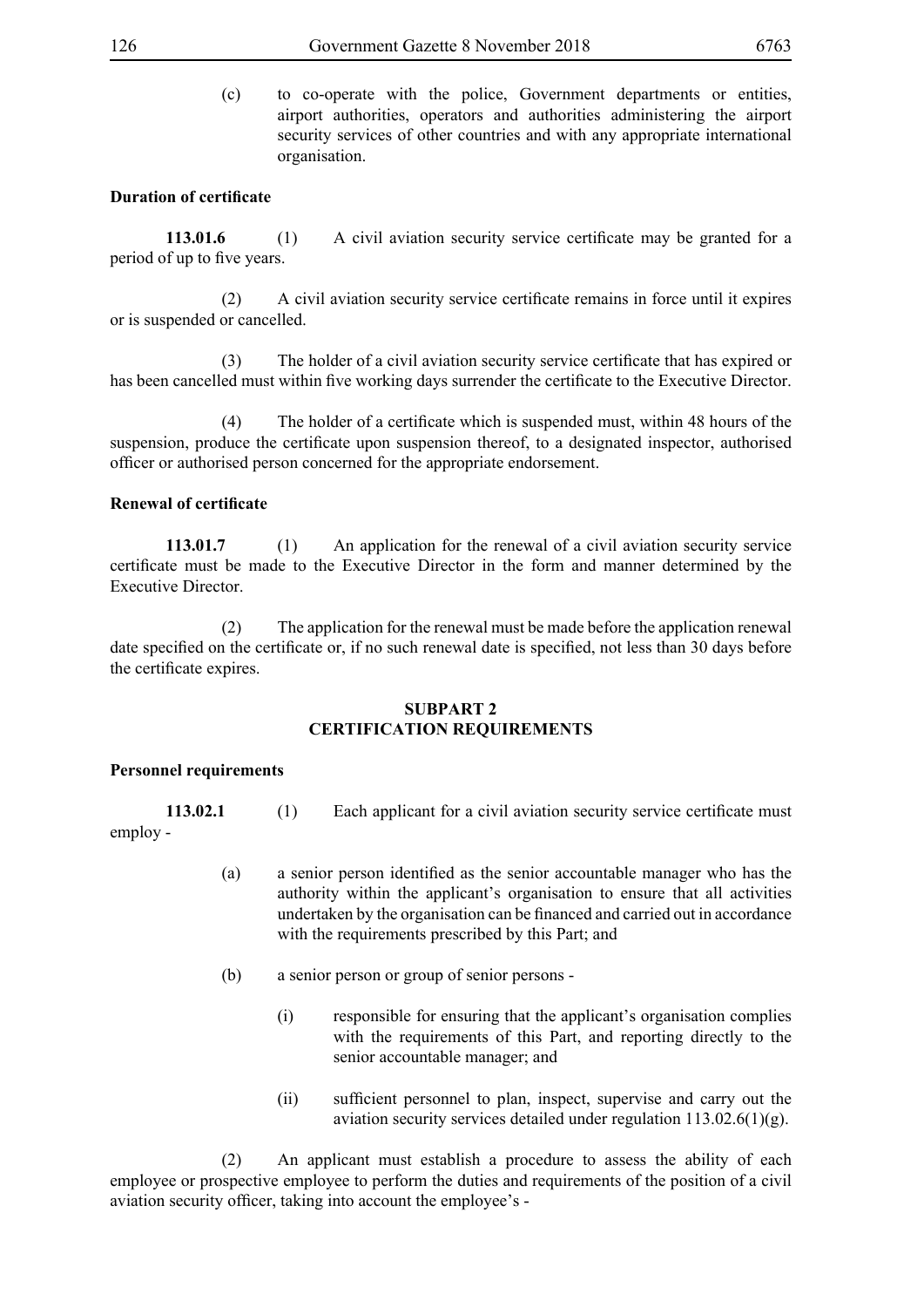(c) to co-operate with the police, Government departments or entities, airport authorities, operators and authorities administering the airport security services of other countries and with any appropriate international organisation.

### **Duration of certificate**

113.01.6 (1) A civil aviation security service certificate may be granted for a period of up to five years.

(2) A civil aviation security service certificate remains in force until it expires or is suspended or cancelled.

(3) The holder of a civil aviation security service certificate that has expired or has been cancelled must within five working days surrender the certificate to the Executive Director.

(4) The holder of a certificate which is suspended must, within 48 hours of the suspension, produce the certificate upon suspension thereof, to a designated inspector, authorised officer or authorised person concerned for the appropriate endorsement.

#### **Renewal of certificate**

**113.01.7** (1) An application for the renewal of a civil aviation security service certificate must be made to the Executive Director in the form and manner determined by the Executive Director.

 (2) The application for the renewal must be made before the application renewal date specified on the certificate or, if no such renewal date is specified, not less than 30 days before the certificate expires.

### **SUBPART 2 CERTIFICATION REQUIREMENTS**

#### **Personnel requirements**

**113.02.1** (1) Each applicant for a civil aviation security service certificate must employ -

- (a) a senior person identified as the senior accountable manager who has the authority within the applicant's organisation to ensure that all activities undertaken by the organisation can be financed and carried out in accordance with the requirements prescribed by this Part; and
- (b) a senior person or group of senior persons
	- (i) responsible for ensuring that the applicant's organisation complies with the requirements of this Part, and reporting directly to the senior accountable manager; and
	- (ii) sufficient personnel to plan, inspect, supervise and carry out the aviation security services detailed under regulation 113.02.6(1)(g).

 (2) An applicant must establish a procedure to assess the ability of each employee or prospective employee to perform the duties and requirements of the position of a civil aviation security officer, taking into account the employee's -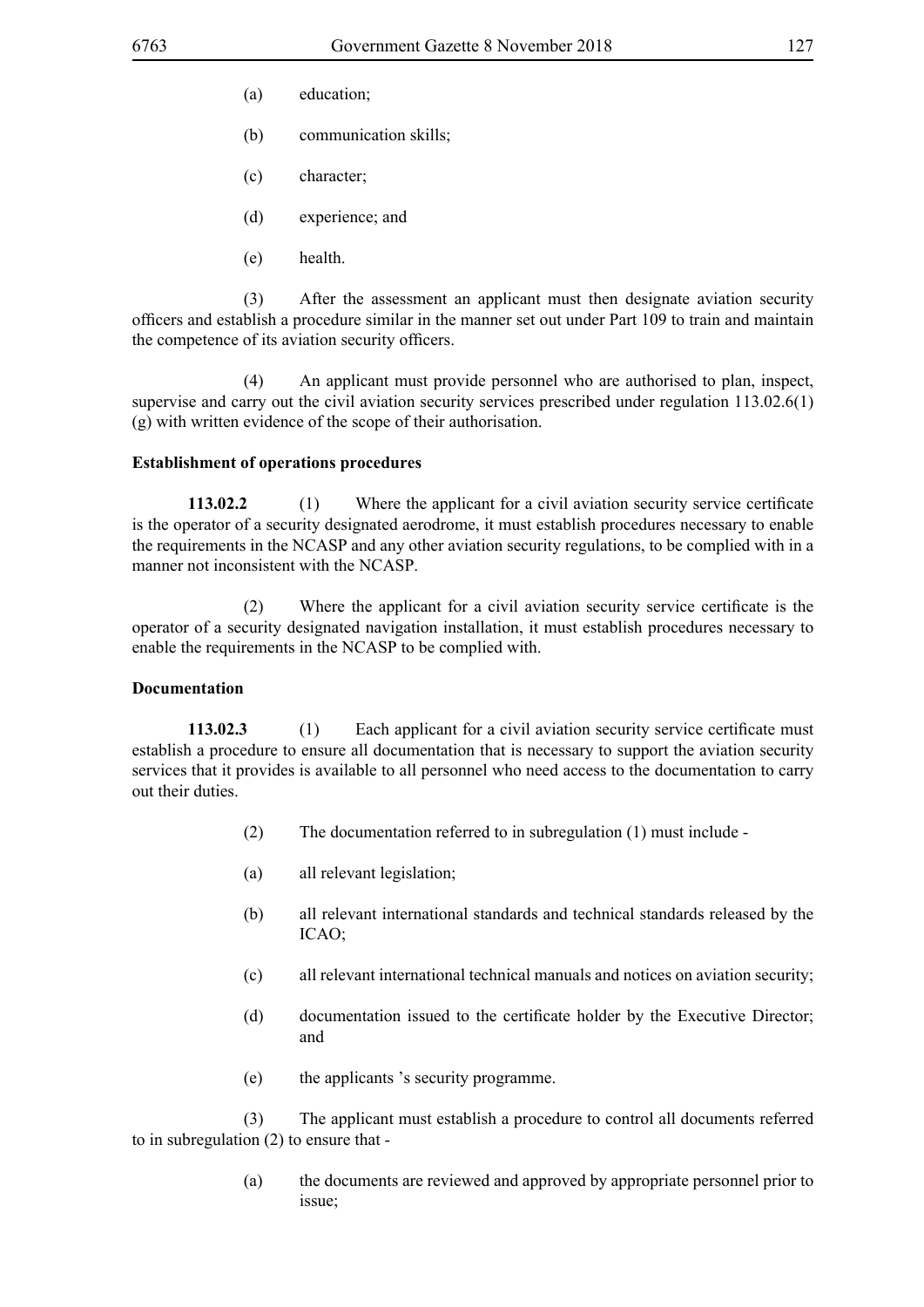- (a) education;
- (b) communication skills;
- (c) character;
- (d) experience; and
- (e) health.

 (3) After the assessment an applicant must then designate aviation security officers and establish a procedure similar in the manner set out under Part 109 to train and maintain the competence of its aviation security officers.

 (4) An applicant must provide personnel who are authorised to plan, inspect, supervise and carry out the civil aviation security services prescribed under regulation 113.02.6(1) (g) with written evidence of the scope of their authorisation.

#### **Establishment of operations procedures**

**113.02.2** (1) Where the applicant for a civil aviation security service certificate is the operator of a security designated aerodrome, it must establish procedures necessary to enable the requirements in the NCASP and any other aviation security regulations, to be complied with in a manner not inconsistent with the NCASP.

(2) Where the applicant for a civil aviation security service certificate is the operator of a security designated navigation installation, it must establish procedures necessary to enable the requirements in the NCASP to be complied with.

#### **Documentation**

**113.02.3** (1) Each applicant for a civil aviation security service certificate must establish a procedure to ensure all documentation that is necessary to support the aviation security services that it provides is available to all personnel who need access to the documentation to carry out their duties.

- (2) The documentation referred to in subregulation (1) must include -
- (a) all relevant legislation;
- (b) all relevant international standards and technical standards released by the ICAO;
- (c) all relevant international technical manuals and notices on aviation security;
- (d) documentation issued to the certificate holder by the Executive Director; and
- (e) the applicants 's security programme.

 (3) The applicant must establish a procedure to control all documents referred to in subregulation (2) to ensure that -

> (a) the documents are reviewed and approved by appropriate personnel prior to issue;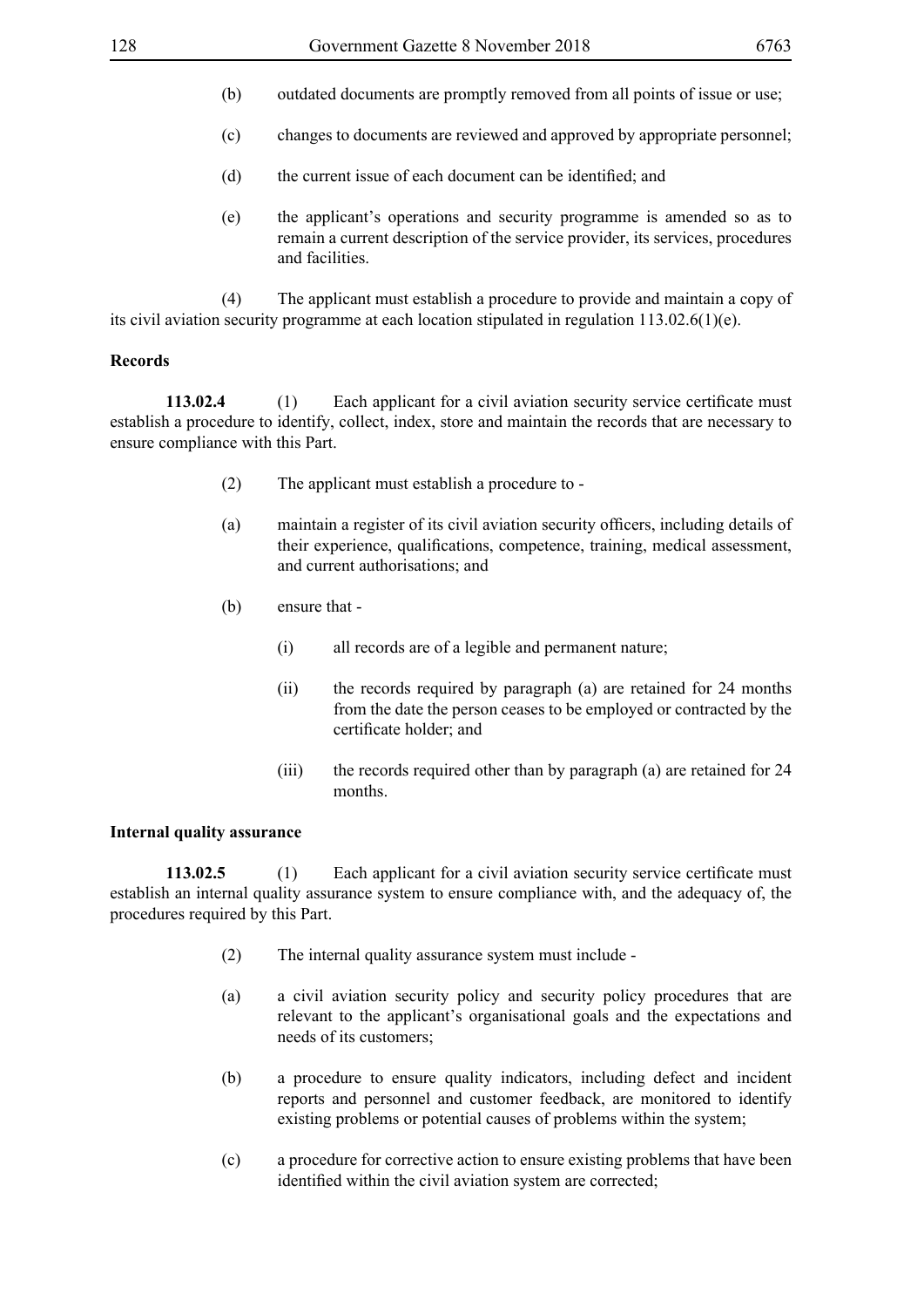- (b) outdated documents are promptly removed from all points of issue or use;
- (c) changes to documents are reviewed and approved by appropriate personnel;
- (d) the current issue of each document can be identified; and
- (e) the applicant's operations and security programme is amended so as to remain a current description of the service provider, its services, procedures and facilities.

 (4) The applicant must establish a procedure to provide and maintain a copy of its civil aviation security programme at each location stipulated in regulation 113.02.6(1)(e).

#### **Records**

**113.02.4** (1) Each applicant for a civil aviation security service certificate must establish a procedure to identify, collect, index, store and maintain the records that are necessary to ensure compliance with this Part.

- (2) The applicant must establish a procedure to -
- (a) maintain a register of its civil aviation security officers, including details of their experience, qualifications, competence, training, medical assessment, and current authorisations; and
- (b) ensure that
	- (i) all records are of a legible and permanent nature;
	- (ii) the records required by paragraph (a) are retained for 24 months from the date the person ceases to be employed or contracted by the certificate holder; and
	- (iii) the records required other than by paragraph (a) are retained for 24 months.

#### **Internal quality assurance**

**113.02.5** (1) Each applicant for a civil aviation security service certificate must establish an internal quality assurance system to ensure compliance with, and the adequacy of, the procedures required by this Part.

- (2) The internal quality assurance system must include -
- (a) a civil aviation security policy and security policy procedures that are relevant to the applicant's organisational goals and the expectations and needs of its customers;
- (b) a procedure to ensure quality indicators, including defect and incident reports and personnel and customer feedback, are monitored to identify existing problems or potential causes of problems within the system;
- (c) a procedure for corrective action to ensure existing problems that have been identified within the civil aviation system are corrected;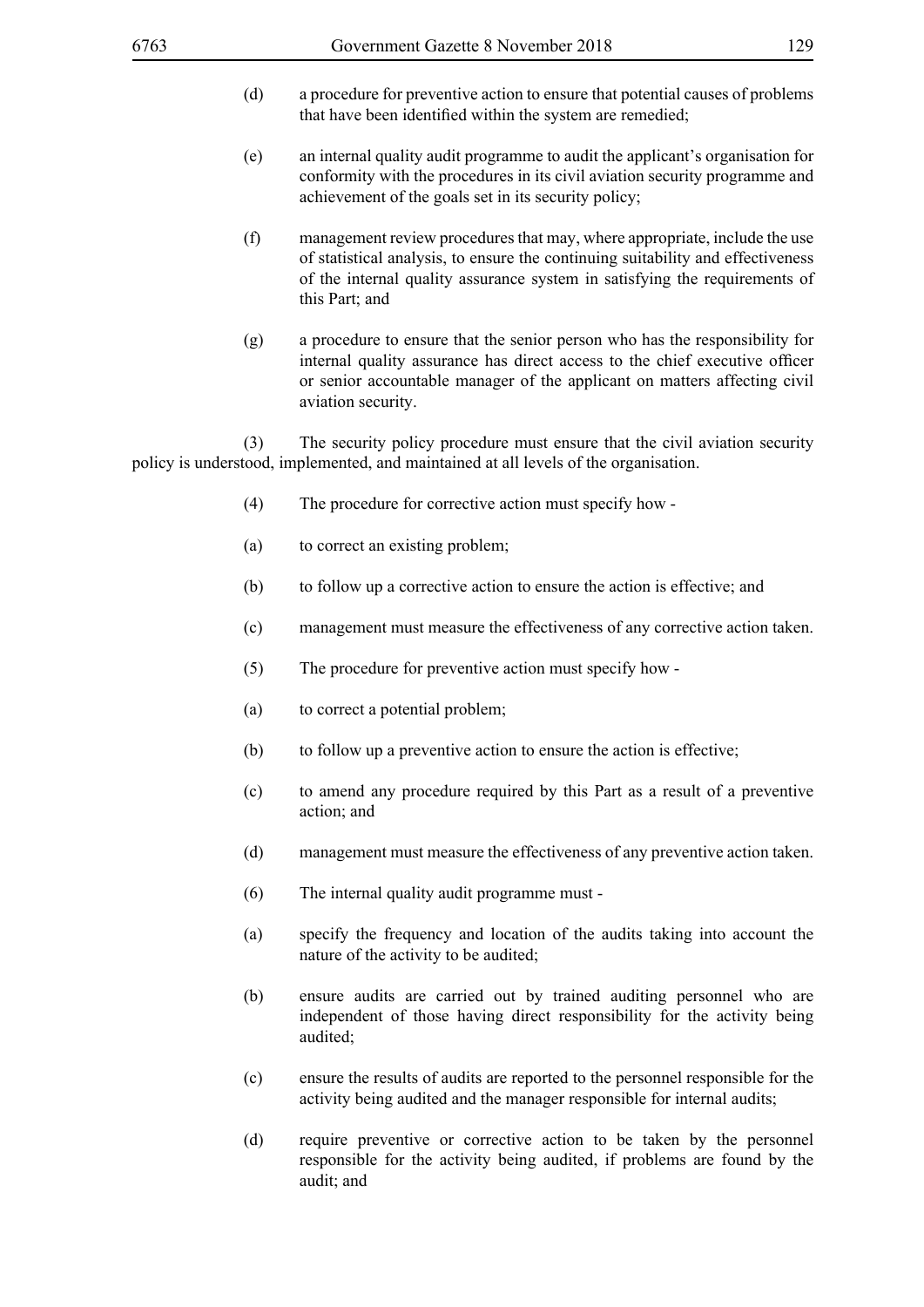- (d) a procedure for preventive action to ensure that potential causes of problems that have been identified within the system are remedied;
- (e) an internal quality audit programme to audit the applicant's organisation for conformity with the procedures in its civil aviation security programme and achievement of the goals set in its security policy;
- (f) management review procedures that may, where appropriate, include the use of statistical analysis, to ensure the continuing suitability and effectiveness of the internal quality assurance system in satisfying the requirements of this Part; and
- (g) a procedure to ensure that the senior person who has the responsibility for internal quality assurance has direct access to the chief executive officer or senior accountable manager of the applicant on matters affecting civil aviation security.

 (3) The security policy procedure must ensure that the civil aviation security policy is understood, implemented, and maintained at all levels of the organisation.

- (4) The procedure for corrective action must specify how -
- (a) to correct an existing problem;
- (b) to follow up a corrective action to ensure the action is effective; and
- (c) management must measure the effectiveness of any corrective action taken.
- (5) The procedure for preventive action must specify how -
- (a) to correct a potential problem;
- (b) to follow up a preventive action to ensure the action is effective;
- (c) to amend any procedure required by this Part as a result of a preventive action; and
- (d) management must measure the effectiveness of any preventive action taken.
- (6) The internal quality audit programme must -
- (a) specify the frequency and location of the audits taking into account the nature of the activity to be audited;
- (b) ensure audits are carried out by trained auditing personnel who are independent of those having direct responsibility for the activity being audited;
- (c) ensure the results of audits are reported to the personnel responsible for the activity being audited and the manager responsible for internal audits;
- (d) require preventive or corrective action to be taken by the personnel responsible for the activity being audited, if problems are found by the audit; and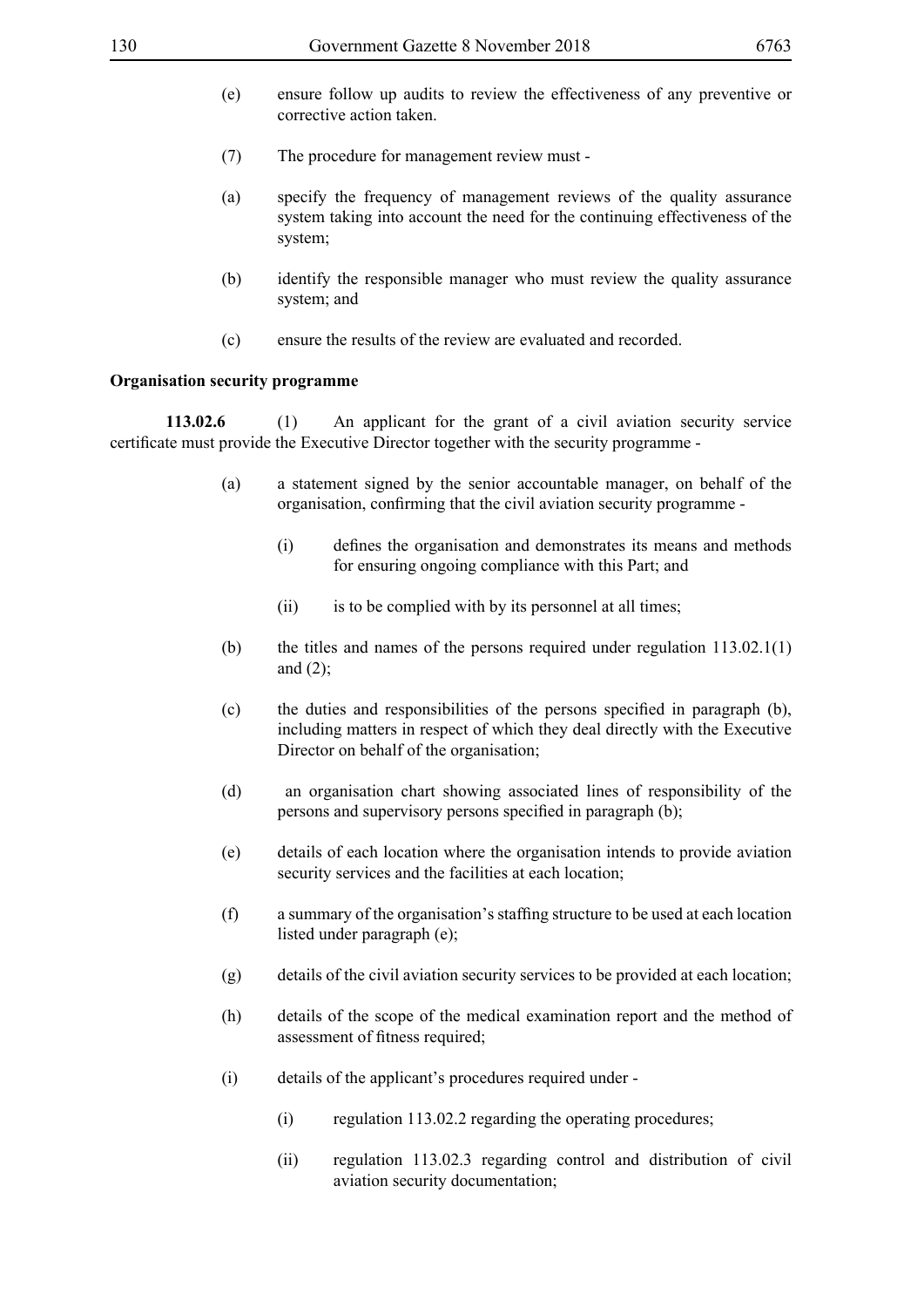- 
- (e) ensure follow up audits to review the effectiveness of any preventive or corrective action taken.
- (7) The procedure for management review must -
- (a) specify the frequency of management reviews of the quality assurance system taking into account the need for the continuing effectiveness of the system;
- (b) identify the responsible manager who must review the quality assurance system; and
- (c) ensure the results of the review are evaluated and recorded.

#### **Organisation security programme**

**113.02.6** (1) An applicant for the grant of a civil aviation security service certificate must provide the Executive Director together with the security programme -

- (a) a statement signed by the senior accountable manager, on behalf of the organisation, confirming that the civil aviation security programme -
	- (i) defines the organisation and demonstrates its means and methods for ensuring ongoing compliance with this Part; and
	- (ii) is to be complied with by its personnel at all times;
- (b) the titles and names of the persons required under regulation  $113.02.1(1)$ and  $(2)$ ;
- (c) the duties and responsibilities of the persons specified in paragraph (b), including matters in respect of which they deal directly with the Executive Director on behalf of the organisation;
- (d) an organisation chart showing associated lines of responsibility of the persons and supervisory persons specified in paragraph (b);
- (e) details of each location where the organisation intends to provide aviation security services and the facilities at each location;
- (f) a summary of the organisation's staffing structure to be used at each location listed under paragraph (e);
- (g) details of the civil aviation security services to be provided at each location;
- (h) details of the scope of the medical examination report and the method of assessment of fitness required;
- (i) details of the applicant's procedures required under
	- (i) regulation 113.02.2 regarding the operating procedures;
	- (ii) regulation 113.02.3 regarding control and distribution of civil aviation security documentation;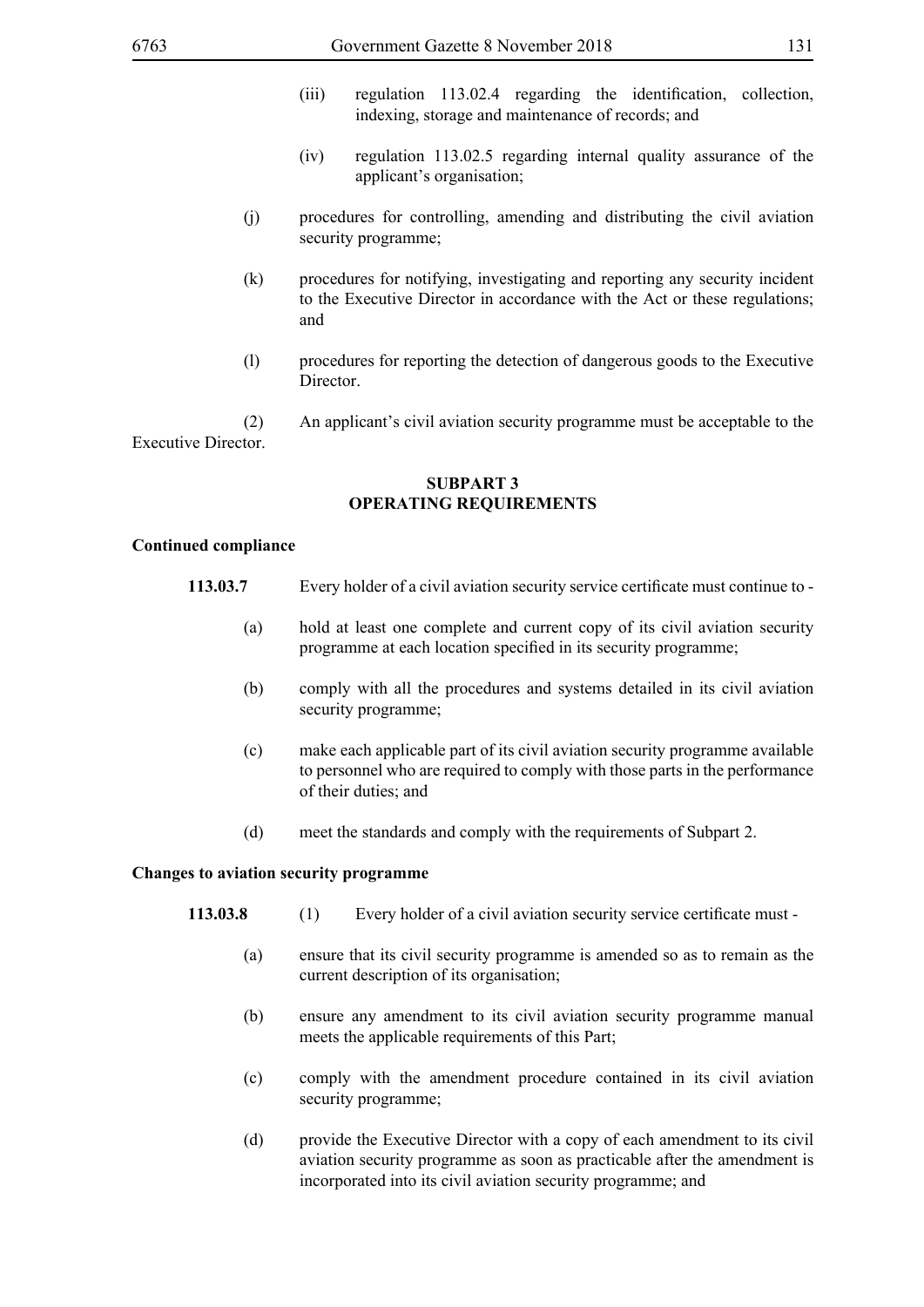- (iii) regulation 113.02.4 regarding the identification, collection, indexing, storage and maintenance of records; and
- (iv) regulation 113.02.5 regarding internal quality assurance of the applicant's organisation;
- (j) procedures for controlling, amending and distributing the civil aviation security programme;
- (k) procedures for notifying, investigating and reporting any security incident to the Executive Director in accordance with the Act or these regulations; and
- (l) procedures for reporting the detection of dangerous goods to the Executive **Director**

 (2) An applicant's civil aviation security programme must be acceptable to the Executive Director.

#### **SUBPART 3 OPERATING REQUIREMENTS**

#### **Continued compliance**

- **113.03.7** Every holder of a civil aviation security service certificate must continue to
	- (a) hold at least one complete and current copy of its civil aviation security programme at each location specified in its security programme;
	- (b) comply with all the procedures and systems detailed in its civil aviation security programme;
	- (c) make each applicable part of its civil aviation security programme available to personnel who are required to comply with those parts in the performance of their duties; and
	- (d) meet the standards and comply with the requirements of Subpart 2.

#### **Changes to aviation security programme**

- **113.03.8** (1) Every holder of a civil aviation security service certificate must
	- (a) ensure that its civil security programme is amended so as to remain as the current description of its organisation;
	- (b) ensure any amendment to its civil aviation security programme manual meets the applicable requirements of this Part;
	- (c) comply with the amendment procedure contained in its civil aviation security programme;
	- (d) provide the Executive Director with a copy of each amendment to its civil aviation security programme as soon as practicable after the amendment is incorporated into its civil aviation security programme; and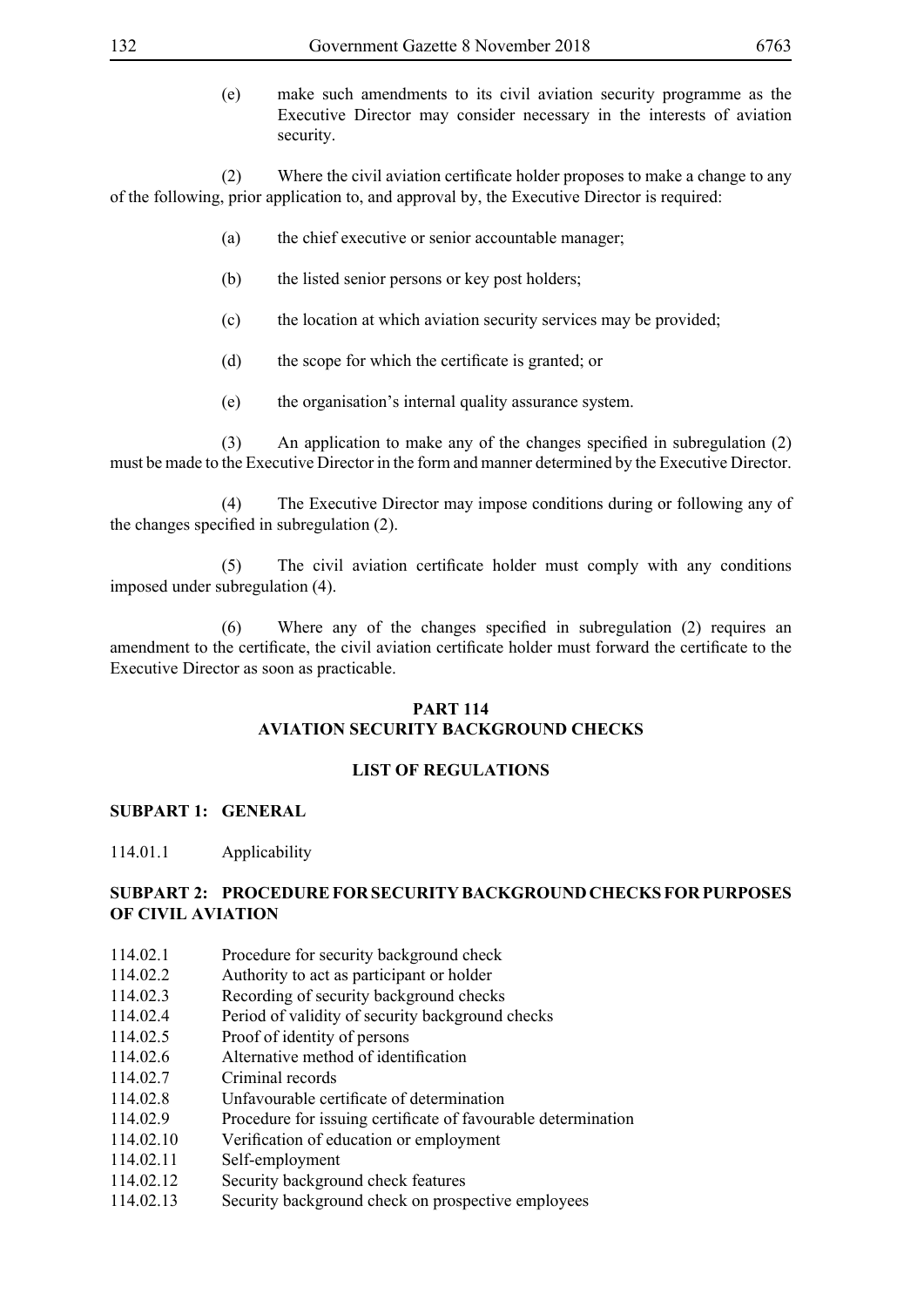(e) make such amendments to its civil aviation security programme as the Executive Director may consider necessary in the interests of aviation security.

(2) Where the civil aviation certificate holder proposes to make a change to any of the following, prior application to, and approval by, the Executive Director is required:

- (a) the chief executive or senior accountable manager;
- (b) the listed senior persons or key post holders;
- (c) the location at which aviation security services may be provided;
- (d) the scope for which the certificate is granted; or
- (e) the organisation's internal quality assurance system.

(3) An application to make any of the changes specified in subregulation (2) must be made to the Executive Director in the form and manner determined by the Executive Director.

 (4) The Executive Director may impose conditions during or following any of the changes specified in subregulation (2).

(5) The civil aviation certificate holder must comply with any conditions imposed under subregulation (4).

(6) Where any of the changes specified in subregulation (2) requires an amendment to the certificate, the civil aviation certificate holder must forward the certificate to the Executive Director as soon as practicable.

### **PART 114 AVIATION SECURITY BACKGROUND CHECKS**

#### **LIST OF REGULATIONS**

#### **SUBPART 1: GENERAL**

114.01.1 Applicability

## **SUBPART 2: PROCEDURE FOR SECURITY BACKGROUND CHECKS FOR PURPOSES OF CIVIL AVIATION**

- 114.02.1 Procedure for security background check
- 114.02.2 Authority to act as participant or holder
- 114.02.3 Recording of security background checks
- 114.02.4 Period of validity of security background checks
- 114.02.5 Proof of identity of persons
- 114.02.6 Alternative method of identification
- 114.02.7 Criminal records
- 114.02.8 Unfavourable certificate of determination
- 114.02.9 Procedure for issuing certificate of favourable determination
- 114.02.10 Verification of education or employment
- 114.02.11 Self-employment
- 114.02.12 Security background check features
- 114.02.13 Security background check on prospective employees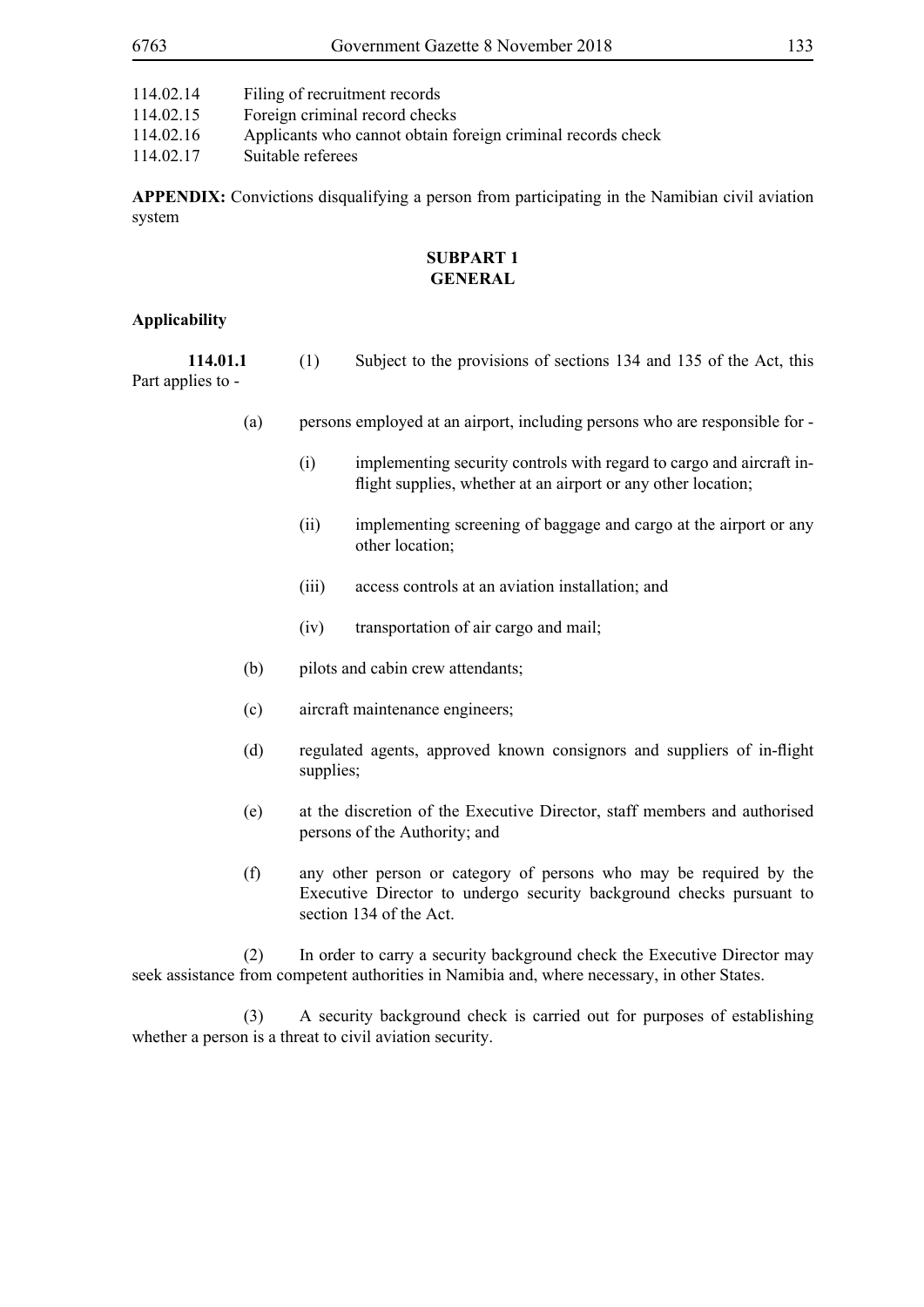| 114.02.14 | Filing of recruitment records                               |
|-----------|-------------------------------------------------------------|
| 114.02.15 | Foreign criminal record checks                              |
| 114.02.16 | Applicants who cannot obtain foreign criminal records check |
| 114.02.17 | Suitable referees                                           |

**APPENDIX:** Convictions disqualifying a person from participating in the Namibian civil aviation system

#### **SUBPART 1 GENERAL**

#### **Applicability**

| 114.01.1          |  | Subject to the provisions of sections 134 and 135 of the Act, this |  |  |  |
|-------------------|--|--------------------------------------------------------------------|--|--|--|
| Part applies to - |  |                                                                    |  |  |  |

- (a) persons employed at an airport, including persons who are responsible for
	- (i) implementing security controls with regard to cargo and aircraft inflight supplies, whether at an airport or any other location;
	- (ii) implementing screening of baggage and cargo at the airport or any other location;
	- (iii) access controls at an aviation installation; and
	- (iv) transportation of air cargo and mail;
- (b) pilots and cabin crew attendants;
- (c) aircraft maintenance engineers;
- (d) regulated agents, approved known consignors and suppliers of in-flight supplies;
- (e) at the discretion of the Executive Director, staff members and authorised persons of the Authority; and
- (f) any other person or category of persons who may be required by the Executive Director to undergo security background checks pursuant to section 134 of the Act.

 (2) In order to carry a security background check the Executive Director may seek assistance from competent authorities in Namibia and, where necessary, in other States.

 (3) A security background check is carried out for purposes of establishing whether a person is a threat to civil aviation security.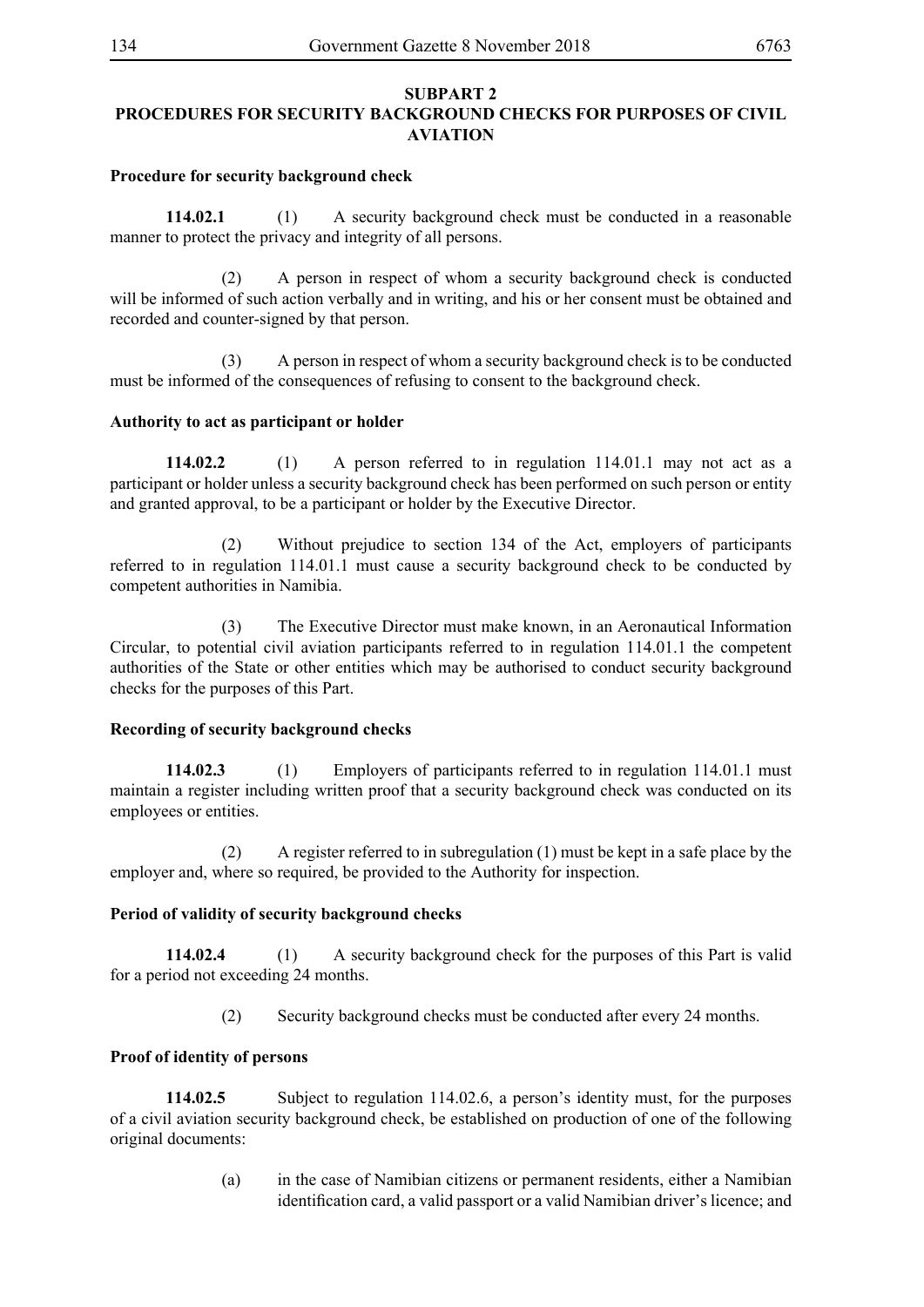## **SUBPART 2 PROCEDURES FOR SECURITY BACKGROUND CHECKS FOR PURPOSES OF CIVIL AVIATION**

### **Procedure for security background check**

**114.02.1** (1) A security background check must be conducted in a reasonable manner to protect the privacy and integrity of all persons.

 (2) A person in respect of whom a security background check is conducted will be informed of such action verbally and in writing, and his or her consent must be obtained and recorded and counter-signed by that person.

 (3) A person in respect of whom a security background check is to be conducted must be informed of the consequences of refusing to consent to the background check.

### **Authority to act as participant or holder**

**114.02.2** (1) A person referred to in regulation 114.01.1 may not act as a participant or holder unless a security background check has been performed on such person or entity and granted approval, to be a participant or holder by the Executive Director.

 (2) Without prejudice to section 134 of the Act, employers of participants referred to in regulation 114.01.1 must cause a security background check to be conducted by competent authorities in Namibia.

 (3) The Executive Director must make known, in an Aeronautical Information Circular, to potential civil aviation participants referred to in regulation 114.01.1 the competent authorities of the State or other entities which may be authorised to conduct security background checks for the purposes of this Part.

## **Recording of security background checks**

**114.02.3** (1) Employers of participants referred to in regulation 114.01.1 must maintain a register including written proof that a security background check was conducted on its employees or entities.

 (2) A register referred to in subregulation (1) must be kept in a safe place by the employer and, where so required, be provided to the Authority for inspection.

## **Period of validity of security background checks**

**114.02.4** (1) A security background check for the purposes of this Part is valid for a period not exceeding 24 months.

(2) Security background checks must be conducted after every 24 months.

## **Proof of identity of persons**

**114.02.5** Subject to regulation 114.02.6, a person's identity must, for the purposes of a civil aviation security background check, be established on production of one of the following original documents:

> (a) in the case of Namibian citizens or permanent residents, either a Namibian identification card, a valid passport or a valid Namibian driver's licence; and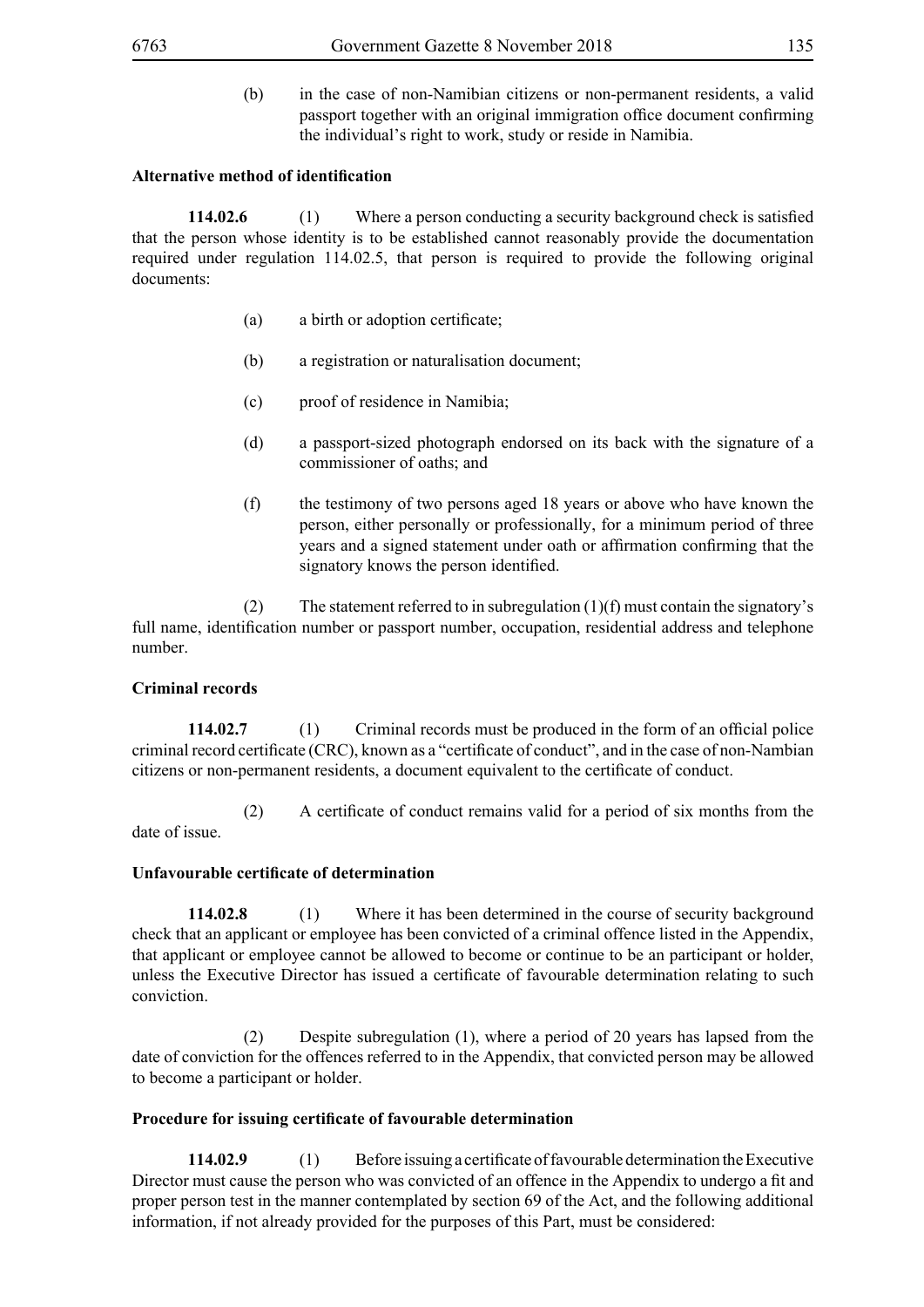(b) in the case of non-Namibian citizens or non-permanent residents, a valid passport together with an original immigration office document confirming the individual's right to work, study or reside in Namibia.

#### **Alternative method of identification**

**114.02.6** (1) Where a person conducting a security background check is satisfied that the person whose identity is to be established cannot reasonably provide the documentation required under regulation 114.02.5, that person is required to provide the following original documents:

- (a) a birth or adoption certificate;
- (b) a registration or naturalisation document;
- (c) proof of residence in Namibia;
- (d) a passport-sized photograph endorsed on its back with the signature of a commissioner of oaths; and
- (f) the testimony of two persons aged 18 years or above who have known the person, either personally or professionally, for a minimum period of three years and a signed statement under oath or affirmation confirming that the signatory knows the person identified.

(2) The statement referred to in subregulation  $(1)(f)$  must contain the signatory's full name, identification number or passport number, occupation, residential address and telephone number.

## **Criminal records**

**114.02.7** (1) Criminal records must be produced in the form of an official police criminal record certificate (CRC), known as a "certificate of conduct", and in the case of non-Nambian citizens or non-permanent residents, a document equivalent to the certificate of conduct.

(2) A certificate of conduct remains valid for a period of six months from the date of issue.

## **Unfavourable certificate of determination**

**114.02.8** (1) Where it has been determined in the course of security background check that an applicant or employee has been convicted of a criminal offence listed in the Appendix, that applicant or employee cannot be allowed to become or continue to be an participant or holder, unless the Executive Director has issued a certificate of favourable determination relating to such conviction.

 (2) Despite subregulation (1), where a period of 20 years has lapsed from the date of conviction for the offences referred to in the Appendix, that convicted person may be allowed to become a participant or holder.

## **Procedure for issuing certificate of favourable determination**

**114.02.9** (1) Before issuing a certificate of favourable determination the Executive Director must cause the person who was convicted of an offence in the Appendix to undergo a fit and proper person test in the manner contemplated by section 69 of the Act, and the following additional information, if not already provided for the purposes of this Part, must be considered: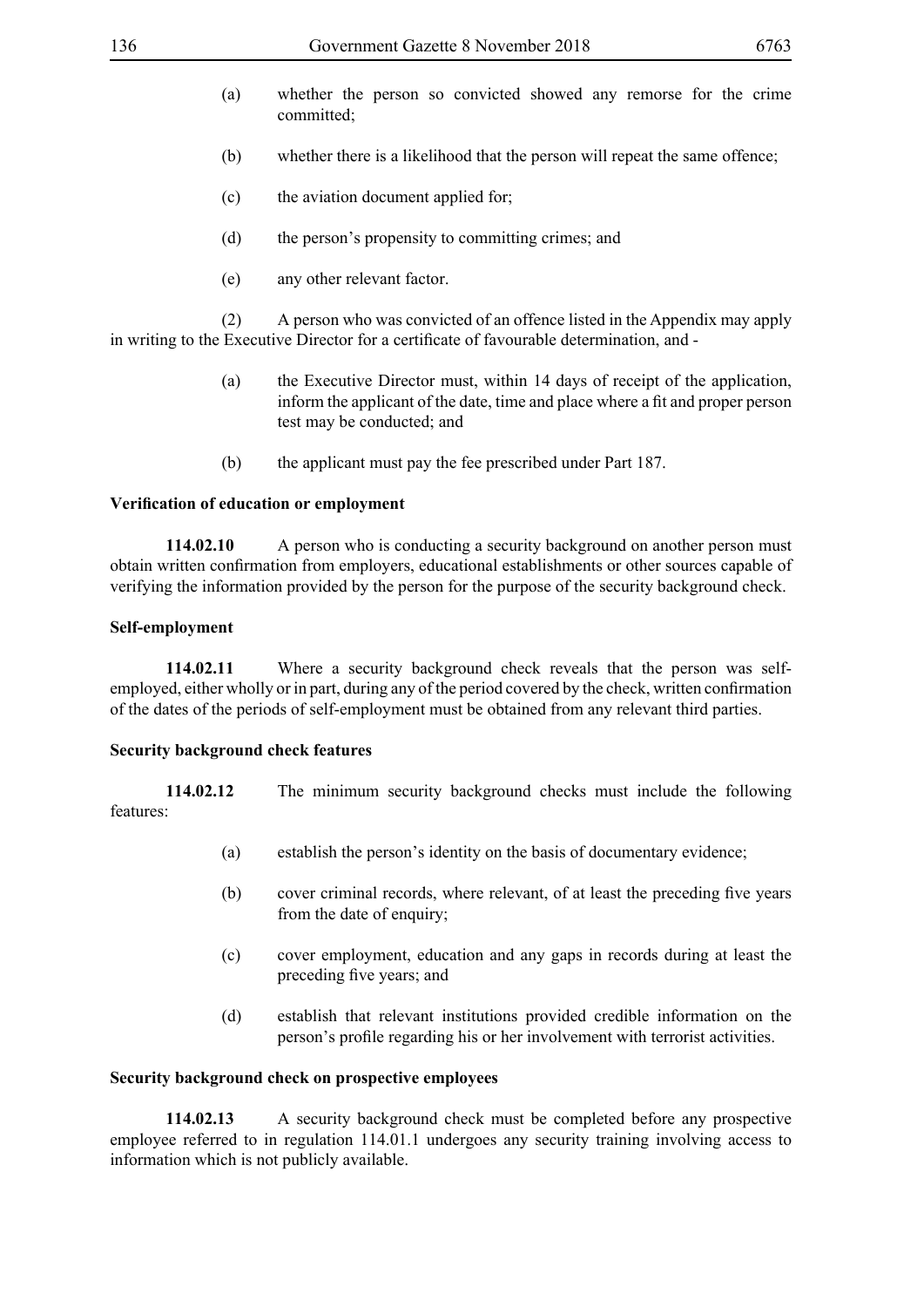- (a) whether the person so convicted showed any remorse for the crime committed;
- (b) whether there is a likelihood that the person will repeat the same offence;
- (c) the aviation document applied for;
- (d) the person's propensity to committing crimes; and
- (e) any other relevant factor.

 (2) A person who was convicted of an offence listed in the Appendix may apply in writing to the Executive Director for a certificate of favourable determination, and -

- (a) the Executive Director must, within 14 days of receipt of the application, inform the applicant of the date, time and place where a fit and proper person test may be conducted; and
- (b) the applicant must pay the fee prescribed under Part 187.

## **Verification of education or employment**

**114.02.10** A person who is conducting a security background on another person must obtain written confirmation from employers, educational establishments or other sources capable of verifying the information provided by the person for the purpose of the security background check.

## **Self-employment**

**114.02.11** Where a security background check reveals that the person was selfemployed, either wholly or in part, during any of the period covered by the check, written confirmation of the dates of the periods of self-employment must be obtained from any relevant third parties.

## **Security background check features**

**114.02.12** The minimum security background checks must include the following features:

- (a) establish the person's identity on the basis of documentary evidence;
- (b) cover criminal records, where relevant, of at least the preceding five years from the date of enquiry;
- (c) cover employment, education and any gaps in records during at least the preceding five years; and
- (d) establish that relevant institutions provided credible information on the person's profile regarding his or her involvement with terrorist activities.

## **Security background check on prospective employees**

**114.02.13** A security background check must be completed before any prospective employee referred to in regulation 114.01.1 undergoes any security training involving access to information which is not publicly available.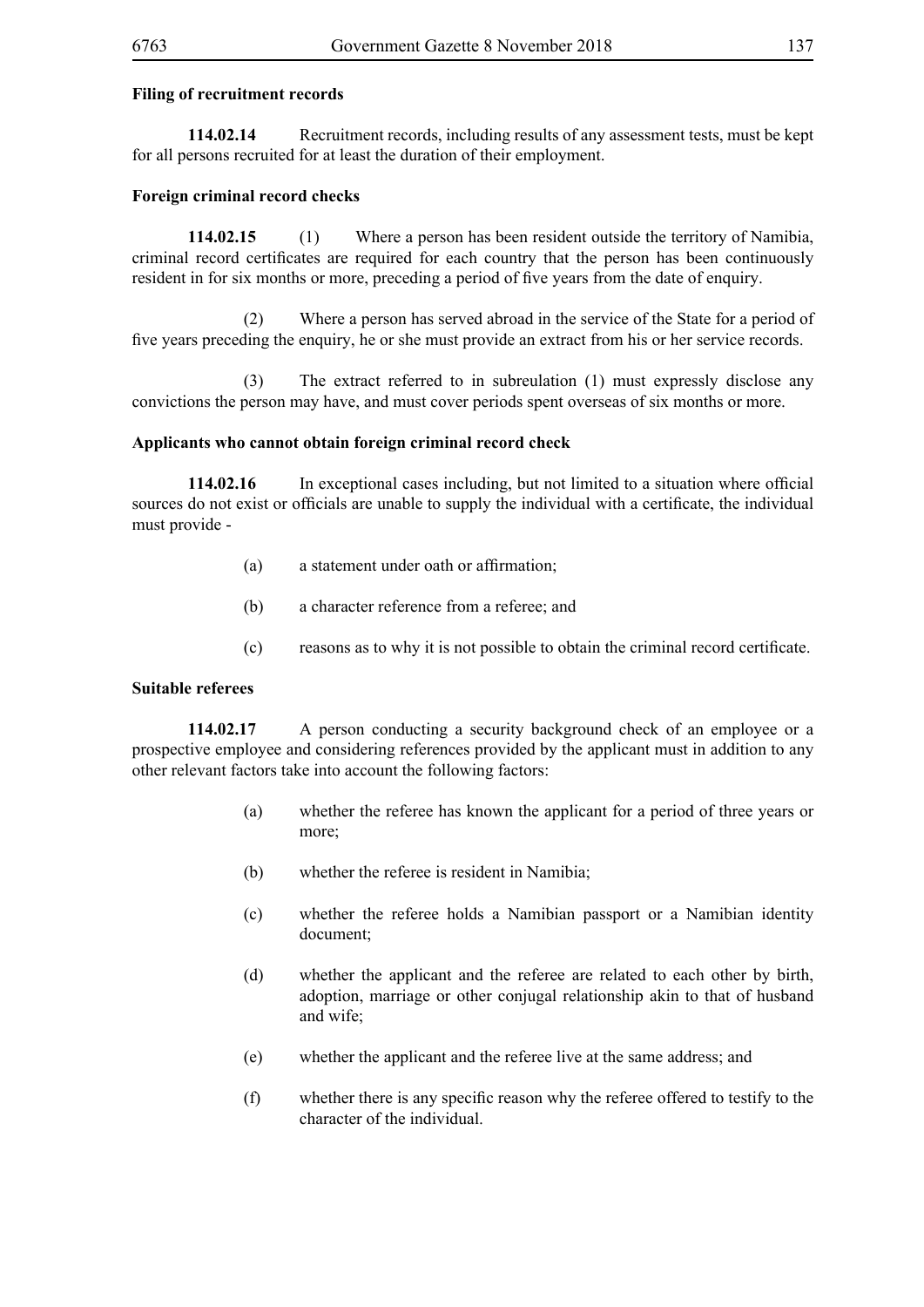#### **Filing of recruitment records**

**114.02.14** Recruitment records, including results of any assessment tests, must be kept for all persons recruited for at least the duration of their employment.

#### **Foreign criminal record checks**

**114.02.15** (1) Where a person has been resident outside the territory of Namibia, criminal record certificates are required for each country that the person has been continuously resident in for six months or more, preceding a period of five years from the date of enquiry.

 (2) Where a person has served abroad in the service of the State for a period of five years preceding the enquiry, he or she must provide an extract from his or her service records.

 (3) The extract referred to in subreulation (1) must expressly disclose any convictions the person may have, and must cover periods spent overseas of six months or more.

#### **Applicants who cannot obtain foreign criminal record check**

**114.02.16** In exceptional cases including, but not limited to a situation where official sources do not exist or officials are unable to supply the individual with a certificate, the individual must provide -

- (a) a statement under oath or affirmation;
- (b) a character reference from a referee; and
- (c) reasons as to why it is not possible to obtain the criminal record certificate.

#### **Suitable referees**

**114.02.17** A person conducting a security background check of an employee or a prospective employee and considering references provided by the applicant must in addition to any other relevant factors take into account the following factors:

- (a) whether the referee has known the applicant for a period of three years or more;
- (b) whether the referee is resident in Namibia;
- (c) whether the referee holds a Namibian passport or a Namibian identity document;
- (d) whether the applicant and the referee are related to each other by birth, adoption, marriage or other conjugal relationship akin to that of husband and wife;
- (e) whether the applicant and the referee live at the same address; and
- (f) whether there is any specific reason why the referee offered to testify to the character of the individual.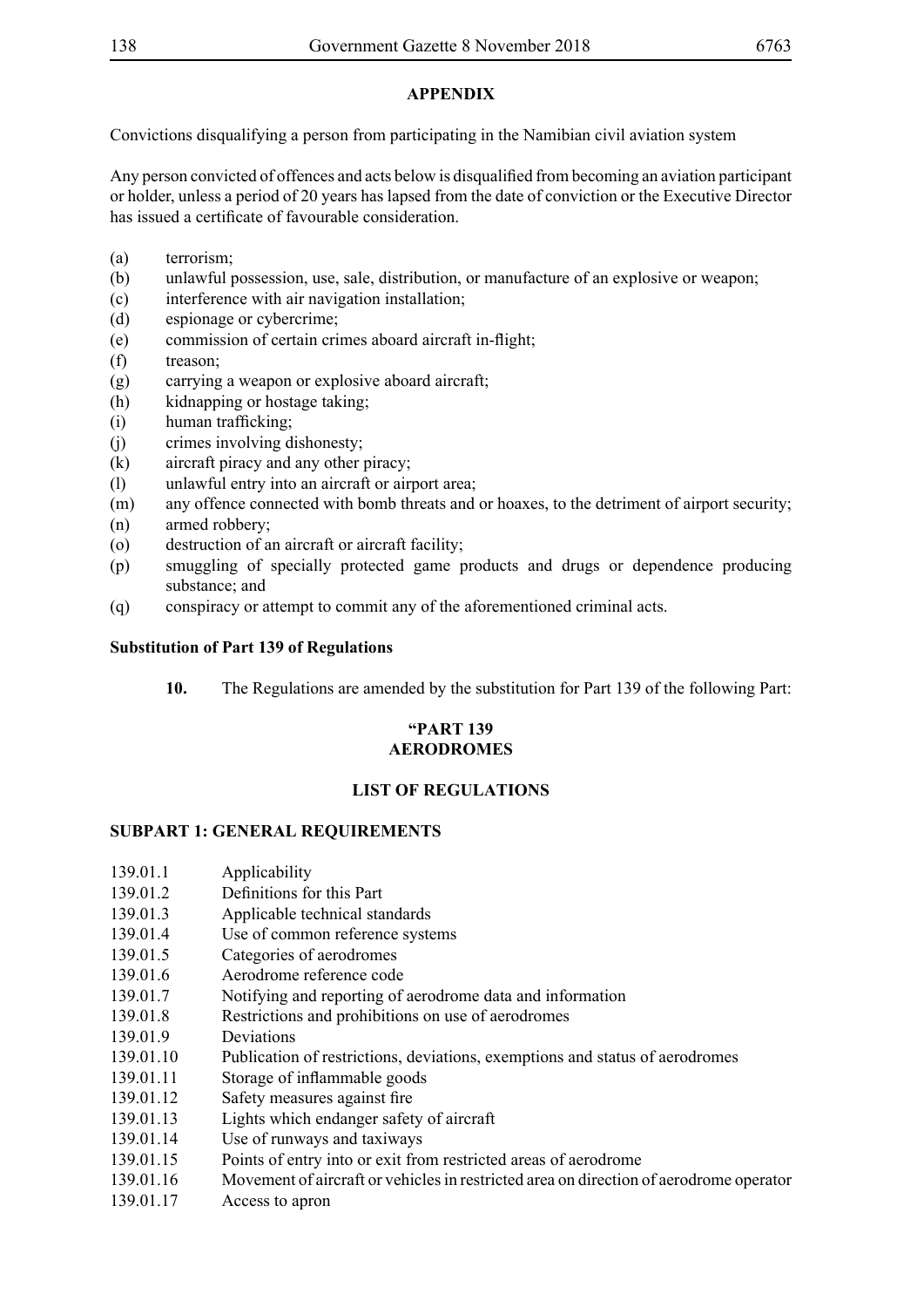## **APPENDIX**

Convictions disqualifying a person from participating in the Namibian civil aviation system

Any person convicted of offences and acts below is disqualified from becoming an aviation participant or holder, unless a period of 20 years has lapsed from the date of conviction or the Executive Director has issued a certificate of favourable consideration.

- (a) terrorism;
- (b) unlawful possession, use, sale, distribution, or manufacture of an explosive or weapon;
- (c) interference with air navigation installation;
- (d) espionage or cybercrime;
- (e) commission of certain crimes aboard aircraft in-flight;
- (f) treason;
- (g) carrying a weapon or explosive aboard aircraft;
- (h) kidnapping or hostage taking;
- (i) human trafficking;
- (j) crimes involving dishonesty;
- (k) aircraft piracy and any other piracy;
- (l) unlawful entry into an aircraft or airport area;
- (m) any offence connected with bomb threats and or hoaxes, to the detriment of airport security;
- (n) armed robbery;
- (o) destruction of an aircraft or aircraft facility;
- (p) smuggling of specially protected game products and drugs or dependence producing substance; and
- (q) conspiracy or attempt to commit any of the aforementioned criminal acts.

### **Substitution of Part 139 of Regulations**

**10.** The Regulations are amended by the substitution for Part 139 of the following Part:

## **"PART 139 AERODROMES**

## **LIST OF REGULATIONS**

## **SUBPART 1: GENERAL REQUIREMENTS**

- 139.01.1 Applicability
- 139.01.2 Definitions for this Part
- 139.01.3 Applicable technical standards
- 139.01.4 Use of common reference systems
- 139.01.5 Categories of aerodromes
- 139.01.6 Aerodrome reference code
- 139.01.7 Notifying and reporting of aerodrome data and information
- 139.01.8 Restrictions and prohibitions on use of aerodromes
- 139.01.9 Deviations
- 139.01.10 Publication of restrictions, deviations, exemptions and status of aerodromes
- 139.01.11 Storage of inflammable goods
- 139.01.12 Safety measures against fire
- 139.01.13 Lights which endanger safety of aircraft
- 139.01.14 Use of runways and taxiways
- 139.01.15 Points of entry into or exit from restricted areas of aerodrome
- 139.01.16 Movement of aircraft or vehicles in restricted area on direction of aerodrome operator
- 139.01.17 Access to apron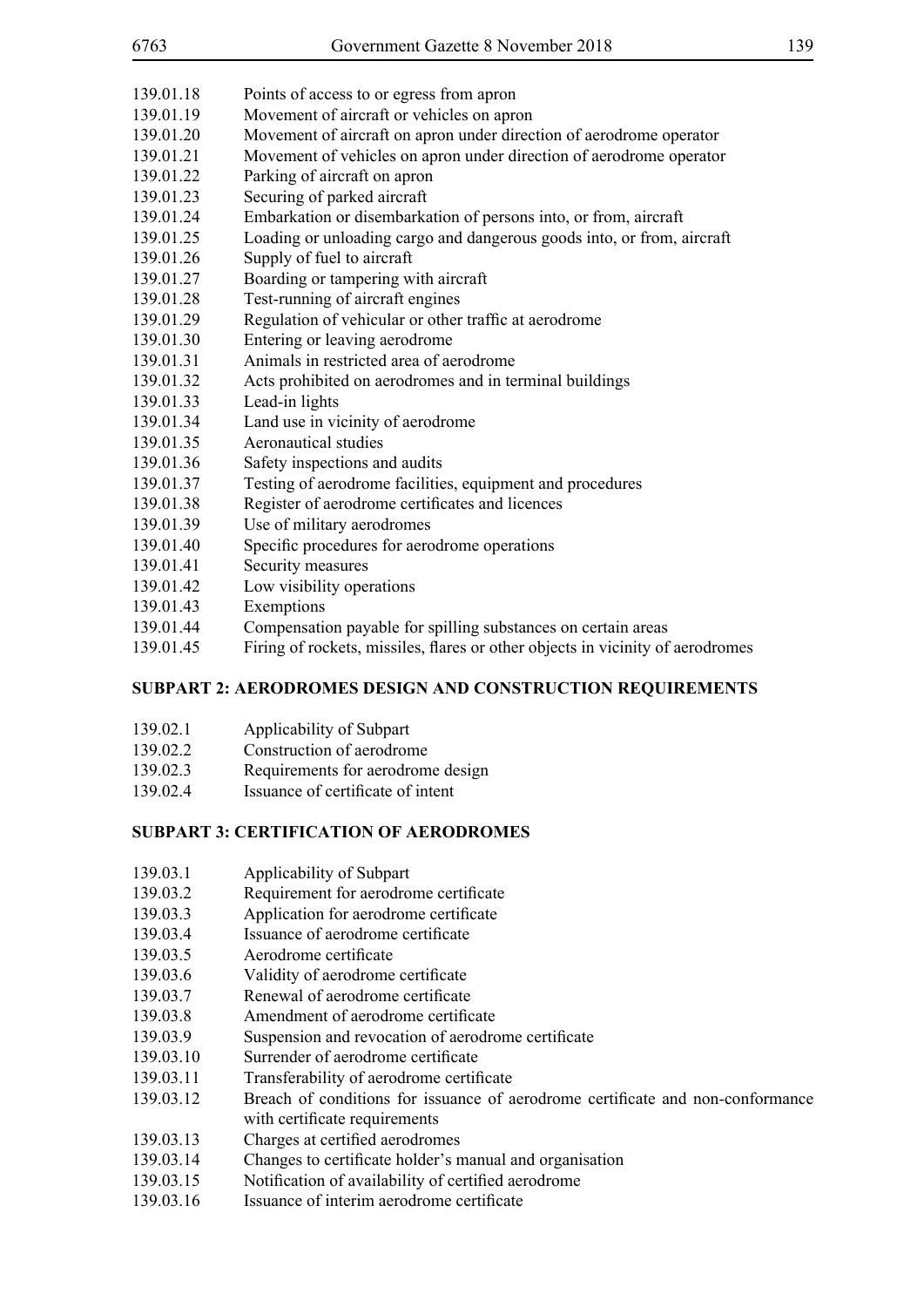| 6763      | Government Gazette 8 November 2018                                             | 139 |
|-----------|--------------------------------------------------------------------------------|-----|
| 139.01.18 | Points of access to or egress from apron                                       |     |
| 139.01.19 | Movement of aircraft or vehicles on apron                                      |     |
| 139.01.20 | Movement of aircraft on apron under direction of aerodrome operator            |     |
| 139.01.21 | Movement of vehicles on apron under direction of aerodrome operator            |     |
| 139.01.22 | Parking of aircraft on apron                                                   |     |
| 139.01.23 | Securing of parked aircraft                                                    |     |
| 139.01.24 | Embarkation or disembarkation of persons into, or from, aircraft               |     |
| 139.01.25 | Loading or unloading cargo and dangerous goods into, or from, aircraft         |     |
| 139.01.26 | Supply of fuel to aircraft                                                     |     |
| 139.01.27 | Boarding or tampering with aircraft                                            |     |
| 139.01.28 | Test-running of aircraft engines                                               |     |
| 139.01.29 | Regulation of vehicular or other traffic at aerodrome                          |     |
| 139.01.30 | Entering or leaving aerodrome                                                  |     |
| 139.01.31 | Animals in restricted area of aerodrome                                        |     |
| 139.01.32 | Acts prohibited on aerodromes and in terminal buildings                        |     |
| 139.01.33 | Lead-in lights                                                                 |     |
| 139.01.34 | Land use in vicinity of aerodrome                                              |     |
| 139.01.35 | <b>Aeronautical studies</b>                                                    |     |
| 139.01.36 | Safety inspections and audits                                                  |     |
| 139.01.37 | Testing of aerodrome facilities, equipment and procedures                      |     |
| 139.01.38 | Register of aerodrome certificates and licences                                |     |
| 139.01.39 | Use of military aerodromes                                                     |     |
| 139.01.40 | Specific procedures for aerodrome operations                                   |     |
| 139.01.41 | Security measures                                                              |     |
| 139.01.42 | Low visibility operations                                                      |     |
| 139.01.43 | Exemptions                                                                     |     |
| 139.01.44 | Compensation payable for spilling substances on certain areas                  |     |
| 139.01.45 | Firing of rockets, missiles, flares or other objects in vicinity of aerodromes |     |

## **SUBPART 2: AERODROMES DESIGN AND CONSTRUCTION REQUIREMENTS**

- 139.02.1 Applicability of Subpart
- 139.02.2 Construction of aerodrome
- 139.02.3 Requirements for aerodrome design<br>139.02.4 Issuance of certificate of intent
- 139.02.4 Issuance of certificate of intent

# **SUBPART 3: CERTIFICATION OF AERODROMES**

- 139.03.1 Applicability of Subpart
- 139.03.2 Requirement for aerodrome certificate
- 139.03.3 Application for aerodrome certificate
- 139.03.4 Issuance of aerodrome certificate
- 139.03.5 Aerodrome certificate
- 139.03.6 Validity of aerodrome certificate
- 139.03.7 Renewal of aerodrome certificate
- 139.03.8 Amendment of aerodrome certificate
- 139.03.9 Suspension and revocation of aerodrome certificate
- 139.03.10 Surrender of aerodrome certificate
- 139.03.11 Transferability of aerodrome certificate
- 139.03.12 Breach of conditions for issuance of aerodrome certificate and non-conformance with certificate requirements
- 139.03.13 Charges at certified aerodromes
- 139.03.14 Changes to certificate holder's manual and organisation
- 139.03.15 Notification of availability of certified aerodrome
- 139.03.16 Issuance of interim aerodrome certificate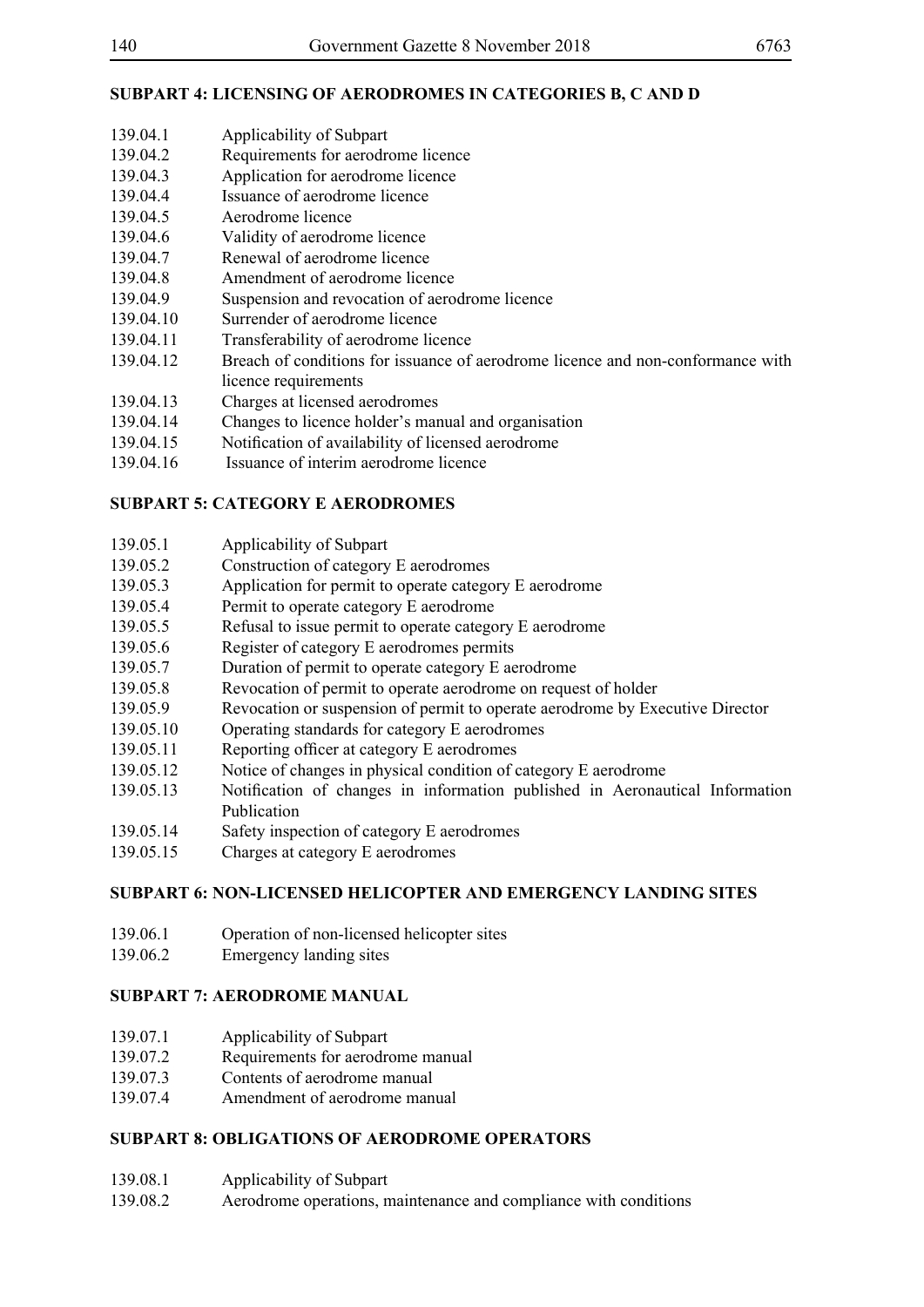# **SUBPART 4: LICENSING OF AERODROMES IN CATEGORIES B, C AND D**

- 139.04.1 Applicability of Subpart 139.04.2 Requirements for aerodrome licence 139.04.3 Application for aerodrome licence 139.04.4 Issuance of aerodrome licence 139.04.5 Aerodrome licence 139.04.6 Validity of aerodrome licence 139.04.7 Renewal of aerodrome licence
- 
- 139.04.8 Amendment of aerodrome licence
- 139.04.9 Suspension and revocation of aerodrome licence
- 139.04.10 Surrender of aerodrome licence
- 139.04.11 Transferability of aerodrome licence
- 139.04.12 Breach of conditions for issuance of aerodrome licence and non-conformance with licence requirements
- 139.04.13 Charges at licensed aerodromes
- 139.04.14 Changes to licence holder's manual and organisation
- 139.04.15 Notification of availability of licensed aerodrome
- 139.04.16 Issuance of interim aerodrome licence

# **SUBPART 5: CATEGORY E AERODROMES**

| 139.05.1 | Applicability of Subpart |
|----------|--------------------------|
|----------|--------------------------|

- 139.05.2 Construction of category E aerodromes
- 139.05.3 Application for permit to operate category E aerodrome
- 139.05.4 Permit to operate category E aerodrome
- 139.05.5 Refusal to issue permit to operate category E aerodrome
- 139.05.6 Register of category E aerodromes permits
- 139.05.7 Duration of permit to operate category E aerodrome
- 139.05.8 Revocation of permit to operate aerodrome on request of holder
- 139.05.9 Revocation or suspension of permit to operate aerodrome by Executive Director
- 139.05.10 Operating standards for category E aerodromes
- 139.05.11 Reporting officer at category E aerodromes
- 139.05.12 Notice of changes in physical condition of category E aerodrome
- 139.05.13 Notification of changes in information published in Aeronautical Information Publication
- 139.05.14 Safety inspection of category E aerodromes
- 139.05.15 Charges at category E aerodromes

# **SUBPART 6: NON-LICENSED HELICOPTER AND EMERGENCY LANDING SITES**

- 139.06.1 Operation of non-licensed helicopter sites
- 139.06.2 Emergency landing sites

# **SUBPART 7: AERODROME MANUAL**

- 139.07.1 Applicability of Subpart
- 139.07.2 Requirements for aerodrome manual
- 139.07.3 Contents of aerodrome manual
- 139.07.4 Amendment of aerodrome manual

# **SUBPART 8: OBLIGATIONS OF AERODROME OPERATORS**

- 139.08.1 Applicability of Subpart
- 139.08.2 Aerodrome operations, maintenance and compliance with conditions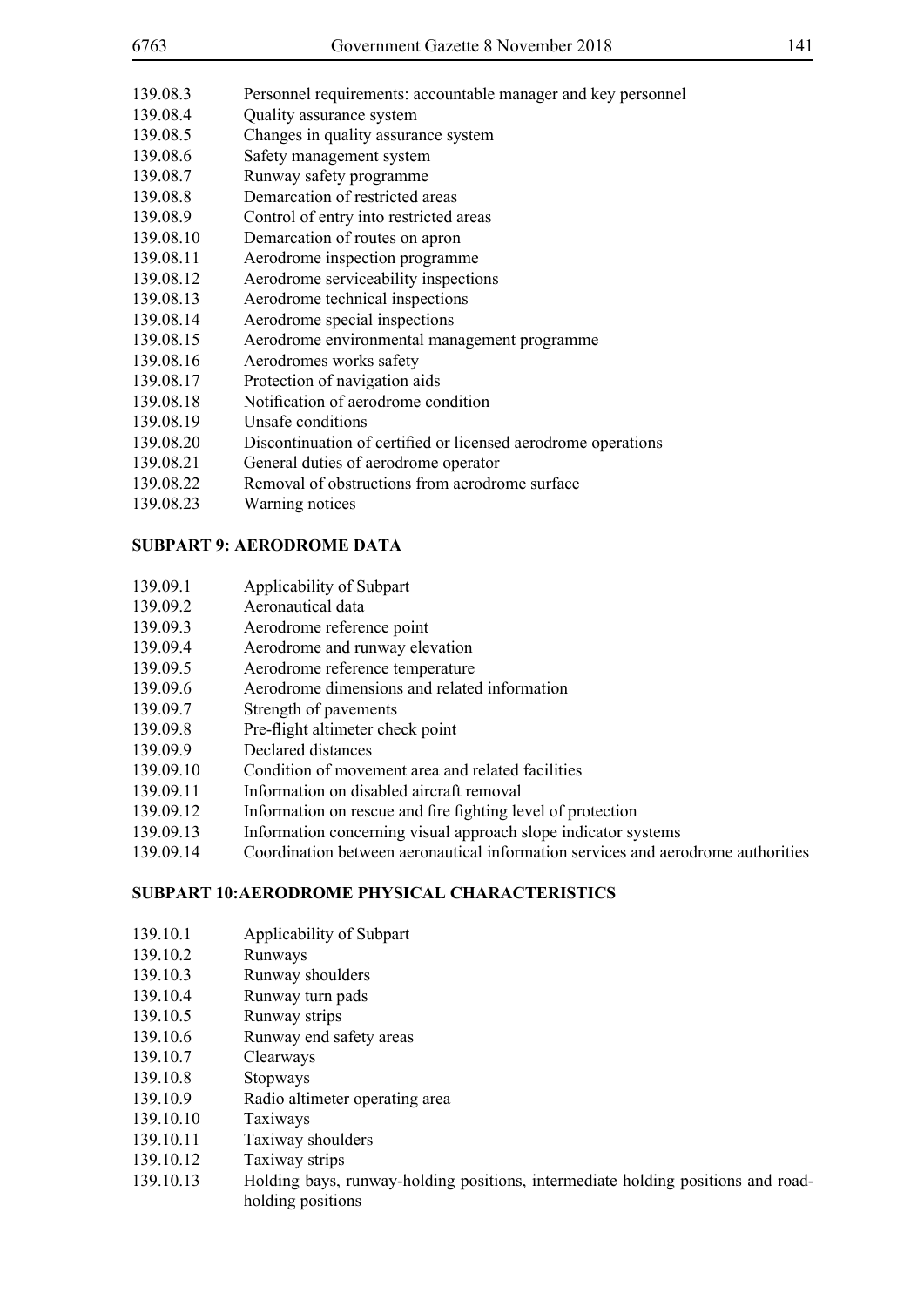| 6763      | Government Gazette 8 November 2018                            | 141 |
|-----------|---------------------------------------------------------------|-----|
| 139.08.3  | Personnel requirements: accountable manager and key personnel |     |
| 139.08.4  | Quality assurance system                                      |     |
| 139.08.5  | Changes in quality assurance system                           |     |
| 139.08.6  | Safety management system                                      |     |
| 139.08.7  | Runway safety programme                                       |     |
| 139.08.8  | Demarcation of restricted areas                               |     |
| 139.08.9  | Control of entry into restricted areas                        |     |
| 139.08.10 | Demarcation of routes on apron                                |     |
| 139.08.11 | Aerodrome inspection programme                                |     |
| 139.08.12 | Aerodrome serviceability inspections                          |     |
| 139.08.13 | Aerodrome technical inspections                               |     |
| 139.08.14 | Aerodrome special inspections                                 |     |
| 139.08.15 | Aerodrome environmental management programme                  |     |
| 139.08.16 | Aerodromes works safety                                       |     |
| 139.08.17 | Protection of navigation aids                                 |     |
| 139.08.18 | Notification of aerodrome condition                           |     |
| 139.08.19 | Unsafe conditions                                             |     |
| 139.08.20 | Discontinuation of certified or licensed aerodrome operations |     |
| 139.08.21 | General duties of aerodrome operator                          |     |
| 139.08.22 | Removal of obstructions from aerodrome surface                |     |
| 139.08.23 | Warning notices                                               |     |

### **SUBPART 9: AERODROME DATA**

- 139.09.1 Applicability of Subpart
- 139.09.2 Aeronautical data
- 139.09.3 Aerodrome reference point
- 139.09.4 Aerodrome and runway elevation
- 139.09.5 Aerodrome reference temperature
- 139.09.6 Aerodrome dimensions and related information
- 139.09.7 Strength of pavements
- 139.09.8 Pre-flight altimeter check point
- 139.09.9 Declared distances
- 139.09.10 Condition of movement area and related facilities
- 139.09.11 Information on disabled aircraft removal
- 139.09.12 Information on rescue and fire fighting level of protection
- 139.09.13 Information concerning visual approach slope indicator systems
- 139.09.14 Coordination between aeronautical information services and aerodrome authorities

## **SUBPART 10:AERODROME PHYSICAL CHARACTERISTICS**

- 139.10.1 Applicability of Subpart
- 139.10.2 Runways
- 139.10.3 Runway shoulders
- 139.10.4 Runway turn pads
- 139.10.5 Runway strips
- 139.10.6 Runway end safety areas
- 139.10.7 Clearways
- 139.10.8 Stopways
- 139.10.9 Radio altimeter operating area
- 139.10.10 Taxiways
- 139.10.11 Taxiway shoulders
- 139.10.12 Taxiway strips
- 139.10.13 Holding bays, runway-holding positions, intermediate holding positions and roadholding positions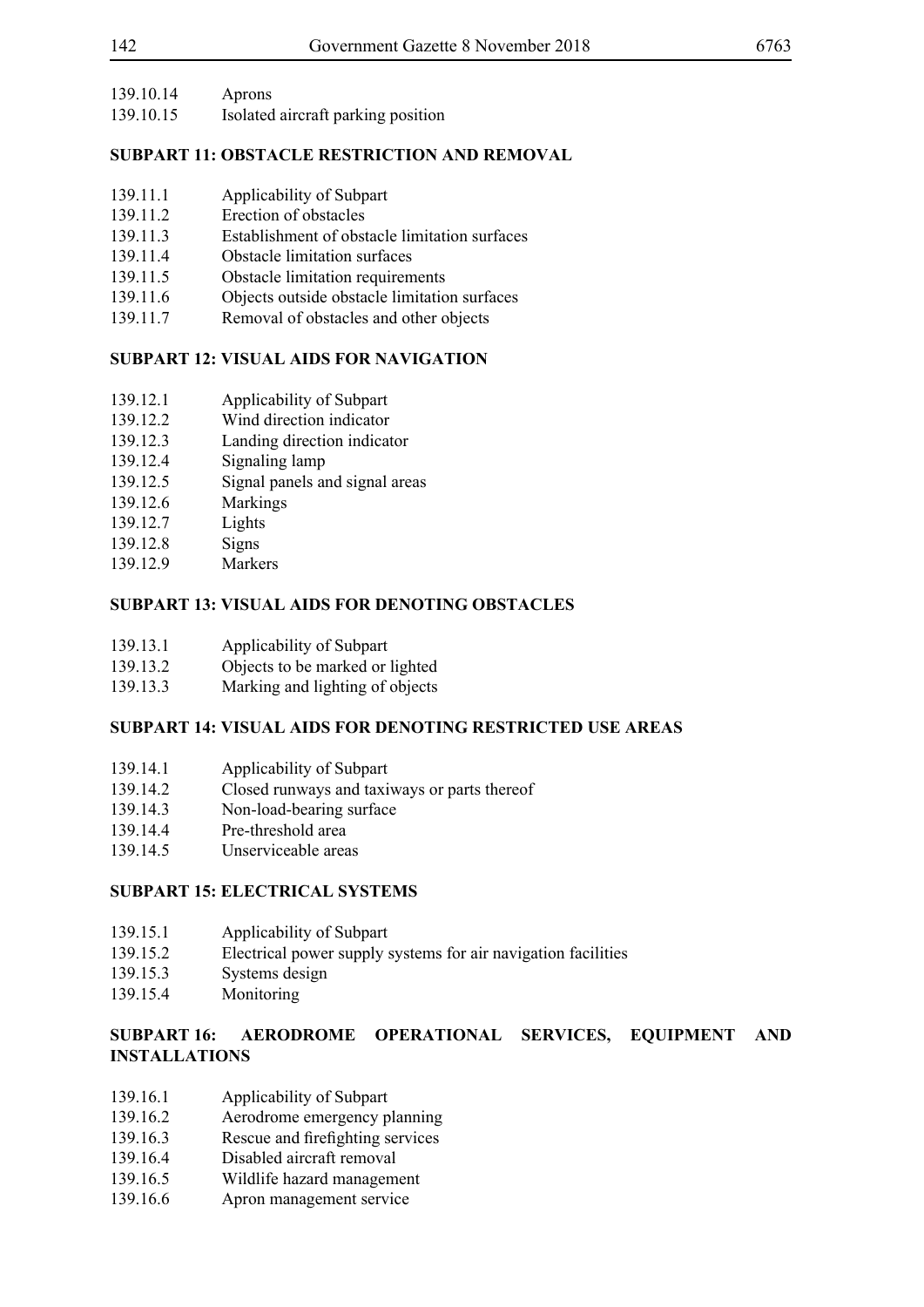| 139.10.14 | Aprons |
|-----------|--------|
|-----------|--------|

139.10.15 Isolated aircraft parking position

# **SUBPART 11: OBSTACLE RESTRICTION AND REMOVAL**

- 139.11.1 Applicability of Subpart
- 139.11.2 Erection of obstacles
- 139.11.3 Establishment of obstacle limitation surfaces
- 139.11.4 Obstacle limitation surfaces
- 139.11.5 Obstacle limitation requirements<br>139.11.6 Objects outside obstacle limitation
- Objects outside obstacle limitation surfaces
- 139.11.7 Removal of obstacles and other objects

# **SUBPART 12: VISUAL AIDS FOR NAVIGATION**

- 139.12.1 Applicability of Subpart
- 139.12.2 Wind direction indicator
- 139.12.3 Landing direction indicator
- 139.12.4 Signaling lamp
- 139.12.5 Signal panels and signal areas
- 139.12.6 Markings
- 139.12.7 Lights
- 139.12.8 Signs
- 139.12.9 Markers

# **SUBPART 13: VISUAL AIDS FOR DENOTING OBSTACLES**

- 139.13.1 Applicability of Subpart
- 139.13.2 Objects to be marked or lighted
- 139.13.3 Marking and lighting of objects

# **SUBPART 14: VISUAL AIDS FOR DENOTING RESTRICTED USE AREAS**

- 139.14.1 Applicability of Subpart
- 139.14.2 Closed runways and taxiways or parts thereof
- 139.14.3 Non-load-bearing surface
- 139.14.4 Pre-threshold area
- 139.14.5 Unserviceable areas

# **SUBPART 15: ELECTRICAL SYSTEMS**

- 139.15.1 Applicability of Subpart
- 139.15.2 Electrical power supply systems for air navigation facilities
- 139.15.3 Systems design
- 139.15.4 Monitoring

## **SUBPART 16: AERODROME OPERATIONAL SERVICES, EQUIPMENT AND INSTALLATIONS**

- 139.16.1 Applicability of Subpart
- 139.16.2 Aerodrome emergency planning
- 139.16.3 Rescue and firefighting services
- 139.16.4 Disabled aircraft removal
- 139.16.5 Wildlife hazard management
- 139.16.6 Apron management service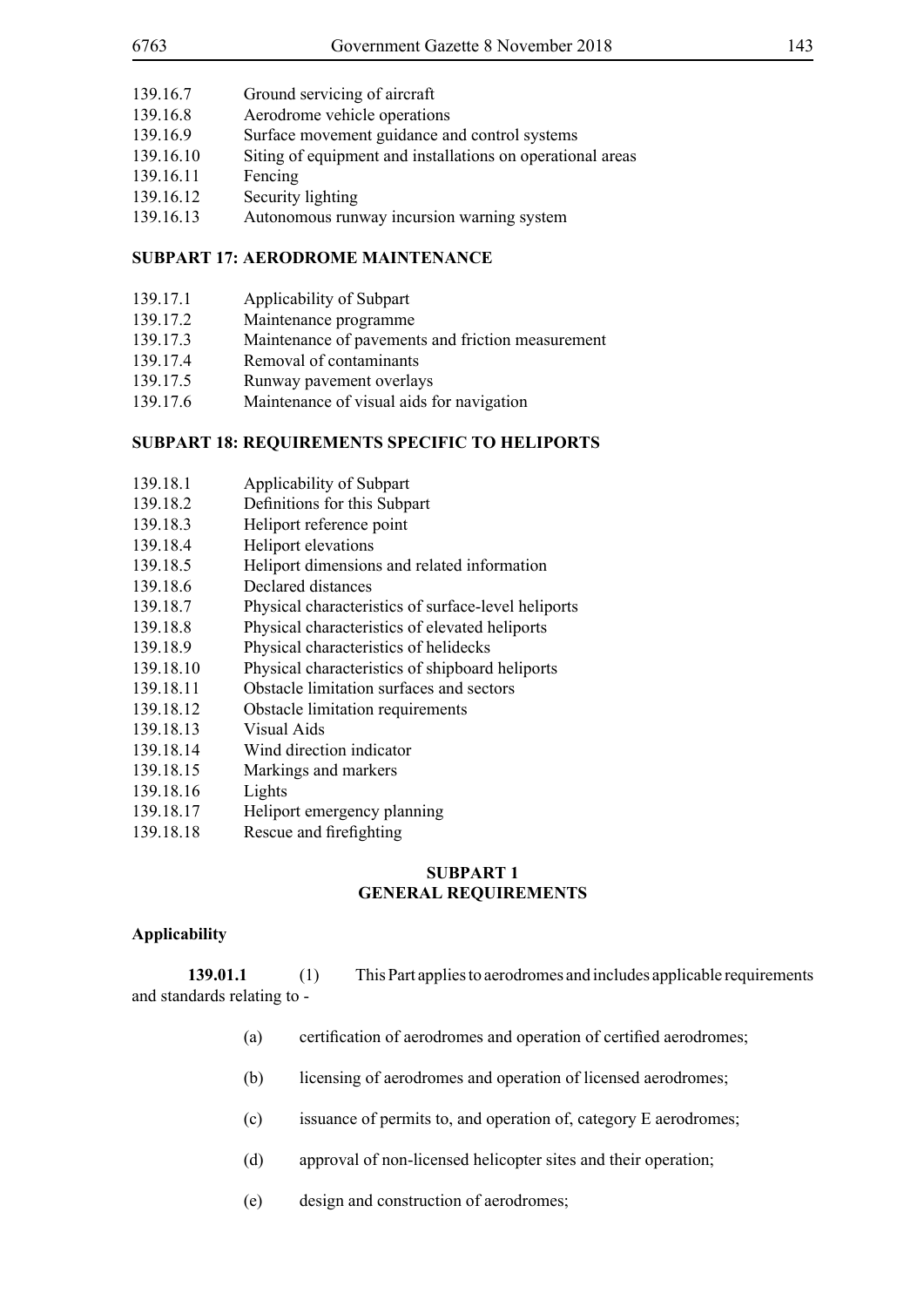- 139.16.7 Ground servicing of aircraft
- 139.16.8 Aerodrome vehicle operations
- 139.16.9 Surface movement guidance and control systems
- 139.16.10 Siting of equipment and installations on operational areas
- 139.16.11 Fencing
- 139.16.12 Security lighting
- 139.16.13 Autonomous runway incursion warning system

## **SUBPART 17: AERODROME MAINTENANCE**

- 139.17.1 Applicability of Subpart
- 139.17.2 Maintenance programme
- 139.17.3 Maintenance of pavements and friction measurement
- 139.17.4 Removal of contaminants
- 139.17.5 Runway pavement overlays
- 139.17.6 Maintenance of visual aids for navigation

## **SUBPART 18: REQUIREMENTS SPECIFIC TO HELIPORTS**

- 139.18.1 Applicability of Subpart
- 139.18.2 Definitions for this Subpart
- 139.18.3 Heliport reference point
- 139.18.4 Heliport elevations
- 139.18.5 Heliport dimensions and related information
- 139.18.6 Declared distances
- 139.18.7 Physical characteristics of surface-level heliports
- 139.18.8 Physical characteristics of elevated heliports
- 139.18.9 Physical characteristics of helidecks
- 139.18.10 Physical characteristics of shipboard heliports
- 139.18.11 Obstacle limitation surfaces and sectors
- 139.18.12 Obstacle limitation requirements
- 139.18.13 Visual Aids
- 139.18.14 Wind direction indicator
- 139.18.15 Markings and markers
- 139.18.16 Lights
- 139.18.17 Heliport emergency planning
- 139.18.18 Rescue and firefighting

## **SUBPART 1 GENERAL REQUIREMENTS**

## **Applicability**

**139.01.1** (1) This Part applies to aerodromes and includes applicable requirements and standards relating to -

- (a) certification of aerodromes and operation of certified aerodromes;
- (b) licensing of aerodromes and operation of licensed aerodromes;
- (c) issuance of permits to, and operation of, category E aerodromes;
- (d) approval of non-licensed helicopter sites and their operation;
- (e) design and construction of aerodromes;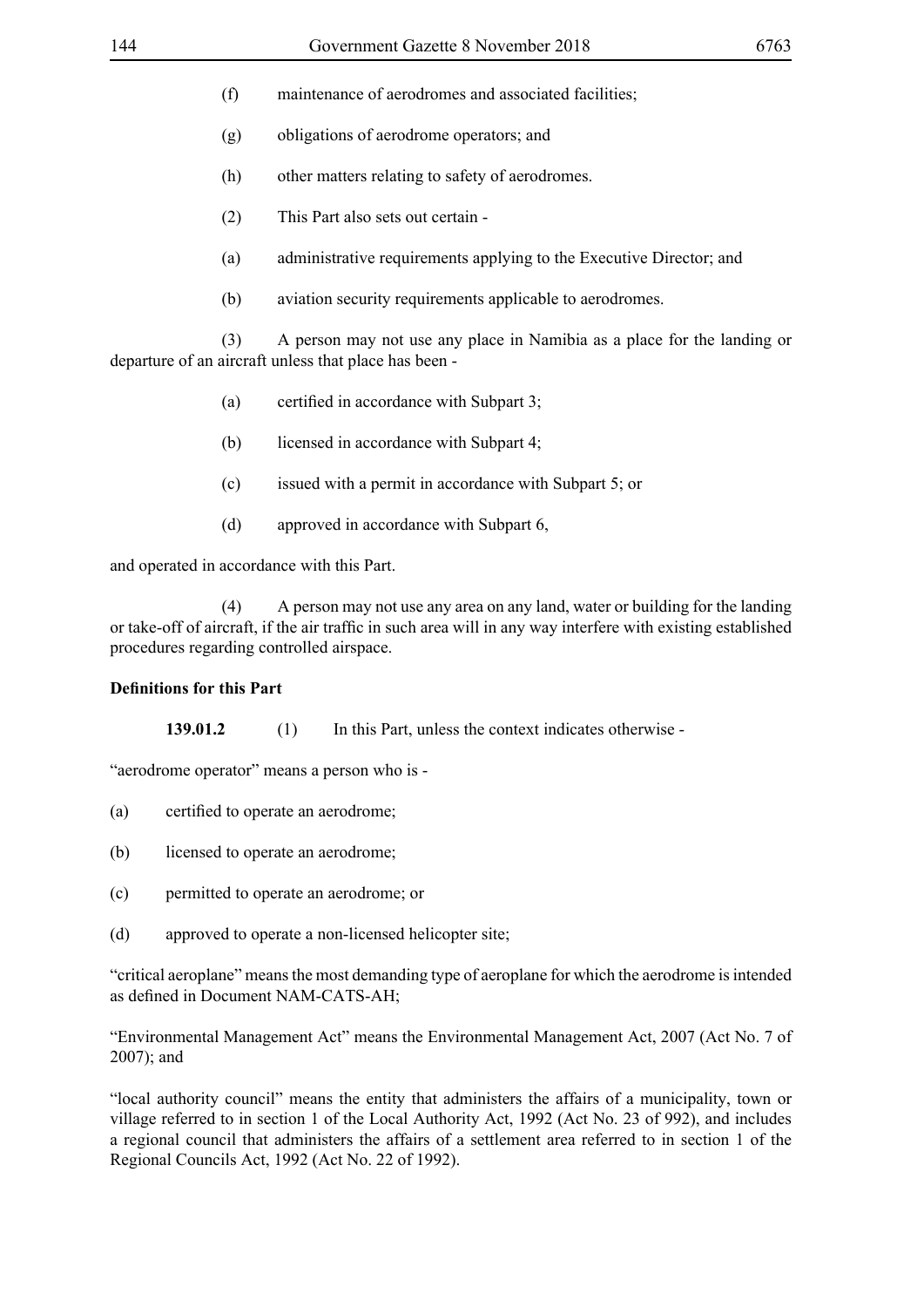- (f) maintenance of aerodromes and associated facilities;
- (g) obligations of aerodrome operators; and
- (h) other matters relating to safety of aerodromes.
- (2) This Part also sets out certain -
- (a) administrative requirements applying to the Executive Director; and
- (b) aviation security requirements applicable to aerodromes.

 (3) A person may not use any place in Namibia as a place for the landing or departure of an aircraft unless that place has been -

- (a) certified in accordance with Subpart 3;
- (b) licensed in accordance with Subpart 4;
- (c) issued with a permit in accordance with Subpart 5; or
- (d) approved in accordance with Subpart 6,

and operated in accordance with this Part.

 (4) A person may not use any area on any land, water or building for the landing or take-off of aircraft, if the air traffic in such area will in any way interfere with existing established procedures regarding controlled airspace.

#### **Definitions for this Part**

**139.01.2** (1) In this Part, unless the context indicates otherwise -

"aerodrome operator" means a person who is -

- (a) certified to operate an aerodrome;
- (b) licensed to operate an aerodrome;
- (c) permitted to operate an aerodrome; or
- (d) approved to operate a non-licensed helicopter site;

"critical aeroplane" means the most demanding type of aeroplane for which the aerodrome is intended as defined in Document NAM-CATS-AH;

"Environmental Management Act" means the Environmental Management Act, 2007 (Act No. 7 of 2007); and

"local authority council" means the entity that administers the affairs of a municipality, town or village referred to in section 1 of the Local Authority Act, 1992 (Act No. 23 of 992), and includes a regional council that administers the affairs of a settlement area referred to in section 1 of the Regional Councils Act, 1992 (Act No. 22 of 1992).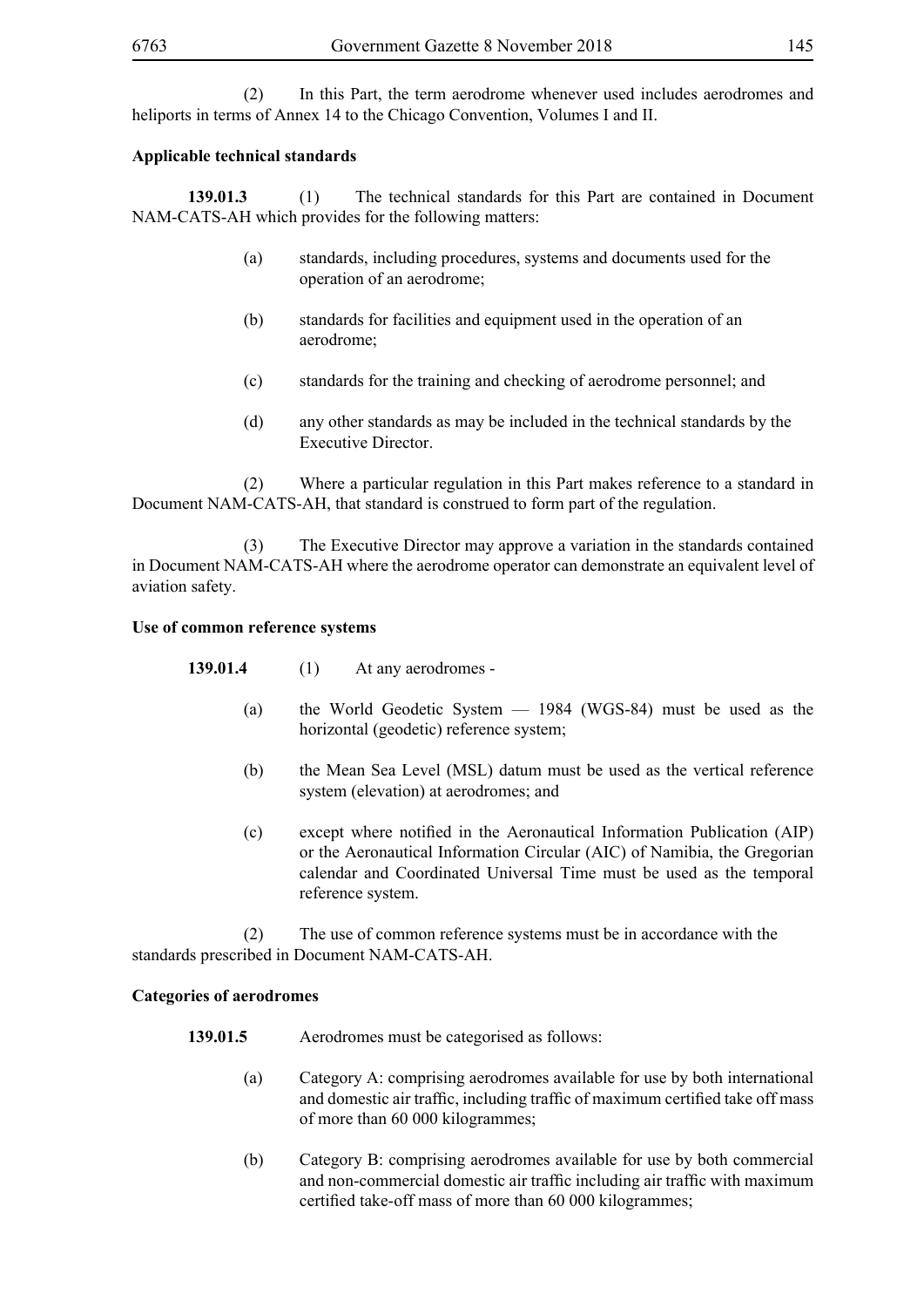(2) In this Part, the term aerodrome whenever used includes aerodromes and heliports in terms of Annex 14 to the Chicago Convention, Volumes I and II.

## **Applicable technical standards**

**139.01.3** (1) The technical standards for this Part are contained in Document NAM-CATS-AH which provides for the following matters:

- (a) standards, including procedures, systems and documents used for the operation of an aerodrome;
- (b) standards for facilities and equipment used in the operation of an aerodrome;
- (c) standards for the training and checking of aerodrome personnel; and
- (d) any other standards as may be included in the technical standards by the Executive Director.

 (2) Where a particular regulation in this Part makes reference to a standard in Document NAM-CATS-AH, that standard is construed to form part of the regulation.

 (3) The Executive Director may approve a variation in the standards contained in Document NAM-CATS-AH where the aerodrome operator can demonstrate an equivalent level of aviation safety.

### **Use of common reference systems**

**139.01.4** (1) At any aerodromes -

- (a) the World Geodetic System 1984 (WGS-84) must be used as the horizontal (geodetic) reference system;
- (b) the Mean Sea Level (MSL) datum must be used as the vertical reference system (elevation) at aerodromes; and
- (c) except where notified in the Aeronautical Information Publication (AIP) or the Aeronautical Information Circular (AIC) of Namibia, the Gregorian calendar and Coordinated Universal Time must be used as the temporal reference system.

 (2) The use of common reference systems must be in accordance with the standards prescribed in Document NAM-CATS-AH.

### **Categories of aerodromes**

- **139.01.5** Aerodromes must be categorised as follows:
	- (a) Category A: comprising aerodromes available for use by both international and domestic air traffic, including traffic of maximum certified take off mass of more than 60 000 kilogrammes;
	- (b) Category B: comprising aerodromes available for use by both commercial and non-commercial domestic air traffic including air traffic with maximum certified take-off mass of more than 60 000 kilogrammes;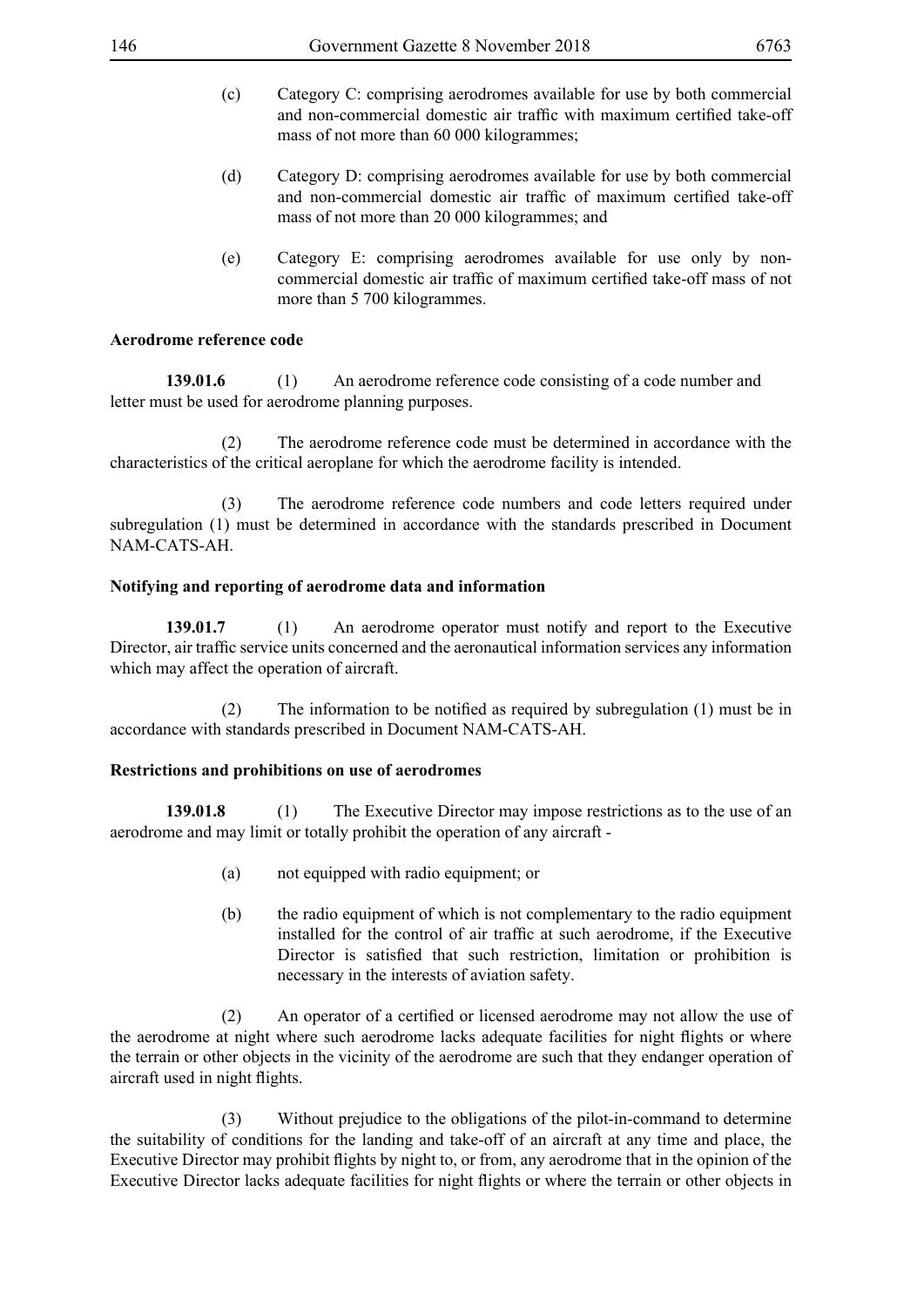- (c) Category C: comprising aerodromes available for use by both commercial and non-commercial domestic air traffic with maximum certified take-off mass of not more than 60 000 kilogrammes;
- (d) Category D: comprising aerodromes available for use by both commercial and non-commercial domestic air traffic of maximum certified take-off mass of not more than 20 000 kilogrammes; and
- (e) Category E: comprising aerodromes available for use only by noncommercial domestic air traffic of maximum certified take-off mass of not more than 5 700 kilogrammes.

## **Aerodrome reference code**

**139.01.6** (1) An aerodrome reference code consisting of a code number and letter must be used for aerodrome planning purposes.

 (2) The aerodrome reference code must be determined in accordance with the characteristics of the critical aeroplane for which the aerodrome facility is intended.

 (3) The aerodrome reference code numbers and code letters required under subregulation (1) must be determined in accordance with the standards prescribed in Document NAM-CATS-AH.

## **Notifying and reporting of aerodrome data and information**

**139.01.7** (1) An aerodrome operator must notify and report to the Executive Director, air traffic service units concerned and the aeronautical information services any information which may affect the operation of aircraft.

(2) The information to be notified as required by subregulation (1) must be in accordance with standards prescribed in Document NAM-CATS-AH.

### **Restrictions and prohibitions on use of aerodromes**

**139.01.8** (1) The Executive Director may impose restrictions as to the use of an aerodrome and may limit or totally prohibit the operation of any aircraft -

- (a) not equipped with radio equipment; or
- (b) the radio equipment of which is not complementary to the radio equipment installed for the control of air traffic at such aerodrome, if the Executive Director is satisfied that such restriction, limitation or prohibition is necessary in the interests of aviation safety.

(2) An operator of a certified or licensed aerodrome may not allow the use of the aerodrome at night where such aerodrome lacks adequate facilities for night flights or where the terrain or other objects in the vicinity of the aerodrome are such that they endanger operation of aircraft used in night flights.

 (3) Without prejudice to the obligations of the pilot-in-command to determine the suitability of conditions for the landing and take-off of an aircraft at any time and place, the Executive Director may prohibit flights by night to, or from, any aerodrome that in the opinion of the Executive Director lacks adequate facilities for night flights or where the terrain or other objects in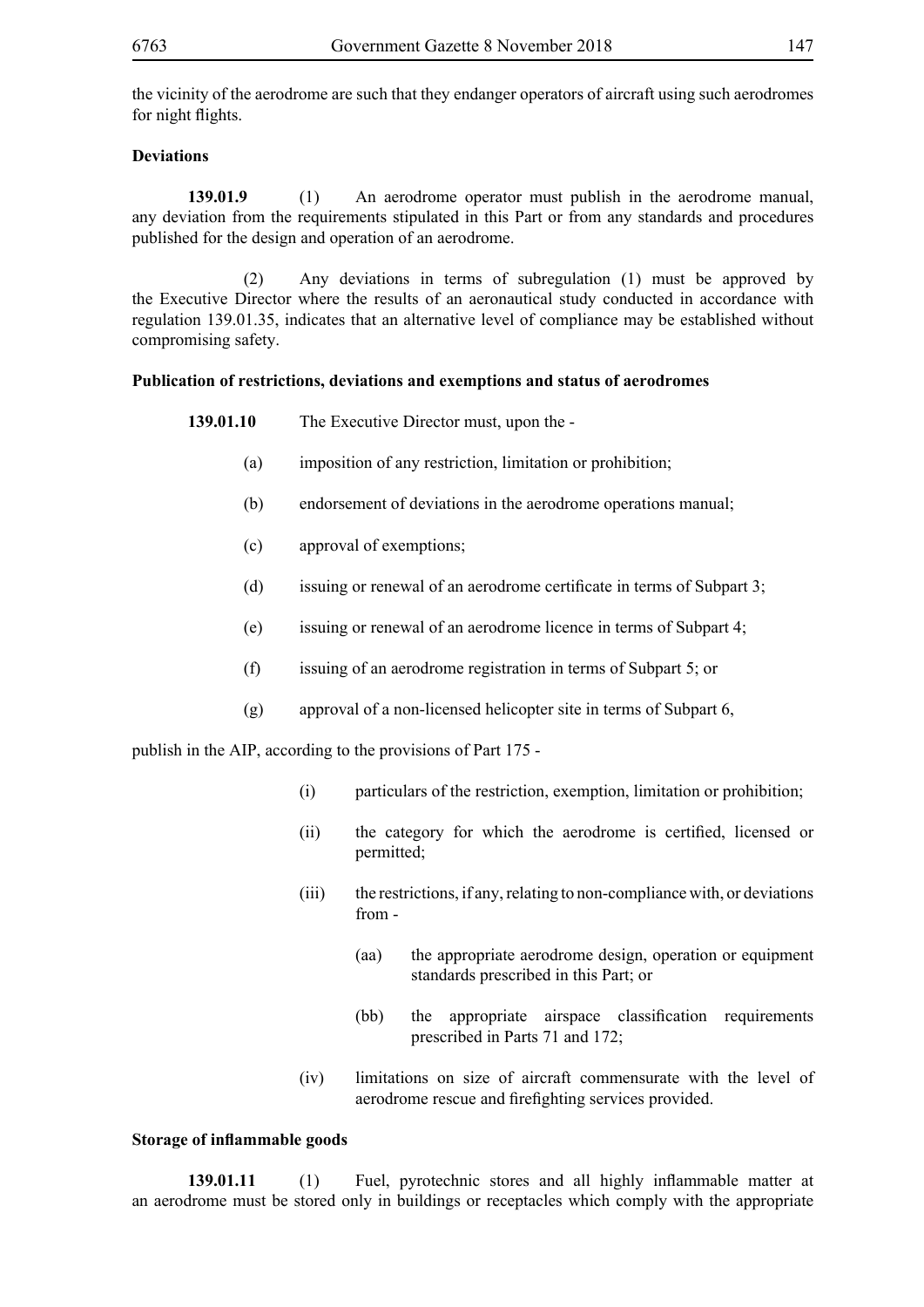the vicinity of the aerodrome are such that they endanger operators of aircraft using such aerodromes for night flights.

## **Deviations**

**139.01.9** (1) An aerodrome operator must publish in the aerodrome manual, any deviation from the requirements stipulated in this Part or from any standards and procedures published for the design and operation of an aerodrome.

 (2) Any deviations in terms of subregulation (1) must be approved by the Executive Director where the results of an aeronautical study conducted in accordance with regulation 139.01.35, indicates that an alternative level of compliance may be established without compromising safety.

### **Publication of restrictions, deviations and exemptions and status of aerodromes**

| 139.01.10 | The Executive Director must, upon the - |
|-----------|-----------------------------------------|
|-----------|-----------------------------------------|

- (a) imposition of any restriction, limitation or prohibition;
- (b) endorsement of deviations in the aerodrome operations manual;
- (c) approval of exemptions;
- (d) issuing or renewal of an aerodrome certificate in terms of Subpart 3;
- (e) issuing or renewal of an aerodrome licence in terms of Subpart 4;
- (f) issuing of an aerodrome registration in terms of Subpart 5; or
- (g) approval of a non-licensed helicopter site in terms of Subpart 6,

publish in the AIP, according to the provisions of Part 175 -

- (i) particulars of the restriction, exemption, limitation or prohibition;
- (ii) the category for which the aerodrome is certified, licensed or permitted;
- (iii) the restrictions, if any, relating to non-compliance with, or deviations from -
	- (aa) the appropriate aerodrome design, operation or equipment standards prescribed in this Part; or
	- (bb) the appropriate airspace classification requirements prescribed in Parts 71 and 172;
- (iv) limitations on size of aircraft commensurate with the level of aerodrome rescue and firefighting services provided.

### **Storage of inflammable goods**

**139.01.11** (1) Fuel, pyrotechnic stores and all highly inflammable matter at an aerodrome must be stored only in buildings or receptacles which comply with the appropriate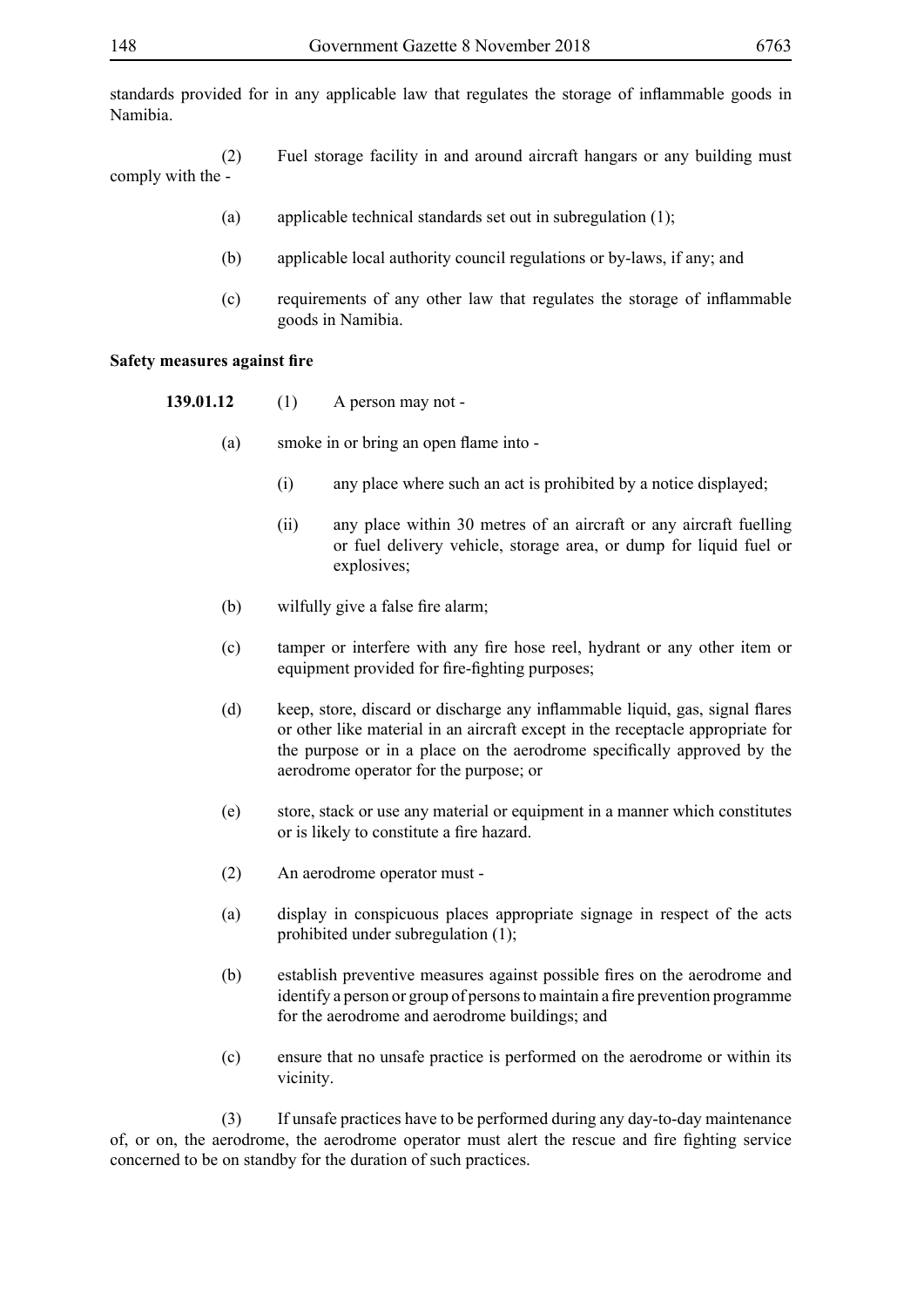standards provided for in any applicable law that regulates the storage of inflammable goods in Namibia.

 (2) Fuel storage facility in and around aircraft hangars or any building must comply with the -

- (a) applicable technical standards set out in subregulation (1);
- (b) applicable local authority council regulations or by-laws, if any; and
- (c) requirements of any other law that regulates the storage of inflammable goods in Namibia.

#### **Safety measures against fire**

- **139.01.12** (1) A person may not
	- (a) smoke in or bring an open flame into
		- (i) any place where such an act is prohibited by a notice displayed;
		- (ii) any place within 30 metres of an aircraft or any aircraft fuelling or fuel delivery vehicle, storage area, or dump for liquid fuel or explosives;
	- (b) wilfully give a false fire alarm;
	- (c) tamper or interfere with any fire hose reel, hydrant or any other item or equipment provided for fire-fighting purposes;
	- (d) keep, store, discard or discharge any inflammable liquid, gas, signal flares or other like material in an aircraft except in the receptacle appropriate for the purpose or in a place on the aerodrome specifically approved by the aerodrome operator for the purpose; or
	- (e) store, stack or use any material or equipment in a manner which constitutes or is likely to constitute a fire hazard.
	- (2) An aerodrome operator must -
	- (a) display in conspicuous places appropriate signage in respect of the acts prohibited under subregulation (1);
	- (b) establish preventive measures against possible fires on the aerodrome and identify a person or group of persons to maintain a fire prevention programme for the aerodrome and aerodrome buildings; and
	- (c) ensure that no unsafe practice is performed on the aerodrome or within its vicinity.

 (3) If unsafe practices have to be performed during any day-to-day maintenance of, or on, the aerodrome, the aerodrome operator must alert the rescue and fire fighting service concerned to be on standby for the duration of such practices.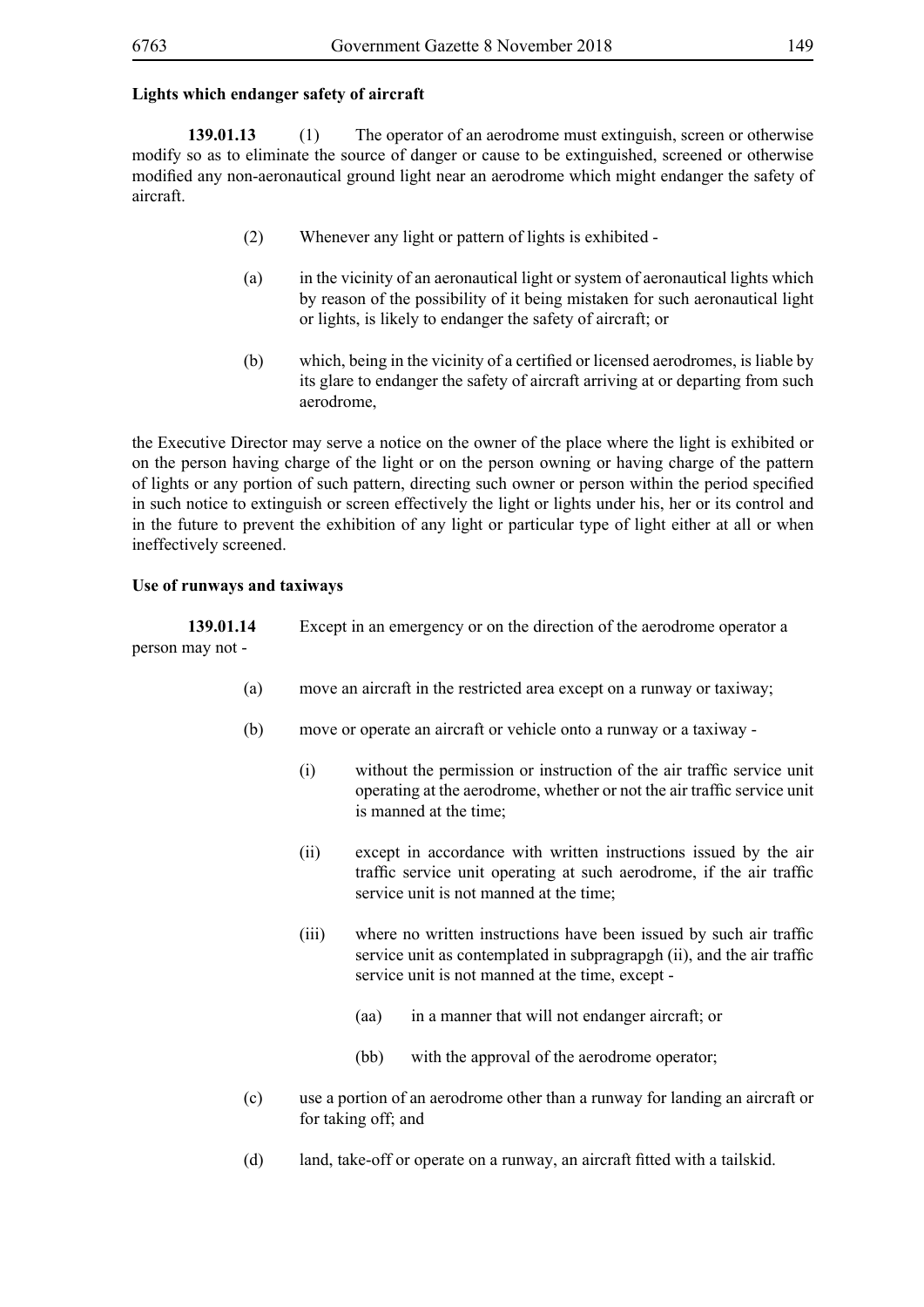## **Lights which endanger safety of aircraft**

**139.01.13** (1) The operator of an aerodrome must extinguish, screen or otherwise modify so as to eliminate the source of danger or cause to be extinguished, screened or otherwise modified any non-aeronautical ground light near an aerodrome which might endanger the safety of aircraft.

- (2) Whenever any light or pattern of lights is exhibited -
- (a) in the vicinity of an aeronautical light or system of aeronautical lights which by reason of the possibility of it being mistaken for such aeronautical light or lights, is likely to endanger the safety of aircraft; or
- (b) which, being in the vicinity of a certified or licensed aerodromes, is liable by its glare to endanger the safety of aircraft arriving at or departing from such aerodrome,

the Executive Director may serve a notice on the owner of the place where the light is exhibited or on the person having charge of the light or on the person owning or having charge of the pattern of lights or any portion of such pattern, directing such owner or person within the period specified in such notice to extinguish or screen effectively the light or lights under his, her or its control and in the future to prevent the exhibition of any light or particular type of light either at all or when ineffectively screened.

## **Use of runways and taxiways**

**139.01.14** Except in an emergency or on the direction of the aerodrome operator a person may not -

- (a) move an aircraft in the restricted area except on a runway or taxiway;
- (b) move or operate an aircraft or vehicle onto a runway or a taxiway
	- (i) without the permission or instruction of the air traffic service unit operating at the aerodrome, whether or not the air traffic service unit is manned at the time;
	- (ii) except in accordance with written instructions issued by the air traffic service unit operating at such aerodrome, if the air traffic service unit is not manned at the time;
	- (iii) where no written instructions have been issued by such air traffic service unit as contemplated in subpragrapgh (ii), and the air traffic service unit is not manned at the time, except -
		- (aa) in a manner that will not endanger aircraft; or
		- (bb) with the approval of the aerodrome operator;
- (c) use a portion of an aerodrome other than a runway for landing an aircraft or for taking off; and
- (d) land, take-off or operate on a runway, an aircraft fitted with a tailskid.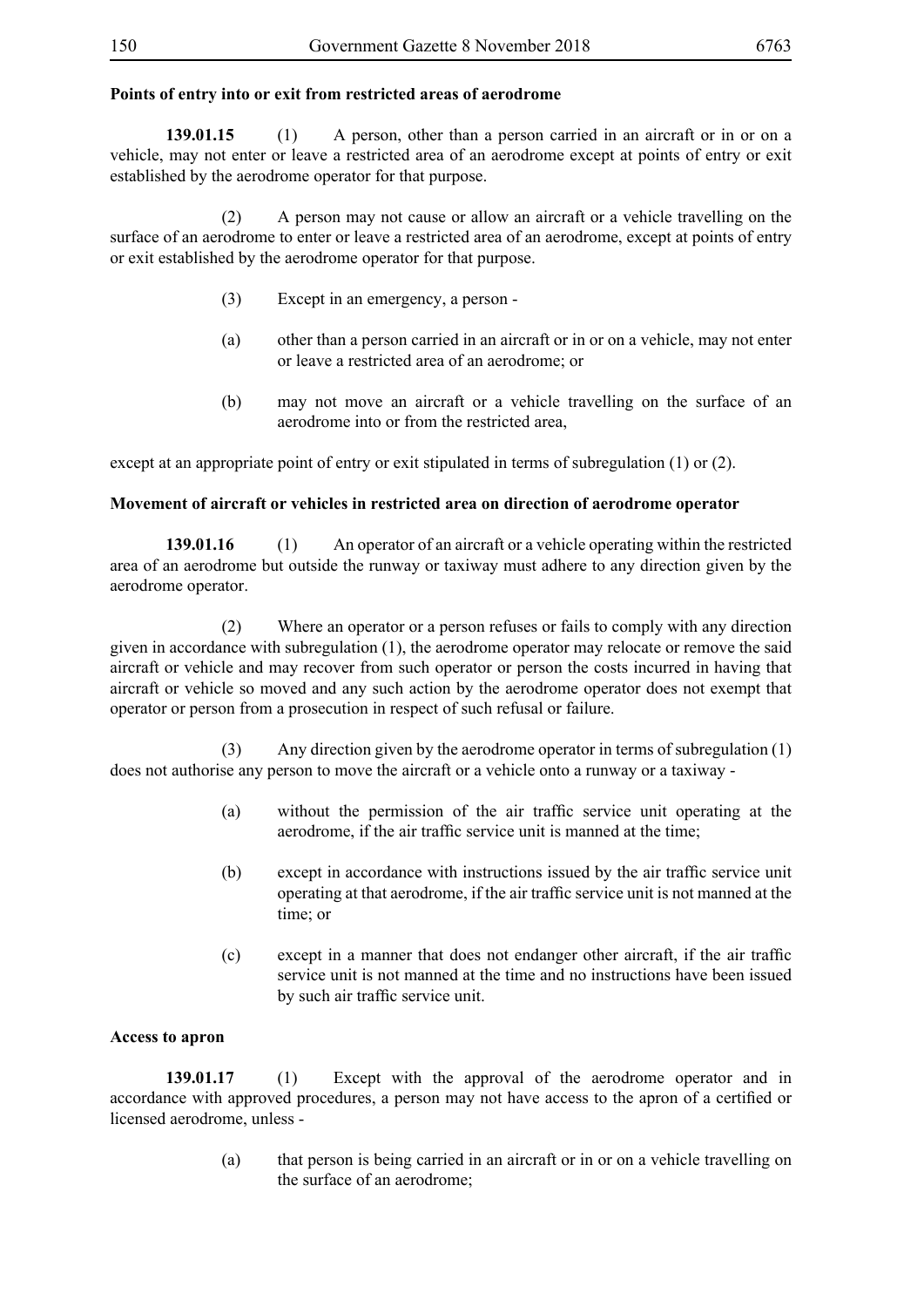## **Points of entry into or exit from restricted areas of aerodrome**

**139.01.15** (1) A person, other than a person carried in an aircraft or in or on a vehicle, may not enter or leave a restricted area of an aerodrome except at points of entry or exit established by the aerodrome operator for that purpose.

 (2) A person may not cause or allow an aircraft or a vehicle travelling on the surface of an aerodrome to enter or leave a restricted area of an aerodrome, except at points of entry or exit established by the aerodrome operator for that purpose.

- (3) Except in an emergency, a person -
- (a) other than a person carried in an aircraft or in or on a vehicle, may not enter or leave a restricted area of an aerodrome; or
- (b) may not move an aircraft or a vehicle travelling on the surface of an aerodrome into or from the restricted area,

except at an appropriate point of entry or exit stipulated in terms of subregulation (1) or (2).

### **Movement of aircraft or vehicles in restricted area on direction of aerodrome operator**

**139.01.16** (1) An operator of an aircraft or a vehicle operating within the restricted area of an aerodrome but outside the runway or taxiway must adhere to any direction given by the aerodrome operator.

 (2) Where an operator or a person refuses or fails to comply with any direction given in accordance with subregulation (1), the aerodrome operator may relocate or remove the said aircraft or vehicle and may recover from such operator or person the costs incurred in having that aircraft or vehicle so moved and any such action by the aerodrome operator does not exempt that operator or person from a prosecution in respect of such refusal or failure.

 (3) Any direction given by the aerodrome operator in terms of subregulation (1) does not authorise any person to move the aircraft or a vehicle onto a runway or a taxiway -

- (a) without the permission of the air traffic service unit operating at the aerodrome, if the air traffic service unit is manned at the time;
- (b) except in accordance with instructions issued by the air traffic service unit operating at that aerodrome, if the air traffic service unit is not manned at the time; or
- (c) except in a manner that does not endanger other aircraft, if the air traffic service unit is not manned at the time and no instructions have been issued by such air traffic service unit.

### **Access to apron**

**139.01.17** (1) Except with the approval of the aerodrome operator and in accordance with approved procedures, a person may not have access to the apron of a certified or licensed aerodrome, unless -

> (a) that person is being carried in an aircraft or in or on a vehicle travelling on the surface of an aerodrome;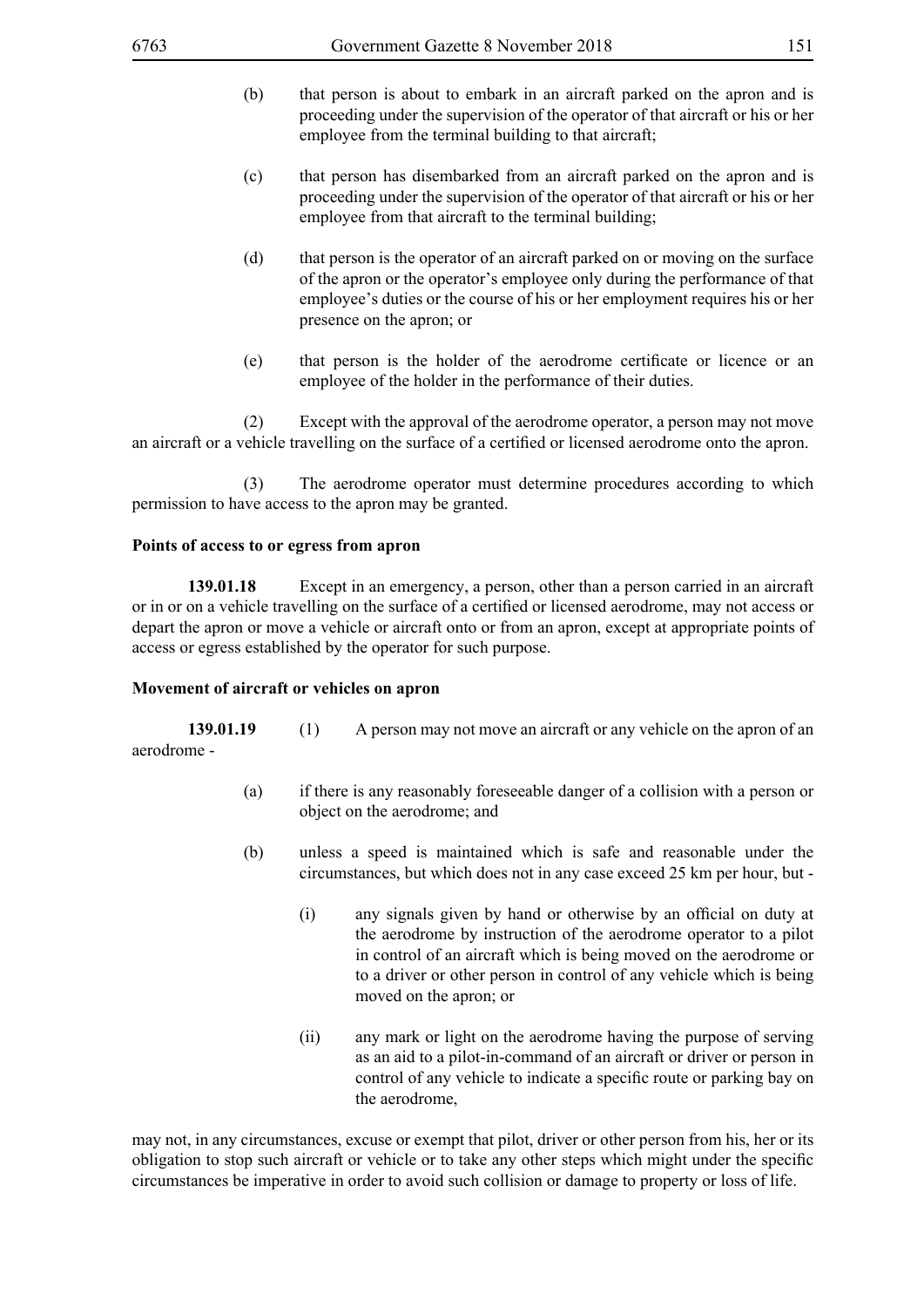- (b) that person is about to embark in an aircraft parked on the apron and is proceeding under the supervision of the operator of that aircraft or his or her employee from the terminal building to that aircraft;
- (c) that person has disembarked from an aircraft parked on the apron and is proceeding under the supervision of the operator of that aircraft or his or her employee from that aircraft to the terminal building;
- (d) that person is the operator of an aircraft parked on or moving on the surface of the apron or the operator's employee only during the performance of that employee's duties or the course of his or her employment requires his or her presence on the apron; or
- (e) that person is the holder of the aerodrome certificate or licence or an employee of the holder in the performance of their duties.

 (2) Except with the approval of the aerodrome operator, a person may not move an aircraft or a vehicle travelling on the surface of a certified or licensed aerodrome onto the apron.

 (3) The aerodrome operator must determine procedures according to which permission to have access to the apron may be granted.

## **Points of access to or egress from apron**

**139.01.18** Except in an emergency, a person, other than a person carried in an aircraft or in or on a vehicle travelling on the surface of a certified or licensed aerodrome, may not access or depart the apron or move a vehicle or aircraft onto or from an apron, except at appropriate points of access or egress established by the operator for such purpose.

### **Movement of aircraft or vehicles on apron**

**139.01.19** (1) A person may not move an aircraft or any vehicle on the apron of an aerodrome -

- (a) if there is any reasonably foreseeable danger of a collision with a person or object on the aerodrome; and
- (b) unless a speed is maintained which is safe and reasonable under the circumstances, but which does not in any case exceed 25 km per hour, but -
	- (i) any signals given by hand or otherwise by an official on duty at the aerodrome by instruction of the aerodrome operator to a pilot in control of an aircraft which is being moved on the aerodrome or to a driver or other person in control of any vehicle which is being moved on the apron; or
	- (ii) any mark or light on the aerodrome having the purpose of serving as an aid to a pilot-in-command of an aircraft or driver or person in control of any vehicle to indicate a specific route or parking bay on the aerodrome,

may not, in any circumstances, excuse or exempt that pilot, driver or other person from his, her or its obligation to stop such aircraft or vehicle or to take any other steps which might under the specific circumstances be imperative in order to avoid such collision or damage to property or loss of life.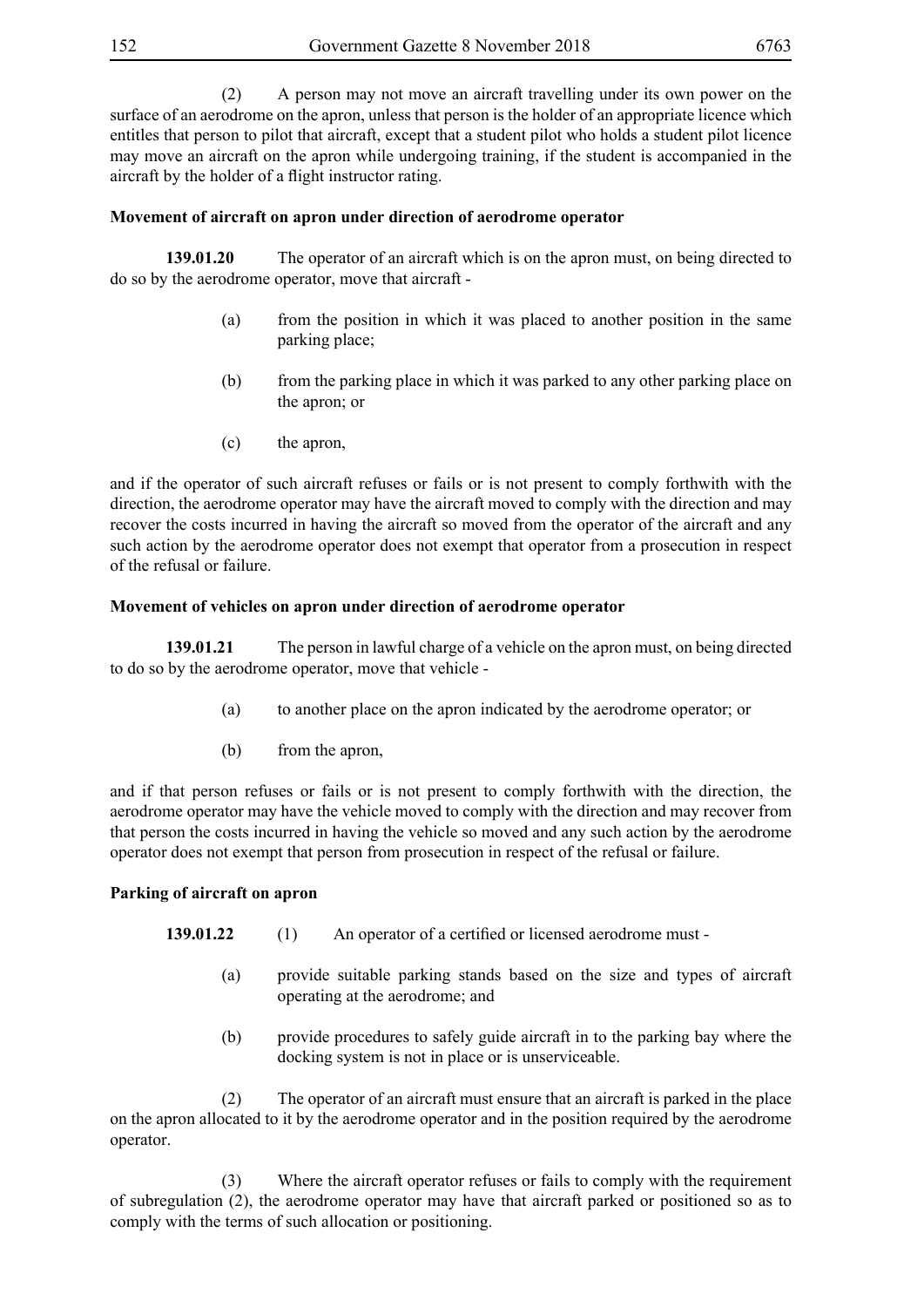(2) A person may not move an aircraft travelling under its own power on the surface of an aerodrome on the apron, unless that person is the holder of an appropriate licence which entitles that person to pilot that aircraft, except that a student pilot who holds a student pilot licence may move an aircraft on the apron while undergoing training, if the student is accompanied in the aircraft by the holder of a flight instructor rating.

## **Movement of aircraft on apron under direction of aerodrome operator**

**139.01.20** The operator of an aircraft which is on the apron must, on being directed to do so by the aerodrome operator, move that aircraft -

- (a) from the position in which it was placed to another position in the same parking place;
- (b) from the parking place in which it was parked to any other parking place on the apron; or
- (c) the apron,

and if the operator of such aircraft refuses or fails or is not present to comply forthwith with the direction, the aerodrome operator may have the aircraft moved to comply with the direction and may recover the costs incurred in having the aircraft so moved from the operator of the aircraft and any such action by the aerodrome operator does not exempt that operator from a prosecution in respect of the refusal or failure.

### **Movement of vehicles on apron under direction of aerodrome operator**

**139.01.21** The person in lawful charge of a vehicle on the apron must, on being directed to do so by the aerodrome operator, move that vehicle -

- (a) to another place on the apron indicated by the aerodrome operator; or
- (b) from the apron,

and if that person refuses or fails or is not present to comply forthwith with the direction, the aerodrome operator may have the vehicle moved to comply with the direction and may recover from that person the costs incurred in having the vehicle so moved and any such action by the aerodrome operator does not exempt that person from prosecution in respect of the refusal or failure.

## **Parking of aircraft on apron**

- **139.01.22** (1) An operator of a certified or licensed aerodrome must -
	- (a) provide suitable parking stands based on the size and types of aircraft operating at the aerodrome; and
	- (b) provide procedures to safely guide aircraft in to the parking bay where the docking system is not in place or is unserviceable.

 (2) The operator of an aircraft must ensure that an aircraft is parked in the place on the apron allocated to it by the aerodrome operator and in the position required by the aerodrome operator.

 (3) Where the aircraft operator refuses or fails to comply with the requirement of subregulation (2), the aerodrome operator may have that aircraft parked or positioned so as to comply with the terms of such allocation or positioning.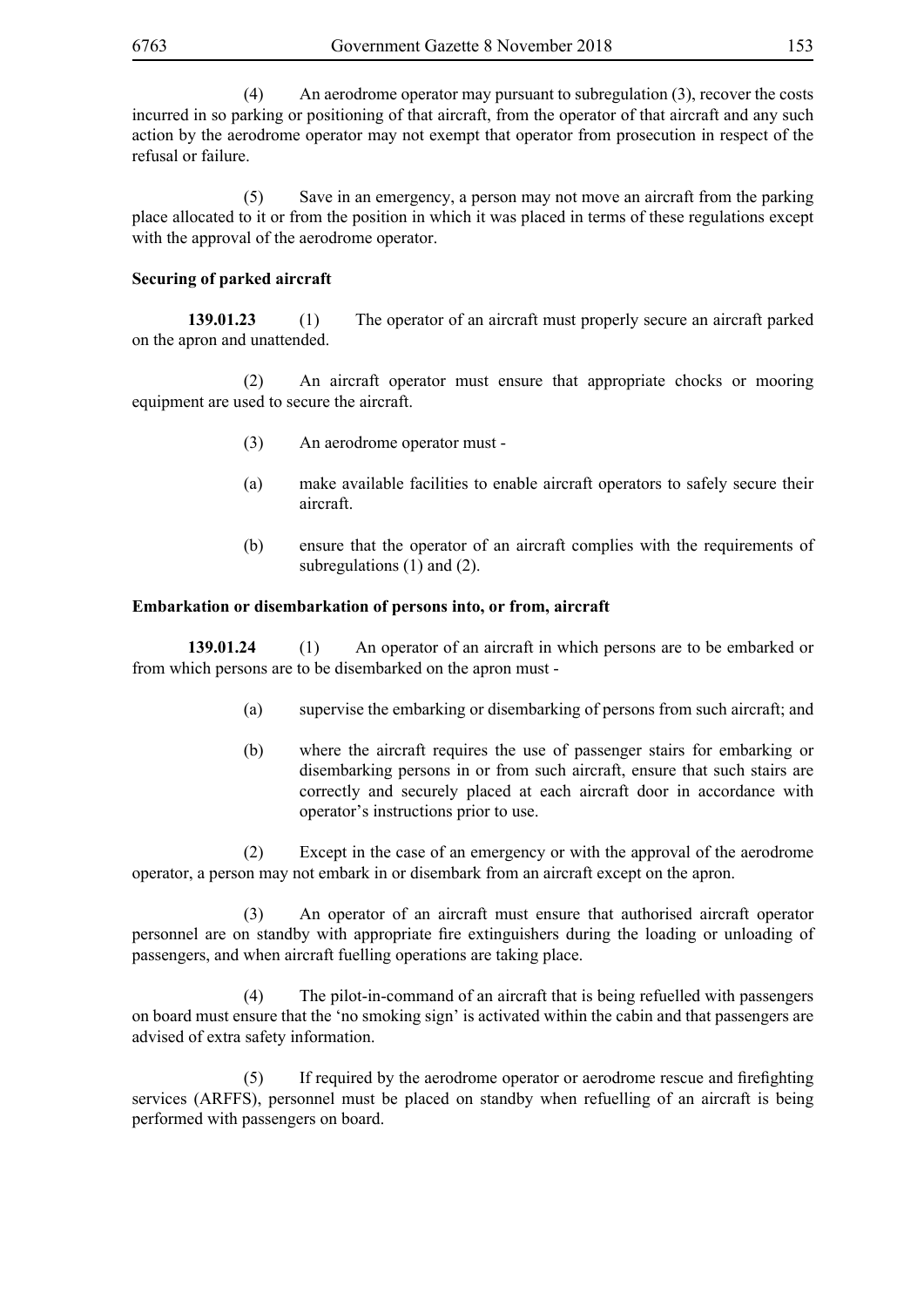(4) An aerodrome operator may pursuant to subregulation (3), recover the costs incurred in so parking or positioning of that aircraft, from the operator of that aircraft and any such action by the aerodrome operator may not exempt that operator from prosecution in respect of the refusal or failure.

 (5) Save in an emergency, a person may not move an aircraft from the parking place allocated to it or from the position in which it was placed in terms of these regulations except with the approval of the aerodrome operator.

## **Securing of parked aircraft**

**139.01.23** (1) The operator of an aircraft must properly secure an aircraft parked on the apron and unattended.

 (2) An aircraft operator must ensure that appropriate chocks or mooring equipment are used to secure the aircraft.

- (3) An aerodrome operator must -
- (a) make available facilities to enable aircraft operators to safely secure their aircraft.
- (b) ensure that the operator of an aircraft complies with the requirements of subregulations (1) and (2).

## **Embarkation or disembarkation of persons into, or from, aircraft**

**139.01.24** (1) An operator of an aircraft in which persons are to be embarked or from which persons are to be disembarked on the apron must -

- (a) supervise the embarking or disembarking of persons from such aircraft; and
- (b) where the aircraft requires the use of passenger stairs for embarking or disembarking persons in or from such aircraft, ensure that such stairs are correctly and securely placed at each aircraft door in accordance with operator's instructions prior to use.

 (2) Except in the case of an emergency or with the approval of the aerodrome operator, a person may not embark in or disembark from an aircraft except on the apron.

 (3) An operator of an aircraft must ensure that authorised aircraft operator personnel are on standby with appropriate fire extinguishers during the loading or unloading of passengers, and when aircraft fuelling operations are taking place.

 (4) The pilot-in-command of an aircraft that is being refuelled with passengers on board must ensure that the 'no smoking sign' is activated within the cabin and that passengers are advised of extra safety information.

(5) If required by the aerodrome operator or aerodrome rescue and firefighting services (ARFFS), personnel must be placed on standby when refuelling of an aircraft is being performed with passengers on board.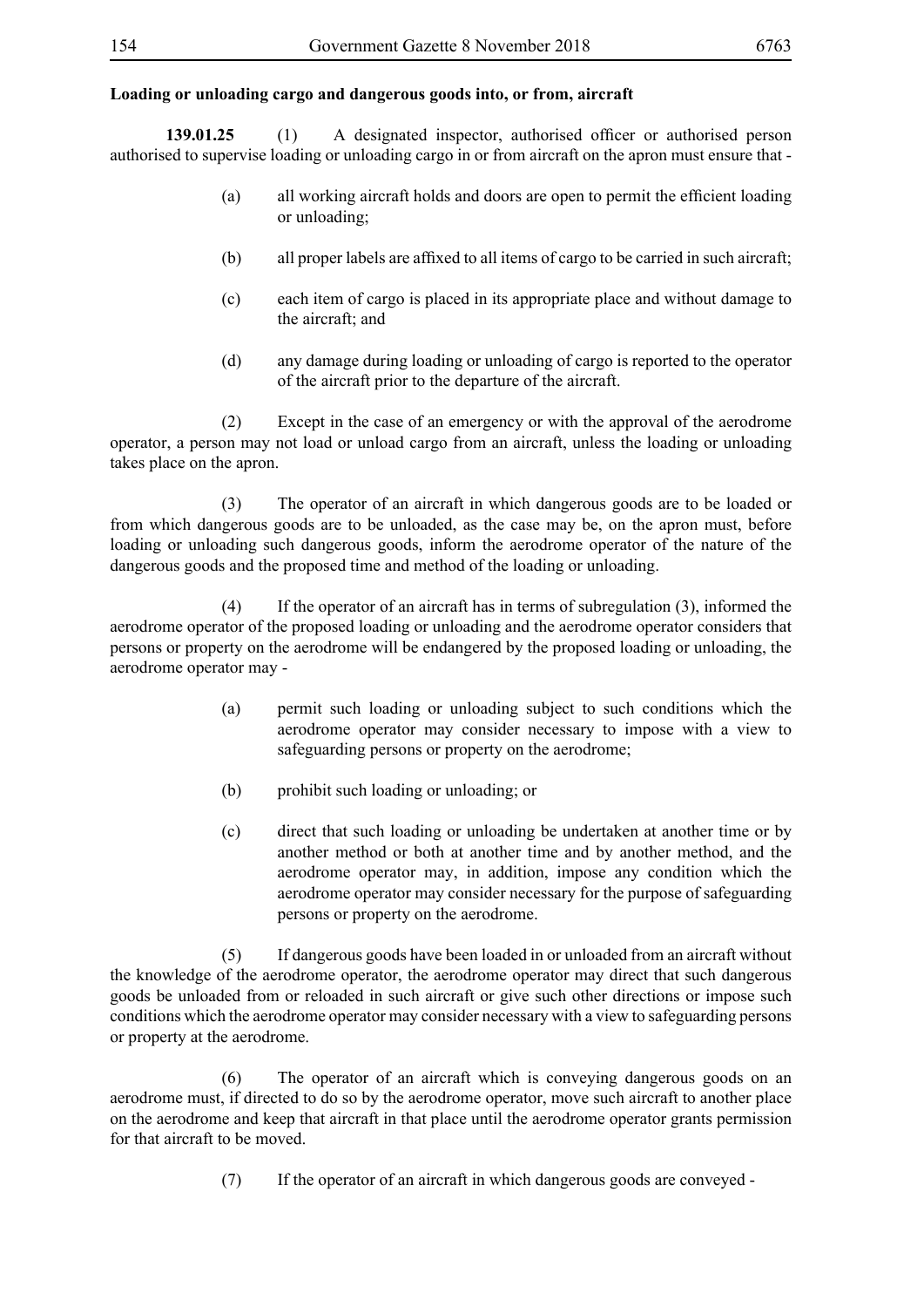## **Loading or unloading cargo and dangerous goods into, or from, aircraft**

**139.01.25** (1) A designated inspector, authorised officer or authorised person authorised to supervise loading or unloading cargo in or from aircraft on the apron must ensure that -

- (a) all working aircraft holds and doors are open to permit the efficient loading or unloading;
- (b) all proper labels are affixed to all items of cargo to be carried in such aircraft;
- (c) each item of cargo is placed in its appropriate place and without damage to the aircraft; and
- (d) any damage during loading or unloading of cargo is reported to the operator of the aircraft prior to the departure of the aircraft.

 (2) Except in the case of an emergency or with the approval of the aerodrome operator, a person may not load or unload cargo from an aircraft, unless the loading or unloading takes place on the apron.

 (3) The operator of an aircraft in which dangerous goods are to be loaded or from which dangerous goods are to be unloaded, as the case may be, on the apron must, before loading or unloading such dangerous goods, inform the aerodrome operator of the nature of the dangerous goods and the proposed time and method of the loading or unloading.

 (4) If the operator of an aircraft has in terms of subregulation (3), informed the aerodrome operator of the proposed loading or unloading and the aerodrome operator considers that persons or property on the aerodrome will be endangered by the proposed loading or unloading, the aerodrome operator may -

- (a) permit such loading or unloading subject to such conditions which the aerodrome operator may consider necessary to impose with a view to safeguarding persons or property on the aerodrome;
- (b) prohibit such loading or unloading; or
- (c) direct that such loading or unloading be undertaken at another time or by another method or both at another time and by another method, and the aerodrome operator may, in addition, impose any condition which the aerodrome operator may consider necessary for the purpose of safeguarding persons or property on the aerodrome.

 (5) If dangerous goods have been loaded in or unloaded from an aircraft without the knowledge of the aerodrome operator, the aerodrome operator may direct that such dangerous goods be unloaded from or reloaded in such aircraft or give such other directions or impose such conditions which the aerodrome operator may consider necessary with a view to safeguarding persons or property at the aerodrome.

 (6) The operator of an aircraft which is conveying dangerous goods on an aerodrome must, if directed to do so by the aerodrome operator, move such aircraft to another place on the aerodrome and keep that aircraft in that place until the aerodrome operator grants permission for that aircraft to be moved.

(7) If the operator of an aircraft in which dangerous goods are conveyed -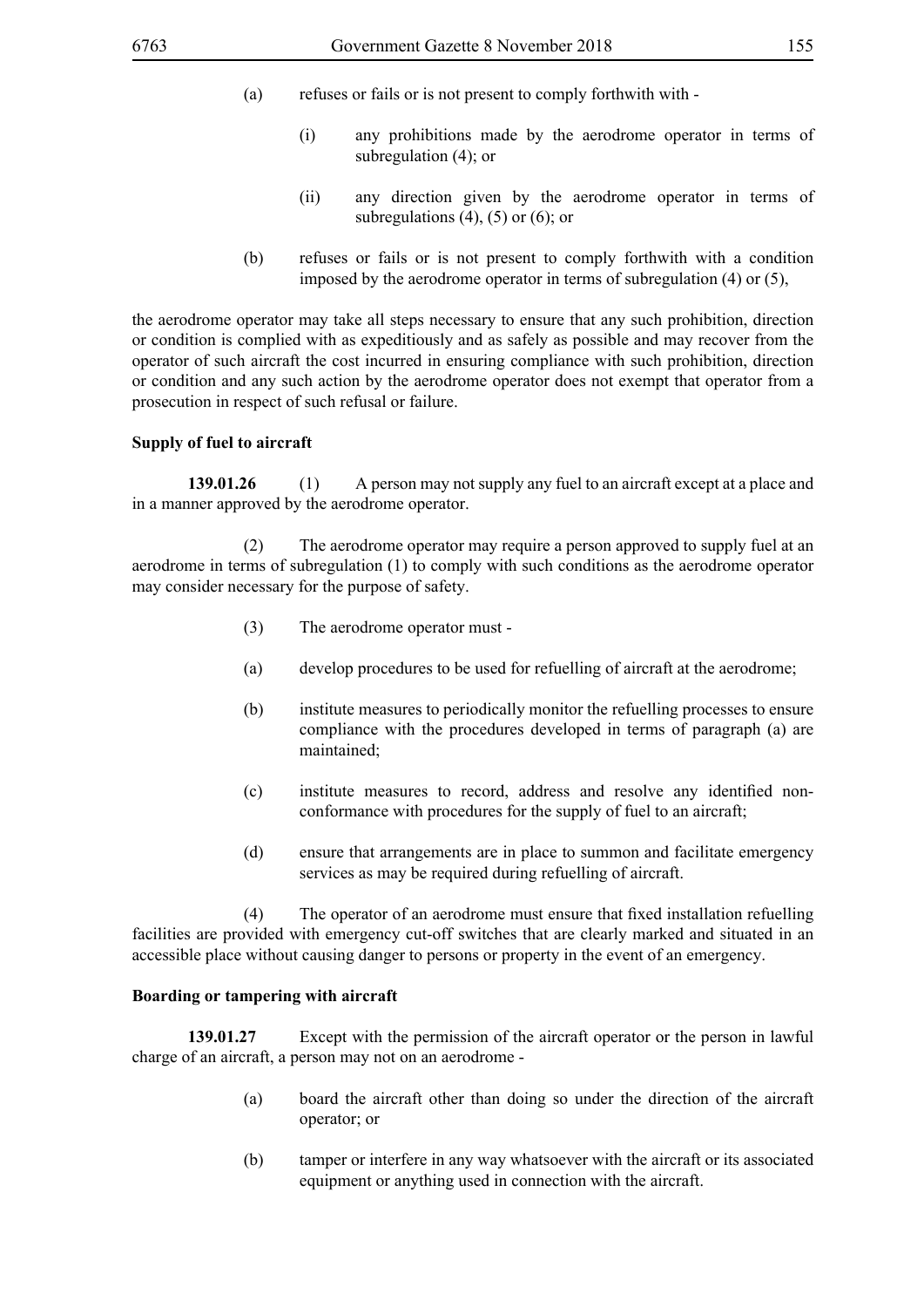- (a) refuses or fails or is not present to comply forthwith with
	- (i) any prohibitions made by the aerodrome operator in terms of subregulation (4); or
	- (ii) any direction given by the aerodrome operator in terms of subregulations  $(4)$ ,  $(5)$  or  $(6)$ ; or
- (b) refuses or fails or is not present to comply forthwith with a condition imposed by the aerodrome operator in terms of subregulation (4) or (5),

the aerodrome operator may take all steps necessary to ensure that any such prohibition, direction or condition is complied with as expeditiously and as safely as possible and may recover from the operator of such aircraft the cost incurred in ensuring compliance with such prohibition, direction or condition and any such action by the aerodrome operator does not exempt that operator from a prosecution in respect of such refusal or failure.

### **Supply of fuel to aircraft**

**139.01.26** (1) A person may not supply any fuel to an aircraft except at a place and in a manner approved by the aerodrome operator.

 (2) The aerodrome operator may require a person approved to supply fuel at an aerodrome in terms of subregulation (1) to comply with such conditions as the aerodrome operator may consider necessary for the purpose of safety.

- (3) The aerodrome operator must -
- (a) develop procedures to be used for refuelling of aircraft at the aerodrome;
- (b) institute measures to periodically monitor the refuelling processes to ensure compliance with the procedures developed in terms of paragraph (a) are maintained;
- (c) institute measures to record, address and resolve any identified nonconformance with procedures for the supply of fuel to an aircraft;
- (d) ensure that arrangements are in place to summon and facilitate emergency services as may be required during refuelling of aircraft.

(4) The operator of an aerodrome must ensure that fixed installation refuelling facilities are provided with emergency cut-off switches that are clearly marked and situated in an accessible place without causing danger to persons or property in the event of an emergency.

### **Boarding or tampering with aircraft**

**139.01.27** Except with the permission of the aircraft operator or the person in lawful charge of an aircraft, a person may not on an aerodrome -

- (a) board the aircraft other than doing so under the direction of the aircraft operator; or
- (b) tamper or interfere in any way whatsoever with the aircraft or its associated equipment or anything used in connection with the aircraft.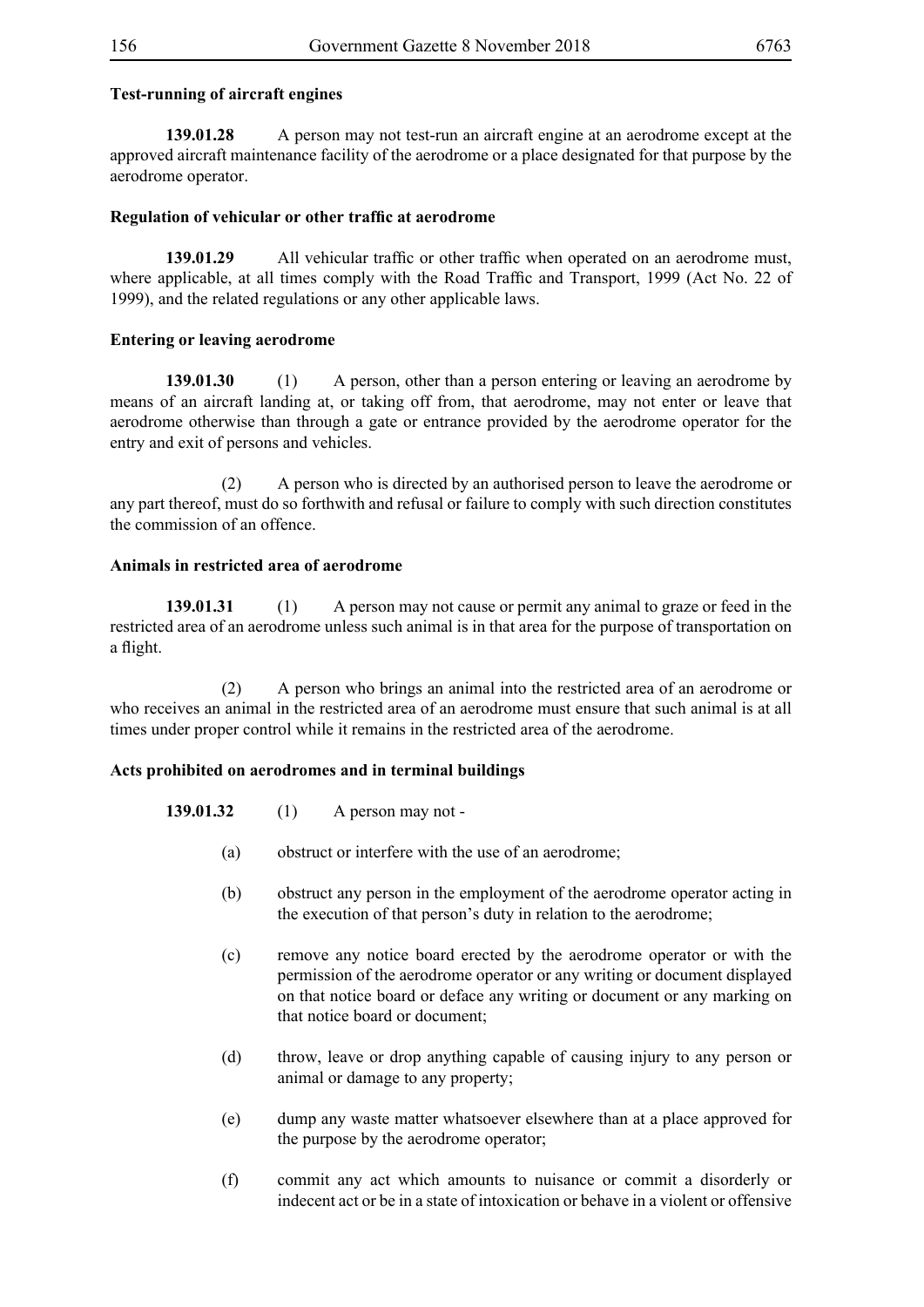## **Test-running of aircraft engines**

**139.01.28** A person may not test-run an aircraft engine at an aerodrome except at the approved aircraft maintenance facility of the aerodrome or a place designated for that purpose by the aerodrome operator.

## **Regulation of vehicular or other traffic at aerodrome**

**139.01.29** All vehicular traffic or other traffic when operated on an aerodrome must, where applicable, at all times comply with the Road Traffic and Transport, 1999 (Act No. 22 of 1999), and the related regulations or any other applicable laws.

## **Entering or leaving aerodrome**

**139.01.30** (1) A person, other than a person entering or leaving an aerodrome by means of an aircraft landing at, or taking off from, that aerodrome, may not enter or leave that aerodrome otherwise than through a gate or entrance provided by the aerodrome operator for the entry and exit of persons and vehicles.

 (2) A person who is directed by an authorised person to leave the aerodrome or any part thereof, must do so forthwith and refusal or failure to comply with such direction constitutes the commission of an offence.

## **Animals in restricted area of aerodrome**

**139.01.31** (1) A person may not cause or permit any animal to graze or feed in the restricted area of an aerodrome unless such animal is in that area for the purpose of transportation on a flight.

 (2) A person who brings an animal into the restricted area of an aerodrome or who receives an animal in the restricted area of an aerodrome must ensure that such animal is at all times under proper control while it remains in the restricted area of the aerodrome.

## **Acts prohibited on aerodromes and in terminal buildings**

| 139.01.32 | (1) | A person may not - |
|-----------|-----|--------------------|
|-----------|-----|--------------------|

- (a) obstruct or interfere with the use of an aerodrome;
- (b) obstruct any person in the employment of the aerodrome operator acting in the execution of that person's duty in relation to the aerodrome;
- (c) remove any notice board erected by the aerodrome operator or with the permission of the aerodrome operator or any writing or document displayed on that notice board or deface any writing or document or any marking on that notice board or document;
- (d) throw, leave or drop anything capable of causing injury to any person or animal or damage to any property;
- (e) dump any waste matter whatsoever elsewhere than at a place approved for the purpose by the aerodrome operator;
- (f) commit any act which amounts to nuisance or commit a disorderly or indecent act or be in a state of intoxication or behave in a violent or offensive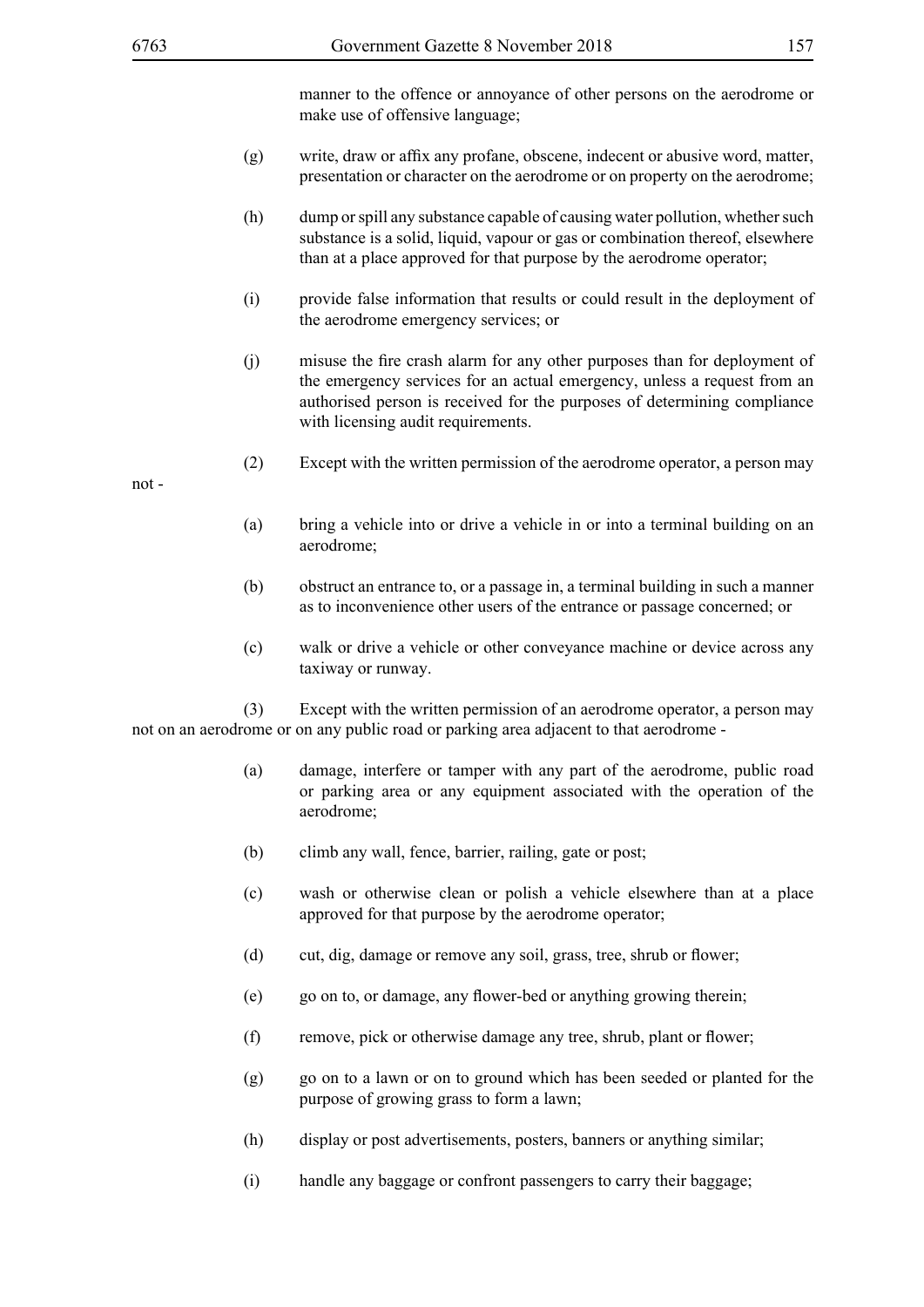manner to the offence or annoyance of other persons on the aerodrome or make use of offensive language;

- (g) write, draw or affix any profane, obscene, indecent or abusive word, matter, presentation or character on the aerodrome or on property on the aerodrome;
- (h) dump or spill any substance capable of causing water pollution, whether such substance is a solid, liquid, vapour or gas or combination thereof, elsewhere than at a place approved for that purpose by the aerodrome operator;
- (i) provide false information that results or could result in the deployment of the aerodrome emergency services; or
- (j) misuse the fire crash alarm for any other purposes than for deployment of the emergency services for an actual emergency, unless a request from an authorised person is received for the purposes of determining compliance with licensing audit requirements.
- (2) Except with the written permission of the aerodrome operator, a person may

not -

- (a) bring a vehicle into or drive a vehicle in or into a terminal building on an aerodrome;
- (b) obstruct an entrance to, or a passage in, a terminal building in such a manner as to inconvenience other users of the entrance or passage concerned; or
- (c) walk or drive a vehicle or other conveyance machine or device across any taxiway or runway.

 (3) Except with the written permission of an aerodrome operator, a person may not on an aerodrome or on any public road or parking area adjacent to that aerodrome -

- (a) damage, interfere or tamper with any part of the aerodrome, public road or parking area or any equipment associated with the operation of the aerodrome;
- (b) climb any wall, fence, barrier, railing, gate or post;
- (c) wash or otherwise clean or polish a vehicle elsewhere than at a place approved for that purpose by the aerodrome operator;
- (d) cut, dig, damage or remove any soil, grass, tree, shrub or flower;
- (e) go on to, or damage, any flower-bed or anything growing therein;
- (f) remove, pick or otherwise damage any tree, shrub, plant or flower;
- (g) go on to a lawn or on to ground which has been seeded or planted for the purpose of growing grass to form a lawn;
- (h) display or post advertisements, posters, banners or anything similar;
- (i) handle any baggage or confront passengers to carry their baggage;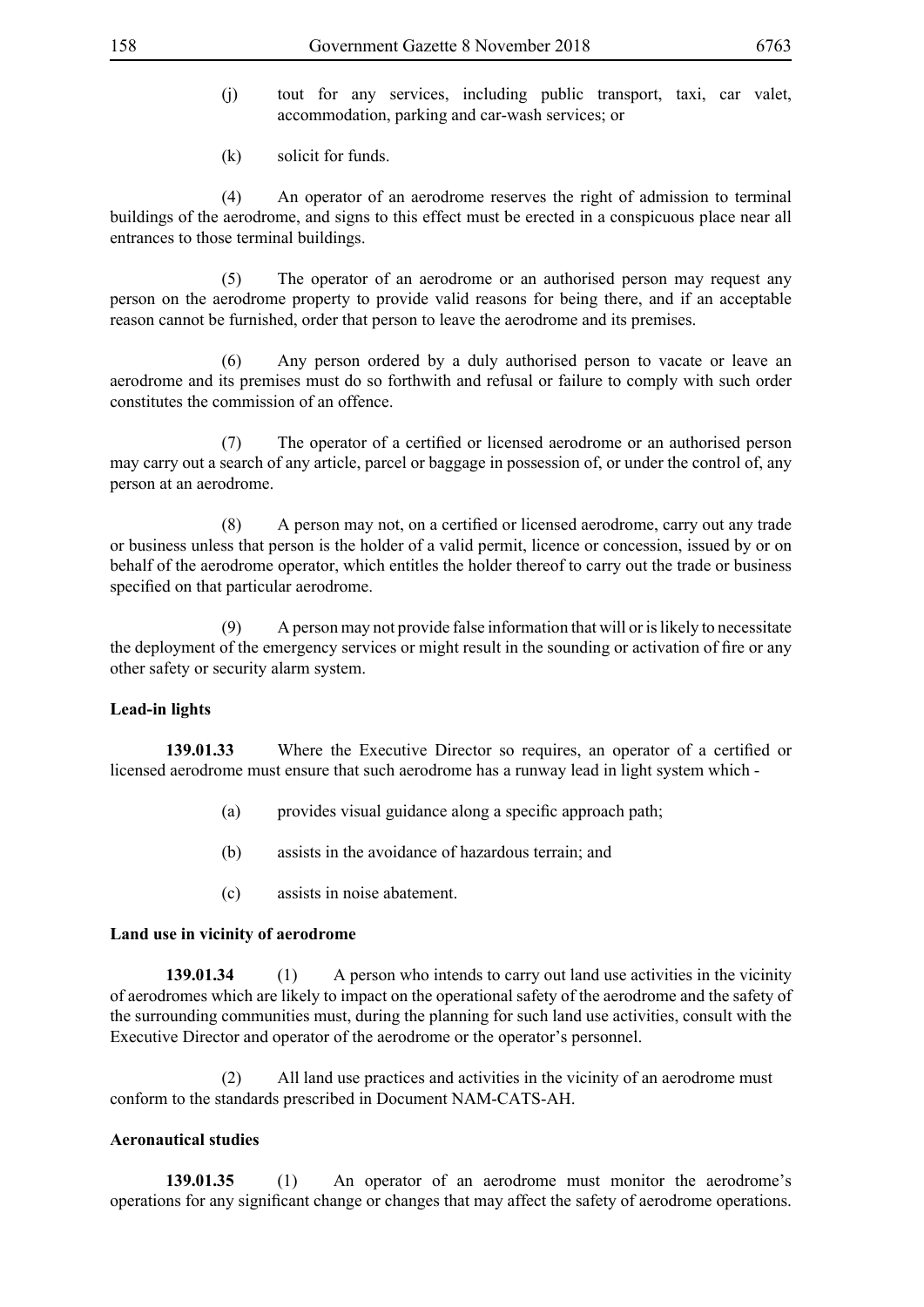- (j) tout for any services, including public transport, taxi, car valet, accommodation, parking and car-wash services; or
- (k) solicit for funds.

 (4) An operator of an aerodrome reserves the right of admission to terminal buildings of the aerodrome, and signs to this effect must be erected in a conspicuous place near all entrances to those terminal buildings.

 (5) The operator of an aerodrome or an authorised person may request any person on the aerodrome property to provide valid reasons for being there, and if an acceptable reason cannot be furnished, order that person to leave the aerodrome and its premises.

 (6) Any person ordered by a duly authorised person to vacate or leave an aerodrome and its premises must do so forthwith and refusal or failure to comply with such order constitutes the commission of an offence.

(7) The operator of a certified or licensed aerodrome or an authorised person may carry out a search of any article, parcel or baggage in possession of, or under the control of, any person at an aerodrome.

(8) A person may not, on a certified or licensed aerodrome, carry out any trade or business unless that person is the holder of a valid permit, licence or concession, issued by or on behalf of the aerodrome operator, which entitles the holder thereof to carry out the trade or business specified on that particular aerodrome.

 (9) A person may not provide false information that will or is likely to necessitate the deployment of the emergency services or might result in the sounding or activation of fire or any other safety or security alarm system.

### **Lead-in lights**

**139.01.33** Where the Executive Director so requires, an operator of a certified or licensed aerodrome must ensure that such aerodrome has a runway lead in light system which -

- (a) provides visual guidance along a specific approach path;
- (b) assists in the avoidance of hazardous terrain; and
- (c) assists in noise abatement.

### **Land use in vicinity of aerodrome**

**139.01.34** (1) A person who intends to carry out land use activities in the vicinity of aerodromes which are likely to impact on the operational safety of the aerodrome and the safety of the surrounding communities must, during the planning for such land use activities, consult with the Executive Director and operator of the aerodrome or the operator's personnel.

 (2) All land use practices and activities in the vicinity of an aerodrome must conform to the standards prescribed in Document NAM-CATS-AH.

### **Aeronautical studies**

**139.01.35** (1) An operator of an aerodrome must monitor the aerodrome's operations for any significant change or changes that may affect the safety of aerodrome operations.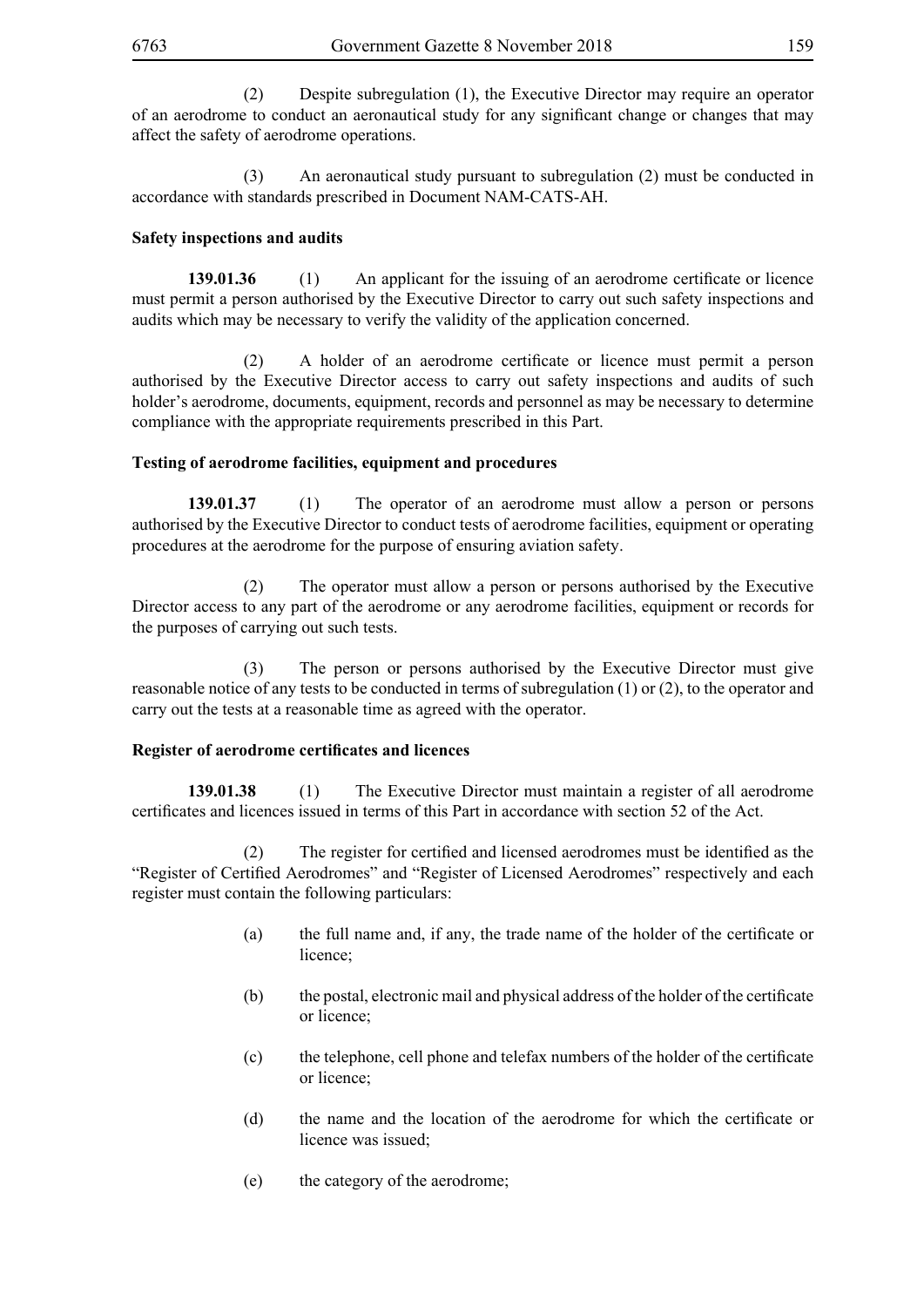(2) Despite subregulation (1), the Executive Director may require an operator of an aerodrome to conduct an aeronautical study for any significant change or changes that may affect the safety of aerodrome operations.

 (3) An aeronautical study pursuant to subregulation (2) must be conducted in accordance with standards prescribed in Document NAM-CATS-AH.

## **Safety inspections and audits**

**139.01.36** (1) An applicant for the issuing of an aerodrome certificate or licence must permit a person authorised by the Executive Director to carry out such safety inspections and audits which may be necessary to verify the validity of the application concerned.

(2) A holder of an aerodrome certificate or licence must permit a person authorised by the Executive Director access to carry out safety inspections and audits of such holder's aerodrome, documents, equipment, records and personnel as may be necessary to determine compliance with the appropriate requirements prescribed in this Part.

## **Testing of aerodrome facilities, equipment and procedures**

**139.01.37** (1) The operator of an aerodrome must allow a person or persons authorised by the Executive Director to conduct tests of aerodrome facilities, equipment or operating procedures at the aerodrome for the purpose of ensuring aviation safety.

 (2) The operator must allow a person or persons authorised by the Executive Director access to any part of the aerodrome or any aerodrome facilities, equipment or records for the purposes of carrying out such tests.

 (3) The person or persons authorised by the Executive Director must give reasonable notice of any tests to be conducted in terms of subregulation (1) or (2), to the operator and carry out the tests at a reasonable time as agreed with the operator.

## **Register of aerodrome certificates and licences**

**139.01.38** (1) The Executive Director must maintain a register of all aerodrome certificates and licences issued in terms of this Part in accordance with section 52 of the Act.

(2) The register for certified and licensed aerodromes must be identified as the "Register of Certified Aerodromes" and "Register of Licensed Aerodromes" respectively and each register must contain the following particulars:

- (a) the full name and, if any, the trade name of the holder of the certificate or licence;
- (b) the postal, electronic mail and physical address of the holder of the certificate or licence;
- (c) the telephone, cell phone and telefax numbers of the holder of the certificate or licence;
- (d) the name and the location of the aerodrome for which the certificate or licence was issued;
- (e) the category of the aerodrome;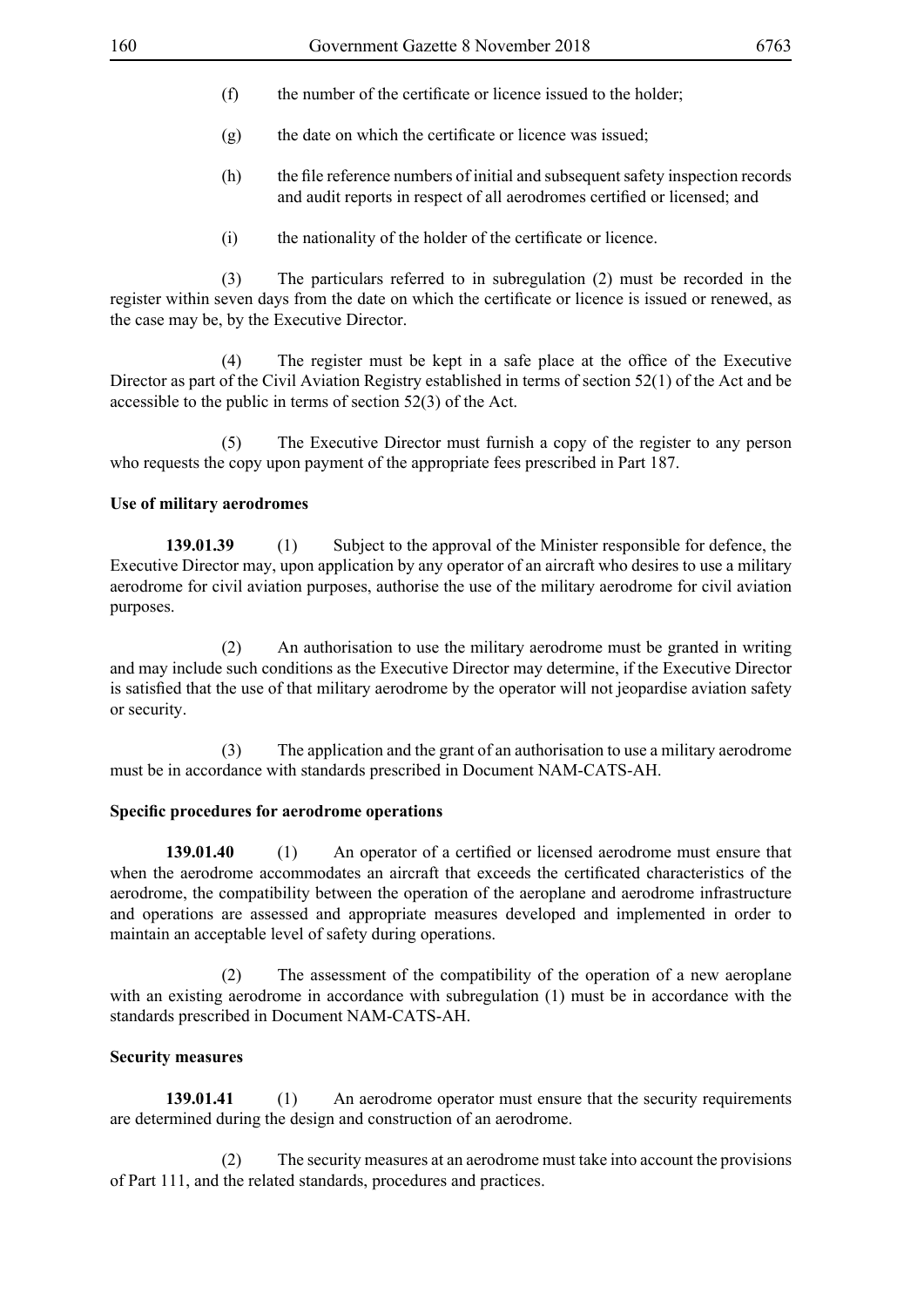- (f) the number of the certificate or licence issued to the holder;
- (g) the date on which the certificate or licence was issued;
- (h) the file reference numbers of initial and subsequent safety inspection records and audit reports in respect of all aerodromes certified or licensed; and
- (i) the nationality of the holder of the certificate or licence.

 (3) The particulars referred to in subregulation (2) must be recorded in the register within seven days from the date on which the certificate or licence is issued or renewed, as the case may be, by the Executive Director.

(4) The register must be kept in a safe place at the office of the Executive Director as part of the Civil Aviation Registry established in terms of section 52(1) of the Act and be accessible to the public in terms of section 52(3) of the Act.

 (5) The Executive Director must furnish a copy of the register to any person who requests the copy upon payment of the appropriate fees prescribed in Part 187.

### **Use of military aerodromes**

**139.01.39** (1) Subject to the approval of the Minister responsible for defence, the Executive Director may, upon application by any operator of an aircraft who desires to use a military aerodrome for civil aviation purposes, authorise the use of the military aerodrome for civil aviation purposes.

 (2) An authorisation to use the military aerodrome must be granted in writing and may include such conditions as the Executive Director may determine, if the Executive Director is satisfied that the use of that military aerodrome by the operator will not jeopardise aviation safety or security.

 (3) The application and the grant of an authorisation to use a military aerodrome must be in accordance with standards prescribed in Document NAM-CATS-AH.

### **Specific procedures for aerodrome operations**

**139.01.40** (1) An operator of a certified or licensed aerodrome must ensure that when the aerodrome accommodates an aircraft that exceeds the certificated characteristics of the aerodrome, the compatibility between the operation of the aeroplane and aerodrome infrastructure and operations are assessed and appropriate measures developed and implemented in order to maintain an acceptable level of safety during operations.

 (2) The assessment of the compatibility of the operation of a new aeroplane with an existing aerodrome in accordance with subregulation (1) must be in accordance with the standards prescribed in Document NAM-CATS-AH.

### **Security measures**

**139.01.41** (1) An aerodrome operator must ensure that the security requirements are determined during the design and construction of an aerodrome.

 (2) The security measures at an aerodrome must take into account the provisions of Part 111, and the related standards, procedures and practices.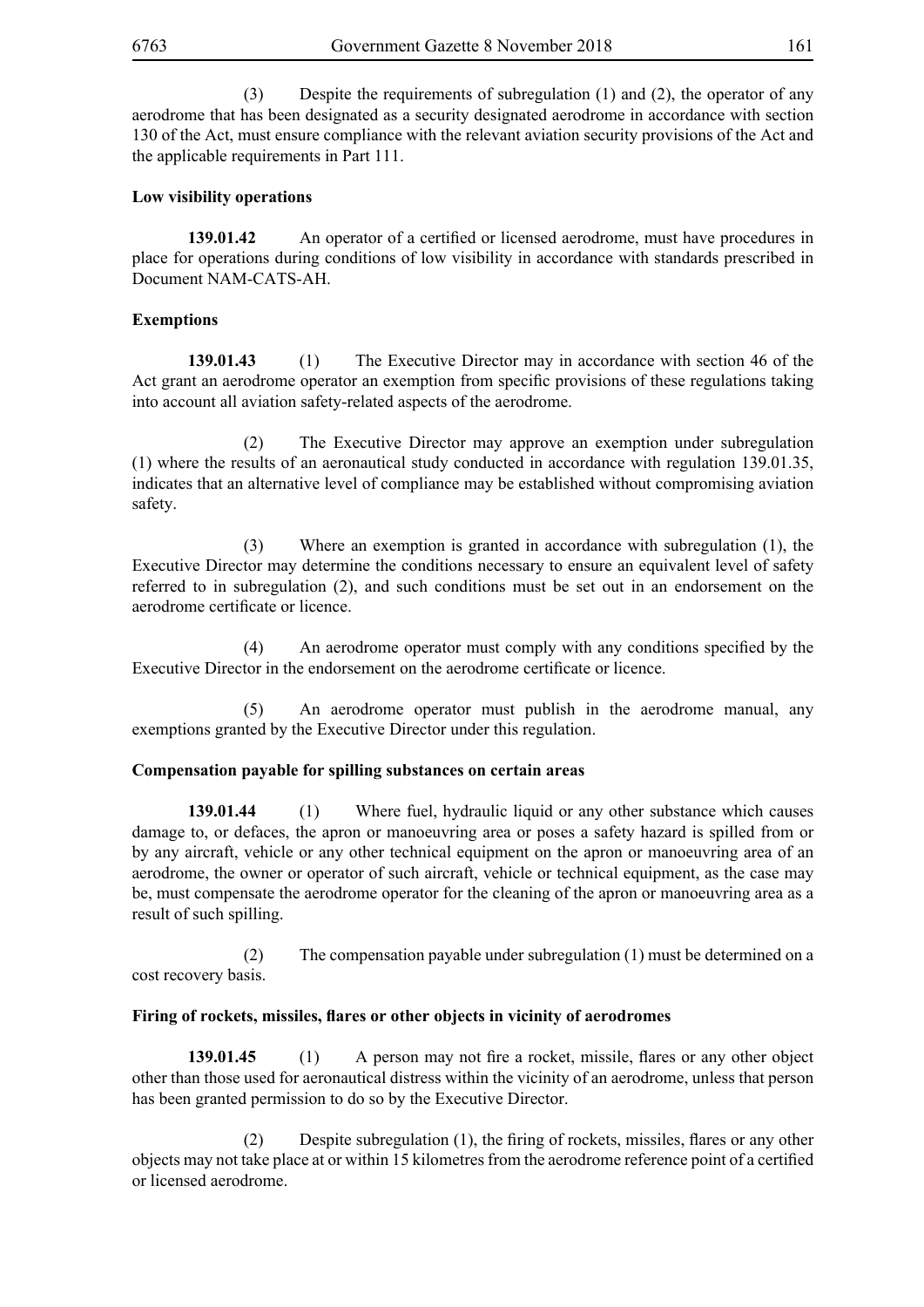(3) Despite the requirements of subregulation (1) and (2), the operator of any aerodrome that has been designated as a security designated aerodrome in accordance with section 130 of the Act, must ensure compliance with the relevant aviation security provisions of the Act and the applicable requirements in Part 111.

## **Low visibility operations**

**139.01.42** An operator of a certified or licensed aerodrome, must have procedures in place for operations during conditions of low visibility in accordance with standards prescribed in Document NAM-CATS-AH.

## **Exemptions**

**139.01.43** (1) The Executive Director may in accordance with section 46 of the Act grant an aerodrome operator an exemption from specific provisions of these regulations taking into account all aviation safety-related aspects of the aerodrome.

 (2) The Executive Director may approve an exemption under subregulation (1) where the results of an aeronautical study conducted in accordance with regulation 139.01.35, indicates that an alternative level of compliance may be established without compromising aviation safety.

 (3) Where an exemption is granted in accordance with subregulation (1), the Executive Director may determine the conditions necessary to ensure an equivalent level of safety referred to in subregulation (2), and such conditions must be set out in an endorsement on the aerodrome certificate or licence.

(4) An aerodrome operator must comply with any conditions specified by the Executive Director in the endorsement on the aerodrome certificate or licence.

 (5) An aerodrome operator must publish in the aerodrome manual, any exemptions granted by the Executive Director under this regulation.

### **Compensation payable for spilling substances on certain areas**

**139.01.44** (1) Where fuel, hydraulic liquid or any other substance which causes damage to, or defaces, the apron or manoeuvring area or poses a safety hazard is spilled from or by any aircraft, vehicle or any other technical equipment on the apron or manoeuvring area of an aerodrome, the owner or operator of such aircraft, vehicle or technical equipment, as the case may be, must compensate the aerodrome operator for the cleaning of the apron or manoeuvring area as a result of such spilling.

 (2) The compensation payable under subregulation (1) must be determined on a cost recovery basis.

### **Firing of rockets, missiles, flares or other objects in vicinity of aerodromes**

**139.01.45** (1) A person may not fire a rocket, missile, flares or any other object other than those used for aeronautical distress within the vicinity of an aerodrome, unless that person has been granted permission to do so by the Executive Director.

(2) Despite subregulation (1), the firing of rockets, missiles, flares or any other objects may not take place at or within 15 kilometres from the aerodrome reference point of a certified or licensed aerodrome.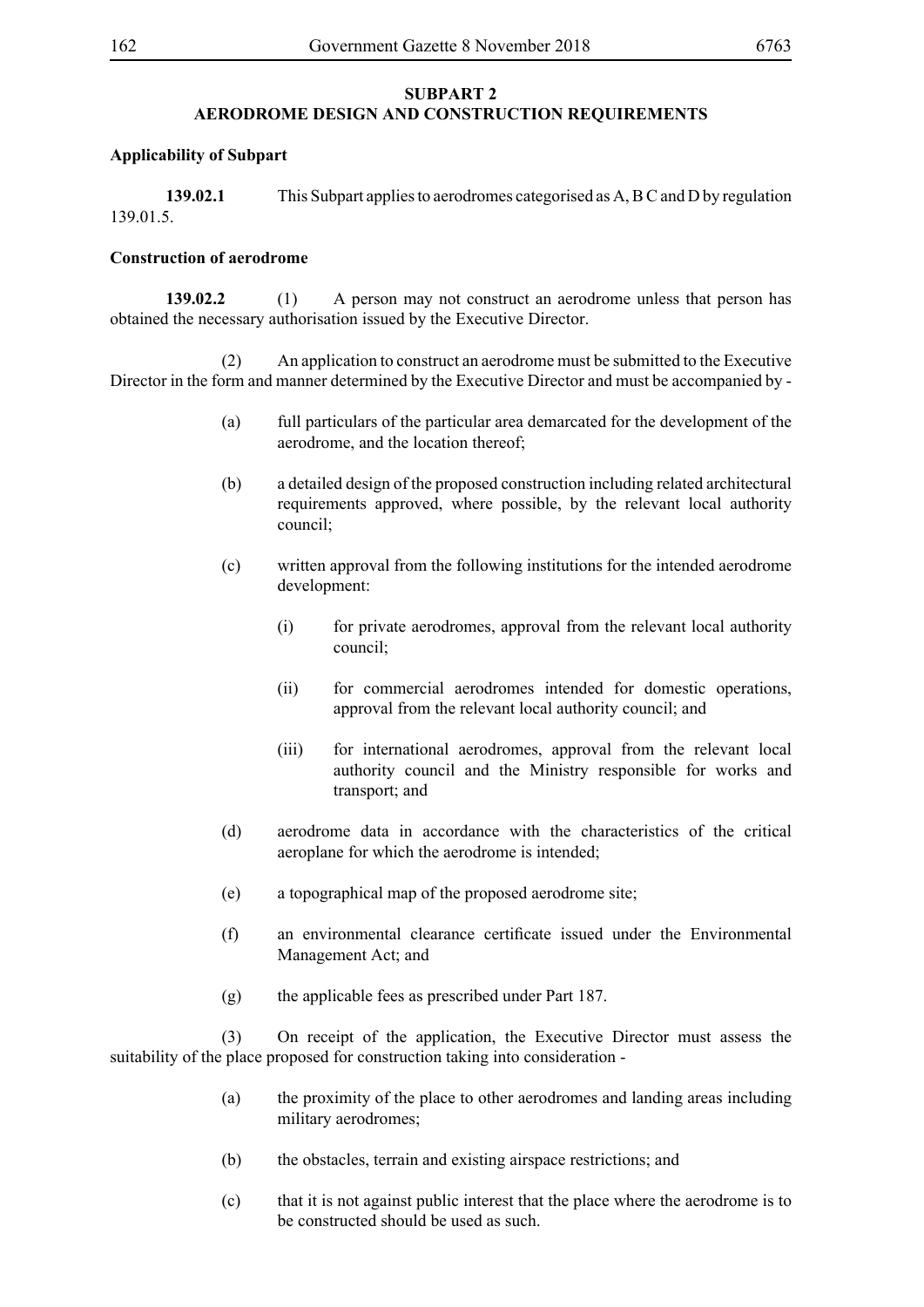### **SUBPART 2 AERODROME DESIGN AND CONSTRUCTION REQUIREMENTS**

### **Applicability of Subpart**

**139.02.1** This Subpart applies to aerodromes categorised as A, B C and D by regulation 139.01.5.

### **Construction of aerodrome**

**139.02.2** (1) A person may not construct an aerodrome unless that person has obtained the necessary authorisation issued by the Executive Director.

 (2) An application to construct an aerodrome must be submitted to the Executive Director in the form and manner determined by the Executive Director and must be accompanied by -

- (a) full particulars of the particular area demarcated for the development of the aerodrome, and the location thereof;
- (b) a detailed design of the proposed construction including related architectural requirements approved, where possible, by the relevant local authority council;
- (c) written approval from the following institutions for the intended aerodrome development:
	- (i) for private aerodromes, approval from the relevant local authority council;
	- (ii) for commercial aerodromes intended for domestic operations, approval from the relevant local authority council; and
	- (iii) for international aerodromes, approval from the relevant local authority council and the Ministry responsible for works and transport; and
- (d) aerodrome data in accordance with the characteristics of the critical aeroplane for which the aerodrome is intended;
- (e) a topographical map of the proposed aerodrome site;
- (f) an environmental clearance certificate issued under the Environmental Management Act; and
- (g) the applicable fees as prescribed under Part 187.

 (3) On receipt of the application, the Executive Director must assess the suitability of the place proposed for construction taking into consideration -

- (a) the proximity of the place to other aerodromes and landing areas including military aerodromes;
- (b) the obstacles, terrain and existing airspace restrictions; and
- (c) that it is not against public interest that the place where the aerodrome is to be constructed should be used as such.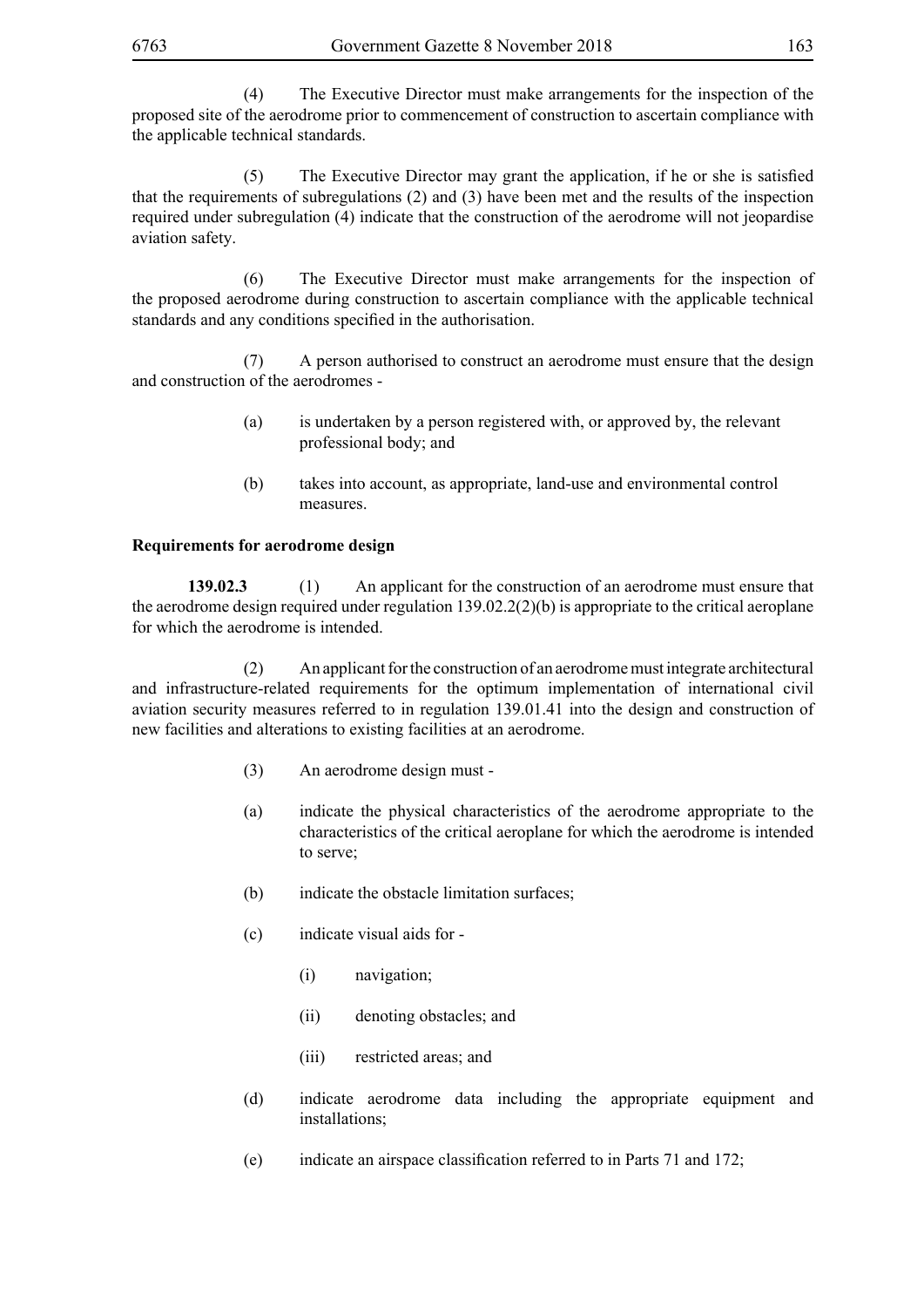(4) The Executive Director must make arrangements for the inspection of the proposed site of the aerodrome prior to commencement of construction to ascertain compliance with the applicable technical standards.

(5) The Executive Director may grant the application, if he or she is satisfied that the requirements of subregulations (2) and (3) have been met and the results of the inspection required under subregulation (4) indicate that the construction of the aerodrome will not jeopardise aviation safety.

 (6) The Executive Director must make arrangements for the inspection of the proposed aerodrome during construction to ascertain compliance with the applicable technical standards and any conditions specified in the authorisation.

 (7) A person authorised to construct an aerodrome must ensure that the design and construction of the aerodromes -

- (a) is undertaken by a person registered with, or approved by, the relevant professional body; and
- (b) takes into account, as appropriate, land-use and environmental control measures.

## **Requirements for aerodrome design**

**139.02.3** (1) An applicant for the construction of an aerodrome must ensure that the aerodrome design required under regulation  $139.02.2(2)$ (b) is appropriate to the critical aeroplane for which the aerodrome is intended.

 (2) An applicant for the construction of an aerodrome must integrate architectural and infrastructure-related requirements for the optimum implementation of international civil aviation security measures referred to in regulation 139.01.41 into the design and construction of new facilities and alterations to existing facilities at an aerodrome.

- (3) An aerodrome design must -
- (a) indicate the physical characteristics of the aerodrome appropriate to the characteristics of the critical aeroplane for which the aerodrome is intended to serve;
- (b) indicate the obstacle limitation surfaces;
- (c) indicate visual aids for
	- (i) navigation;
	- (ii) denoting obstacles; and
	- (iii) restricted areas; and
- (d) indicate aerodrome data including the appropriate equipment and installations;
- (e) indicate an airspace classification referred to in Parts 71 and 172;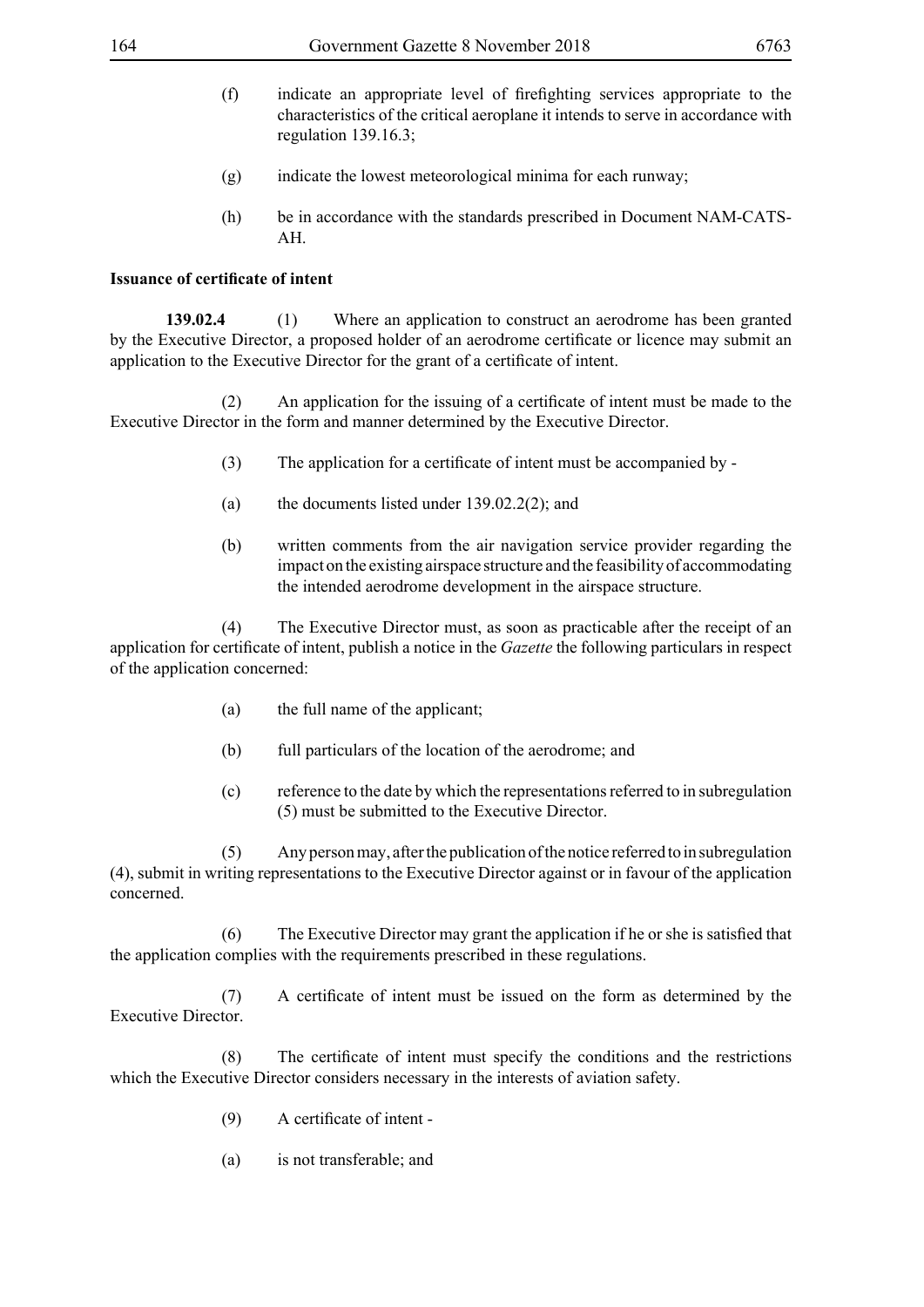- (f) indicate an appropriate level of firefighting services appropriate to the characteristics of the critical aeroplane it intends to serve in accordance with regulation 139.16.3;
- (g) indicate the lowest meteorological minima for each runway;
- (h) be in accordance with the standards prescribed in Document NAM-CATS-AH.

## **Issuance of certificate of intent**

**139.02.4** (1) Where an application to construct an aerodrome has been granted by the Executive Director, a proposed holder of an aerodrome certificate or licence may submit an application to the Executive Director for the grant of a certificate of intent.

(2) An application for the issuing of a certificate of intent must be made to the Executive Director in the form and manner determined by the Executive Director.

- (3) The application for a certificate of intent must be accompanied by -
- (a) the documents listed under 139.02.2(2); and
- (b) written comments from the air navigation service provider regarding the impact on the existing airspace structure and the feasibility of accommodating the intended aerodrome development in the airspace structure.

 (4) The Executive Director must, as soon as practicable after the receipt of an application for certificate of intent, publish a notice in the *Gazette* the following particulars in respect of the application concerned:

- (a) the full name of the applicant;
- (b) full particulars of the location of the aerodrome; and
- (c) reference to the date by which the representations referred to in subregulation (5) must be submitted to the Executive Director.

 (5) Any person may, after the publication of the notice referred to in subregulation (4), submit in writing representations to the Executive Director against or in favour of the application concerned.

(6) The Executive Director may grant the application if he or she is satisfied that the application complies with the requirements prescribed in these regulations.

(7) A certificate of intent must be issued on the form as determined by the Executive Director.

(8) The certificate of intent must specify the conditions and the restrictions which the Executive Director considers necessary in the interests of aviation safety.

- (9) A certificate of intent -
- (a) is not transferable; and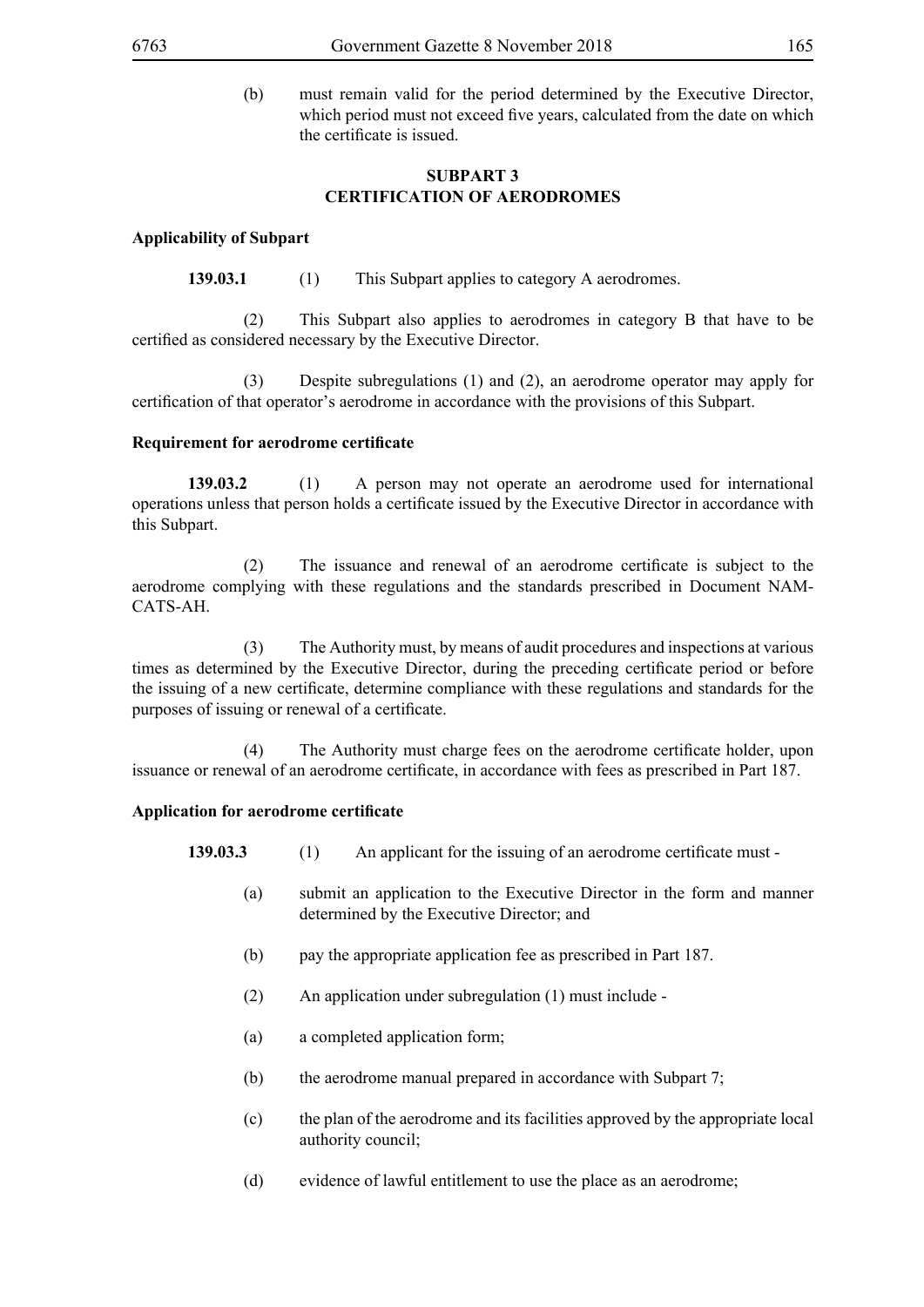(b) must remain valid for the period determined by the Executive Director, which period must not exceed five years, calculated from the date on which the certificate is issued.

## **SUBPART 3 CERTIFICATION OF AERODROMES**

## **Applicability of Subpart**

**139.03.1** (1) This Subpart applies to category A aerodromes.

 (2) This Subpart also applies to aerodromes in category B that have to be certified as considered necessary by the Executive Director.

 (3) Despite subregulations (1) and (2), an aerodrome operator may apply for certification of that operator's aerodrome in accordance with the provisions of this Subpart.

## **Requirement for aerodrome certificate**

**139.03.2** (1) A person may not operate an aerodrome used for international operations unless that person holds a certificate issued by the Executive Director in accordance with this Subpart.

(2) The issuance and renewal of an aerodrome certificate is subject to the aerodrome complying with these regulations and the standards prescribed in Document NAM-CATS-AH.

 (3) The Authority must, by means of audit procedures and inspections at various times as determined by the Executive Director, during the preceding certificate period or before the issuing of a new certificate, determine compliance with these regulations and standards for the purposes of issuing or renewal of a certificate.

(4) The Authority must charge fees on the aerodrome certificate holder, upon issuance or renewal of an aerodrome certificate, in accordance with fees as prescribed in Part 187.

## **Application for aerodrome certificate**

**139.03.3** (1) An applicant for the issuing of an aerodrome certificate must -

- (a) submit an application to the Executive Director in the form and manner determined by the Executive Director; and
- (b) pay the appropriate application fee as prescribed in Part 187.
- (2) An application under subregulation (1) must include -
- (a) a completed application form;
- (b) the aerodrome manual prepared in accordance with Subpart 7;
- (c) the plan of the aerodrome and its facilities approved by the appropriate local authority council;
- (d) evidence of lawful entitlement to use the place as an aerodrome;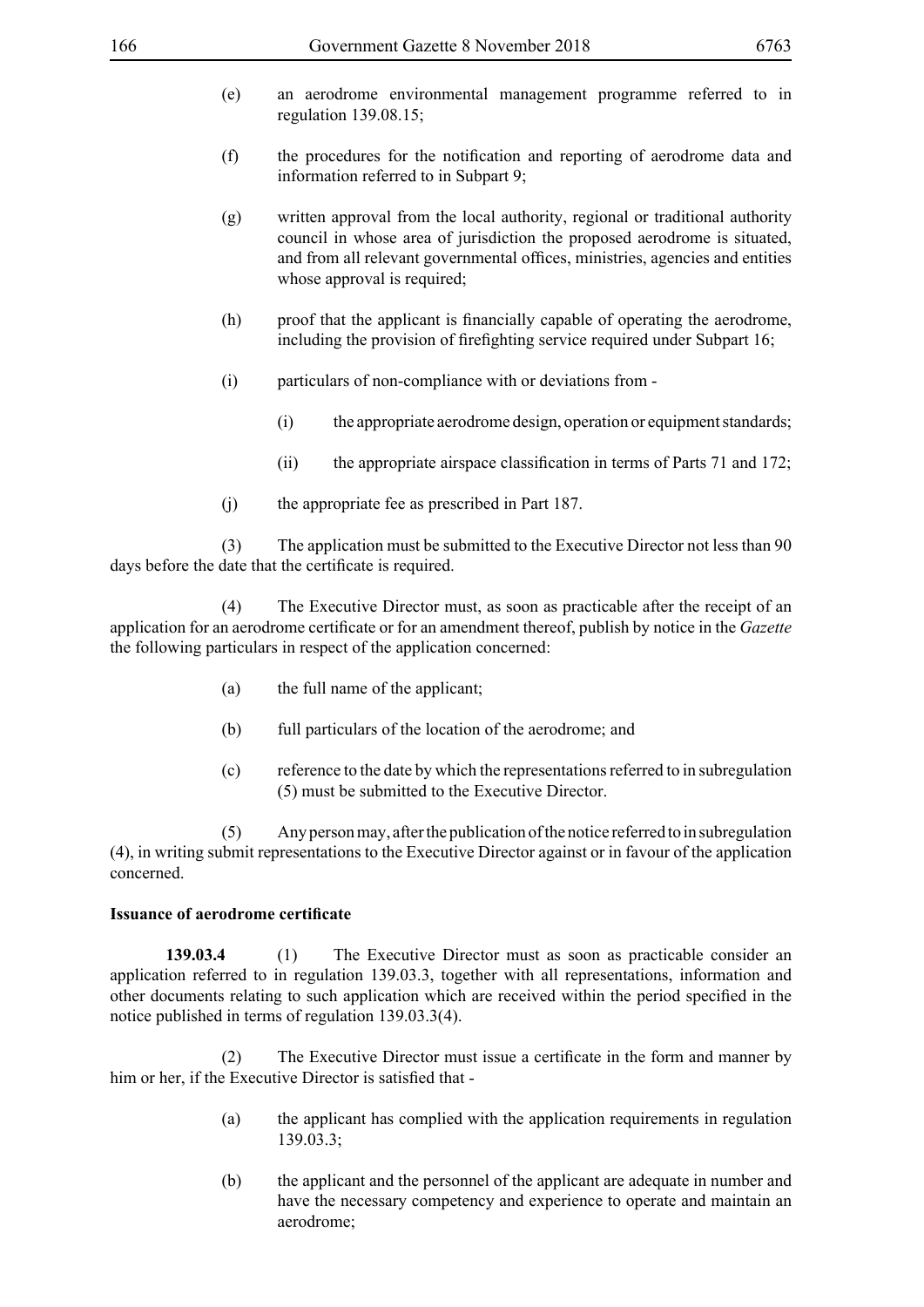- (e) an aerodrome environmental management programme referred to in regulation 139.08.15;
- (f) the procedures for the notification and reporting of aerodrome data and information referred to in Subpart 9;
- (g) written approval from the local authority, regional or traditional authority council in whose area of jurisdiction the proposed aerodrome is situated, and from all relevant governmental offices, ministries, agencies and entities whose approval is required;
- (h) proof that the applicant is financially capable of operating the aerodrome, including the provision of firefighting service required under Subpart 16;
- (i) particulars of non-compliance with or deviations from
	- (i) the appropriate aerodrome design, operation or equipment standards;
	- (ii) the appropriate airspace classification in terms of Parts 71 and 172;
- (j) the appropriate fee as prescribed in Part 187.

 (3) The application must be submitted to the Executive Director not less than 90 days before the date that the certificate is required.

 (4) The Executive Director must, as soon as practicable after the receipt of an application for an aerodrome certificate or for an amendment thereof, publish by notice in the *Gazette* the following particulars in respect of the application concerned:

- (a) the full name of the applicant;
- (b) full particulars of the location of the aerodrome; and
- (c) reference to the date by which the representations referred to in subregulation (5) must be submitted to the Executive Director.

 (5) Any person may, after the publication of the notice referred to in subregulation (4), in writing submit representations to the Executive Director against or in favour of the application concerned.

## **Issuance of aerodrome certificate**

**139.03.4** (1) The Executive Director must as soon as practicable consider an application referred to in regulation 139.03.3, together with all representations, information and other documents relating to such application which are received within the period specified in the notice published in terms of regulation 139.03.3(4).

(2) The Executive Director must issue a certificate in the form and manner by him or her, if the Executive Director is satisfied that -

- (a) the applicant has complied with the application requirements in regulation 139.03.3;
- (b) the applicant and the personnel of the applicant are adequate in number and have the necessary competency and experience to operate and maintain an aerodrome;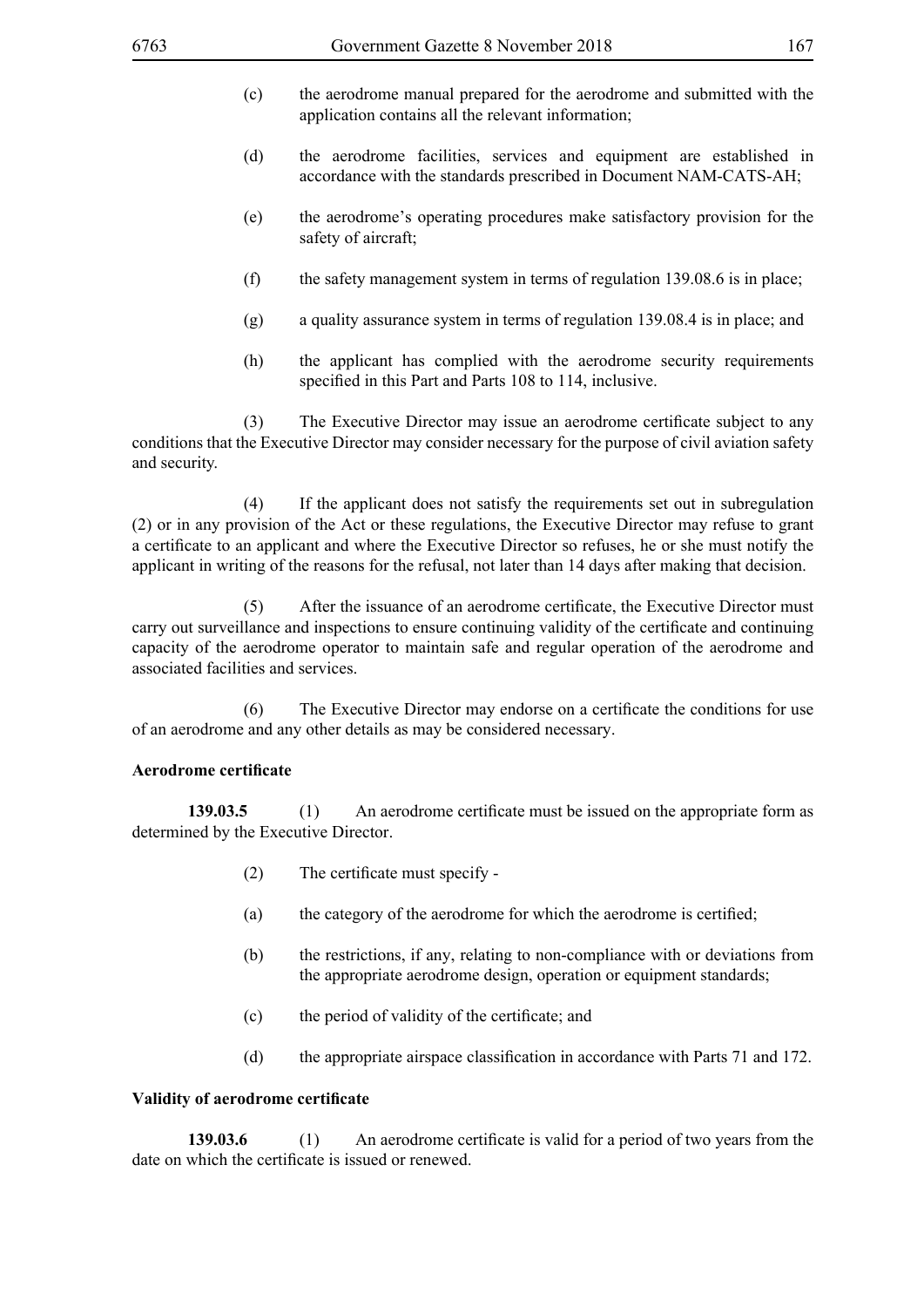- (c) the aerodrome manual prepared for the aerodrome and submitted with the application contains all the relevant information;
- (d) the aerodrome facilities, services and equipment are established in accordance with the standards prescribed in Document NAM-CATS-AH;
- (e) the aerodrome's operating procedures make satisfactory provision for the safety of aircraft;
- (f) the safety management system in terms of regulation 139.08.6 is in place;
- (g) a quality assurance system in terms of regulation 139.08.4 is in place; and
- (h) the applicant has complied with the aerodrome security requirements specified in this Part and Parts 108 to 114, inclusive.

(3) The Executive Director may issue an aerodrome certificate subject to any conditions that the Executive Director may consider necessary for the purpose of civil aviation safety and security.

 (4) If the applicant does not satisfy the requirements set out in subregulation (2) or in any provision of the Act or these regulations, the Executive Director may refuse to grant a certificate to an applicant and where the Executive Director so refuses, he or she must notify the applicant in writing of the reasons for the refusal, not later than 14 days after making that decision.

(5) After the issuance of an aerodrome certificate, the Executive Director must carry out surveillance and inspections to ensure continuing validity of the certificate and continuing capacity of the aerodrome operator to maintain safe and regular operation of the aerodrome and associated facilities and services.

(6) The Executive Director may endorse on a certificate the conditions for use of an aerodrome and any other details as may be considered necessary.

#### **Aerodrome certificate**

**139.03.5** (1) An aerodrome certificate must be issued on the appropriate form as determined by the Executive Director.

- (2) The certificate must specify -
- (a) the category of the aerodrome for which the aerodrome is certified;
- (b) the restrictions, if any, relating to non-compliance with or deviations from the appropriate aerodrome design, operation or equipment standards;
- (c) the period of validity of the certificate; and
- (d) the appropriate airspace classification in accordance with Parts 71 and 172.

## **Validity of aerodrome certificate**

**139.03.6** (1) An aerodrome certificate is valid for a period of two years from the date on which the certificate is issued or renewed.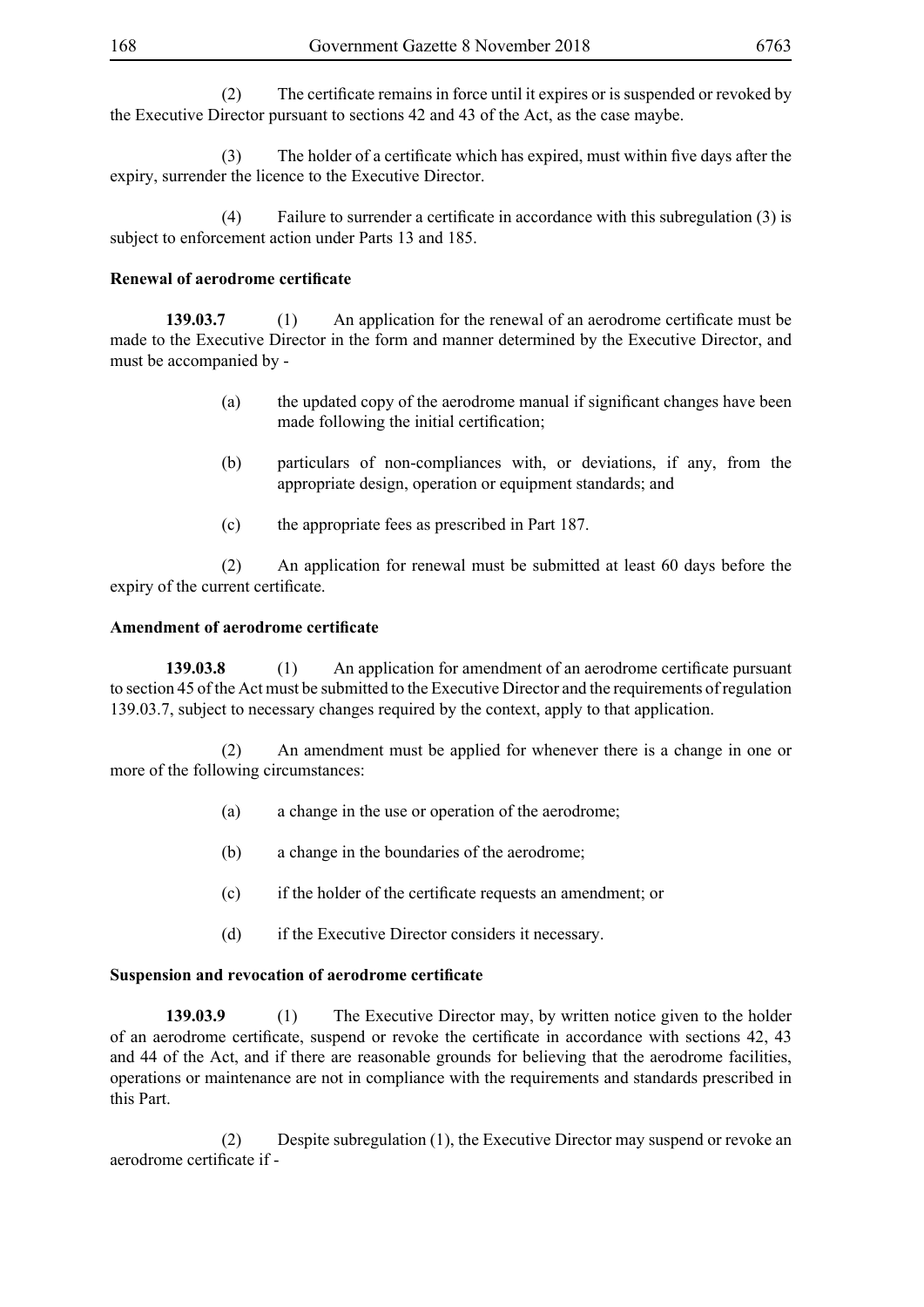(2) The certificate remains in force until it expires or is suspended or revoked by the Executive Director pursuant to sections 42 and 43 of the Act, as the case maybe.

(3) The holder of a certificate which has expired, must within five days after the expiry, surrender the licence to the Executive Director.

(4) Failure to surrender a certificate in accordance with this subregulation (3) is subject to enforcement action under Parts 13 and 185.

## **Renewal of aerodrome certificate**

**139.03.7** (1) An application for the renewal of an aerodrome certificate must be made to the Executive Director in the form and manner determined by the Executive Director, and must be accompanied by -

- (a) the updated copy of the aerodrome manual if significant changes have been made following the initial certification;
- (b) particulars of non-compliances with, or deviations, if any, from the appropriate design, operation or equipment standards; and
- (c) the appropriate fees as prescribed in Part 187.

 (2) An application for renewal must be submitted at least 60 days before the expiry of the current certificate.

## **Amendment of aerodrome certificate**

**139.03.8** (1) An application for amendment of an aerodrome certificate pursuant to section 45 of the Act must be submitted to the Executive Director and the requirements of regulation 139.03.7, subject to necessary changes required by the context, apply to that application.

 (2) An amendment must be applied for whenever there is a change in one or more of the following circumstances:

- (a) a change in the use or operation of the aerodrome;
- (b) a change in the boundaries of the aerodrome;
- (c) if the holder of the certificate requests an amendment; or
- (d) if the Executive Director considers it necessary.

## **Suspension and revocation of aerodrome certificate**

**139.03.9** (1) The Executive Director may, by written notice given to the holder of an aerodrome certificate, suspend or revoke the certificate in accordance with sections 42, 43 and 44 of the Act, and if there are reasonable grounds for believing that the aerodrome facilities, operations or maintenance are not in compliance with the requirements and standards prescribed in this Part.

 (2) Despite subregulation (1), the Executive Director may suspend or revoke an aerodrome certificate if -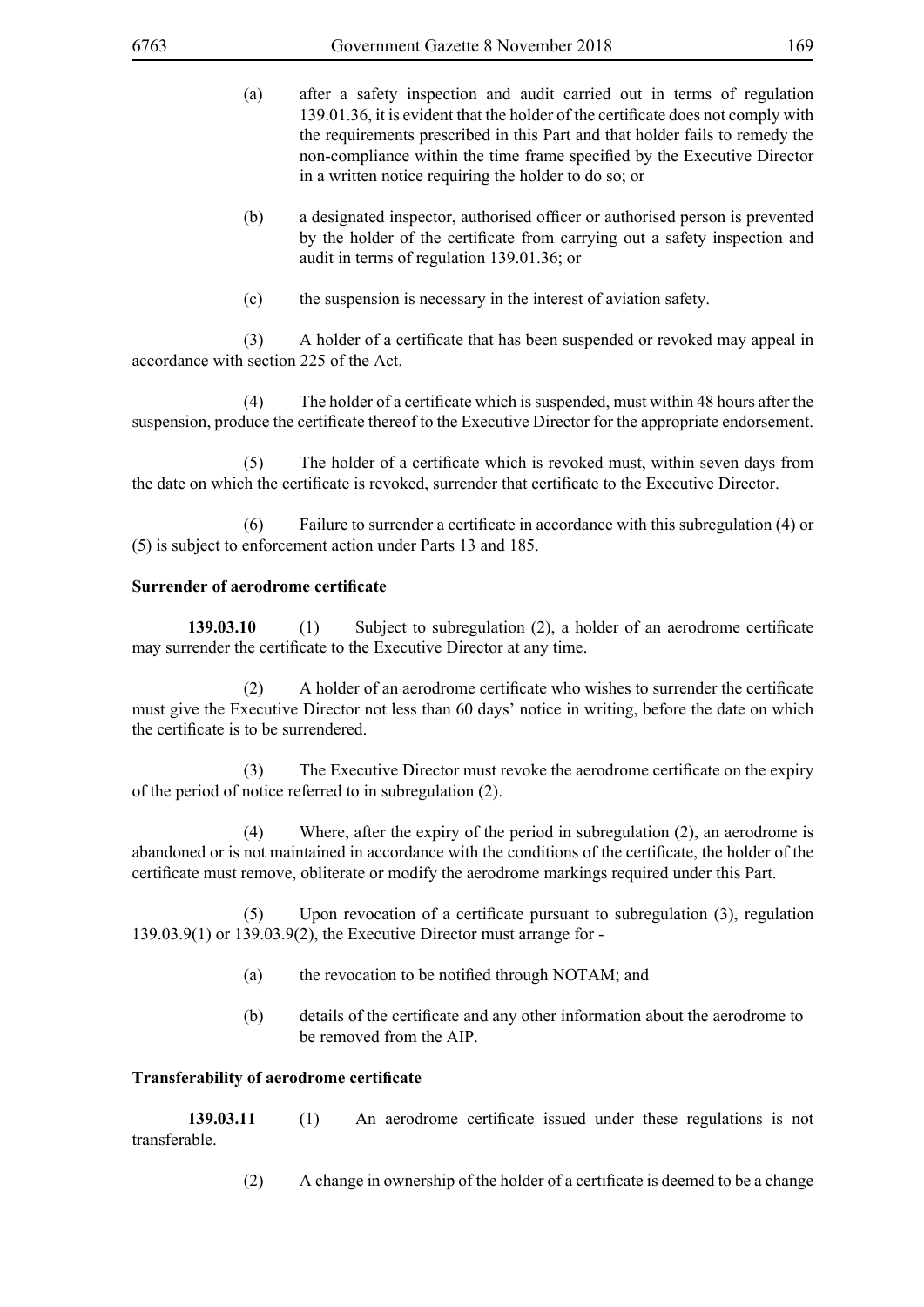- (a) after a safety inspection and audit carried out in terms of regulation 139.01.36, it is evident that the holder of the certificate does not comply with the requirements prescribed in this Part and that holder fails to remedy the non-compliance within the time frame specified by the Executive Director in a written notice requiring the holder to do so; or
- (b) a designated inspector, authorised officer or authorised person is prevented by the holder of the certificate from carrying out a safety inspection and audit in terms of regulation 139.01.36; or
- (c) the suspension is necessary in the interest of aviation safety.

(3) A holder of a certificate that has been suspended or revoked may appeal in accordance with section 225 of the Act.

(4) The holder of a certificate which is suspended, must within 48 hours after the suspension, produce the certificate thereof to the Executive Director for the appropriate endorsement.

(5) The holder of a certificate which is revoked must, within seven days from the date on which the certificate is revoked, surrender that certificate to the Executive Director.

(6) Failure to surrender a certificate in accordance with this subregulation (4) or (5) is subject to enforcement action under Parts 13 and 185.

## **Surrender of aerodrome certificate**

**139.03.10** (1) Subject to subregulation (2), a holder of an aerodrome certificate may surrender the certificate to the Executive Director at any time.

(2) A holder of an aerodrome certificate who wishes to surrender the certificate must give the Executive Director not less than 60 days' notice in writing, before the date on which the certificate is to be surrendered.

(3) The Executive Director must revoke the aerodrome certificate on the expiry of the period of notice referred to in subregulation (2).

 (4) Where, after the expiry of the period in subregulation (2), an aerodrome is abandoned or is not maintained in accordance with the conditions of the certificate, the holder of the certificate must remove, obliterate or modify the aerodrome markings required under this Part.

(5) Upon revocation of a certificate pursuant to subregulation (3), regulation 139.03.9(1) or 139.03.9(2), the Executive Director must arrange for -

- (a) the revocation to be notified through NOTAM; and
- (b) details of the certificate and any other information about the aerodrome to be removed from the AIP.

## **Transferability of aerodrome certificate**

**139.03.11** (1) An aerodrome certificate issued under these regulations is not transferable.

(2) A change in ownership of the holder of a certificate is deemed to be a change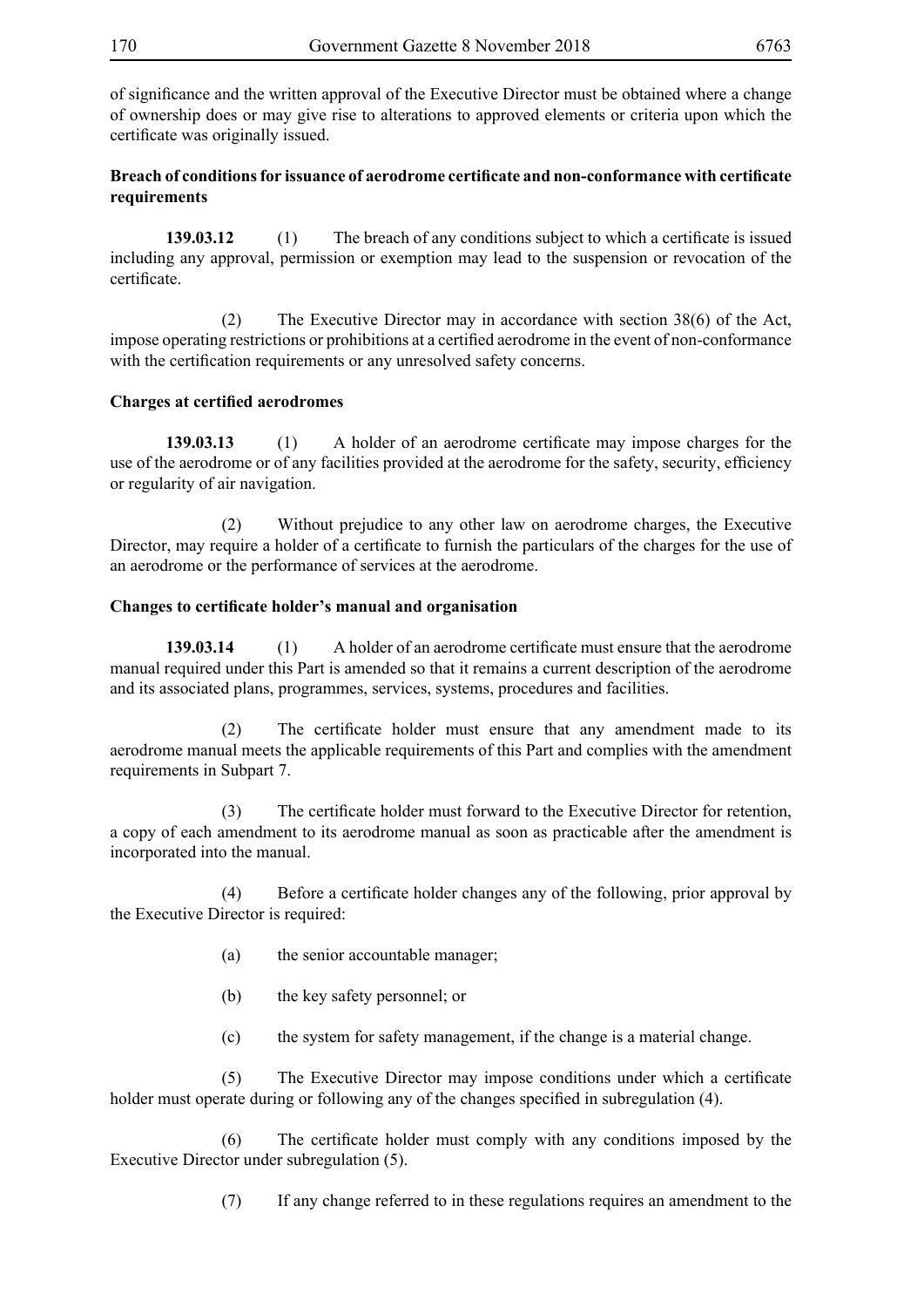of significance and the written approval of the Executive Director must be obtained where a change of ownership does or may give rise to alterations to approved elements or criteria upon which the certificate was originally issued.

# **Breach of conditions for issuance of aerodrome certificate and non-conformance with certificate requirements**

**139.03.12** (1) The breach of any conditions subject to which a certificate is issued including any approval, permission or exemption may lead to the suspension or revocation of the certificate.

 (2) The Executive Director may in accordance with section 38(6) of the Act, impose operating restrictions or prohibitions at a certified aerodrome in the event of non-conformance with the certification requirements or any unresolved safety concerns.

## **Charges at certified aerodromes**

**139.03.13** (1) A holder of an aerodrome certificate may impose charges for the use of the aerodrome or of any facilities provided at the aerodrome for the safety, security, efficiency or regularity of air navigation.

 (2) Without prejudice to any other law on aerodrome charges, the Executive Director, may require a holder of a certificate to furnish the particulars of the charges for the use of an aerodrome or the performance of services at the aerodrome.

## **Changes to certificate holder's manual and organisation**

**139.03.14** (1) A holder of an aerodrome certificate must ensure that the aerodrome manual required under this Part is amended so that it remains a current description of the aerodrome and its associated plans, programmes, services, systems, procedures and facilities.

(2) The certificate holder must ensure that any amendment made to its aerodrome manual meets the applicable requirements of this Part and complies with the amendment requirements in Subpart 7.

(3) The certificate holder must forward to the Executive Director for retention, a copy of each amendment to its aerodrome manual as soon as practicable after the amendment is incorporated into the manual.

(4) Before a certificate holder changes any of the following, prior approval by the Executive Director is required:

- (a) the senior accountable manager;
- (b) the key safety personnel; or
- (c) the system for safety management, if the change is a material change.

(5) The Executive Director may impose conditions under which a certificate holder must operate during or following any of the changes specified in subregulation (4).

(6) The certificate holder must comply with any conditions imposed by the Executive Director under subregulation (5).

(7) If any change referred to in these regulations requires an amendment to the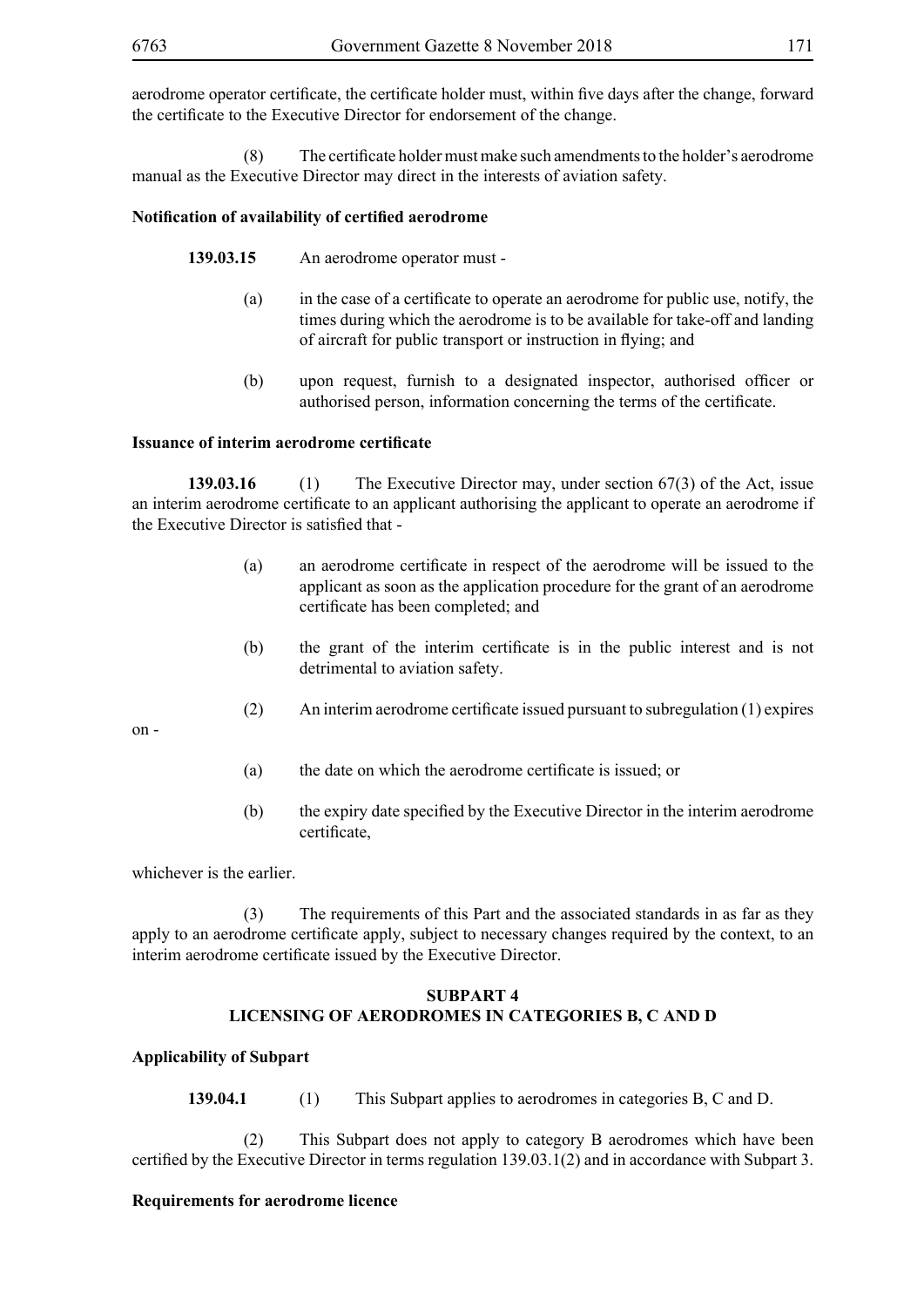aerodrome operator certificate, the certificate holder must, within five days after the change, forward the certificate to the Executive Director for endorsement of the change.

(8) The certificate holder must make such amendments to the holder's aerodrome manual as the Executive Director may direct in the interests of aviation safety.

## **Notification of availability of certified aerodrome**

**139.03.15** An aerodrome operator must -

- (a) in the case of a certificate to operate an aerodrome for public use, notify, the times during which the aerodrome is to be available for take-off and landing of aircraft for public transport or instruction in flying; and
- (b) upon request, furnish to a designated inspector, authorised officer or authorised person, information concerning the terms of the certificate.

### **Issuance of interim aerodrome certificate**

**139.03.16** (1) The Executive Director may, under section 67(3) of the Act, issue an interim aerodrome certificate to an applicant authorising the applicant to operate an aerodrome if the Executive Director is satisfied that -

- (a) an aerodrome certificate in respect of the aerodrome will be issued to the applicant as soon as the application procedure for the grant of an aerodrome certificate has been completed; and
- (b) the grant of the interim certificate is in the public interest and is not detrimental to aviation safety.
- (2) An interim aerodrome certificate issued pursuant to subregulation (1) expires

on -

- (a) the date on which the aerodrome certificate is issued; or
- (b) the expiry date specified by the Executive Director in the interim aerodrome certificate,

whichever is the earlier.

 (3) The requirements of this Part and the associated standards in as far as they apply to an aerodrome certificate apply, subject to necessary changes required by the context, to an interim aerodrome certificate issued by the Executive Director.

## **SUBPART 4 LICENSING OF AERODROMES IN CATEGORIES B, C AND D**

## **Applicability of Subpart**

**139.04.1** (1) This Subpart applies to aerodromes in categories B, C and D.

 (2) This Subpart does not apply to category B aerodromes which have been certified by the Executive Director in terms regulation 139.03.1(2) and in accordance with Subpart 3.

### **Requirements for aerodrome licence**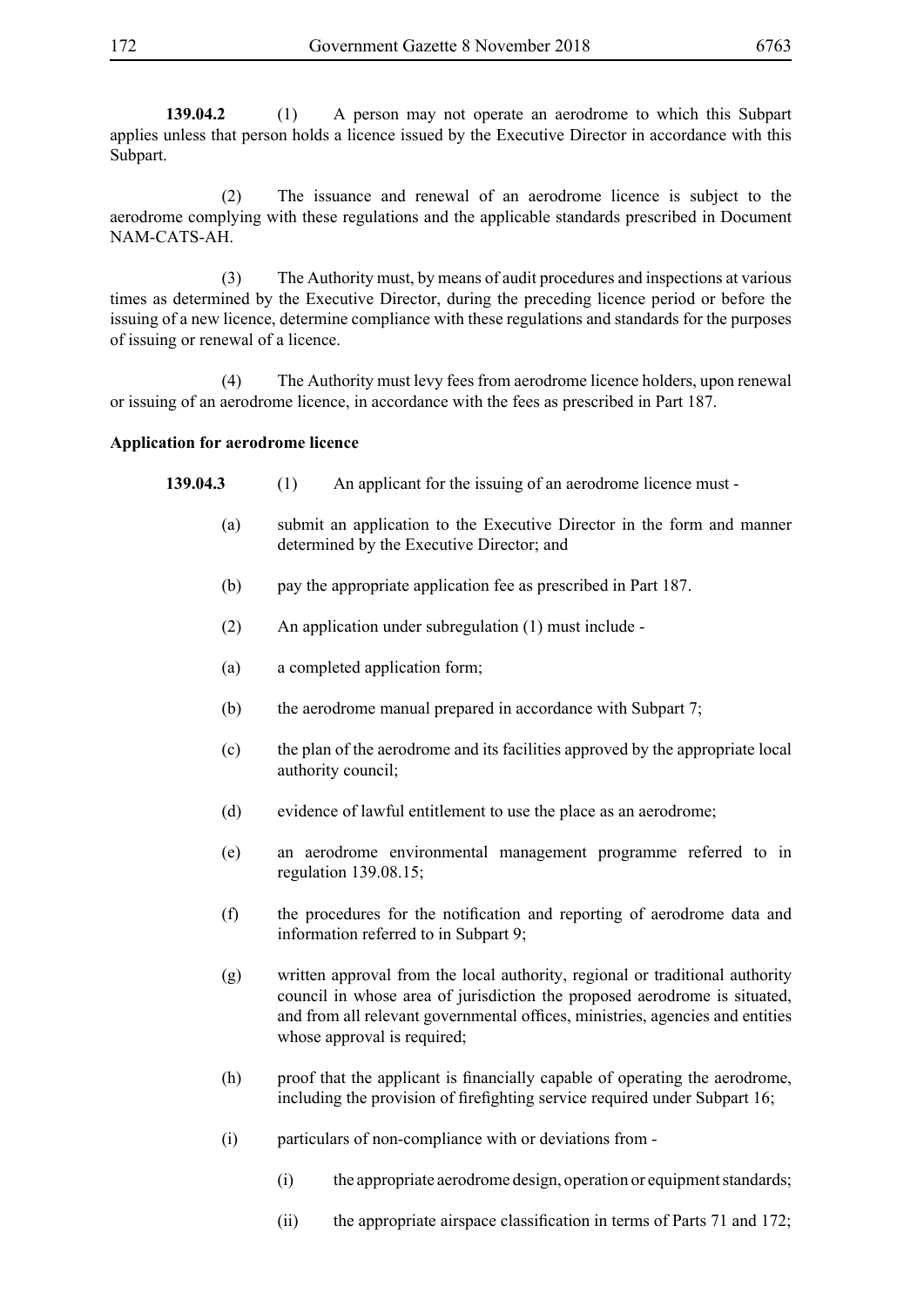**139.04.2** (1) A person may not operate an aerodrome to which this Subpart applies unless that person holds a licence issued by the Executive Director in accordance with this Subpart.

 (2) The issuance and renewal of an aerodrome licence is subject to the aerodrome complying with these regulations and the applicable standards prescribed in Document NAM-CATS-AH.

 (3) The Authority must, by means of audit procedures and inspections at various times as determined by the Executive Director, during the preceding licence period or before the issuing of a new licence, determine compliance with these regulations and standards for the purposes of issuing or renewal of a licence.

 (4) The Authority must levy fees from aerodrome licence holders, upon renewal or issuing of an aerodrome licence, in accordance with the fees as prescribed in Part 187.

#### **Application for aerodrome licence**

- **139.04.3** (1) An applicant for the issuing of an aerodrome licence must -
	- (a) submit an application to the Executive Director in the form and manner determined by the Executive Director; and
	- (b) pay the appropriate application fee as prescribed in Part 187.
	- (2) An application under subregulation (1) must include -
	- (a) a completed application form;
	- (b) the aerodrome manual prepared in accordance with Subpart 7;
	- (c) the plan of the aerodrome and its facilities approved by the appropriate local authority council;
	- (d) evidence of lawful entitlement to use the place as an aerodrome;
	- (e) an aerodrome environmental management programme referred to in regulation 139.08.15;
	- (f) the procedures for the notification and reporting of aerodrome data and information referred to in Subpart 9;
	- (g) written approval from the local authority, regional or traditional authority council in whose area of jurisdiction the proposed aerodrome is situated, and from all relevant governmental offices, ministries, agencies and entities whose approval is required;
	- (h) proof that the applicant is financially capable of operating the aerodrome, including the provision of firefighting service required under Subpart 16;
	- (i) particulars of non-compliance with or deviations from
		- (i) the appropriate aerodrome design, operation or equipment standards;
		- (ii) the appropriate airspace classification in terms of Parts 71 and 172;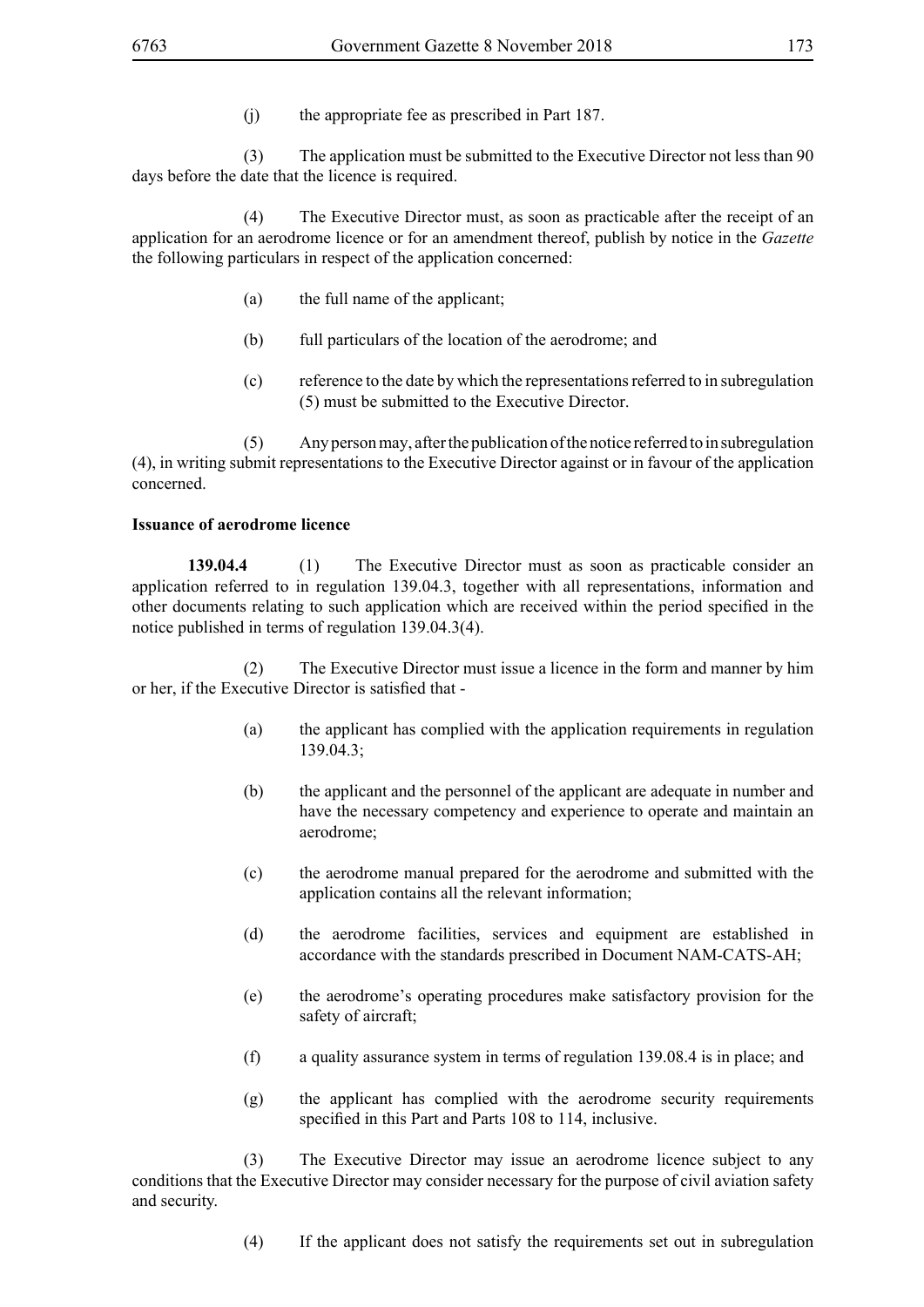(j) the appropriate fee as prescribed in Part 187.

 (3) The application must be submitted to the Executive Director not less than 90 days before the date that the licence is required.

 (4) The Executive Director must, as soon as practicable after the receipt of an application for an aerodrome licence or for an amendment thereof, publish by notice in the *Gazette* the following particulars in respect of the application concerned:

- (a) the full name of the applicant;
- (b) full particulars of the location of the aerodrome; and
- (c) reference to the date by which the representations referred to in subregulation (5) must be submitted to the Executive Director.

 (5) Any person may, after the publication of the notice referred to in subregulation (4), in writing submit representations to the Executive Director against or in favour of the application concerned.

### **Issuance of aerodrome licence**

**139.04.4** (1) The Executive Director must as soon as practicable consider an application referred to in regulation 139.04.3, together with all representations, information and other documents relating to such application which are received within the period specified in the notice published in terms of regulation 139.04.3(4).

 (2) The Executive Director must issue a licence in the form and manner by him or her, if the Executive Director is satisfied that -

- (a) the applicant has complied with the application requirements in regulation 139.04.3;
- (b) the applicant and the personnel of the applicant are adequate in number and have the necessary competency and experience to operate and maintain an aerodrome;
- (c) the aerodrome manual prepared for the aerodrome and submitted with the application contains all the relevant information;
- (d) the aerodrome facilities, services and equipment are established in accordance with the standards prescribed in Document NAM-CATS-AH;
- (e) the aerodrome's operating procedures make satisfactory provision for the safety of aircraft;
- (f) a quality assurance system in terms of regulation 139.08.4 is in place; and
- (g) the applicant has complied with the aerodrome security requirements specified in this Part and Parts 108 to 114, inclusive.

 (3) The Executive Director may issue an aerodrome licence subject to any conditions that the Executive Director may consider necessary for the purpose of civil aviation safety and security.

(4) If the applicant does not satisfy the requirements set out in subregulation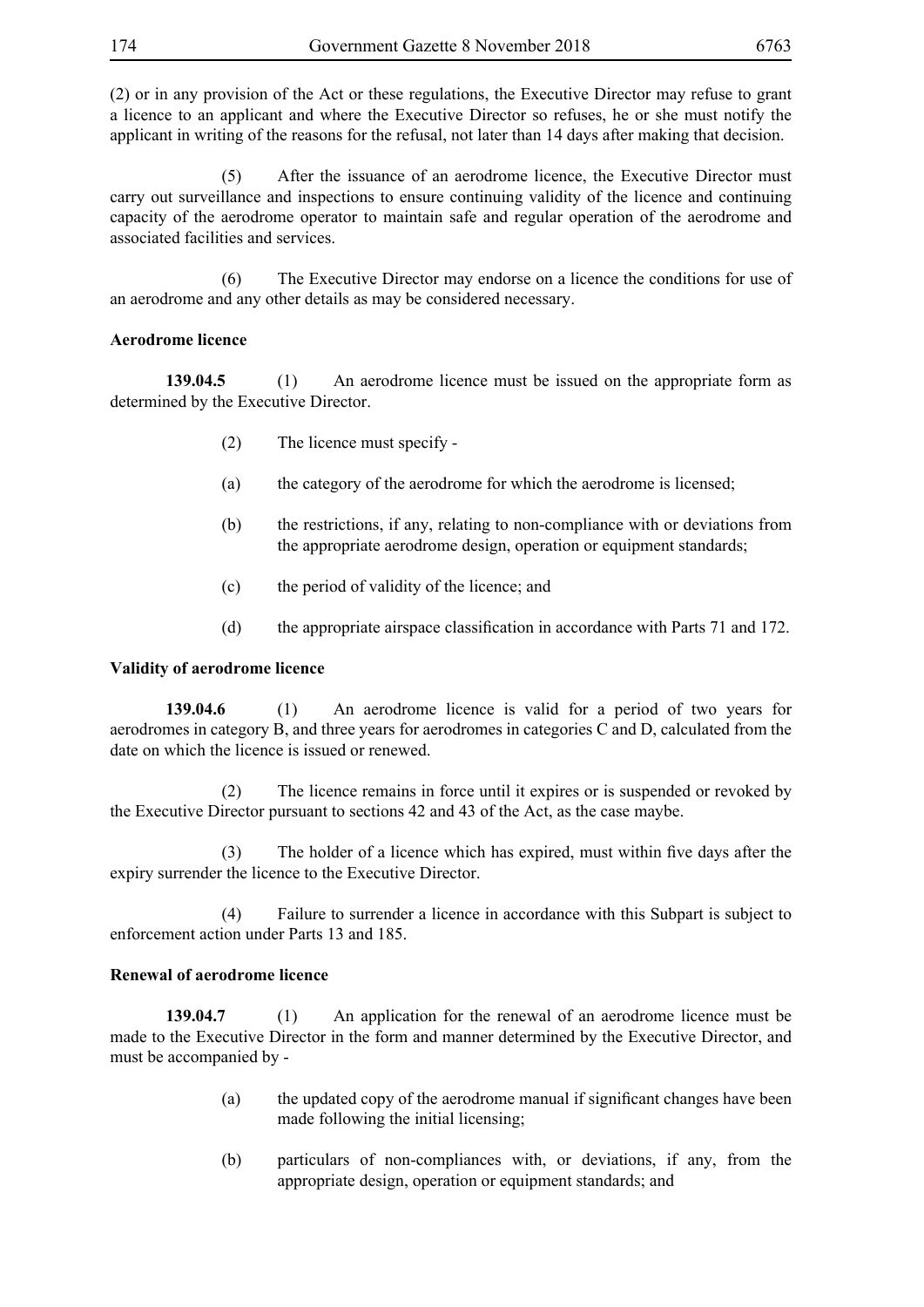(2) or in any provision of the Act or these regulations, the Executive Director may refuse to grant a licence to an applicant and where the Executive Director so refuses, he or she must notify the applicant in writing of the reasons for the refusal, not later than 14 days after making that decision.

 (5) After the issuance of an aerodrome licence, the Executive Director must carry out surveillance and inspections to ensure continuing validity of the licence and continuing capacity of the aerodrome operator to maintain safe and regular operation of the aerodrome and associated facilities and services.

 (6) The Executive Director may endorse on a licence the conditions for use of an aerodrome and any other details as may be considered necessary.

## **Aerodrome licence**

**139.04.5** (1) An aerodrome licence must be issued on the appropriate form as determined by the Executive Director.

- (2) The licence must specify -
- (a) the category of the aerodrome for which the aerodrome is licensed;
- (b) the restrictions, if any, relating to non-compliance with or deviations from the appropriate aerodrome design, operation or equipment standards;
- (c) the period of validity of the licence; and
- (d) the appropriate airspace classification in accordance with Parts 71 and 172.

## **Validity of aerodrome licence**

**139.04.6** (1) An aerodrome licence is valid for a period of two years for aerodromes in category B, and three years for aerodromes in categories C and D, calculated from the date on which the licence is issued or renewed.

 (2) The licence remains in force until it expires or is suspended or revoked by the Executive Director pursuant to sections 42 and 43 of the Act, as the case maybe.

(3) The holder of a licence which has expired, must within five days after the expiry surrender the licence to the Executive Director.

 (4) Failure to surrender a licence in accordance with this Subpart is subject to enforcement action under Parts 13 and 185.

# **Renewal of aerodrome licence**

**139.04.7** (1) An application for the renewal of an aerodrome licence must be made to the Executive Director in the form and manner determined by the Executive Director, and must be accompanied by -

- (a) the updated copy of the aerodrome manual if significant changes have been made following the initial licensing;
- (b) particulars of non-compliances with, or deviations, if any, from the appropriate design, operation or equipment standards; and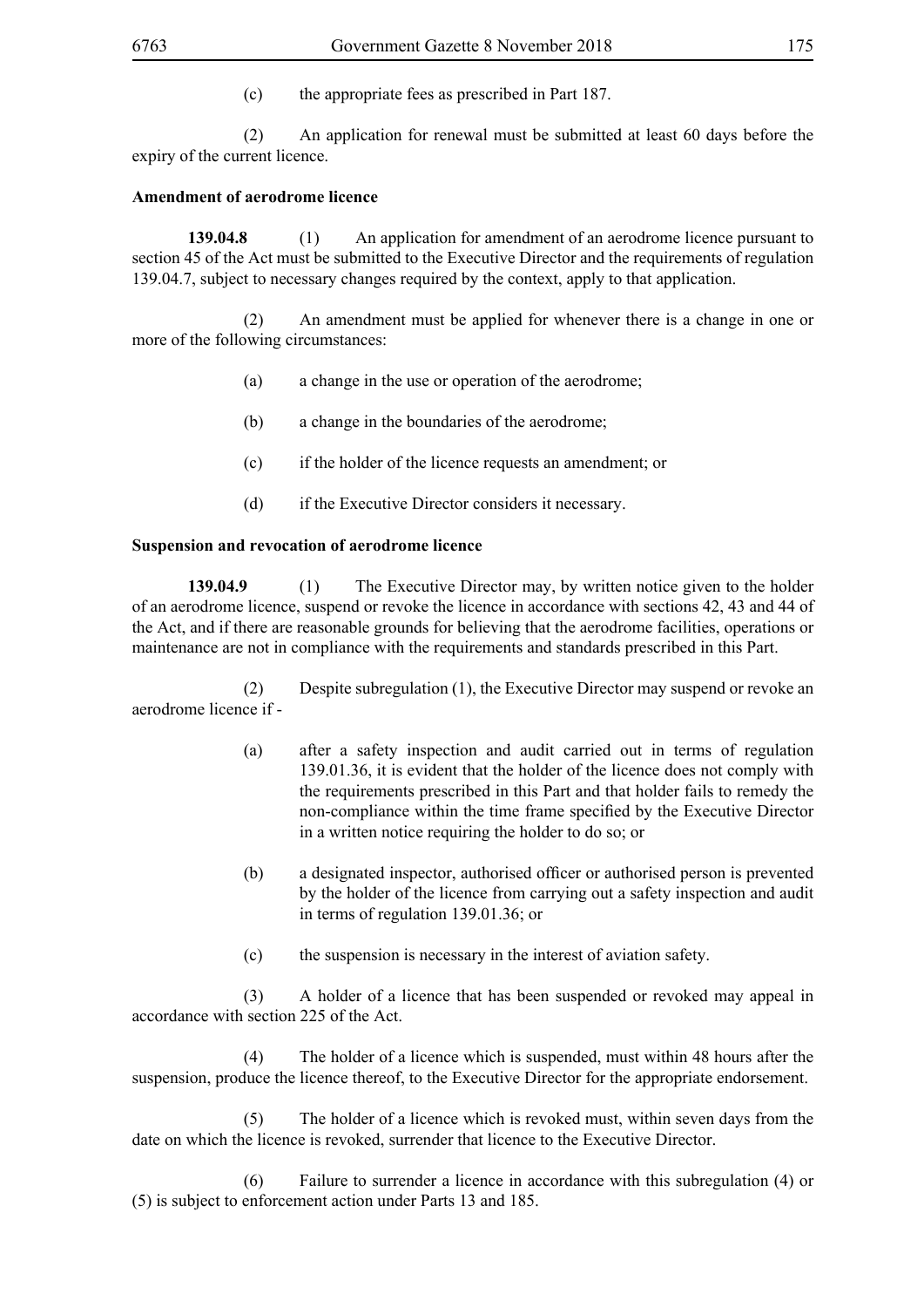(c) the appropriate fees as prescribed in Part 187.

 (2) An application for renewal must be submitted at least 60 days before the expiry of the current licence.

### **Amendment of aerodrome licence**

**139.04.8** (1) An application for amendment of an aerodrome licence pursuant to section 45 of the Act must be submitted to the Executive Director and the requirements of regulation 139.04.7, subject to necessary changes required by the context, apply to that application.

 (2) An amendment must be applied for whenever there is a change in one or more of the following circumstances:

- (a) a change in the use or operation of the aerodrome;
- (b) a change in the boundaries of the aerodrome;
- (c) if the holder of the licence requests an amendment; or
- (d) if the Executive Director considers it necessary.

#### **Suspension and revocation of aerodrome licence**

**139.04.9** (1) The Executive Director may, by written notice given to the holder of an aerodrome licence, suspend or revoke the licence in accordance with sections 42, 43 and 44 of the Act, and if there are reasonable grounds for believing that the aerodrome facilities, operations or maintenance are not in compliance with the requirements and standards prescribed in this Part.

 (2) Despite subregulation (1), the Executive Director may suspend or revoke an aerodrome licence if -

- (a) after a safety inspection and audit carried out in terms of regulation 139.01.36, it is evident that the holder of the licence does not comply with the requirements prescribed in this Part and that holder fails to remedy the non-compliance within the time frame specified by the Executive Director in a written notice requiring the holder to do so; or
- (b) a designated inspector, authorised officer or authorised person is prevented by the holder of the licence from carrying out a safety inspection and audit in terms of regulation 139.01.36; or
- (c) the suspension is necessary in the interest of aviation safety.

 (3) A holder of a licence that has been suspended or revoked may appeal in accordance with section 225 of the Act.

 (4) The holder of a licence which is suspended, must within 48 hours after the suspension, produce the licence thereof, to the Executive Director for the appropriate endorsement.

 (5) The holder of a licence which is revoked must, within seven days from the date on which the licence is revoked, surrender that licence to the Executive Director.

Failure to surrender a licence in accordance with this subregulation (4) or (5) is subject to enforcement action under Parts 13 and 185.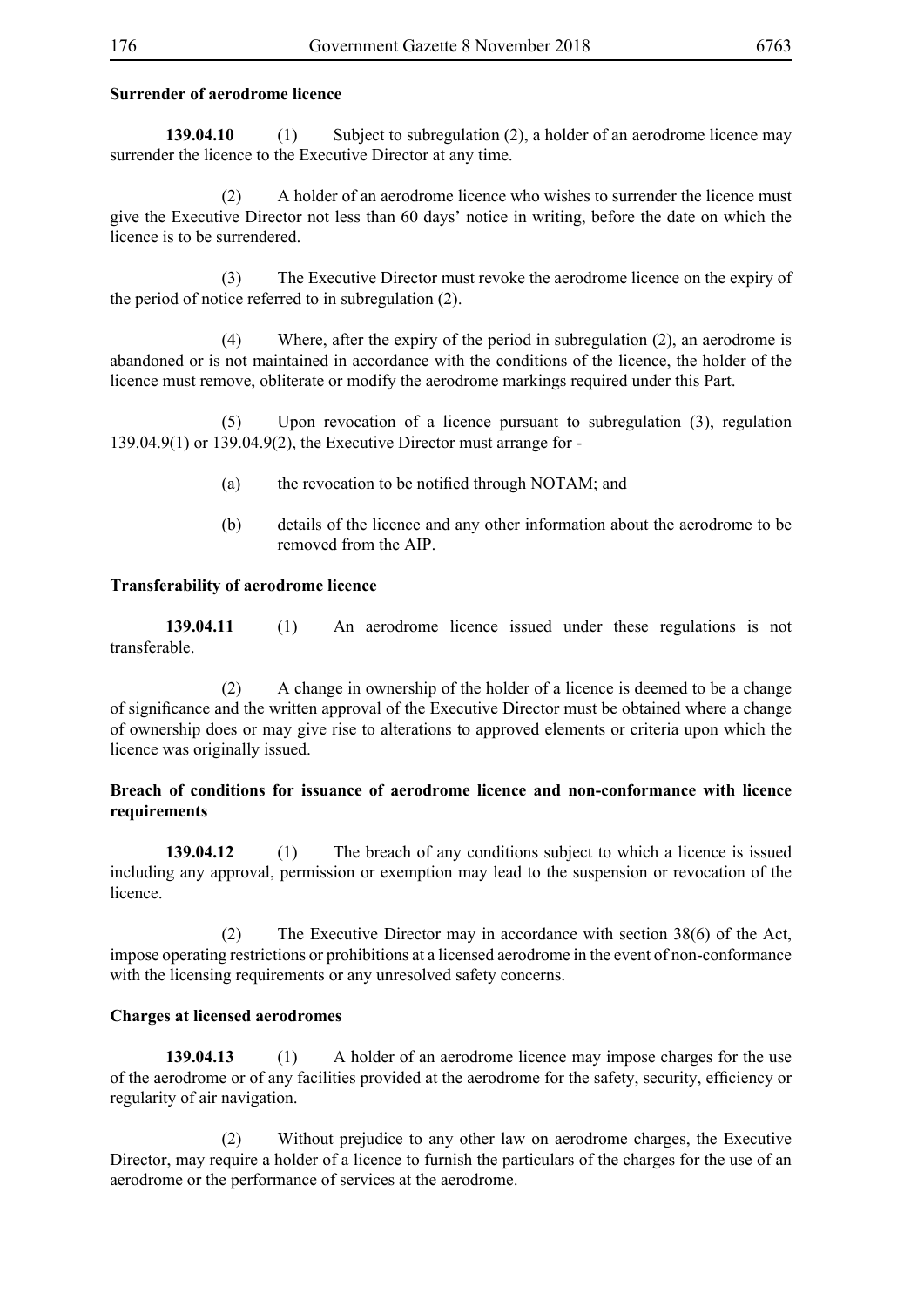## **Surrender of aerodrome licence**

**139.04.10** (1) Subject to subregulation (2), a holder of an aerodrome licence may surrender the licence to the Executive Director at any time.

 (2) A holder of an aerodrome licence who wishes to surrender the licence must give the Executive Director not less than 60 days' notice in writing, before the date on which the licence is to be surrendered.

 (3) The Executive Director must revoke the aerodrome licence on the expiry of the period of notice referred to in subregulation (2).

 (4) Where, after the expiry of the period in subregulation (2), an aerodrome is abandoned or is not maintained in accordance with the conditions of the licence, the holder of the licence must remove, obliterate or modify the aerodrome markings required under this Part.

 (5) Upon revocation of a licence pursuant to subregulation (3), regulation 139.04.9(1) or 139.04.9(2), the Executive Director must arrange for -

- (a) the revocation to be notified through NOTAM; and
- (b) details of the licence and any other information about the aerodrome to be removed from the AIP.

### **Transferability of aerodrome licence**

**139.04.11** (1) An aerodrome licence issued under these regulations is not transferable.

 (2) A change in ownership of the holder of a licence is deemed to be a change of significance and the written approval of the Executive Director must be obtained where a change of ownership does or may give rise to alterations to approved elements or criteria upon which the licence was originally issued.

### **Breach of conditions for issuance of aerodrome licence and non-conformance with licence requirements**

**139.04.12** (1) The breach of any conditions subject to which a licence is issued including any approval, permission or exemption may lead to the suspension or revocation of the licence.

 (2) The Executive Director may in accordance with section 38(6) of the Act, impose operating restrictions or prohibitions at a licensed aerodrome in the event of non-conformance with the licensing requirements or any unresolved safety concerns.

### **Charges at licensed aerodromes**

**139.04.13** (1) A holder of an aerodrome licence may impose charges for the use of the aerodrome or of any facilities provided at the aerodrome for the safety, security, efficiency or regularity of air navigation.

 (2) Without prejudice to any other law on aerodrome charges, the Executive Director, may require a holder of a licence to furnish the particulars of the charges for the use of an aerodrome or the performance of services at the aerodrome.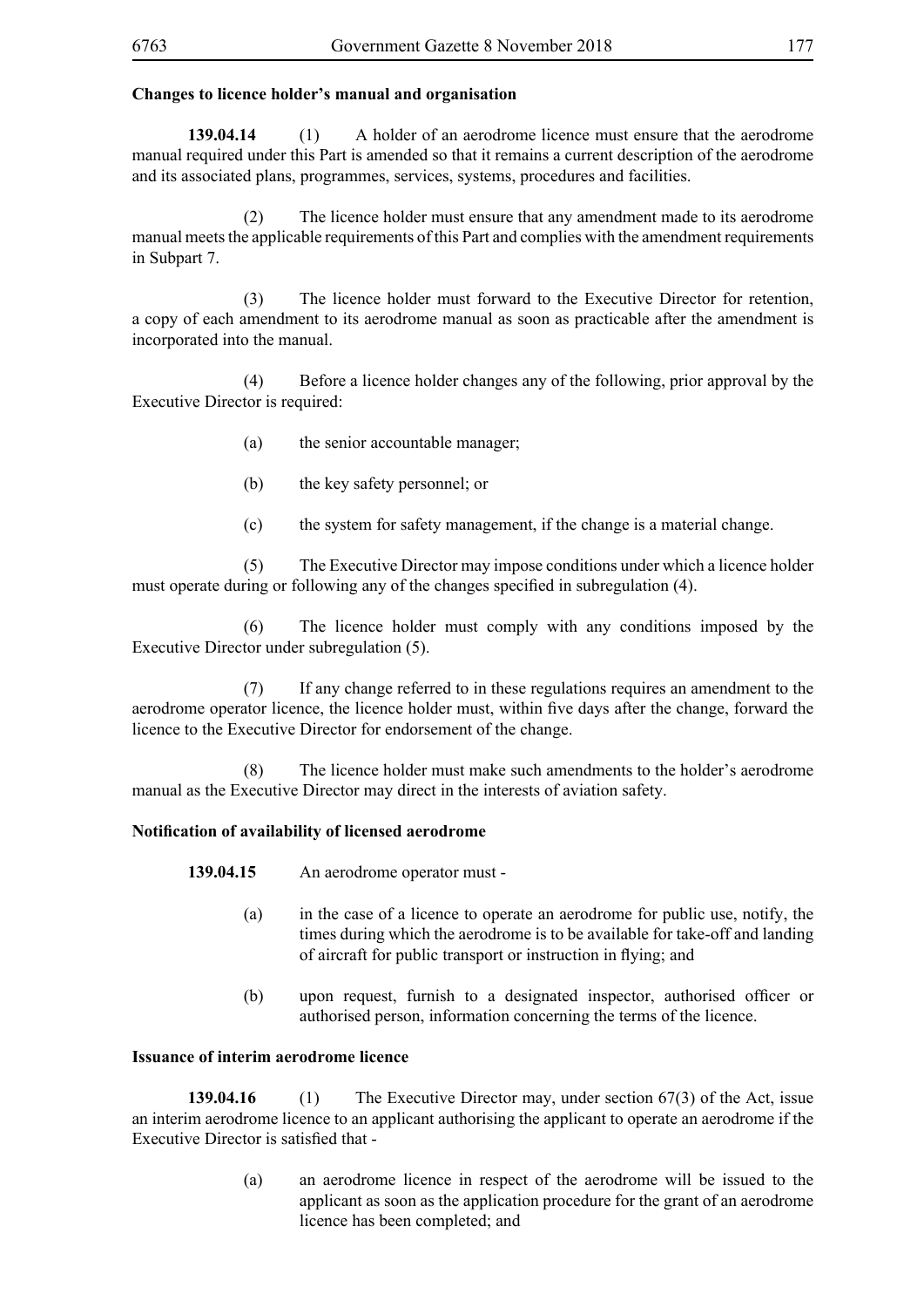## **Changes to licence holder's manual and organisation**

**139.04.14** (1) A holder of an aerodrome licence must ensure that the aerodrome manual required under this Part is amended so that it remains a current description of the aerodrome and its associated plans, programmes, services, systems, procedures and facilities.

 (2) The licence holder must ensure that any amendment made to its aerodrome manual meets the applicable requirements of this Part and complies with the amendment requirements in Subpart 7.

 (3) The licence holder must forward to the Executive Director for retention, a copy of each amendment to its aerodrome manual as soon as practicable after the amendment is incorporated into the manual.

 (4) Before a licence holder changes any of the following, prior approval by the Executive Director is required:

- (a) the senior accountable manager;
- (b) the key safety personnel; or
- (c) the system for safety management, if the change is a material change.

 (5) The Executive Director may impose conditions under which a licence holder must operate during or following any of the changes specified in subregulation (4).

 (6) The licence holder must comply with any conditions imposed by the Executive Director under subregulation (5).

 (7) If any change referred to in these regulations requires an amendment to the aerodrome operator licence, the licence holder must, within five days after the change, forward the licence to the Executive Director for endorsement of the change.

 (8) The licence holder must make such amendments to the holder's aerodrome manual as the Executive Director may direct in the interests of aviation safety.

### **Notification of availability of licensed aerodrome**

**139.04.15** An aerodrome operator must -

- (a) in the case of a licence to operate an aerodrome for public use, notify, the times during which the aerodrome is to be available for take-off and landing of aircraft for public transport or instruction in flying; and
- (b) upon request, furnish to a designated inspector, authorised officer or authorised person, information concerning the terms of the licence.

### **Issuance of interim aerodrome licence**

**139.04.16** (1) The Executive Director may, under section 67(3) of the Act, issue an interim aerodrome licence to an applicant authorising the applicant to operate an aerodrome if the Executive Director is satisfied that -

> (a) an aerodrome licence in respect of the aerodrome will be issued to the applicant as soon as the application procedure for the grant of an aerodrome licence has been completed; and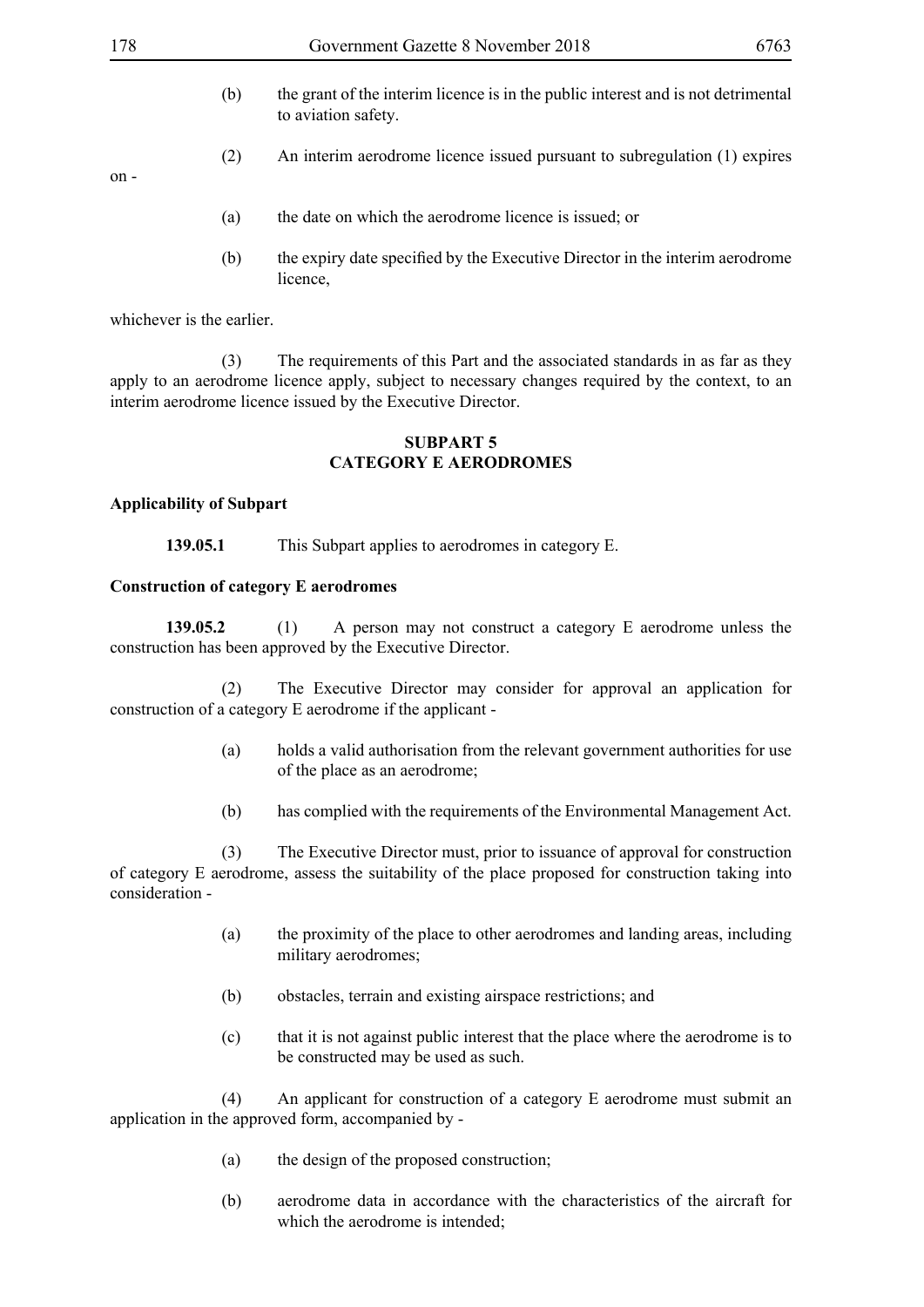- 
- (b) the grant of the interim licence is in the public interest and is not detrimental to aviation safety.
- (2) An interim aerodrome licence issued pursuant to subregulation (1) expires

on -

- (a) the date on which the aerodrome licence is issued; or
- (b) the expiry date specified by the Executive Director in the interim aerodrome licence,

whichever is the earlier.

 (3) The requirements of this Part and the associated standards in as far as they apply to an aerodrome licence apply, subject to necessary changes required by the context, to an interim aerodrome licence issued by the Executive Director.

### **SUBPART 5 CATEGORY E AERODROMES**

## **Applicability of Subpart**

**139.05.1** This Subpart applies to aerodromes in category E.

## **Construction of category E aerodromes**

**139.05.2** (1) A person may not construct a category E aerodrome unless the construction has been approved by the Executive Director.

 (2) The Executive Director may consider for approval an application for construction of a category E aerodrome if the applicant -

- (a) holds a valid authorisation from the relevant government authorities for use of the place as an aerodrome;
- (b) has complied with the requirements of the Environmental Management Act.

 (3) The Executive Director must, prior to issuance of approval for construction of category E aerodrome, assess the suitability of the place proposed for construction taking into consideration -

- (a) the proximity of the place to other aerodromes and landing areas, including military aerodromes;
- (b) obstacles, terrain and existing airspace restrictions; and
- (c) that it is not against public interest that the place where the aerodrome is to be constructed may be used as such.

 (4) An applicant for construction of a category E aerodrome must submit an application in the approved form, accompanied by -

- (a) the design of the proposed construction;
- (b) aerodrome data in accordance with the characteristics of the aircraft for which the aerodrome is intended;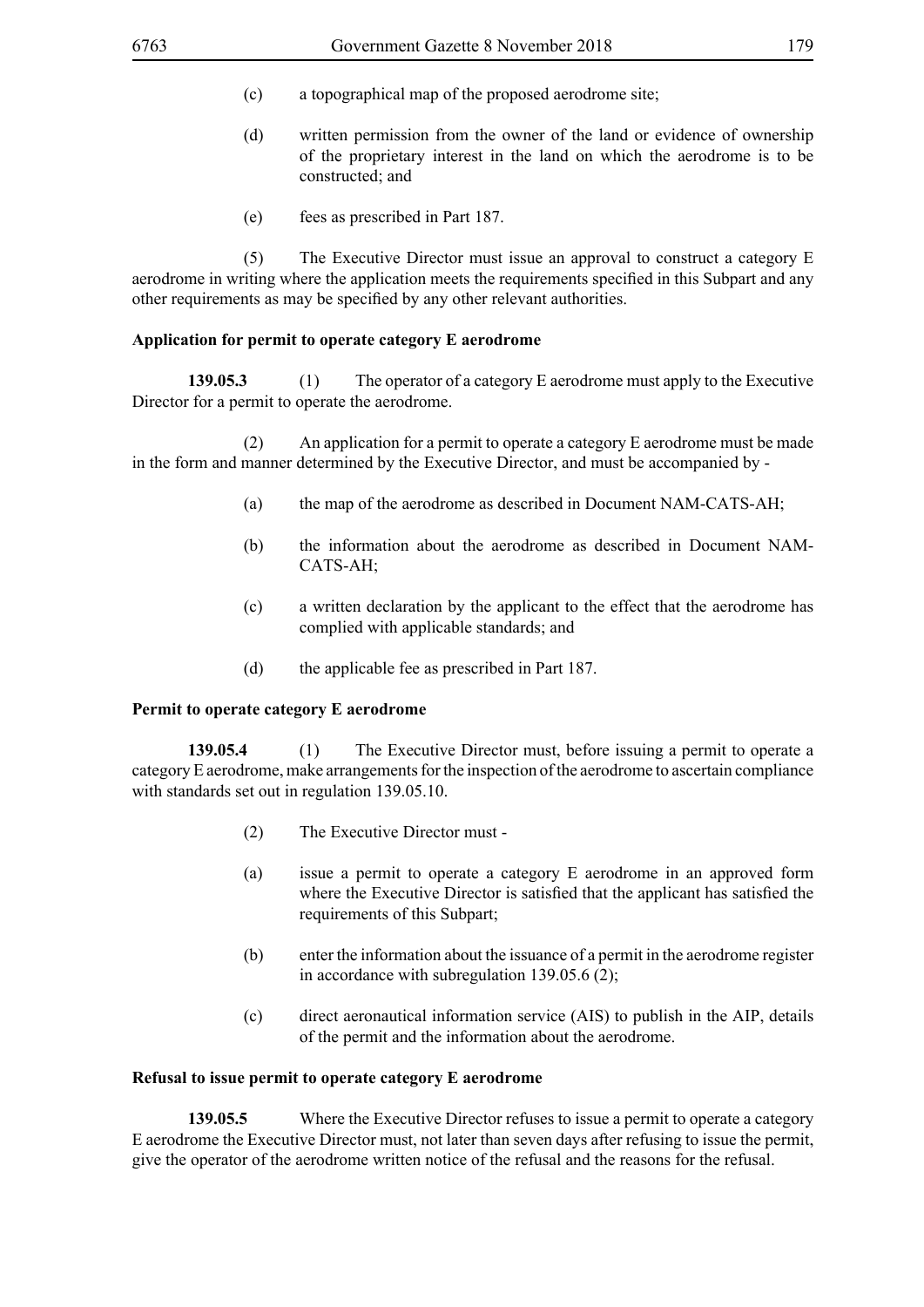- (c) a topographical map of the proposed aerodrome site;
- (d) written permission from the owner of the land or evidence of ownership of the proprietary interest in the land on which the aerodrome is to be constructed; and
- (e) fees as prescribed in Part 187.

 (5) The Executive Director must issue an approval to construct a category E aerodrome in writing where the application meets the requirements specified in this Subpart and any other requirements as may be specified by any other relevant authorities.

### **Application for permit to operate category E aerodrome**

**139.05.3** (1) The operator of a category E aerodrome must apply to the Executive Director for a permit to operate the aerodrome.

 (2) An application for a permit to operate a category E aerodrome must be made in the form and manner determined by the Executive Director, and must be accompanied by -

- (a) the map of the aerodrome as described in Document NAM-CATS-AH;
- (b) the information about the aerodrome as described in Document NAM-CATS-AH;
- (c) a written declaration by the applicant to the effect that the aerodrome has complied with applicable standards; and
- (d) the applicable fee as prescribed in Part 187.

### **Permit to operate category E aerodrome**

**139.05.4** (1) The Executive Director must, before issuing a permit to operate a category E aerodrome, make arrangements for the inspection of the aerodrome to ascertain compliance with standards set out in regulation 139.05.10.

- (2) The Executive Director must -
- (a) issue a permit to operate a category E aerodrome in an approved form where the Executive Director is satisfied that the applicant has satisfied the requirements of this Subpart;
- (b) enter the information about the issuance of a permit in the aerodrome register in accordance with subregulation 139.05.6 (2);
- (c) direct aeronautical information service (AIS) to publish in the AIP, details of the permit and the information about the aerodrome.

### **Refusal to issue permit to operate category E aerodrome**

**139.05.5** Where the Executive Director refuses to issue a permit to operate a category E aerodrome the Executive Director must, not later than seven days after refusing to issue the permit, give the operator of the aerodrome written notice of the refusal and the reasons for the refusal.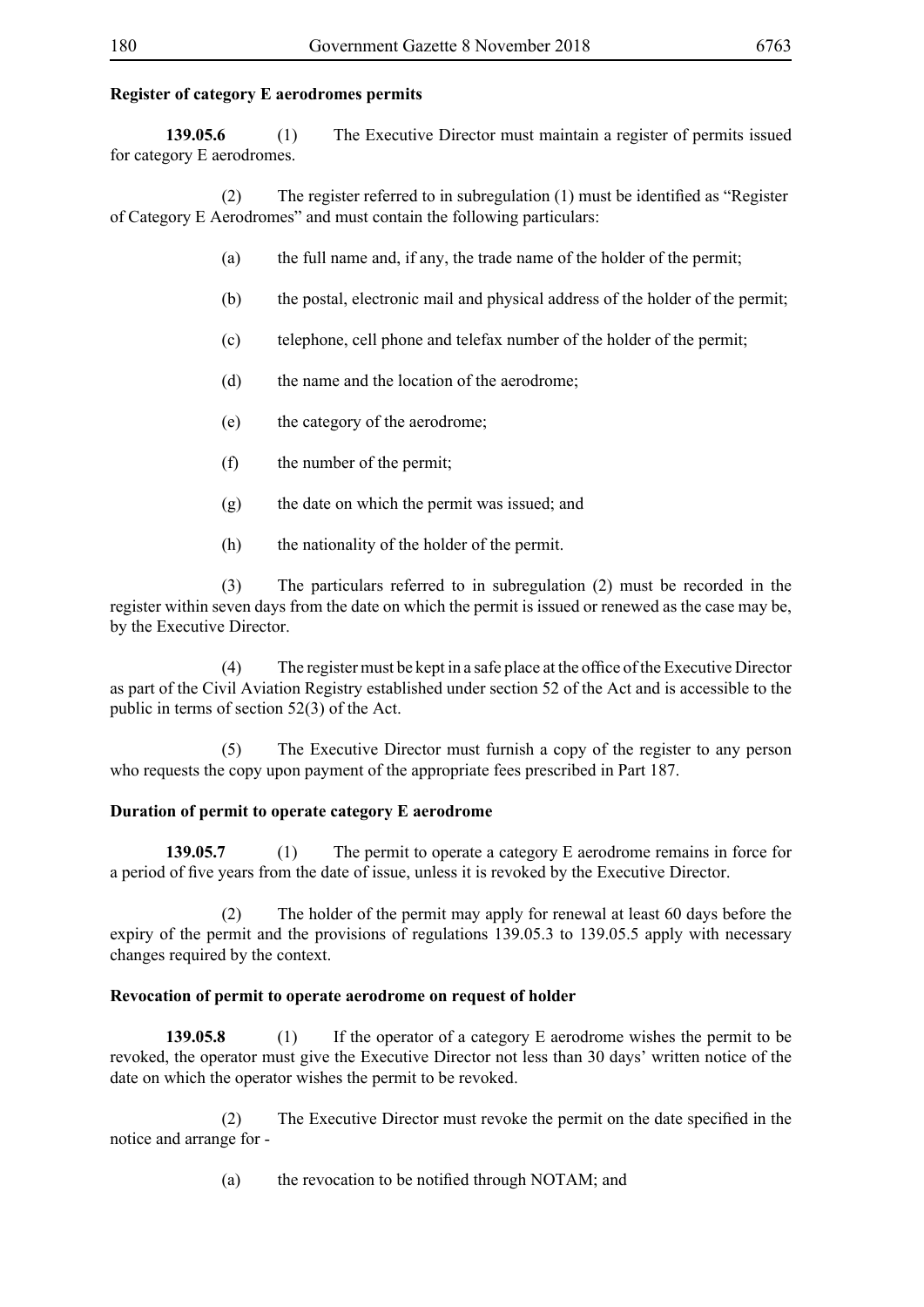# **Register of category E aerodromes permits**

**139.05.6** (1) The Executive Director must maintain a register of permits issued for category E aerodromes.

(2) The register referred to in subregulation (1) must be identified as "Register of Category E Aerodromes" and must contain the following particulars:

- (a) the full name and, if any, the trade name of the holder of the permit;
- (b) the postal, electronic mail and physical address of the holder of the permit;
- (c) telephone, cell phone and telefax number of the holder of the permit;
- (d) the name and the location of the aerodrome;
- (e) the category of the aerodrome;
- (f) the number of the permit;
- (g) the date on which the permit was issued; and
- (h) the nationality of the holder of the permit.

 (3) The particulars referred to in subregulation (2) must be recorded in the register within seven days from the date on which the permit is issued or renewed as the case may be, by the Executive Director.

(4) The register must be kept in a safe place at the office of the Executive Director as part of the Civil Aviation Registry established under section 52 of the Act and is accessible to the public in terms of section 52(3) of the Act.

 (5) The Executive Director must furnish a copy of the register to any person who requests the copy upon payment of the appropriate fees prescribed in Part 187.

## **Duration of permit to operate category E aerodrome**

139.05.7 (1) The permit to operate a category E aerodrome remains in force for a period of five years from the date of issue, unless it is revoked by the Executive Director.

 (2) The holder of the permit may apply for renewal at least 60 days before the expiry of the permit and the provisions of regulations 139.05.3 to 139.05.5 apply with necessary changes required by the context.

## **Revocation of permit to operate aerodrome on request of holder**

**139.05.8** (1) If the operator of a category E aerodrome wishes the permit to be revoked, the operator must give the Executive Director not less than 30 days' written notice of the date on which the operator wishes the permit to be revoked.

(2) The Executive Director must revoke the permit on the date specified in the notice and arrange for -

(a) the revocation to be notified through NOTAM; and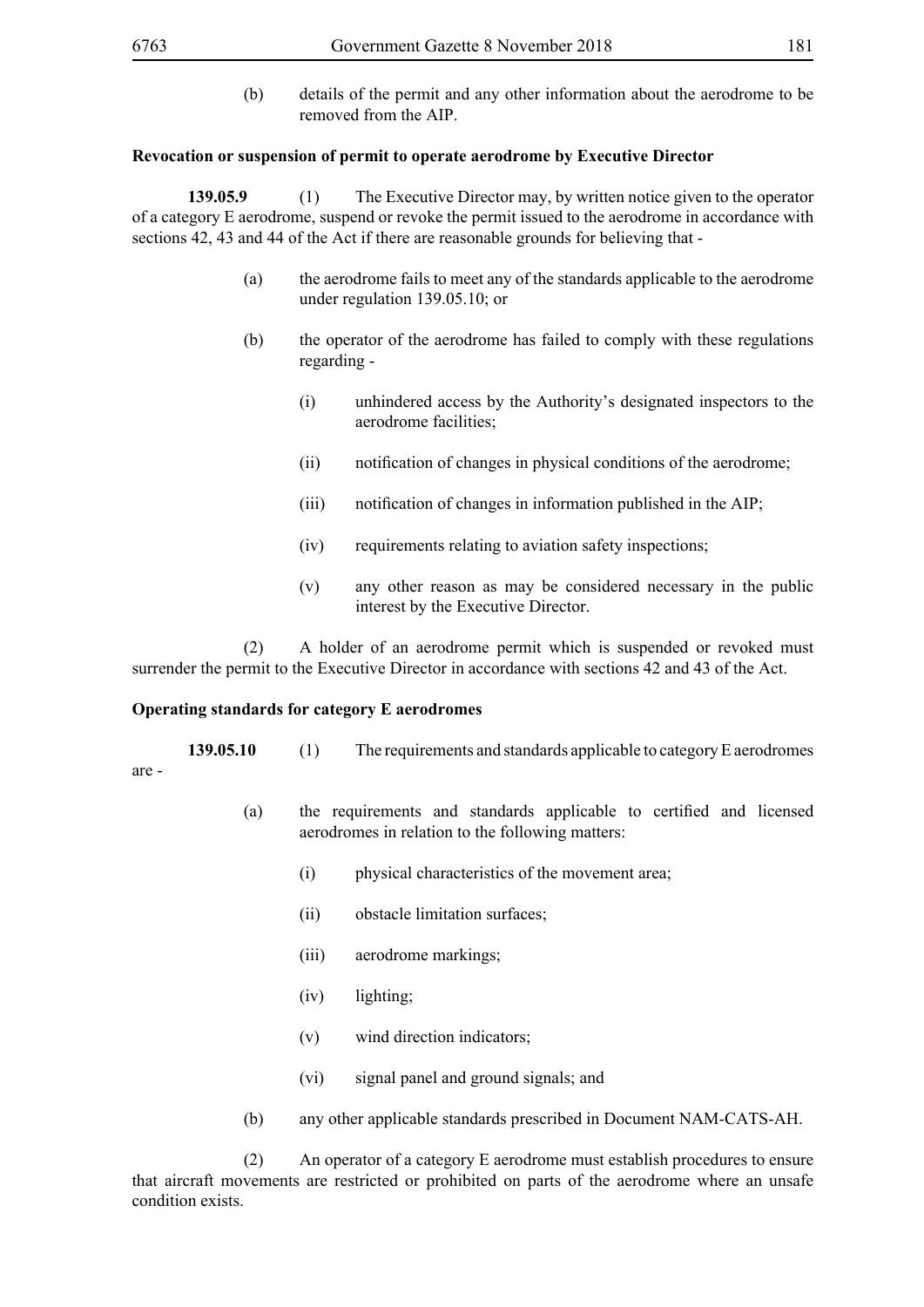are -

(b) details of the permit and any other information about the aerodrome to be removed from the AIP.

#### **Revocation or suspension of permit to operate aerodrome by Executive Director**

**139.05.9** (1) The Executive Director may, by written notice given to the operator of a category E aerodrome, suspend or revoke the permit issued to the aerodrome in accordance with sections 42, 43 and 44 of the Act if there are reasonable grounds for believing that -

- (a) the aerodrome fails to meet any of the standards applicable to the aerodrome under regulation 139.05.10; or
- (b) the operator of the aerodrome has failed to comply with these regulations regarding -
	- (i) unhindered access by the Authority's designated inspectors to the aerodrome facilities;
	- (ii) notification of changes in physical conditions of the aerodrome;
	- (iii) notification of changes in information published in the AIP;
	- (iv) requirements relating to aviation safety inspections;
	- (v) any other reason as may be considered necessary in the public interest by the Executive Director.

 (2) A holder of an aerodrome permit which is suspended or revoked must surrender the permit to the Executive Director in accordance with sections 42 and 43 of the Act.

#### **Operating standards for category E aerodromes**

- **139.05.10** (1) The requirements and standards applicable to category E aerodromes
	- (a) the requirements and standards applicable to certified and licensed aerodromes in relation to the following matters:
		- (i) physical characteristics of the movement area;
		- (ii) obstacle limitation surfaces;
		- (iii) aerodrome markings;
		- (iv) lighting;
		- (v) wind direction indicators;
		- (vi) signal panel and ground signals; and
	- (b) any other applicable standards prescribed in Document NAM-CATS-AH.

 (2) An operator of a category E aerodrome must establish procedures to ensure that aircraft movements are restricted or prohibited on parts of the aerodrome where an unsafe condition exists.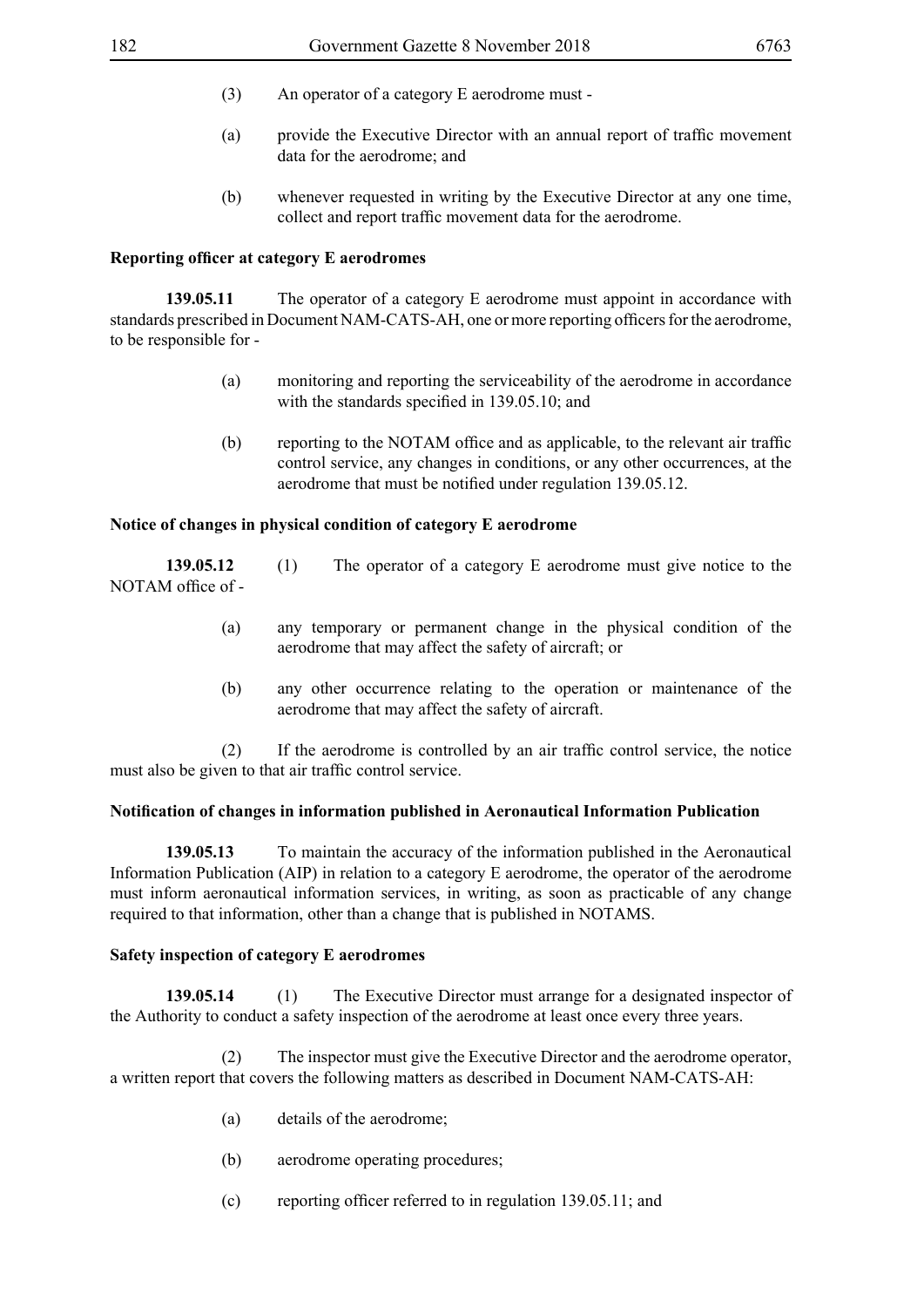- (3) An operator of a category E aerodrome must -
- (a) provide the Executive Director with an annual report of traffic movement data for the aerodrome; and
- (b) whenever requested in writing by the Executive Director at any one time, collect and report traffic movement data for the aerodrome.

## **Reporting officer at category E aerodromes**

**139.05.11** The operator of a category E aerodrome must appoint in accordance with standards prescribed in Document NAM-CATS-AH, one or more reporting officers for the aerodrome, to be responsible for -

- (a) monitoring and reporting the serviceability of the aerodrome in accordance with the standards specified in 139.05.10; and
- (b) reporting to the NOTAM office and as applicable, to the relevant air traffic control service, any changes in conditions, or any other occurrences, at the aerodrome that must be notified under regulation 139.05.12.

# **Notice of changes in physical condition of category E aerodrome**

**139.05.12** (1) The operator of a category E aerodrome must give notice to the NOTAM office of -

- (a) any temporary or permanent change in the physical condition of the aerodrome that may affect the safety of aircraft; or
- (b) any other occurrence relating to the operation or maintenance of the aerodrome that may affect the safety of aircraft.

(2) If the aerodrome is controlled by an air traffic control service, the notice must also be given to that air traffic control service.

### **Notification of changes in information published in Aeronautical Information Publication**

**139.05.13** To maintain the accuracy of the information published in the Aeronautical Information Publication (AIP) in relation to a category E aerodrome, the operator of the aerodrome must inform aeronautical information services, in writing, as soon as practicable of any change required to that information, other than a change that is published in NOTAMS.

### **Safety inspection of category E aerodromes**

**139.05.14** (1) The Executive Director must arrange for a designated inspector of the Authority to conduct a safety inspection of the aerodrome at least once every three years.

 (2) The inspector must give the Executive Director and the aerodrome operator, a written report that covers the following matters as described in Document NAM-CATS-AH:

- (a) details of the aerodrome;
- (b) aerodrome operating procedures;
- (c) reporting officer referred to in regulation 139.05.11; and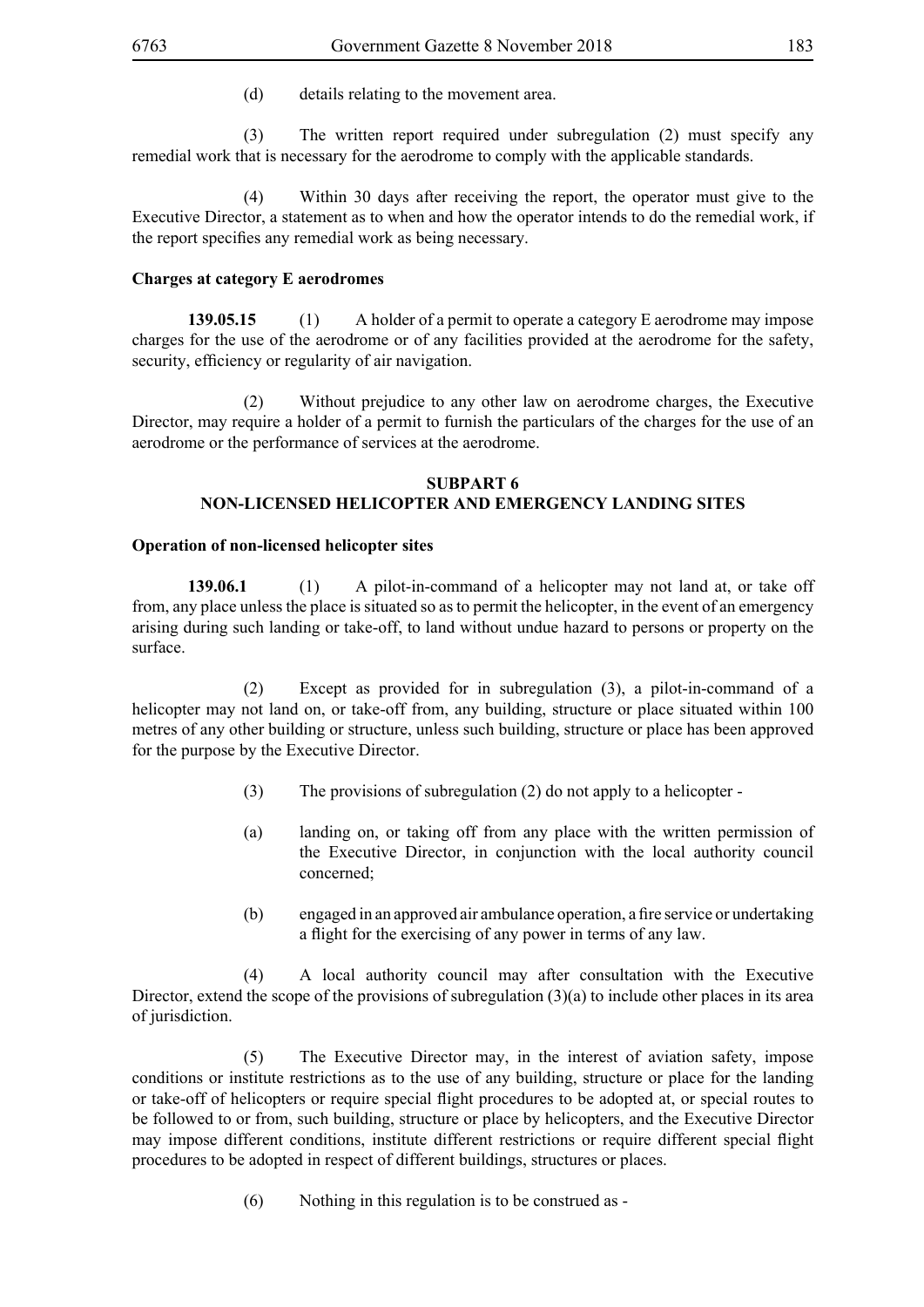(d) details relating to the movement area.

 (3) The written report required under subregulation (2) must specify any remedial work that is necessary for the aerodrome to comply with the applicable standards.

 (4) Within 30 days after receiving the report, the operator must give to the Executive Director, a statement as to when and how the operator intends to do the remedial work, if the report specifies any remedial work as being necessary.

# **Charges at category E aerodromes**

**139.05.15** (1) A holder of a permit to operate a category E aerodrome may impose charges for the use of the aerodrome or of any facilities provided at the aerodrome for the safety, security, efficiency or regularity of air navigation.

 (2) Without prejudice to any other law on aerodrome charges, the Executive Director, may require a holder of a permit to furnish the particulars of the charges for the use of an aerodrome or the performance of services at the aerodrome.

### **SUBPART 6**

# **NON-LICENSED HELICOPTER AND EMERGENCY LANDING SITES**

### **Operation of non-licensed helicopter sites**

**139.06.1** (1) A pilot-in-command of a helicopter may not land at, or take off from, any place unless the place is situated so as to permit the helicopter, in the event of an emergency arising during such landing or take-off, to land without undue hazard to persons or property on the surface.

 (2) Except as provided for in subregulation (3), a pilot-in-command of a helicopter may not land on, or take-off from, any building, structure or place situated within 100 metres of any other building or structure, unless such building, structure or place has been approved for the purpose by the Executive Director.

- (3) The provisions of subregulation (2) do not apply to a helicopter -
- (a) landing on, or taking off from any place with the written permission of the Executive Director, in conjunction with the local authority council concerned;
- (b) engaged in an approved air ambulance operation, a fire service or undertaking a flight for the exercising of any power in terms of any law.

 (4) A local authority council may after consultation with the Executive Director, extend the scope of the provisions of subregulation  $(3)(a)$  to include other places in its area of jurisdiction.

 (5) The Executive Director may, in the interest of aviation safety, impose conditions or institute restrictions as to the use of any building, structure or place for the landing or take-off of helicopters or require special flight procedures to be adopted at, or special routes to be followed to or from, such building, structure or place by helicopters, and the Executive Director may impose different conditions, institute different restrictions or require different special flight procedures to be adopted in respect of different buildings, structures or places.

(6) Nothing in this regulation is to be construed as -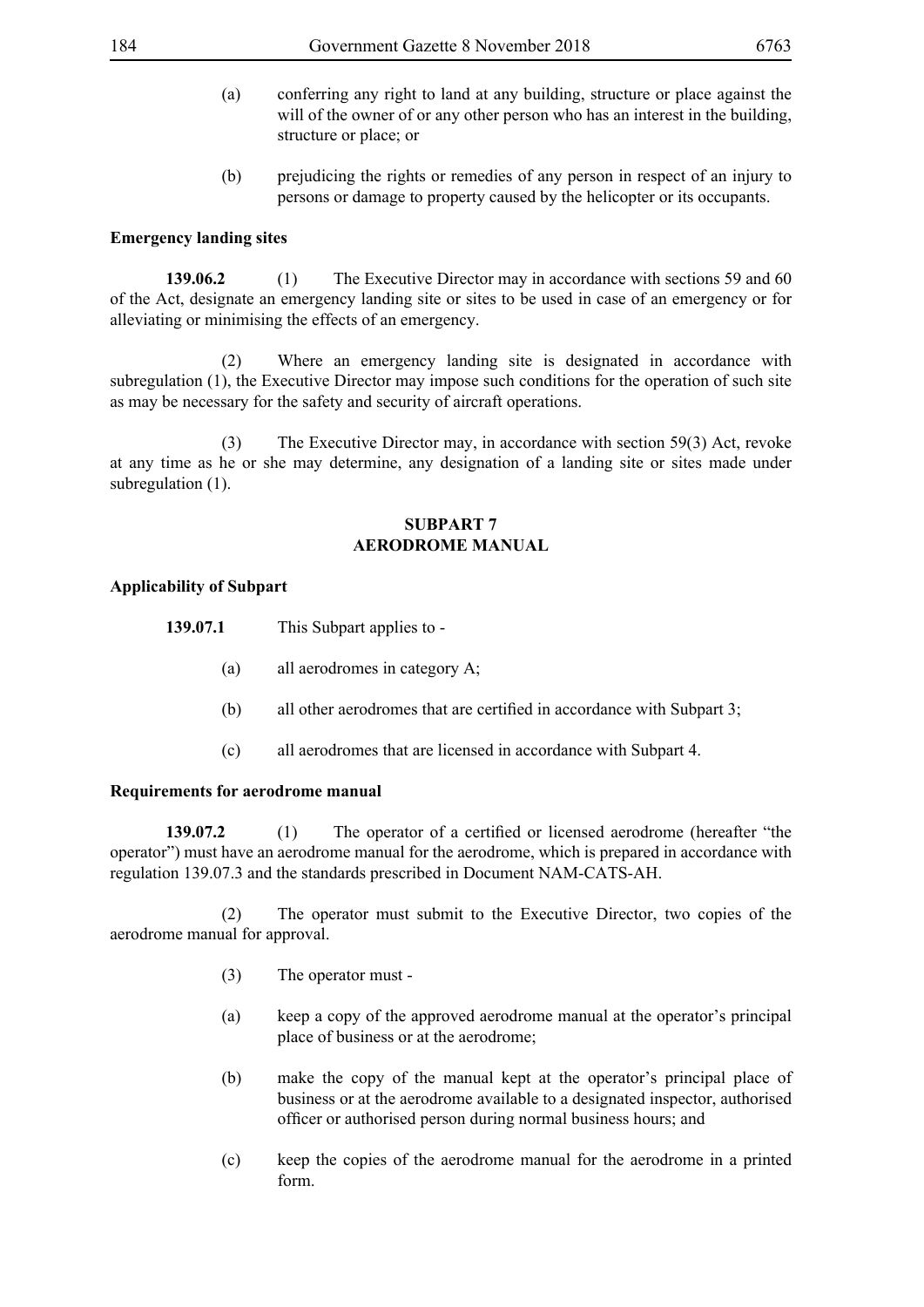- (a) conferring any right to land at any building, structure or place against the will of the owner of or any other person who has an interest in the building. structure or place; or
- (b) prejudicing the rights or remedies of any person in respect of an injury to persons or damage to property caused by the helicopter or its occupants.

# **Emergency landing sites**

**139.06.2** (1) The Executive Director may in accordance with sections 59 and 60 of the Act, designate an emergency landing site or sites to be used in case of an emergency or for alleviating or minimising the effects of an emergency.

 (2) Where an emergency landing site is designated in accordance with subregulation (1), the Executive Director may impose such conditions for the operation of such site as may be necessary for the safety and security of aircraft operations.

 (3) The Executive Director may, in accordance with section 59(3) Act, revoke at any time as he or she may determine, any designation of a landing site or sites made under subregulation (1).

### **SUBPART 7 AERODROME MANUAL**

# **Applicability of Subpart**

| 139.07.1 | This Subpart applies to - |
|----------|---------------------------|
|----------|---------------------------|

- (a) all aerodromes in category A;
- (b) all other aerodromes that are certified in accordance with Subpart 3;
- (c) all aerodromes that are licensed in accordance with Subpart 4.

## **Requirements for aerodrome manual**

**139.07.2** (1) The operator of a certified or licensed aerodrome (hereafter "the operator") must have an aerodrome manual for the aerodrome, which is prepared in accordance with regulation 139.07.3 and the standards prescribed in Document NAM-CATS-AH.

 (2) The operator must submit to the Executive Director, two copies of the aerodrome manual for approval.

- (3) The operator must -
- (a) keep a copy of the approved aerodrome manual at the operator's principal place of business or at the aerodrome;
- (b) make the copy of the manual kept at the operator's principal place of business or at the aerodrome available to a designated inspector, authorised officer or authorised person during normal business hours; and
- (c) keep the copies of the aerodrome manual for the aerodrome in a printed form.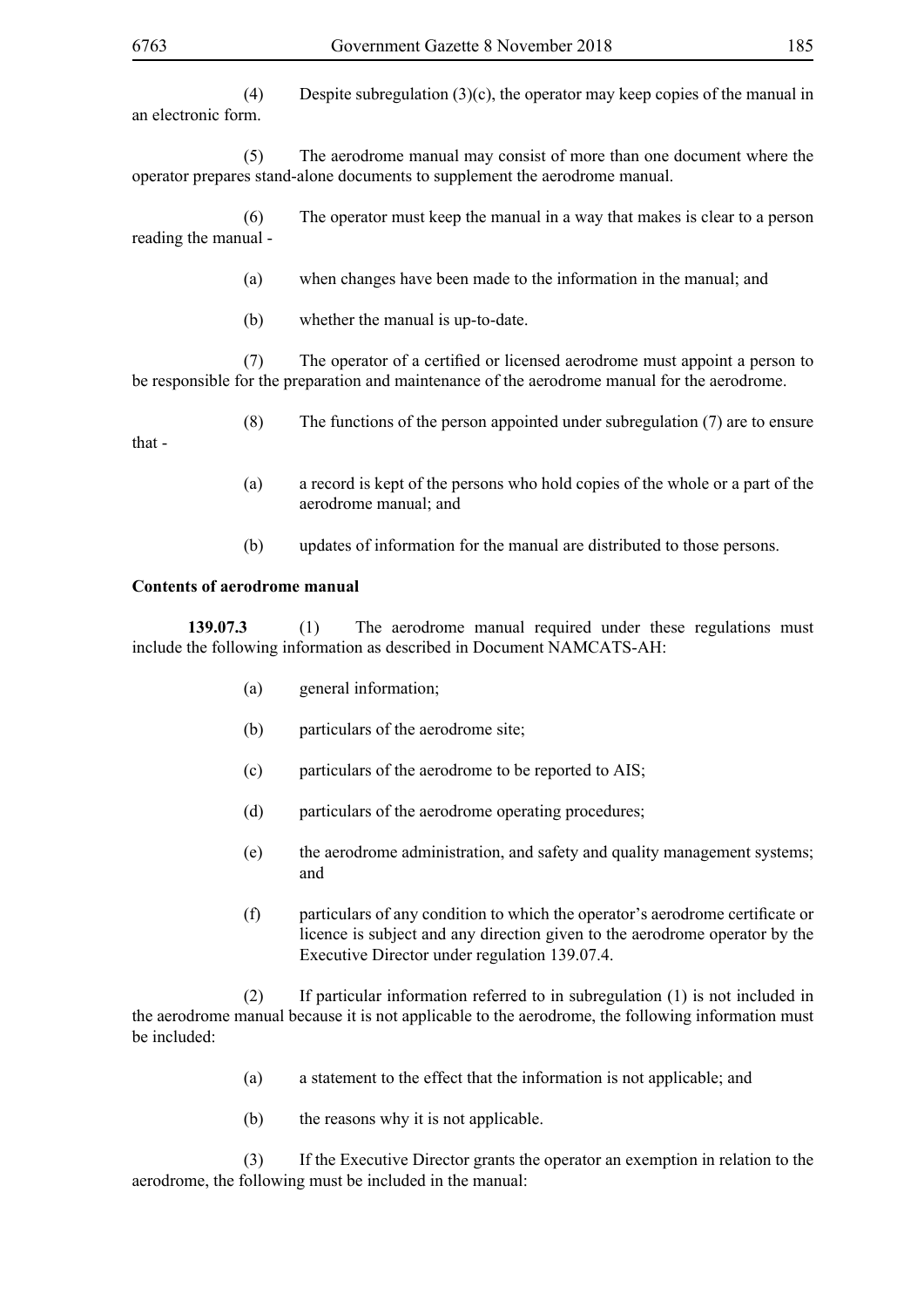(4) Despite subregulation (3)(c), the operator may keep copies of the manual in an electronic form.

 (5) The aerodrome manual may consist of more than one document where the operator prepares stand-alone documents to supplement the aerodrome manual.

 (6) The operator must keep the manual in a way that makes is clear to a person reading the manual -

- (a) when changes have been made to the information in the manual; and
- (b) whether the manual is up-to-date.

(7) The operator of a certified or licensed aerodrome must appoint a person to be responsible for the preparation and maintenance of the aerodrome manual for the aerodrome.

(8) The functions of the person appointed under subregulation (7) are to ensure

that -

- (a) a record is kept of the persons who hold copies of the whole or a part of the aerodrome manual; and
- (b) updates of information for the manual are distributed to those persons.

#### **Contents of aerodrome manual**

**139.07.3** (1) The aerodrome manual required under these regulations must include the following information as described in Document NAMCATS-AH:

- (a) general information;
- (b) particulars of the aerodrome site;
- (c) particulars of the aerodrome to be reported to AIS;
- (d) particulars of the aerodrome operating procedures;
- (e) the aerodrome administration, and safety and quality management systems; and
- (f) particulars of any condition to which the operator's aerodrome certificate or licence is subject and any direction given to the aerodrome operator by the Executive Director under regulation 139.07.4.

 (2) If particular information referred to in subregulation (1) is not included in the aerodrome manual because it is not applicable to the aerodrome, the following information must be included:

- (a) a statement to the effect that the information is not applicable; and
- (b) the reasons why it is not applicable.

 (3) If the Executive Director grants the operator an exemption in relation to the aerodrome, the following must be included in the manual: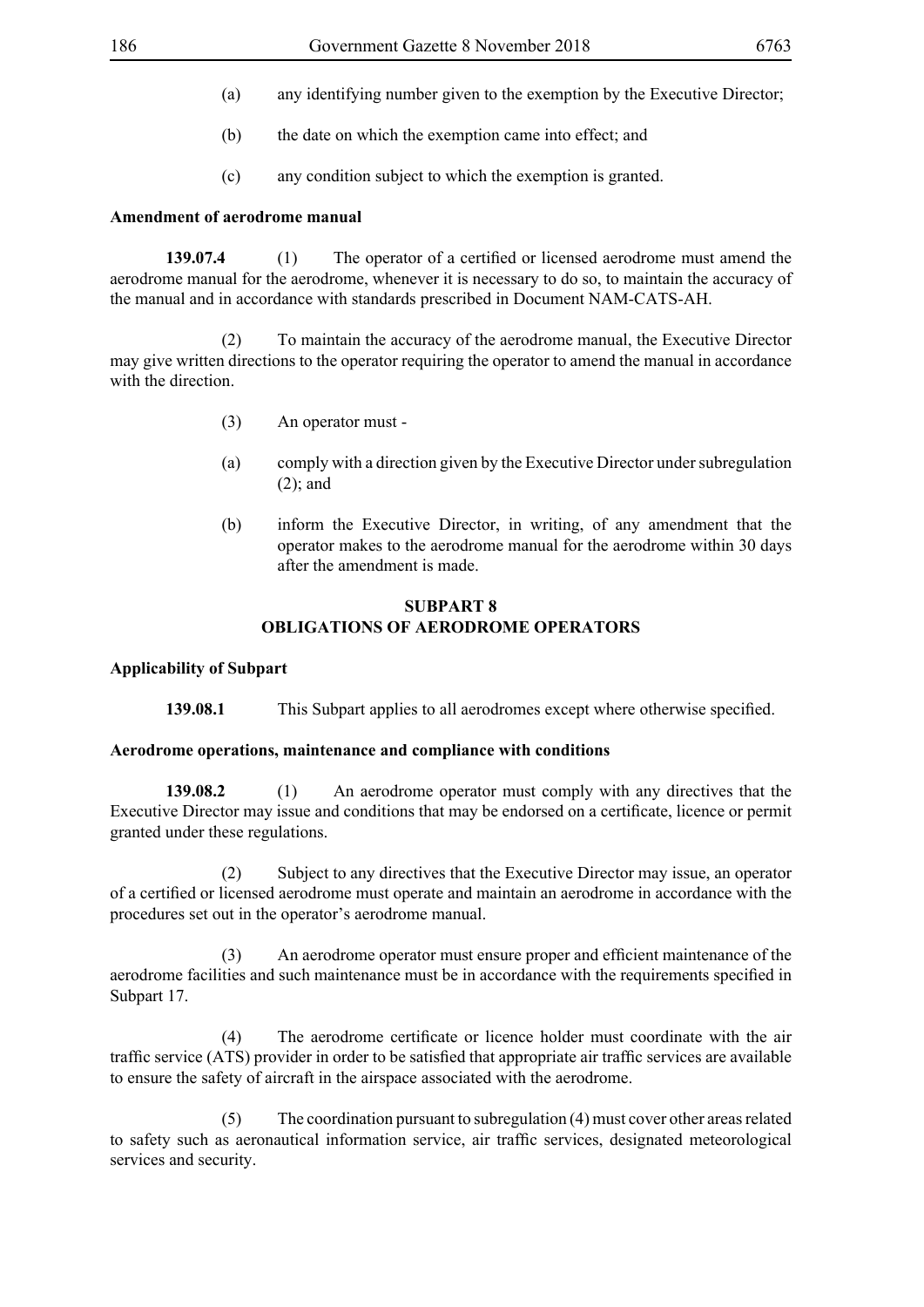- (a) any identifying number given to the exemption by the Executive Director;
- (b) the date on which the exemption came into effect; and
- (c) any condition subject to which the exemption is granted.

#### **Amendment of aerodrome manual**

**139.07.4** (1) The operator of a certified or licensed aerodrome must amend the aerodrome manual for the aerodrome, whenever it is necessary to do so, to maintain the accuracy of the manual and in accordance with standards prescribed in Document NAM-CATS-AH.

 (2) To maintain the accuracy of the aerodrome manual, the Executive Director may give written directions to the operator requiring the operator to amend the manual in accordance with the direction

- (3) An operator must -
- (a) comply with a direction given by the Executive Director under subregulation (2); and
- (b) inform the Executive Director, in writing, of any amendment that the operator makes to the aerodrome manual for the aerodrome within 30 days after the amendment is made.

# **SUBPART 8 OBLIGATIONS OF AERODROME OPERATORS**

#### **Applicability of Subpart**

**139.08.1** This Subpart applies to all aerodromes except where otherwise specified.

#### **Aerodrome operations, maintenance and compliance with conditions**

**139.08.2** (1) An aerodrome operator must comply with any directives that the Executive Director may issue and conditions that may be endorsed on a certificate, licence or permit granted under these regulations.

 (2) Subject to any directives that the Executive Director may issue, an operator of a certified or licensed aerodrome must operate and maintain an aerodrome in accordance with the procedures set out in the operator's aerodrome manual.

(3) An aerodrome operator must ensure proper and efficient maintenance of the aerodrome facilities and such maintenance must be in accordance with the requirements specified in Subpart 17.

(4) The aerodrome certificate or licence holder must coordinate with the air traffic service (ATS) provider in order to be satisfied that appropriate air traffic services are available to ensure the safety of aircraft in the airspace associated with the aerodrome.

 (5) The coordination pursuant to subregulation (4) must cover other areas related to safety such as aeronautical information service, air traffic services, designated meteorological services and security.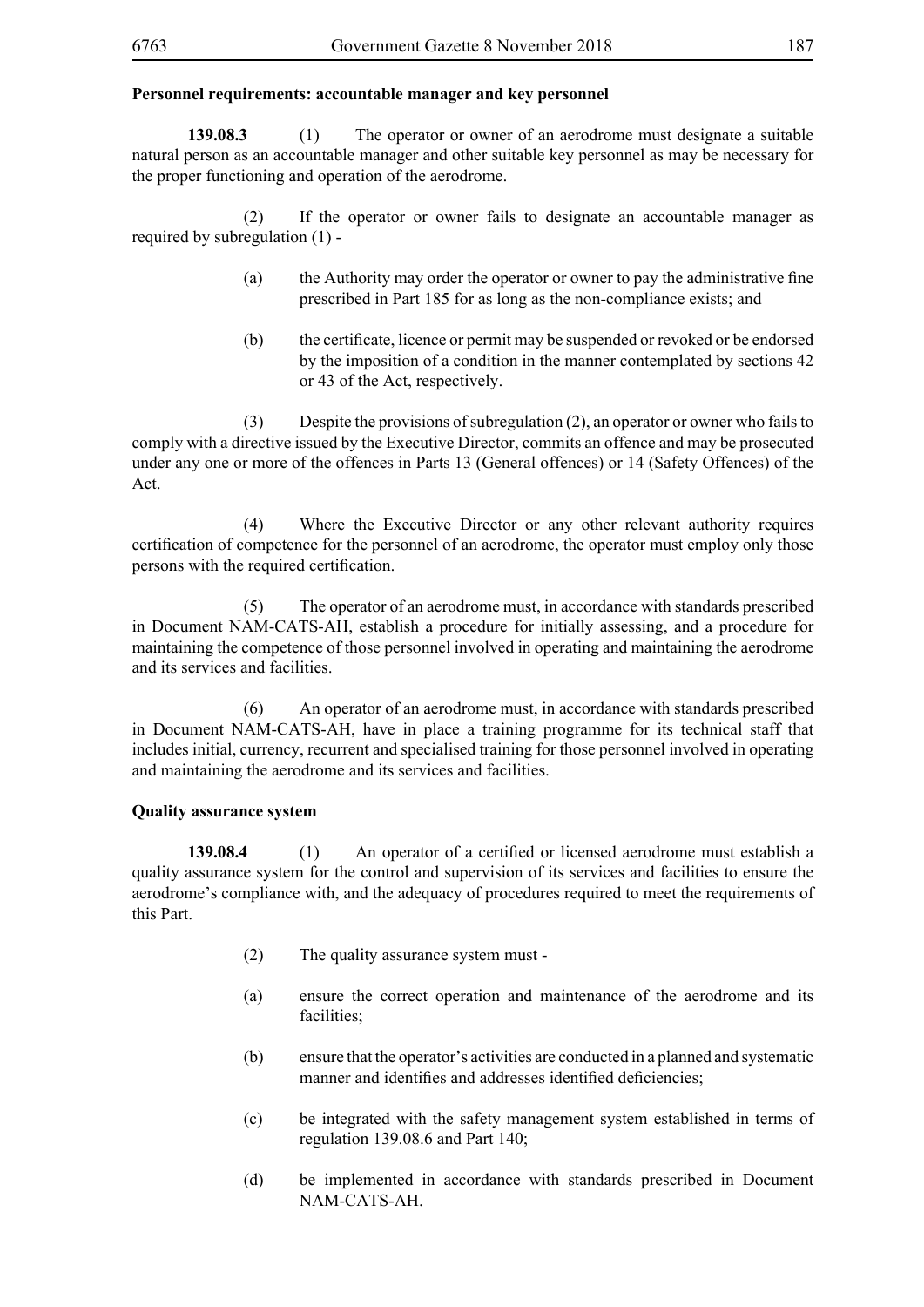# **Personnel requirements: accountable manager and key personnel**

**139.08.3** (1) The operator or owner of an aerodrome must designate a suitable natural person as an accountable manager and other suitable key personnel as may be necessary for the proper functioning and operation of the aerodrome.

 (2) If the operator or owner fails to designate an accountable manager as required by subregulation (1) -

- (a) the Authority may order the operator or owner to pay the administrative fine prescribed in Part 185 for as long as the non-compliance exists; and
- (b) the certificate, licence or permit may be suspended or revoked or be endorsed by the imposition of a condition in the manner contemplated by sections 42 or 43 of the Act, respectively.

 (3) Despite the provisions of subregulation (2), an operator or owner who fails to comply with a directive issued by the Executive Director, commits an offence and may be prosecuted under any one or more of the offences in Parts 13 (General offences) or 14 (Safety Offences) of the Act.

 (4) Where the Executive Director or any other relevant authority requires certification of competence for the personnel of an aerodrome, the operator must employ only those persons with the required certification.

 (5) The operator of an aerodrome must, in accordance with standards prescribed in Document NAM-CATS-AH, establish a procedure for initially assessing, and a procedure for maintaining the competence of those personnel involved in operating and maintaining the aerodrome and its services and facilities.

 (6) An operator of an aerodrome must, in accordance with standards prescribed in Document NAM-CATS-AH, have in place a training programme for its technical staff that includes initial, currency, recurrent and specialised training for those personnel involved in operating and maintaining the aerodrome and its services and facilities.

### **Quality assurance system**

**139.08.4** (1) An operator of a certified or licensed aerodrome must establish a quality assurance system for the control and supervision of its services and facilities to ensure the aerodrome's compliance with, and the adequacy of procedures required to meet the requirements of this Part.

- (2) The quality assurance system must -
- (a) ensure the correct operation and maintenance of the aerodrome and its facilities:
- (b) ensure that the operator's activities are conducted in a planned and systematic manner and identifies and addresses identified deficiencies;
- (c) be integrated with the safety management system established in terms of regulation 139.08.6 and Part 140;
- (d) be implemented in accordance with standards prescribed in Document NAM-CATS-AH.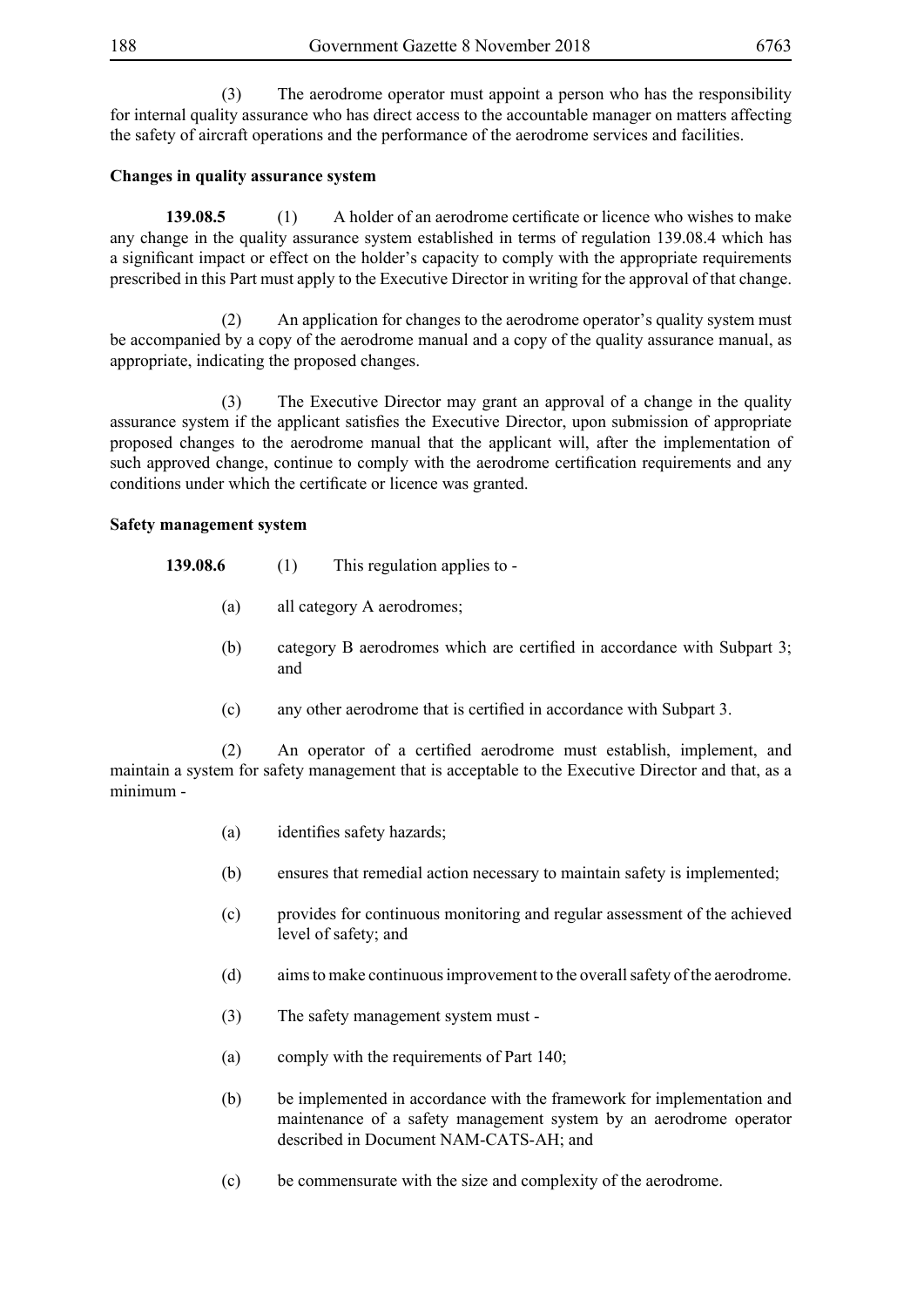(3) The aerodrome operator must appoint a person who has the responsibility for internal quality assurance who has direct access to the accountable manager on matters affecting the safety of aircraft operations and the performance of the aerodrome services and facilities.

# **Changes in quality assurance system**

**139.08.5** (1) A holder of an aerodrome certificate or licence who wishes to make any change in the quality assurance system established in terms of regulation 139.08.4 which has a significant impact or effect on the holder's capacity to comply with the appropriate requirements prescribed in this Part must apply to the Executive Director in writing for the approval of that change.

 (2) An application for changes to the aerodrome operator's quality system must be accompanied by a copy of the aerodrome manual and a copy of the quality assurance manual, as appropriate, indicating the proposed changes.

 (3) The Executive Director may grant an approval of a change in the quality assurance system if the applicant satisfies the Executive Director, upon submission of appropriate proposed changes to the aerodrome manual that the applicant will, after the implementation of such approved change, continue to comply with the aerodrome certification requirements and any conditions under which the certificate or licence was granted.

### **Safety management system**

- **139.08.6** (1) This regulation applies to -
	- (a) all category A aerodromes;
	- (b) category B aerodromes which are certified in accordance with Subpart 3; and
	- (c) any other aerodrome that is certified in accordance with Subpart 3.

(2) An operator of a certified aerodrome must establish, implement, and maintain a system for safety management that is acceptable to the Executive Director and that, as a minimum -

- (a) identifies safety hazards;
- (b) ensures that remedial action necessary to maintain safety is implemented;
- (c) provides for continuous monitoring and regular assessment of the achieved level of safety; and
- (d) aims to make continuous improvement to the overall safety of the aerodrome.
- (3) The safety management system must -
- (a) comply with the requirements of Part 140;
- (b) be implemented in accordance with the framework for implementation and maintenance of a safety management system by an aerodrome operator described in Document NAM-CATS-AH; and
- (c) be commensurate with the size and complexity of the aerodrome.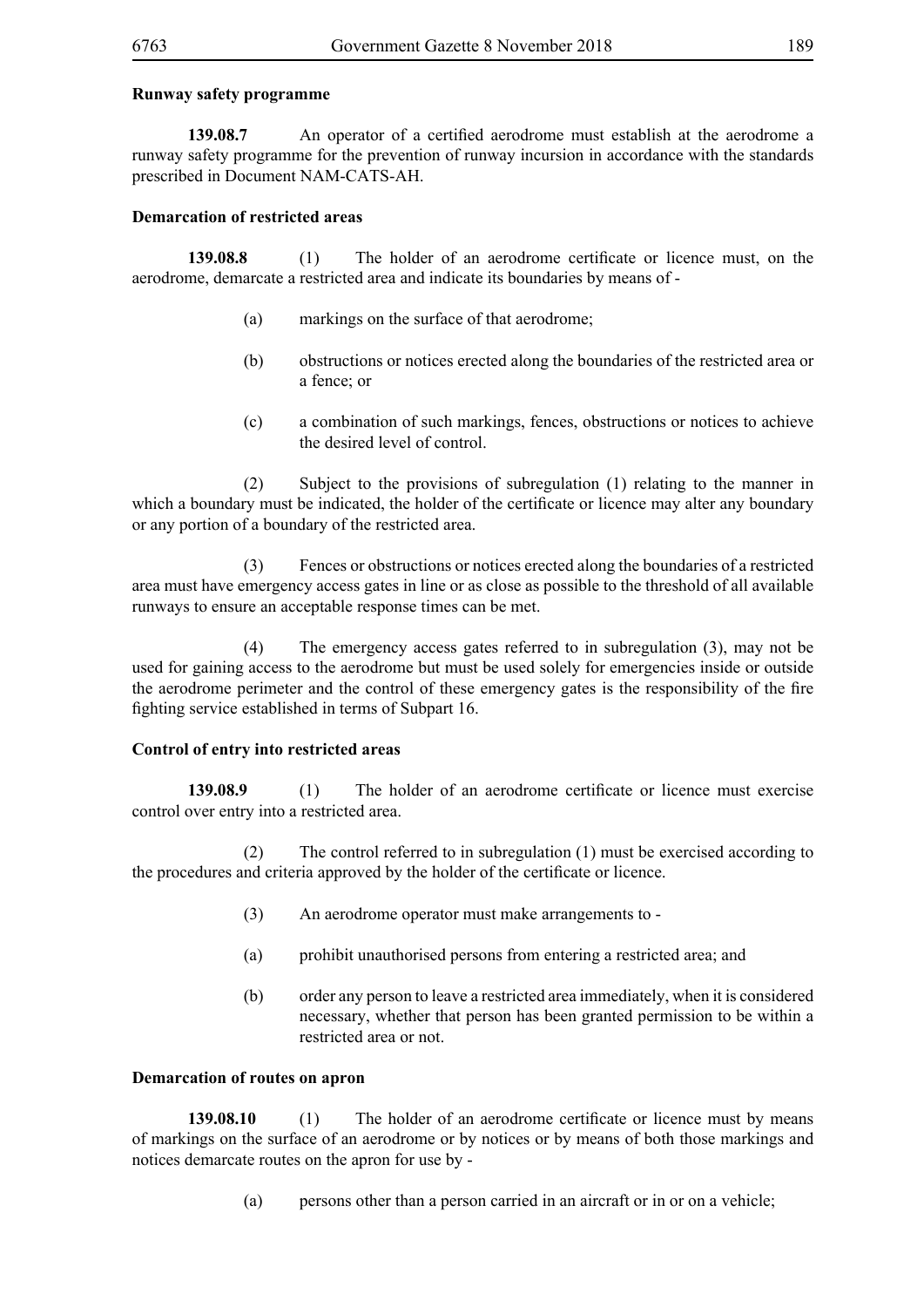## **Runway safety programme**

**139.08.7** An operator of a certified aerodrome must establish at the aerodrome a runway safety programme for the prevention of runway incursion in accordance with the standards prescribed in Document NAM-CATS-AH.

# **Demarcation of restricted areas**

**139.08.8** (1) The holder of an aerodrome certificate or licence must, on the aerodrome, demarcate a restricted area and indicate its boundaries by means of -

- (a) markings on the surface of that aerodrome;
- (b) obstructions or notices erected along the boundaries of the restricted area or a fence; or
- (c) a combination of such markings, fences, obstructions or notices to achieve the desired level of control.

 (2) Subject to the provisions of subregulation (1) relating to the manner in which a boundary must be indicated, the holder of the certificate or licence may alter any boundary or any portion of a boundary of the restricted area.

 (3) Fences or obstructions or notices erected along the boundaries of a restricted area must have emergency access gates in line or as close as possible to the threshold of all available runways to ensure an acceptable response times can be met.

 (4) The emergency access gates referred to in subregulation (3), may not be used for gaining access to the aerodrome but must be used solely for emergencies inside or outside the aerodrome perimeter and the control of these emergency gates is the responsibility of the fire fighting service established in terms of Subpart 16.

# **Control of entry into restricted areas**

**139.08.9** (1) The holder of an aerodrome certificate or licence must exercise control over entry into a restricted area.

 (2) The control referred to in subregulation (1) must be exercised according to the procedures and criteria approved by the holder of the certificate or licence.

- (3) An aerodrome operator must make arrangements to -
- (a) prohibit unauthorised persons from entering a restricted area; and
- (b) order any person to leave a restricted area immediately, when it is considered necessary, whether that person has been granted permission to be within a restricted area or not.

### **Demarcation of routes on apron**

**139.08.10** (1) The holder of an aerodrome certificate or licence must by means of markings on the surface of an aerodrome or by notices or by means of both those markings and notices demarcate routes on the apron for use by -

(a) persons other than a person carried in an aircraft or in or on a vehicle;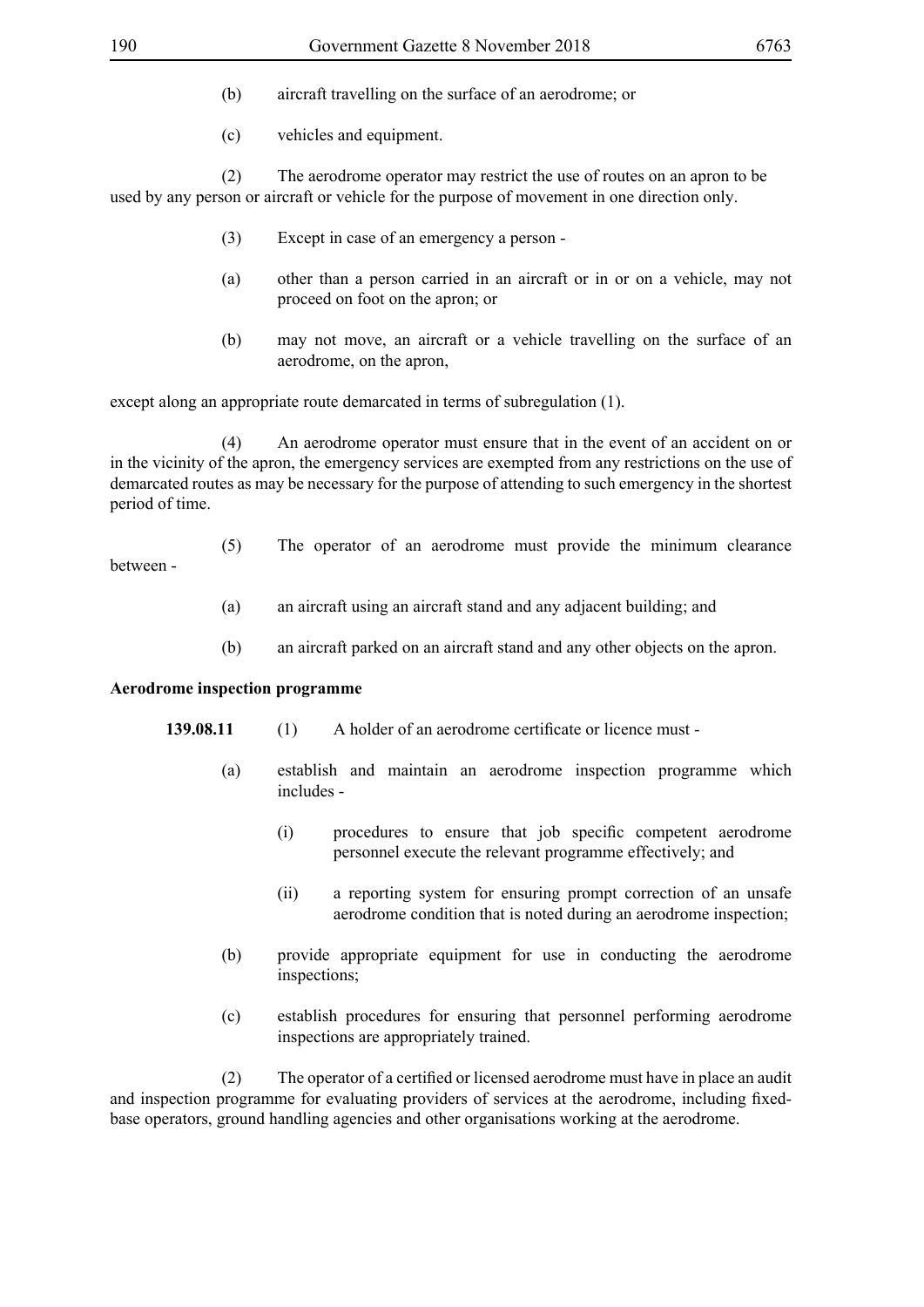- (b) aircraft travelling on the surface of an aerodrome; or
- (c) vehicles and equipment.

 (2) The aerodrome operator may restrict the use of routes on an apron to be used by any person or aircraft or vehicle for the purpose of movement in one direction only.

- (3) Except in case of an emergency a person -
- (a) other than a person carried in an aircraft or in or on a vehicle, may not proceed on foot on the apron; or
- (b) may not move, an aircraft or a vehicle travelling on the surface of an aerodrome, on the apron,

except along an appropriate route demarcated in terms of subregulation (1).

 (4) An aerodrome operator must ensure that in the event of an accident on or in the vicinity of the apron, the emergency services are exempted from any restrictions on the use of demarcated routes as may be necessary for the purpose of attending to such emergency in the shortest period of time.

- (5) The operator of an aerodrome must provide the minimum clearance between -
	- (a) an aircraft using an aircraft stand and any adjacent building; and
	- (b) an aircraft parked on an aircraft stand and any other objects on the apron.

### **Aerodrome inspection programme**

- **139.08.11** (1) A holder of an aerodrome certificate or licence must -
	- (a) establish and maintain an aerodrome inspection programme which includes -
		- (i) procedures to ensure that job specific competent aerodrome personnel execute the relevant programme effectively; and
		- (ii) a reporting system for ensuring prompt correction of an unsafe aerodrome condition that is noted during an aerodrome inspection;
	- (b) provide appropriate equipment for use in conducting the aerodrome inspections;
	- (c) establish procedures for ensuring that personnel performing aerodrome inspections are appropriately trained.

(2) The operator of a certified or licensed aerodrome must have in place an audit and inspection programme for evaluating providers of services at the aerodrome, including fixedbase operators, ground handling agencies and other organisations working at the aerodrome.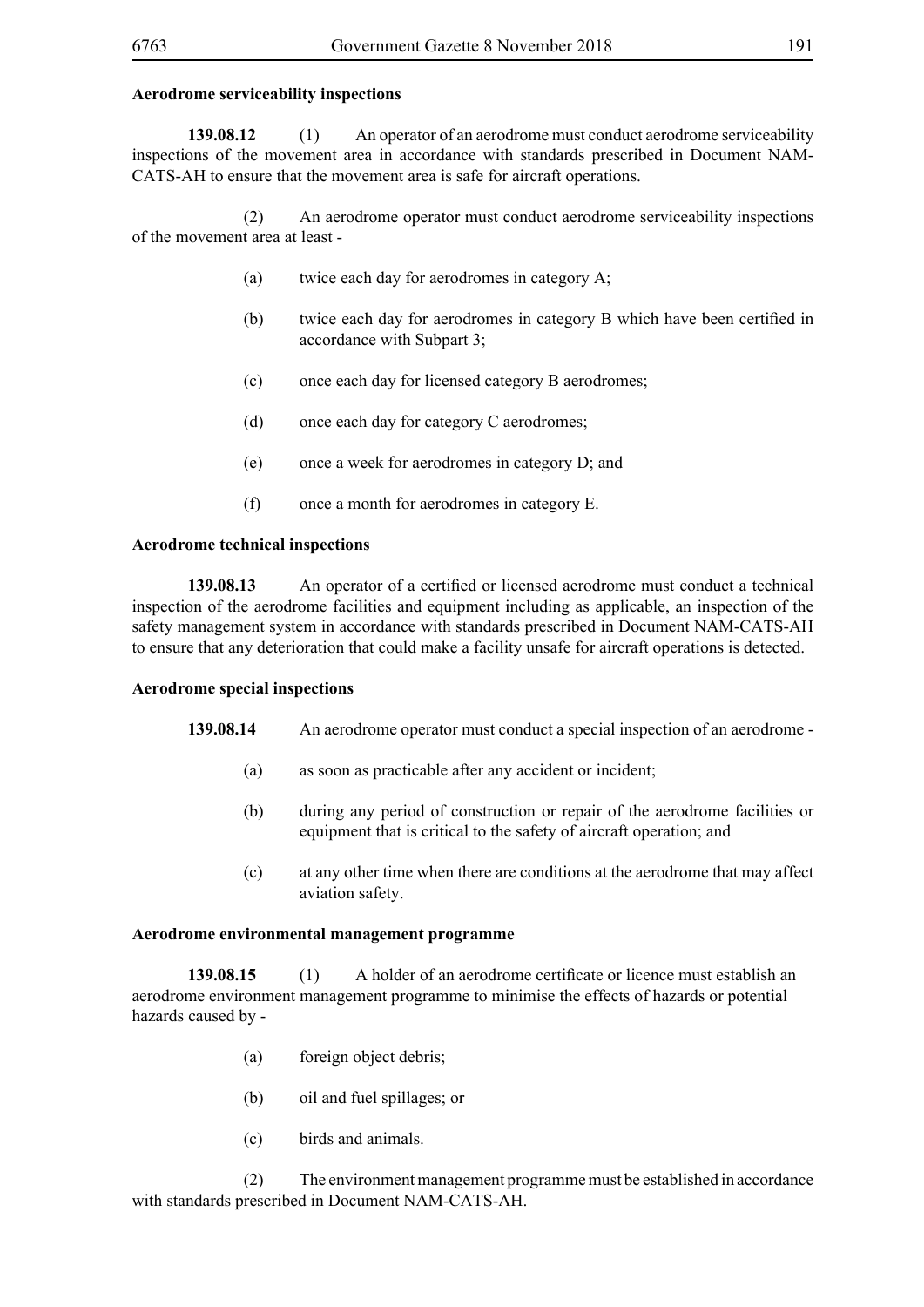#### **Aerodrome serviceability inspections**

**139.08.12** (1) An operator of an aerodrome must conduct aerodrome serviceability inspections of the movement area in accordance with standards prescribed in Document NAM-CATS-AH to ensure that the movement area is safe for aircraft operations.

 (2) An aerodrome operator must conduct aerodrome serviceability inspections of the movement area at least -

- (a) twice each day for aerodromes in category A;
- (b) twice each day for aerodromes in category B which have been certified in accordance with Subpart 3;
- (c) once each day for licensed category B aerodromes;
- (d) once each day for category C aerodromes;
- (e) once a week for aerodromes in category D; and
- (f) once a month for aerodromes in category E.

#### **Aerodrome technical inspections**

**139.08.13** An operator of a certified or licensed aerodrome must conduct a technical inspection of the aerodrome facilities and equipment including as applicable, an inspection of the safety management system in accordance with standards prescribed in Document NAM-CATS-AH to ensure that any deterioration that could make a facility unsafe for aircraft operations is detected.

#### **Aerodrome special inspections**

- **139.08.14** An aerodrome operator must conduct a special inspection of an aerodrome
	- (a) as soon as practicable after any accident or incident;
	- (b) during any period of construction or repair of the aerodrome facilities or equipment that is critical to the safety of aircraft operation; and
	- (c) at any other time when there are conditions at the aerodrome that may affect aviation safety.

#### **Aerodrome environmental management programme**

**139.08.15** (1) A holder of an aerodrome certificate or licence must establish an aerodrome environment management programme to minimise the effects of hazards or potential hazards caused by -

- (a) foreign object debris;
- (b) oil and fuel spillages; or
- (c) birds and animals.

 (2) The environment management programme must be established in accordance with standards prescribed in Document NAM-CATS-AH.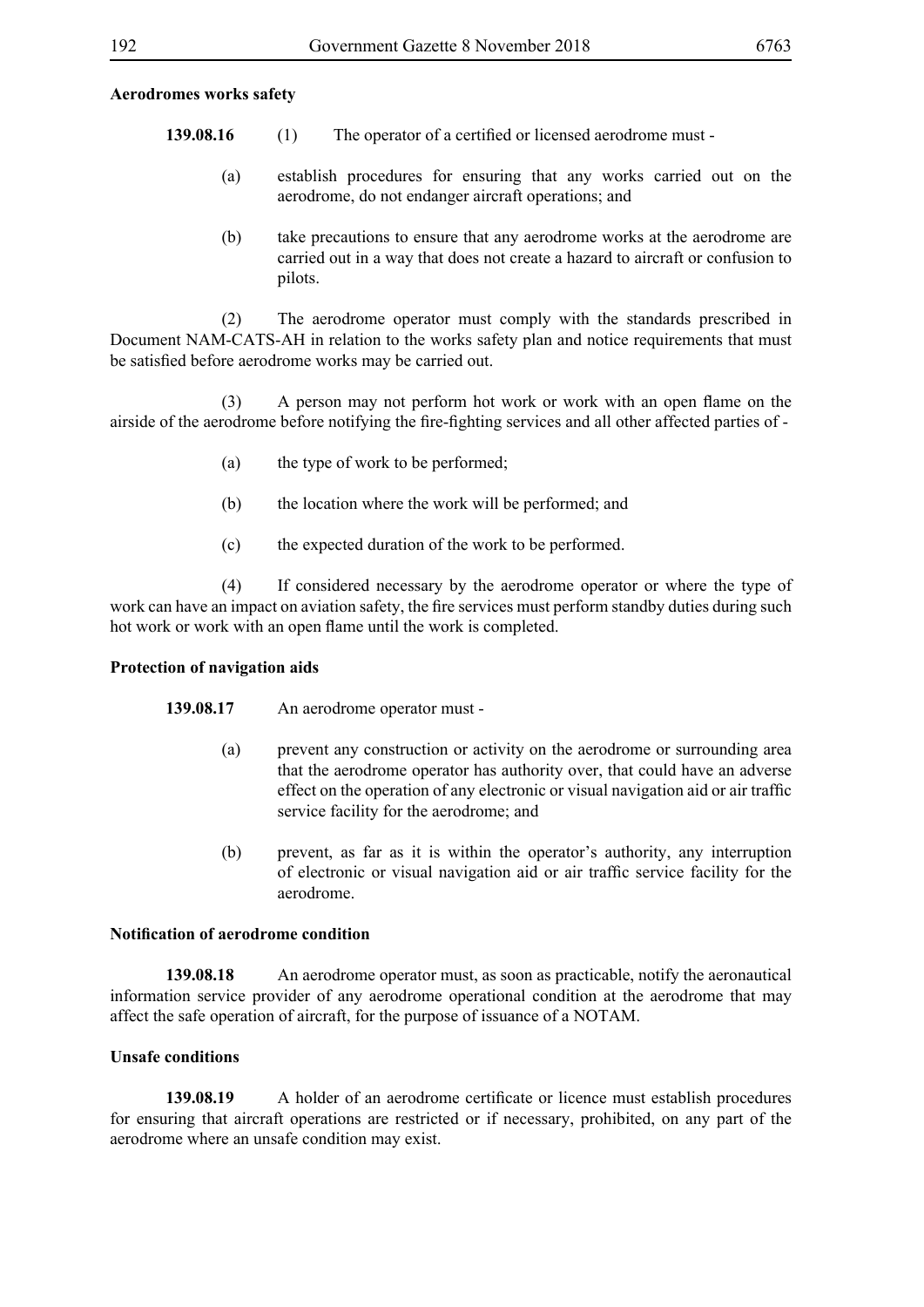### **Aerodromes works safety**

- **139.08.16** (1) The operator of a certified or licensed aerodrome must -
	- (a) establish procedures for ensuring that any works carried out on the aerodrome, do not endanger aircraft operations; and
	- (b) take precautions to ensure that any aerodrome works at the aerodrome are carried out in a way that does not create a hazard to aircraft or confusion to pilots.

 (2) The aerodrome operator must comply with the standards prescribed in Document NAM-CATS-AH in relation to the works safety plan and notice requirements that must be satisfied before aerodrome works may be carried out.

(3) A person may not perform hot work or work with an open flame on the airside of the aerodrome before notifying the fire-fighting services and all other affected parties of -

- (a) the type of work to be performed;
- (b) the location where the work will be performed; and
- (c) the expected duration of the work to be performed.

 (4) If considered necessary by the aerodrome operator or where the type of work can have an impact on aviation safety, the fire services must perform standby duties during such hot work or work with an open flame until the work is completed.

### **Protection of navigation aids**

#### **139.08.17** An aerodrome operator must -

- (a) prevent any construction or activity on the aerodrome or surrounding area that the aerodrome operator has authority over, that could have an adverse effect on the operation of any electronic or visual navigation aid or air traffic service facility for the aerodrome; and
- (b) prevent, as far as it is within the operator's authority, any interruption of electronic or visual navigation aid or air traffic service facility for the aerodrome.

#### **Notification of aerodrome condition**

**139.08.18** An aerodrome operator must, as soon as practicable, notify the aeronautical information service provider of any aerodrome operational condition at the aerodrome that may affect the safe operation of aircraft, for the purpose of issuance of a NOTAM.

### **Unsafe conditions**

**139.08.19** A holder of an aerodrome certificate or licence must establish procedures for ensuring that aircraft operations are restricted or if necessary, prohibited, on any part of the aerodrome where an unsafe condition may exist.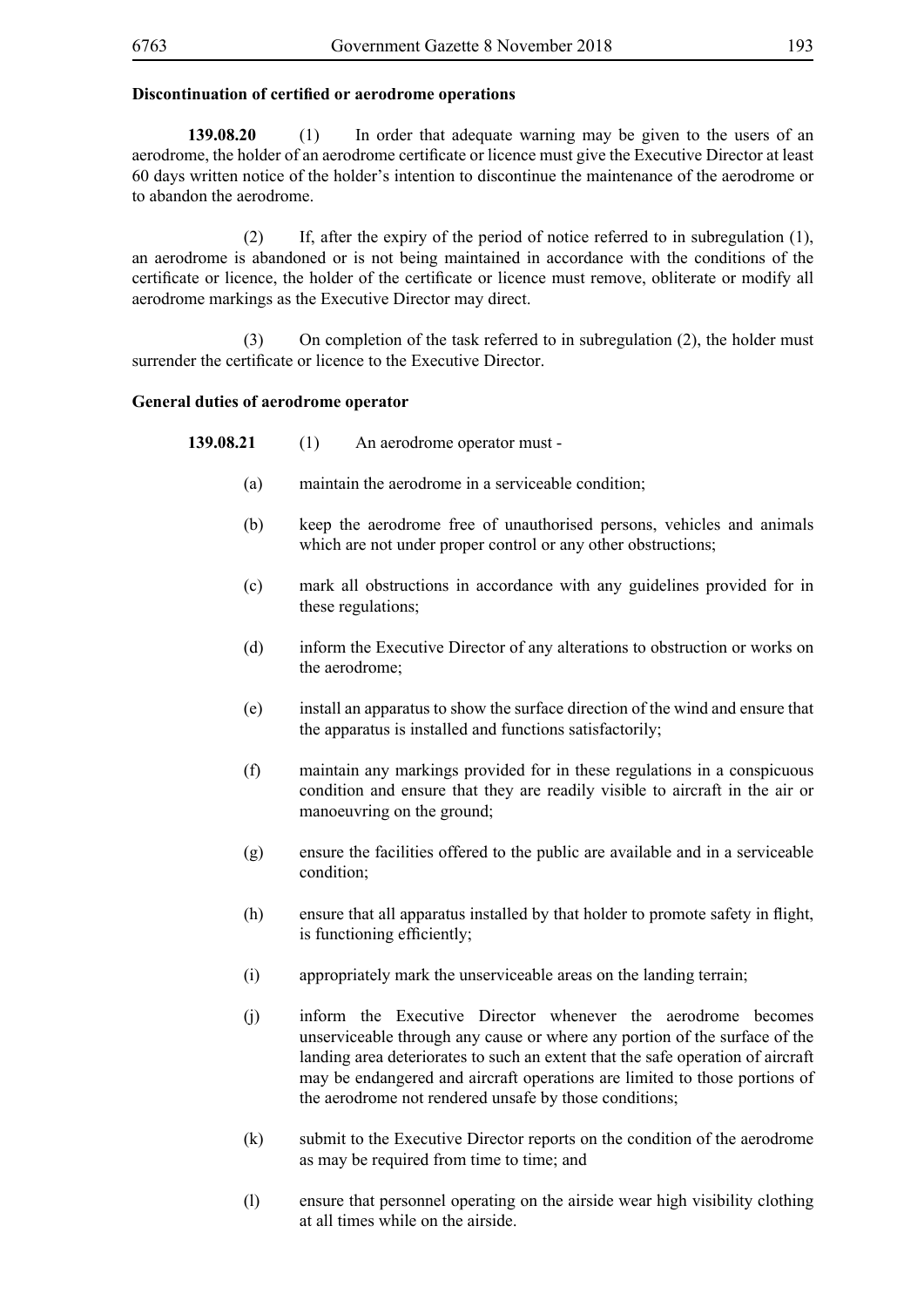# **Discontinuation of certified or aerodrome operations**

**139.08.20** (1) In order that adequate warning may be given to the users of an aerodrome, the holder of an aerodrome certificate or licence must give the Executive Director at least 60 days written notice of the holder's intention to discontinue the maintenance of the aerodrome or to abandon the aerodrome.

 (2) If, after the expiry of the period of notice referred to in subregulation (1), an aerodrome is abandoned or is not being maintained in accordance with the conditions of the certificate or licence, the holder of the certificate or licence must remove, obliterate or modify all aerodrome markings as the Executive Director may direct.

 (3) On completion of the task referred to in subregulation (2), the holder must surrender the certificate or licence to the Executive Director.

### **General duties of aerodrome operator**

**139.08.21** (1) An aerodrome operator must -

- (a) maintain the aerodrome in a serviceable condition;
- (b) keep the aerodrome free of unauthorised persons, vehicles and animals which are not under proper control or any other obstructions;
- (c) mark all obstructions in accordance with any guidelines provided for in these regulations;
- (d) inform the Executive Director of any alterations to obstruction or works on the aerodrome;
- (e) install an apparatus to show the surface direction of the wind and ensure that the apparatus is installed and functions satisfactorily;
- (f) maintain any markings provided for in these regulations in a conspicuous condition and ensure that they are readily visible to aircraft in the air or manoeuvring on the ground;
- (g) ensure the facilities offered to the public are available and in a serviceable condition;
- (h) ensure that all apparatus installed by that holder to promote safety in flight, is functioning efficiently;
- (i) appropriately mark the unserviceable areas on the landing terrain;
- (j) inform the Executive Director whenever the aerodrome becomes unserviceable through any cause or where any portion of the surface of the landing area deteriorates to such an extent that the safe operation of aircraft may be endangered and aircraft operations are limited to those portions of the aerodrome not rendered unsafe by those conditions;
- (k) submit to the Executive Director reports on the condition of the aerodrome as may be required from time to time; and
- (l) ensure that personnel operating on the airside wear high visibility clothing at all times while on the airside.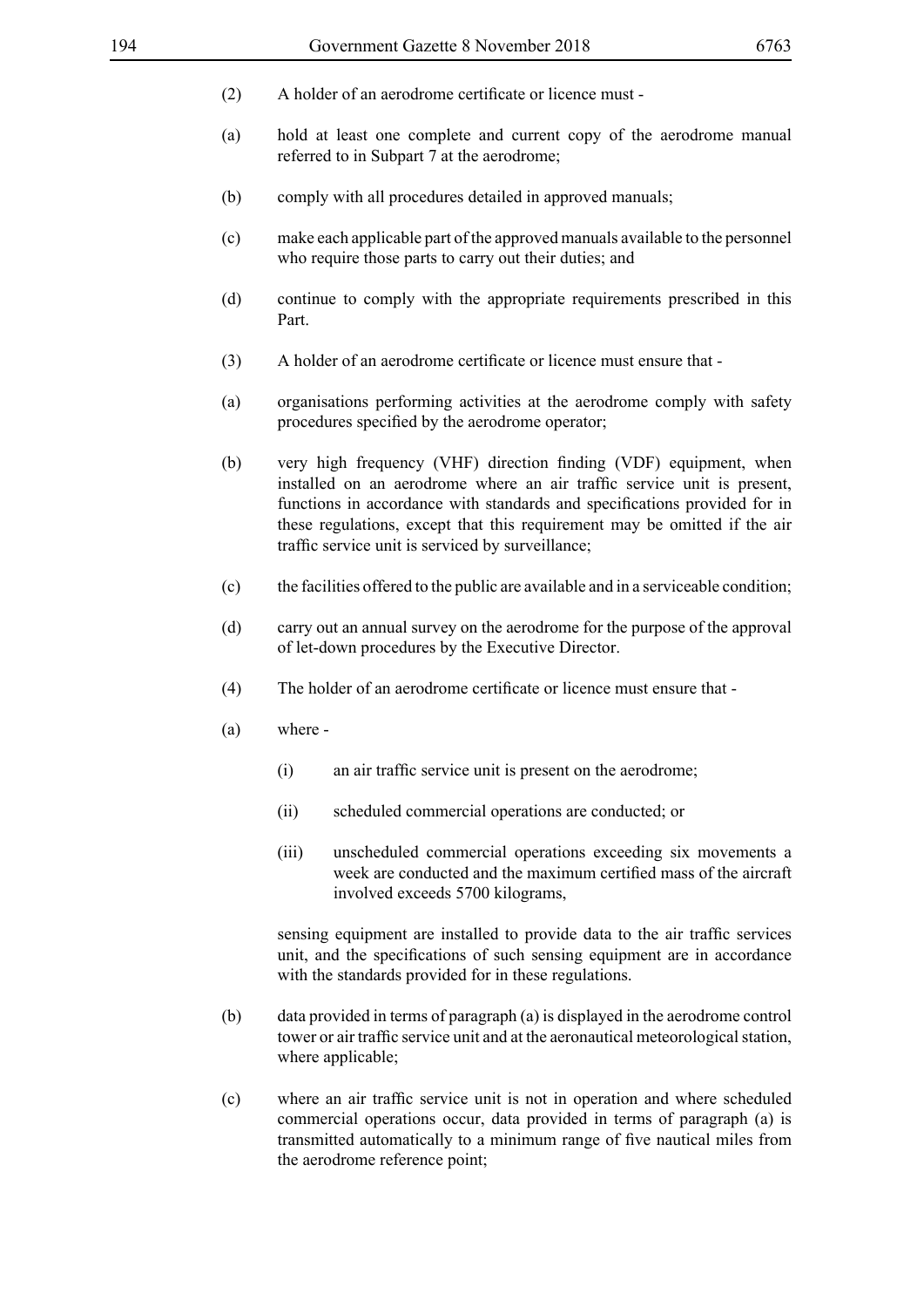- (2) A holder of an aerodrome certificate or licence must -
- (a) hold at least one complete and current copy of the aerodrome manual referred to in Subpart 7 at the aerodrome;
- (b) comply with all procedures detailed in approved manuals;
- (c) make each applicable part of the approved manuals available to the personnel who require those parts to carry out their duties; and
- (d) continue to comply with the appropriate requirements prescribed in this Part.
- (3) A holder of an aerodrome certificate or licence must ensure that -
- (a) organisations performing activities at the aerodrome comply with safety procedures specified by the aerodrome operator;
- (b) very high frequency (VHF) direction finding (VDF) equipment, when installed on an aerodrome where an air traffic service unit is present, functions in accordance with standards and specifications provided for in these regulations, except that this requirement may be omitted if the air traffic service unit is serviced by surveillance;
- (c) the facilities offered to the public are available and in a serviceable condition;
- (d) carry out an annual survey on the aerodrome for the purpose of the approval of let-down procedures by the Executive Director.
- (4) The holder of an aerodrome certificate or licence must ensure that -
- (a) where
	- (i) an air traffic service unit is present on the aerodrome;
	- (ii) scheduled commercial operations are conducted; or
	- (iii) unscheduled commercial operations exceeding six movements a week are conducted and the maximum certified mass of the aircraft involved exceeds 5700 kilograms,

sensing equipment are installed to provide data to the air traffic services unit, and the specifications of such sensing equipment are in accordance with the standards provided for in these regulations.

- (b) data provided in terms of paragraph (a) is displayed in the aerodrome control tower or air traffic service unit and at the aeronautical meteorological station, where applicable:
- (c) where an air traffic service unit is not in operation and where scheduled commercial operations occur, data provided in terms of paragraph (a) is transmitted automatically to a minimum range of five nautical miles from the aerodrome reference point;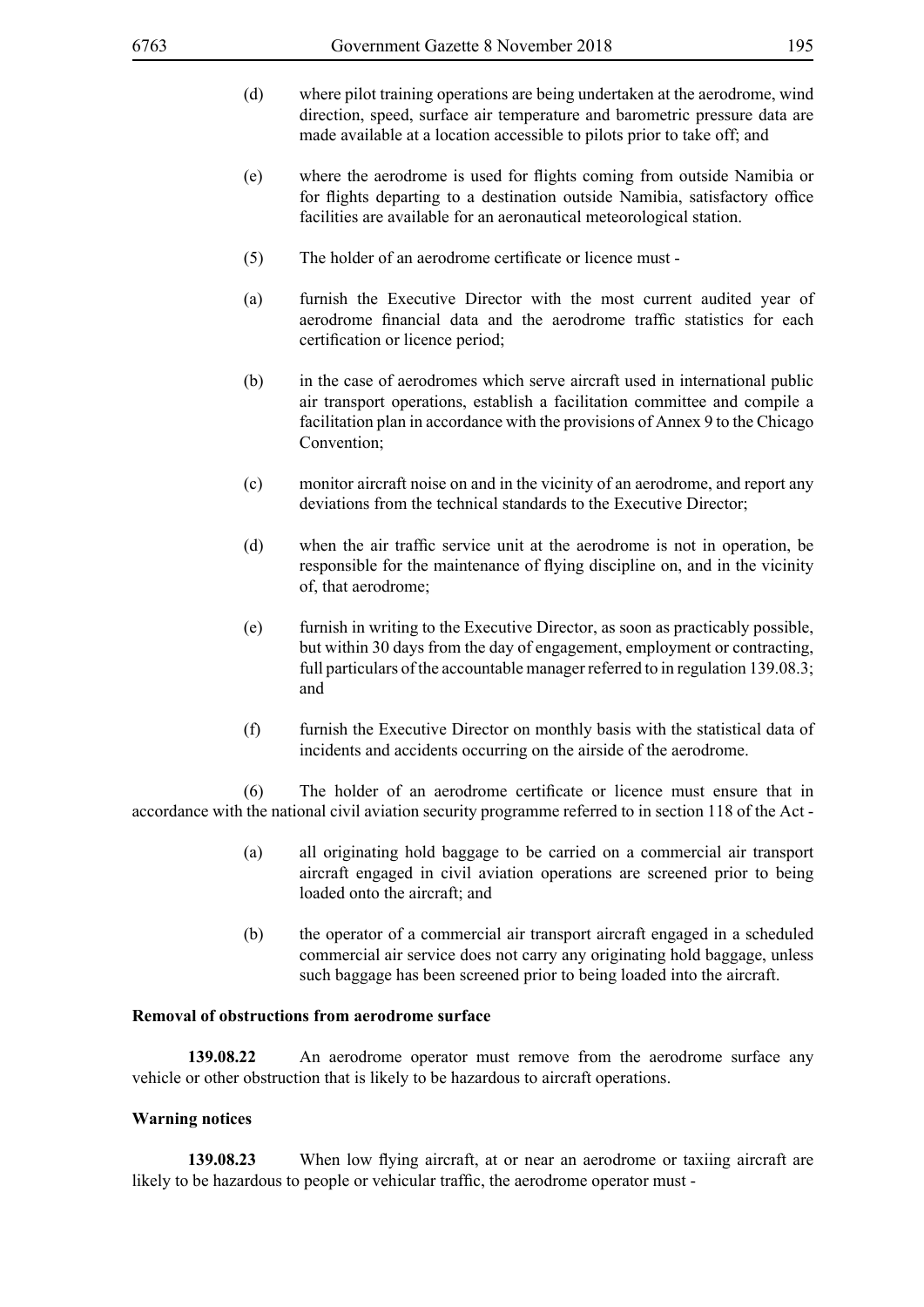- (d) where pilot training operations are being undertaken at the aerodrome, wind direction, speed, surface air temperature and barometric pressure data are made available at a location accessible to pilots prior to take off; and
- (e) where the aerodrome is used for flights coming from outside Namibia or for flights departing to a destination outside Namibia, satisfactory office facilities are available for an aeronautical meteorological station.
- (5) The holder of an aerodrome certificate or licence must -
- (a) furnish the Executive Director with the most current audited year of aerodrome financial data and the aerodrome traffic statistics for each certification or licence period;
- (b) in the case of aerodromes which serve aircraft used in international public air transport operations, establish a facilitation committee and compile a facilitation plan in accordance with the provisions of Annex 9 to the Chicago Convention;
- (c) monitor aircraft noise on and in the vicinity of an aerodrome, and report any deviations from the technical standards to the Executive Director;
- (d) when the air traffic service unit at the aerodrome is not in operation, be responsible for the maintenance of flying discipline on, and in the vicinity of, that aerodrome;
- (e) furnish in writing to the Executive Director, as soon as practicably possible, but within 30 days from the day of engagement, employment or contracting, full particulars of the accountable manager referred to in regulation 139.08.3; and
- (f) furnish the Executive Director on monthly basis with the statistical data of incidents and accidents occurring on the airside of the aerodrome.

(6) The holder of an aerodrome certificate or licence must ensure that in accordance with the national civil aviation security programme referred to in section 118 of the Act -

- (a) all originating hold baggage to be carried on a commercial air transport aircraft engaged in civil aviation operations are screened prior to being loaded onto the aircraft; and
- (b) the operator of a commercial air transport aircraft engaged in a scheduled commercial air service does not carry any originating hold baggage, unless such baggage has been screened prior to being loaded into the aircraft.

#### **Removal of obstructions from aerodrome surface**

**139.08.22** An aerodrome operator must remove from the aerodrome surface any vehicle or other obstruction that is likely to be hazardous to aircraft operations.

#### **Warning notices**

**139.08.23** When low flying aircraft, at or near an aerodrome or taxiing aircraft are likely to be hazardous to people or vehicular traffic, the aerodrome operator must -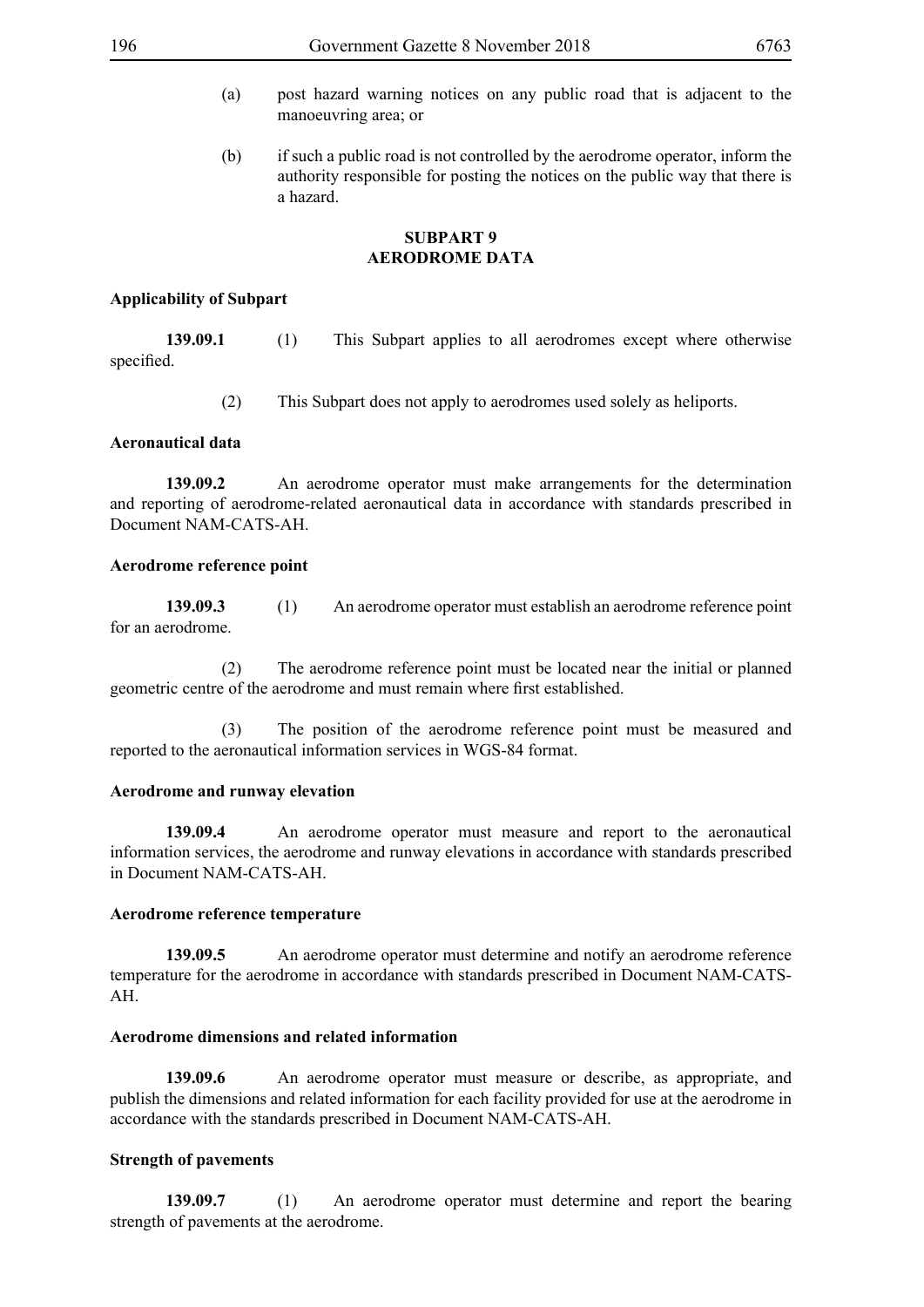- (a) post hazard warning notices on any public road that is adjacent to the manoeuvring area; or
- (b) if such a public road is not controlled by the aerodrome operator, inform the authority responsible for posting the notices on the public way that there is a hazard.

# **SUBPART 9 AERODROME DATA**

#### **Applicability of Subpart**

**139.09.1** (1) This Subpart applies to all aerodromes except where otherwise specified.

(2) This Subpart does not apply to aerodromes used solely as heliports.

#### **Aeronautical data**

**139.09.2** An aerodrome operator must make arrangements for the determination and reporting of aerodrome-related aeronautical data in accordance with standards prescribed in Document NAM-CATS-AH.

#### **Aerodrome reference point**

**139.09.3** (1) An aerodrome operator must establish an aerodrome reference point for an aerodrome.

 (2) The aerodrome reference point must be located near the initial or planned geometric centre of the aerodrome and must remain where first established.

 (3) The position of the aerodrome reference point must be measured and reported to the aeronautical information services in WGS-84 format.

#### **Aerodrome and runway elevation**

**139.09.4** An aerodrome operator must measure and report to the aeronautical information services, the aerodrome and runway elevations in accordance with standards prescribed in Document NAM-CATS-AH.

#### **Aerodrome reference temperature**

**139.09.5** An aerodrome operator must determine and notify an aerodrome reference temperature for the aerodrome in accordance with standards prescribed in Document NAM-CATS-AH.

#### **Aerodrome dimensions and related information**

**139.09.6** An aerodrome operator must measure or describe, as appropriate, and publish the dimensions and related information for each facility provided for use at the aerodrome in accordance with the standards prescribed in Document NAM-CATS-AH.

### **Strength of pavements**

**139.09.7** (1) An aerodrome operator must determine and report the bearing strength of pavements at the aerodrome.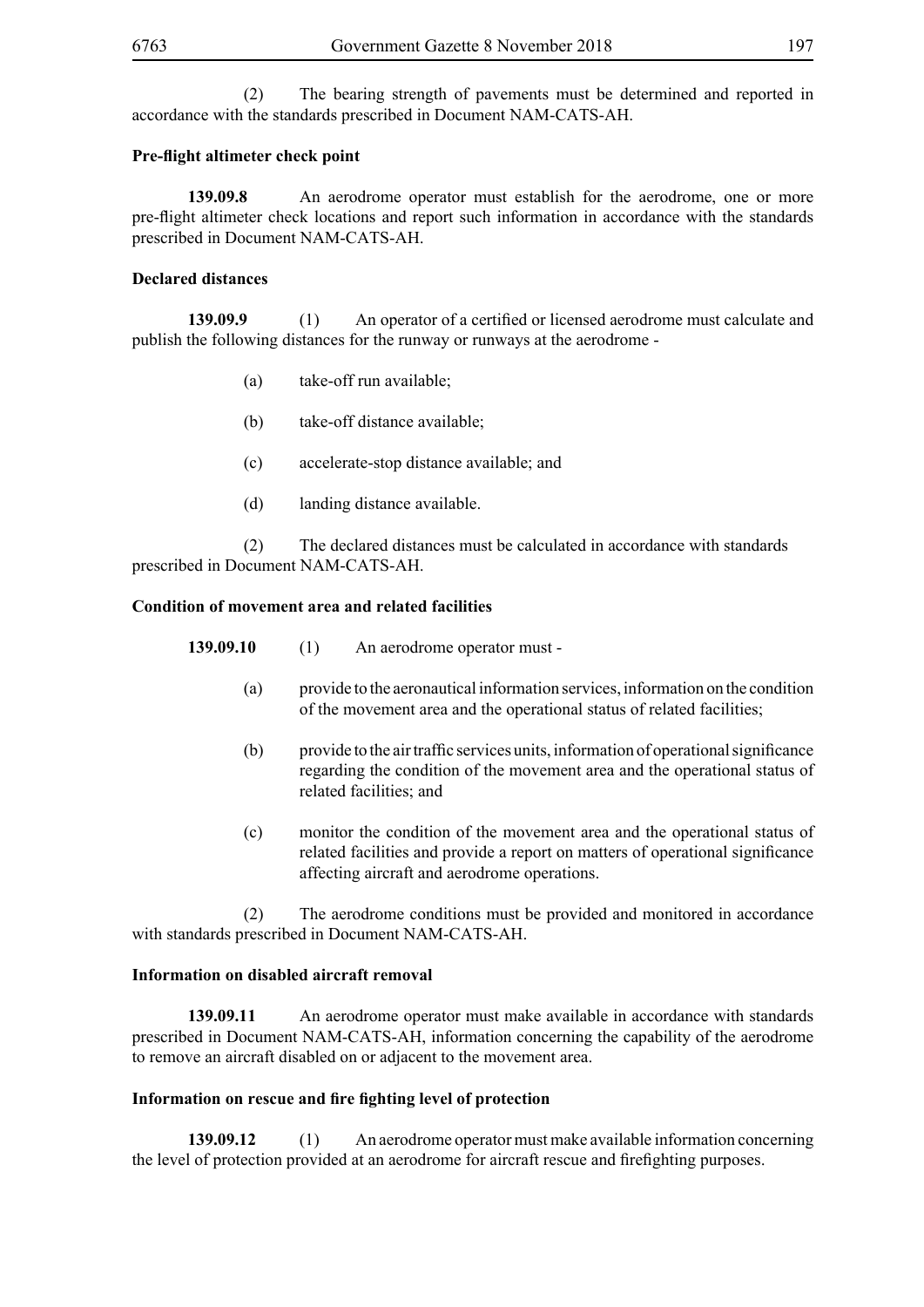(2) The bearing strength of pavements must be determined and reported in accordance with the standards prescribed in Document NAM-CATS-AH.

# **Pre-flight altimeter check point**

**139.09.8** An aerodrome operator must establish for the aerodrome, one or more pre-flight altimeter check locations and report such information in accordance with the standards prescribed in Document NAM-CATS-AH.

## **Declared distances**

**139.09.9** (1) An operator of a certified or licensed aerodrome must calculate and publish the following distances for the runway or runways at the aerodrome -

- (a) take-off run available;
- (b) take-off distance available;
- (c) accelerate-stop distance available; and
- (d) landing distance available.

 (2) The declared distances must be calculated in accordance with standards prescribed in Document NAM-CATS-AH.

## **Condition of movement area and related facilities**

**139.09.10** (1) An aerodrome operator must -

- (a) provide to the aeronautical information services, information on the condition of the movement area and the operational status of related facilities;
- (b) provide to the air traffic services units, information of operational significance regarding the condition of the movement area and the operational status of related facilities; and
- (c) monitor the condition of the movement area and the operational status of related facilities and provide a report on matters of operational significance affecting aircraft and aerodrome operations.

 (2) The aerodrome conditions must be provided and monitored in accordance with standards prescribed in Document NAM-CATS-AH.

## **Information on disabled aircraft removal**

**139.09.11** An aerodrome operator must make available in accordance with standards prescribed in Document NAM-CATS-AH, information concerning the capability of the aerodrome to remove an aircraft disabled on or adjacent to the movement area.

# **Information on rescue and fire fighting level of protection**

**139.09.12** (1) An aerodrome operator must make available information concerning the level of protection provided at an aerodrome for aircraft rescue and firefighting purposes.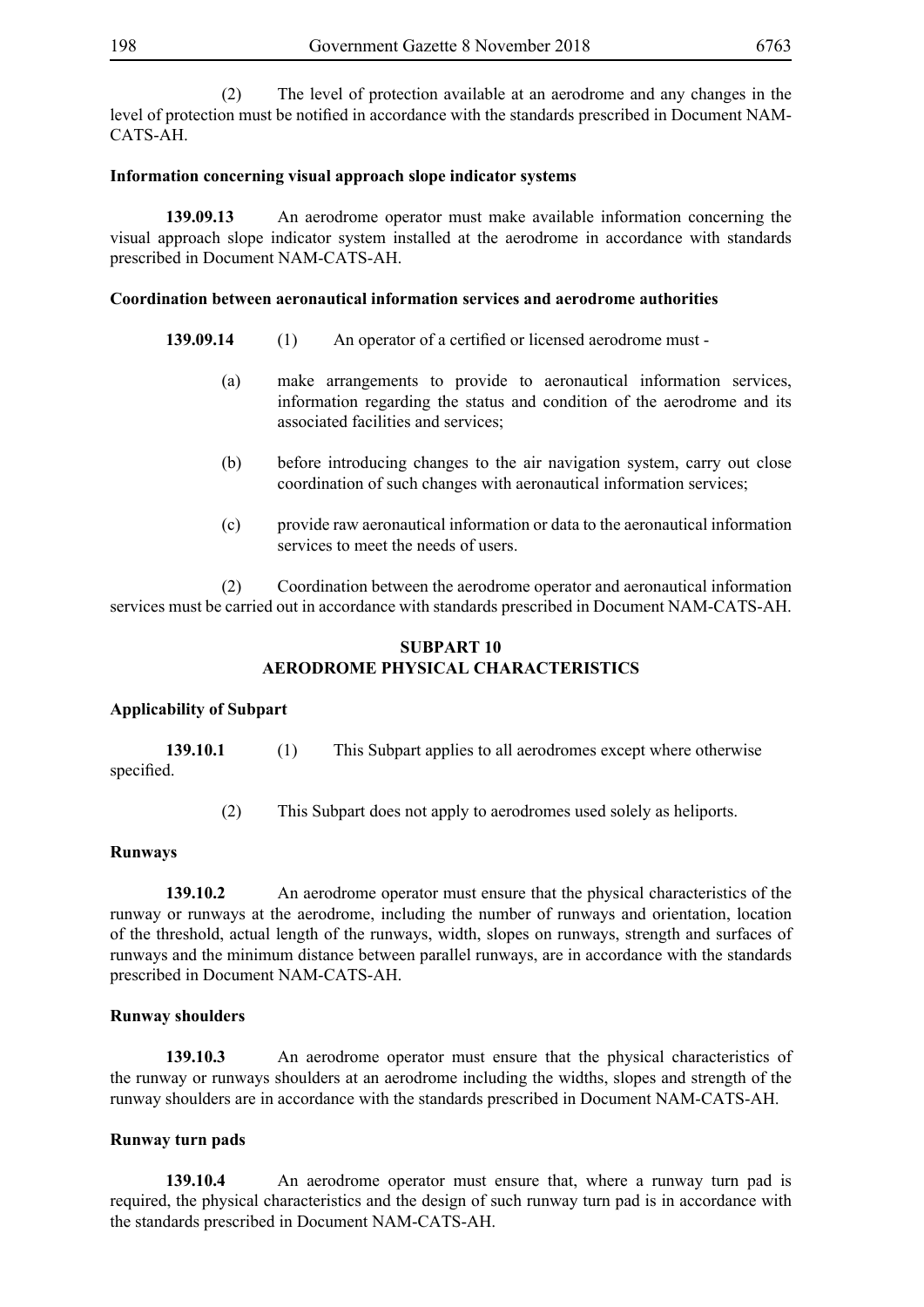(2) The level of protection available at an aerodrome and any changes in the level of protection must be notified in accordance with the standards prescribed in Document NAM-CATS-AH.

## **Information concerning visual approach slope indicator systems**

**139.09.13** An aerodrome operator must make available information concerning the visual approach slope indicator system installed at the aerodrome in accordance with standards prescribed in Document NAM-CATS-AH.

## **Coordination between aeronautical information services and aerodrome authorities**

- **139.09.14** (1) An operator of a certified or licensed aerodrome must
	- (a) make arrangements to provide to aeronautical information services, information regarding the status and condition of the aerodrome and its associated facilities and services;
	- (b) before introducing changes to the air navigation system, carry out close coordination of such changes with aeronautical information services;
	- (c) provide raw aeronautical information or data to the aeronautical information services to meet the needs of users.

 (2) Coordination between the aerodrome operator and aeronautical information services must be carried out in accordance with standards prescribed in Document NAM-CATS-AH.

# **SUBPART 10 AERODROME PHYSICAL CHARACTERISTICS**

### **Applicability of Subpart**

| 139.10.1   | This Subpart applies to all aerodromes except where otherwise |
|------------|---------------------------------------------------------------|
| specified. |                                                               |

(2) This Subpart does not apply to aerodromes used solely as heliports.

### **Runways**

**139.10.2** An aerodrome operator must ensure that the physical characteristics of the runway or runways at the aerodrome, including the number of runways and orientation, location of the threshold, actual length of the runways, width, slopes on runways, strength and surfaces of runways and the minimum distance between parallel runways, are in accordance with the standards prescribed in Document NAM-CATS-AH.

# **Runway shoulders**

**139.10.3** An aerodrome operator must ensure that the physical characteristics of the runway or runways shoulders at an aerodrome including the widths, slopes and strength of the runway shoulders are in accordance with the standards prescribed in Document NAM-CATS-AH.

### **Runway turn pads**

**139.10.4** An aerodrome operator must ensure that, where a runway turn pad is required, the physical characteristics and the design of such runway turn pad is in accordance with the standards prescribed in Document NAM-CATS-AH.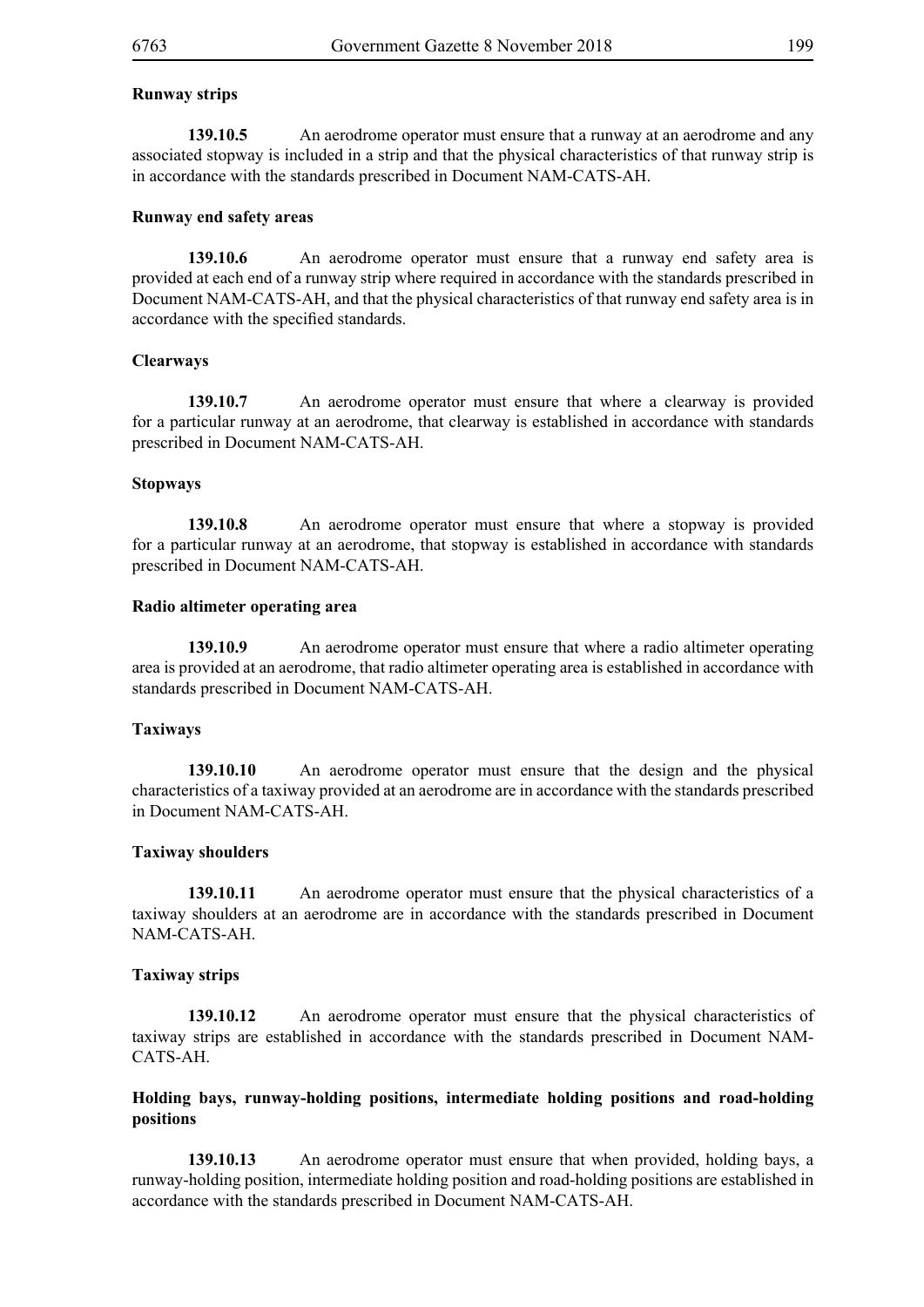**139.10.5** An aerodrome operator must ensure that a runway at an aerodrome and any associated stopway is included in a strip and that the physical characteristics of that runway strip is in accordance with the standards prescribed in Document NAM-CATS-AH.

#### **Runway end safety areas**

**139.10.6** An aerodrome operator must ensure that a runway end safety area is provided at each end of a runway strip where required in accordance with the standards prescribed in Document NAM-CATS-AH, and that the physical characteristics of that runway end safety area is in accordance with the specified standards.

#### **Clearways**

**139.10.7** An aerodrome operator must ensure that where a clearway is provided for a particular runway at an aerodrome, that clearway is established in accordance with standards prescribed in Document NAM-CATS-AH.

#### **Stopways**

**139.10.8** An aerodrome operator must ensure that where a stopway is provided for a particular runway at an aerodrome, that stopway is established in accordance with standards prescribed in Document NAM-CATS-AH.

#### **Radio altimeter operating area**

**139.10.9** An aerodrome operator must ensure that where a radio altimeter operating area is provided at an aerodrome, that radio altimeter operating area is established in accordance with standards prescribed in Document NAM-CATS-AH.

#### **Taxiways**

**139.10.10** An aerodrome operator must ensure that the design and the physical characteristics of a taxiway provided at an aerodrome are in accordance with the standards prescribed in Document NAM-CATS-AH.

#### **Taxiway shoulders**

**139.10.11** An aerodrome operator must ensure that the physical characteristics of a taxiway shoulders at an aerodrome are in accordance with the standards prescribed in Document NAM-CATS-AH.

#### **Taxiway strips**

**139.10.12** An aerodrome operator must ensure that the physical characteristics of taxiway strips are established in accordance with the standards prescribed in Document NAM-CATS-AH.

## **Holding bays, runway-holding positions, intermediate holding positions and road-holding positions**

**139.10.13** An aerodrome operator must ensure that when provided, holding bays, a runway-holding position, intermediate holding position and road-holding positions are established in accordance with the standards prescribed in Document NAM-CATS-AH.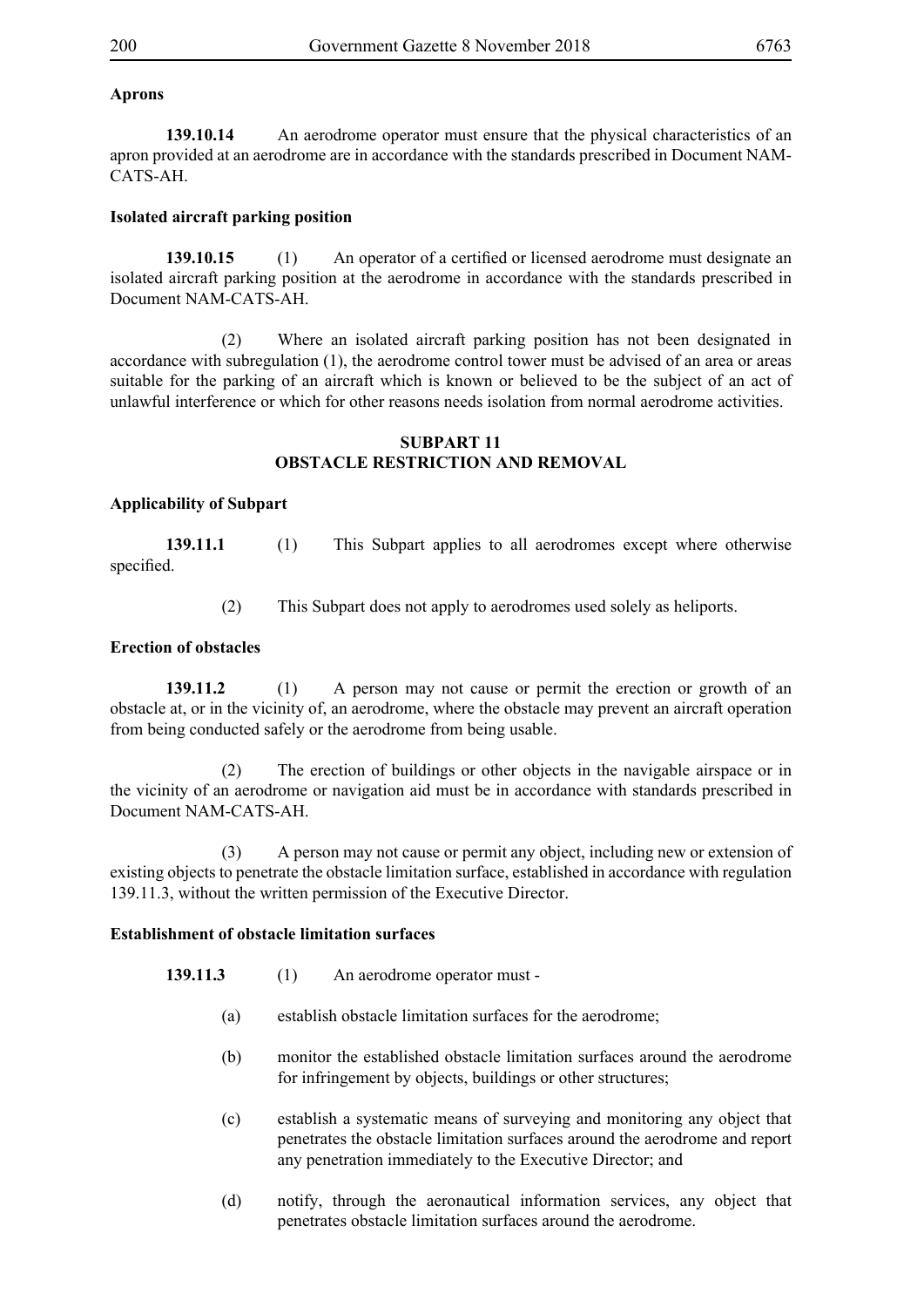# **Aprons**

**139.10.14** An aerodrome operator must ensure that the physical characteristics of an apron provided at an aerodrome are in accordance with the standards prescribed in Document NAM-CATS-AH.

# **Isolated aircraft parking position**

**139.10.15** (1) An operator of a certified or licensed aerodrome must designate an isolated aircraft parking position at the aerodrome in accordance with the standards prescribed in Document NAM-CATS-AH.

 (2) Where an isolated aircraft parking position has not been designated in accordance with subregulation (1), the aerodrome control tower must be advised of an area or areas suitable for the parking of an aircraft which is known or believed to be the subject of an act of unlawful interference or which for other reasons needs isolation from normal aerodrome activities.

### **SUBPART 11 OBSTACLE RESTRICTION AND REMOVAL**

# **Applicability of Subpart**

**139.11.1** (1) This Subpart applies to all aerodromes except where otherwise specified.

(2) This Subpart does not apply to aerodromes used solely as heliports.

## **Erection of obstacles**

**139.11.2** (1) A person may not cause or permit the erection or growth of an obstacle at, or in the vicinity of, an aerodrome, where the obstacle may prevent an aircraft operation from being conducted safely or the aerodrome from being usable.

 (2) The erection of buildings or other objects in the navigable airspace or in the vicinity of an aerodrome or navigation aid must be in accordance with standards prescribed in Document NAM-CATS-AH.

 (3) A person may not cause or permit any object, including new or extension of existing objects to penetrate the obstacle limitation surface, established in accordance with regulation 139.11.3, without the written permission of the Executive Director.

# **Establishment of obstacle limitation surfaces**

- **139.11.3** (1) An aerodrome operator must
	- (a) establish obstacle limitation surfaces for the aerodrome;
	- (b) monitor the established obstacle limitation surfaces around the aerodrome for infringement by objects, buildings or other structures;
	- (c) establish a systematic means of surveying and monitoring any object that penetrates the obstacle limitation surfaces around the aerodrome and report any penetration immediately to the Executive Director; and
	- (d) notify, through the aeronautical information services, any object that penetrates obstacle limitation surfaces around the aerodrome.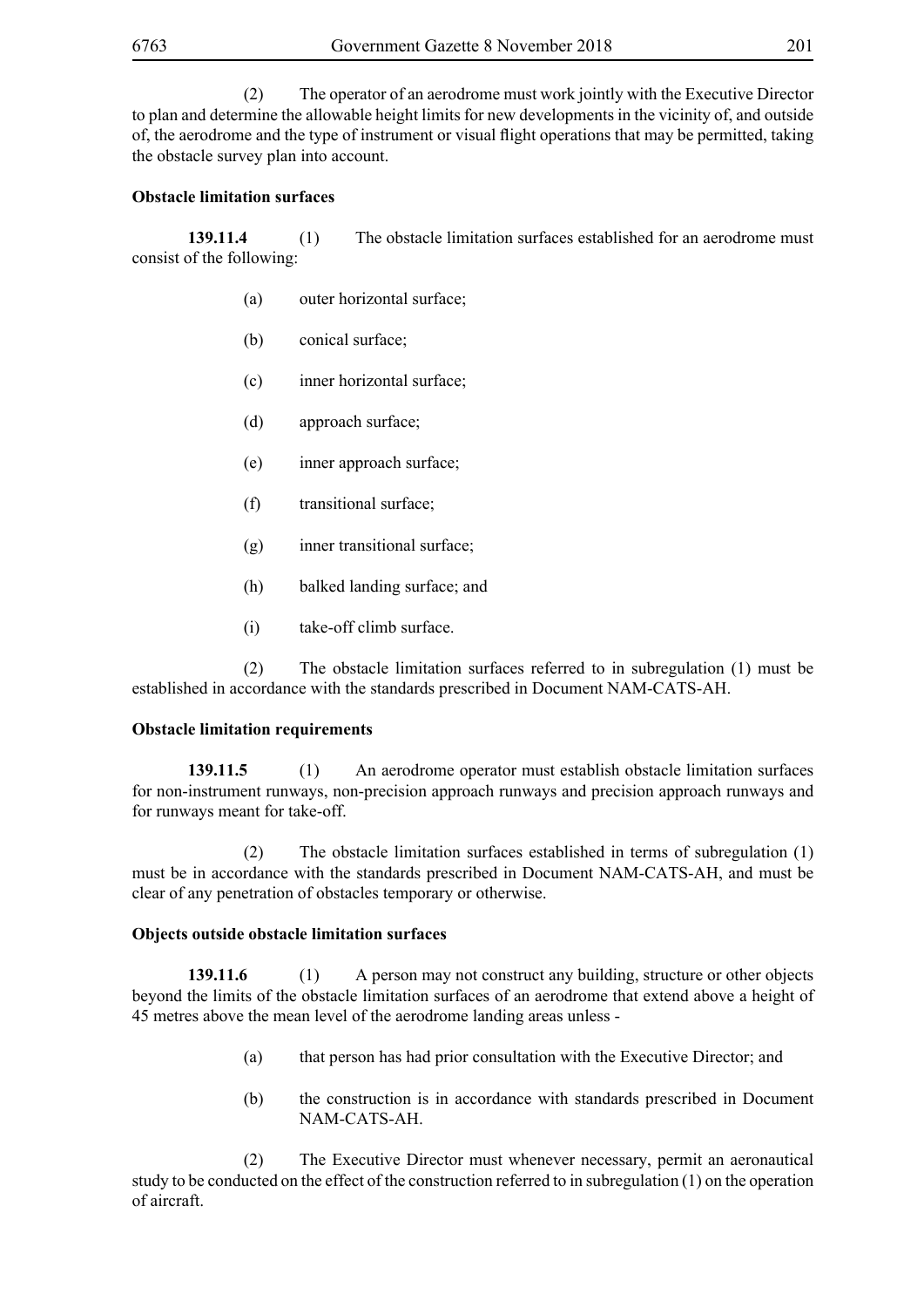(2) The operator of an aerodrome must work jointly with the Executive Director to plan and determine the allowable height limits for new developments in the vicinity of, and outside of, the aerodrome and the type of instrument or visual flight operations that may be permitted, taking the obstacle survey plan into account.

# **Obstacle limitation surfaces**

**139.11.4** (1) The obstacle limitation surfaces established for an aerodrome must consist of the following:

- (a) outer horizontal surface;
- (b) conical surface;
- (c) inner horizontal surface;
- (d) approach surface;
- (e) inner approach surface;
- (f) transitional surface;
- (g) inner transitional surface;
- (h) balked landing surface; and
- (i) take-off climb surface.

 (2) The obstacle limitation surfaces referred to in subregulation (1) must be established in accordance with the standards prescribed in Document NAM-CATS-AH.

### **Obstacle limitation requirements**

**139.11.5** (1) An aerodrome operator must establish obstacle limitation surfaces for non-instrument runways, non-precision approach runways and precision approach runways and for runways meant for take-off.

 (2) The obstacle limitation surfaces established in terms of subregulation (1) must be in accordance with the standards prescribed in Document NAM-CATS-AH, and must be clear of any penetration of obstacles temporary or otherwise.

### **Objects outside obstacle limitation surfaces**

**139.11.6** (1) A person may not construct any building, structure or other objects beyond the limits of the obstacle limitation surfaces of an aerodrome that extend above a height of 45 metres above the mean level of the aerodrome landing areas unless -

- (a) that person has had prior consultation with the Executive Director; and
- (b) the construction is in accordance with standards prescribed in Document NAM-CATS-AH.

 (2) The Executive Director must whenever necessary, permit an aeronautical study to be conducted on the effect of the construction referred to in subregulation (1) on the operation of aircraft.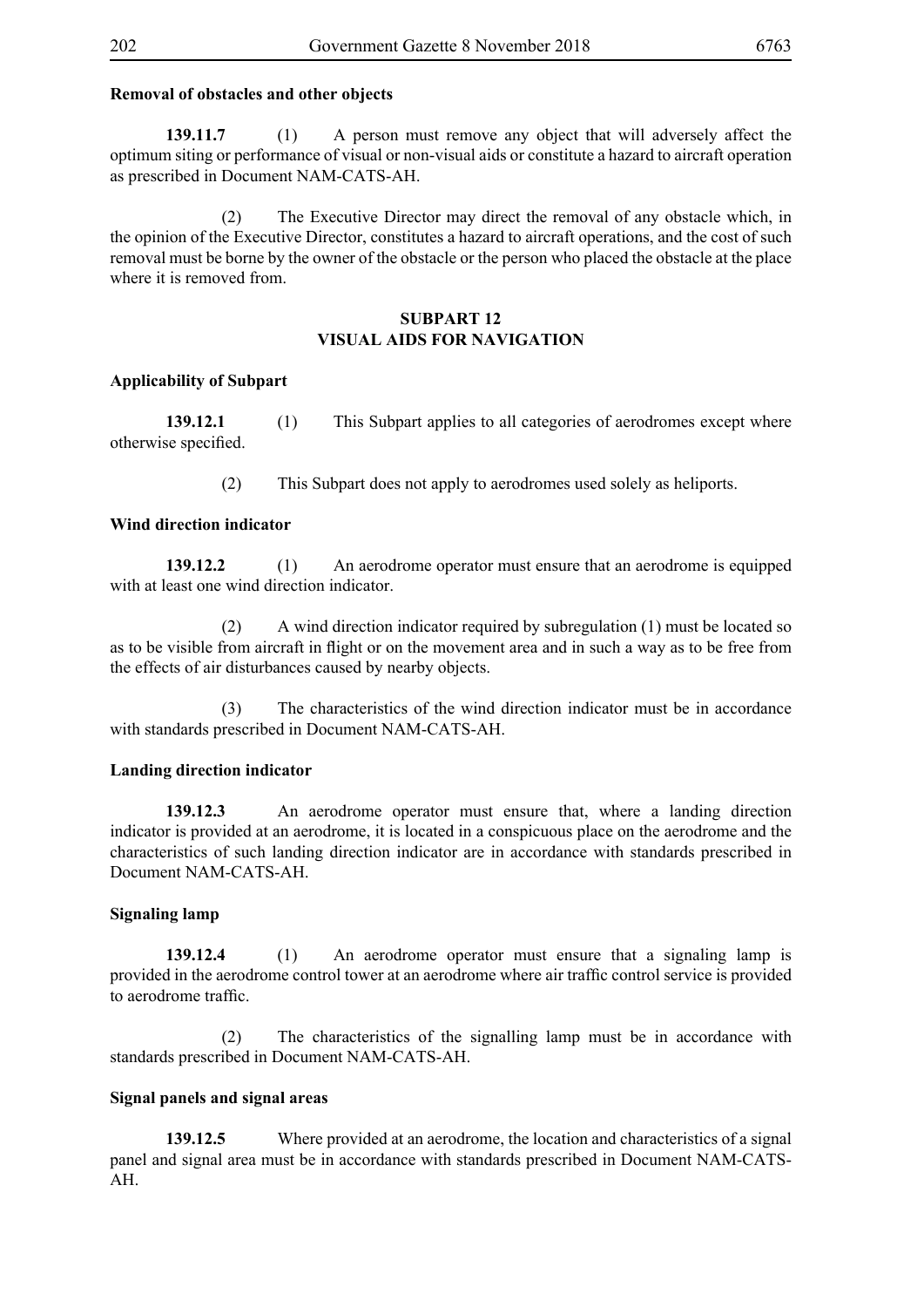# **Removal of obstacles and other objects**

**139.11.7** (1) A person must remove any object that will adversely affect the optimum siting or performance of visual or non-visual aids or constitute a hazard to aircraft operation as prescribed in Document NAM-CATS-AH.

 (2) The Executive Director may direct the removal of any obstacle which, in the opinion of the Executive Director, constitutes a hazard to aircraft operations, and the cost of such removal must be borne by the owner of the obstacle or the person who placed the obstacle at the place where it is removed from.

## **SUBPART 12 VISUAL AIDS FOR NAVIGATION**

### **Applicability of Subpart**

**139.12.1** (1) This Subpart applies to all categories of aerodromes except where otherwise specified.

(2) This Subpart does not apply to aerodromes used solely as heliports.

### **Wind direction indicator**

**139.12.2** (1) An aerodrome operator must ensure that an aerodrome is equipped with at least one wind direction indicator.

 (2) A wind direction indicator required by subregulation (1) must be located so as to be visible from aircraft in flight or on the movement area and in such a way as to be free from the effects of air disturbances caused by nearby objects.

 (3) The characteristics of the wind direction indicator must be in accordance with standards prescribed in Document NAM-CATS-AH.

### **Landing direction indicator**

**139.12.3** An aerodrome operator must ensure that, where a landing direction indicator is provided at an aerodrome, it is located in a conspicuous place on the aerodrome and the characteristics of such landing direction indicator are in accordance with standards prescribed in Document NAM-CATS-AH.

### **Signaling lamp**

**139.12.4** (1) An aerodrome operator must ensure that a signaling lamp is provided in the aerodrome control tower at an aerodrome where air traffic control service is provided to aerodrome traffic.

 (2) The characteristics of the signalling lamp must be in accordance with standards prescribed in Document NAM-CATS-AH.

### **Signal panels and signal areas**

**139.12.5** Where provided at an aerodrome, the location and characteristics of a signal panel and signal area must be in accordance with standards prescribed in Document NAM-CATS-AH.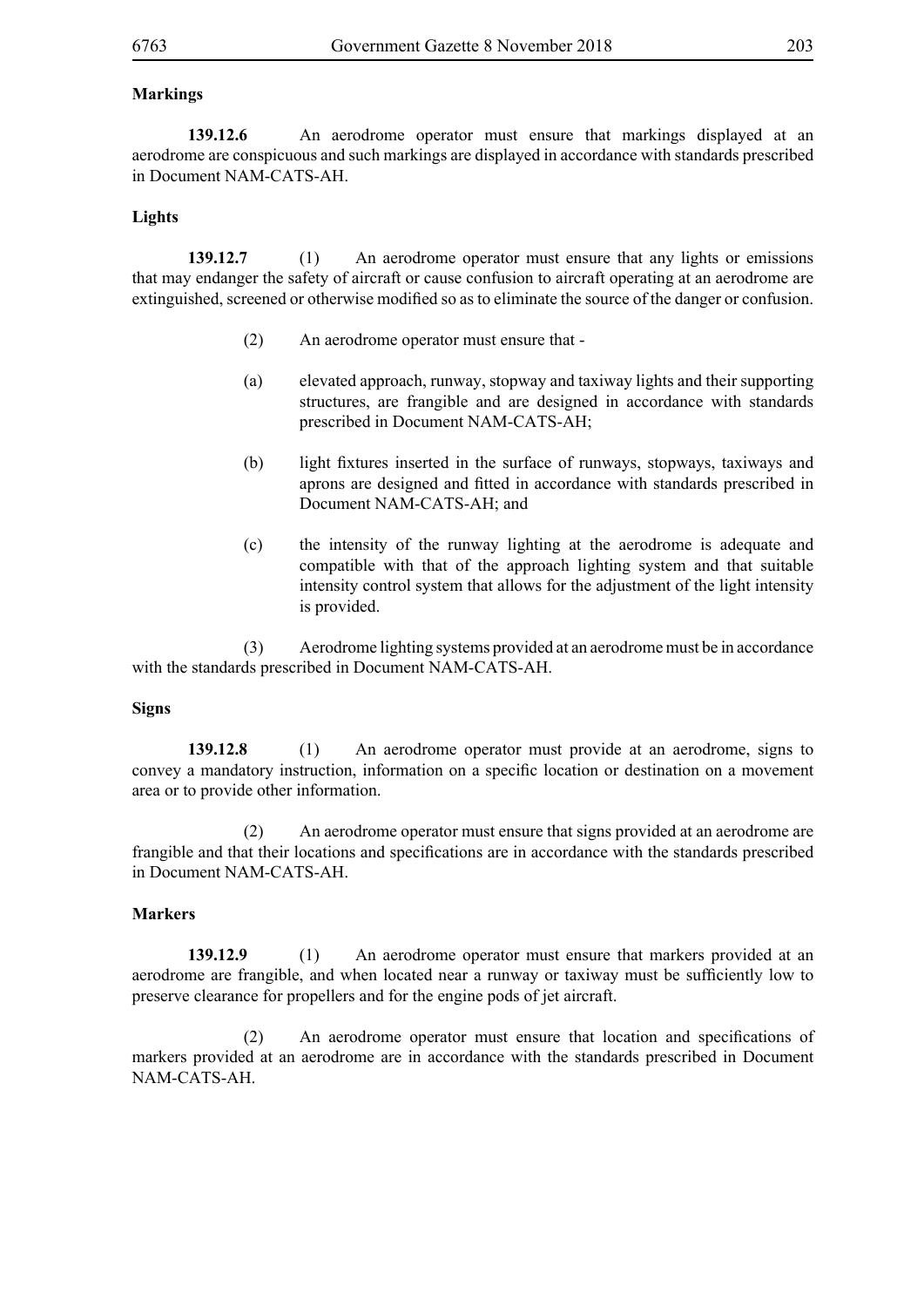#### **Markings**

**139.12.6** An aerodrome operator must ensure that markings displayed at an aerodrome are conspicuous and such markings are displayed in accordance with standards prescribed in Document NAM-CATS-AH.

#### **Lights**

**139.12.7** (1) An aerodrome operator must ensure that any lights or emissions that may endanger the safety of aircraft or cause confusion to aircraft operating at an aerodrome are extinguished, screened or otherwise modified so as to eliminate the source of the danger or confusion.

- (2) An aerodrome operator must ensure that -
- (a) elevated approach, runway, stopway and taxiway lights and their supporting structures, are frangible and are designed in accordance with standards prescribed in Document NAM-CATS-AH;
- (b) light fixtures inserted in the surface of runways, stopways, taxiways and aprons are designed and fitted in accordance with standards prescribed in Document NAM-CATS-AH; and
- (c) the intensity of the runway lighting at the aerodrome is adequate and compatible with that of the approach lighting system and that suitable intensity control system that allows for the adjustment of the light intensity is provided.

 (3) Aerodrome lighting systems provided at an aerodrome must be in accordance with the standards prescribed in Document NAM-CATS-AH.

#### **Signs**

**139.12.8** (1) An aerodrome operator must provide at an aerodrome, signs to convey a mandatory instruction, information on a specific location or destination on a movement area or to provide other information.

 (2) An aerodrome operator must ensure that signs provided at an aerodrome are frangible and that their locations and specifications are in accordance with the standards prescribed in Document NAM-CATS-AH.

#### **Markers**

**139.12.9** (1) An aerodrome operator must ensure that markers provided at an aerodrome are frangible, and when located near a runway or taxiway must be sufficiently low to preserve clearance for propellers and for the engine pods of jet aircraft.

(2) An aerodrome operator must ensure that location and specifications of markers provided at an aerodrome are in accordance with the standards prescribed in Document NAM-CATS-AH.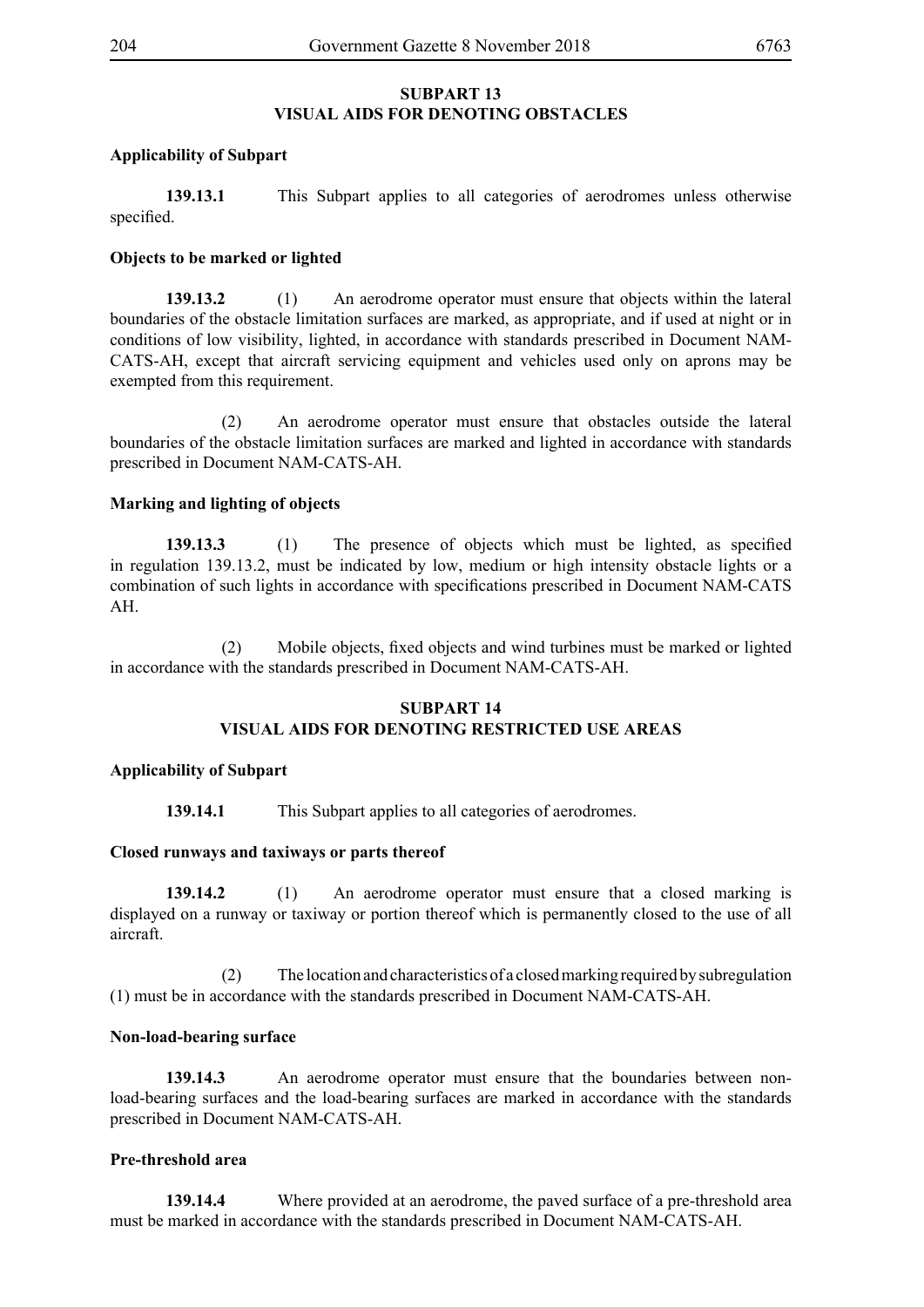# **SUBPART 13 VISUAL AIDS FOR DENOTING OBSTACLES**

# **Applicability of Subpart**

**139.13.1** This Subpart applies to all categories of aerodromes unless otherwise specified.

# **Objects to be marked or lighted**

**139.13.2** (1) An aerodrome operator must ensure that objects within the lateral boundaries of the obstacle limitation surfaces are marked, as appropriate, and if used at night or in conditions of low visibility, lighted, in accordance with standards prescribed in Document NAM-CATS-AH, except that aircraft servicing equipment and vehicles used only on aprons may be exempted from this requirement.

 (2) An aerodrome operator must ensure that obstacles outside the lateral boundaries of the obstacle limitation surfaces are marked and lighted in accordance with standards prescribed in Document NAM-CATS-AH.

# **Marking and lighting of objects**

**139.13.3** (1) The presence of objects which must be lighted, as specified in regulation 139.13.2, must be indicated by low, medium or high intensity obstacle lights or a combination of such lights in accordance with specifications prescribed in Document NAM-CATS AH.

(2) Mobile objects, fixed objects and wind turbines must be marked or lighted in accordance with the standards prescribed in Document NAM-CATS-AH.

### **SUBPART 14 VISUAL AIDS FOR DENOTING RESTRICTED USE AREAS**

# **Applicability of Subpart**

**139.14.1** This Subpart applies to all categories of aerodromes.

### **Closed runways and taxiways or parts thereof**

**139.14.2** (1) An aerodrome operator must ensure that a closed marking is displayed on a runway or taxiway or portion thereof which is permanently closed to the use of all aircraft.

 (2) The location and characteristics of a closed marking required by subregulation (1) must be in accordance with the standards prescribed in Document NAM-CATS-AH.

### **Non-load-bearing surface**

**139.14.3** An aerodrome operator must ensure that the boundaries between nonload-bearing surfaces and the load-bearing surfaces are marked in accordance with the standards prescribed in Document NAM-CATS-AH.

### **Pre-threshold area**

**139.14.4** Where provided at an aerodrome, the paved surface of a pre-threshold area must be marked in accordance with the standards prescribed in Document NAM-CATS-AH.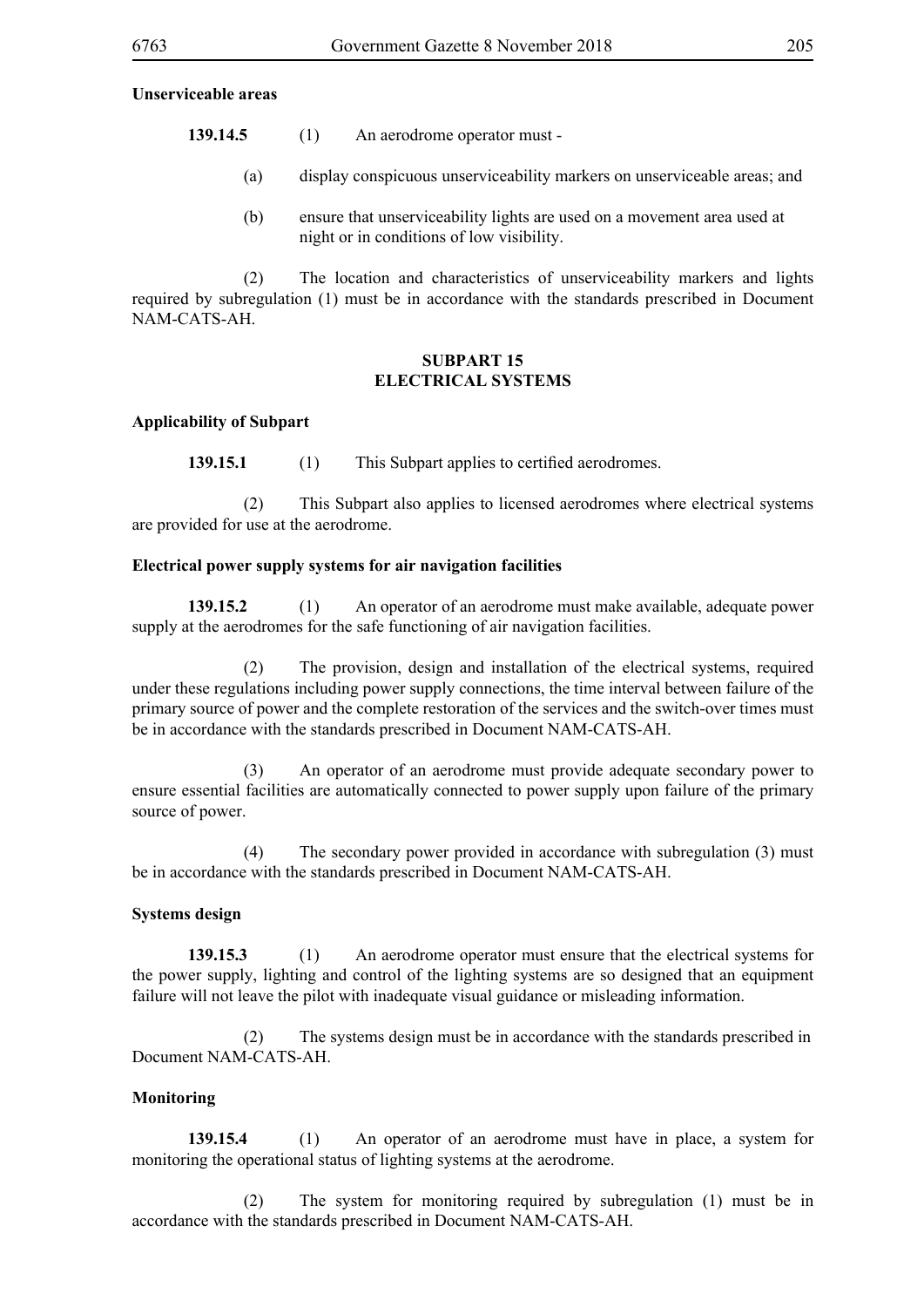#### **Unserviceable areas**

- **139.14.5** (1) An aerodrome operator must
	- (a) display conspicuous unserviceability markers on unserviceable areas; and
	- (b) ensure that unserviceability lights are used on a movement area used at night or in conditions of low visibility.

 (2) The location and characteristics of unserviceability markers and lights required by subregulation (1) must be in accordance with the standards prescribed in Document NAM-CATS-AH.

### **SUBPART 15 ELECTRICAL SYSTEMS**

#### **Applicability of Subpart**

**139.15.1** (1) This Subpart applies to certified aerodromes.

 (2) This Subpart also applies to licensed aerodromes where electrical systems are provided for use at the aerodrome.

#### **Electrical power supply systems for air navigation facilities**

**139.15.2** (1) An operator of an aerodrome must make available, adequate power supply at the aerodromes for the safe functioning of air navigation facilities.

 (2) The provision, design and installation of the electrical systems, required under these regulations including power supply connections, the time interval between failure of the primary source of power and the complete restoration of the services and the switch-over times must be in accordance with the standards prescribed in Document NAM-CATS-AH.

 (3) An operator of an aerodrome must provide adequate secondary power to ensure essential facilities are automatically connected to power supply upon failure of the primary source of power.

 (4) The secondary power provided in accordance with subregulation (3) must be in accordance with the standards prescribed in Document NAM-CATS-AH.

#### **Systems design**

**139.15.3** (1) An aerodrome operator must ensure that the electrical systems for the power supply, lighting and control of the lighting systems are so designed that an equipment failure will not leave the pilot with inadequate visual guidance or misleading information.

 (2) The systems design must be in accordance with the standards prescribed in Document NAM-CATS-AH.

#### **Monitoring**

**139.15.4** (1) An operator of an aerodrome must have in place, a system for monitoring the operational status of lighting systems at the aerodrome.

 (2) The system for monitoring required by subregulation (1) must be in accordance with the standards prescribed in Document NAM-CATS-AH.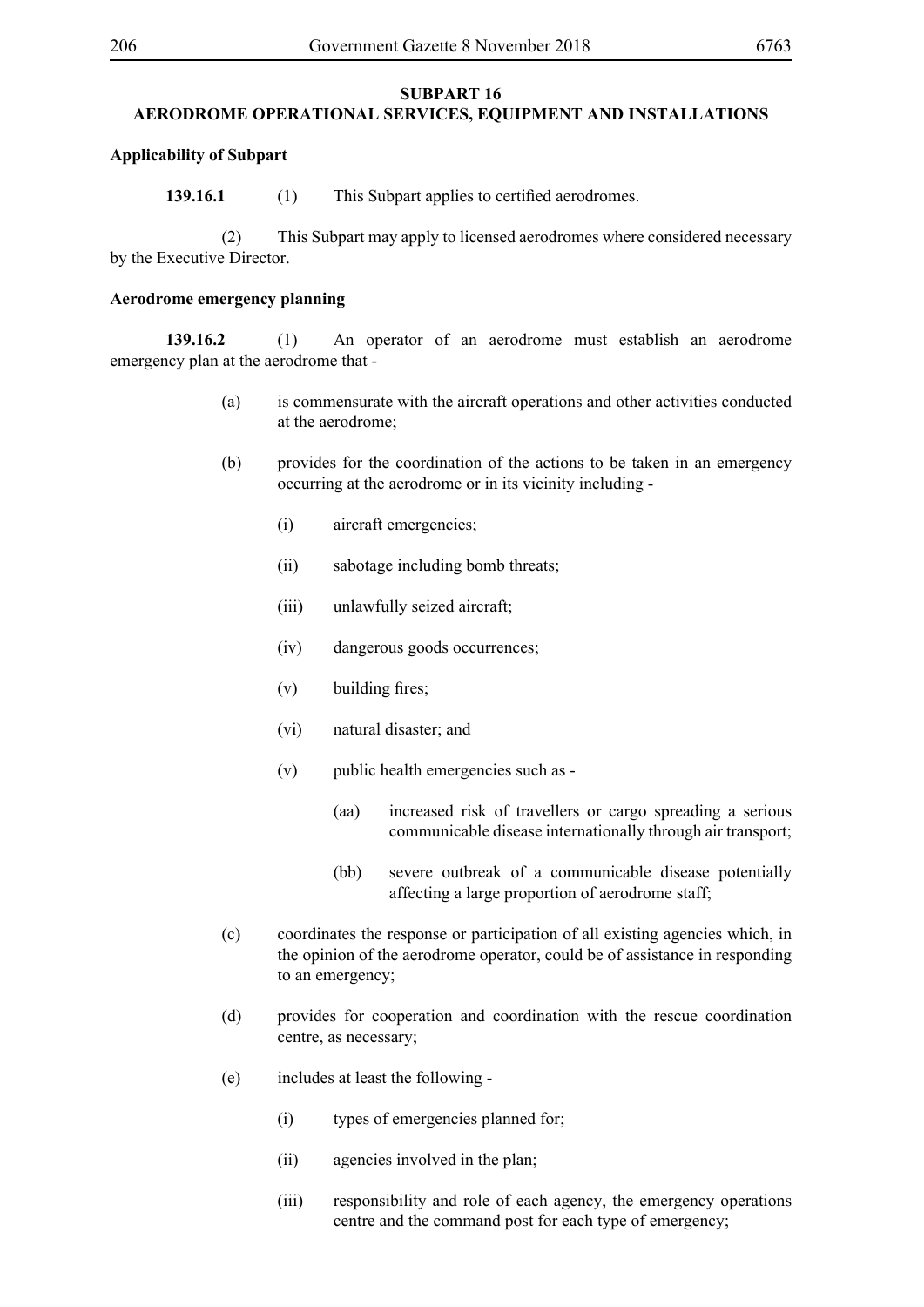#### **SUBPART 16**

# **AERODROME OPERATIONAL SERVICES, EQUIPMENT AND INSTALLATIONS**

### **Applicability of Subpart**

**139.16.1** (1) This Subpart applies to certified aerodromes.

 (2) This Subpart may apply to licensed aerodromes where considered necessary by the Executive Director.

#### **Aerodrome emergency planning**

**139.16.2** (1) An operator of an aerodrome must establish an aerodrome emergency plan at the aerodrome that -

- (a) is commensurate with the aircraft operations and other activities conducted at the aerodrome;
- (b) provides for the coordination of the actions to be taken in an emergency occurring at the aerodrome or in its vicinity including -
	- (i) aircraft emergencies;
	- (ii) sabotage including bomb threats;
	- (iii) unlawfully seized aircraft;
	- (iv) dangerous goods occurrences;
	- (v) building fires;
	- (vi) natural disaster; and
	- (v) public health emergencies such as
		- (aa) increased risk of travellers or cargo spreading a serious communicable disease internationally through air transport;
		- (bb) severe outbreak of a communicable disease potentially affecting a large proportion of aerodrome staff;
- (c) coordinates the response or participation of all existing agencies which, in the opinion of the aerodrome operator, could be of assistance in responding to an emergency;
- (d) provides for cooperation and coordination with the rescue coordination centre, as necessary;
- (e) includes at least the following
	- (i) types of emergencies planned for;
	- (ii) agencies involved in the plan;
	- (iii) responsibility and role of each agency, the emergency operations centre and the command post for each type of emergency;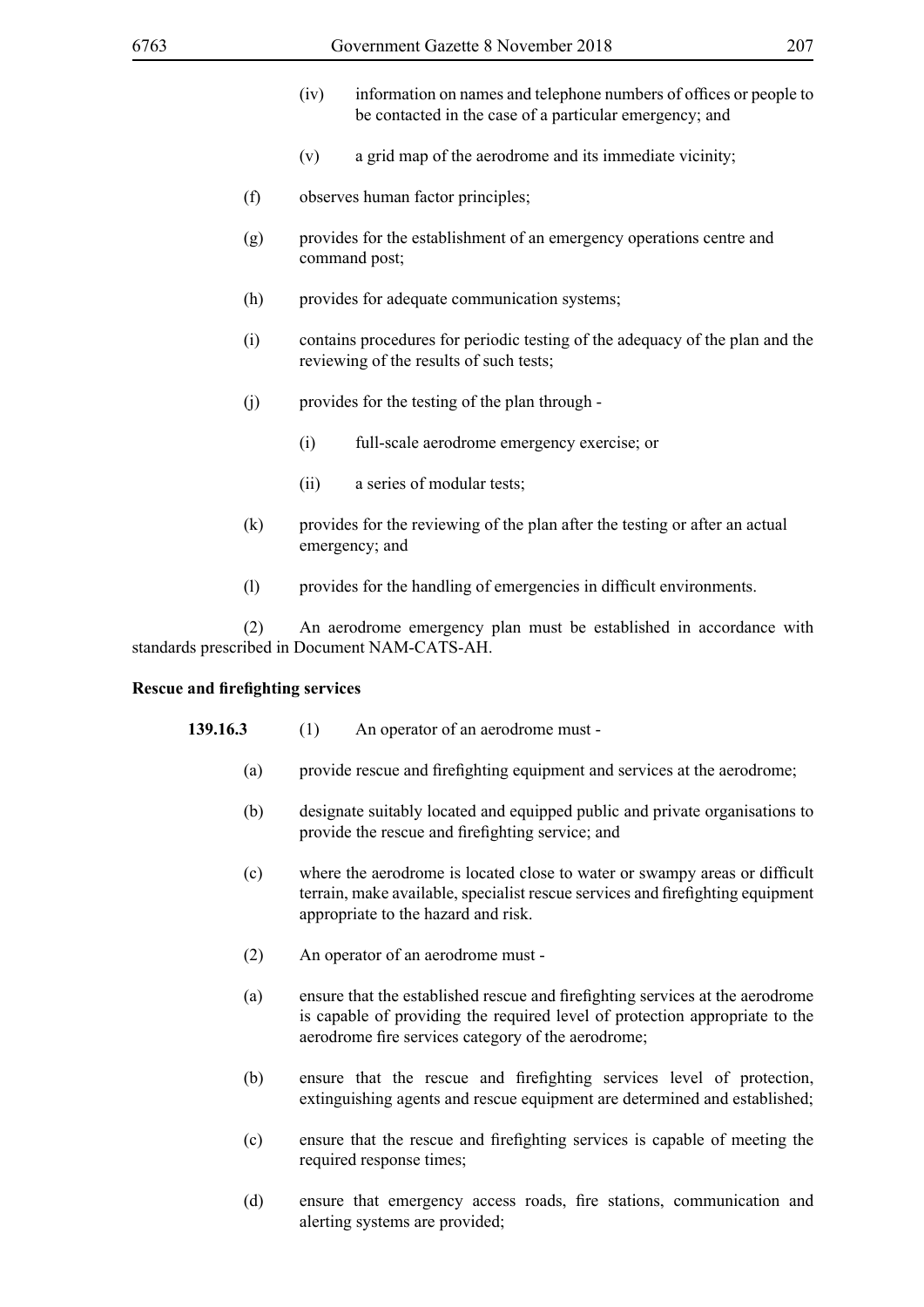- (iv) information on names and telephone numbers of offices or people to be contacted in the case of a particular emergency; and
- (v) a grid map of the aerodrome and its immediate vicinity;
- (f) observes human factor principles;
- (g) provides for the establishment of an emergency operations centre and command post;
- (h) provides for adequate communication systems;
- (i) contains procedures for periodic testing of the adequacy of the plan and the reviewing of the results of such tests;
- (j) provides for the testing of the plan through
	- (i) full-scale aerodrome emergency exercise; or
	- (ii) a series of modular tests;
- (k) provides for the reviewing of the plan after the testing or after an actual emergency; and
- (l) provides for the handling of emergencies in difficult environments.

 (2) An aerodrome emergency plan must be established in accordance with standards prescribed in Document NAM-CATS-AH.

### **Rescue and firefighting services**

- **139.16.3** (1) An operator of an aerodrome must
	- (a) provide rescue and firefighting equipment and services at the aerodrome;
	- (b) designate suitably located and equipped public and private organisations to provide the rescue and firefighting service; and
	- (c) where the aerodrome is located close to water or swampy areas or difficult terrain, make available, specialist rescue services and firefighting equipment appropriate to the hazard and risk.
	- (2) An operator of an aerodrome must -
	- (a) ensure that the established rescue and firefighting services at the aerodrome is capable of providing the required level of protection appropriate to the aerodrome fire services category of the aerodrome;
	- (b) ensure that the rescue and firefighting services level of protection, extinguishing agents and rescue equipment are determined and established;
	- (c) ensure that the rescue and firefighting services is capable of meeting the required response times;
	- (d) ensure that emergency access roads, fire stations, communication and alerting systems are provided;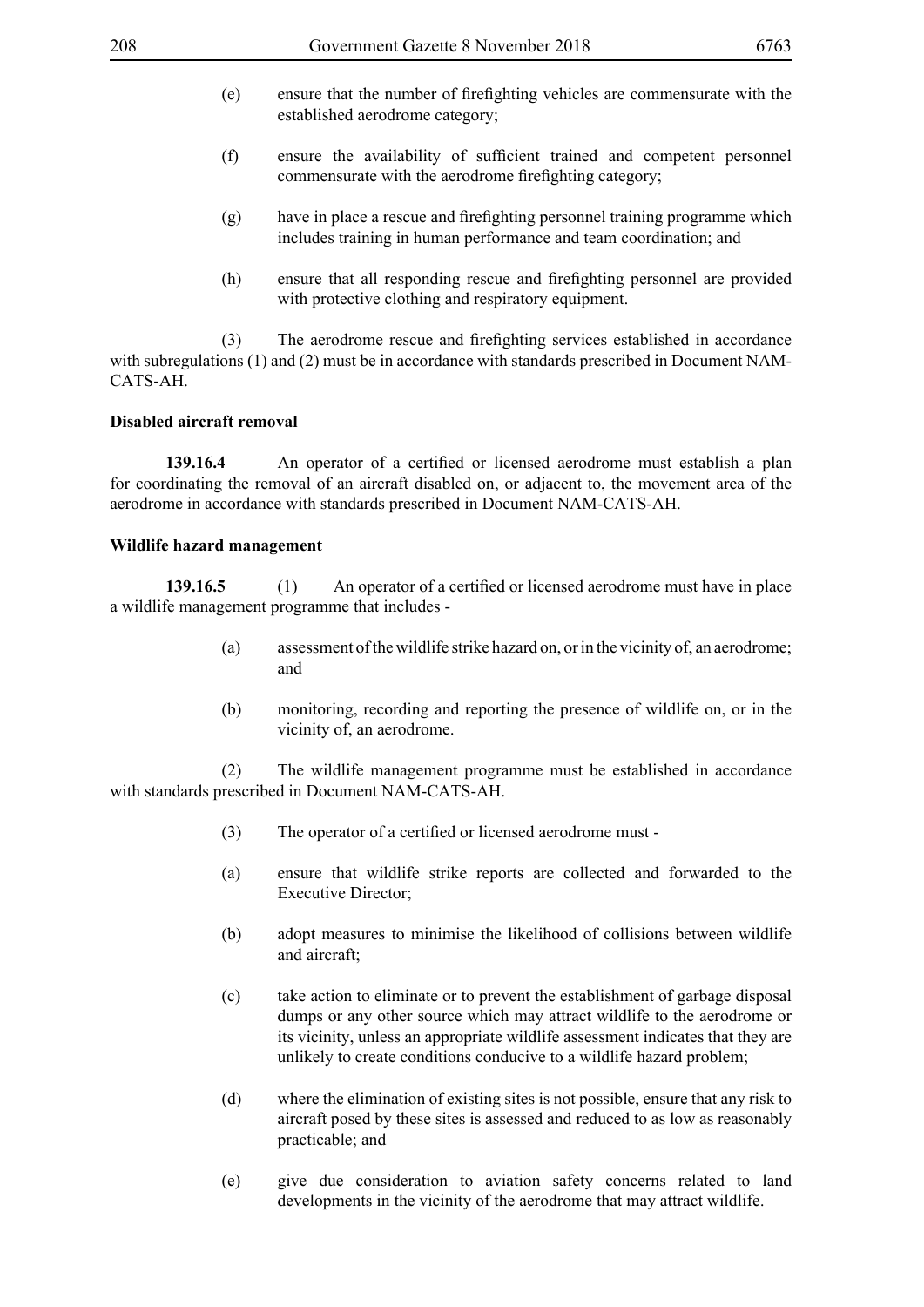- (e) ensure that the number of firefighting vehicles are commensurate with the established aerodrome category;
- (f) ensure the availability of sufficient trained and competent personnel commensurate with the aerodrome firefighting category;
- (g) have in place a rescue and firefighting personnel training programme which includes training in human performance and team coordination; and
- (h) ensure that all responding rescue and firefighting personnel are provided with protective clothing and respiratory equipment.

(3) The aerodrome rescue and firefighting services established in accordance with subregulations (1) and (2) must be in accordance with standards prescribed in Document NAM-CATS-AH.

### **Disabled aircraft removal**

**139.16.4** An operator of a certified or licensed aerodrome must establish a plan for coordinating the removal of an aircraft disabled on, or adjacent to, the movement area of the aerodrome in accordance with standards prescribed in Document NAM-CATS-AH.

### **Wildlife hazard management**

**139.16.5** (1) An operator of a certified or licensed aerodrome must have in place a wildlife management programme that includes -

- (a) assessment of the wildlife strike hazard on, or in the vicinity of, an aerodrome; and
- (b) monitoring, recording and reporting the presence of wildlife on, or in the vicinity of, an aerodrome.

 (2) The wildlife management programme must be established in accordance with standards prescribed in Document NAM-CATS-AH.

- (3) The operator of a certified or licensed aerodrome must -
- (a) ensure that wildlife strike reports are collected and forwarded to the Executive Director;
- (b) adopt measures to minimise the likelihood of collisions between wildlife and aircraft;
- (c) take action to eliminate or to prevent the establishment of garbage disposal dumps or any other source which may attract wildlife to the aerodrome or its vicinity, unless an appropriate wildlife assessment indicates that they are unlikely to create conditions conducive to a wildlife hazard problem;
- (d) where the elimination of existing sites is not possible, ensure that any risk to aircraft posed by these sites is assessed and reduced to as low as reasonably practicable; and
- (e) give due consideration to aviation safety concerns related to land developments in the vicinity of the aerodrome that may attract wildlife.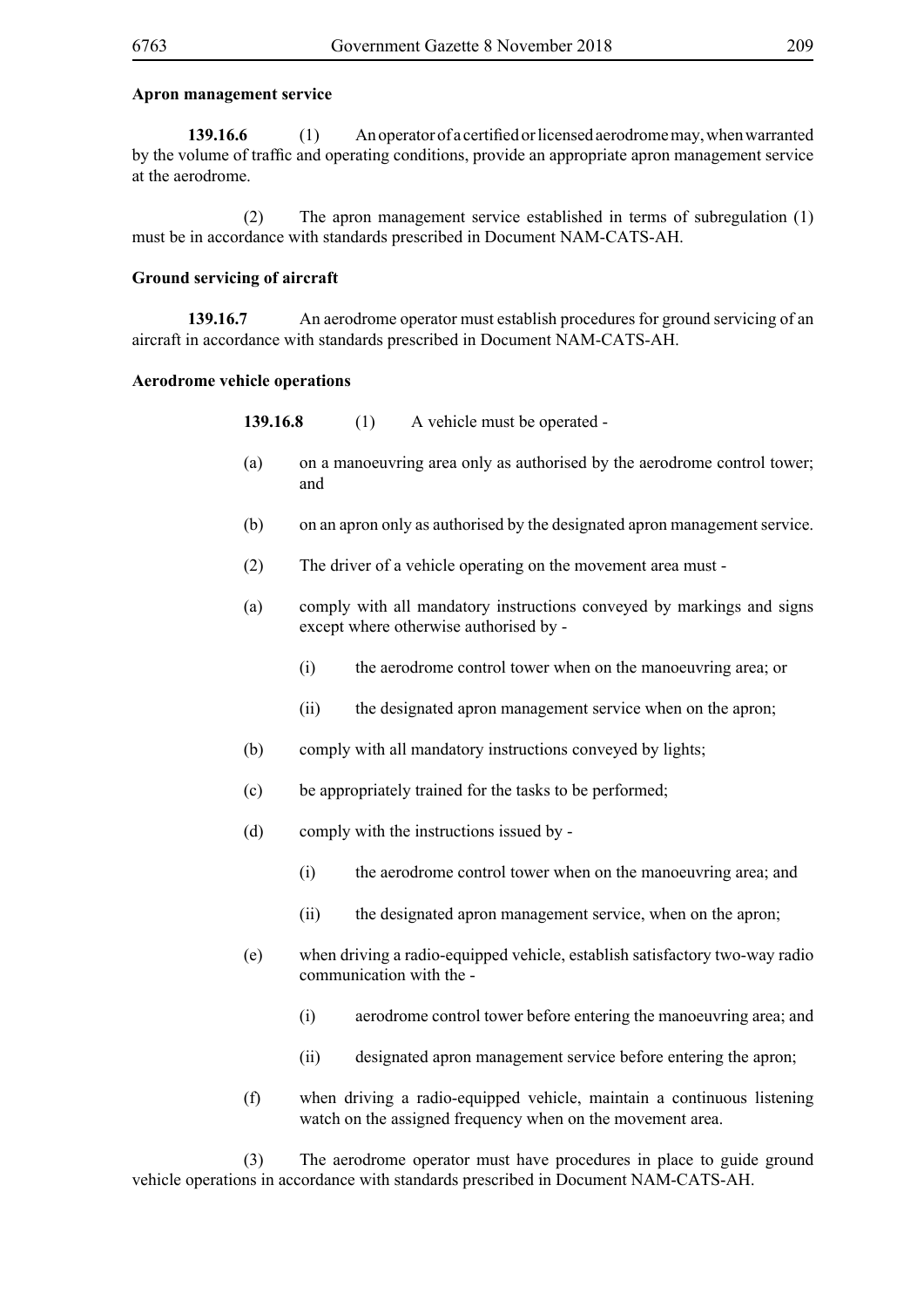#### **Apron management service**

**139.16.6** (1) An operator of a certified or licensed aerodrome may, when warranted by the volume of traffic and operating conditions, provide an appropriate apron management service at the aerodrome.

 (2) The apron management service established in terms of subregulation (1) must be in accordance with standards prescribed in Document NAM-CATS-AH.

#### **Ground servicing of aircraft**

**139.16.7** An aerodrome operator must establish procedures for ground servicing of an aircraft in accordance with standards prescribed in Document NAM-CATS-AH.

### **Aerodrome vehicle operations**

**139.16.8** (1) A vehicle must be operated -

- (a) on a manoeuvring area only as authorised by the aerodrome control tower; and
- (b) on an apron only as authorised by the designated apron management service.
- (2) The driver of a vehicle operating on the movement area must -
- (a) comply with all mandatory instructions conveyed by markings and signs except where otherwise authorised by -
	- (i) the aerodrome control tower when on the manoeuvring area; or
	- (ii) the designated apron management service when on the apron;
- (b) comply with all mandatory instructions conveyed by lights;
- (c) be appropriately trained for the tasks to be performed;
- (d) comply with the instructions issued by
	- (i) the aerodrome control tower when on the manoeuvring area; and
	- (ii) the designated apron management service, when on the apron;
- (e) when driving a radio-equipped vehicle, establish satisfactory two-way radio communication with the -
	- (i) aerodrome control tower before entering the manoeuvring area; and
	- (ii) designated apron management service before entering the apron;
- (f) when driving a radio-equipped vehicle, maintain a continuous listening watch on the assigned frequency when on the movement area.

 (3) The aerodrome operator must have procedures in place to guide ground vehicle operations in accordance with standards prescribed in Document NAM-CATS-AH.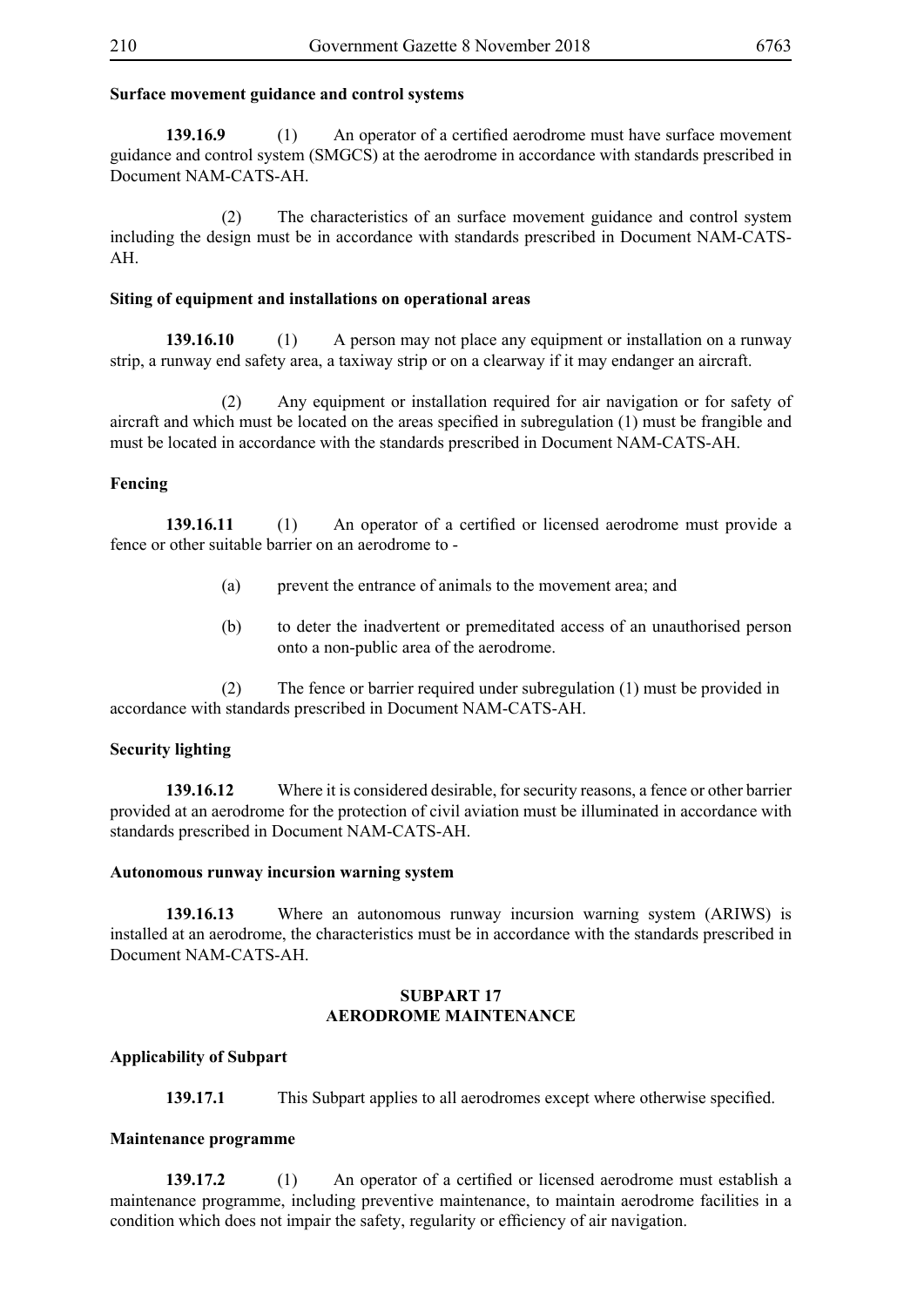## **Surface movement guidance and control systems**

**139.16.9** (1) An operator of a certified aerodrome must have surface movement guidance and control system (SMGCS) at the aerodrome in accordance with standards prescribed in Document NAM-CATS-AH.

 (2) The characteristics of an surface movement guidance and control system including the design must be in accordance with standards prescribed in Document NAM-CATS-AH.

## **Siting of equipment and installations on operational areas**

**139.16.10** (1) A person may not place any equipment or installation on a runway strip, a runway end safety area, a taxiway strip or on a clearway if it may endanger an aircraft.

 (2) Any equipment or installation required for air navigation or for safety of aircraft and which must be located on the areas specified in subregulation (1) must be frangible and must be located in accordance with the standards prescribed in Document NAM-CATS-AH.

# **Fencing**

**139.16.11** (1) An operator of a certified or licensed aerodrome must provide a fence or other suitable barrier on an aerodrome to -

- (a) prevent the entrance of animals to the movement area; and
- (b) to deter the inadvertent or premeditated access of an unauthorised person onto a non-public area of the aerodrome.

 (2) The fence or barrier required under subregulation (1) must be provided in accordance with standards prescribed in Document NAM-CATS-AH.

# **Security lighting**

**139.16.12** Where it is considered desirable, for security reasons, a fence or other barrier provided at an aerodrome for the protection of civil aviation must be illuminated in accordance with standards prescribed in Document NAM-CATS-AH.

### **Autonomous runway incursion warning system**

**139.16.13** Where an autonomous runway incursion warning system (ARIWS) is installed at an aerodrome, the characteristics must be in accordance with the standards prescribed in Document NAM-CATS-AH.

# **SUBPART 17 AERODROME MAINTENANCE**

# **Applicability of Subpart**

**139.17.1** This Subpart applies to all aerodromes except where otherwise specified.

### **Maintenance programme**

**139.17.2** (1) An operator of a certified or licensed aerodrome must establish a maintenance programme, including preventive maintenance, to maintain aerodrome facilities in a condition which does not impair the safety, regularity or efficiency of air navigation.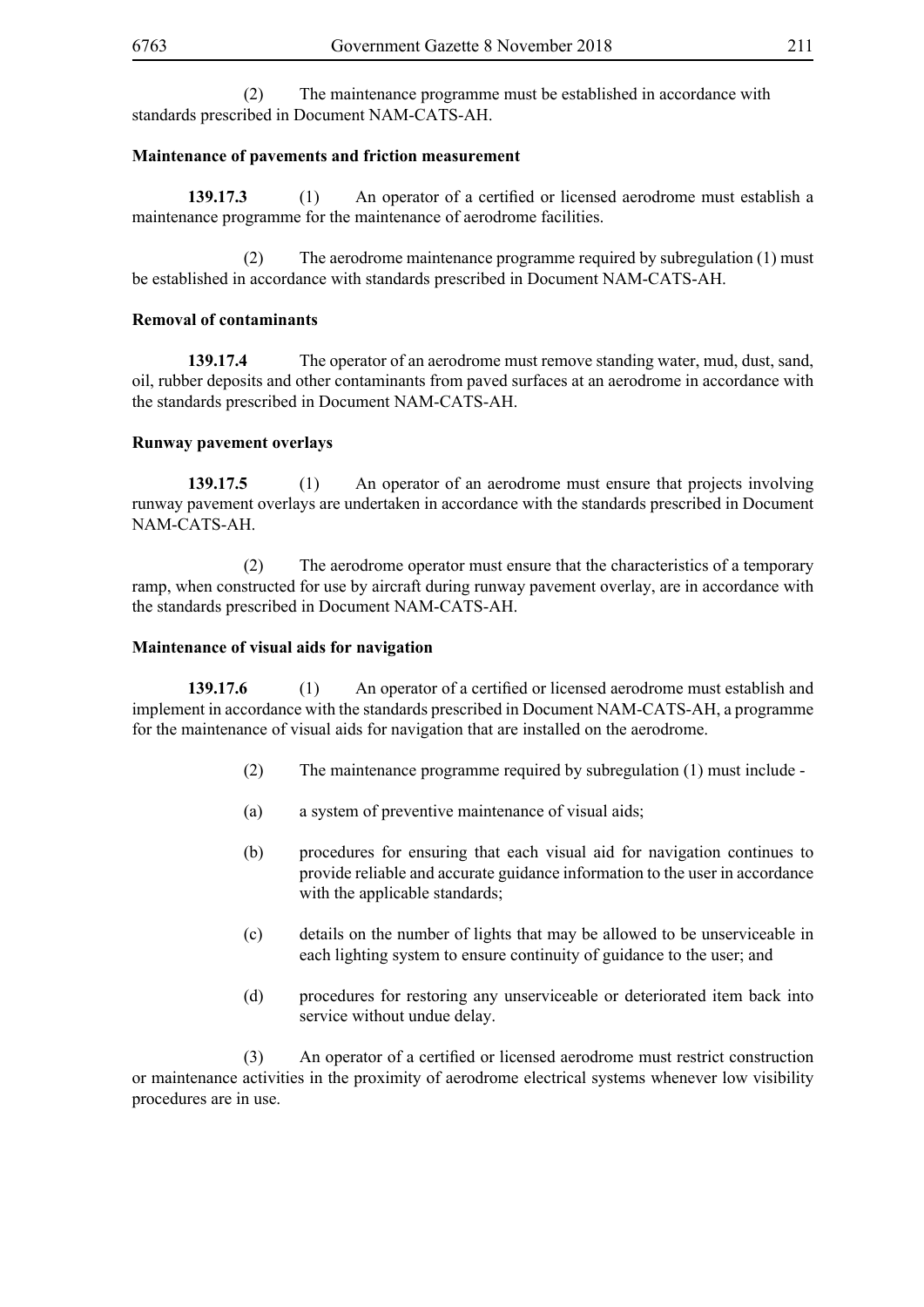(2) The maintenance programme must be established in accordance with standards prescribed in Document NAM-CATS-AH.

# **Maintenance of pavements and friction measurement**

**139.17.3** (1) An operator of a certified or licensed aerodrome must establish a maintenance programme for the maintenance of aerodrome facilities.

 (2) The aerodrome maintenance programme required by subregulation (1) must be established in accordance with standards prescribed in Document NAM-CATS-AH.

# **Removal of contaminants**

**139.17.4** The operator of an aerodrome must remove standing water, mud, dust, sand, oil, rubber deposits and other contaminants from paved surfaces at an aerodrome in accordance with the standards prescribed in Document NAM-CATS-AH.

# **Runway pavement overlays**

**139.17.5** (1) An operator of an aerodrome must ensure that projects involving runway pavement overlays are undertaken in accordance with the standards prescribed in Document NAM-CATS-AH.

 (2) The aerodrome operator must ensure that the characteristics of a temporary ramp, when constructed for use by aircraft during runway pavement overlay, are in accordance with the standards prescribed in Document NAM-CATS-AH.

# **Maintenance of visual aids for navigation**

**139.17.6** (1) An operator of a certified or licensed aerodrome must establish and implement in accordance with the standards prescribed in Document NAM-CATS-AH, a programme for the maintenance of visual aids for navigation that are installed on the aerodrome.

- (2) The maintenance programme required by subregulation (1) must include -
- (a) a system of preventive maintenance of visual aids;
- (b) procedures for ensuring that each visual aid for navigation continues to provide reliable and accurate guidance information to the user in accordance with the applicable standards:
- (c) details on the number of lights that may be allowed to be unserviceable in each lighting system to ensure continuity of guidance to the user; and
- (d) procedures for restoring any unserviceable or deteriorated item back into service without undue delay.

(3) An operator of a certified or licensed aerodrome must restrict construction or maintenance activities in the proximity of aerodrome electrical systems whenever low visibility procedures are in use.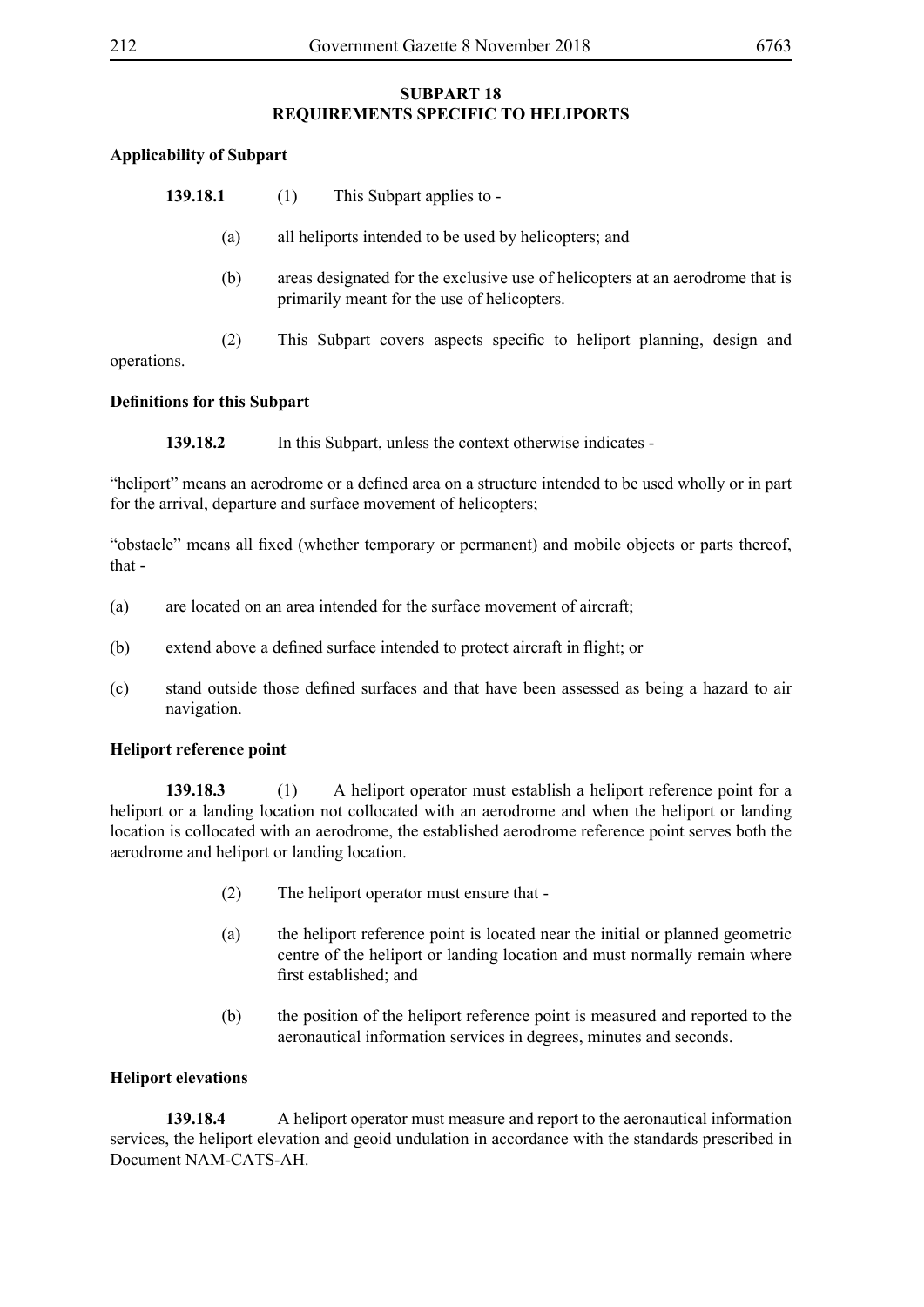# **SUBPART 18 REQUIREMENTS SPECIFIC TO HELIPORTS**

# **Applicability of Subpart**

| 139.18.1                            |     | This Subpart applies to -<br>(1)                                                                                             |
|-------------------------------------|-----|------------------------------------------------------------------------------------------------------------------------------|
|                                     | (a) | all heliports intended to be used by helicopters; and                                                                        |
|                                     | (b) | areas designated for the exclusive use of helicopters at an aerodrome that is<br>primarily meant for the use of helicopters. |
| operations.                         | (2) | This Subpart covers aspects specific to heliport planning, design and                                                        |
| <b>Definitions for this Subpart</b> |     |                                                                                                                              |
| 139.18.2                            |     | In this Subpart, unless the context otherwise indicates -                                                                    |

"heliport" means an aerodrome or a defined area on a structure intended to be used wholly or in part for the arrival, departure and surface movement of helicopters;

"obstacle" means all fixed (whether temporary or permanent) and mobile objects or parts thereof, that -

- (a) are located on an area intended for the surface movement of aircraft;
- (b) extend above a defined surface intended to protect aircraft in flight; or
- (c) stand outside those defined surfaces and that have been assessed as being a hazard to air navigation.

# **Heliport reference point**

**139.18.3** (1) A heliport operator must establish a heliport reference point for a heliport or a landing location not collocated with an aerodrome and when the heliport or landing location is collocated with an aerodrome, the established aerodrome reference point serves both the aerodrome and heliport or landing location.

- (2) The heliport operator must ensure that -
- (a) the heliport reference point is located near the initial or planned geometric centre of the heliport or landing location and must normally remain where first established; and
- (b) the position of the heliport reference point is measured and reported to the aeronautical information services in degrees, minutes and seconds.

# **Heliport elevations**

**139.18.4** A heliport operator must measure and report to the aeronautical information services, the heliport elevation and geoid undulation in accordance with the standards prescribed in Document NAM-CATS-AH.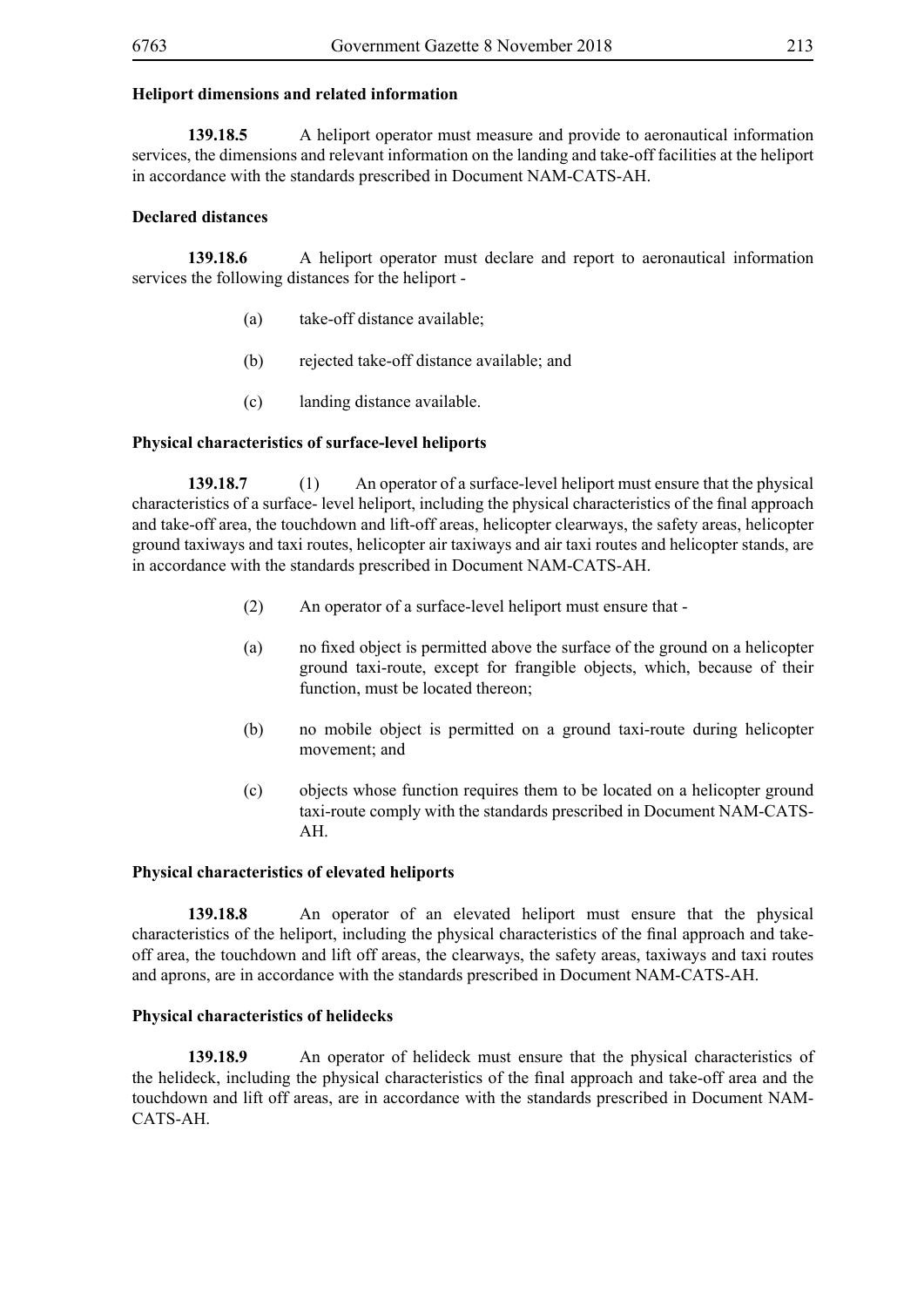# **Heliport dimensions and related information**

**139.18.5** A heliport operator must measure and provide to aeronautical information services, the dimensions and relevant information on the landing and take-off facilities at the heliport in accordance with the standards prescribed in Document NAM-CATS-AH.

# **Declared distances**

**139.18.6** A heliport operator must declare and report to aeronautical information services the following distances for the heliport -

- (a) take-off distance available;
- (b) rejected take-off distance available; and
- (c) landing distance available.

### **Physical characteristics of surface-level heliports**

**139.18.7** (1) An operator of a surface-level heliport must ensure that the physical characteristics of a surface- level heliport, including the physical characteristics of the final approach and take-off area, the touchdown and lift-off areas, helicopter clearways, the safety areas, helicopter ground taxiways and taxi routes, helicopter air taxiways and air taxi routes and helicopter stands, are in accordance with the standards prescribed in Document NAM-CATS-AH.

- (2) An operator of a surface-level heliport must ensure that -
- (a) no fixed object is permitted above the surface of the ground on a helicopter ground taxi-route, except for frangible objects, which, because of their function, must be located thereon;
- (b) no mobile object is permitted on a ground taxi-route during helicopter movement; and
- (c) objects whose function requires them to be located on a helicopter ground taxi-route comply with the standards prescribed in Document NAM-CATS-AH.

### **Physical characteristics of elevated heliports**

**139.18.8** An operator of an elevated heliport must ensure that the physical characteristics of the heliport, including the physical characteristics of the final approach and takeoff area, the touchdown and lift off areas, the clearways, the safety areas, taxiways and taxi routes and aprons, are in accordance with the standards prescribed in Document NAM-CATS-AH.

## **Physical characteristics of helidecks**

**139.18.9** An operator of helideck must ensure that the physical characteristics of the helideck, including the physical characteristics of the final approach and take-off area and the touchdown and lift off areas, are in accordance with the standards prescribed in Document NAM-CATS-AH.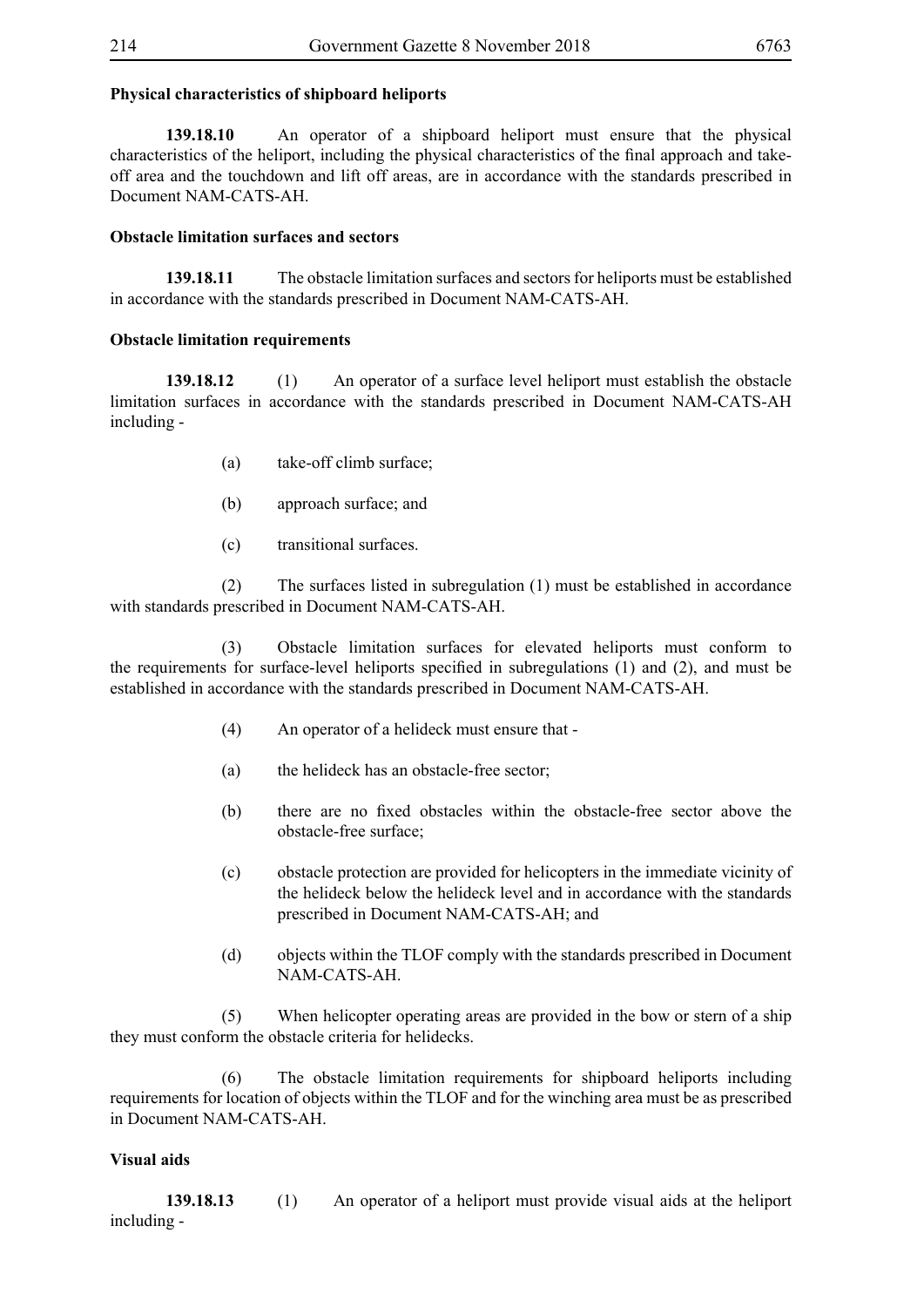# **Physical characteristics of shipboard heliports**

**139.18.10** An operator of a shipboard heliport must ensure that the physical characteristics of the heliport, including the physical characteristics of the final approach and takeoff area and the touchdown and lift off areas, are in accordance with the standards prescribed in Document NAM-CATS-AH.

# **Obstacle limitation surfaces and sectors**

**139.18.11** The obstacle limitation surfaces and sectors for heliports must be established in accordance with the standards prescribed in Document NAM-CATS-AH.

# **Obstacle limitation requirements**

**139.18.12** (1) An operator of a surface level heliport must establish the obstacle limitation surfaces in accordance with the standards prescribed in Document NAM-CATS-AH including -

- (a) take-off climb surface;
- (b) approach surface; and
- (c) transitional surfaces.

 (2) The surfaces listed in subregulation (1) must be established in accordance with standards prescribed in Document NAM-CATS-AH.

 (3) Obstacle limitation surfaces for elevated heliports must conform to the requirements for surface-level heliports specified in subregulations (1) and (2), and must be established in accordance with the standards prescribed in Document NAM-CATS-AH.

- (4) An operator of a helideck must ensure that -
- (a) the helideck has an obstacle-free sector;
- (b) there are no fixed obstacles within the obstacle-free sector above the obstacle-free surface;
- (c) obstacle protection are provided for helicopters in the immediate vicinity of the helideck below the helideck level and in accordance with the standards prescribed in Document NAM-CATS-AH; and
- (d) objects within the TLOF comply with the standards prescribed in Document NAM-CATS-AH.

 (5) When helicopter operating areas are provided in the bow or stern of a ship they must conform the obstacle criteria for helidecks.

 (6) The obstacle limitation requirements for shipboard heliports including requirements for location of objects within the TLOF and for the winching area must be as prescribed in Document NAM-CATS-AH.

# **Visual aids**

**139.18.13** (1) An operator of a heliport must provide visual aids at the heliport including -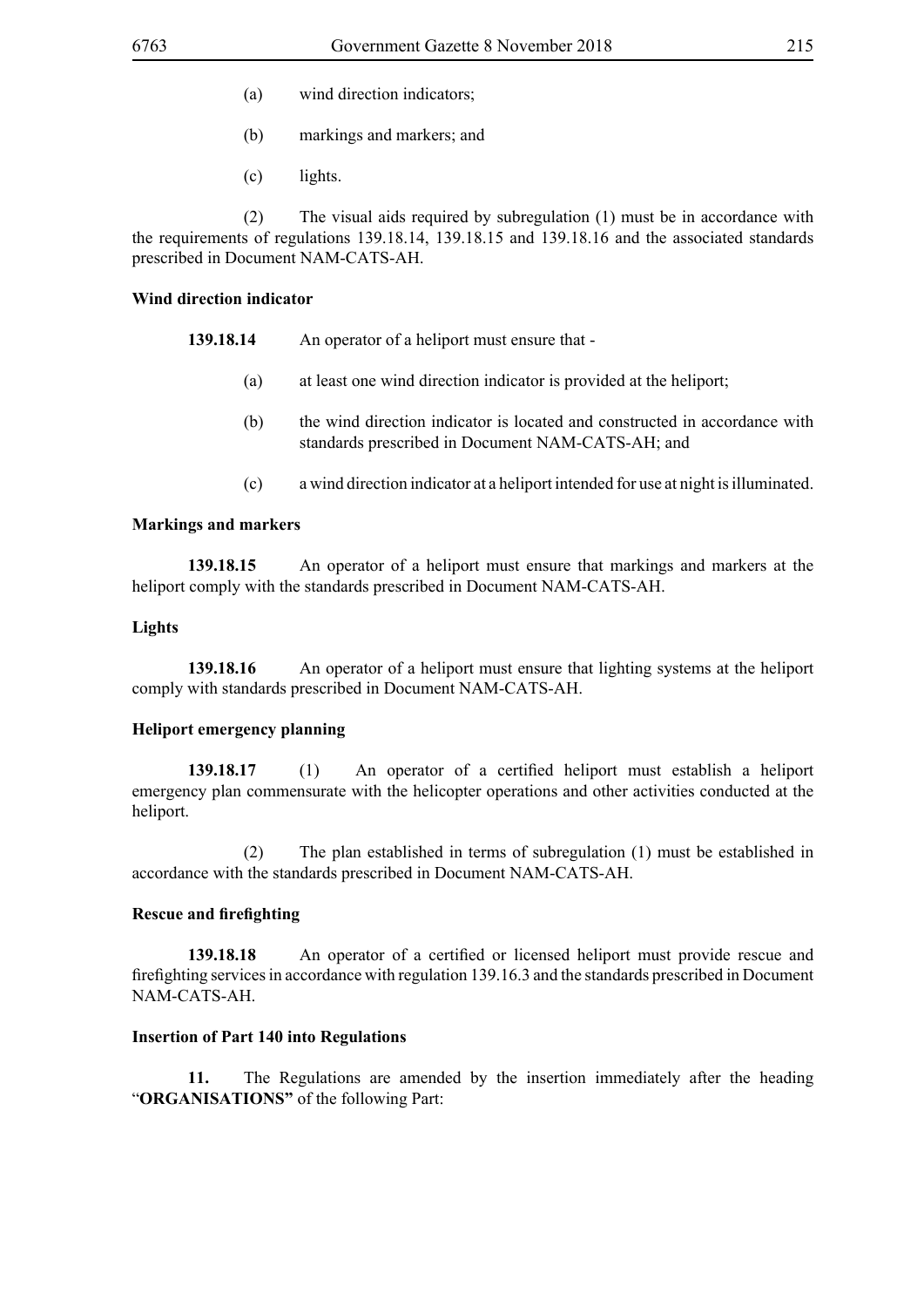- (a) wind direction indicators;
- (b) markings and markers; and
- (c) lights.

 (2) The visual aids required by subregulation (1) must be in accordance with the requirements of regulations 139.18.14, 139.18.15 and 139.18.16 and the associated standards prescribed in Document NAM-CATS-AH.

### **Wind direction indicator**

- **139.18.14** An operator of a heliport must ensure that
	- (a) at least one wind direction indicator is provided at the heliport;
	- (b) the wind direction indicator is located and constructed in accordance with standards prescribed in Document NAM-CATS-AH; and
	- (c) a wind direction indicator at a heliport intended for use at night is illuminated.

### **Markings and markers**

**139.18.15** An operator of a heliport must ensure that markings and markers at the heliport comply with the standards prescribed in Document NAM-CATS-AH.

# **Lights**

**139.18.16** An operator of a heliport must ensure that lighting systems at the heliport comply with standards prescribed in Document NAM-CATS-AH.

### **Heliport emergency planning**

**139.18.17** (1) An operator of a certified heliport must establish a heliport emergency plan commensurate with the helicopter operations and other activities conducted at the heliport.

 (2) The plan established in terms of subregulation (1) must be established in accordance with the standards prescribed in Document NAM-CATS-AH.

### **Rescue and firefighting**

**139.18.18** An operator of a certified or licensed heliport must provide rescue and firefighting services in accordance with regulation 139.16.3 and the standards prescribed in Document NAM-CATS-AH.

### **Insertion of Part 140 into Regulations**

**11.** The Regulations are amended by the insertion immediately after the heading "**ORGANISATIONS"** of the following Part: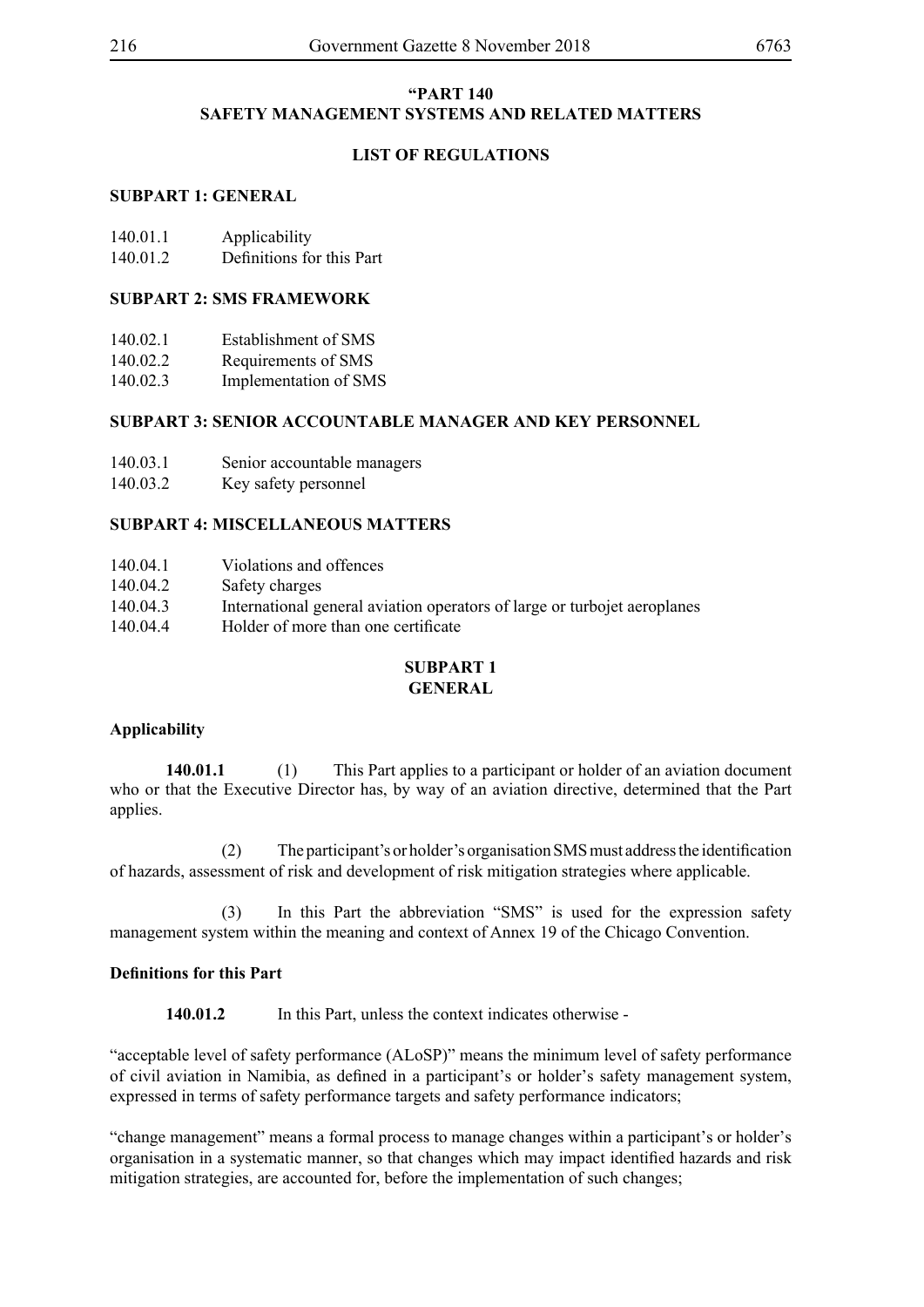# **"PART 140 SAFETY MANAGEMENT SYSTEMS AND RELATED MATTERS**

# **LIST OF REGULATIONS**

# **SUBPART 1: GENERAL**

| 140.01.1 | Applicability             |
|----------|---------------------------|
| 140.01.2 | Definitions for this Part |

## **SUBPART 2: SMS FRAMEWORK**

- 140.02.2 Requirements of SMS
- 140.02.3 Implementation of SMS

# **SUBPART 3: SENIOR ACCOUNTABLE MANAGER AND KEY PERSONNEL**

- 140.03.1 Senior accountable managers
- 140.03.2 Key safety personnel

# **SUBPART 4: MISCELLANEOUS MATTERS**

- 140.04.2 Safety charges
- 140.04.3 International general aviation operators of large or turbojet aeroplanes
- 140.04.4 Holder of more than one certificate

#### **SUBPART 1 GENERAL**

# **Applicability**

**140.01.1** (1) This Part applies to a participant or holder of an aviation document who or that the Executive Director has, by way of an aviation directive, determined that the Part applies.

(2) The participant's or holder's organisation SMS must address the identification of hazards, assessment of risk and development of risk mitigation strategies where applicable.

 (3) In this Part the abbreviation "SMS" is used for the expression safety management system within the meaning and context of Annex 19 of the Chicago Convention.

# **Definitions for this Part**

140.01.2 In this Part, unless the context indicates otherwise -

"acceptable level of safety performance (ALoSP)" means the minimum level of safety performance of civil aviation in Namibia, as defined in a participant's or holder's safety management system, expressed in terms of safety performance targets and safety performance indicators;

"change management" means a formal process to manage changes within a participant's or holder's organisation in a systematic manner, so that changes which may impact identified hazards and risk mitigation strategies, are accounted for, before the implementation of such changes;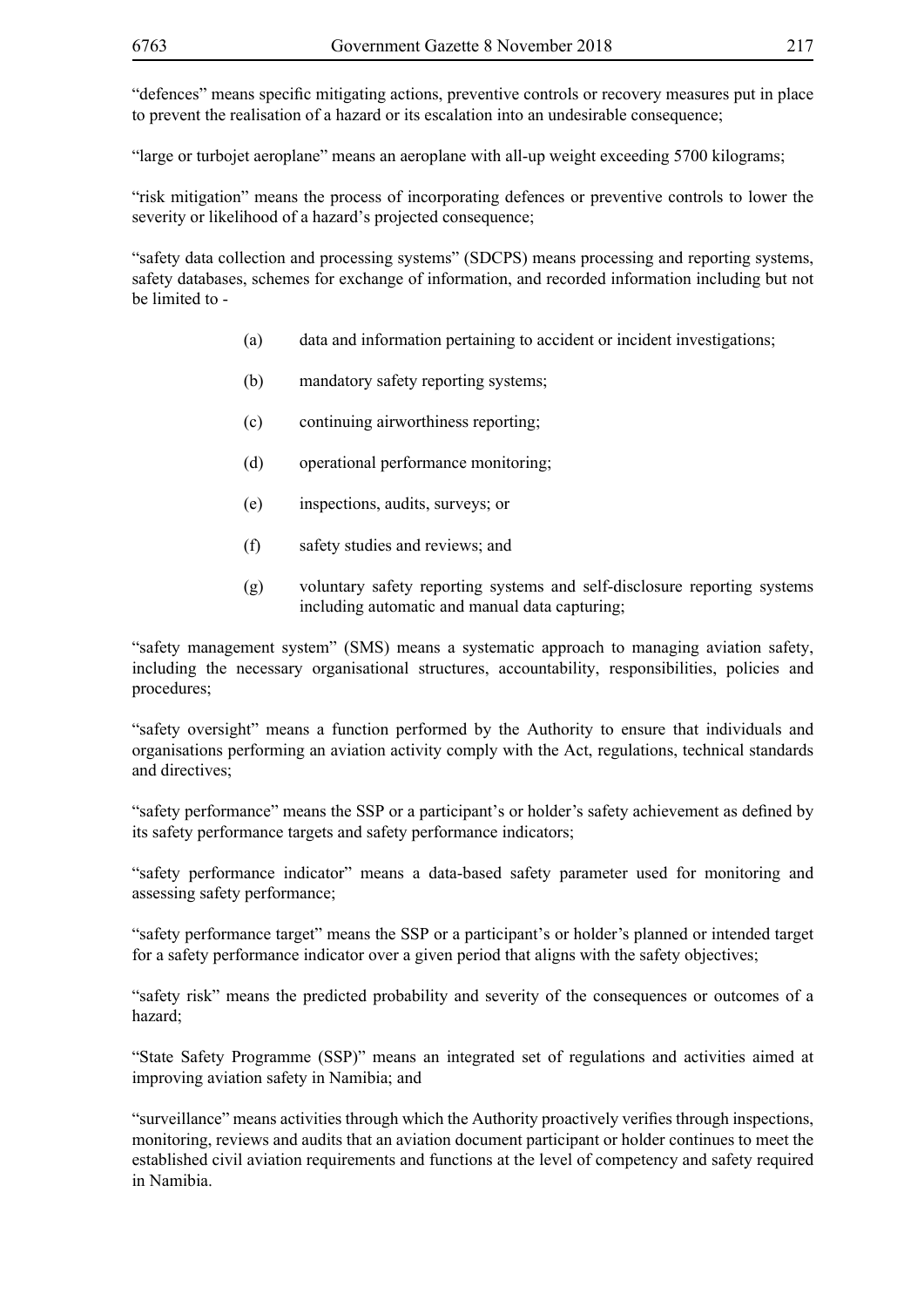"defences" means specific mitigating actions, preventive controls or recovery measures put in place to prevent the realisation of a hazard or its escalation into an undesirable consequence;

"large or turbojet aeroplane" means an aeroplane with all-up weight exceeding 5700 kilograms;

"risk mitigation" means the process of incorporating defences or preventive controls to lower the severity or likelihood of a hazard's projected consequence;

"safety data collection and processing systems" (SDCPS) means processing and reporting systems, safety databases, schemes for exchange of information, and recorded information including but not be limited to -

- (a) data and information pertaining to accident or incident investigations;
- (b) mandatory safety reporting systems;
- (c) continuing airworthiness reporting;
- (d) operational performance monitoring;
- (e) inspections, audits, surveys; or
- (f) safety studies and reviews; and
- (g) voluntary safety reporting systems and self-disclosure reporting systems including automatic and manual data capturing;

"safety management system" (SMS) means a systematic approach to managing aviation safety, including the necessary organisational structures, accountability, responsibilities, policies and procedures;

"safety oversight" means a function performed by the Authority to ensure that individuals and organisations performing an aviation activity comply with the Act, regulations, technical standards and directives;

"safety performance" means the SSP or a participant's or holder's safety achievement as defined by its safety performance targets and safety performance indicators;

"safety performance indicator" means a data-based safety parameter used for monitoring and assessing safety performance;

"safety performance target" means the SSP or a participant's or holder's planned or intended target for a safety performance indicator over a given period that aligns with the safety objectives;

"safety risk" means the predicted probability and severity of the consequences or outcomes of a hazard;

"State Safety Programme (SSP)" means an integrated set of regulations and activities aimed at improving aviation safety in Namibia; and

"surveillance" means activities through which the Authority proactively verifies through inspections, monitoring, reviews and audits that an aviation document participant or holder continues to meet the established civil aviation requirements and functions at the level of competency and safety required in Namibia.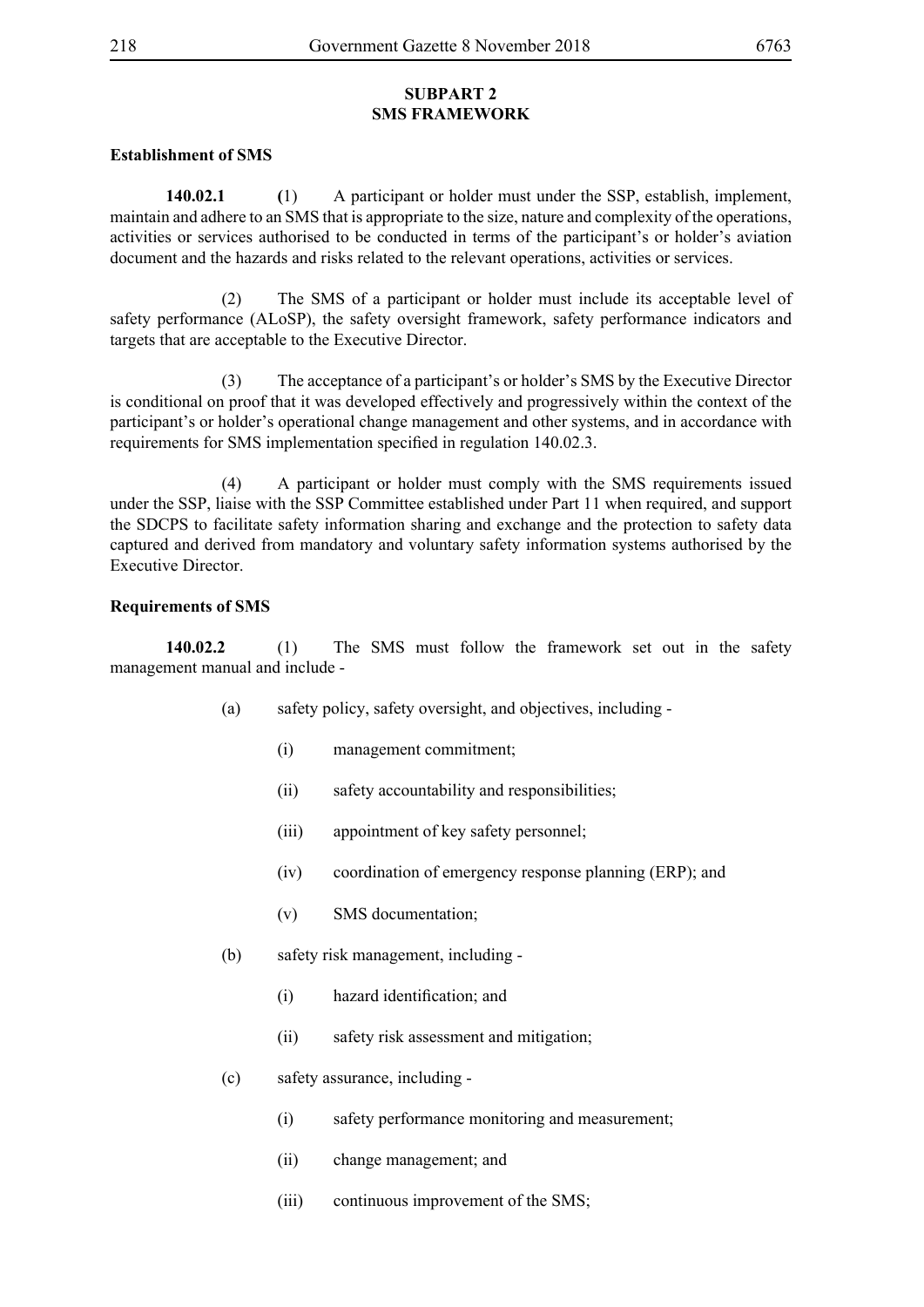# **SUBPART 2 SMS FRAMEWORK**

## **Establishment of SMS**

**140.02.1 (**1) A participant or holder must under the SSP, establish, implement, maintain and adhere to an SMS that is appropriate to the size, nature and complexity of the operations, activities or services authorised to be conducted in terms of the participant's or holder's aviation document and the hazards and risks related to the relevant operations, activities or services.

 (2) The SMS of a participant or holder must include its acceptable level of safety performance (ALoSP), the safety oversight framework, safety performance indicators and targets that are acceptable to the Executive Director.

 (3) The acceptance of a participant's or holder's SMS by the Executive Director is conditional on proof that it was developed effectively and progressively within the context of the participant's or holder's operational change management and other systems, and in accordance with requirements for SMS implementation specified in regulation 140.02.3.

 (4) A participant or holder must comply with the SMS requirements issued under the SSP, liaise with the SSP Committee established under Part 11 when required, and support the SDCPS to facilitate safety information sharing and exchange and the protection to safety data captured and derived from mandatory and voluntary safety information systems authorised by the Executive Director.

## **Requirements of SMS**

**140.02.2** (1) The SMS must follow the framework set out in the safety management manual and include -

- (a) safety policy, safety oversight, and objectives, including
	- (i) management commitment;
	- (ii) safety accountability and responsibilities;
	- (iii) appointment of key safety personnel;
	- (iv) coordination of emergency response planning (ERP); and
	- (v) SMS documentation;
- (b) safety risk management, including
	- (i) hazard identification; and
	- (ii) safety risk assessment and mitigation;
- (c) safety assurance, including
	- (i) safety performance monitoring and measurement;
	- (ii) change management; and
	- (iii) continuous improvement of the SMS;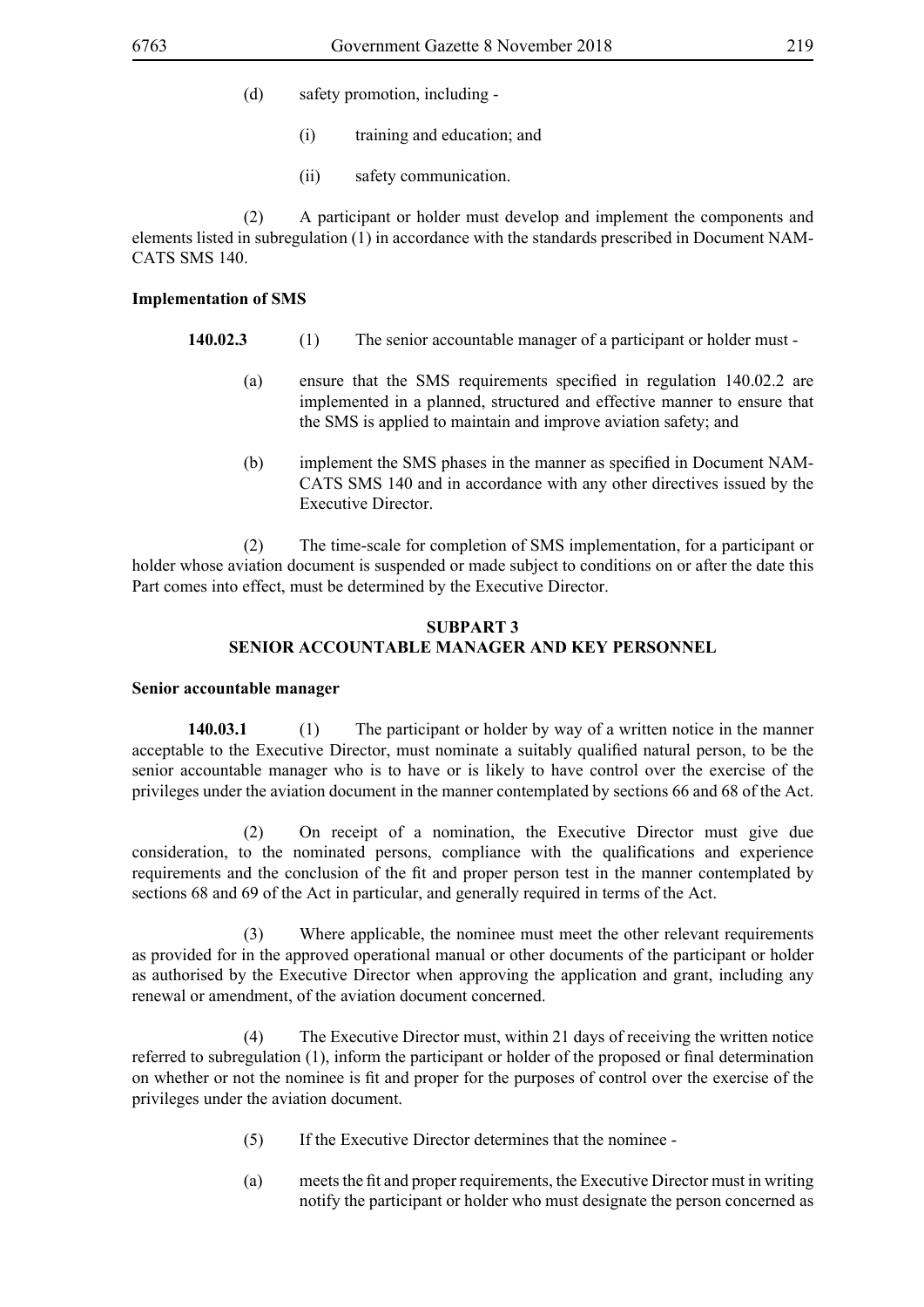- (d) safety promotion, including
	- (i) training and education; and
	- (ii) safety communication.

 (2) A participant or holder must develop and implement the components and elements listed in subregulation (1) in accordance with the standards prescribed in Document NAM-CATS SMS 140.

## **Implementation of SMS**

- **140.02.3** (1) The senior accountable manager of a participant or holder must
	- (a) ensure that the SMS requirements specified in regulation 140.02.2 are implemented in a planned, structured and effective manner to ensure that the SMS is applied to maintain and improve aviation safety; and
	- (b) implement the SMS phases in the manner as specified in Document NAM-CATS SMS 140 and in accordance with any other directives issued by the Executive Director.

 (2) The time-scale for completion of SMS implementation, for a participant or holder whose aviation document is suspended or made subject to conditions on or after the date this Part comes into effect, must be determined by the Executive Director.

# **SUBPART 3 SENIOR ACCOUNTABLE MANAGER AND KEY PERSONNEL**

## **Senior accountable manager**

**140.03.1** (1) The participant or holder by way of a written notice in the manner acceptable to the Executive Director, must nominate a suitably qualified natural person, to be the senior accountable manager who is to have or is likely to have control over the exercise of the privileges under the aviation document in the manner contemplated by sections 66 and 68 of the Act.

 (2) On receipt of a nomination, the Executive Director must give due consideration, to the nominated persons, compliance with the qualifications and experience requirements and the conclusion of the fit and proper person test in the manner contemplated by sections 68 and 69 of the Act in particular, and generally required in terms of the Act.

Where applicable, the nominee must meet the other relevant requirements as provided for in the approved operational manual or other documents of the participant or holder as authorised by the Executive Director when approving the application and grant, including any renewal or amendment, of the aviation document concerned.

 (4) The Executive Director must, within 21 days of receiving the written notice referred to subregulation (1), inform the participant or holder of the proposed or final determination on whether or not the nominee is fit and proper for the purposes of control over the exercise of the privileges under the aviation document.

- (5) If the Executive Director determines that the nominee -
- (a) meets the fit and proper requirements, the Executive Director must in writing notify the participant or holder who must designate the person concerned as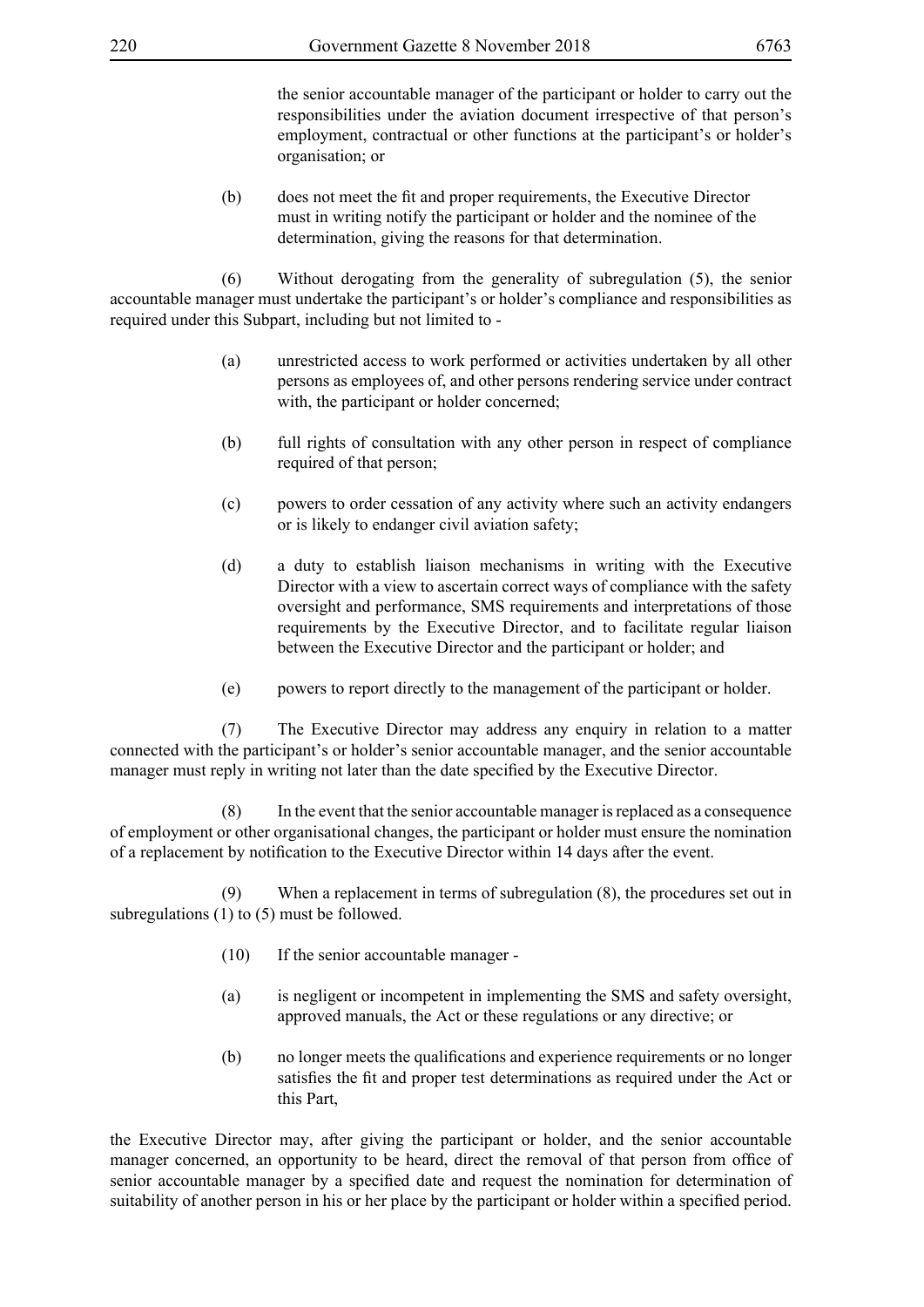the senior accountable manager of the participant or holder to carry out the responsibilities under the aviation document irrespective of that person's employment, contractual or other functions at the participant's or holder's organisation; or

(b) does not meet the fit and proper requirements, the Executive Director must in writing notify the participant or holder and the nominee of the determination, giving the reasons for that determination.

 (6) Without derogating from the generality of subregulation (5), the senior accountable manager must undertake the participant's or holder's compliance and responsibilities as required under this Subpart, including but not limited to -

- (a) unrestricted access to work performed or activities undertaken by all other persons as employees of, and other persons rendering service under contract with, the participant or holder concerned;
- (b) full rights of consultation with any other person in respect of compliance required of that person;
- (c) powers to order cessation of any activity where such an activity endangers or is likely to endanger civil aviation safety;
- (d) a duty to establish liaison mechanisms in writing with the Executive Director with a view to ascertain correct ways of compliance with the safety oversight and performance, SMS requirements and interpretations of those requirements by the Executive Director, and to facilitate regular liaison between the Executive Director and the participant or holder; and
- (e) powers to report directly to the management of the participant or holder.

 (7) The Executive Director may address any enquiry in relation to a matter connected with the participant's or holder's senior accountable manager, and the senior accountable manager must reply in writing not later than the date specified by the Executive Director.

 (8) In the event that the senior accountable manager is replaced as a consequence of employment or other organisational changes, the participant or holder must ensure the nomination of a replacement by notification to the Executive Director within 14 days after the event.

 (9) When a replacement in terms of subregulation (8), the procedures set out in subregulations (1) to (5) must be followed.

- (10) If the senior accountable manager -
- (a) is negligent or incompetent in implementing the SMS and safety oversight, approved manuals, the Act or these regulations or any directive; or
- (b) no longer meets the qualifications and experience requirements or no longer satisfies the fit and proper test determinations as required under the Act or this Part,

the Executive Director may, after giving the participant or holder, and the senior accountable manager concerned, an opportunity to be heard, direct the removal of that person from office of senior accountable manager by a specified date and request the nomination for determination of suitability of another person in his or her place by the participant or holder within a specified period.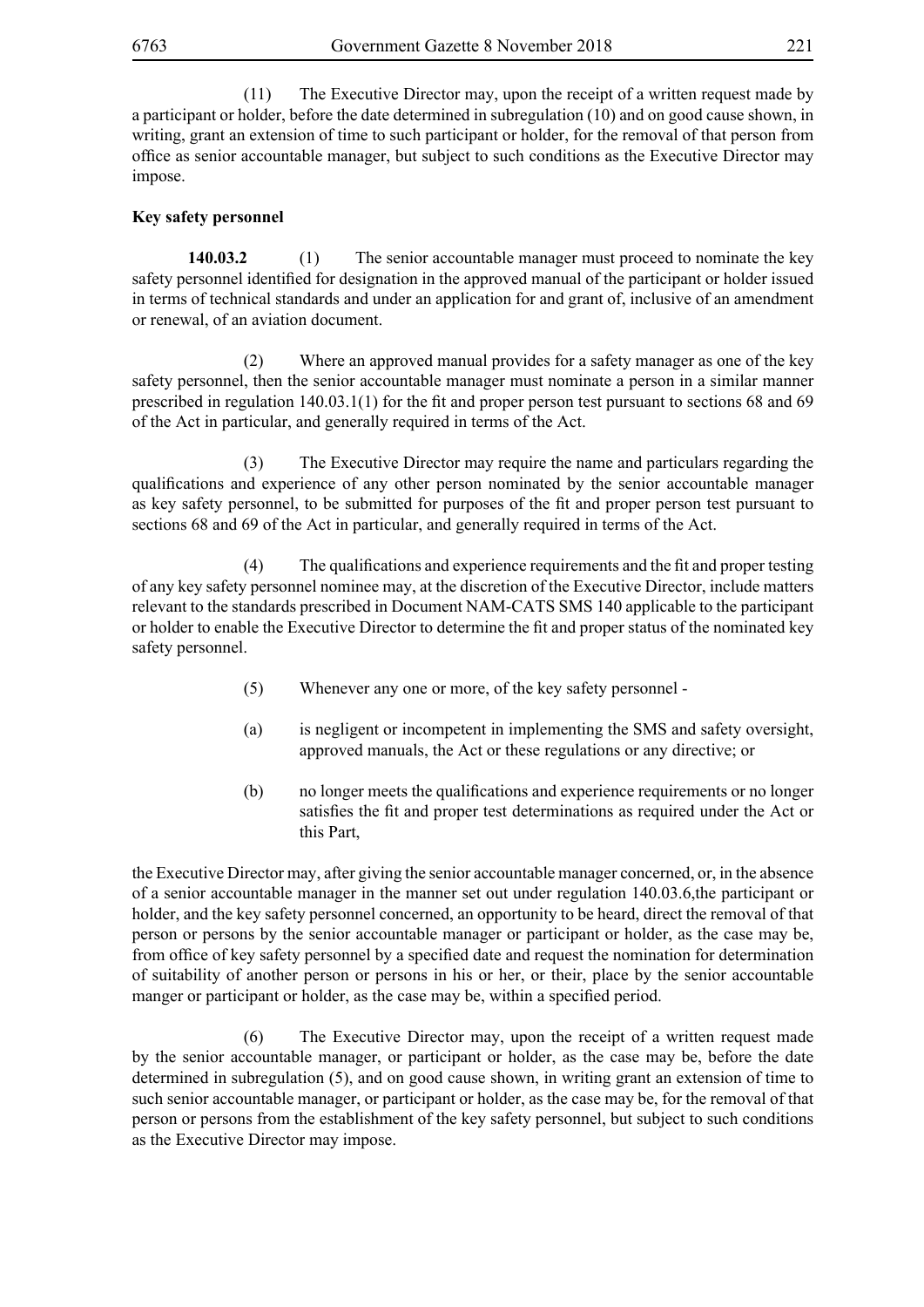(11) The Executive Director may, upon the receipt of a written request made by a participant or holder, before the date determined in subregulation (10) and on good cause shown, in writing, grant an extension of time to such participant or holder, for the removal of that person from office as senior accountable manager, but subject to such conditions as the Executive Director may impose.

## **Key safety personnel**

**140.03.2** (1) The senior accountable manager must proceed to nominate the key safety personnel identified for designation in the approved manual of the participant or holder issued in terms of technical standards and under an application for and grant of, inclusive of an amendment or renewal, of an aviation document.

 (2) Where an approved manual provides for a safety manager as one of the key safety personnel, then the senior accountable manager must nominate a person in a similar manner prescribed in regulation 140.03.1(1) for the fit and proper person test pursuant to sections 68 and 69 of the Act in particular, and generally required in terms of the Act.

 (3) The Executive Director may require the name and particulars regarding the qualifications and experience of any other person nominated by the senior accountable manager as key safety personnel, to be submitted for purposes of the fit and proper person test pursuant to sections 68 and 69 of the Act in particular, and generally required in terms of the Act.

(4) The qualifications and experience requirements and the fit and proper testing of any key safety personnel nominee may, at the discretion of the Executive Director, include matters relevant to the standards prescribed in Document NAM-CATS SMS 140 applicable to the participant or holder to enable the Executive Director to determine the fit and proper status of the nominated key safety personnel.

- (5) Whenever any one or more, of the key safety personnel -
- (a) is negligent or incompetent in implementing the SMS and safety oversight, approved manuals, the Act or these regulations or any directive; or
- (b) no longer meets the qualifications and experience requirements or no longer satisfies the fit and proper test determinations as required under the Act or this Part,

the Executive Director may, after giving the senior accountable manager concerned, or, in the absence of a senior accountable manager in the manner set out under regulation 140.03.6,the participant or holder, and the key safety personnel concerned, an opportunity to be heard, direct the removal of that person or persons by the senior accountable manager or participant or holder, as the case may be, from office of key safety personnel by a specified date and request the nomination for determination of suitability of another person or persons in his or her, or their, place by the senior accountable manger or participant or holder, as the case may be, within a specified period.

 (6) The Executive Director may, upon the receipt of a written request made by the senior accountable manager, or participant or holder, as the case may be, before the date determined in subregulation (5), and on good cause shown, in writing grant an extension of time to such senior accountable manager, or participant or holder, as the case may be, for the removal of that person or persons from the establishment of the key safety personnel, but subject to such conditions as the Executive Director may impose.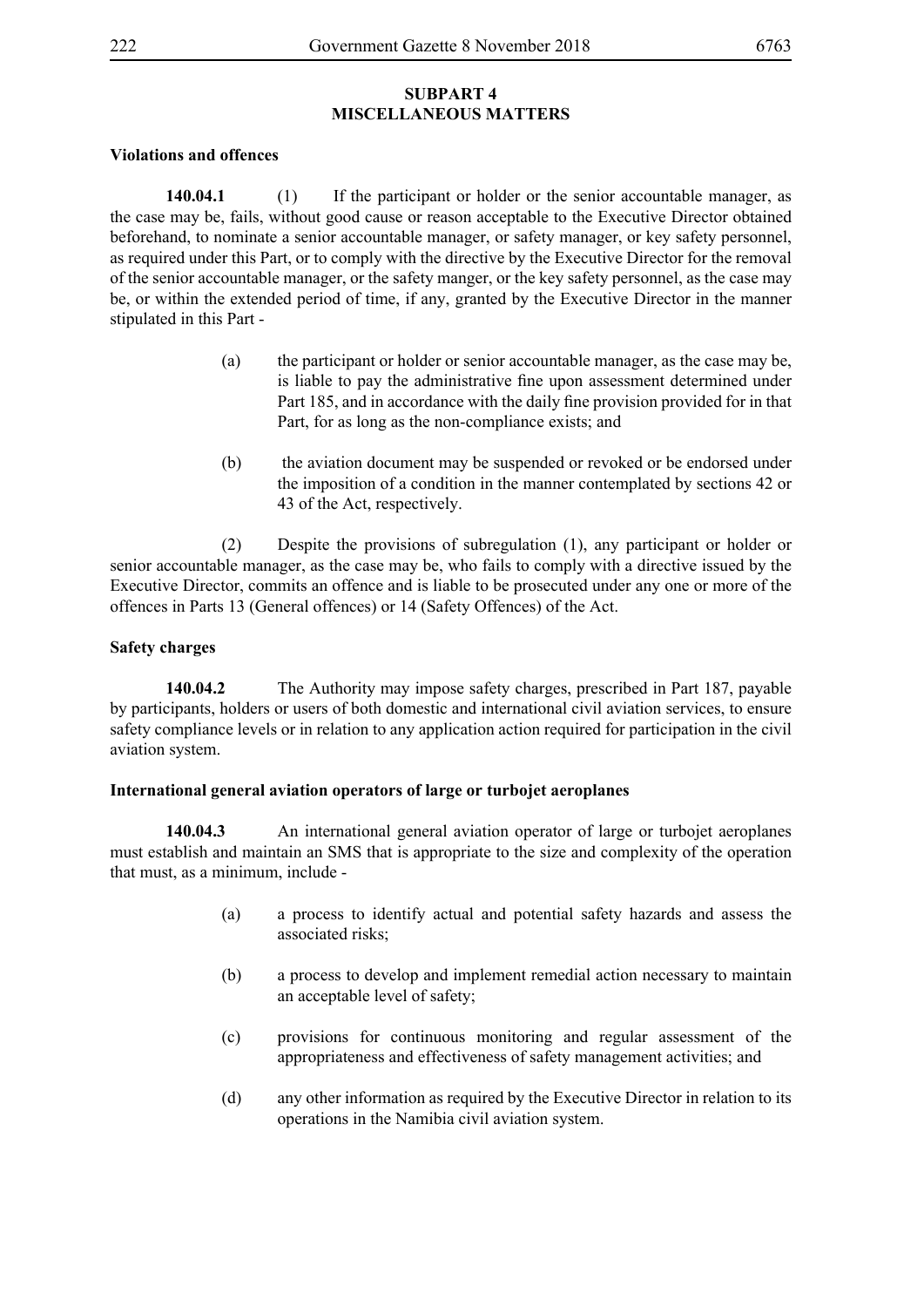#### **Violations and offences**

**140.04.1** (1) If the participant or holder or the senior accountable manager, as the case may be, fails, without good cause or reason acceptable to the Executive Director obtained beforehand, to nominate a senior accountable manager, or safety manager, or key safety personnel, as required under this Part, or to comply with the directive by the Executive Director for the removal of the senior accountable manager, or the safety manger, or the key safety personnel, as the case may be, or within the extended period of time, if any, granted by the Executive Director in the manner stipulated in this Part -

- (a) the participant or holder or senior accountable manager, as the case may be, is liable to pay the administrative fine upon assessment determined under Part 185, and in accordance with the daily fine provision provided for in that Part, for as long as the non-compliance exists; and
- (b) the aviation document may be suspended or revoked or be endorsed under the imposition of a condition in the manner contemplated by sections 42 or 43 of the Act, respectively.

 (2) Despite the provisions of subregulation (1), any participant or holder or senior accountable manager, as the case may be, who fails to comply with a directive issued by the Executive Director, commits an offence and is liable to be prosecuted under any one or more of the offences in Parts 13 (General offences) or 14 (Safety Offences) of the Act.

## **Safety charges**

**140.04.2** The Authority may impose safety charges, prescribed in Part 187, payable by participants, holders or users of both domestic and international civil aviation services, to ensure safety compliance levels or in relation to any application action required for participation in the civil aviation system.

## **International general aviation operators of large or turbojet aeroplanes**

**140.04.3** An international general aviation operator of large or turbojet aeroplanes must establish and maintain an SMS that is appropriate to the size and complexity of the operation that must, as a minimum, include -

- (a) a process to identify actual and potential safety hazards and assess the associated risks:
- (b) a process to develop and implement remedial action necessary to maintain an acceptable level of safety;
- (c) provisions for continuous monitoring and regular assessment of the appropriateness and effectiveness of safety management activities; and
- (d) any other information as required by the Executive Director in relation to its operations in the Namibia civil aviation system.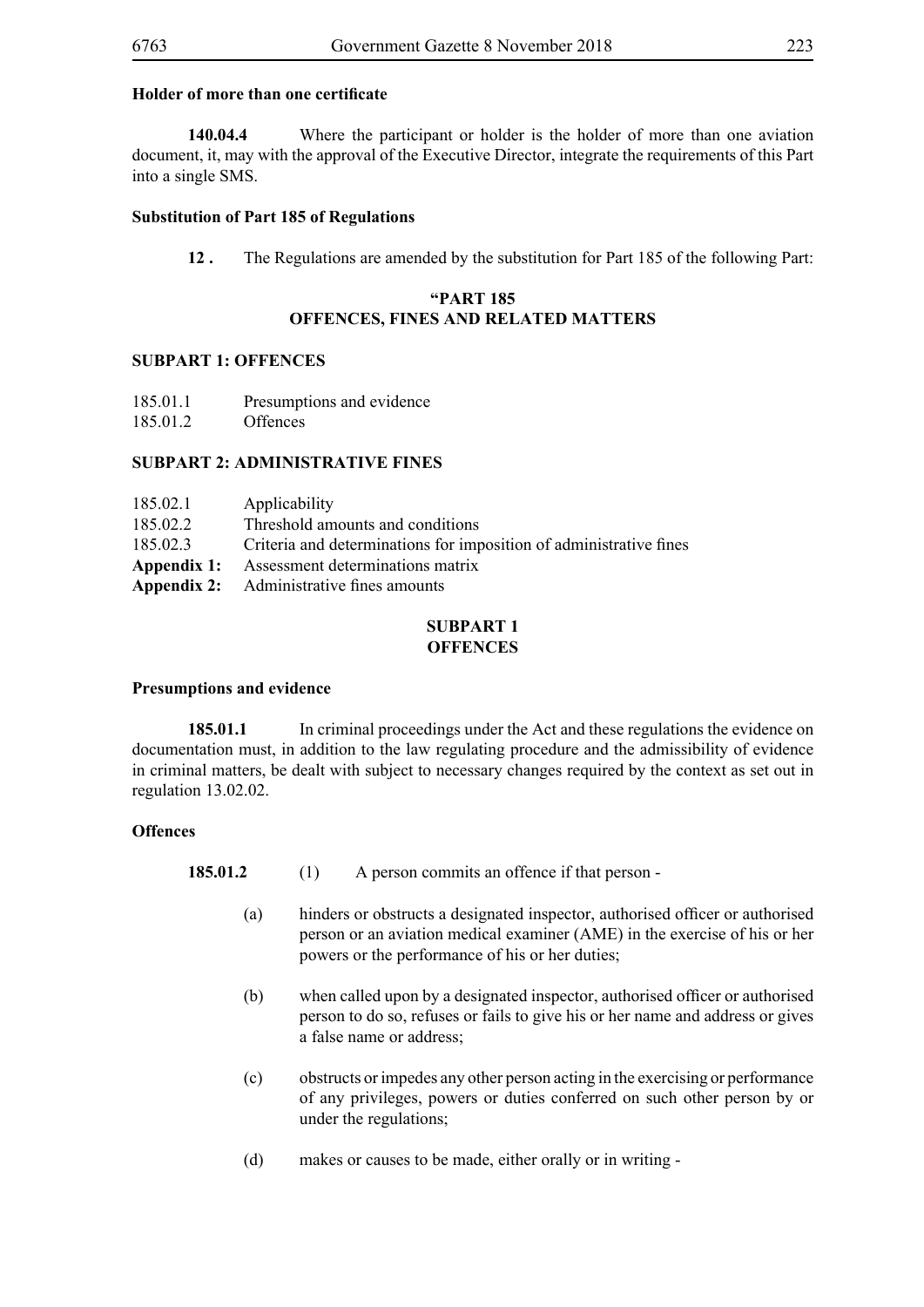## **Holder of more than one certificate**

**140.04.4** Where the participant or holder is the holder of more than one aviation document, it, may with the approval of the Executive Director, integrate the requirements of this Part into a single SMS.

## **Substitution of Part 185 of Regulations**

**12 .** The Regulations are amended by the substitution for Part 185 of the following Part:

## **"PART 185 OFFENCES, FINES AND RELATED MATTERS**

#### **SUBPART 1: OFFENCES**

| 185.01.1 | Presumptions and evidence |  |
|----------|---------------------------|--|
|----------|---------------------------|--|

185.01.2 Offences

#### **SUBPART 2: ADMINISTRATIVE FINES**

| 185.02.1    | Applicability                                                      |
|-------------|--------------------------------------------------------------------|
| 185.02.2    | Threshold amounts and conditions                                   |
| 185.02.3    | Criteria and determinations for imposition of administrative fines |
| Appendix 1: | Assessment determinations matrix                                   |
|             | <b>Appendix 2:</b> Administrative fines amounts                    |

## **SUBPART 1 OFFENCES**

#### **Presumptions and evidence**

**185.01.1** In criminal proceedings under the Act and these regulations the evidence on documentation must, in addition to the law regulating procedure and the admissibility of evidence in criminal matters, be dealt with subject to necessary changes required by the context as set out in regulation 13.02.02.

## **Offences**

- **185.01.2** (1) A person commits an offence if that person -
	- (a) hinders or obstructs a designated inspector, authorised officer or authorised person or an aviation medical examiner (AME) in the exercise of his or her powers or the performance of his or her duties;
	- (b) when called upon by a designated inspector, authorised officer or authorised person to do so, refuses or fails to give his or her name and address or gives a false name or address;
	- (c) obstructs or impedes any other person acting in the exercising or performance of any privileges, powers or duties conferred on such other person by or under the regulations;
	- (d) makes or causes to be made, either orally or in writing -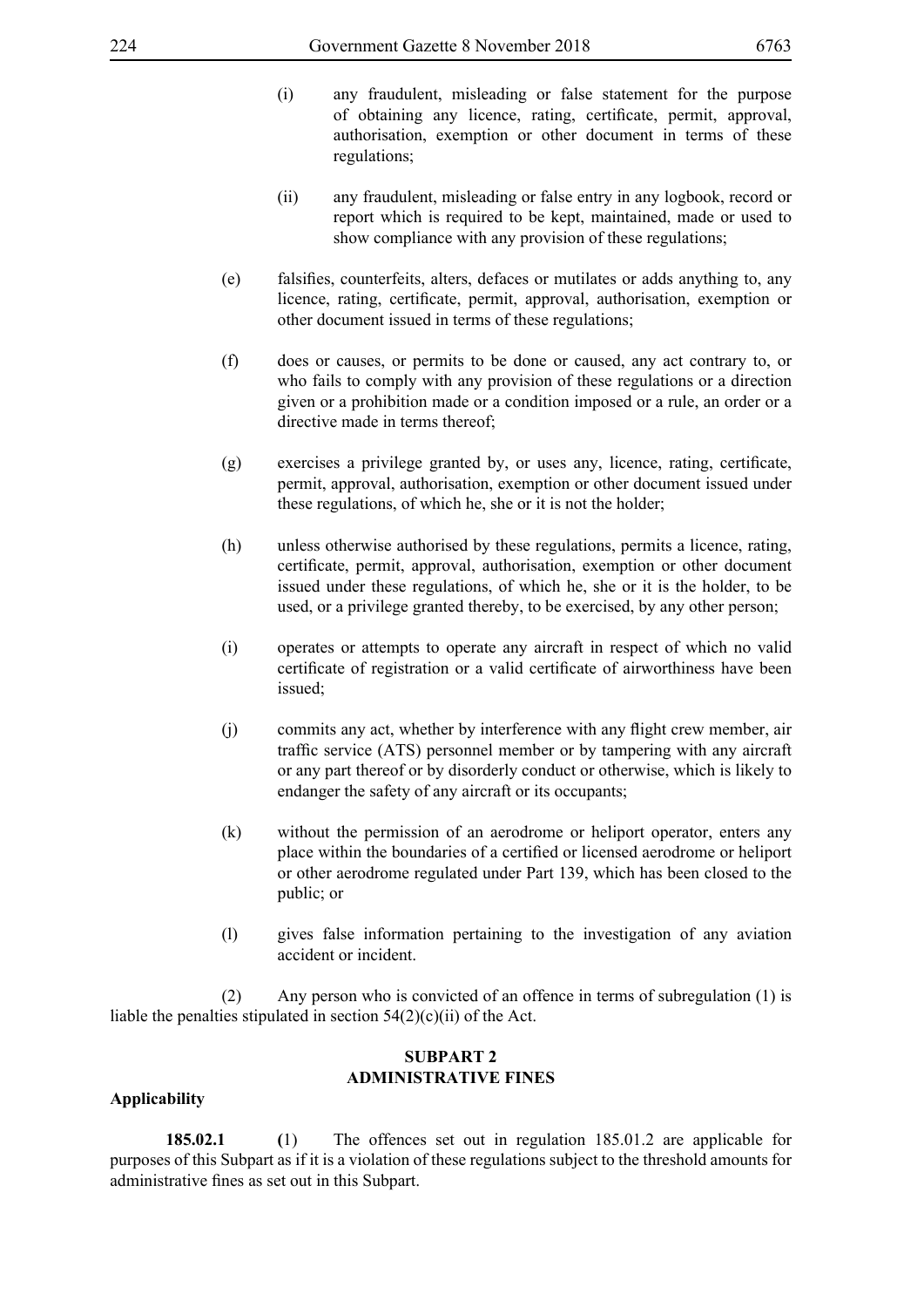- (i) any fraudulent, misleading or false statement for the purpose of obtaining any licence, rating, certificate, permit, approval, authorisation, exemption or other document in terms of these regulations;
- (ii) any fraudulent, misleading or false entry in any logbook, record or report which is required to be kept, maintained, made or used to show compliance with any provision of these regulations;
- (e) falsifies, counterfeits, alters, defaces or mutilates or adds anything to, any licence, rating, certificate, permit, approval, authorisation, exemption or other document issued in terms of these regulations;
- (f) does or causes, or permits to be done or caused, any act contrary to, or who fails to comply with any provision of these regulations or a direction given or a prohibition made or a condition imposed or a rule, an order or a directive made in terms thereof;
- (g) exercises a privilege granted by, or uses any, licence, rating, certificate, permit, approval, authorisation, exemption or other document issued under these regulations, of which he, she or it is not the holder;
- (h) unless otherwise authorised by these regulations, permits a licence, rating, certificate, permit, approval, authorisation, exemption or other document issued under these regulations, of which he, she or it is the holder, to be used, or a privilege granted thereby, to be exercised, by any other person;
- (i) operates or attempts to operate any aircraft in respect of which no valid certificate of registration or a valid certificate of airworthiness have been issued;
- (j) commits any act, whether by interference with any flight crew member, air traffic service (ATS) personnel member or by tampering with any aircraft or any part thereof or by disorderly conduct or otherwise, which is likely to endanger the safety of any aircraft or its occupants;
- (k) without the permission of an aerodrome or heliport operator, enters any place within the boundaries of a certified or licensed aerodrome or heliport or other aerodrome regulated under Part 139, which has been closed to the public; or
- (l) gives false information pertaining to the investigation of any aviation accident or incident.

 (2) Any person who is convicted of an offence in terms of subregulation (1) is liable the penalties stipulated in section  $54(2)(c)(ii)$  of the Act.

## **SUBPART 2 ADMINISTRATIVE FINES**

## **Applicability**

**185.02.1 (**1) The offences set out in regulation 185.01.2 are applicable for purposes of this Subpart as if it is a violation of these regulations subject to the threshold amounts for administrative fines as set out in this Subpart.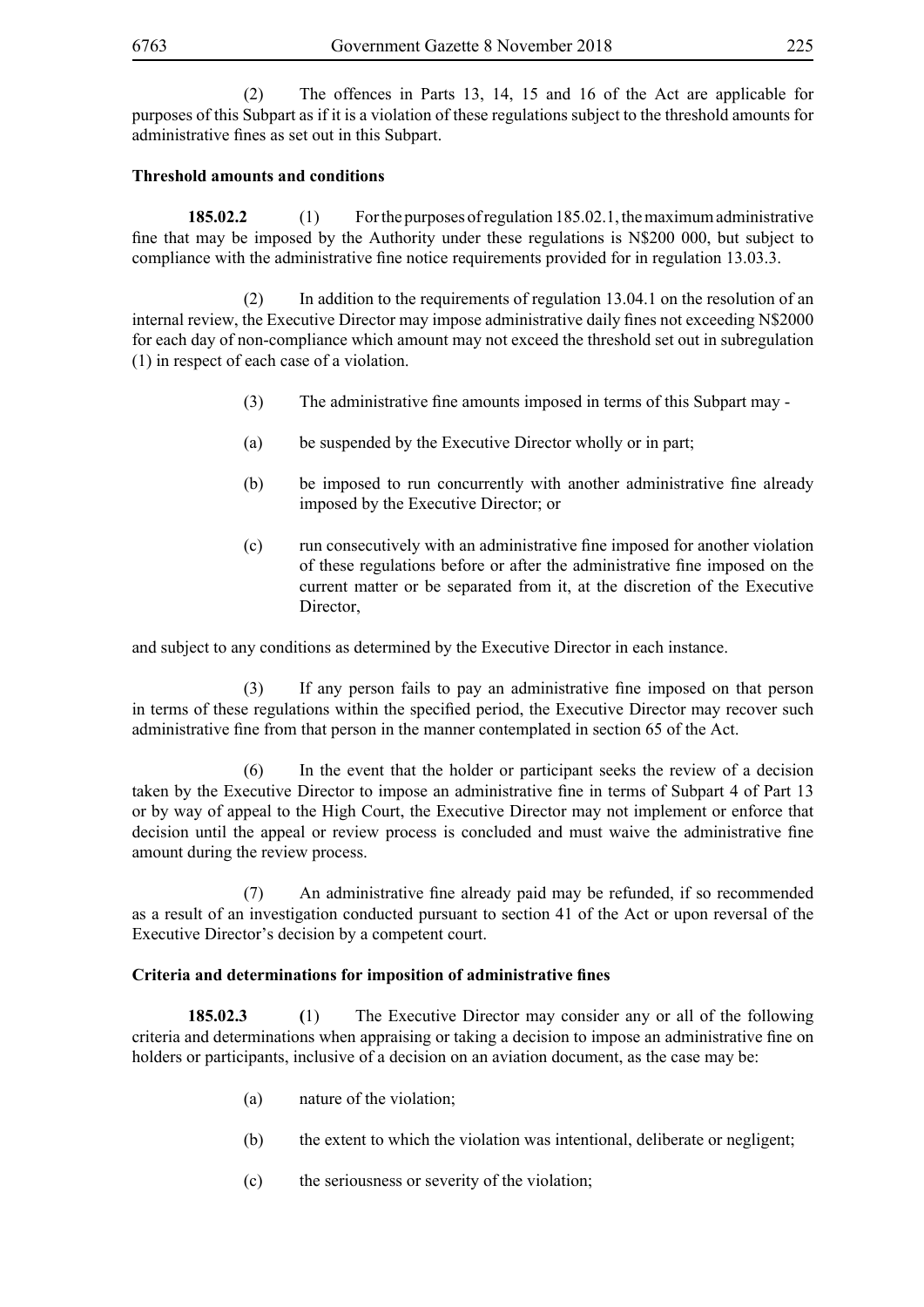(2) The offences in Parts 13, 14, 15 and 16 of the Act are applicable for purposes of this Subpart as if it is a violation of these regulations subject to the threshold amounts for administrative fines as set out in this Subpart.

# **Threshold amounts and conditions**

**185.02.2** (1) For the purposes of regulation 185.02.1, the maximum administrative fine that may be imposed by the Authority under these regulations is N\$200 000, but subject to compliance with the administrative fine notice requirements provided for in regulation 13.03.3.

 (2) In addition to the requirements of regulation 13.04.1 on the resolution of an internal review, the Executive Director may impose administrative daily fines not exceeding N\$2000 for each day of non-compliance which amount may not exceed the threshold set out in subregulation (1) in respect of each case of a violation.

- (3) The administrative fine amounts imposed in terms of this Subpart may -
- (a) be suspended by the Executive Director wholly or in part;
- (b) be imposed to run concurrently with another administrative fine already imposed by the Executive Director; or
- (c) run consecutively with an administrative fine imposed for another violation of these regulations before or after the administrative fine imposed on the current matter or be separated from it, at the discretion of the Executive Director,

and subject to any conditions as determined by the Executive Director in each instance.

(3) If any person fails to pay an administrative fine imposed on that person in terms of these regulations within the specified period, the Executive Director may recover such administrative fine from that person in the manner contemplated in section 65 of the Act.

 (6) In the event that the holder or participant seeks the review of a decision taken by the Executive Director to impose an administrative fine in terms of Subpart 4 of Part 13 or by way of appeal to the High Court, the Executive Director may not implement or enforce that decision until the appeal or review process is concluded and must waive the administrative fine amount during the review process.

(7) An administrative fine already paid may be refunded, if so recommended as a result of an investigation conducted pursuant to section 41 of the Act or upon reversal of the Executive Director's decision by a competent court.

## **Criteria and determinations for imposition of administrative fines**

**185.02.3 (**1) The Executive Director may consider any or all of the following criteria and determinations when appraising or taking a decision to impose an administrative fine on holders or participants, inclusive of a decision on an aviation document, as the case may be:

- (a) nature of the violation;
- (b) the extent to which the violation was intentional, deliberate or negligent;
- (c) the seriousness or severity of the violation;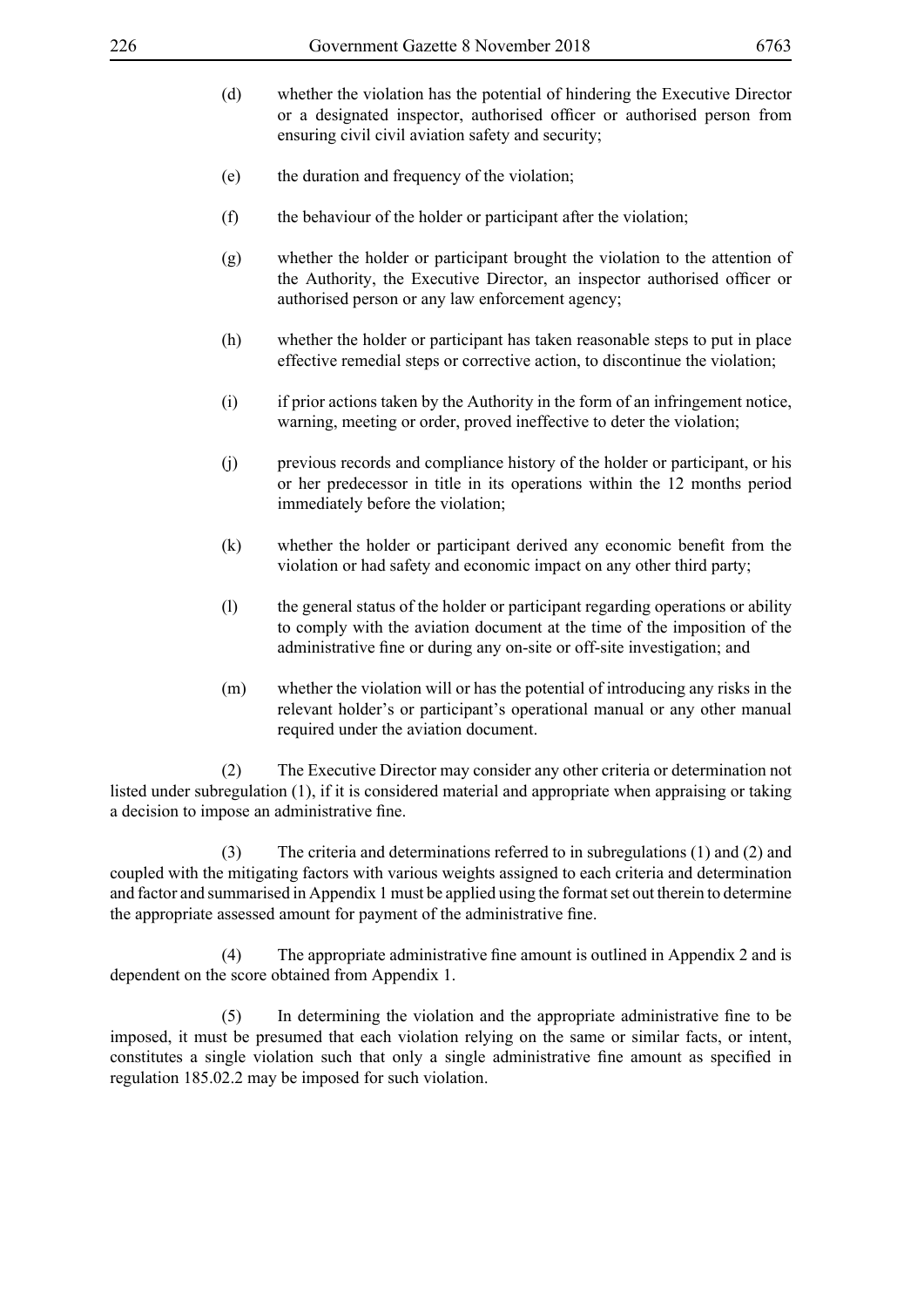- 
- (d) whether the violation has the potential of hindering the Executive Director or a designated inspector, authorised officer or authorised person from ensuring civil civil aviation safety and security;
- (e) the duration and frequency of the violation;
- (f) the behaviour of the holder or participant after the violation;
- (g) whether the holder or participant brought the violation to the attention of the Authority, the Executive Director, an inspector authorised officer or authorised person or any law enforcement agency;
- (h) whether the holder or participant has taken reasonable steps to put in place effective remedial steps or corrective action, to discontinue the violation;
- (i) if prior actions taken by the Authority in the form of an infringement notice, warning, meeting or order, proved ineffective to deter the violation;
- (j) previous records and compliance history of the holder or participant, or his or her predecessor in title in its operations within the 12 months period immediately before the violation;
- (k) whether the holder or participant derived any economic benefit from the violation or had safety and economic impact on any other third party;
- (l) the general status of the holder or participant regarding operations or ability to comply with the aviation document at the time of the imposition of the administrative fine or during any on-site or off-site investigation; and
- (m) whether the violation will or has the potential of introducing any risks in the relevant holder's or participant's operational manual or any other manual required under the aviation document.

 (2) The Executive Director may consider any other criteria or determination not listed under subregulation (1), if it is considered material and appropriate when appraising or taking a decision to impose an administrative fine.

 (3) The criteria and determinations referred to in subregulations (1) and (2) and coupled with the mitigating factors with various weights assigned to each criteria and determination and factor and summarised in Appendix 1 must be applied using the format set out therein to determine the appropriate assessed amount for payment of the administrative fine.

(4) The appropriate administrative fine amount is outlined in Appendix 2 and is dependent on the score obtained from Appendix 1.

(5) In determining the violation and the appropriate administrative fine to be imposed, it must be presumed that each violation relying on the same or similar facts, or intent, constitutes a single violation such that only a single administrative fine amount as specified in regulation 185.02.2 may be imposed for such violation.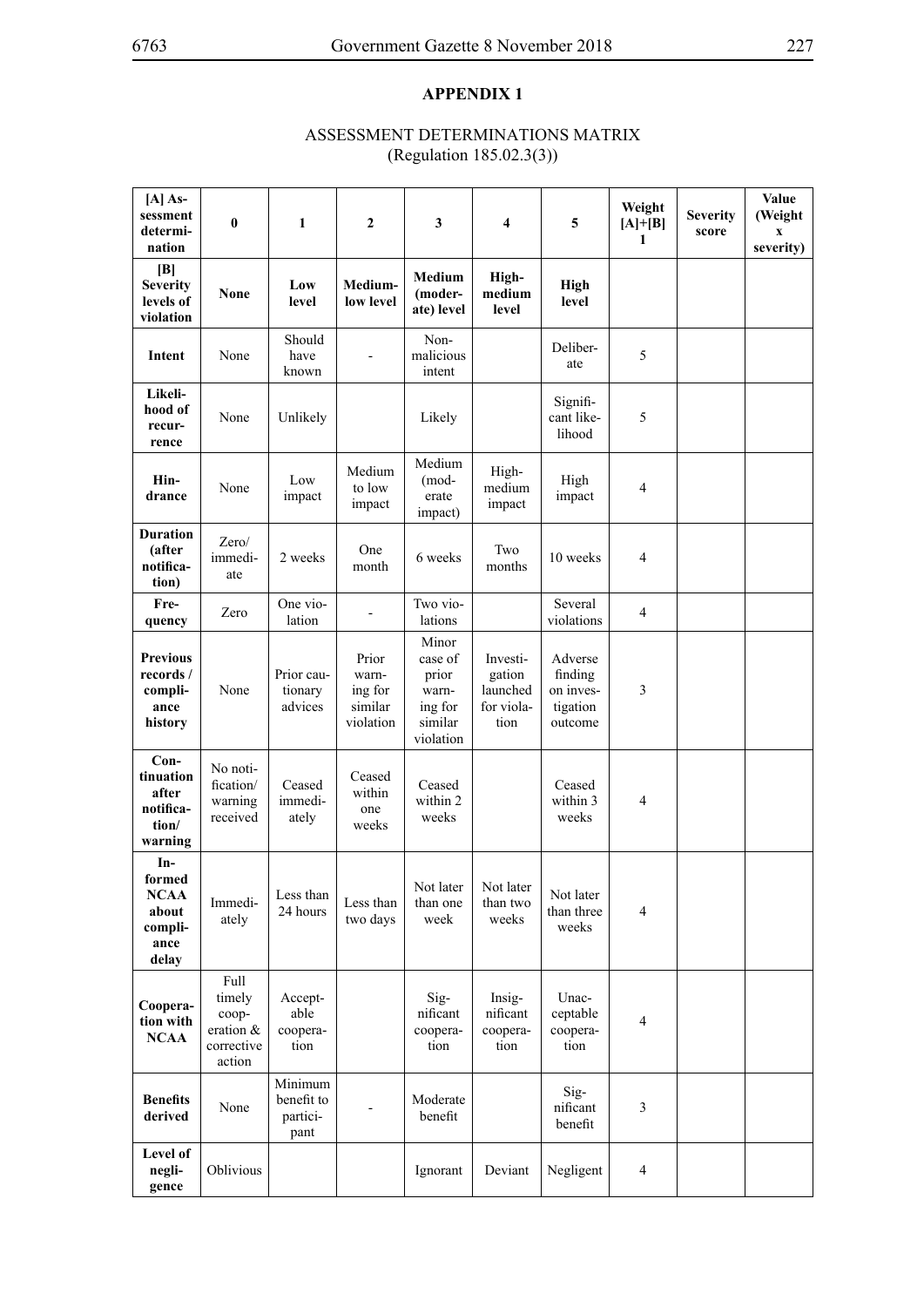# **APPENDIX 1**

# ASSESSMENT DETERMINATIONS MATRIX (Regulation 185.02.3(3))

| [A] As-<br>sessment<br>determi-<br>nation                         | $\pmb{0}$                                                    | 1                                         | 2                                                 | 3                                                                     | 4                                                    | 5                                                      | Weight<br>$[A]+[B]$<br>1 | <b>Severity</b><br>score | Value<br>(Weight<br>$\boldsymbol{\mathrm{X}}$<br>severity) |
|-------------------------------------------------------------------|--------------------------------------------------------------|-------------------------------------------|---------------------------------------------------|-----------------------------------------------------------------------|------------------------------------------------------|--------------------------------------------------------|--------------------------|--------------------------|------------------------------------------------------------|
| [B]<br><b>Severity</b><br>levels of<br>violation                  | <b>None</b>                                                  | Low<br>level                              | Medium-<br>low level                              | Medium<br>(moder-<br>ate) level                                       | High-<br>medium<br>level                             | <b>High</b><br>level                                   |                          |                          |                                                            |
| Intent                                                            | None                                                         | Should<br>have<br>known                   |                                                   | Non-<br>malicious<br>intent                                           |                                                      | Deliber-<br>ate                                        | 5                        |                          |                                                            |
| Likeli-<br>hood of<br>recur-<br>rence                             | None                                                         | Unlikely                                  |                                                   | Likely                                                                |                                                      | Signifi-<br>cant like-<br>lihood                       | 5                        |                          |                                                            |
| Hin-<br>drance                                                    | None                                                         | Low<br>impact                             | Medium<br>to low<br>impact                        | Medium<br>(mod-<br>erate<br>impact)                                   | High-<br>medium<br>impact                            | High<br>impact                                         | 4                        |                          |                                                            |
| <b>Duration</b><br>(after<br>notifica-<br>tion)                   | Zero/<br>immedi-<br>ate                                      | 2 weeks                                   | One<br>month                                      | 6 weeks                                                               | Two<br>months                                        | 10 weeks                                               | $\overline{4}$           |                          |                                                            |
| Fre-<br>quency                                                    | Zero                                                         | One vio-<br>lation                        |                                                   | Two vio-<br>lations                                                   |                                                      | Several<br>violations                                  | $\overline{4}$           |                          |                                                            |
| <b>Previous</b><br>records /<br>compli-<br>ance<br>history        | None                                                         | Prior cau-<br>tionary<br>advices          | Prior<br>warn-<br>ing for<br>similar<br>violation | Minor<br>case of<br>prior<br>warn-<br>ing for<br>similar<br>violation | Investi-<br>gation<br>launched<br>for viola-<br>tion | Adverse<br>finding<br>on inves-<br>tigation<br>outcome | 3                        |                          |                                                            |
| Con-<br>tinuation<br>after<br>notifica-<br>tion/<br>warning       | No noti-<br>fication/<br>warning<br>received                 | Ceased<br>immedi-<br>ately                | Ceased<br>within<br>one<br>weeks                  | Ceased<br>within 2<br>weeks                                           |                                                      | Ceased<br>within 3<br>weeks                            | 4                        |                          |                                                            |
| In-<br>formed<br><b>NCAA</b><br>about<br>compli-<br>ance<br>delay | Immedi-<br>ately                                             | Less than<br>24 hours                     | Less than<br>two days                             | Not later<br>than one<br>week                                         | Not later<br>than two<br>weeks                       | Not later<br>than three<br>weeks                       | $\overline{4}$           |                          |                                                            |
| Coopera-<br>tion with<br><b>NCAA</b>                              | Full<br>timely<br>coop-<br>eration &<br>corrective<br>action | Accept-<br>able<br>coopera-<br>tion       |                                                   | Sig-<br>nificant<br>coopera-<br>tion                                  | Insig-<br>nificant<br>coopera-<br>tion               | Unac-<br>ceptable<br>coopera-<br>tion                  | $\overline{4}$           |                          |                                                            |
| <b>Benefits</b><br>derived                                        | None                                                         | Minimum<br>benefit to<br>partici-<br>pant |                                                   | Moderate<br>benefit                                                   |                                                      | Sig-<br>nificant<br>benefit                            | 3                        |                          |                                                            |
| Level of<br>negli-<br>gence                                       | Oblivious                                                    |                                           |                                                   | Ignorant                                                              | Deviant                                              | Negligent                                              | 4                        |                          |                                                            |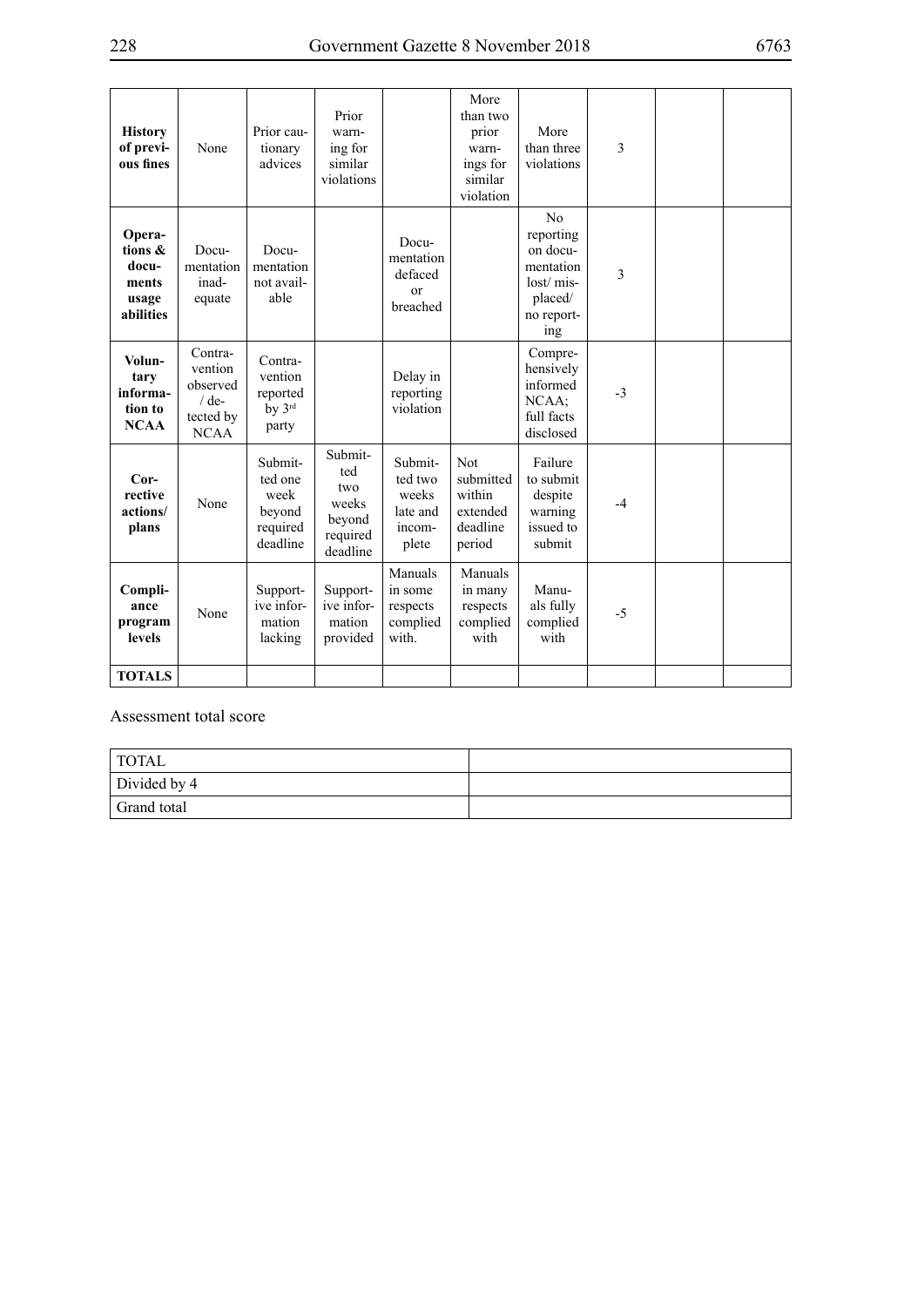| <b>History</b><br>of previ-<br>ous fines                  | None                                                                  | Prior cau-<br>tionary<br>advices                             | Prior<br>warn-<br>ing for<br>similar<br>violations               |                                                            | More<br>than two<br>prior<br>warn-<br>ings for<br>similar<br>violation | More<br>than three<br>violations                                                      | 3    |  |
|-----------------------------------------------------------|-----------------------------------------------------------------------|--------------------------------------------------------------|------------------------------------------------------------------|------------------------------------------------------------|------------------------------------------------------------------------|---------------------------------------------------------------------------------------|------|--|
| Opera-<br>tions &<br>docu-<br>ments<br>usage<br>abilities | Docu-<br>mentation<br>inad-<br>equate                                 | Docu-<br>mentation<br>not avail-<br>able                     |                                                                  | Docu-<br>mentation<br>defaced<br><sub>or</sub><br>breached |                                                                        | No<br>reporting<br>on docu-<br>mentation<br>lost/mis-<br>placed/<br>no report-<br>ing | 3    |  |
| Volun-<br>tary<br>informa-<br>tion to<br><b>NCAA</b>      | Contra-<br>vention<br>observed<br>$/$ de-<br>tected by<br><b>NCAA</b> | Contra-<br>vention<br>reported<br>by 3rd<br>party            |                                                                  | Delay in<br>reporting<br>violation                         |                                                                        | Compre-<br>hensively<br>informed<br>NCAA:<br>full facts<br>disclosed                  | $-3$ |  |
| $Cor-$<br>rective<br>actions/<br>plans                    | None                                                                  | Submit-<br>ted one<br>week<br>beyond<br>required<br>deadline | Submit-<br>ted<br>two<br>weeks<br>beyond<br>required<br>deadline | Submit-<br>ted two<br>weeks<br>late and<br>incom-<br>plete | <b>Not</b><br>submitted<br>within<br>extended<br>deadline<br>period    | Failure<br>to submit<br>despite<br>warning<br>issued to<br>submit                     | $-4$ |  |
| Compli-<br>ance<br>program<br>levels                      | None                                                                  | Support-<br>ive infor-<br>mation<br>lacking                  | Support-<br>ive infor-<br>mation<br>provided                     | Manuals<br>in some<br>respects<br>complied<br>with.        | Manuals<br>in many<br>respects<br>complied<br>with                     | Manu-<br>als fully<br>complied<br>with                                                | $-5$ |  |
| <b>TOTALS</b>                                             |                                                                       |                                                              |                                                                  |                                                            |                                                                        |                                                                                       |      |  |

Assessment total score

| <sup>1</sup> TOTAL |  |
|--------------------|--|
| Divided by 4       |  |
| Grand total        |  |